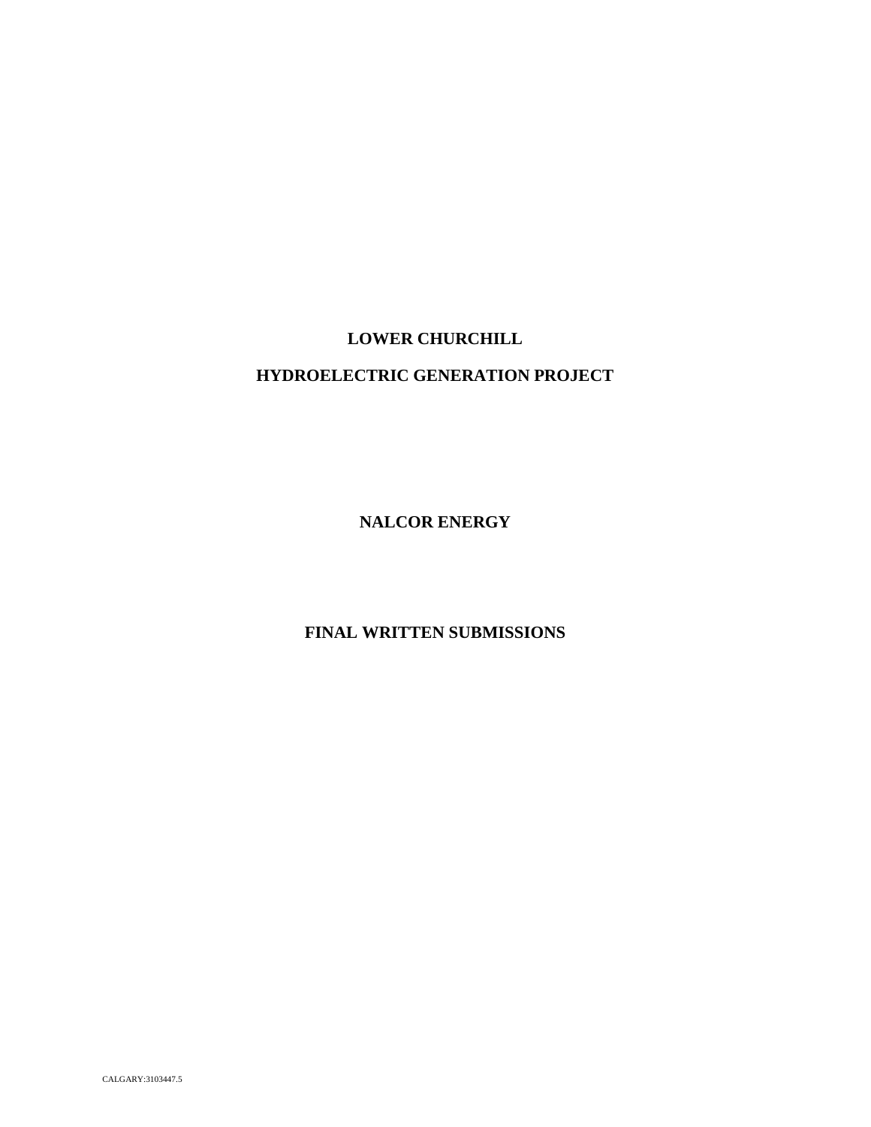# **LOWER CHURCHILL HYDROELECTRIC GENERATION PROJECT**

**NALCOR ENERGY**

**FINAL WRITTEN SUBMISSIONS**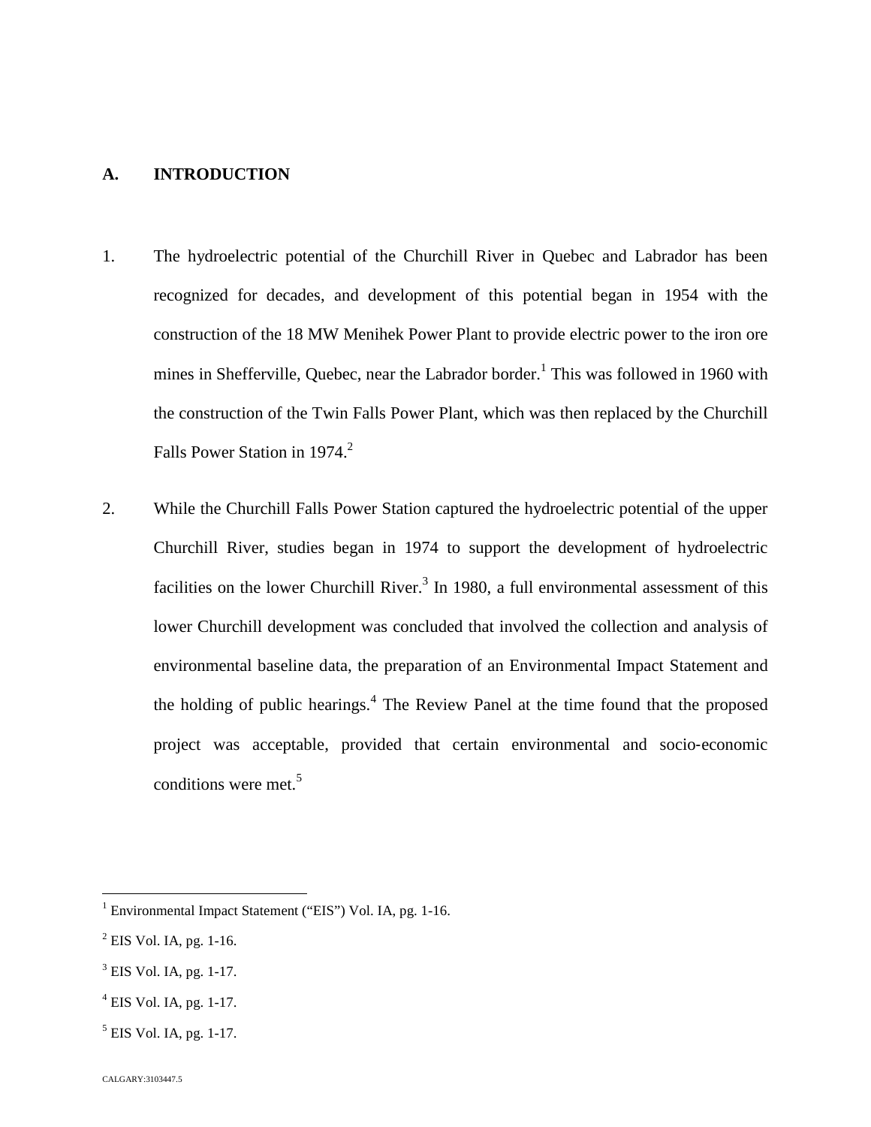# **A. INTRODUCTION**

- 1. The hydroelectric potential of the Churchill River in Quebec and Labrador has been recognized for decades, and development of this potential began in 1954 with the construction of the 18 MW Menihek Power Plant to provide electric power to the iron ore mines in Shefferville, Quebec, near the Labrador border.<sup>[1](#page-1-0)</sup> This was followed in 1960 with the construction of the Twin Falls Power Plant, which was then replaced by the Churchill Falls Power Station in 1974.<sup>[2](#page-1-1)</sup>
- 2. While the Churchill Falls Power Station captured the hydroelectric potential of the upper Churchill River, studies began in 1974 to support the development of hydroelectric facilitieson the lower Churchill River[.](#page-1-2)<sup>3</sup> In 1980, a full environmental assessment of this lower Churchill development was concluded that involved the collection and analysis of environmental baseline data, the preparation of an Environmental Impact Statement and the holding of public hearings.<sup>[4](#page-1-3)</sup> The Review Panel at the time found that the proposed project was acceptable, provided that certain environmental and socio‐economic conditionswere met. $5$

<span id="page-1-0"></span><sup>&</sup>lt;sup>1</sup> Environmental Impact Statement ("EIS") Vol. IA, pg. 1-16.

<span id="page-1-1"></span> $<sup>2</sup>$  EIS Vol. IA, pg. 1-16.</sup>

<span id="page-1-2"></span> $3$  EIS Vol. IA, pg. 1-17.

<span id="page-1-3"></span> $<sup>4</sup>$  EIS Vol. IA, pg. 1-17.</sup>

<span id="page-1-4"></span> $<sup>5</sup>$  EIS Vol. IA, pg. 1-17.</sup>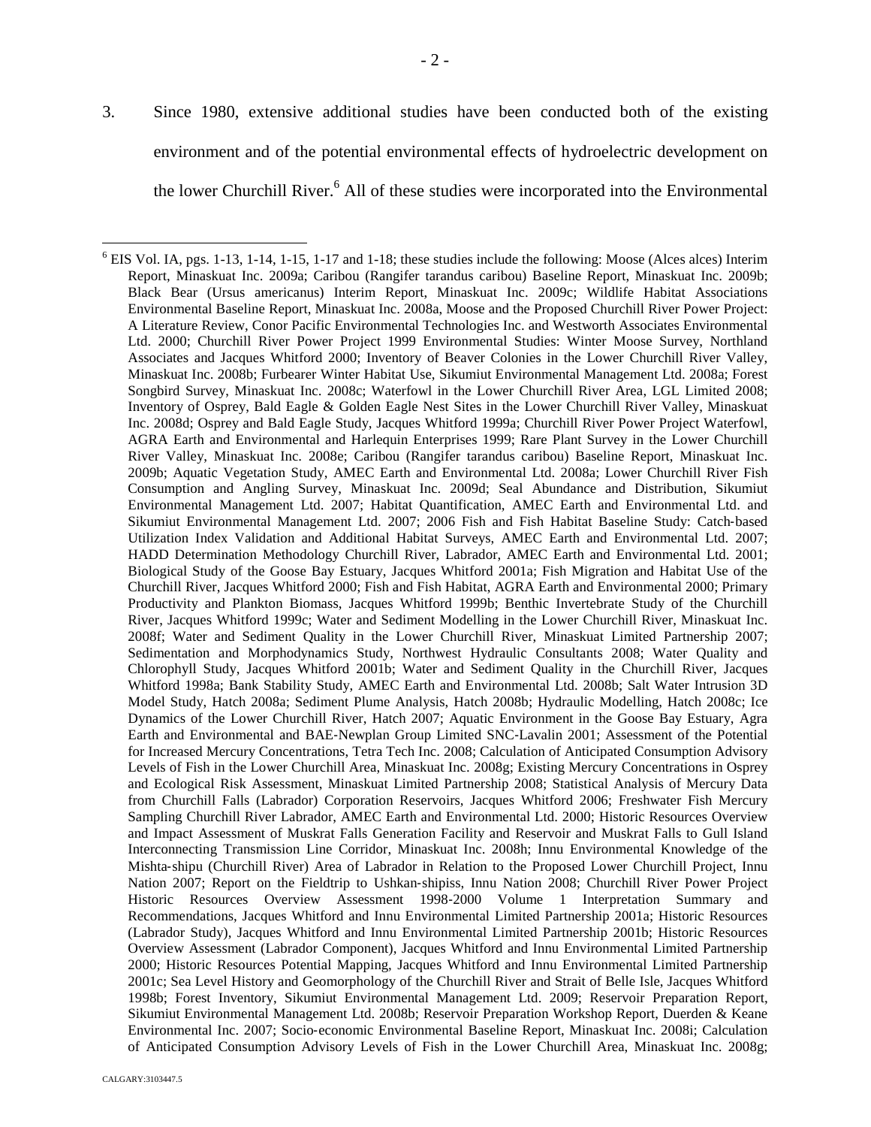3. Since 1980, extensive additional studies have been conducted both of the existing environment and of the potential environmental effects of hydroelectric development on the lower Churchill River.<sup>[6](#page-2-0)</sup> All of these studies were incorporated into the Environmental

<span id="page-2-0"></span> $6$  EIS Vol. IA, pgs. 1-13, 1-14, 1-15, 1-17 and 1-18; these studies include the following: Moose (Alces alces) Interim Report, Minaskuat Inc. 2009a; Caribou (Rangifer tarandus caribou) Baseline Report, Minaskuat Inc. 2009b; Black Bear (Ursus americanus) Interim Report, Minaskuat Inc. 2009c; Wildlife Habitat Associations Environmental Baseline Report, Minaskuat Inc. 2008a, Moose and the Proposed Churchill River Power Project: A Literature Review, Conor Pacific Environmental Technologies Inc. and Westworth Associates Environmental Ltd. 2000; Churchill River Power Project 1999 Environmental Studies: Winter Moose Survey, Northland Associates and Jacques Whitford 2000; Inventory of Beaver Colonies in the Lower Churchill River Valley, Minaskuat Inc. 2008b; Furbearer Winter Habitat Use, Sikumiut Environmental Management Ltd. 2008a; Forest Songbird Survey, Minaskuat Inc. 2008c; Waterfowl in the Lower Churchill River Area, LGL Limited 2008; Inventory of Osprey, Bald Eagle & Golden Eagle Nest Sites in the Lower Churchill River Valley, Minaskuat Inc. 2008d; Osprey and Bald Eagle Study, Jacques Whitford 1999a; Churchill River Power Project Waterfowl, AGRA Earth and Environmental and Harlequin Enterprises 1999; Rare Plant Survey in the Lower Churchill River Valley, Minaskuat Inc. 2008e; Caribou (Rangifer tarandus caribou) Baseline Report, Minaskuat Inc. 2009b; Aquatic Vegetation Study, AMEC Earth and Environmental Ltd. 2008a; Lower Churchill River Fish Consumption and Angling Survey, Minaskuat Inc. 2009d; Seal Abundance and Distribution, Sikumiut Environmental Management Ltd. 2007; Habitat Quantification, AMEC Earth and Environmental Ltd. and Sikumiut Environmental Management Ltd. 2007; 2006 Fish and Fish Habitat Baseline Study: Catch‐based Utilization Index Validation and Additional Habitat Surveys, AMEC Earth and Environmental Ltd. 2007; HADD Determination Methodology Churchill River, Labrador, AMEC Earth and Environmental Ltd. 2001; Biological Study of the Goose Bay Estuary, Jacques Whitford 2001a; Fish Migration and Habitat Use of the Churchill River, Jacques Whitford 2000; Fish and Fish Habitat, AGRA Earth and Environmental 2000; Primary Productivity and Plankton Biomass, Jacques Whitford 1999b; Benthic Invertebrate Study of the Churchill River, Jacques Whitford 1999c; Water and Sediment Modelling in the Lower Churchill River, Minaskuat Inc. 2008f; Water and Sediment Quality in the Lower Churchill River, Minaskuat Limited Partnership 2007; Sedimentation and Morphodynamics Study, Northwest Hydraulic Consultants 2008; Water Quality and Chlorophyll Study, Jacques Whitford 2001b; Water and Sediment Quality in the Churchill River, Jacques Whitford 1998a; Bank Stability Study, AMEC Earth and Environmental Ltd. 2008b; Salt Water Intrusion 3D Model Study, Hatch 2008a; Sediment Plume Analysis, Hatch 2008b; Hydraulic Modelling, Hatch 2008c; Ice Dynamics of the Lower Churchill River, Hatch 2007; Aquatic Environment in the Goose Bay Estuary, Agra Earth and Environmental and BAE‐Newplan Group Limited SNC‐Lavalin 2001; Assessment of the Potential for Increased Mercury Concentrations, Tetra Tech Inc. 2008; Calculation of Anticipated Consumption Advisory Levels of Fish in the Lower Churchill Area, Minaskuat Inc. 2008g; Existing Mercury Concentrations in Osprey and Ecological Risk Assessment, Minaskuat Limited Partnership 2008; Statistical Analysis of Mercury Data from Churchill Falls (Labrador) Corporation Reservoirs, Jacques Whitford 2006; Freshwater Fish Mercury Sampling Churchill River Labrador, AMEC Earth and Environmental Ltd. 2000; Historic Resources Overview and Impact Assessment of Muskrat Falls Generation Facility and Reservoir and Muskrat Falls to Gull Island Interconnecting Transmission Line Corridor, Minaskuat Inc. 2008h; Innu Environmental Knowledge of the Mishta‐shipu (Churchill River) Area of Labrador in Relation to the Proposed Lower Churchill Project, Innu Nation 2007; Report on the Fieldtrip to Ushkan-shipiss, Innu Nation 2008; Churchill River Power Project Historic Resources Overview Assessment 1998‐2000 Volume 1 Interpretation Summary and Recommendations, Jacques Whitford and Innu Environmental Limited Partnership 2001a; Historic Resources (Labrador Study), Jacques Whitford and Innu Environmental Limited Partnership 2001b; Historic Resources Overview Assessment (Labrador Component), Jacques Whitford and Innu Environmental Limited Partnership 2000; Historic Resources Potential Mapping, Jacques Whitford and Innu Environmental Limited Partnership 2001c; Sea Level History and Geomorphology of the Churchill River and Strait of Belle Isle, Jacques Whitford 1998b; Forest Inventory, Sikumiut Environmental Management Ltd. 2009; Reservoir Preparation Report, Sikumiut Environmental Management Ltd. 2008b; Reservoir Preparation Workshop Report, Duerden & Keane Environmental Inc. 2007; Socio‐economic Environmental Baseline Report, Minaskuat Inc. 2008i; Calculation of Anticipated Consumption Advisory Levels of Fish in the Lower Churchill Area, Minaskuat Inc. 2008g;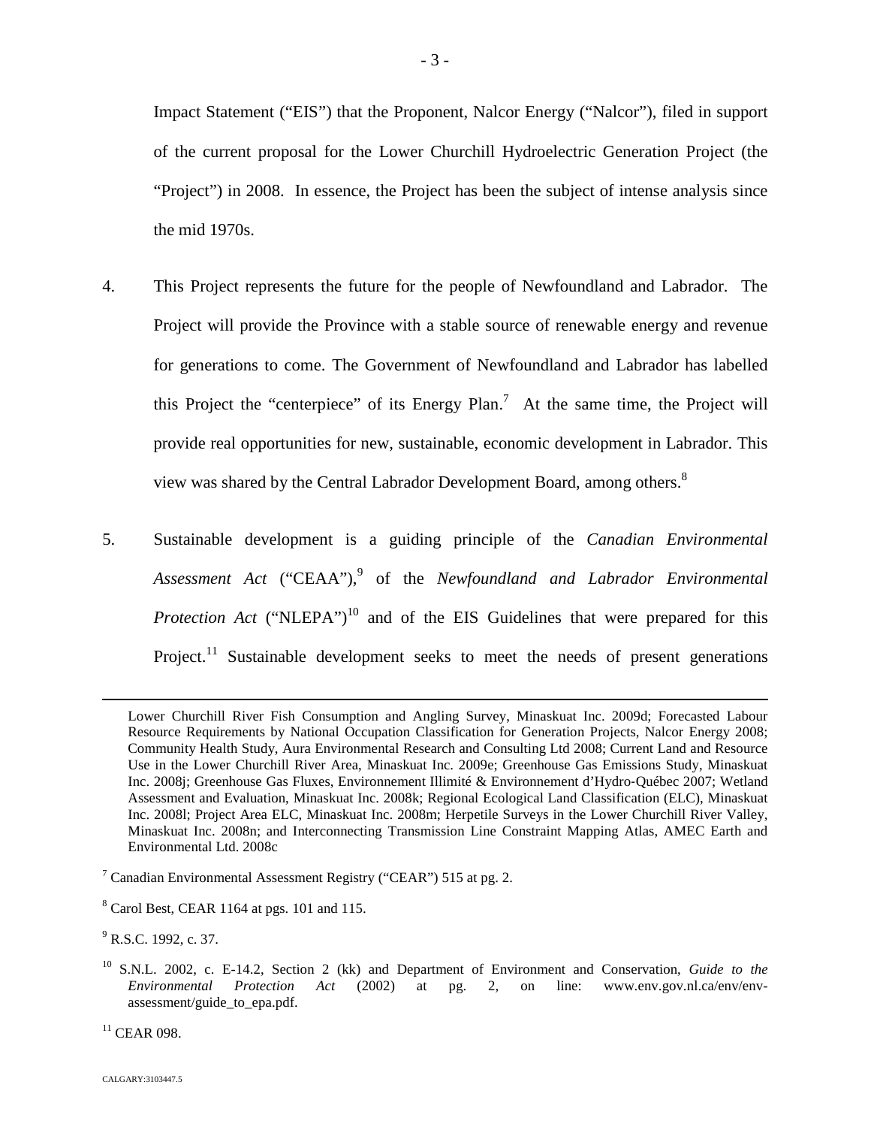Impact Statement ("EIS") that the Proponent, Nalcor Energy ("Nalcor"), filed in support of the current proposal for the Lower Churchill Hydroelectric Generation Project (the "Project") in 2008. In essence, the Project has been the subject of intense analysis since the mid 1970s.

- 4. This Project represents the future for the people of Newfoundland and Labrador. The Project will provide the Province with a stable source of renewable energy and revenue for generations to come. The Government of Newfoundland and Labrador has labelled thisProject the "centerpiece" of its Energy Plan.<sup>7</sup> At the same time, the Project will provide real opportunities for new, sustainable, economic development in Labrador. This view was shared by the Central Labrador Development Board, among others.<sup>8</sup>
- 5. Sustainable development is a guiding principle of the *Canadian Environmental* Assessment Act ("CEAA"),<sup>[9](#page-3-1)</sup> of the *Newfoundland and Labrador Environmental Protection Act* ("NLEPA")<sup>[10](#page-3-2)</sup> and of the EIS Guidelines that were prepared for this Project.<sup>[11](#page-3-3)</sup> Sustainable development seeks to meet the needs of present generations

<span id="page-3-3"></span> $11$  CEAR 098.

Lower Churchill River Fish Consumption and Angling Survey, Minaskuat Inc. 2009d; Forecasted Labour Resource Requirements by National Occupation Classification for Generation Projects, Nalcor Energy 2008; Community Health Study, Aura Environmental Research and Consulting Ltd 2008; Current Land and Resource Use in the Lower Churchill River Area, Minaskuat Inc. 2009e; Greenhouse Gas Emissions Study, Minaskuat Inc. 2008j; Greenhouse Gas Fluxes, Environnement Illimité & Environnement d'Hydro‐Québec 2007; Wetland Assessment and Evaluation, Minaskuat Inc. 2008k; Regional Ecological Land Classification (ELC), Minaskuat Inc. 2008l; Project Area ELC, Minaskuat Inc. 2008m; Herpetile Surveys in the Lower Churchill River Valley, Minaskuat Inc. 2008n; and Interconnecting Transmission Line Constraint Mapping Atlas, AMEC Earth and Environmental Ltd. 2008c

<span id="page-3-0"></span> $<sup>7</sup>$  Canadian Environmental Assessment Registry ("CEAR") 515 at pg. 2.</sup>

<sup>8</sup> Carol Best, CEAR 1164 at pgs. 101 and 115.

<span id="page-3-1"></span> $^{9}$  R.S.C. 1992, c. 37.

<span id="page-3-2"></span><sup>10</sup> S.N.L. 2002, c. E-14.2, Section 2 (kk) and Department of Environment and Conservation, *Guide to the Environmental Protection Act* (2002) at pg. 2, on line: www.env.gov.nl.ca/env/envassessment/guide\_to\_epa.pdf.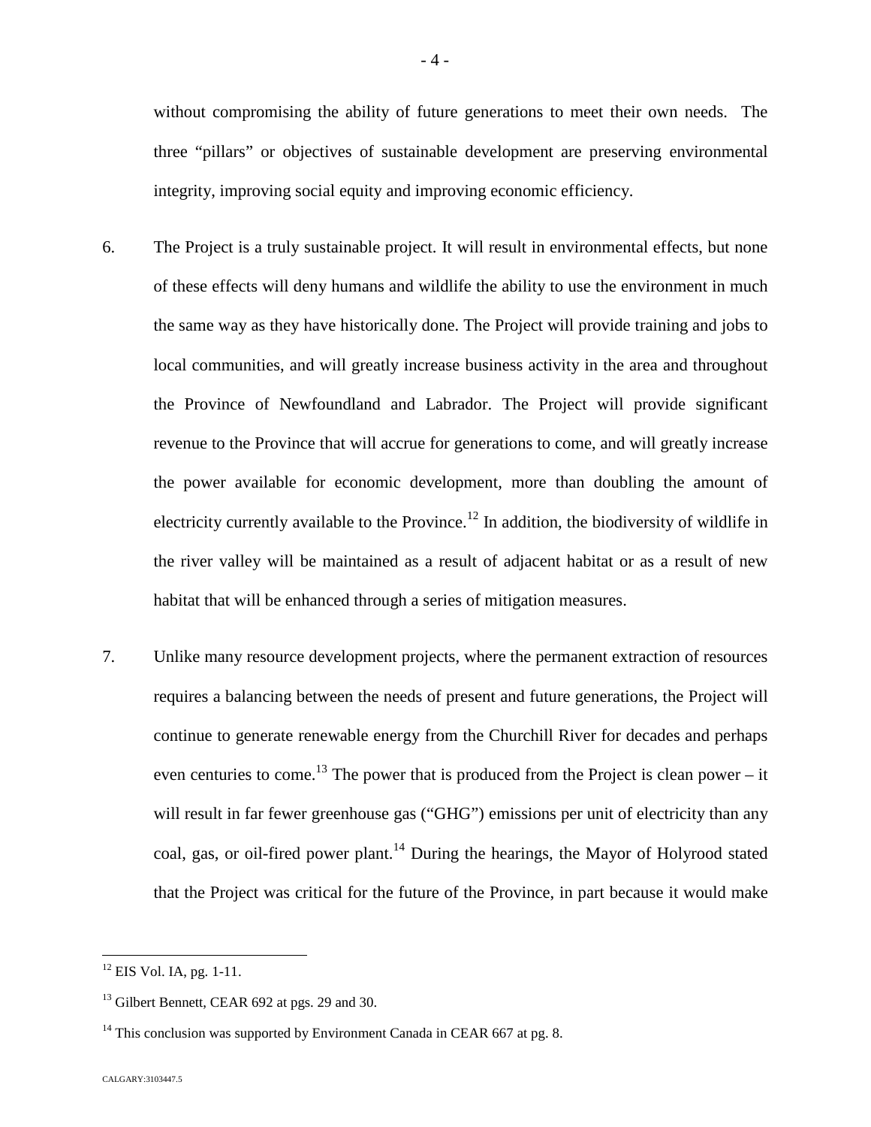without compromising the ability of future generations to meet their own needs. The three "pillars" or objectives of sustainable development are preserving environmental integrity, improving social equity and improving economic efficiency.

- 6. The Project is a truly sustainable project. It will result in environmental effects, but none of these effects will deny humans and wildlife the ability to use the environment in much the same way as they have historically done. The Project will provide training and jobs to local communities, and will greatly increase business activity in the area and throughout the Province of Newfoundland and Labrador. The Project will provide significant revenue to the Province that will accrue for generations to come, and will greatly increase the power available for economic development, more than doubling the amount of electricity currently available to the Province.<sup>[12](#page-4-0)</sup> In addition, the biodiversity of wildlife in the river valley will be maintained as a result of adjacent habitat or as a result of new habitat that will be enhanced through a series of mitigation measures.
- 7. Unlike many resource development projects, where the permanent extraction of resources requires a balancing between the needs of present and future generations, the Project will continue to generate renewable energy from the Churchill River for decades and perhaps even centuries to come.<sup>[13](#page-4-1)</sup> The power that is produced from the Project is clean power – it will result in far fewer greenhouse gas ("GHG") emissions per unit of electricity than any coal, gas, or oil-fired power plant.<sup>[14](#page-4-2)</sup> During the hearings, the Mayor of Holyrood stated that the Project was critical for the future of the Province, in part because it would make

<span id="page-4-0"></span><sup>&</sup>lt;sup>12</sup> EIS Vol. IA, pg. 1-11.

<span id="page-4-1"></span><sup>&</sup>lt;sup>13</sup> Gilbert Bennett, CEAR 692 at pgs. 29 and 30.

<span id="page-4-2"></span> $14$  This conclusion was supported by Environment Canada in CEAR 667 at pg. 8.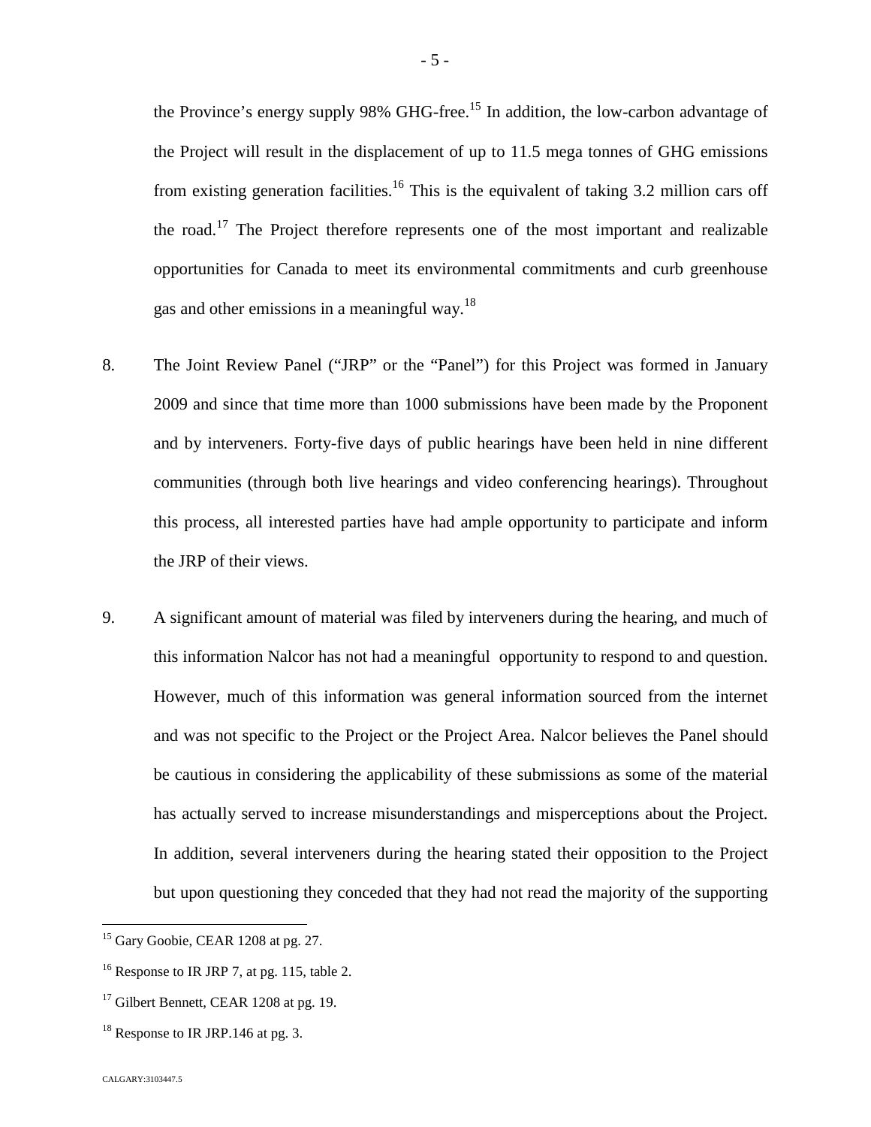the Province's energy supply 98% GHG-free.<sup>[15](#page-5-0)</sup> In addition, the low-carbon advantage of the Project will result in the displacement of up to 11.5 mega tonnes of GHG emissions from existing generation facilities.<sup>[16](#page-5-1)</sup> This is the equivalent of taking 3.2 million cars off the road.[17](#page-5-2) The Project therefore represents one of the most important and realizable opportunities for Canada to meet its environmental commitments and curb greenhouse gas and other emissions in a meaningfulway.<sup>18</sup>

- 8. The Joint Review Panel ("JRP" or the "Panel") for this Project was formed in January 2009 and since that time more than 1000 submissions have been made by the Proponent and by interveners. Forty-five days of public hearings have been held in nine different communities (through both live hearings and video conferencing hearings). Throughout this process, all interested parties have had ample opportunity to participate and inform the JRP of their views.
- 9. A significant amount of material was filed by interveners during the hearing, and much of this information Nalcor has not had a meaningful opportunity to respond to and question. However, much of this information was general information sourced from the internet and was not specific to the Project or the Project Area. Nalcor believes the Panel should be cautious in considering the applicability of these submissions as some of the material has actually served to increase misunderstandings and misperceptions about the Project. In addition, several interveners during the hearing stated their opposition to the Project but upon questioning they conceded that they had not read the majority of the supporting

<span id="page-5-0"></span><sup>&</sup>lt;sup>15</sup> Gary Goobie, CEAR 1208 at pg. 27.

<span id="page-5-1"></span><sup>&</sup>lt;sup>16</sup> Response to IR JRP 7, at pg. 115, table 2.

<span id="page-5-2"></span><sup>&</sup>lt;sup>17</sup> Gilbert Bennett, CEAR 1208 at pg. 19.

<span id="page-5-3"></span> $18$  Response to IR JRP.146 at pg. 3.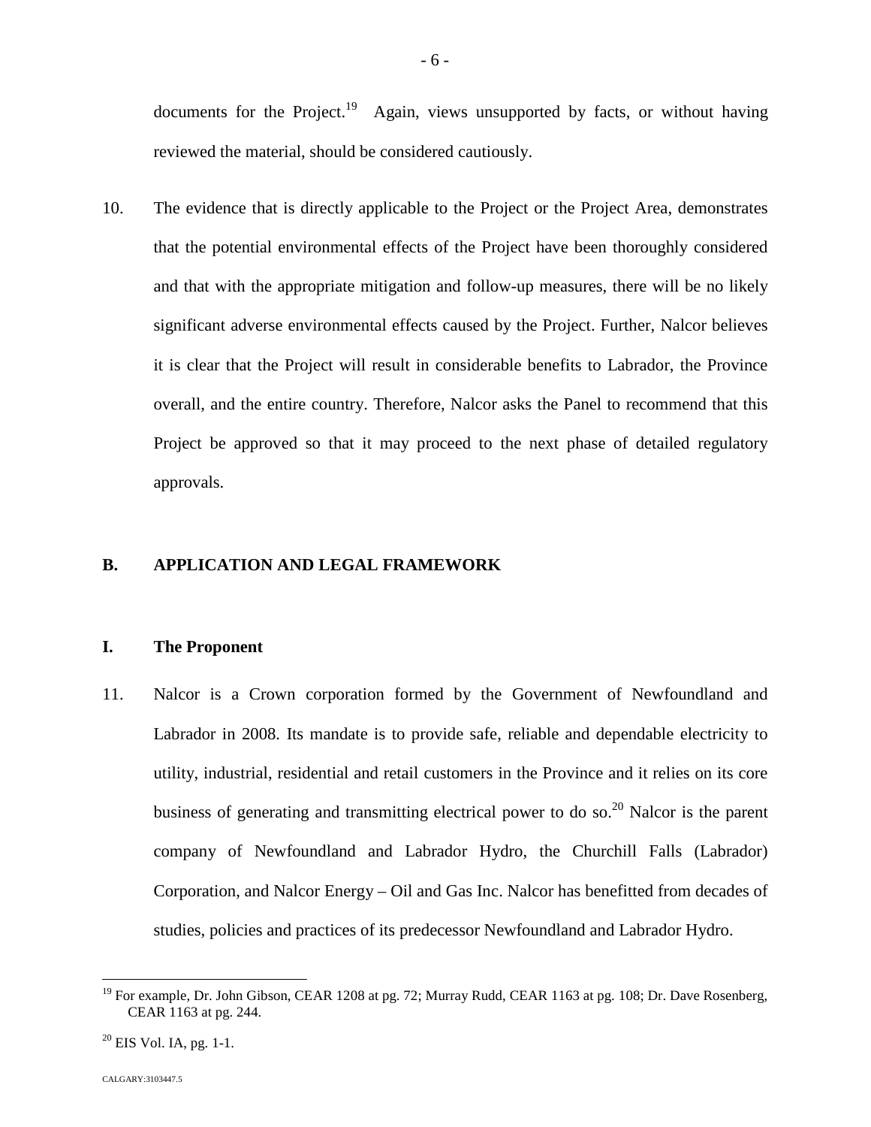documents for the Project.<sup>[19](#page-6-0)</sup> Again, views unsupported by facts, or without having reviewed the material, should be considered cautiously.

10. The evidence that is directly applicable to the Project or the Project Area, demonstrates that the potential environmental effects of the Project have been thoroughly considered and that with the appropriate mitigation and follow-up measures, there will be no likely significant adverse environmental effects caused by the Project. Further, Nalcor believes it is clear that the Project will result in considerable benefits to Labrador, the Province overall, and the entire country. Therefore, Nalcor asks the Panel to recommend that this Project be approved so that it may proceed to the next phase of detailed regulatory approvals.

# **B. APPLICATION AND LEGAL FRAMEWORK**

## **I. The Proponent**

11. Nalcor is a Crown corporation formed by the Government of Newfoundland and Labrador in 2008. Its mandate is to provide safe, reliable and dependable electricity to utility, industrial, residential and retail customers in the Province and it relies on its core business of generating and transmitting electrical power to do so.<sup>[20](#page-6-1)</sup> Nalcor is the parent company of Newfoundland and Labrador Hydro, the Churchill Falls (Labrador) Corporation, and Nalcor Energy – Oil and Gas Inc. Nalcor has benefitted from decades of studies, policies and practices of its predecessor Newfoundland and Labrador Hydro.

<span id="page-6-0"></span><sup>&</sup>lt;sup>19</sup> For example, Dr. John Gibson, CEAR 1208 at pg. 72; Murray Rudd, CEAR 1163 at pg. 108; Dr. Dave Rosenberg, CEAR 1163 at pg. 244.

<span id="page-6-1"></span> $20$  EIS Vol. IA, pg. 1-1.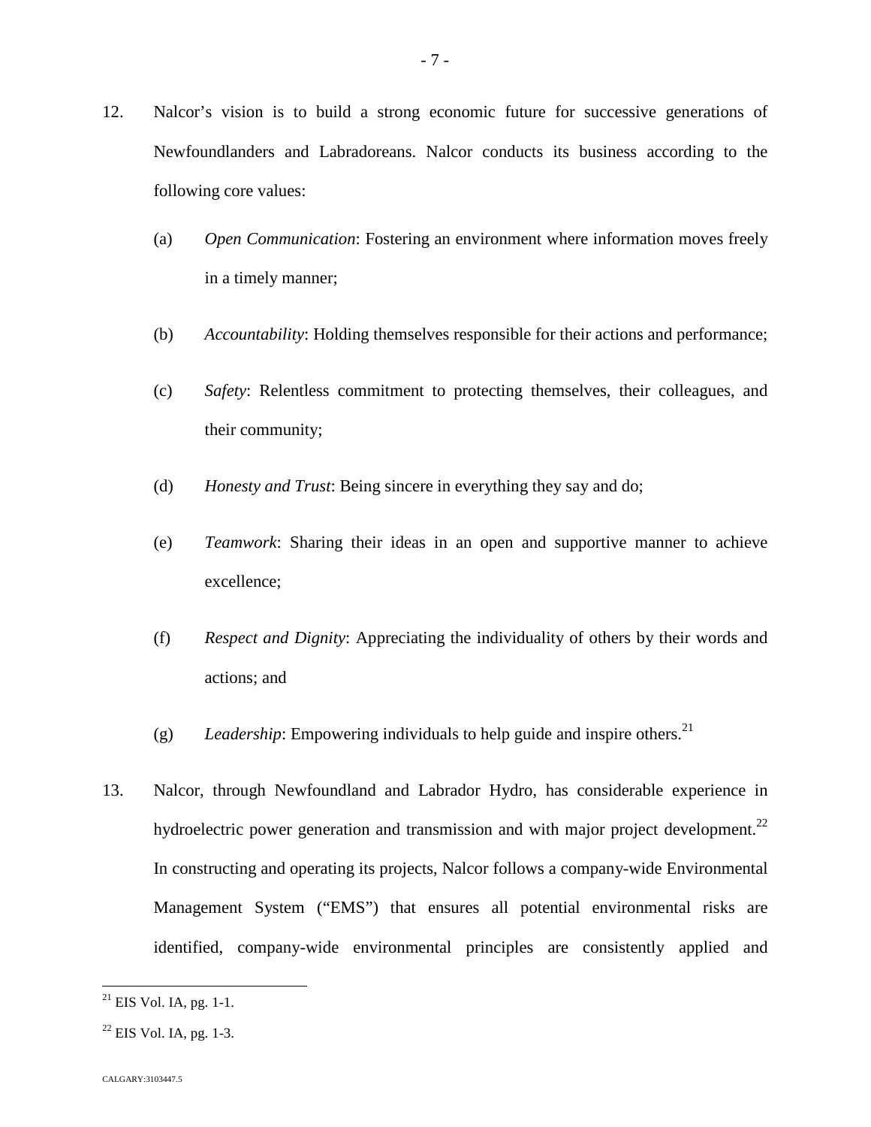- 12. Nalcor's vision is to build a strong economic future for successive generations of Newfoundlanders and Labradoreans. Nalcor conducts its business according to the following core values:
	- (a) *Open Communication*: Fostering an environment where information moves freely in a timely manner;
	- (b) *Accountability*: Holding themselves responsible for their actions and performance;
	- (c) *Safety*: Relentless commitment to protecting themselves, their colleagues, and their community;
	- (d) *Honesty and Trust*: Being sincere in everything they say and do;
	- (e) *Teamwork*: Sharing their ideas in an open and supportive manner to achieve excellence;
	- (f) *Respect and Dignity*: Appreciating the individuality of others by their words and actions; and
	- (g) *Leadership*: Empowering individuals to help guide and inspire others.<sup>21</sup>
- 13. Nalcor, through Newfoundland and Labrador Hydro, has considerable experience in hydroelectric power generation and transmission and with major project development.<sup>[22](#page-7-0)</sup> In constructing and operating its projects, Nalcor follows a company-wide Environmental Management System ("EMS") that ensures all potential environmental risks are identified, company-wide environmental principles are consistently applied and

 $^{21}$  EIS Vol. IA, pg. 1-1.

<span id="page-7-0"></span> $22$  EIS Vol. IA, pg. 1-3.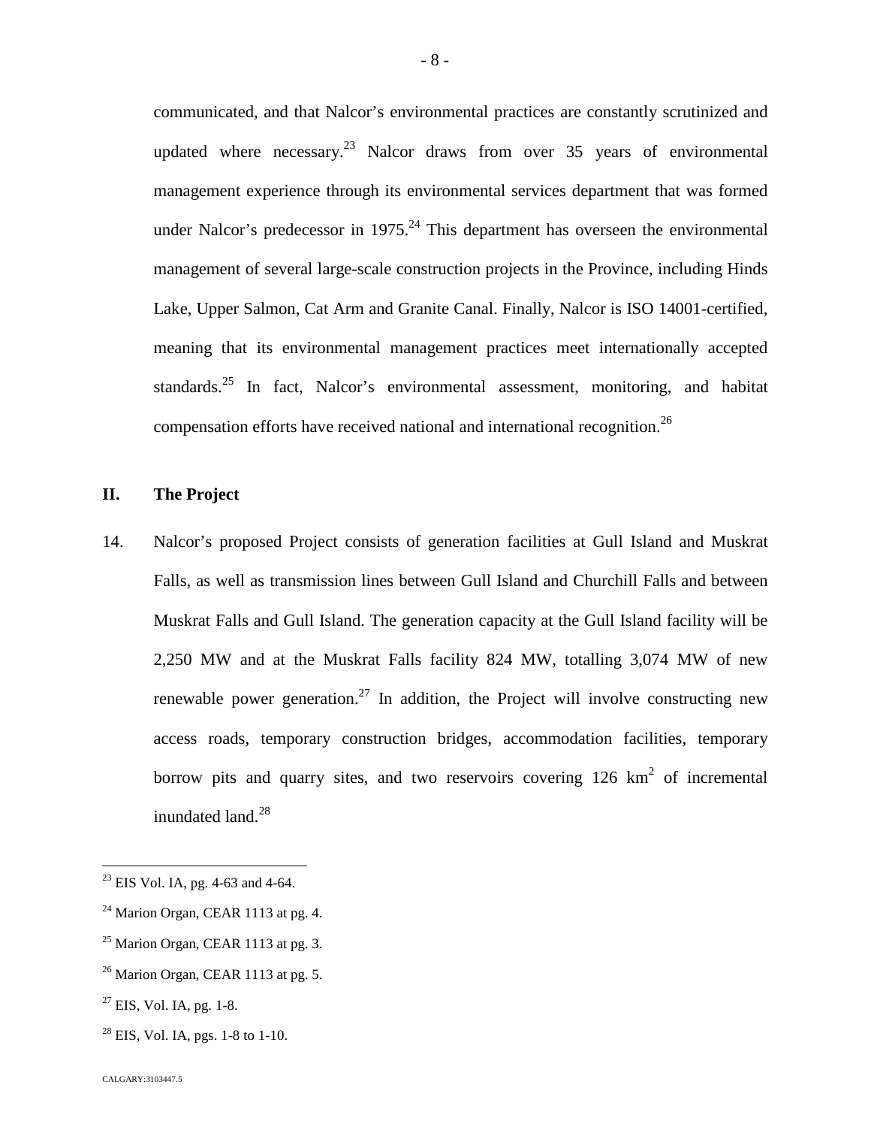communicated, and that Nalcor's environmental practices are constantly scrutinized and updated where necessary.<sup>[23](#page-8-0)</sup> Nalcor draws from over 35 years of environmental management experience through its environmental services department that was formed underNalcor's predecessor in  $1975<sup>24</sup>$  This department has overseen the environmental management of several large-scale construction projects in the Province, including Hinds Lake, Upper Salmon, Cat Arm and Granite Canal. Finally, Nalcor is ISO 14001-certified, meaning that its environmental management practices meet internationally accepted standards.<sup>[25](#page-8-2)</sup> In fact, Nalcor's environmental assessment, monitoring, and habitat compensation efforts have received national and international recognition.<sup>26</sup>

# **II. The Project**

14. Nalcor's proposed Project consists of generation facilities at Gull Island and Muskrat Falls, as well as transmission lines between Gull Island and Churchill Falls and between Muskrat Falls and Gull Island. The generation capacity at the Gull Island facility will be 2,250 MW and at the Muskrat Falls facility 824 MW, totalling 3,074 MW of new renewable power generation.<sup>[27](#page-8-3)</sup> In addition, the Project will involve constructing new access roads, temporary construction bridges, accommodation facilities, temporary borrow pits and quarry sites, and two reservoirs covering  $126 \text{ km}^2$  of incremental inundatedland. $^{28}$ 

<span id="page-8-4"></span> $^{28}$  EIS, Vol. IA, pgs. 1-8 to 1-10.

<span id="page-8-0"></span><sup>23</sup> EIS Vol. IA, pg. 4-63 and 4-64.

<span id="page-8-1"></span> $24$  Marion Organ, CEAR 1113 at pg. 4.

<span id="page-8-2"></span> $25$  Marion Organ, CEAR 1113 at pg. 3.

 $26$  Marion Organ, CEAR 1113 at pg. 5.

<span id="page-8-3"></span> $^{27}$  EIS, Vol. IA, pg. 1-8.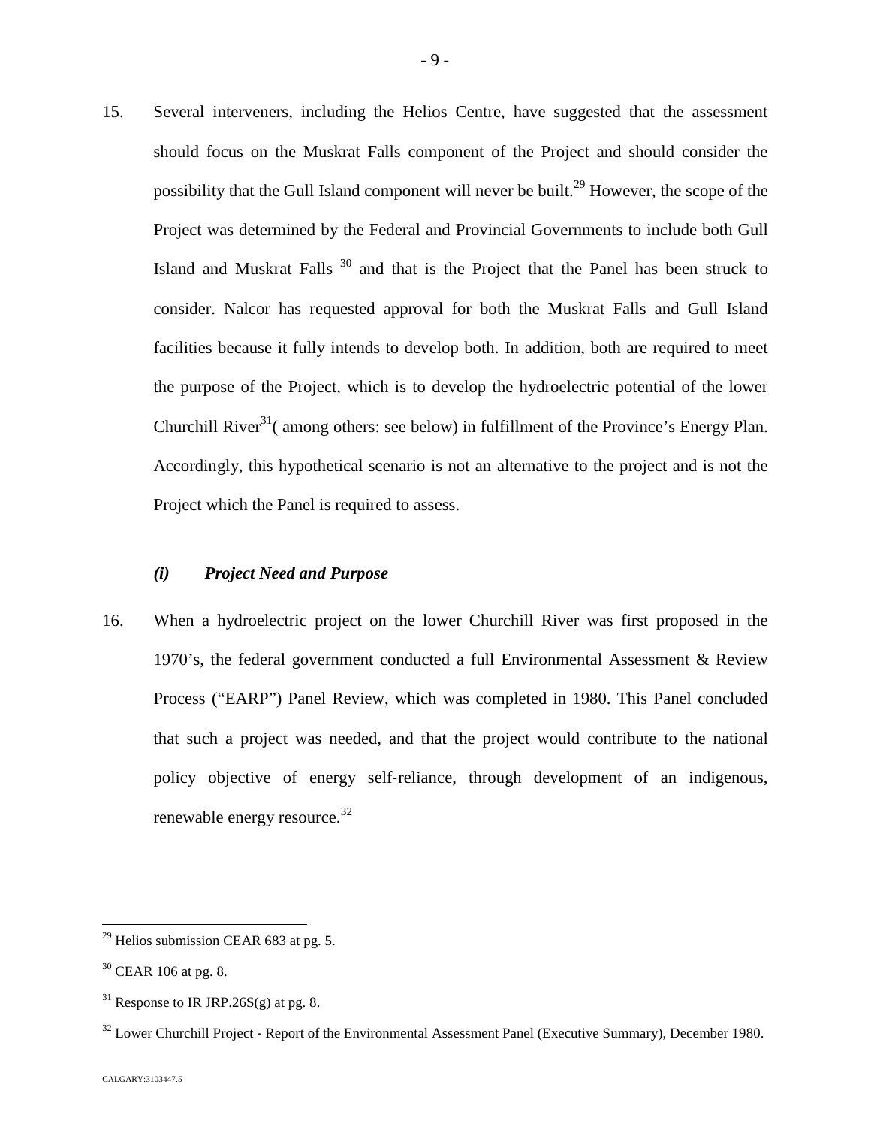15. Several interveners, including the Helios Centre, have suggested that the assessment should focus on the Muskrat Falls component of the Project and should consider the possibilitythat the Gull Island component will never be built.<sup>29</sup> However, the scope of the Project was determined by the Federal and Provincial Governments to include both Gull Island and Muskrat Falls  $30$  and that is the Project that the Panel has been struck to consider. Nalcor has requested approval for both the Muskrat Falls and Gull Island facilities because it fully intends to develop both. In addition, both are required to meet the purpose of the Project, which is to develop the hydroelectric potential of the lower Churchill River $31$ [\(](#page-9-2) among others: see below) in fulfillment of the Province's Energy Plan. Accordingly, this hypothetical scenario is not an alternative to the project and is not the Project which the Panel is required to assess.

## *(i) Project Need and Purpose*

16. When a hydroelectric project on the lower Churchill River was first proposed in the 1970's, the federal government conducted a full Environmental Assessment & Review Process ("EARP") Panel Review, which was completed in 1980. This Panel concluded that such a project was needed, and that the project would contribute to the national policy objective of energy self‐reliance, through development of an indigenous, renewable energy resource.<sup>3[2](#page-9-3)</sup>

<span id="page-9-0"></span> $29$  Helios submission CEAR 683 at pg. 5.

<span id="page-9-1"></span><sup>30</sup> CEAR 106 at pg. 8.

<span id="page-9-2"></span><sup>&</sup>lt;sup>31</sup> Response to IR JRP.26S(g) at pg. 8.

<span id="page-9-3"></span><sup>&</sup>lt;sup>32</sup> Lower Churchill Project - Report of the Environmental Assessment Panel (Executive Summary), December 1980.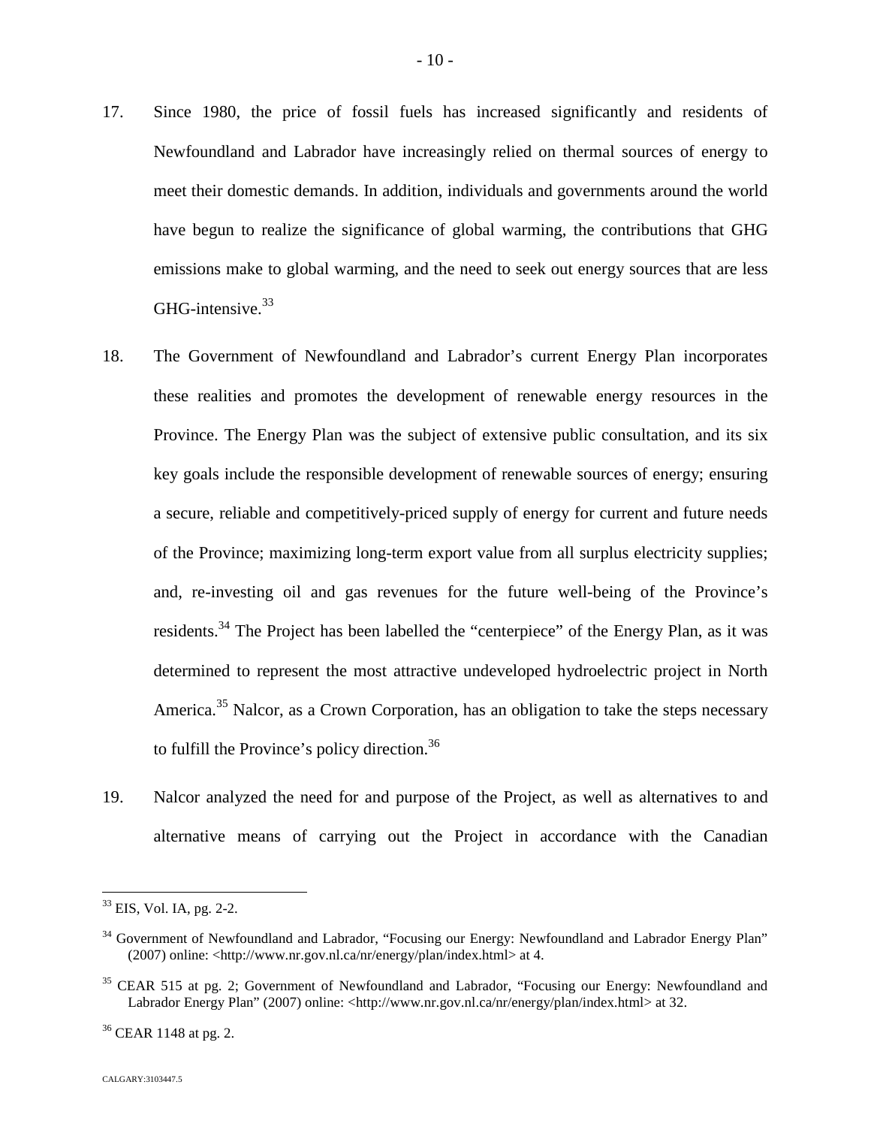- 17. Since 1980, the price of fossil fuels has increased significantly and residents of Newfoundland and Labrador have increasingly relied on thermal sources of energy to meet their domestic demands. In addition, individuals and governments around the world have begun to realize the significance of global warming, the contributions that GHG emissions make to global warming, and the need to seek out energy sources that are less GHG-intensive.<sup>[33](#page-10-0)</sup>
- 18. The Government of Newfoundland and Labrador's current Energy Plan incorporates these realities and promotes the development of renewable energy resources in the Province. The Energy Plan was the subject of extensive public consultation, and its six key goals include the responsible development of renewable sources of energy; ensuring a secure, reliable and competitively-priced supply of energy for current and future needs of the Province; maximizing long-term export value from all surplus electricity supplies; and, re-investing oil and gas revenues for the future well-being of the Province's residents.<sup>[34](#page-10-1)</sup> The Project has been labelled the "centerpiece" of the Energy Plan, as it was determined to represent the most attractive undeveloped hydroelectric project in North America.<sup>[35](#page-10-2)</sup> Nalcor, as a Crown Corporation, has an obligation to take the steps necessary to fulfill the Province's policy direction.<sup>36</sup>
- 19. Nalcor analyzed the need for and purpose of the Project, as well as alternatives to and alternative means of carrying out the Project in accordance with the Canadian

<sup>36</sup> CEAR 1148 at pg. 2.

<span id="page-10-0"></span><sup>33</sup> EIS, Vol. IA, pg. 2-2.

<span id="page-10-1"></span><sup>&</sup>lt;sup>34</sup> Government of Newfoundland and Labrador, "Focusing our Energy: Newfoundland and Labrador Energy Plan" (2007) online: <http://www.nr.gov.nl.ca/nr/energy/plan/index.html> at 4.

<span id="page-10-2"></span><sup>&</sup>lt;sup>35</sup> CEAR 515 at pg. 2; Government of Newfoundland and Labrador, "Focusing our Energy: Newfoundland and Labrador Energy Plan" (2007) online: <http://www.nr.gov.nl.ca/nr/energy/plan/index.html> at 32.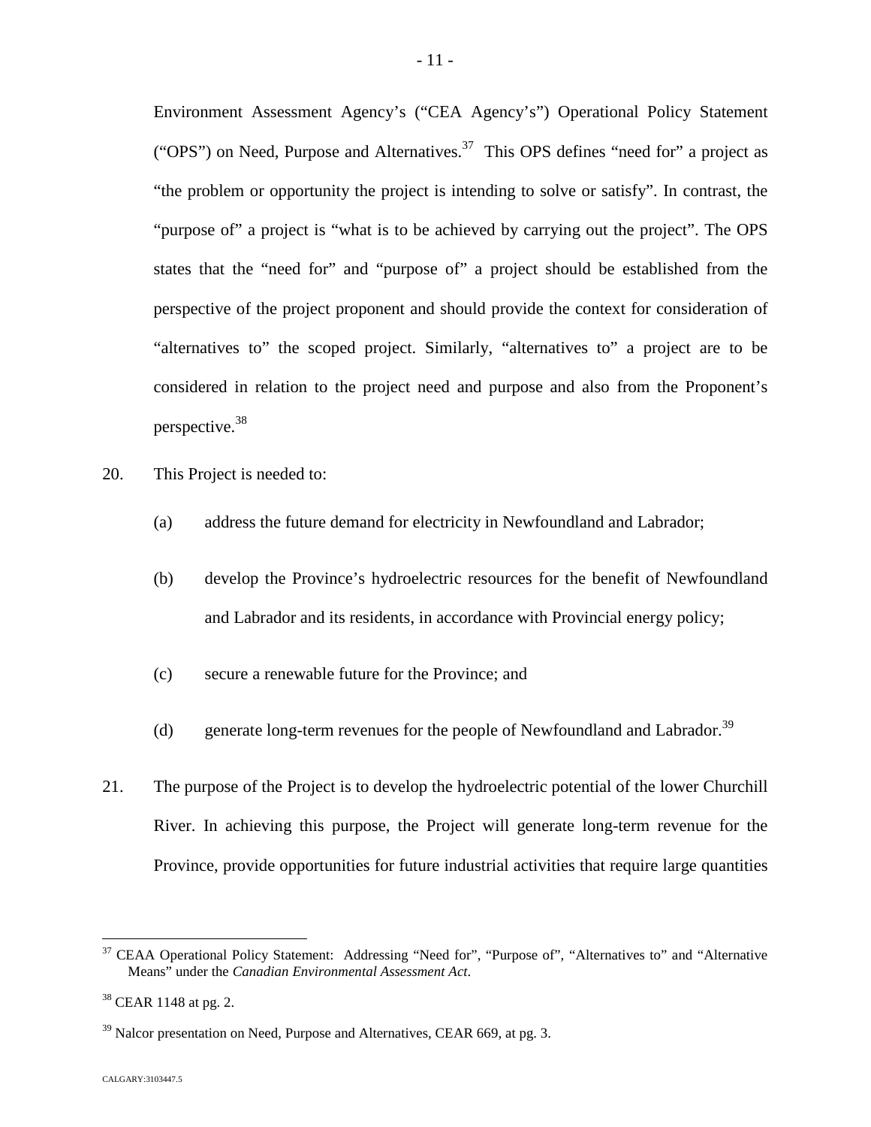Environment Assessment Agency's ("CEA Agency's") Operational Policy Statement ("OPS") on Need, Purpose and Alternatives.<sup>[37](#page-11-0)</sup> This OPS defines "need for" a project as "the problem or opportunity the project is intending to solve or satisfy". In contrast, the "purpose of" a project is "what is to be achieved by carrying out the project". The OPS states that the "need for" and "purpose of" a project should be established from the perspective of the project proponent and should provide the context for consideration of "alternatives to" the scoped project. Similarly, "alternatives to" a project are to be considered in relation to the project need and purpose and also from the Proponent's perspective.[38](#page-11-1)

- 20. This Project is needed to:
	- (a) address the future demand for electricity in Newfoundland and Labrador;
	- (b) develop the Province's hydroelectric resources for the benefit of Newfoundland and Labrador and its residents, in accordance with Provincial energy policy;
	- (c) secure a renewable future for the Province; and
	- (d) generate long-term revenues for the people of Newfoundland and Labrador.<sup>39</sup>
- 21. The purpose of the Project is to develop the hydroelectric potential of the lower Churchill River. In achieving this purpose, the Project will generate long-term revenue for the Province, provide opportunities for future industrial activities that require large quantities

<span id="page-11-0"></span><sup>&</sup>lt;sup>37</sup> CEAA Operational Policy Statement: Addressing "Need for", "Purpose of", "Alternatives to" and "Alternative Means" under the *Canadian Environmental Assessment Act*.

<span id="page-11-1"></span><sup>&</sup>lt;sup>38</sup> CEAR 1148 at pg. 2.

 $39$  Nalcor presentation on Need, Purpose and Alternatives, CEAR 669, at pg. 3.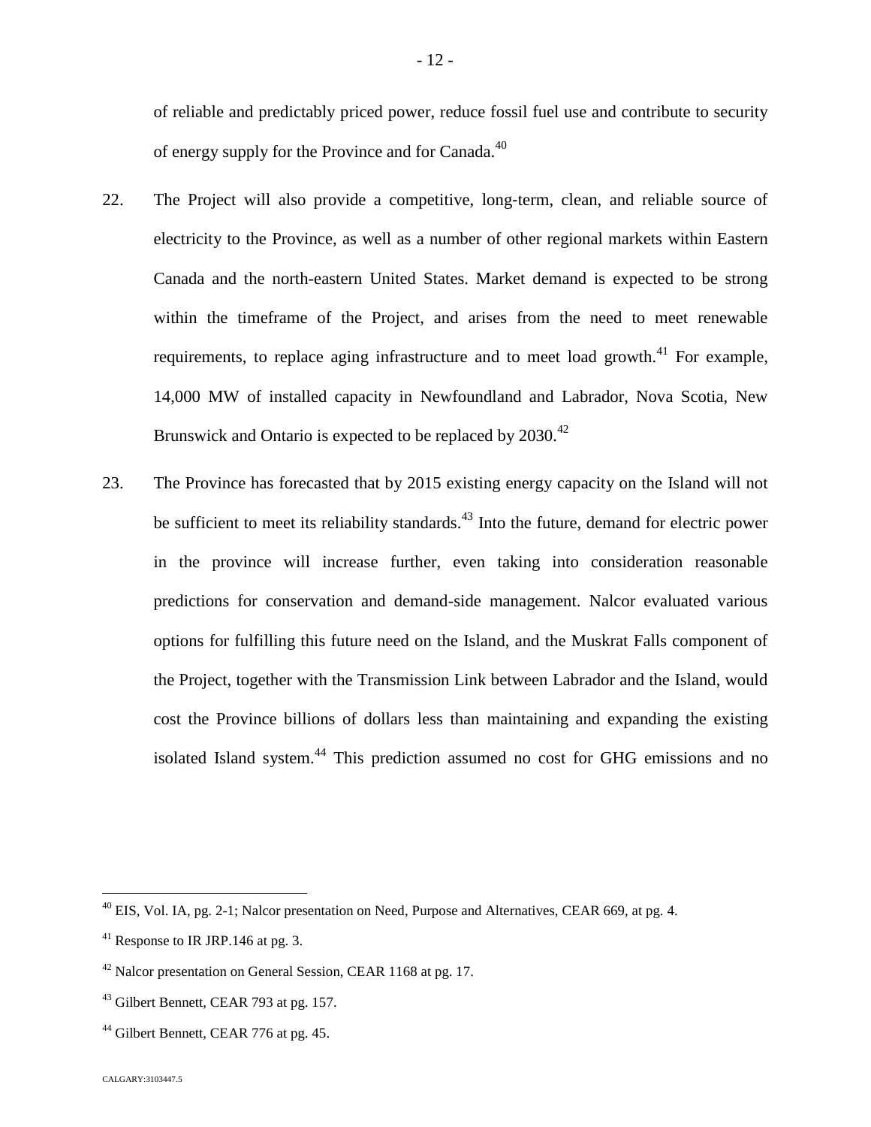of reliable and predictably priced power, reduce fossil fuel use and contribute to security of energy supply for the Province and for Canada.<sup>40</sup>

- 22. The Project will also provide a competitive, long-term, clean, and reliable source of electricity to the Province, as well as a number of other regional markets within Eastern Canada and the north-eastern United States. Market demand is expected to be strong within the timeframe of the Project, and arises from the need to meet renewable requirements, to replace aging infrastructure and to meet load growth.<sup>[41](#page-12-0)</sup> For example, 14,000 MW of installed capacity in Newfoundland and Labrador, Nova Scotia, New Brunswick and Ontario is expected to be replaced by 2030.<sup>42</sup>
- 23. The Province has forecasted that by 2015 existing energy capacity on the Island will not be sufficient to meet its reliability standards.<sup>[43](#page-12-1)</sup> Into the future, demand for electric power in the province will increase further, even taking into consideration reasonable predictions for conservation and demand-side management. Nalcor evaluated various options for fulfilling this future need on the Island, and the Muskrat Falls component of the Project, together with the Transmission Link between Labrador and the Island, would cost the Province billions of dollars less than maintaining and expanding the existing isolated Island system.<sup>[44](#page-12-2)</sup> This prediction assumed no cost for GHG emissions and no

 $^{40}$  EIS, Vol. IA, pg. 2-1; Nalcor presentation on Need, Purpose and Alternatives, CEAR 669, at pg. 4.

<span id="page-12-0"></span> $41$  Response to IR JRP.146 at pg. 3.

<sup>&</sup>lt;sup>42</sup> Nalcor presentation on General Session, CEAR 1168 at pg. 17.

<span id="page-12-1"></span><sup>&</sup>lt;sup>43</sup> Gilbert Bennett, CEAR 793 at pg. 157.

<span id="page-12-2"></span><sup>&</sup>lt;sup>44</sup> Gilbert Bennett, CEAR 776 at pg. 45.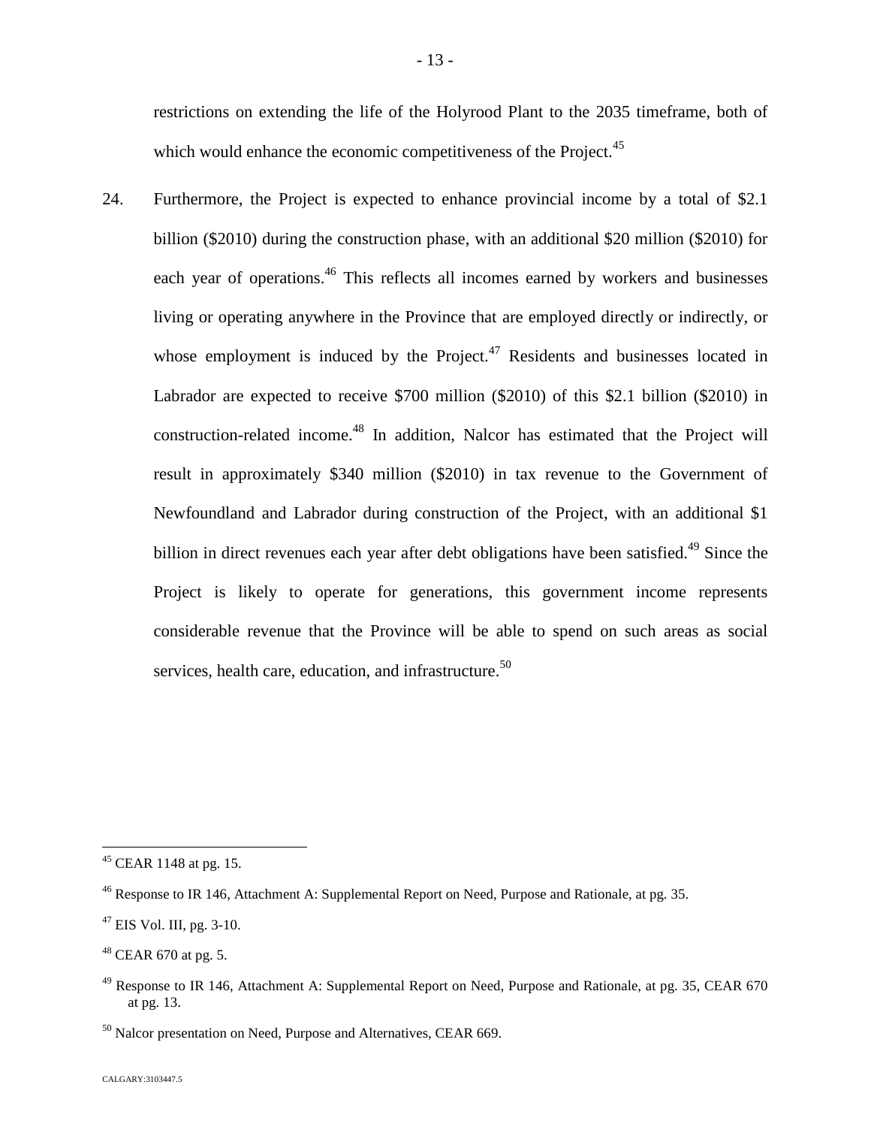restrictions on extending the life of the Holyrood Plant to the 2035 timeframe, both of which would enhance the economic competitiveness of the Project.<sup>45</sup>

24. Furthermore, the Project is expected to enhance provincial income by a total of \$2.1 billion (\$2010) during the construction phase, with an additional \$20 million (\$2010) for each year of operations.<sup>[46](#page-13-0)</sup> This reflects all incomes earned by workers and businesses living or operating anywhere in the Province that are employed directly or indirectly, or whose employment is induced by the Project. $47$  Residents and businesses located in Labrador are expected to receive \$700 million (\$2010) of this \$2.1 billion (\$2010) in construction-related income.<sup>48</sup> [I](#page-13-2)n addition, Nalcor has estimated that the Project will result in approximately \$340 million (\$2010) in tax revenue to the Government of Newfoundland and Labrador during construction of the Project, with an additional \$1 billion in direct revenues each year after debt obligations have been satisfied.<sup>[49](#page-13-3)</sup> Since the Project is likely to operate for generations, this government income represents considerable revenue that the Province will be able to spend on such areas as social services, health care, education, and infrastructure.<sup>50</sup>

 $45$  CEAR 1148 at pg. 15.

<span id="page-13-0"></span><sup>&</sup>lt;sup>46</sup> Response to IR 146, Attachment A: Supplemental Report on Need, Purpose and Rationale, at pg. 35.

<span id="page-13-1"></span> $47$  EIS Vol. III, pg. 3-10.

<span id="page-13-2"></span> $48$  CEAR 670 at pg. 5.

<span id="page-13-3"></span> $49$  Response to IR 146, Attachment A: Supplemental Report on Need, Purpose and Rationale, at pg. 35, CEAR 670 at pg. 13.

<sup>&</sup>lt;sup>50</sup> Nalcor presentation on Need, Purpose and Alternatives, CEAR 669.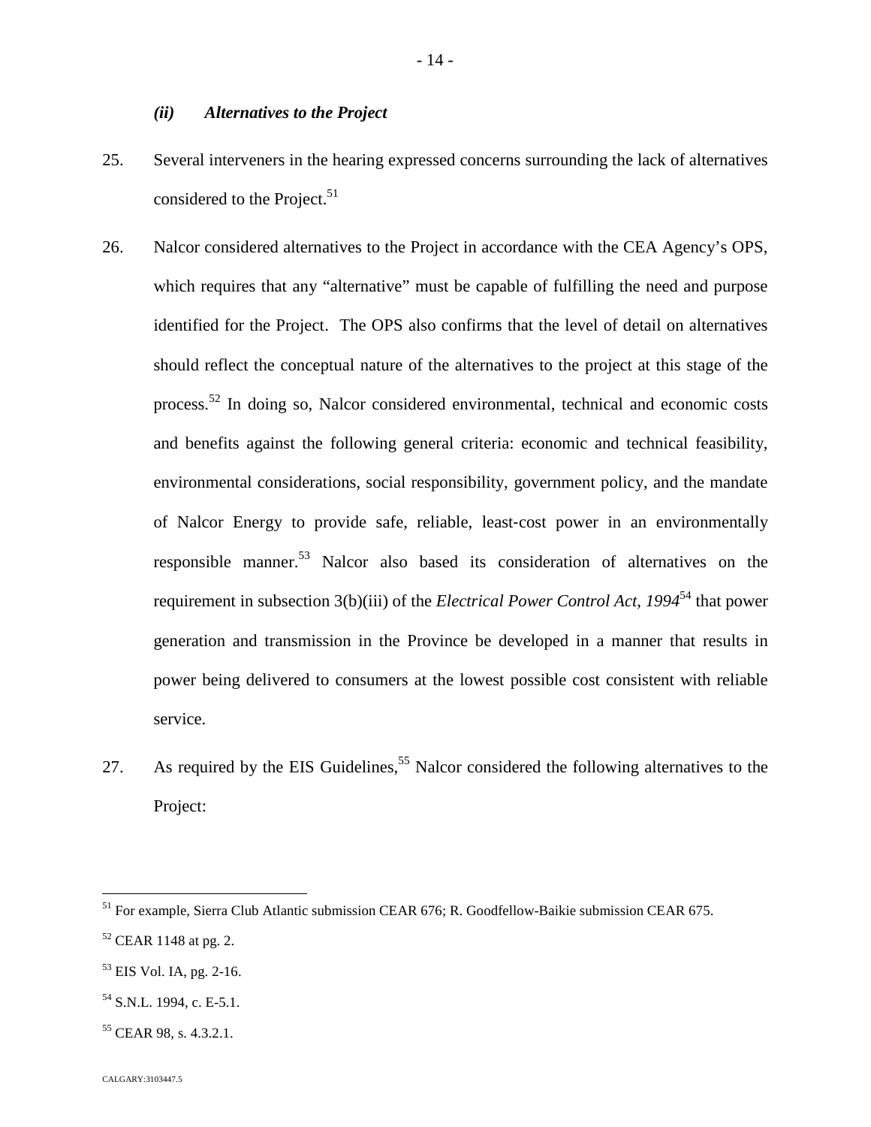## *(ii) Alternatives to the Project*

- 25. Several interveners in the hearing expressed concerns surrounding the lack of alternatives considered to the Project. $51$  $51$
- 26. Nalcor considered alternatives to the Project in accordance with the CEA Agency's OPS, which requires that any "alternative" must be capable of fulfilling the need and purpose identified for the Project. The OPS also confirms that the level of detail on alternatives should reflect the conceptual nature of the alternatives to the project at this stage of the process.[52](#page-14-1) In doing so, Nalcor considered environmental, technical and economic costs and benefits against the following general criteria: economic and technical feasibility, environmental considerations, social responsibility, government policy, and the mandate of Nalcor Energy to provide safe, reliable, least‐cost power in an environmentally responsible manner.<sup>[53](#page-14-2)</sup> Nalcor also based its consideration of alternatives on the requirement in subsection 3(b)(iii) of the *Electrical Power Control Act, 1994*[54](#page-14-3) that power generation and transmission in the Province be developed in a manner that results in power being delivered to consumers at the lowest possible cost consistent with reliable service.
- 27. As required by the EIS Guidelines,  $55$  Nalcor considered the following alternatives to the Project:

<span id="page-14-0"></span><sup>51</sup> For example, Sierra Club Atlantic submission CEAR 676; R. Goodfellow-Baikie submission CEAR 675.

<span id="page-14-1"></span> $52$  CEAR 1148 at pg. 2.

<span id="page-14-2"></span><sup>53</sup> EIS Vol. IA, pg. 2-16.

<span id="page-14-3"></span><sup>&</sup>lt;sup>54</sup> S.N.L. 1994, c. E-5.1.

<span id="page-14-4"></span><sup>&</sup>lt;sup>55</sup> CEAR 98, s. 4.3.2.1.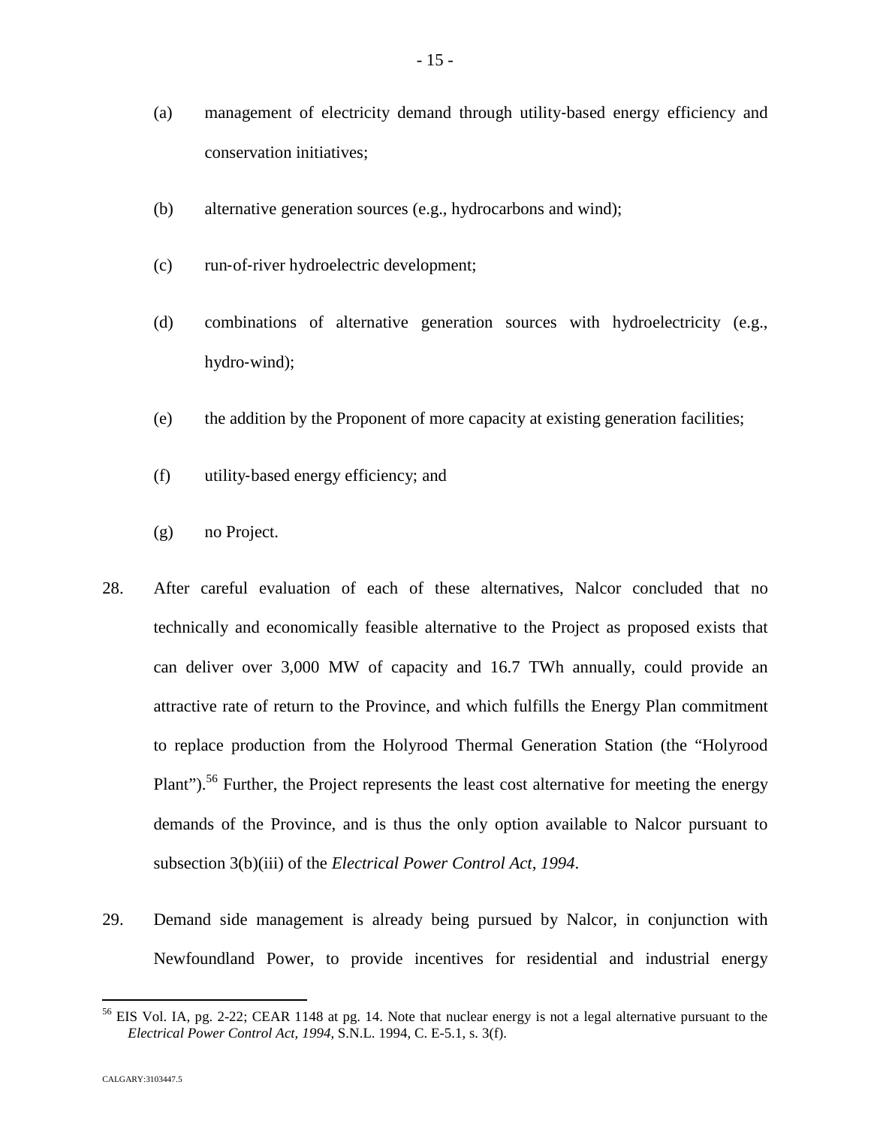- (a) management of electricity demand through utility‐based energy efficiency and conservation initiatives;
- (b) alternative generation sources (e.g., hydrocarbons and wind);
- (c) run‐of‐river hydroelectric development;
- (d) combinations of alternative generation sources with hydroelectricity (e.g., hydro‐wind);
- (e) the addition by the Proponent of more capacity at existing generation facilities;
- (f) utility‐based energy efficiency; and
- (g) no Project.
- 28. After careful evaluation of each of these alternatives, Nalcor concluded that no technically and economically feasible alternative to the Project as proposed exists that can deliver over 3,000 MW of capacity and 16.7 TWh annually, could provide an attractive rate of return to the Province, and which fulfills the Energy Plan commitment to replace production from the Holyrood Thermal Generation Station (the "Holyrood Plant").<sup>[56](#page-15-0)</sup> Further, the Project represents the least cost alternative for meeting the energy demands of the Province, and is thus the only option available to Nalcor pursuant to subsection 3(b)(iii) of the *Electrical Power Control Act, 1994*.
- 29. Demand side management is already being pursued by Nalcor, in conjunction with Newfoundland Power, to provide incentives for residential and industrial energy

<span id="page-15-0"></span><sup>&</sup>lt;sup>56</sup> EIS Vol. IA, pg. 2-22; CEAR 1148 at pg. 14. Note that nuclear energy is not a legal alternative pursuant to the *Electrical Power Control Act, 1994*, S.N.L. 1994, C. E-5.1, s. 3(f).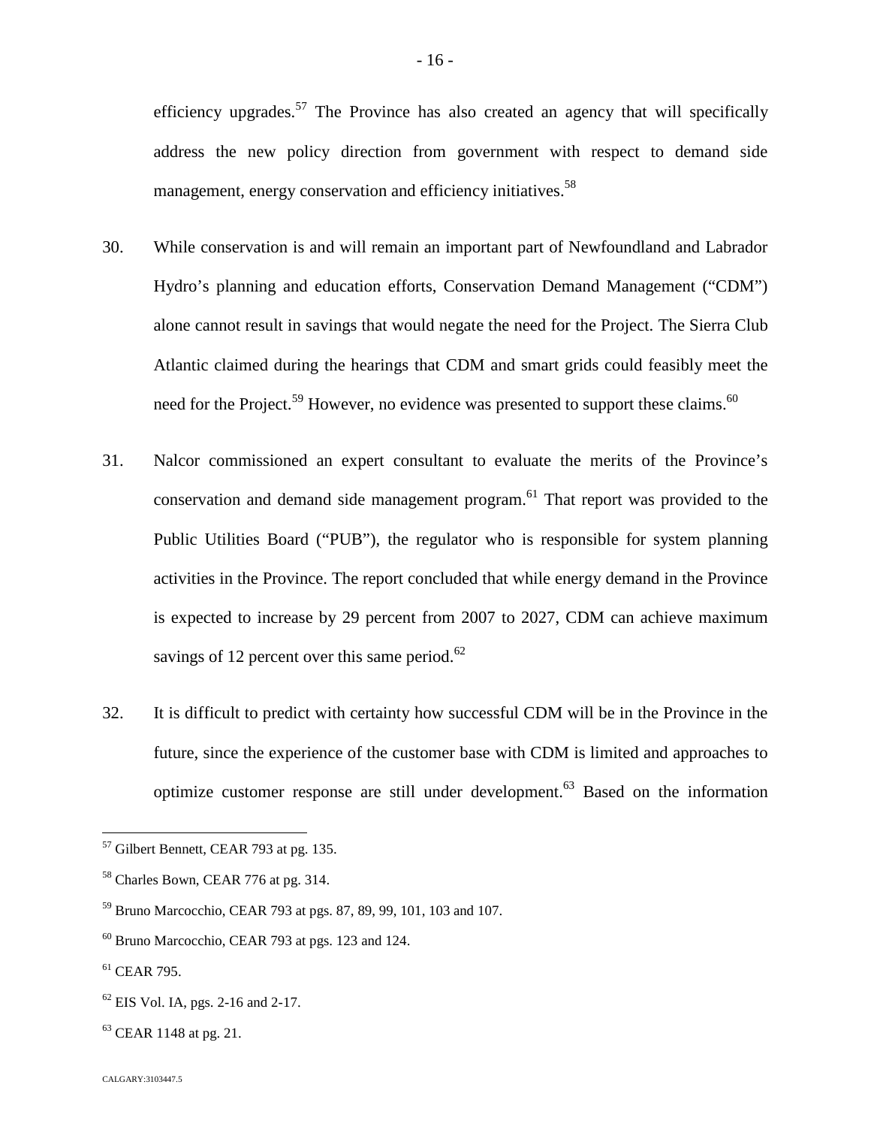efficiency upgrades.<sup>[57](#page-16-0)</sup> The Province has also created an agency that will specifically address the new policy direction from government with respect to demand side management, energy conservation and efficiency initiatives.<sup>58</sup>

- 30. While conservation is and will remain an important part of Newfoundland and Labrador Hydro's planning and education efforts, Conservation Demand Management ("CDM") alone cannot result in savings that would negate the need for the Project. The Sierra Club Atlantic claimed during the hearings that CDM and smart grids could feasibly meet the need for the Project.<sup>[59](#page-16-1)</sup> However, no evidence was presented to support these claims.<sup>60</sup>
- 31. Nalcor commissioned an expert consultant to evaluate the merits of the Province's conservation and demand side management program.[61](#page-16-2) That report was provided to the Public Utilities Board ("PUB"), the regulator who is responsible for system planning activities in the Province. The report concluded that while energy demand in the Province is expected to increase by 29 percent from 2007 to 2027, CDM can achieve maximum savings of 12 percent over this same period. $^{62}$
- 32. It is difficult to predict with certainty how successful CDM will be in the Province in the future, since the experience of the customer base with CDM is limited and approaches to optimize customer response are still under development.[63](#page-16-3) Based on the information

<span id="page-16-0"></span> $57$  Gilbert Bennett, CEAR 793 at pg. 135.

<sup>58</sup> Charles Bown, CEAR 776 at pg. 314.

<span id="page-16-1"></span><sup>59</sup> Bruno Marcocchio, CEAR 793 at pgs. 87, 89, 99, 101, 103 and 107.

 $60$  Bruno Marcocchio, CEAR 793 at pgs. 123 and 124.

<span id="page-16-2"></span> $61$  CEAR 795.

 $62$  EIS Vol. IA, pgs. 2-16 and 2-17.

<span id="page-16-3"></span> $63$  CEAR 1148 at pg. 21.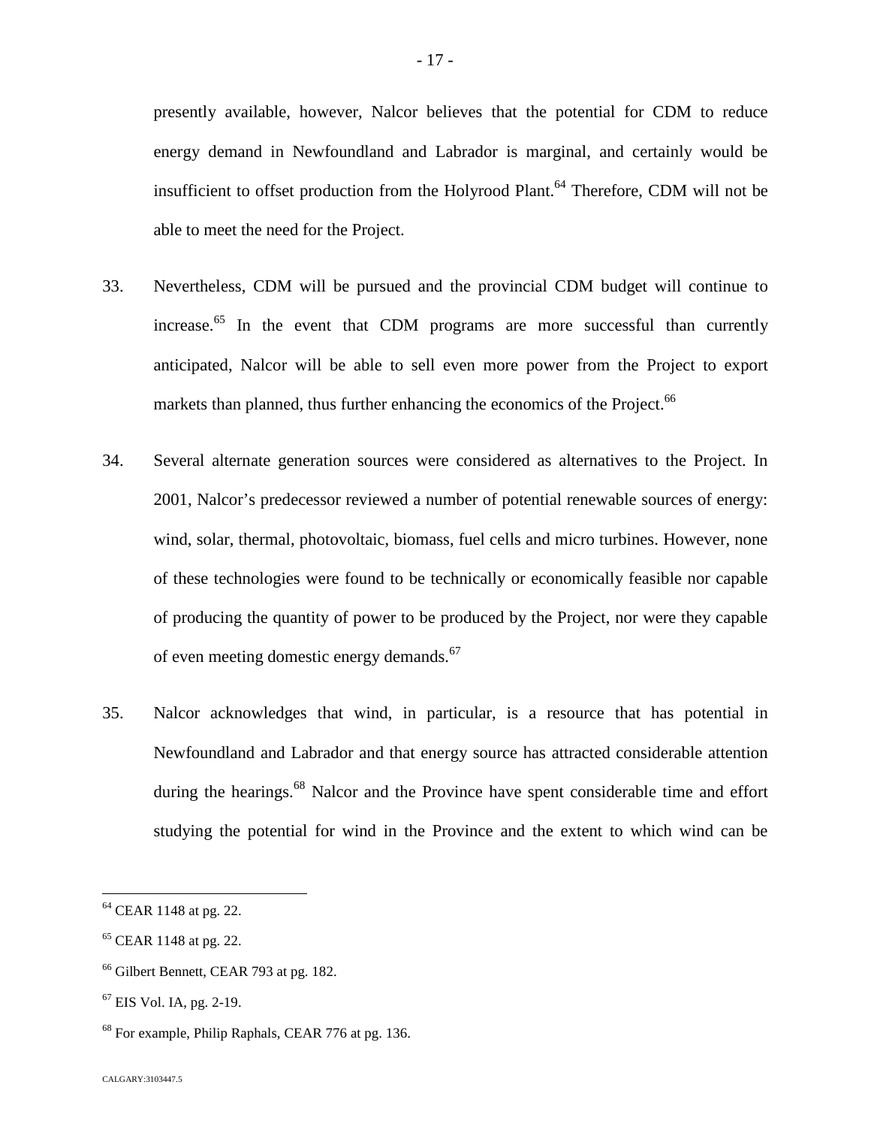presently available, however, Nalcor believes that the potential for CDM to reduce energy demand in Newfoundland and Labrador is marginal, and certainly would be insufficient to offset production from the Holyrood Plant.<sup>[64](#page-17-0)</sup> Therefore, CDM will not be able to meet the need for the Project.

- 33. Nevertheless, CDM will be pursued and the provincial CDM budget will continue to increase.<sup>[65](#page-17-1)</sup> In the event that CDM programs are more successful than currently anticipated, Nalcor will be able to sell even more power from the Project to export markets than planned, thus further enhancing the economics of the Project.<sup>66</sup>
- 34. Several alternate generation sources were considered as alternatives to the Project. In 2001, Nalcor's predecessor reviewed a number of potential renewable sources of energy: wind, solar, thermal, photovoltaic, biomass, fuel cells and micro turbines. However, none of these technologies were found to be technically or economically feasible nor capable of producing the quantity of power to be produced by the Project, nor were they capable of even meeting domestic energy demands.<sup>6[7](#page-17-2)</sup>
- 35. Nalcor acknowledges that wind, in particular, is a resource that has potential in Newfoundland and Labrador and that energy source has attracted considerable attention during the hearings.<sup>[68](#page-17-3)</sup> Nalcor and the Province have spent considerable time and effort studying the potential for wind in the Province and the extent to which wind can be

<span id="page-17-0"></span><sup>64</sup> CEAR 1148 at pg. 22.

<span id="page-17-1"></span><sup>&</sup>lt;sup>65</sup> CEAR 1148 at pg. 22.

<sup>&</sup>lt;sup>66</sup> Gilbert Bennett, CEAR 793 at pg. 182.

<span id="page-17-2"></span><sup>67</sup> EIS Vol. IA, pg. 2-19.

<span id="page-17-3"></span><sup>&</sup>lt;sup>68</sup> For example, Philip Raphals, CEAR 776 at pg. 136.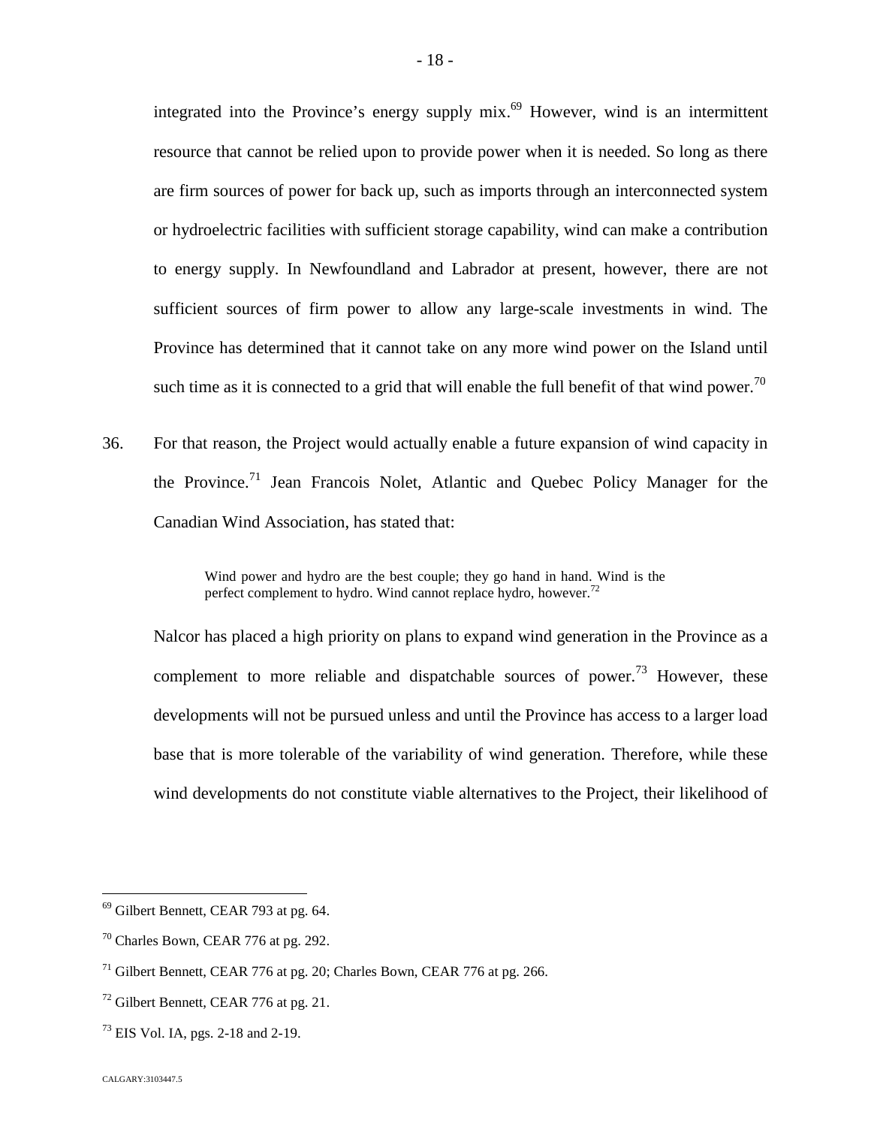integratedinto the Province's energy supply  $mix<sup>69</sup>$  However, wind is an intermittent resource that cannot be relied upon to provide power when it is needed. So long as there are firm sources of power for back up, such as imports through an interconnected system or hydroelectric facilities with sufficient storage capability, wind can make a contribution to energy supply. In Newfoundland and Labrador at present, however, there are not sufficient sources of firm power to allow any large-scale investments in wind. The Province has determined that it cannot take on any more wind power on the Island until such time as it is connected to a grid that will enable the full benefit of that wind power.<sup>[70](#page-18-1)</sup>

36. For that reason, the Project would actually enable a future expansion of wind capacity in the Province.<sup>[71](#page-18-2)</sup> Jean Francois Nolet, Atlantic and Quebec Policy Manager for the Canadian Wind Association, has stated that:

Nalcor has placed a high priority on plans to expand wind generation in the Province as a complement to more reliable and dispatchable sources of power.<sup>[73](#page-18-4)</sup> However, these developments will not be pursued unless and until the Province has access to a larger load base that is more tolerable of the variability of wind generation. Therefore, while these wind developments do not constitute viable alternatives to the Project, their likelihood of

Wind power and hydro are the best couple; they go hand in hand. Wind is the perfect complement to hydro. Wind cannot replace hydro, however.<sup>7</sup>

<span id="page-18-0"></span><sup>69</sup> Gilbert Bennett, CEAR 793 at pg. 64.

<span id="page-18-1"></span><sup>70</sup> Charles Bown, CEAR 776 at pg. 292.

<span id="page-18-2"></span> $71$  Gilbert Bennett, CEAR 776 at pg. 20; Charles Bown, CEAR 776 at pg. 266.

<span id="page-18-3"></span><sup>72</sup> Gilbert Bennett, CEAR 776 at pg. 21.

<span id="page-18-4"></span> $^{73}$  EIS Vol. IA, pgs. 2-18 and 2-19.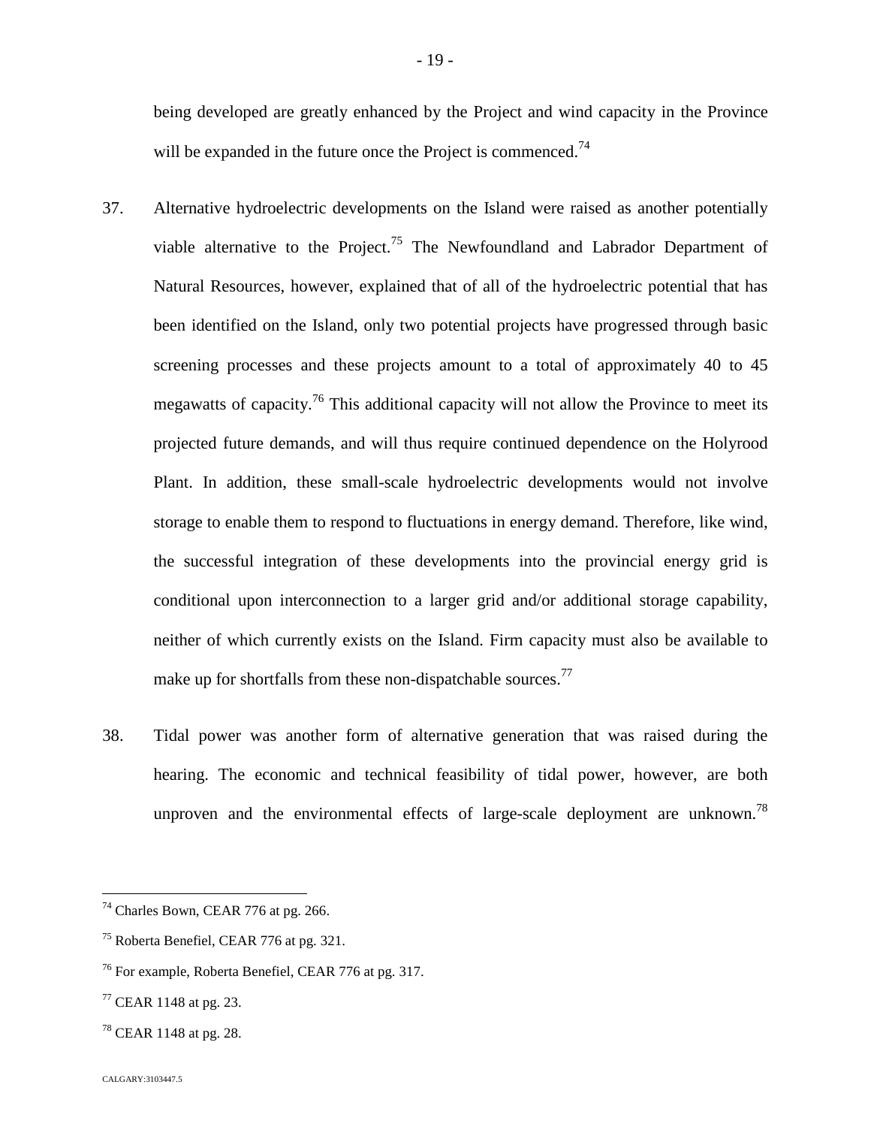being developed are greatly enhanced by the Project and wind capacity in the Province will be expanded in the future once the Project is commenced.<sup>74</sup>

- 37. Alternative hydroelectric developments on the Island were raised as another potentially viable alternative to the Project.<sup>[75](#page-19-0)</sup> The Newfoundland and Labrador Department of Natural Resources, however, explained that of all of the hydroelectric potential that has been identified on the Island, only two potential projects have progressed through basic screening processes and these projects amount to a total of approximately 40 to 45 megawatts of capacity.<sup>[76](#page-19-1)</sup> This additional capacity will not allow the Province to meet its projected future demands, and will thus require continued dependence on the Holyrood Plant. In addition, these small-scale hydroelectric developments would not involve storage to enable them to respond to fluctuations in energy demand. Therefore, like wind, the successful integration of these developments into the provincial energy grid is conditional upon interconnection to a larger grid and/or additional storage capability, neither of which currently exists on the Island. Firm capacity must also be available to make up for shortfalls from these non-dispatchable sources.<sup>77</sup>
- 38. Tidal power was another form of alternative generation that was raised during the hearing. The economic and technical feasibility of tidal power, however, are both unproven and the environmental effects of large-scale deployment are unknown.<sup>[78](#page-19-2)</sup>

 $74$  Charles Bown, CEAR 776 at pg. 266.

<span id="page-19-0"></span><sup>75</sup> Roberta Benefiel, CEAR 776 at pg. 321.

<span id="page-19-1"></span><sup>76</sup> For example, Roberta Benefiel, CEAR 776 at pg. 317.

 $77$  CEAR 1148 at pg. 23.

<span id="page-19-2"></span> $78$  CEAR 1148 at pg. 28.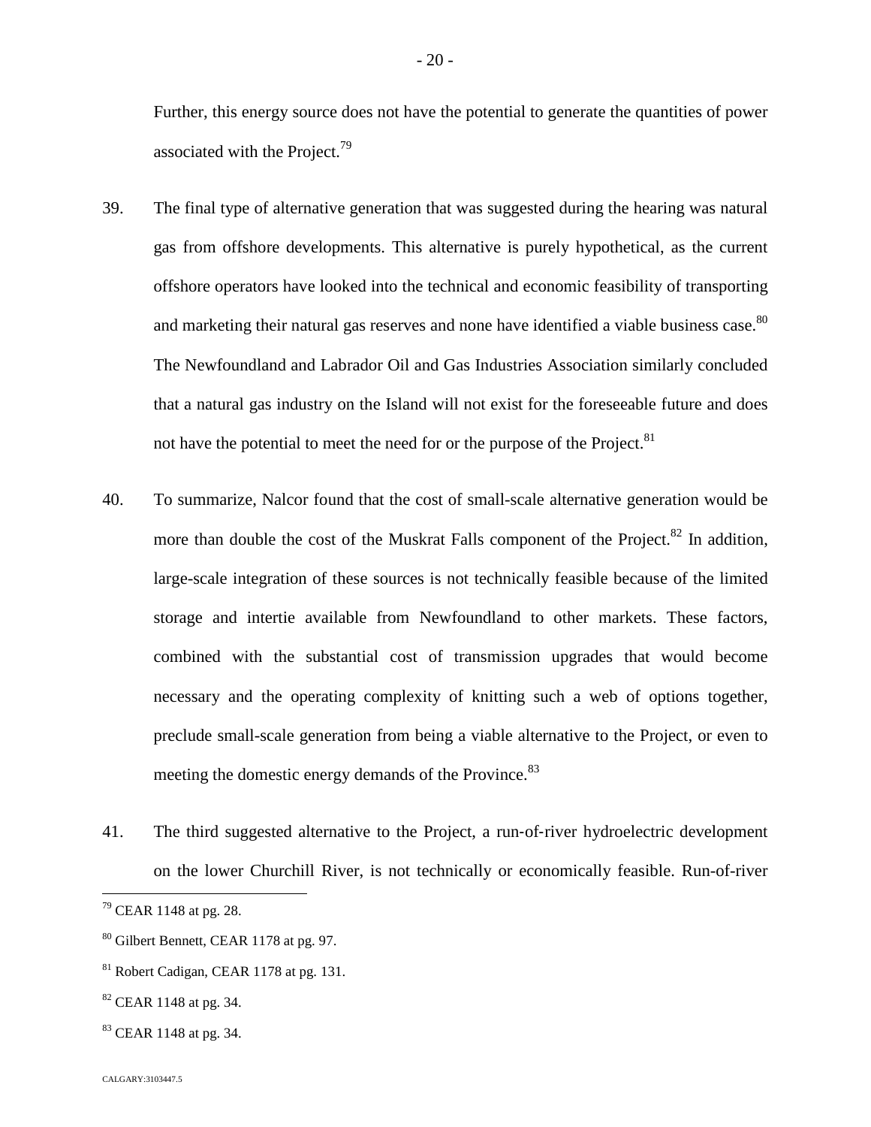Further, this energy source does not have the potential to generate the quantities of power associated with the Project.<sup>7[9](#page-20-0)</sup>

- 39. The final type of alternative generation that was suggested during the hearing was natural gas from offshore developments. This alternative is purely hypothetical, as the current offshore operators have looked into the technical and economic feasibility of transporting and marketing their natural gas reserves and none have identified a viable business case.<sup>[80](#page-20-1)</sup> The Newfoundland and Labrador Oil and Gas Industries Association similarly concluded that a natural gas industry on the Island will not exist for the foreseeable future and does not have the potential to meet the need for or the purpose of the Project.<sup>81</sup>
- 40. To summarize, Nalcor found that the cost of small-scale alternative generation would be more than double the cost of the Muskrat Falls component of the Project.<sup>[82](#page-20-2)</sup> In addition, large-scale integration of these sources is not technically feasible because of the limited storage and intertie available from Newfoundland to other markets. These factors, combined with the substantial cost of transmission upgrades that would become necessary and the operating complexity of knitting such a web of options together, preclude small-scale generation from being a viable alternative to the Project, or even to meeting the domestic energy demands of the Province.<sup>83</sup>
- 41. The third suggested alternative to the Project, a run‐of‐river hydroelectric development on the lower Churchill River, is not technically or economically feasible. Run-of-river

<sup>83</sup> CEAR 1148 at pg. 34.

<span id="page-20-0"></span><sup>79</sup> CEAR 1148 at pg. 28.

<span id="page-20-1"></span><sup>80</sup> Gilbert Bennett, CEAR 1178 at pg. 97.

<sup>81</sup> Robert Cadigan, CEAR 1178 at pg. 131.

<span id="page-20-2"></span><sup>82</sup> CEAR 1148 at pg. 34.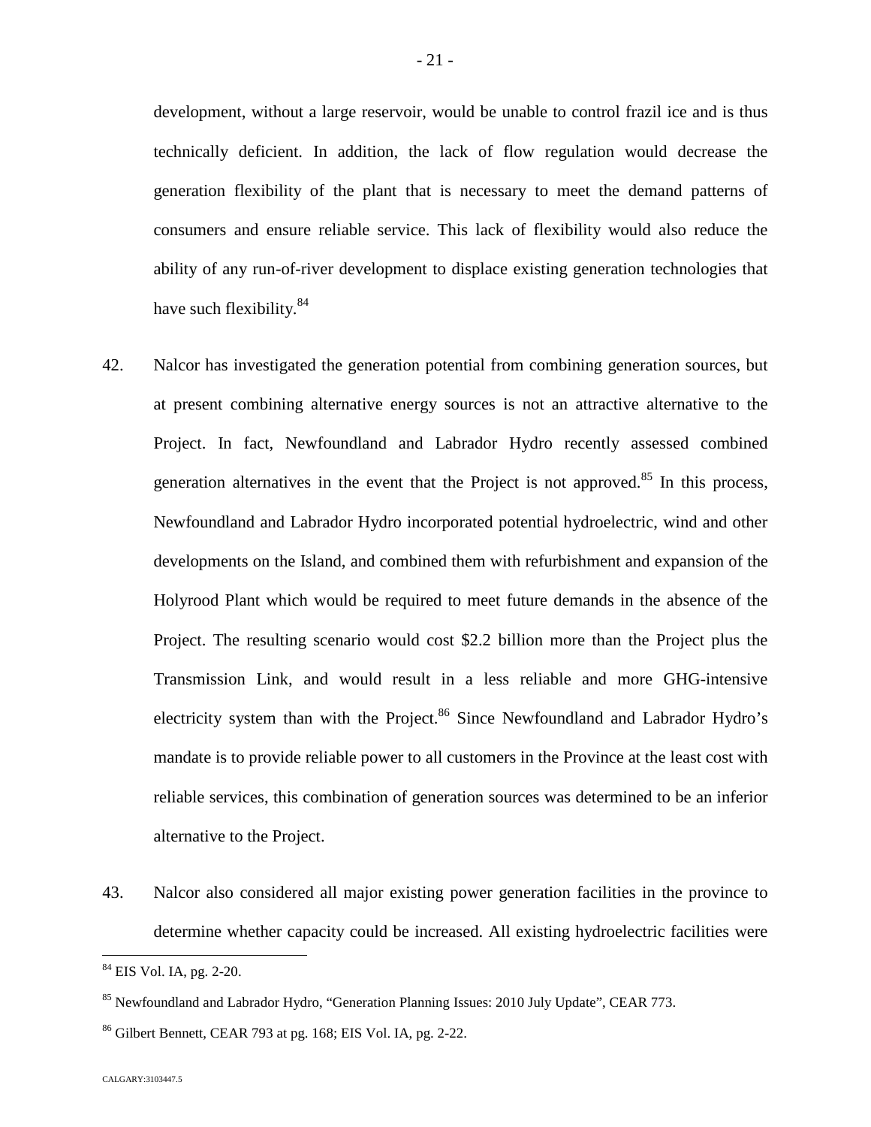development, without a large reservoir, would be unable to control frazil ice and is thus technically deficient. In addition, the lack of flow regulation would decrease the generation flexibility of the plant that is necessary to meet the demand patterns of consumers and ensure reliable service. This lack of flexibility would also reduce the ability of any run-of-river development to displace existing generation technologies that have such flexibility.<sup>8[4](#page-21-0)</sup>

- 42. Nalcor has investigated the generation potential from combining generation sources, but at present combining alternative energy sources is not an attractive alternative to the Project. In fact, Newfoundland and Labrador Hydro recently assessed combined generation alternatives in the event that the Project is not approved. $85$  In this process, Newfoundland and Labrador Hydro incorporated potential hydroelectric, wind and other developments on the Island, and combined them with refurbishment and expansion of the Holyrood Plant which would be required to meet future demands in the absence of the Project. The resulting scenario would cost \$2.2 billion more than the Project plus the Transmission Link, and would result in a less reliable and more GHG-intensive electricity system than with the Project.<sup>[86](#page-21-2)</sup> Since Newfoundland and Labrador Hydro's mandate is to provide reliable power to all customers in the Province at the least cost with reliable services, this combination of generation sources was determined to be an inferior alternative to the Project.
- 43. Nalcor also considered all major existing power generation facilities in the province to determine whether capacity could be increased. All existing hydroelectric facilities were

<span id="page-21-0"></span><sup>84</sup> EIS Vol. IA, pg. 2-20.

<span id="page-21-1"></span><sup>&</sup>lt;sup>85</sup> Newfoundland and Labrador Hydro, "Generation Planning Issues: 2010 July Update", CEAR 773.

<span id="page-21-2"></span><sup>86</sup> Gilbert Bennett, CEAR 793 at pg. 168; EIS Vol. IA, pg. 2-22.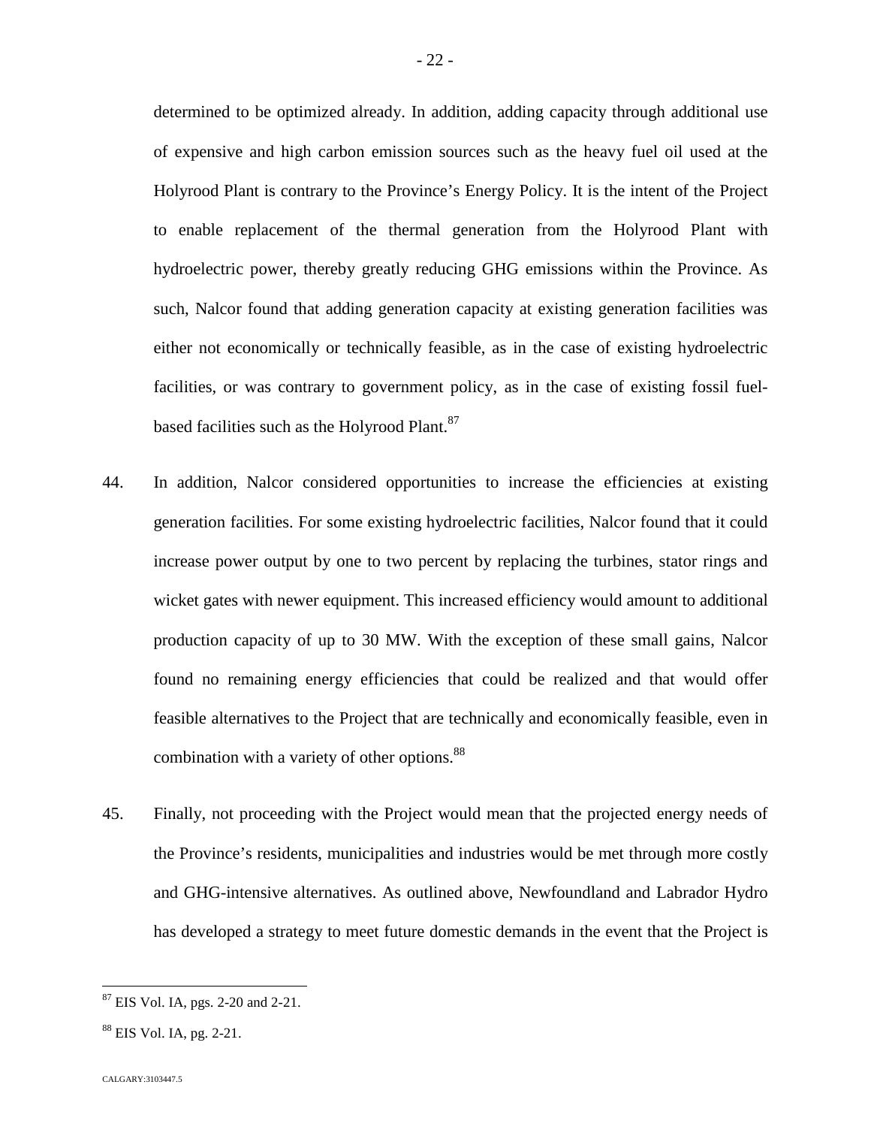determined to be optimized already. In addition, adding capacity through additional use of expensive and high carbon emission sources such as the heavy fuel oil used at the Holyrood Plant is contrary to the Province's Energy Policy. It is the intent of the Project to enable replacement of the thermal generation from the Holyrood Plant with hydroelectric power, thereby greatly reducing GHG emissions within the Province. As such, Nalcor found that adding generation capacity at existing generation facilities was either not economically or technically feasible, as in the case of existing hydroelectric facilities, or was contrary to government policy, as in the case of existing fossil fuelbased facilities such as the Holyrood Plant.<sup>87</sup>

- 44. In addition, Nalcor considered opportunities to increase the efficiencies at existing generation facilities. For some existing hydroelectric facilities, Nalcor found that it could increase power output by one to two percent by replacing the turbines, stator rings and wicket gates with newer equipment. This increased efficiency would amount to additional production capacity of up to 30 MW. With the exception of these small gains, Nalcor found no remaining energy efficiencies that could be realized and that would offer feasible alternatives to the Project that are technically and economically feasible, even in combination with a variety of other options.<sup>88</sup>
- 45. Finally, not proceeding with the Project would mean that the projected energy needs of the Province's residents, municipalities and industries would be met through more costly and GHG-intensive alternatives. As outlined above, Newfoundland and Labrador Hydro has developed a strategy to meet future domestic demands in the event that the Project is

<sup>87</sup> EIS Vol. IA, pgs. 2-20 and 2-21.

<sup>88</sup> EIS Vol. IA, pg. 2-21.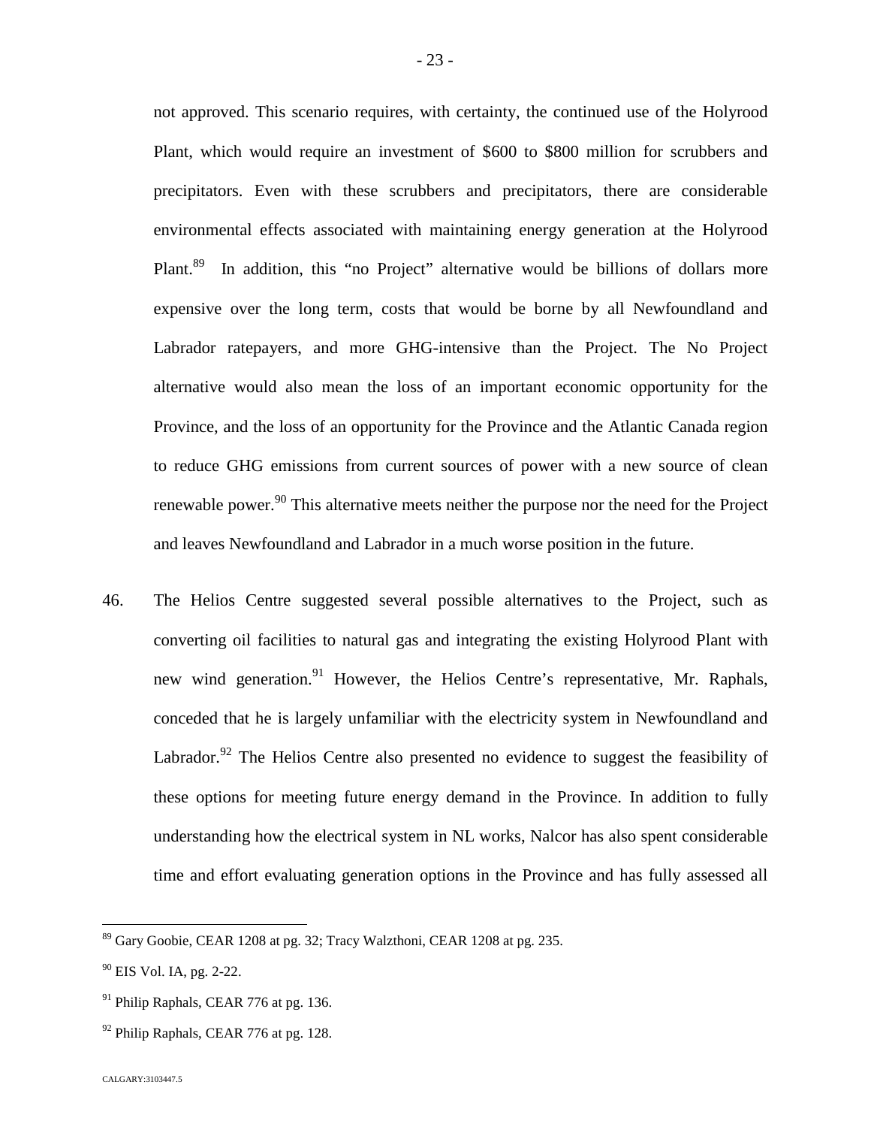not approved. This scenario requires, with certainty, the continued use of the Holyrood Plant, which would require an investment of \$600 to \$800 million for scrubbers and precipitators. Even with these scrubbers and precipitators, there are considerable environmental effects associated with maintaining energy generation at the Holyrood Plant.<sup>[89](#page-23-0)</sup> In addition, this "no Project" alternative would be billions of dollars more expensive over the long term, costs that would be borne by all Newfoundland and Labrador ratepayers, and more GHG-intensive than the Project. The No Project alternative would also mean the loss of an important economic opportunity for the Province, and the loss of an opportunity for the Province and the Atlantic Canada region to reduce GHG emissions from current sources of power with a new source of clean renewable power.<sup>[90](#page-23-1)</sup> This alternative meets neither the purpose nor the need for the Project and leaves Newfoundland and Labrador in a much worse position in the future.

46. The Helios Centre suggested several possible alternatives to the Project, such as converting oil facilities to natural gas and integrating the existing Holyrood Plant with new wind generation.<sup>[91](#page-23-2)</sup> However, the Helios Centre's representative, Mr. Raphals, conceded that he is largely unfamiliar with the electricity system in Newfoundland and Labrador. $92$  The Helios Centre also presented no evidence to suggest the feasibility of these options for meeting future energy demand in the Province. In addition to fully understanding how the electrical system in NL works, Nalcor has also spent considerable time and effort evaluating generation options in the Province and has fully assessed all

<span id="page-23-0"></span><sup>89</sup> Gary Goobie, CEAR 1208 at pg. 32; Tracy Walzthoni, CEAR 1208 at pg. 235.

<span id="page-23-1"></span> $90$  EIS Vol. IA, pg. 2-22.

<span id="page-23-2"></span><sup>&</sup>lt;sup>91</sup> Philip Raphals, CEAR 776 at pg. 136.

<span id="page-23-3"></span> $92$  Philip Raphals, CEAR 776 at pg. 128.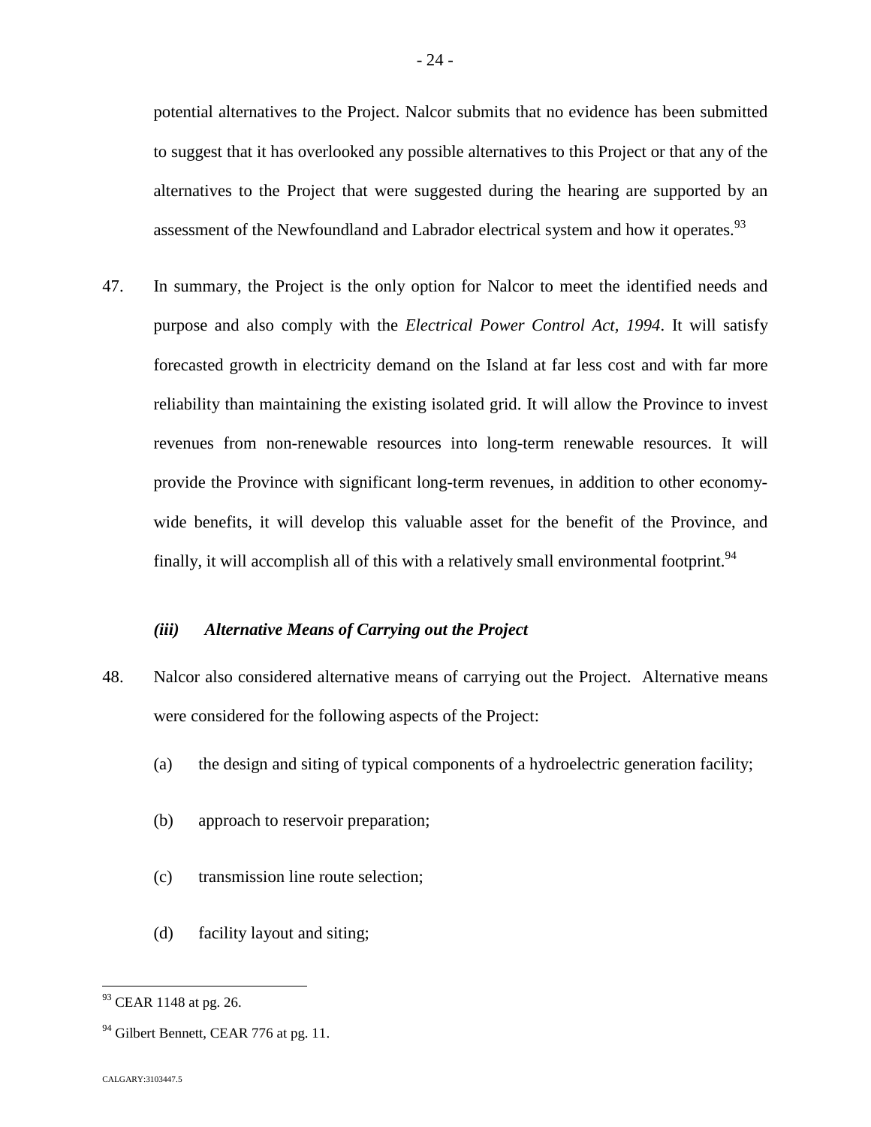potential alternatives to the Project. Nalcor submits that no evidence has been submitted to suggest that it has overlooked any possible alternatives to this Project or that any of the alternatives to the Project that were suggested during the hearing are supported by an assessment of the Newfoundland and Labrador electrical system and how it operates.<sup>93</sup>

47. In summary, the Project is the only option for Nalcor to meet the identified needs and purpose and also comply with the *Electrical Power Control Act, 1994*. It will satisfy forecasted growth in electricity demand on the Island at far less cost and with far more reliability than maintaining the existing isolated grid. It will allow the Province to invest revenues from non-renewable resources into long-term renewable resources. It will provide the Province with significant long-term revenues, in addition to other economywide benefits, it will develop this valuable asset for the benefit of the Province, and finally, it will accomplish all of this with a relatively small environmental footprint.<sup>94</sup>

## *(iii) Alternative Means of Carrying out the Project*

- 48. Nalcor also considered alternative means of carrying out the Project. Alternative means were considered for the following aspects of the Project:
	- (a) the design and siting of typical components of a hydroelectric generation facility;
	- (b) approach to reservoir preparation;
	- (c) transmission line route selection;
	- (d) facility layout and siting;

<sup>&</sup>lt;sup>93</sup> CEAR 1148 at pg. 26.

 $94$  Gilbert Bennett, CEAR 776 at pg. 11.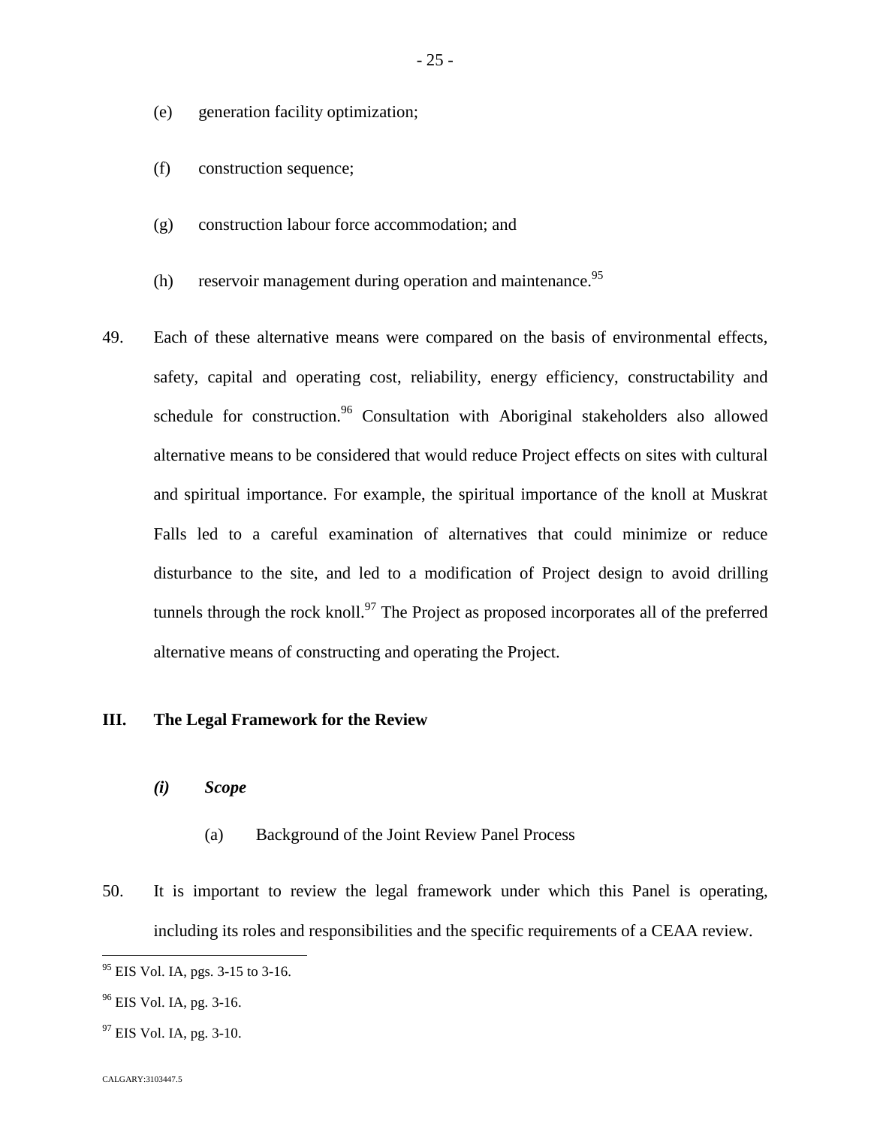- (e) generation facility optimization;
- (f) construction sequence;
- (g) construction labour force accommodation; and
- (h) reservoir management during operation and maintenance.<sup>95</sup>
- 49. Each of these alternative means were compared on the basis of environmental effects, safety, capital and operating cost, reliability, energy efficiency, constructability and schedule for construction.<sup>[96](#page-25-0)</sup> Consultation with Aboriginal stakeholders also allowed alternative means to be considered that would reduce Project effects on sites with cultural and spiritual importance. For example, the spiritual importance of the knoll at Muskrat Falls led to a careful examination of alternatives that could minimize or reduce disturbance to the site, and led to a modification of Project design to avoid drilling tunnels through the rock knoll.<sup>[97](#page-25-1)</sup> The Project as proposed incorporates all of the preferred alternative means of constructing and operating the Project.

# **III. The Legal Framework for the Review**

- *(i) Scope*
	- (a) Background of the Joint Review Panel Process
- 50. It is important to review the legal framework under which this Panel is operating, including its roles and responsibilities and the specific requirements of a CEAA review.

<sup>&</sup>lt;sup>95</sup> EIS Vol. IA, pgs. 3-15 to 3-16.

<span id="page-25-0"></span><sup>&</sup>lt;sup>96</sup> EIS Vol. IA, pg. 3-16.

<span id="page-25-1"></span> $97$  EIS Vol. IA, pg. 3-10.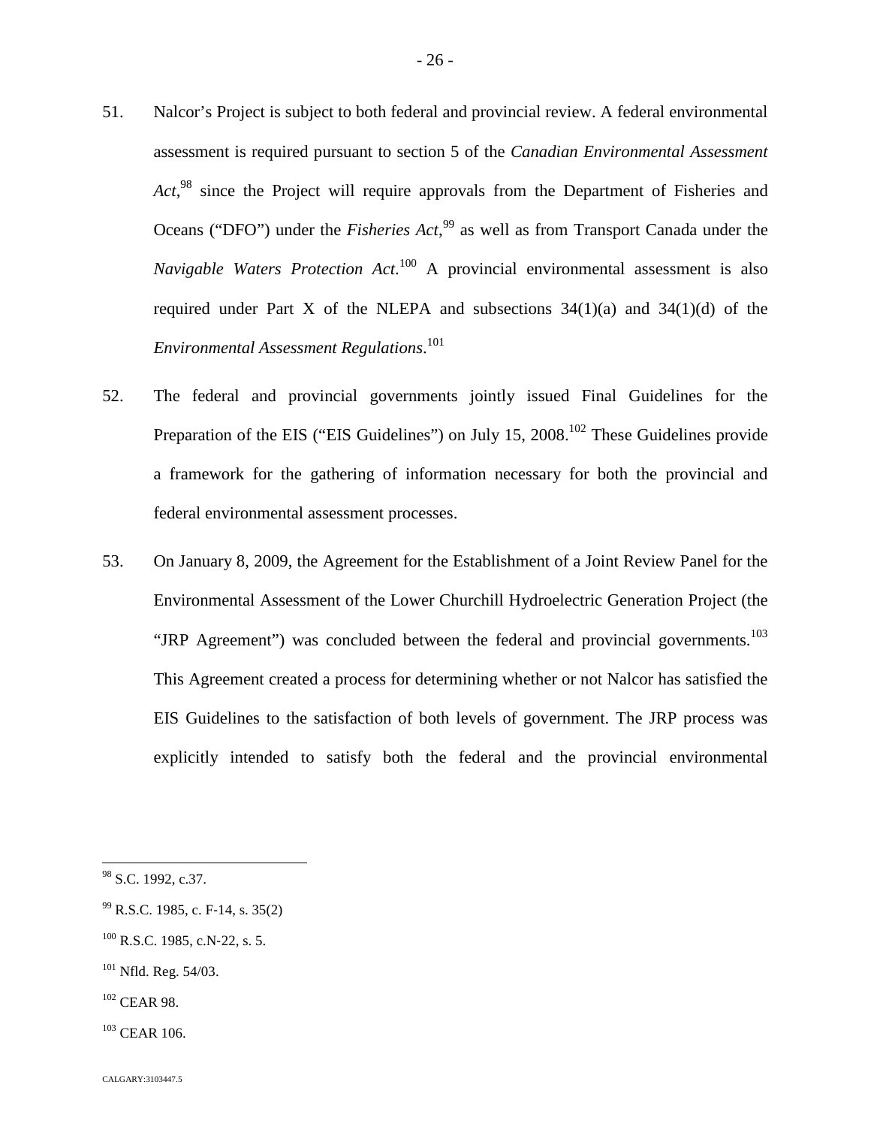- 51. Nalcor's Project is subject to both federal and provincial review. A federal environmental assessment is required pursuant to section 5 of the *Canadian Environmental Assessment Act*, [98](#page-26-0) since the Project will require approvals from the Department of Fisheries and Oceans ("DFO") under the *Fisheries Act*,<sup>[99](#page-26-1)</sup> as well as from Transport Canada under the *Navigable Waters Protection Act*. [100](#page-26-2) A provincial environmental assessment is also required under Part X of the NLEPA and subsections  $34(1)(a)$  and  $34(1)(d)$  of the *Environmental Assessment Regulations*. 1[01](#page-26-3)
- 52. The federal and provincial governments jointly issued Final Guidelines for the Preparationof the EIS ("EIS Guidelines") on July 15,  $2008$ <sup>102</sup> These Guidelines provide a framework for the gathering of information necessary for both the provincial and federal environmental assessment processes.
- 53. On January 8, 2009, the Agreement for the Establishment of a Joint Review Panel for the Environmental Assessment of the Lower Churchill Hydroelectric Generation Project (the "JRP Agreement") was concluded between the federal and provincial governments.<sup>[103](#page-26-5)</sup> This Agreement created a process for determining whether or not Nalcor has satisfied the EIS Guidelines to the satisfaction of both levels of government. The JRP process was explicitly intended to satisfy both the federal and the provincial environmental

- <span id="page-26-3"></span><sup>101</sup> Nfld. Reg. 54/03.
- <span id="page-26-4"></span><sup>102</sup> CEAR 98.
- <span id="page-26-5"></span><sup>103</sup> CEAR 106.

<span id="page-26-0"></span> $98$  S.C. 1992, c.37.

<span id="page-26-1"></span><sup>99</sup> R.S.C. 1985, c. F‐14, s. 35(2)

<span id="page-26-2"></span> $100$  R.S.C. 1985, c.N-22, s. 5.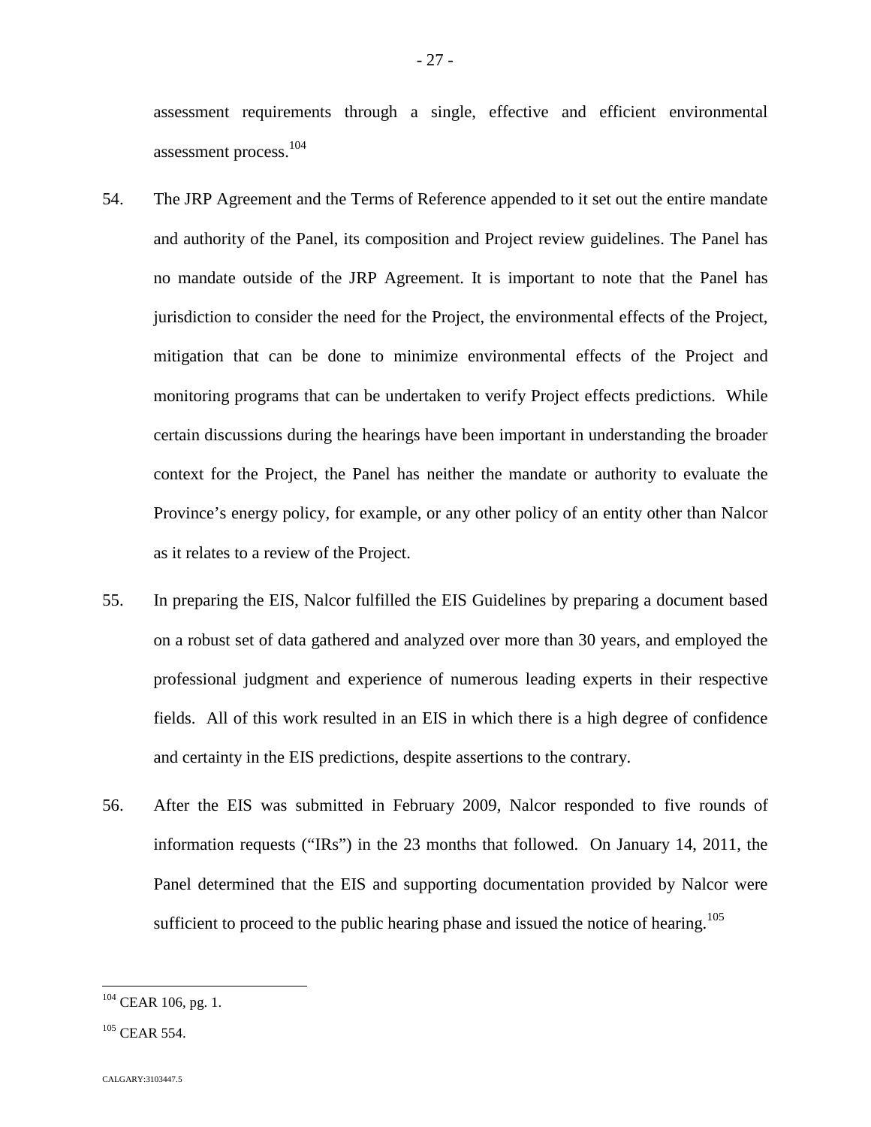assessment requirements through a single, effective and efficient environmental assessment process.1[04](#page-27-0)

- 54. The JRP Agreement and the Terms of Reference appended to it set out the entire mandate and authority of the Panel, its composition and Project review guidelines. The Panel has no mandate outside of the JRP Agreement. It is important to note that the Panel has jurisdiction to consider the need for the Project, the environmental effects of the Project, mitigation that can be done to minimize environmental effects of the Project and monitoring programs that can be undertaken to verify Project effects predictions. While certain discussions during the hearings have been important in understanding the broader context for the Project, the Panel has neither the mandate or authority to evaluate the Province's energy policy, for example, or any other policy of an entity other than Nalcor as it relates to a review of the Project.
- 55. In preparing the EIS, Nalcor fulfilled the EIS Guidelines by preparing a document based on a robust set of data gathered and analyzed over more than 30 years, and employed the professional judgment and experience of numerous leading experts in their respective fields. All of this work resulted in an EIS in which there is a high degree of confidence and certainty in the EIS predictions, despite assertions to the contrary.
- 56. After the EIS was submitted in February 2009, Nalcor responded to five rounds of information requests ("IRs") in the 23 months that followed. On January 14, 2011, the Panel determined that the EIS and supporting documentation provided by Nalcor were sufficient to proceed to the public hearing phase and issued the notice of hearing.<sup>105</sup>

<span id="page-27-0"></span><sup>104</sup> CEAR 106, pg. 1.

 $105$  CEAR 554.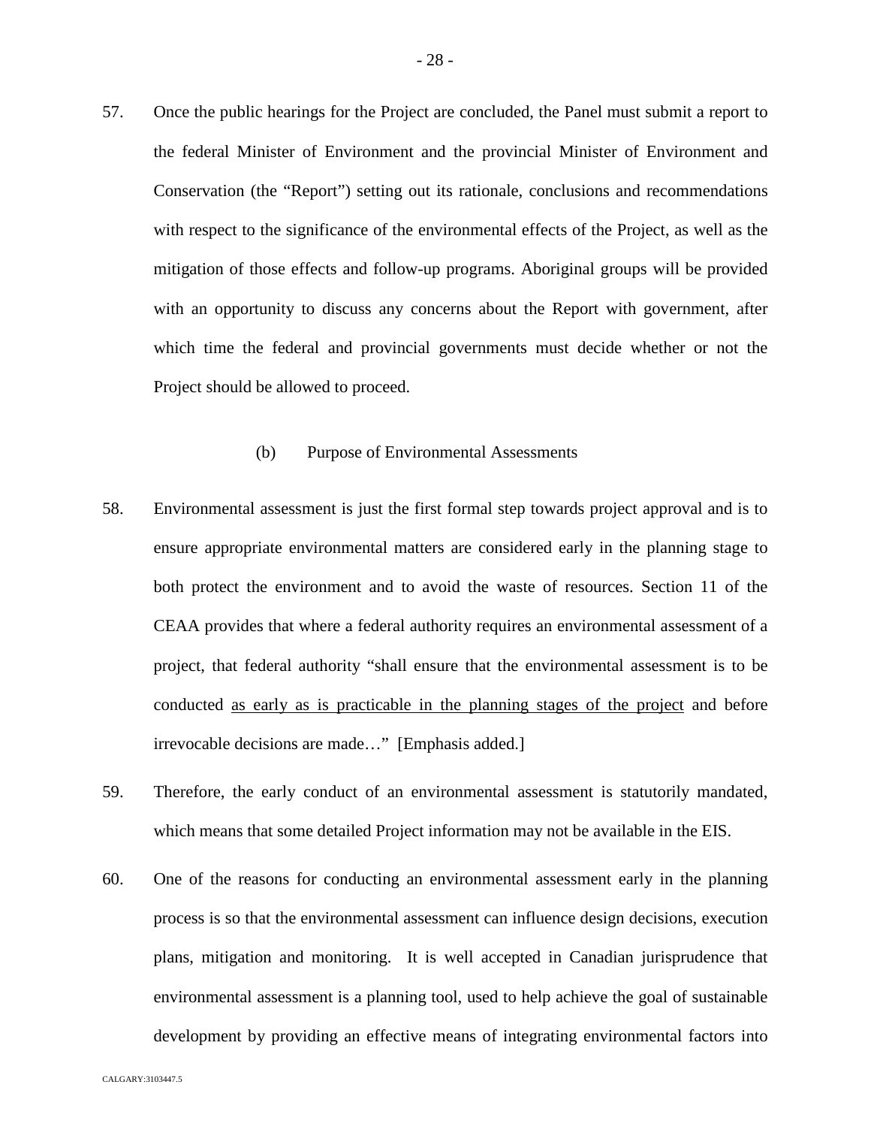57. Once the public hearings for the Project are concluded, the Panel must submit a report to the federal Minister of Environment and the provincial Minister of Environment and Conservation (the "Report") setting out its rationale, conclusions and recommendations with respect to the significance of the environmental effects of the Project, as well as the mitigation of those effects and follow-up programs. Aboriginal groups will be provided with an opportunity to discuss any concerns about the Report with government, after which time the federal and provincial governments must decide whether or not the Project should be allowed to proceed.

## (b) Purpose of Environmental Assessments

- 58. Environmental assessment is just the first formal step towards project approval and is to ensure appropriate environmental matters are considered early in the planning stage to both protect the environment and to avoid the waste of resources. Section 11 of the CEAA provides that where a federal authority requires an environmental assessment of a project, that federal authority "shall ensure that the environmental assessment is to be conducted as early as is practicable in the planning stages of the project and before irrevocable decisions are made…" [Emphasis added.]
- 59. Therefore, the early conduct of an environmental assessment is statutorily mandated, which means that some detailed Project information may not be available in the EIS.
- 60. One of the reasons for conducting an environmental assessment early in the planning process is so that the environmental assessment can influence design decisions, execution plans, mitigation and monitoring. It is well accepted in Canadian jurisprudence that environmental assessment is a planning tool, used to help achieve the goal of sustainable development by providing an effective means of integrating environmental factors into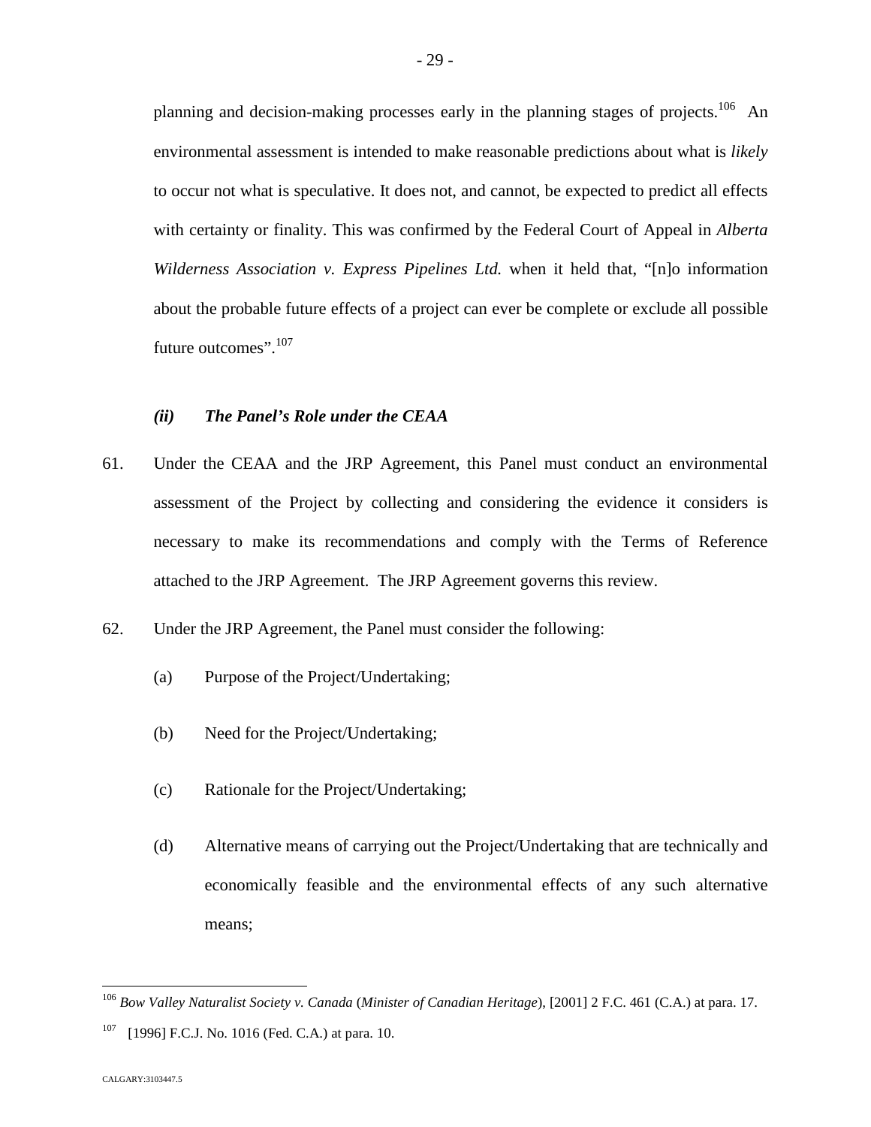planning and decision-making processes early in the planning stages of projects.<sup>[106](#page-29-0)</sup> An environmental assessment is intended to make reasonable predictions about what is *likely* to occur not what is speculative. It does not, and cannot, be expected to predict all effects with certainty or finality. This was confirmed by the Federal Court of Appeal in *Alberta Wilderness Association v. Express Pipelines Ltd.* when it held that, "[n]o information about the probable future effects of a project can ever be complete or exclude all possible future outcomes".<sup>1[07](#page-29-1)</sup>

# *(ii) The Panel's Role under the CEAA*

- 61. Under the CEAA and the JRP Agreement, this Panel must conduct an environmental assessment of the Project by collecting and considering the evidence it considers is necessary to make its recommendations and comply with the Terms of Reference attached to the JRP Agreement. The JRP Agreement governs this review.
- 62. Under the JRP Agreement, the Panel must consider the following:
	- (a) Purpose of the Project/Undertaking;
	- (b) Need for the Project/Undertaking;
	- (c) Rationale for the Project/Undertaking;
	- (d) Alternative means of carrying out the Project/Undertaking that are technically and economically feasible and the environmental effects of any such alternative means;

<span id="page-29-0"></span><sup>106</sup> *Bow Valley Naturalist Society v. Canada* (*Minister of Canadian Heritage*), [2001] 2 F.C. 461 (C.A.) at para. 17.

<span id="page-29-1"></span><sup>[1996]</sup> F.C.J. No. 1016 (Fed. C.A.) at para. 10.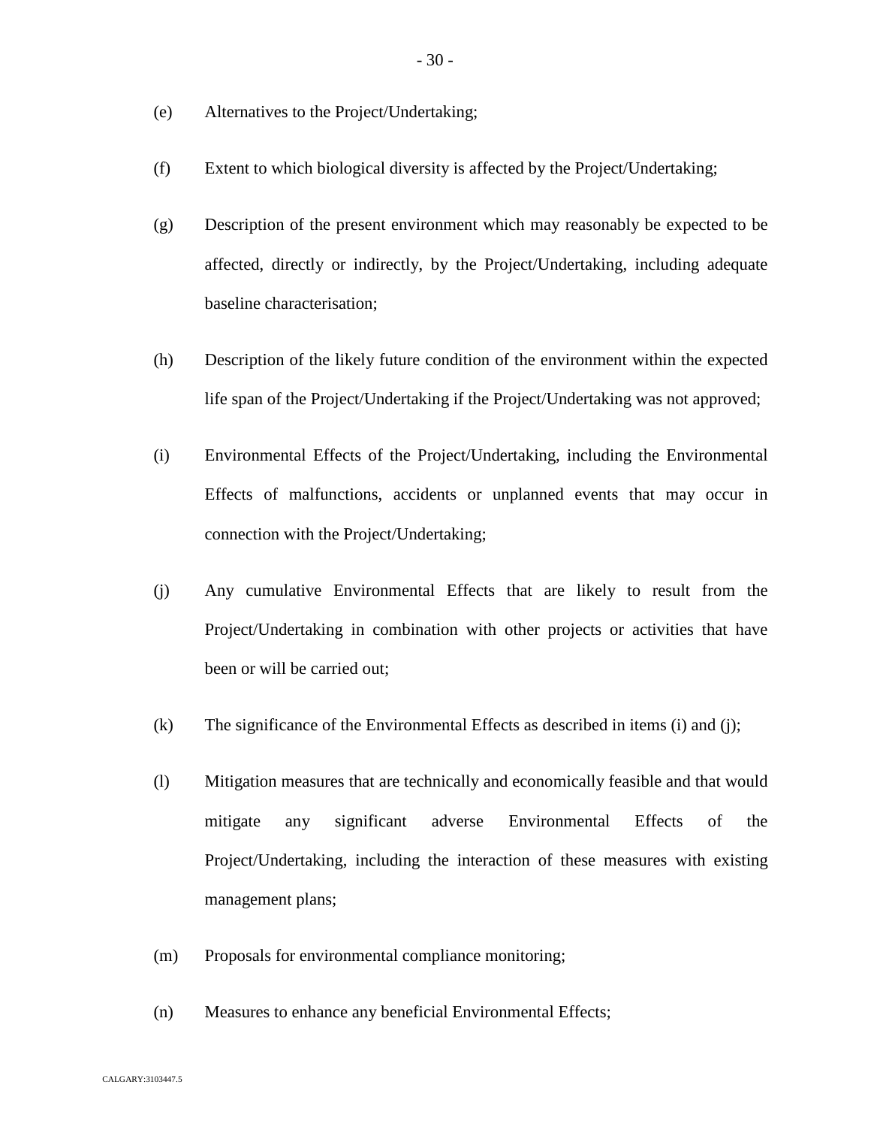- (e) Alternatives to the Project/Undertaking;
- (f) Extent to which biological diversity is affected by the Project/Undertaking;
- (g) Description of the present environment which may reasonably be expected to be affected, directly or indirectly, by the Project/Undertaking, including adequate baseline characterisation;
- (h) Description of the likely future condition of the environment within the expected life span of the Project/Undertaking if the Project/Undertaking was not approved;
- (i) Environmental Effects of the Project/Undertaking, including the Environmental Effects of malfunctions, accidents or unplanned events that may occur in connection with the Project/Undertaking;
- (j) Any cumulative Environmental Effects that are likely to result from the Project/Undertaking in combination with other projects or activities that have been or will be carried out;
- (k) The significance of the Environmental Effects as described in items (i) and (j);
- (l) Mitigation measures that are technically and economically feasible and that would mitigate any significant adverse Environmental Effects of the Project/Undertaking, including the interaction of these measures with existing management plans;
- (m) Proposals for environmental compliance monitoring;
- (n) Measures to enhance any beneficial Environmental Effects;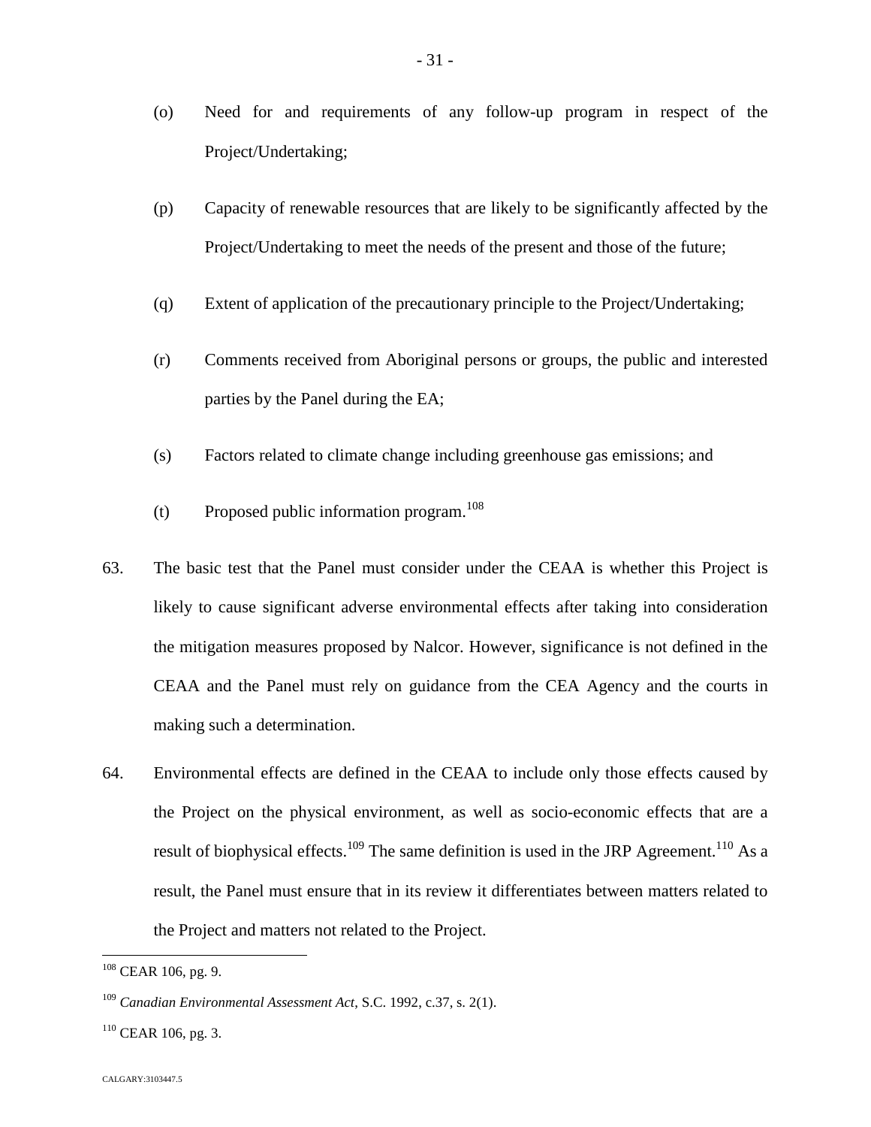(o) Need for and requirements of any follow-up program in respect of the Project/Undertaking;

- 31 -

- (p) Capacity of renewable resources that are likely to be significantly affected by the Project/Undertaking to meet the needs of the present and those of the future;
- (q) Extent of application of the precautionary principle to the Project/Undertaking;
- (r) Comments received from Aboriginal persons or groups, the public and interested parties by the Panel during the EA;
- (s) Factors related to climate change including greenhouse gas emissions; and
- (t) Proposed public information program.<sup>1[08](#page-31-0)</sup>
- 63. The basic test that the Panel must consider under the CEAA is whether this Project is likely to cause significant adverse environmental effects after taking into consideration the mitigation measures proposed by Nalcor. However, significance is not defined in the CEAA and the Panel must rely on guidance from the CEA Agency and the courts in making such a determination.
- 64. Environmental effects are defined in the CEAA to include only those effects caused by the Project on the physical environment, as well as socio-economic effects that are a result of biophysical effects.<sup>[109](#page-31-1)</sup> The same definition is used in the JRP Agreement.<sup>[110](#page-31-2)</sup> As a result, the Panel must ensure that in its review it differentiates between matters related to the Project and matters not related to the Project.

<span id="page-31-0"></span><sup>108</sup> CEAR 106, pg. 9.

<span id="page-31-1"></span><sup>109</sup> *Canadian Environmental Assessment Act*, S.C. 1992, c.37, s. 2(1).

<span id="page-31-2"></span> $110$  CEAR 106, pg. 3.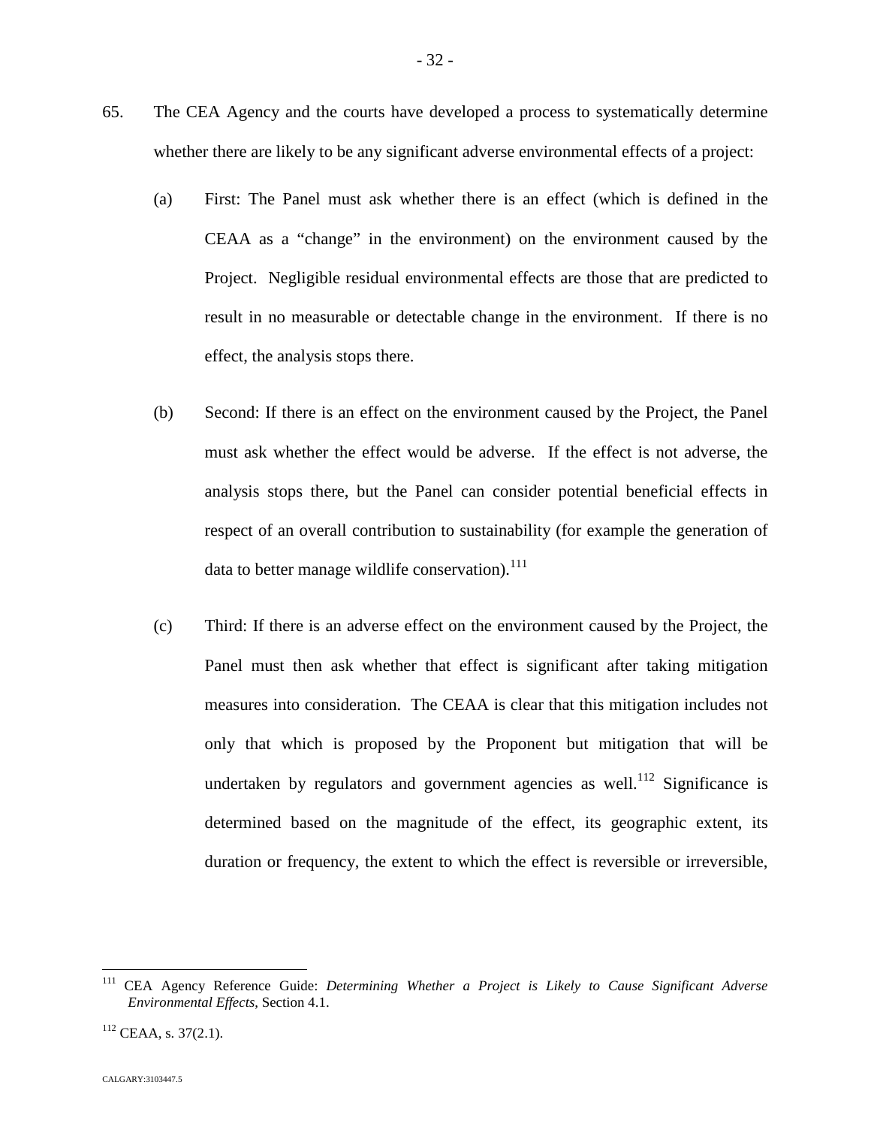- 65. The CEA Agency and the courts have developed a process to systematically determine whether there are likely to be any significant adverse environmental effects of a project:
	- (a) First: The Panel must ask whether there is an effect (which is defined in the CEAA as a "change" in the environment) on the environment caused by the Project. Negligible residual environmental effects are those that are predicted to result in no measurable or detectable change in the environment. If there is no effect, the analysis stops there.
	- (b) Second: If there is an effect on the environment caused by the Project, the Panel must ask whether the effect would be adverse. If the effect is not adverse, the analysis stops there, but the Panel can consider potential beneficial effects in respect of an overall contribution to sustainability (for example the generation of data to better manage wildlife conservation).<sup>[1](#page-32-0)11</sup>
	- (c) Third: If there is an adverse effect on the environment caused by the Project, the Panel must then ask whether that effect is significant after taking mitigation measures into consideration. The CEAA is clear that this mitigation includes not only that which is proposed by the Proponent but mitigation that will be undertakenby regulators and government agencies as well[.](#page-32-1)<sup>112</sup> Significance is determined based on the magnitude of the effect, its geographic extent, its duration or frequency, the extent to which the effect is reversible or irreversible,

<span id="page-32-0"></span><sup>111</sup> CEA Agency Reference Guide: *Determining Whether a Project is Likely to Cause Significant Adverse Environmental Effects*, Section 4.1.

<span id="page-32-1"></span> $112$  CEAA, s. 37(2.1).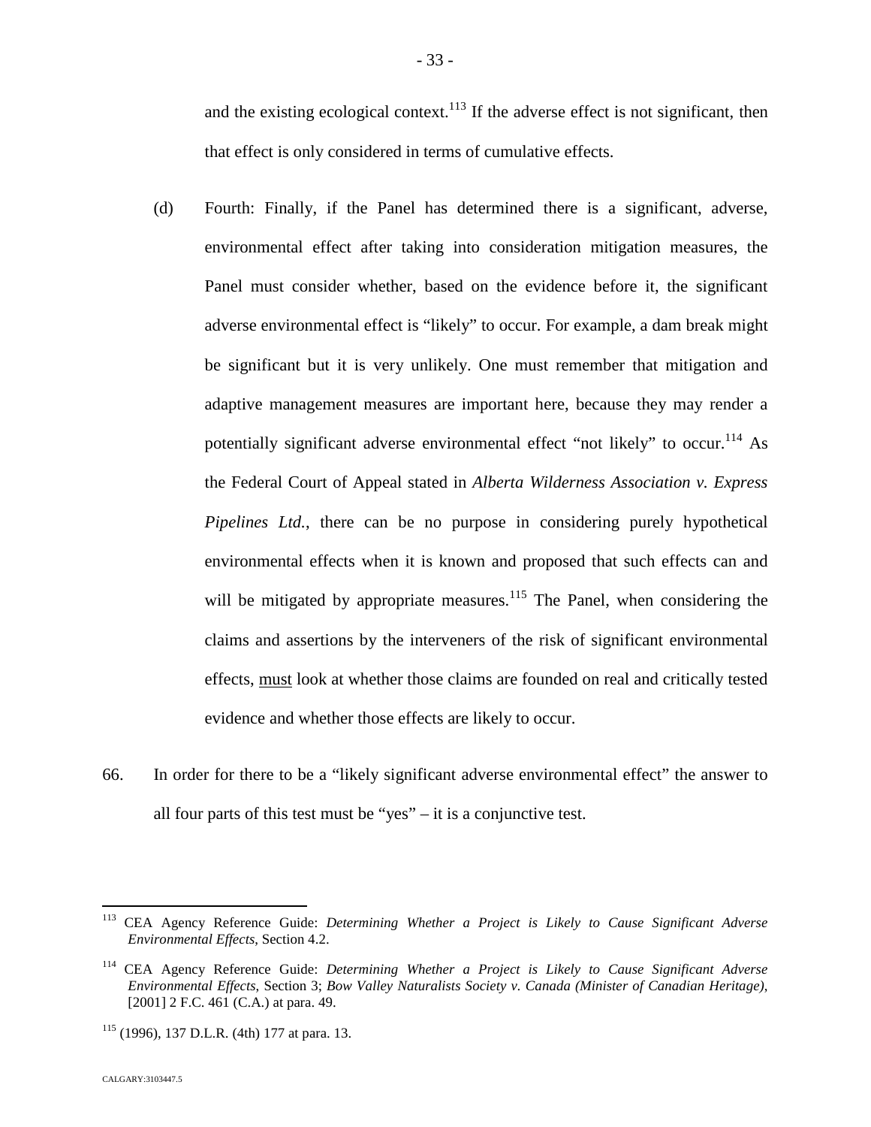and the existing ecological context.<sup>[113](#page-33-0)</sup> If the adverse effect is not significant, then that effect is only considered in terms of cumulative effects.

- (d) Fourth: Finally, if the Panel has determined there is a significant, adverse, environmental effect after taking into consideration mitigation measures, the Panel must consider whether, based on the evidence before it, the significant adverse environmental effect is "likely" to occur. For example, a dam break might be significant but it is very unlikely. One must remember that mitigation and adaptive management measures are important here, because they may render a potentially significant adverse environmental effect "not likely" to occur.<sup>[114](#page-33-1)</sup> As the Federal Court of Appeal stated in *Alberta Wilderness Association v. Express Pipelines Ltd.*, there can be no purpose in considering purely hypothetical environmental effects when it is known and proposed that such effects can and will be mitigated by appropriate measures.<sup>[115](#page-33-2)</sup> The Panel, when considering the claims and assertions by the interveners of the risk of significant environmental effects, must look at whether those claims are founded on real and critically tested evidence and whether those effects are likely to occur.
- 66. In order for there to be a "likely significant adverse environmental effect" the answer to all four parts of this test must be "yes"  $-$  it is a conjunctive test.

<span id="page-33-0"></span><sup>113</sup> CEA Agency Reference Guide: *Determining Whether a Project is Likely to Cause Significant Adverse Environmental Effects*, Section 4.2.

<span id="page-33-1"></span><sup>114</sup> CEA Agency Reference Guide: *Determining Whether a Project is Likely to Cause Significant Adverse Environmental Effects*, Section 3; *Bow Valley Naturalists Society v. Canada (Minister of Canadian Heritage)*, [2001] 2 F.C. 461 (C.A.) at para. 49.

<span id="page-33-2"></span> $115$  (1996), 137 D.L.R. (4th) 177 at para. 13.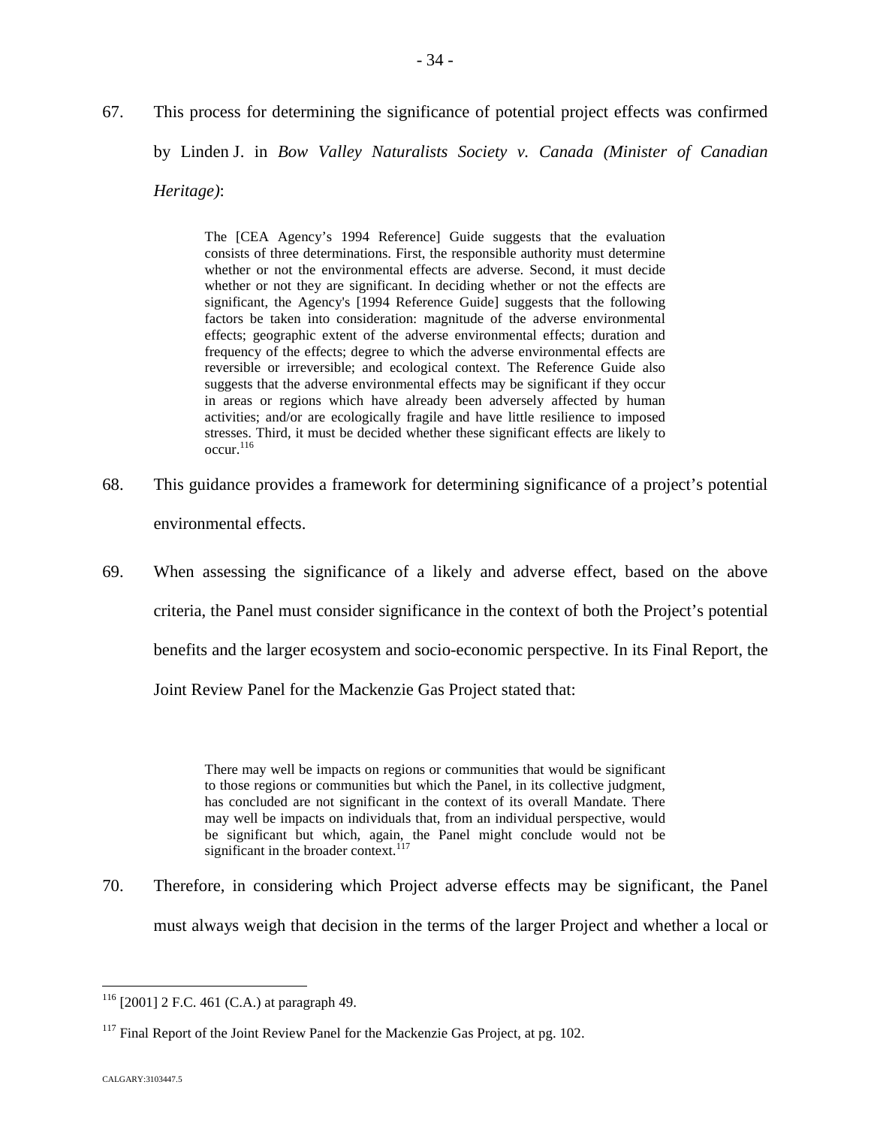The [CEA Agency's 1994 Reference] Guide suggests that the evaluation consists of three determinations. First, the responsible authority must determine whether or not the environmental effects are adverse. Second, it must decide whether or not they are significant. In deciding whether or not the effects are significant, the Agency's [1994 Reference Guide] suggests that the following factors be taken into consideration: magnitude of the adverse environmental effects; geographic extent of the adverse environmental effects; duration and frequency of the effects; degree to which the adverse environmental effects are reversible or irreversible; and ecological context. The Reference Guide also suggests that the adverse environmental effects may be significant if they occur in areas or regions which have already been adversely affected by human activities; and/or are ecologically fragile and have little resilience to imposed stresses. Third, it must be decided whether these significant effects are likely to  $\mathrm{occur.}^{116}$  $\mathrm{occur.}^{116}$  $\mathrm{occur.}^{116}$ 

- 68. This guidance provides a framework for determining significance of a project's potential environmental effects.
- 69. When assessing the significance of a likely and adverse effect, based on the above criteria, the Panel must consider significance in the context of both the Project's potential benefits and the larger ecosystem and socio-economic perspective. In its Final Report, the Joint Review Panel for the Mackenzie Gas Project stated that:

There may well be impacts on regions or communities that would be significant to those regions or communities but which the Panel, in its collective judgment, has concluded are not significant in the context of its overall Mandate. There may well be impacts on individuals that, from an individual perspective, would be significant but which, again, the Panel might conclude would not be significant in the broader context. $117$ 

70. Therefore, in considering which Project adverse effects may be significant, the Panel must always weigh that decision in the terms of the larger Project and whether a local or

<span id="page-34-0"></span><sup>116</sup> [2001] 2 F.C. 461 (C.A.) at paragraph 49.

<span id="page-34-1"></span> $117$  Final Report of the Joint Review Panel for the Mackenzie Gas Project, at pg. 102.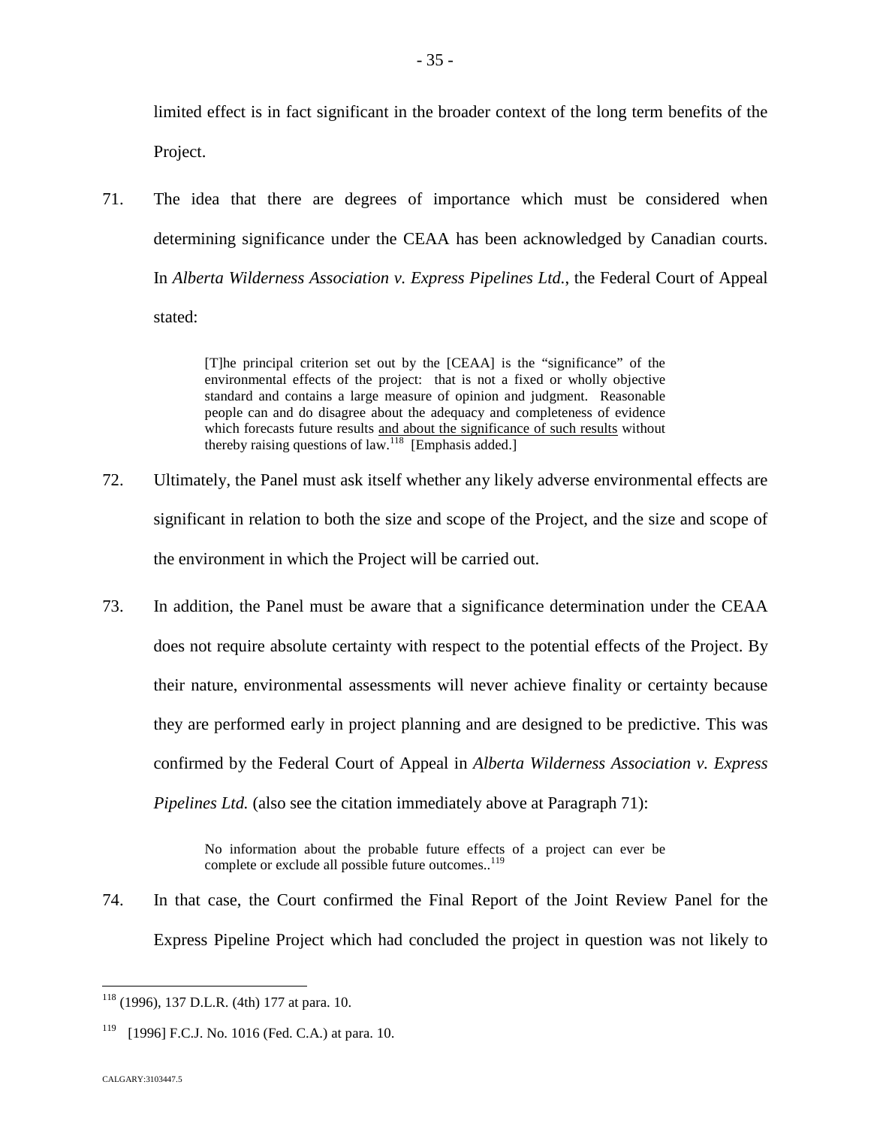limited effect is in fact significant in the broader context of the long term benefits of the Project.

71. The idea that there are degrees of importance which must be considered when determining significance under the CEAA has been acknowledged by Canadian courts. In *Alberta Wilderness Association v. Express Pipelines Ltd.*, the Federal Court of Appeal stated:

> [T]he principal criterion set out by the [CEAA] is the "significance" of the environmental effects of the project: that is not a fixed or wholly objective standard and contains a large measure of opinion and judgment. Reasonable people can and do disagree about the adequacy and completeness of evidence which forecasts future results and about the significance of such results without therebyraising questions of  $law.<sup>118</sup>$  $law.<sup>118</sup>$  $law.<sup>118</sup>$  [Emphasis added.]

- 72. Ultimately, the Panel must ask itself whether any likely adverse environmental effects are significant in relation to both the size and scope of the Project, and the size and scope of the environment in which the Project will be carried out.
- 73. In addition, the Panel must be aware that a significance determination under the CEAA does not require absolute certainty with respect to the potential effects of the Project. By their nature, environmental assessments will never achieve finality or certainty because they are performed early in project planning and are designed to be predictive. This was confirmed by the Federal Court of Appeal in *Alberta Wilderness Association v. Express Pipelines Ltd.* (also see the citation immediately above at Paragraph 71):

No information about the probable future effects of a project can ever be complete or exclude all possible future outcomes..<sup>[119](#page-35-1)</sup>

74. In that case, the Court confirmed the Final Report of the Joint Review Panel for the Express Pipeline Project which had concluded the project in question was not likely to

<span id="page-35-0"></span><sup>118</sup> (1996), 137 D.L.R. (4th) 177 at para. 10.

<span id="page-35-1"></span> $119$  [1996] F.C.J. No. 1016 (Fed. C.A.) at para. 10.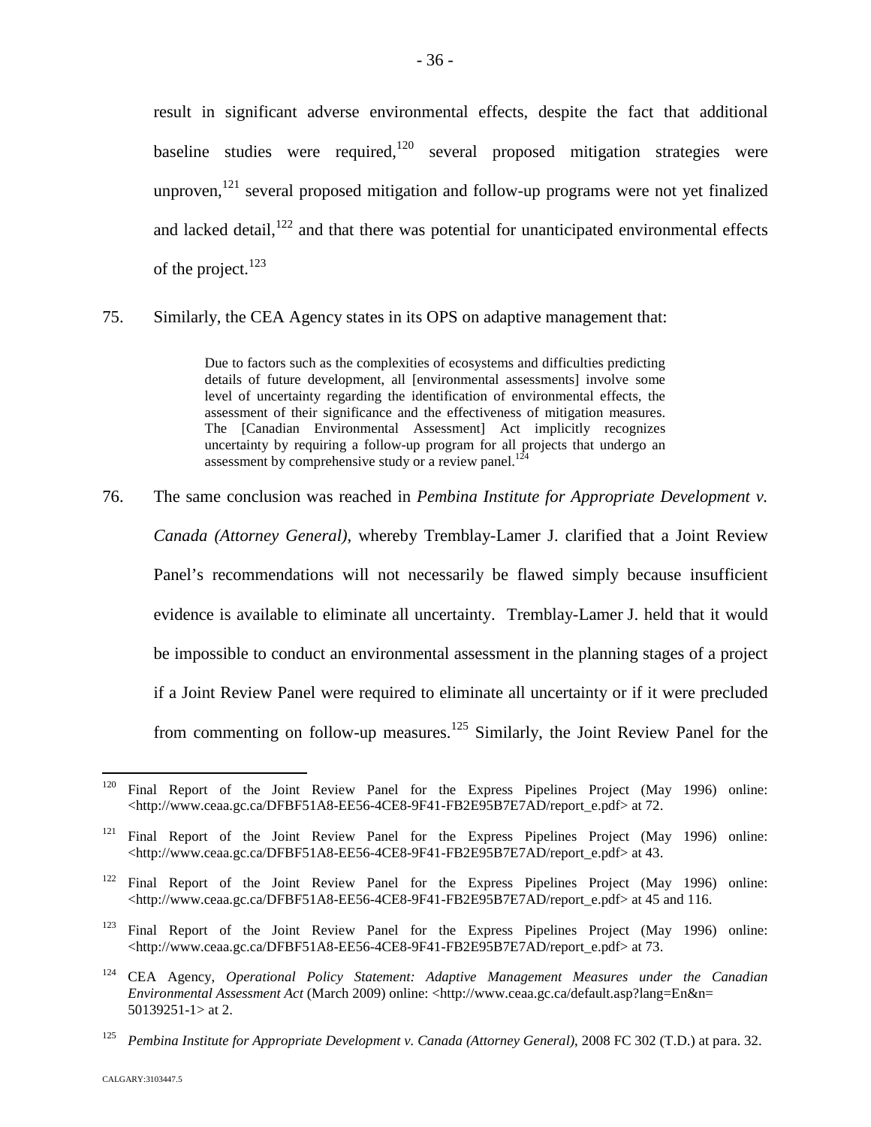result in significant adverse environmental effects, despite the fact that additional baseline studies were required,  $120$  several proposed mitigation strategies were unproven,  $121$  several proposed mitigation and follow-up programs were not yet finalized and lacked detail, $122$  and that there was potential for unanticipated environmental effects of the project. $123$ 

75. Similarly, the CEA Agency states in its OPS on adaptive management that:

Due to factors such as the complexities of ecosystems and difficulties predicting details of future development, all [environmental assessments] involve some level of uncertainty regarding the identification of environmental effects, the assessment of their significance and the effectiveness of mitigation measures. The [Canadian Environmental Assessment] Act implicitly recognizes uncertainty by requiring a follow-up program for all projects that undergo an assessment by comprehensive study or a review panel.<sup>[124](#page-36-4)</sup>

76. The same conclusion was reached in *Pembina Institute for Appropriate Development v. Canada (Attorney General)*, whereby Tremblay-Lamer J. clarified that a Joint Review Panel's recommendations will not necessarily be flawed simply because insufficient evidence is available to eliminate all uncertainty. Tremblay-Lamer J. held that it would be impossible to conduct an environmental assessment in the planning stages of a project if a Joint Review Panel were required to eliminate all uncertainty or if it were precluded from commenting on follow-up measures.<sup>[125](#page-36-5)</sup> Similarly, the Joint Review Panel for the

<span id="page-36-0"></span><sup>&</sup>lt;sup>120</sup> Final Report of the Joint Review Panel for the Express Pipelines Project (May 1996) online: <http://www.ceaa.gc.ca/DFBF51A8-EE56-4CE8-9F41-FB2E95B7E7AD/report\_e.pdf> at 72.

<span id="page-36-1"></span><sup>&</sup>lt;sup>121</sup> Final Report of the Joint Review Panel for the Express Pipelines Project (May 1996) online: <http://www.ceaa.gc.ca/DFBF51A8-EE56-4CE8-9F41-FB2E95B7E7AD/report\_e.pdf> at 43.

<span id="page-36-2"></span><sup>&</sup>lt;sup>122</sup> Final Report of the Joint Review Panel for the Express Pipelines Project (May 1996) online: <http://www.ceaa.gc.ca/DFBF51A8-EE56-4CE8-9F41-FB2E95B7E7AD/report\_e.pdf> at 45 and 116.

<span id="page-36-3"></span><sup>&</sup>lt;sup>123</sup> Final Report of the Joint Review Panel for the Express Pipelines Project (May 1996) online: <http://www.ceaa.gc.ca/DFBF51A8-EE56-4CE8-9F41-FB2E95B7E7AD/report\_e.pdf> at 73.

<span id="page-36-4"></span><sup>124</sup> CEA Agency, *Operational Policy Statement: Adaptive Management Measures under the Canadian Environmental Assessment Act* (March 2009) online: <http://www.ceaa.gc.ca/default.asp?lang=En&n= 50139251-1> at 2.

<span id="page-36-5"></span><sup>125</sup> *Pembina Institute for Appropriate Development v. Canada (Attorney General)*, 2008 FC 302 (T.D.) at para. 32.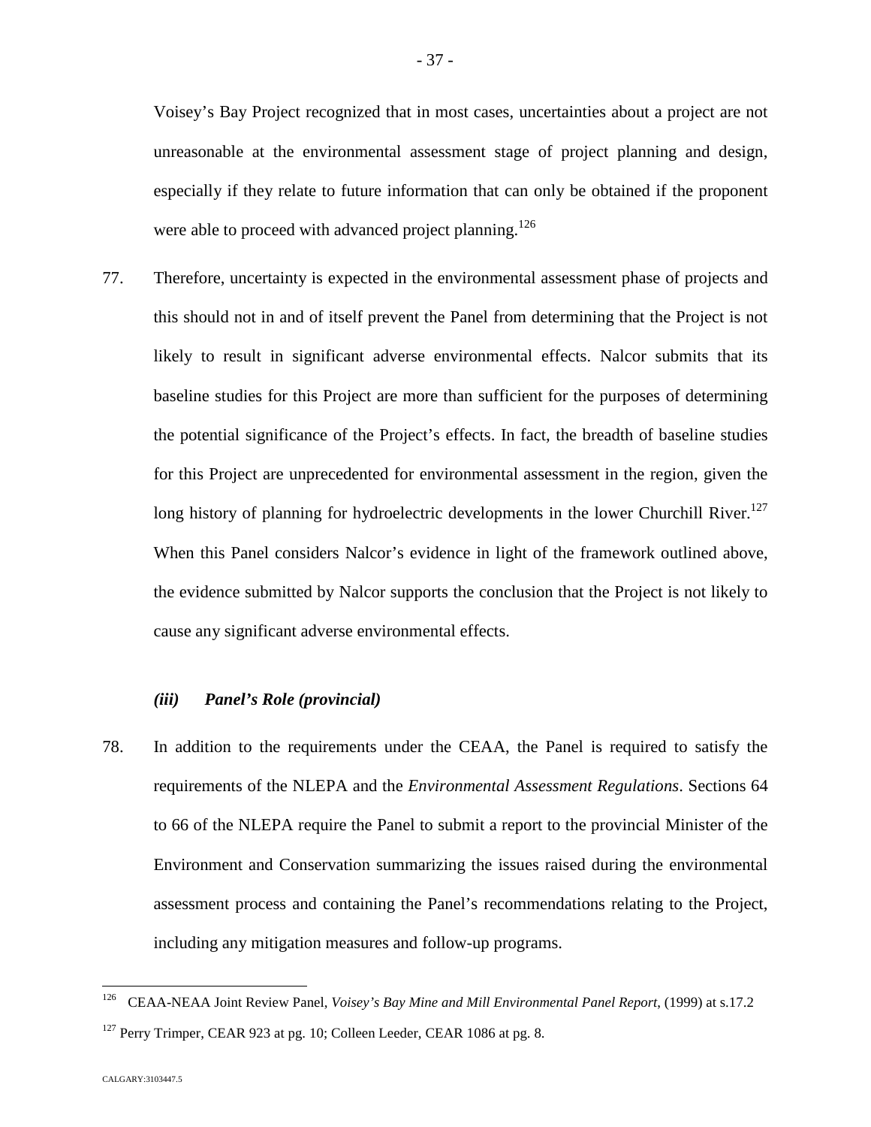Voisey's Bay Project recognized that in most cases, uncertainties about a project are not unreasonable at the environmental assessment stage of project planning and design, especially if they relate to future information that can only be obtained if the proponent were able to proceed with advanced project planning.<sup>12[6](#page-37-0)</sup>

77. Therefore, uncertainty is expected in the environmental assessment phase of projects and this should not in and of itself prevent the Panel from determining that the Project is not likely to result in significant adverse environmental effects. Nalcor submits that its baseline studies for this Project are more than sufficient for the purposes of determining the potential significance of the Project's effects. In fact, the breadth of baseline studies for this Project are unprecedented for environmental assessment in the region, given the long history of planning for hydroelectric developments in the lower Churchill River.<sup>[127](#page-37-1)</sup> When this Panel considers Nalcor's evidence in light of the framework outlined above, the evidence submitted by Nalcor supports the conclusion that the Project is not likely to cause any significant adverse environmental effects.

### *(iii) Panel's Role (provincial)*

78. In addition to the requirements under the CEAA, the Panel is required to satisfy the requirements of the NLEPA and the *Environmental Assessment Regulations*. Sections 64 to 66 of the NLEPA require the Panel to submit a report to the provincial Minister of the Environment and Conservation summarizing the issues raised during the environmental assessment process and containing the Panel's recommendations relating to the Project, including any mitigation measures and follow-up programs.

<span id="page-37-1"></span><span id="page-37-0"></span><sup>126</sup> CEAA-NEAA Joint Review Panel, *Voisey's Bay Mine and Mill Environmental Panel Report*, (1999) at s.17.2  $127$  Perry Trimper, CEAR 923 at pg. 10; Colleen Leeder, CEAR 1086 at pg. 8.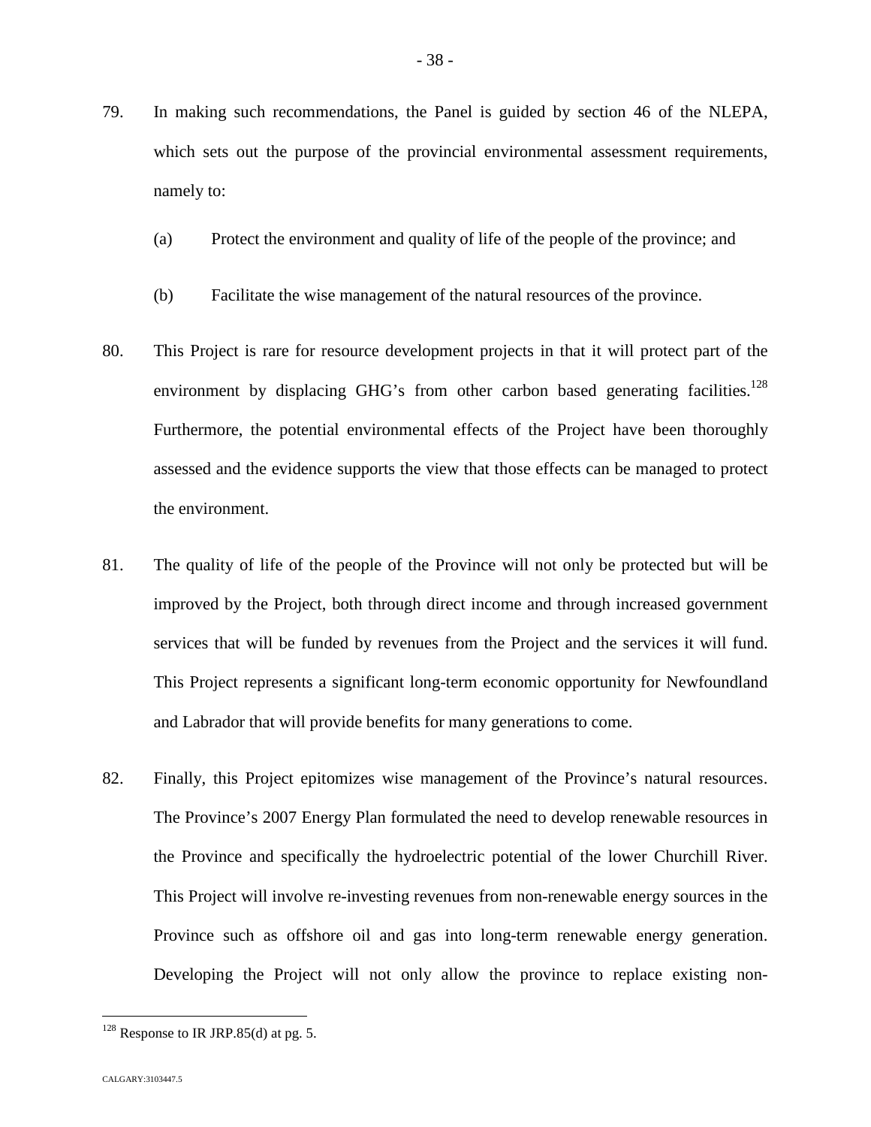- 79. In making such recommendations, the Panel is guided by section 46 of the NLEPA, which sets out the purpose of the provincial environmental assessment requirements, namely to:
	- (a) Protect the environment and quality of life of the people of the province; and
	- (b) Facilitate the wise management of the natural resources of the province.
- 80. This Project is rare for resource development projects in that it will protect part of the environment by displacing GHG's from other carbon based generating facilities.<sup>[128](#page-38-0)</sup> Furthermore, the potential environmental effects of the Project have been thoroughly assessed and the evidence supports the view that those effects can be managed to protect the environment.
- 81. The quality of life of the people of the Province will not only be protected but will be improved by the Project, both through direct income and through increased government services that will be funded by revenues from the Project and the services it will fund. This Project represents a significant long-term economic opportunity for Newfoundland and Labrador that will provide benefits for many generations to come.
- 82. Finally, this Project epitomizes wise management of the Province's natural resources. The Province's 2007 Energy Plan formulated the need to develop renewable resources in the Province and specifically the hydroelectric potential of the lower Churchill River. This Project will involve re-investing revenues from non-renewable energy sources in the Province such as offshore oil and gas into long-term renewable energy generation. Developing the Project will not only allow the province to replace existing non-

<span id="page-38-0"></span> $128$  Response to IR JRP.85(d) at pg. 5.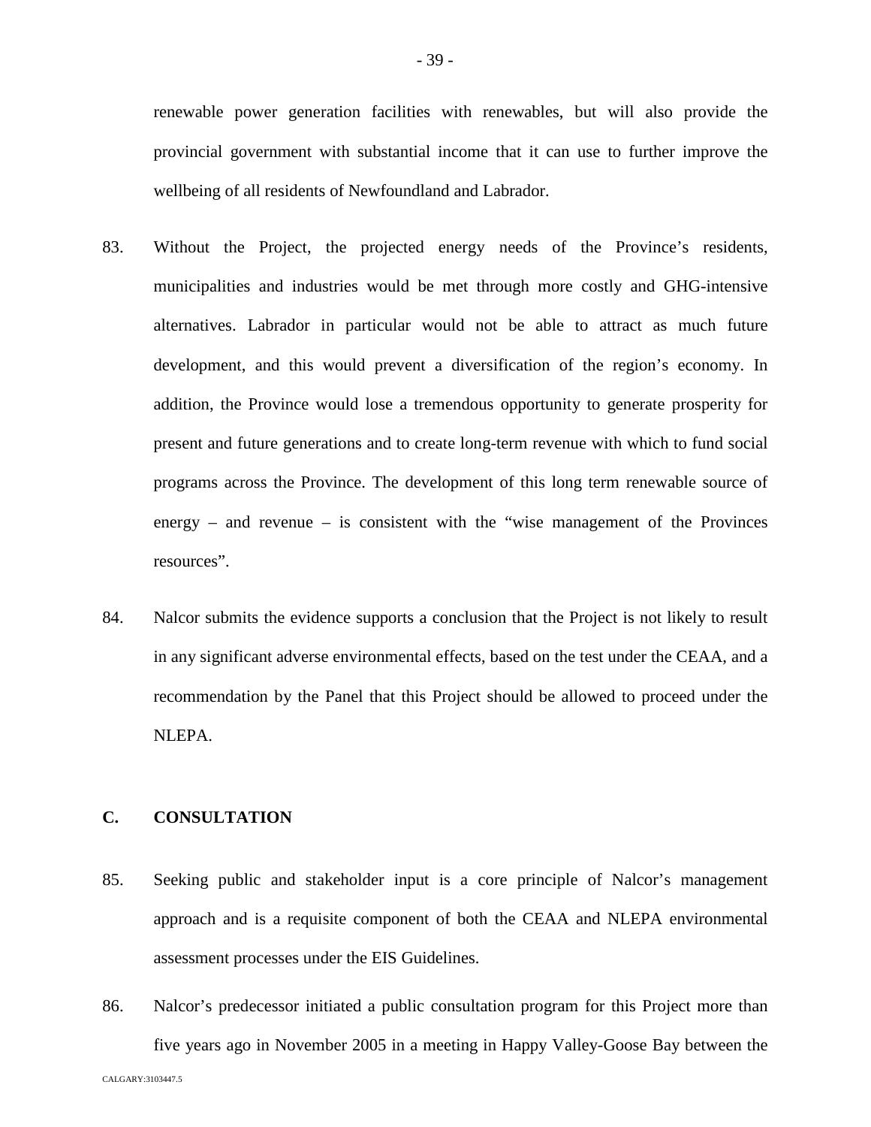renewable power generation facilities with renewables, but will also provide the provincial government with substantial income that it can use to further improve the wellbeing of all residents of Newfoundland and Labrador.

- 83. Without the Project, the projected energy needs of the Province's residents, municipalities and industries would be met through more costly and GHG-intensive alternatives. Labrador in particular would not be able to attract as much future development, and this would prevent a diversification of the region's economy. In addition, the Province would lose a tremendous opportunity to generate prosperity for present and future generations and to create long-term revenue with which to fund social programs across the Province. The development of this long term renewable source of energy – and revenue – is consistent with the "wise management of the Provinces" resources".
- 84. Nalcor submits the evidence supports a conclusion that the Project is not likely to result in any significant adverse environmental effects, based on the test under the CEAA, and a recommendation by the Panel that this Project should be allowed to proceed under the NLEPA.

# **C. CONSULTATION**

- 85. Seeking public and stakeholder input is a core principle of Nalcor's management approach and is a requisite component of both the CEAA and NLEPA environmental assessment processes under the EIS Guidelines.
- CALGARY:3103447.5 86. Nalcor's predecessor initiated a public consultation program for this Project more than five years ago in November 2005 in a meeting in Happy Valley-Goose Bay between the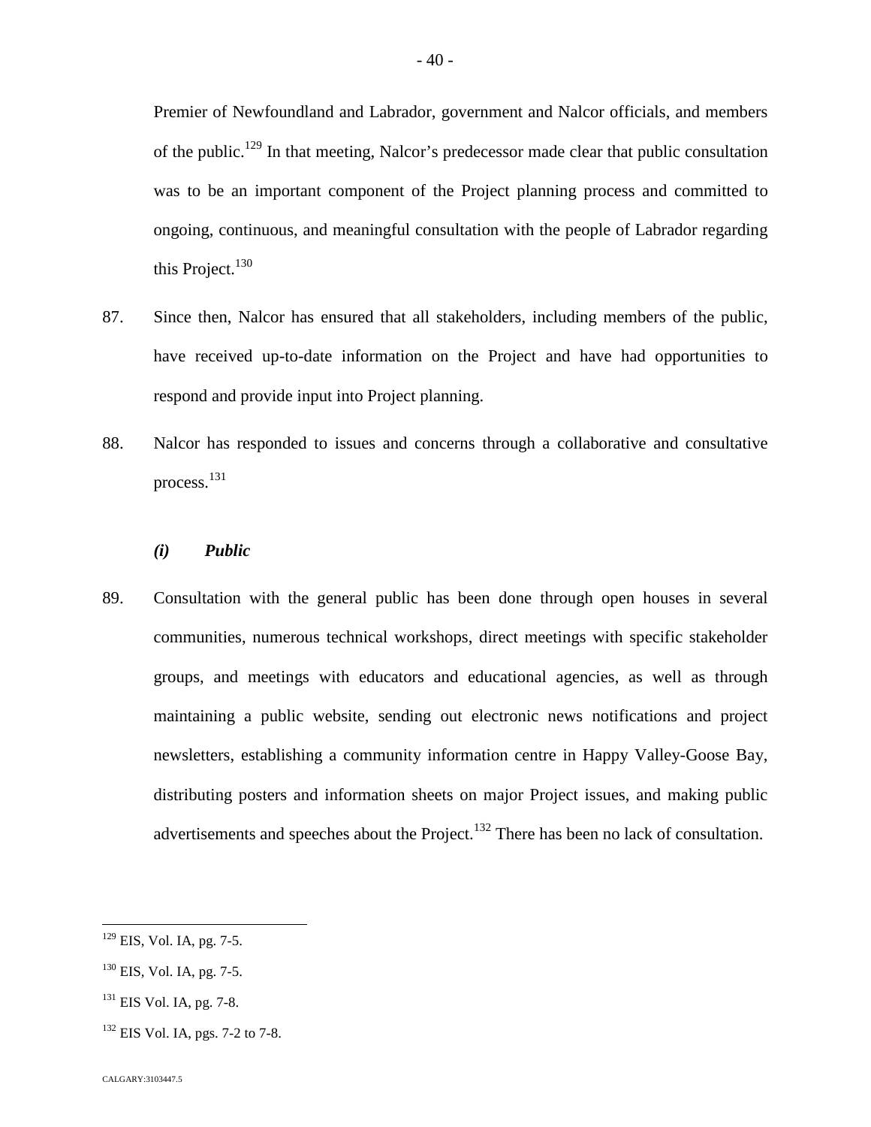Premier of Newfoundland and Labrador, government and Nalcor officials, and members of the public.<sup>[129](#page-40-0)</sup> In that meeting, Nalcor's predecessor made clear that public consultation was to be an important component of the Project planning process and committed to ongoing, continuous, and meaningful consultation with the people of Labrador regarding this Project. $130$ 

- 87. Since then, Nalcor has ensured that all stakeholders, including members of the public, have received up-to-date information on the Project and have had opportunities to respond and provide input into Project planning.
- 88. Nalcor has responded to issues and concerns through a collaborative and consultative process.[131](#page-40-2)

# *(i) Public*

89. Consultation with the general public has been done through open houses in several communities, numerous technical workshops, direct meetings with specific stakeholder groups, and meetings with educators and educational agencies, as well as through maintaining a public website, sending out electronic news notifications and project newsletters, establishing a community information centre in Happy Valley-Goose Bay, distributing posters and information sheets on major Project issues, and making public advertisements and speeches about the Project.<sup>[132](#page-40-3)</sup> There has been no lack of consultation.

<span id="page-40-0"></span><sup>&</sup>lt;sup>129</sup> EIS, Vol. IA, pg. 7-5.

<span id="page-40-1"></span> $^{130}$  EIS, Vol. IA, pg. 7-5.

<span id="page-40-2"></span><sup>&</sup>lt;sup>131</sup> EIS Vol. IA, pg. 7-8.

<span id="page-40-3"></span> $^{132}$  EIS Vol. IA, pgs. 7-2 to 7-8.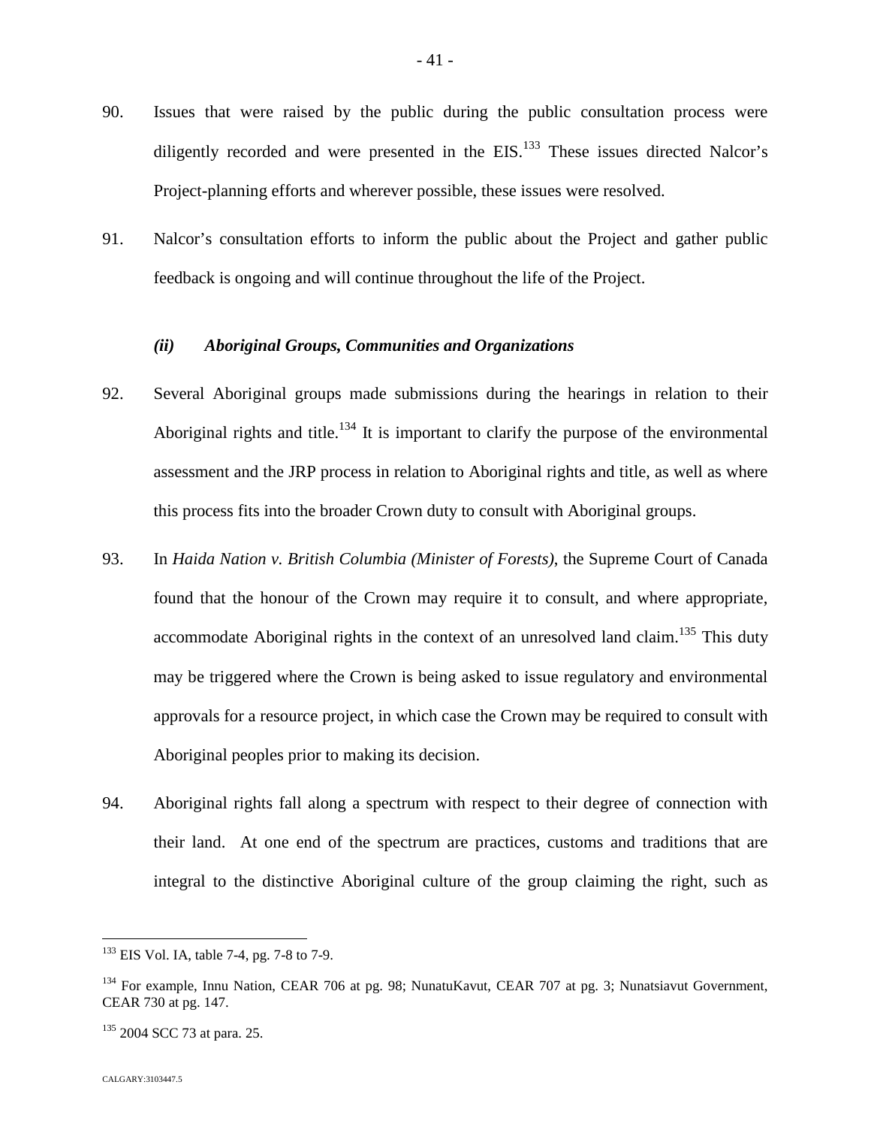- 90. Issues that were raised by the public during the public consultation process were diligentlyrecorded and were presented in the  $EIS$ [.](#page-41-0)<sup>133</sup> These issues directed Nalcor's Project-planning efforts and wherever possible, these issues were resolved.
- 91. Nalcor's consultation efforts to inform the public about the Project and gather public feedback is ongoing and will continue throughout the life of the Project.

## *(ii) Aboriginal Groups, Communities and Organizations*

- 92. Several Aboriginal groups made submissions during the hearings in relation to their Aboriginalrights and title[.](#page-41-1)<sup>134</sup> It is important to clarify the purpose of the environmental assessment and the JRP process in relation to Aboriginal rights and title, as well as where this process fits into the broader Crown duty to consult with Aboriginal groups.
- 93. In *Haida Nation v. British Columbia (Minister of Forests)*, the Supreme Court of Canada found that the honour of the Crown may require it to consult, and where appropriate, accommodate Aboriginal rights in the context of an unresolved land claim.<sup>[135](#page-41-2)</sup> This duty may be triggered where the Crown is being asked to issue regulatory and environmental approvals for a resource project, in which case the Crown may be required to consult with Aboriginal peoples prior to making its decision.
- 94. Aboriginal rights fall along a spectrum with respect to their degree of connection with their land. At one end of the spectrum are practices, customs and traditions that are integral to the distinctive Aboriginal culture of the group claiming the right, such as

<span id="page-41-0"></span><sup>&</sup>lt;sup>133</sup> EIS Vol. IA, table 7-4, pg. 7-8 to 7-9.

<span id="page-41-1"></span><sup>&</sup>lt;sup>134</sup> For example, Innu Nation, CEAR 706 at pg. 98; NunatuKavut, CEAR 707 at pg. 3; Nunatsiavut Government, CEAR 730 at pg. 147.

<span id="page-41-2"></span><sup>&</sup>lt;sup>135</sup> 2004 SCC 73 at para. 25.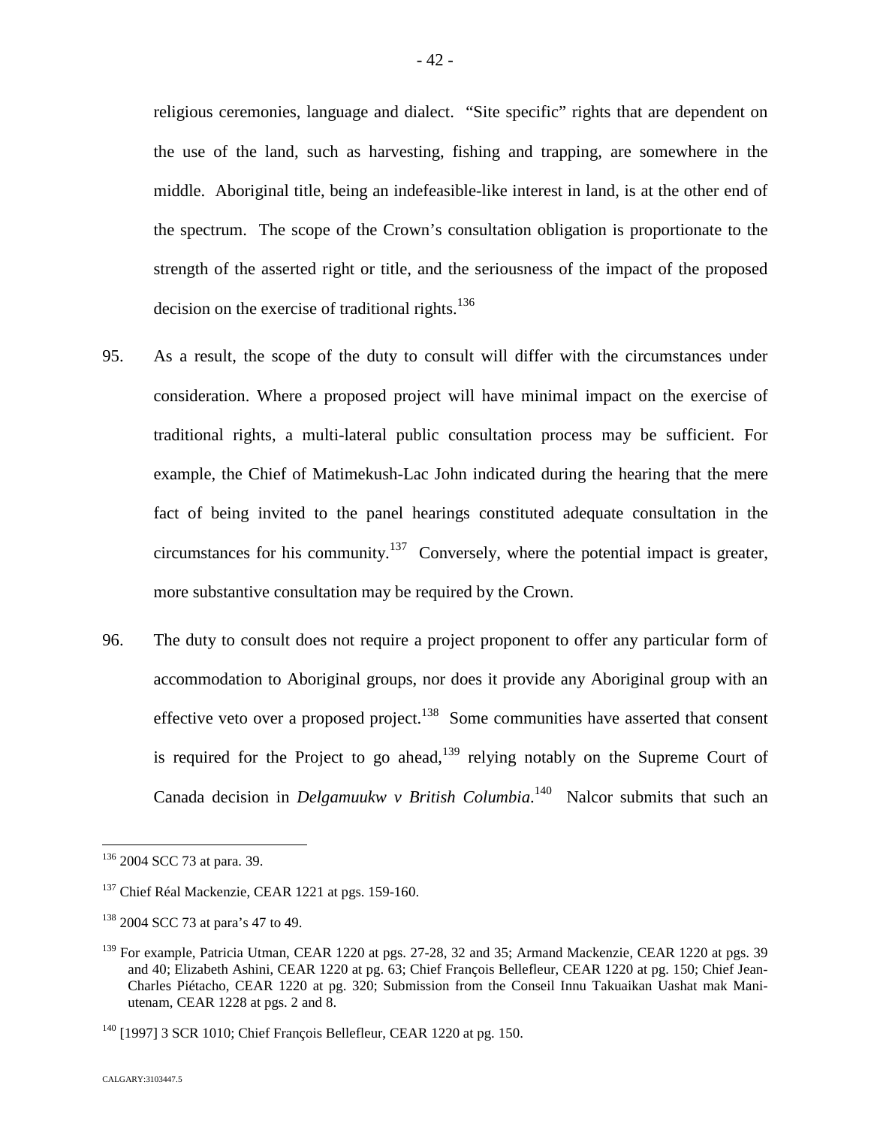religious ceremonies, language and dialect. "Site specific" rights that are dependent on the use of the land, such as harvesting, fishing and trapping, are somewhere in the middle. Aboriginal title, being an indefeasible-like interest in land, is at the other end of the spectrum. The scope of the Crown's consultation obligation is proportionate to the strength of the asserted right or title, and the seriousness of the impact of the proposed decision on the exercise of traditional rights.<sup>13[6](#page-42-0)</sup>

- 95. As a result, the scope of the duty to consult will differ with the circumstances under consideration. Where a proposed project will have minimal impact on the exercise of traditional rights, a multi-lateral public consultation process may be sufficient. For example, the Chief of Matimekush-Lac John indicated during the hearing that the mere fact of being invited to the panel hearings constituted adequate consultation in the circumstances for his community.<sup>[137](#page-42-1)</sup> Conversely, where the potential impact is greater, more substantive consultation may be required by the Crown.
- 96. The duty to consult does not require a project proponent to offer any particular form of accommodation to Aboriginal groups, nor does it provide any Aboriginal group with an effective veto over a proposed project.<sup>[138](#page-42-2)</sup> Some communities have asserted that consent is required for the Project to go ahead, $139$  relying notably on the Supreme Court of Canada decision in *Delgamuukw v British Columbia*.<sup>[140](#page-42-4)</sup> Nalcor submits that such an

<span id="page-42-0"></span><sup>&</sup>lt;sup>136</sup> 2004 SCC 73 at para. 39.

<span id="page-42-1"></span><sup>&</sup>lt;sup>137</sup> Chief Réal Mackenzie, CEAR 1221 at pgs. 159-160.

<span id="page-42-2"></span><sup>&</sup>lt;sup>138</sup> 2004 SCC 73 at para's 47 to 49.

<span id="page-42-3"></span><sup>&</sup>lt;sup>139</sup> For example, Patricia Utman, CEAR 1220 at pgs. 27-28, 32 and 35; Armand Mackenzie, CEAR 1220 at pgs. 39 and 40; Elizabeth Ashini, CEAR 1220 at pg. 63; Chief François Bellefleur, CEAR 1220 at pg. 150; Chief Jean-Charles Piétacho, CEAR 1220 at pg. 320; Submission from the Conseil Innu Takuaikan Uashat mak Maniutenam, CEAR 1228 at pgs. 2 and 8.

<span id="page-42-4"></span> $140$  [1997] 3 SCR 1010; Chief François Bellefleur, CEAR 1220 at pg. 150.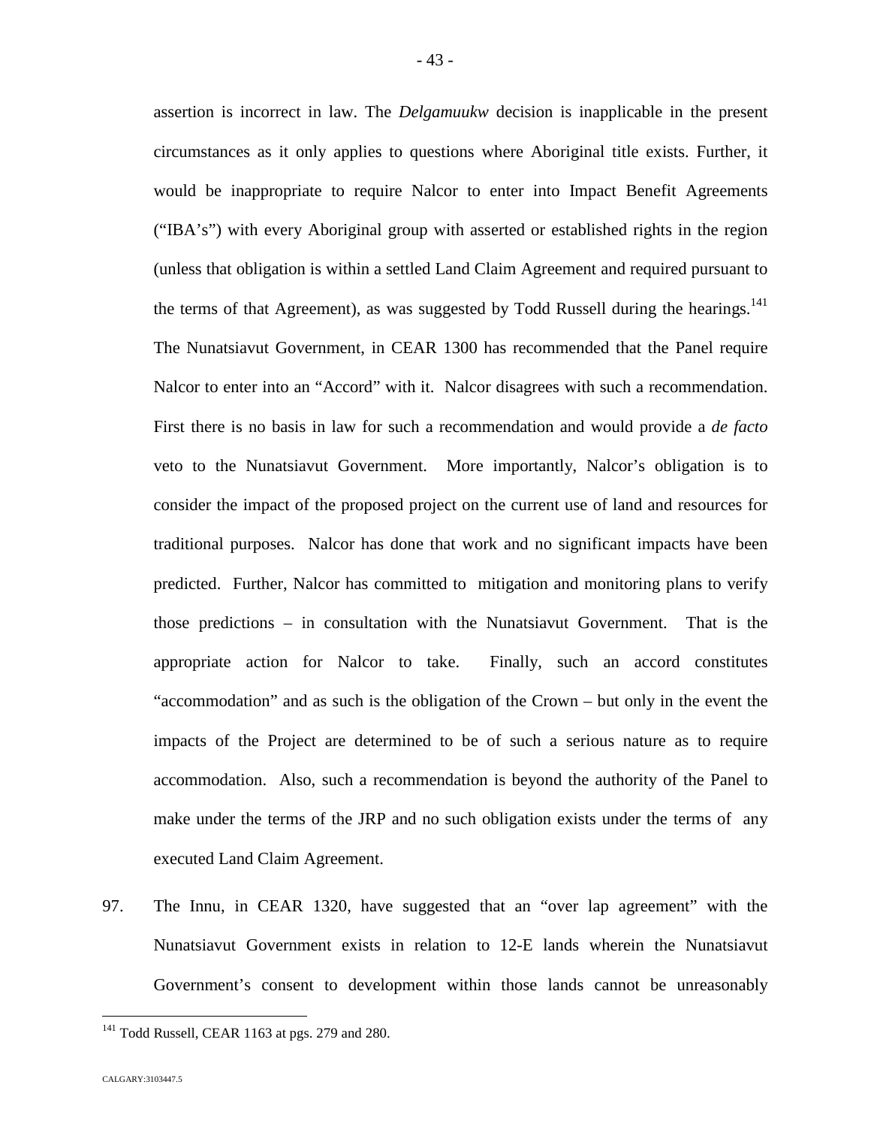assertion is incorrect in law. The *Delgamuukw* decision is inapplicable in the present circumstances as it only applies to questions where Aboriginal title exists. Further, it would be inappropriate to require Nalcor to enter into Impact Benefit Agreements ("IBA's") with every Aboriginal group with asserted or established rights in the region (unless that obligation is within a settled Land Claim Agreement and required pursuant to the terms of that Agreement), as was suggested by Todd Russell during the hearings.<sup>[141](#page-43-0)</sup> The Nunatsiavut Government, in CEAR 1300 has recommended that the Panel require Nalcor to enter into an "Accord" with it. Nalcor disagrees with such a recommendation. First there is no basis in law for such a recommendation and would provide a *de facto* veto to the Nunatsiavut Government. More importantly, Nalcor's obligation is to consider the impact of the proposed project on the current use of land and resources for traditional purposes. Nalcor has done that work and no significant impacts have been predicted. Further, Nalcor has committed to mitigation and monitoring plans to verify those predictions – in consultation with the Nunatsiavut Government. That is the appropriate action for Nalcor to take. Finally, such an accord constitutes "accommodation" and as such is the obligation of the Crown – but only in the event the impacts of the Project are determined to be of such a serious nature as to require accommodation. Also, such a recommendation is beyond the authority of the Panel to make under the terms of the JRP and no such obligation exists under the terms of any executed Land Claim Agreement.

97. The Innu, in CEAR 1320, have suggested that an "over lap agreement" with the Nunatsiavut Government exists in relation to 12-E lands wherein the Nunatsiavut Government's consent to development within those lands cannot be unreasonably

<span id="page-43-0"></span> $141$  Todd Russell, CEAR 1163 at pgs. 279 and 280.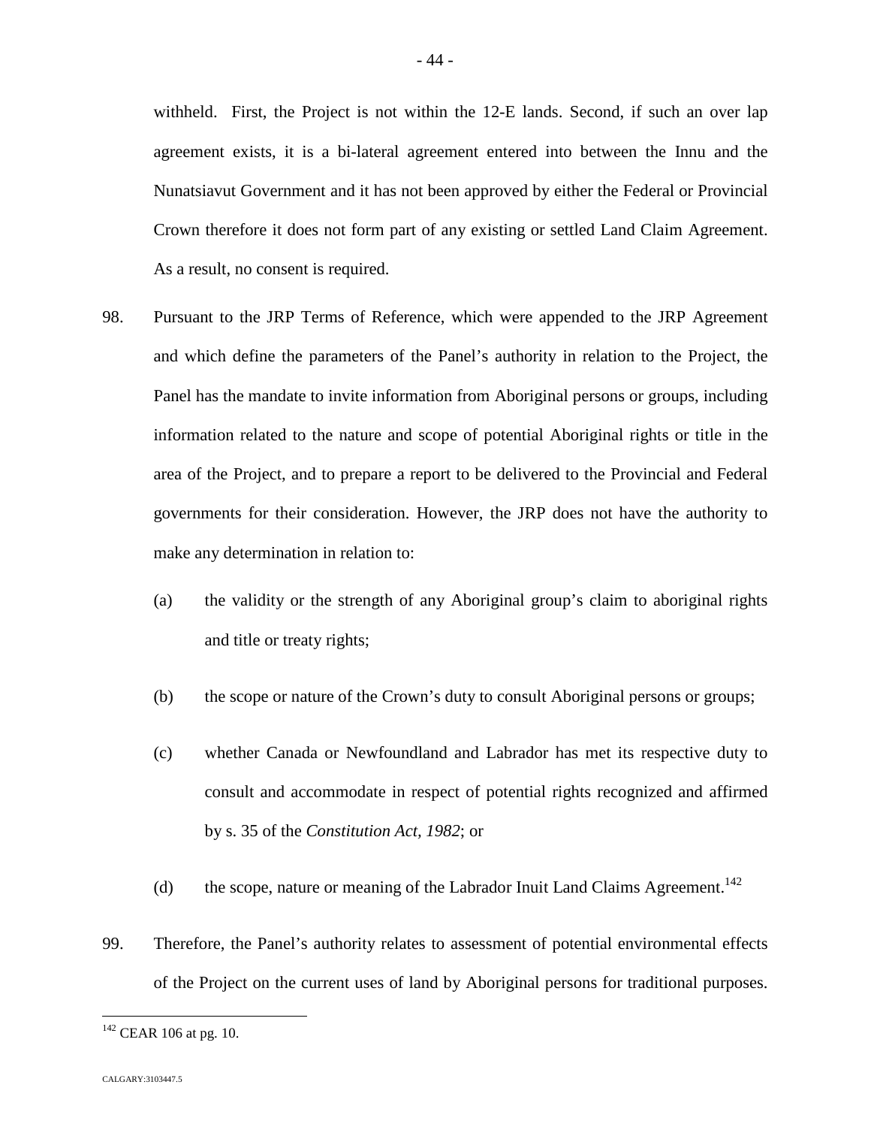withheld. First, the Project is not within the 12-E lands. Second, if such an over lap agreement exists, it is a bi-lateral agreement entered into between the Innu and the Nunatsiavut Government and it has not been approved by either the Federal or Provincial Crown therefore it does not form part of any existing or settled Land Claim Agreement. As a result, no consent is required.

- 98. Pursuant to the JRP Terms of Reference, which were appended to the JRP Agreement and which define the parameters of the Panel's authority in relation to the Project, the Panel has the mandate to invite information from Aboriginal persons or groups, including information related to the nature and scope of potential Aboriginal rights or title in the area of the Project, and to prepare a report to be delivered to the Provincial and Federal governments for their consideration. However, the JRP does not have the authority to make any determination in relation to:
	- (a) the validity or the strength of any Aboriginal group's claim to aboriginal rights and title or treaty rights;
	- (b) the scope or nature of the Crown's duty to consult Aboriginal persons or groups;
	- (c) whether Canada or Newfoundland and Labrador has met its respective duty to consult and accommodate in respect of potential rights recognized and affirmed by s. 35 of the *Constitution Act, 1982*; or
	- (d) the scope, nature or meaning of the Labrador Inuit Land Claims Agreement.<sup>14[2](#page-44-0)</sup>
- 99. Therefore, the Panel's authority relates to assessment of potential environmental effects of the Project on the current uses of land by Aboriginal persons for traditional purposes.

<span id="page-44-0"></span> $142$  CEAR 106 at pg. 10.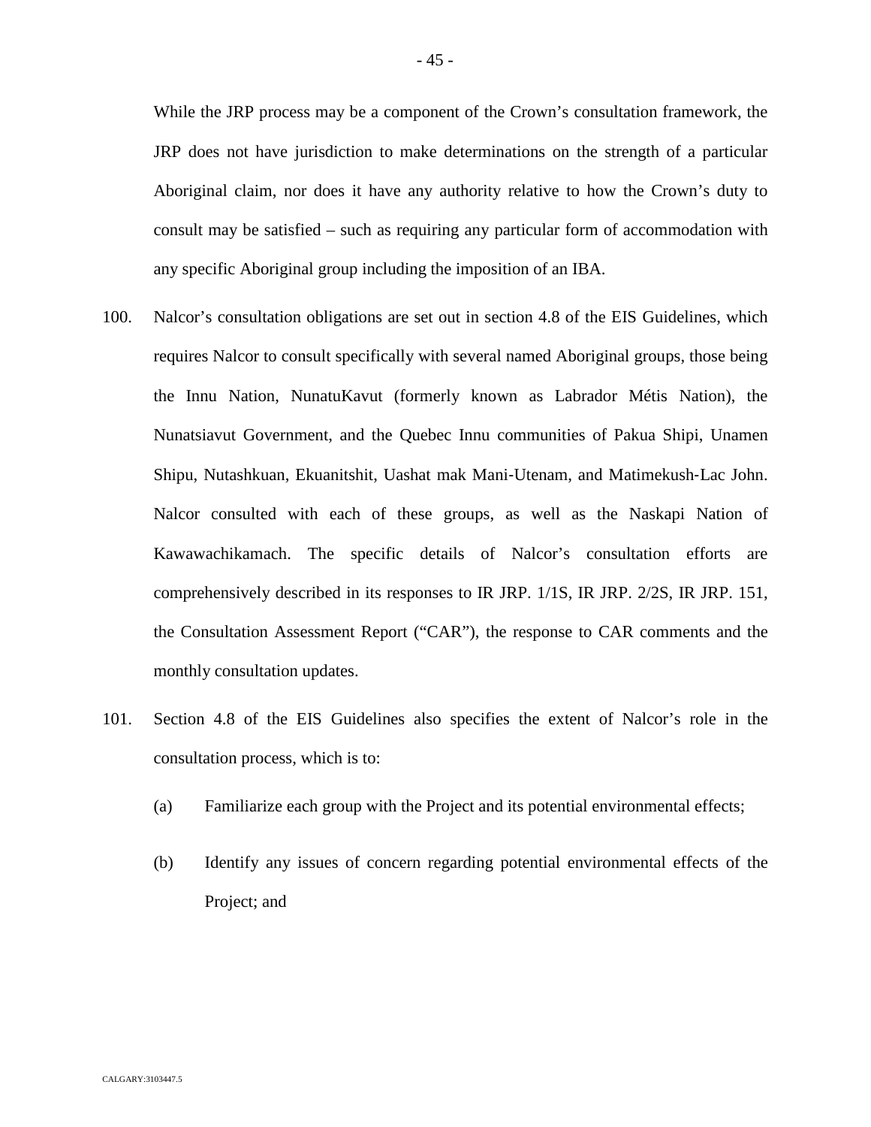While the JRP process may be a component of the Crown's consultation framework, the JRP does not have jurisdiction to make determinations on the strength of a particular Aboriginal claim, nor does it have any authority relative to how the Crown's duty to consult may be satisfied – such as requiring any particular form of accommodation with any specific Aboriginal group including the imposition of an IBA.

- 100. Nalcor's consultation obligations are set out in section 4.8 of the EIS Guidelines, which requires Nalcor to consult specifically with several named Aboriginal groups, those being the Innu Nation, NunatuKavut (formerly known as Labrador Métis Nation), the Nunatsiavut Government, and the Quebec Innu communities of Pakua Shipi, Unamen Shipu, Nutashkuan, Ekuanitshit, Uashat mak Mani‐Utenam, and Matimekush‐Lac John. Nalcor consulted with each of these groups, as well as the Naskapi Nation of Kawawachikamach. The specific details of Nalcor's consultation efforts are comprehensively described in its responses to IR JRP. 1/1S, IR JRP. 2/2S, IR JRP. 151, the Consultation Assessment Report ("CAR"), the response to CAR comments and the monthly consultation updates.
- 101. Section 4.8 of the EIS Guidelines also specifies the extent of Nalcor's role in the consultation process, which is to:
	- (a) Familiarize each group with the Project and its potential environmental effects;
	- (b) Identify any issues of concern regarding potential environmental effects of the Project; and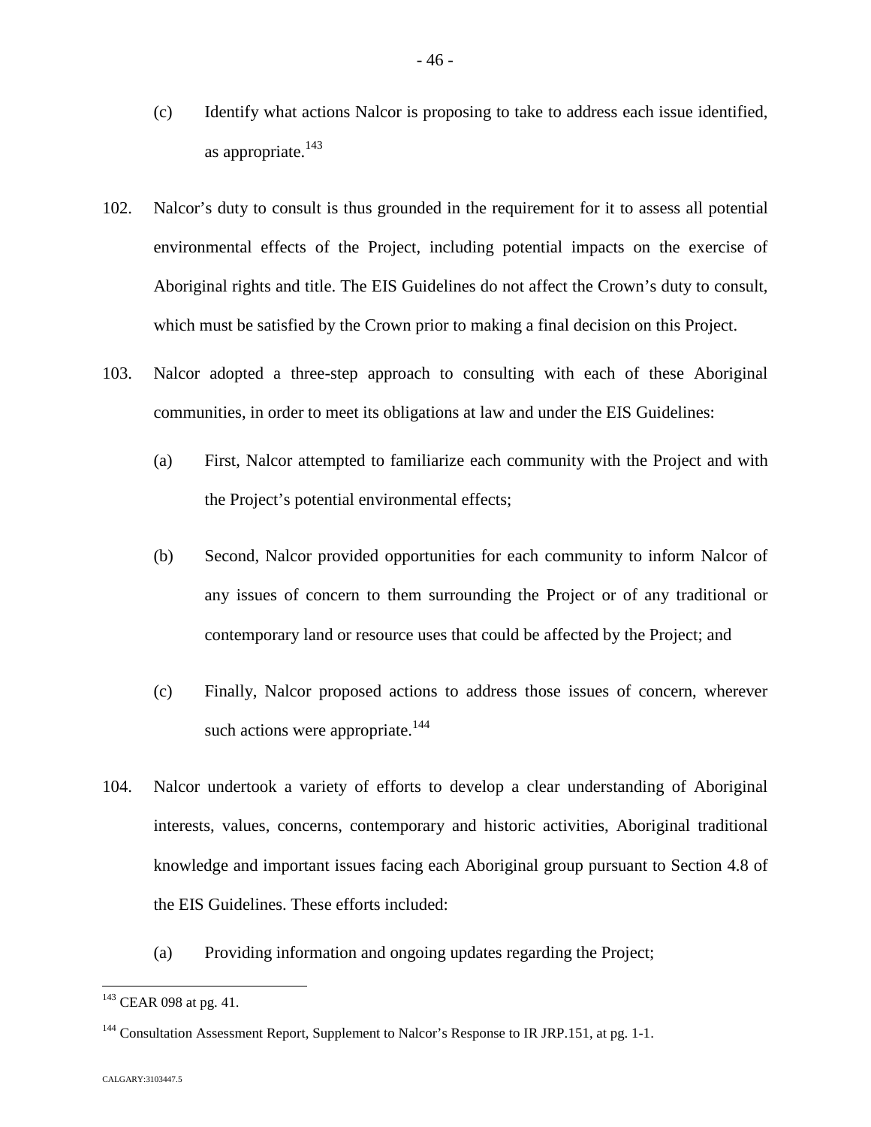- (c) Identify what actions Nalcor is proposing to take to address each issue identified, as appropriate.<sup>[143](#page-46-0)</sup>
- 102. Nalcor's duty to consult is thus grounded in the requirement for it to assess all potential environmental effects of the Project, including potential impacts on the exercise of Aboriginal rights and title. The EIS Guidelines do not affect the Crown's duty to consult, which must be satisfied by the Crown prior to making a final decision on this Project.
- 103. Nalcor adopted a three-step approach to consulting with each of these Aboriginal communities, in order to meet its obligations at law and under the EIS Guidelines:
	- (a) First, Nalcor attempted to familiarize each community with the Project and with the Project's potential environmental effects;
	- (b) Second, Nalcor provided opportunities for each community to inform Nalcor of any issues of concern to them surrounding the Project or of any traditional or contemporary land or resource uses that could be affected by the Project; and
	- (c) Finally, Nalcor proposed actions to address those issues of concern, wherever such actions were appropriate. $144$  $144$
- 104. Nalcor undertook a variety of efforts to develop a clear understanding of Aboriginal interests, values, concerns, contemporary and historic activities, Aboriginal traditional knowledge and important issues facing each Aboriginal group pursuant to Section 4.8 of the EIS Guidelines. These efforts included:
	- (a) Providing information and ongoing updates regarding the Project;

<span id="page-46-0"></span><sup>&</sup>lt;sup>143</sup> CEAR 098 at pg. 41.

<span id="page-46-1"></span><sup>&</sup>lt;sup>144</sup> Consultation Assessment Report, Supplement to Nalcor's Response to IR JRP.151, at pg. 1-1.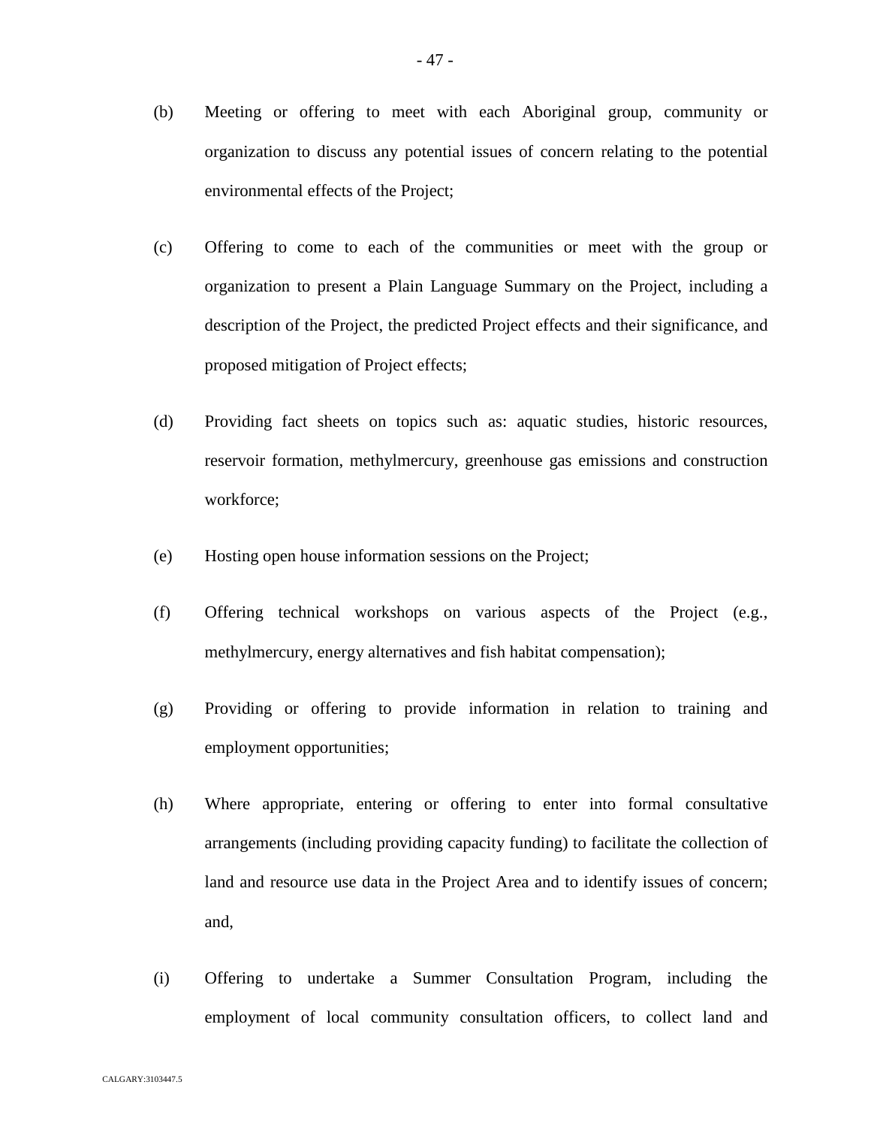- (b) Meeting or offering to meet with each Aboriginal group, community or organization to discuss any potential issues of concern relating to the potential environmental effects of the Project;
- (c) Offering to come to each of the communities or meet with the group or organization to present a Plain Language Summary on the Project, including a description of the Project, the predicted Project effects and their significance, and proposed mitigation of Project effects;
- (d) Providing fact sheets on topics such as: aquatic studies, historic resources, reservoir formation, methylmercury, greenhouse gas emissions and construction workforce;
- (e) Hosting open house information sessions on the Project;
- (f) Offering technical workshops on various aspects of the Project (e.g., methylmercury, energy alternatives and fish habitat compensation);
- (g) Providing or offering to provide information in relation to training and employment opportunities;
- (h) Where appropriate, entering or offering to enter into formal consultative arrangements (including providing capacity funding) to facilitate the collection of land and resource use data in the Project Area and to identify issues of concern; and,
- (i) Offering to undertake a Summer Consultation Program, including the employment of local community consultation officers, to collect land and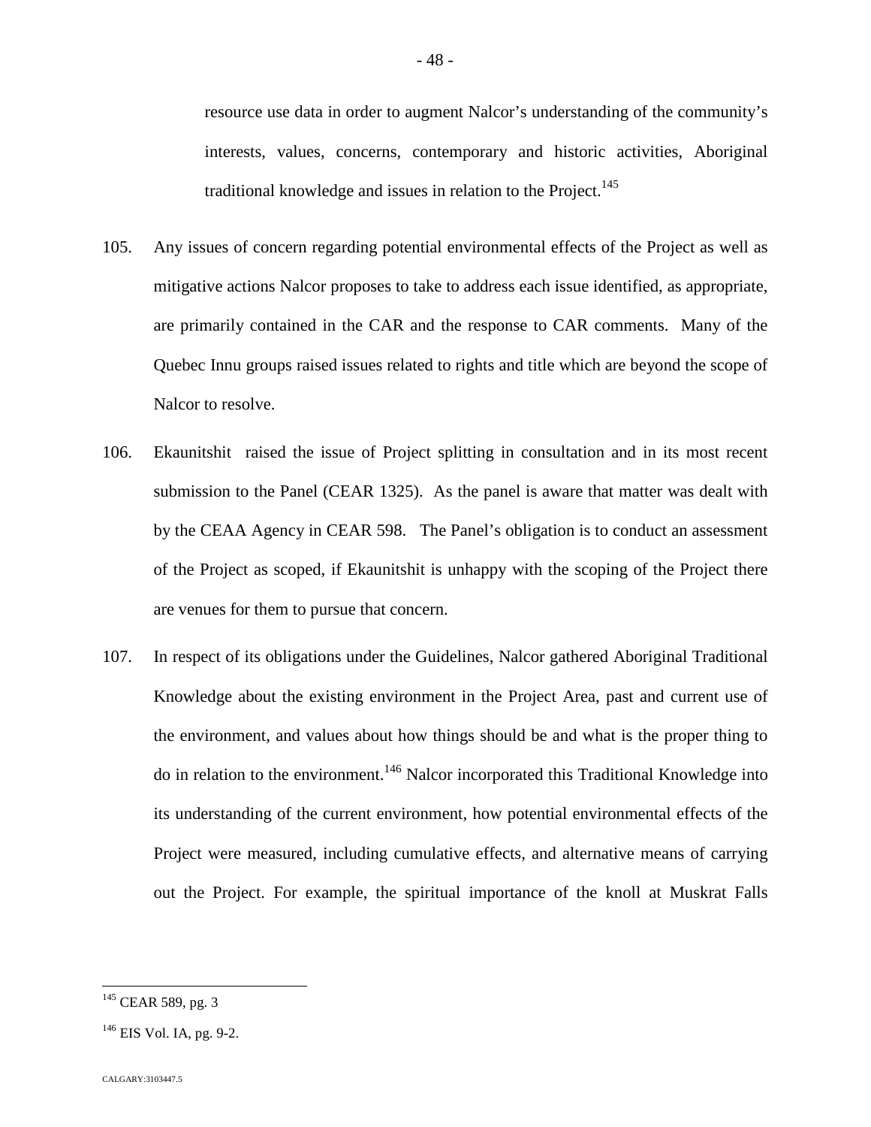resource use data in order to augment Nalcor's understanding of the community's interests, values, concerns, contemporary and historic activities, Aboriginal traditional knowledge and issues in relation to the Project.<sup>14[5](#page-48-0)</sup>

- 105. Any issues of concern regarding potential environmental effects of the Project as well as mitigative actions Nalcor proposes to take to address each issue identified, as appropriate, are primarily contained in the CAR and the response to CAR comments. Many of the Quebec Innu groups raised issues related to rights and title which are beyond the scope of Nalcor to resolve.
- 106. Ekaunitshit raised the issue of Project splitting in consultation and in its most recent submission to the Panel (CEAR 1325). As the panel is aware that matter was dealt with by the CEAA Agency in CEAR 598. The Panel's obligation is to conduct an assessment of the Project as scoped, if Ekaunitshit is unhappy with the scoping of the Project there are venues for them to pursue that concern.
- 107. In respect of its obligations under the Guidelines, Nalcor gathered Aboriginal Traditional Knowledge about the existing environment in the Project Area, past and current use of the environment, and values about how things should be and what is the proper thing to do in relation to the environment.<sup>[146](#page-48-1)</sup> Nalcor incorporated this Traditional Knowledge into its understanding of the current environment, how potential environmental effects of the Project were measured, including cumulative effects, and alternative means of carrying out the Project. For example, the spiritual importance of the knoll at Muskrat Falls

<span id="page-48-0"></span><sup>&</sup>lt;sup>145</sup> CEAR 589, pg. 3

<span id="page-48-1"></span> $146$  EIS Vol. IA, pg. 9-2.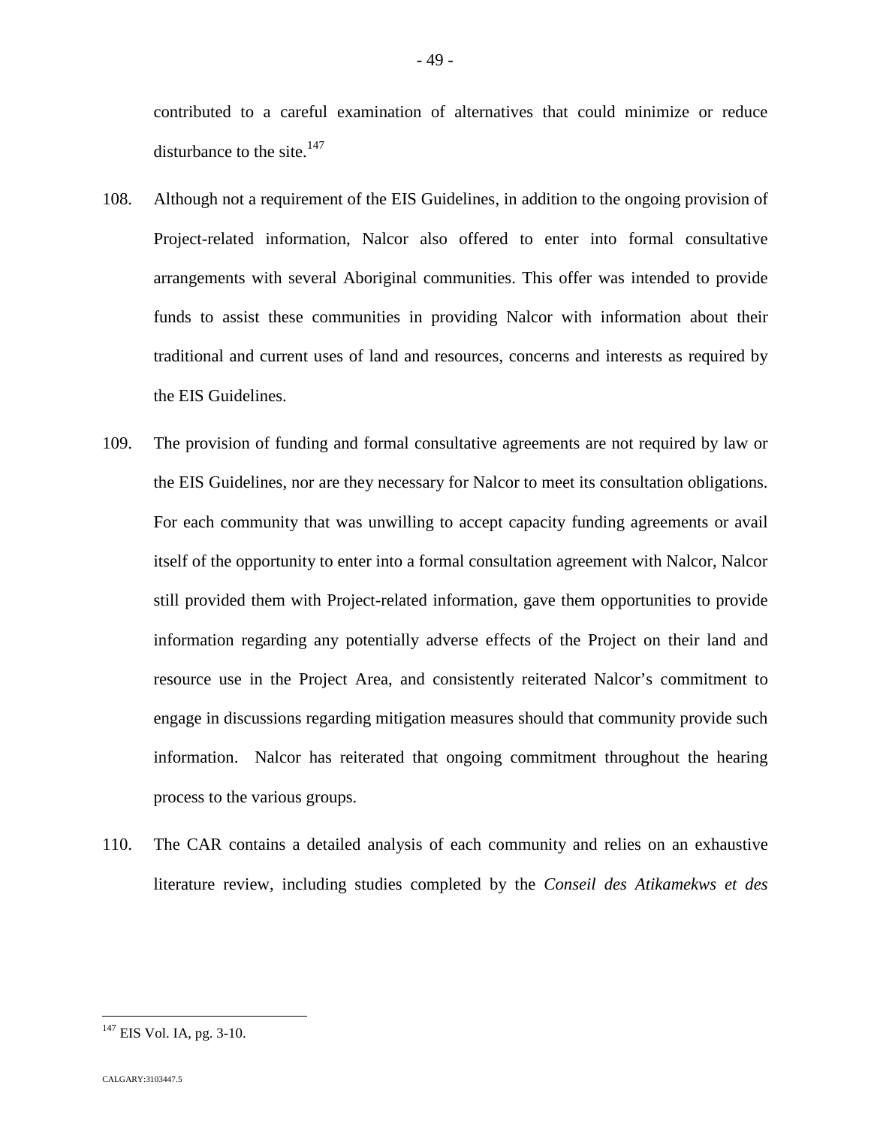contributed to a careful examination of alternatives that could minimize or reduce disturbanceto the site.<sup>147</sup>

- 108. Although not a requirement of the EIS Guidelines, in addition to the ongoing provision of Project-related information, Nalcor also offered to enter into formal consultative arrangements with several Aboriginal communities. This offer was intended to provide funds to assist these communities in providing Nalcor with information about their traditional and current uses of land and resources, concerns and interests as required by the EIS Guidelines.
- 109. The provision of funding and formal consultative agreements are not required by law or the EIS Guidelines, nor are they necessary for Nalcor to meet its consultation obligations. For each community that was unwilling to accept capacity funding agreements or avail itself of the opportunity to enter into a formal consultation agreement with Nalcor, Nalcor still provided them with Project-related information, gave them opportunities to provide information regarding any potentially adverse effects of the Project on their land and resource use in the Project Area, and consistently reiterated Nalcor's commitment to engage in discussions regarding mitigation measures should that community provide such information. Nalcor has reiterated that ongoing commitment throughout the hearing process to the various groups.
- 110. The CAR contains a detailed analysis of each community and relies on an exhaustive literature review, including studies completed by the *Conseil des Atikamekws et des*

<span id="page-49-0"></span> $^{147}$  EIS Vol. IA, pg. 3-10.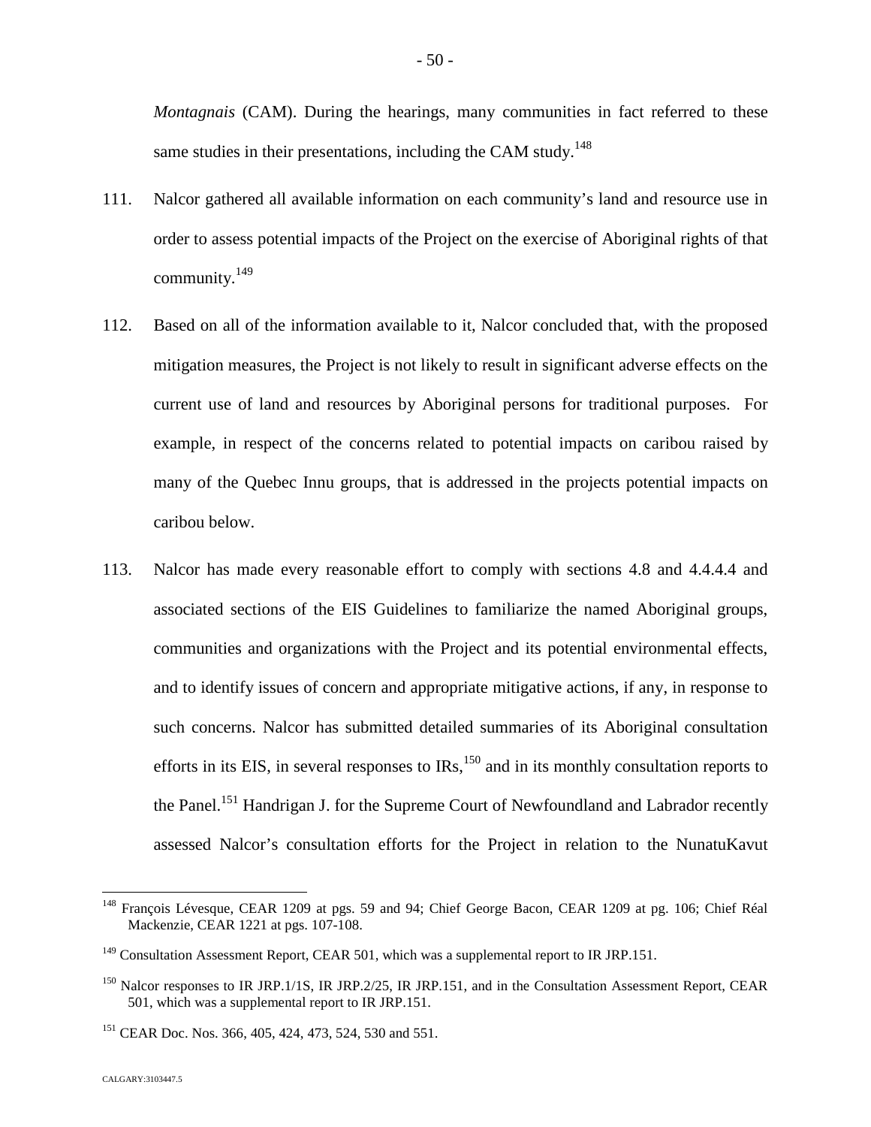*Montagnais* (CAM). During the hearings, many communities in fact referred to these same studies in their presentations, including the CAM study.<sup>14[8](#page-50-0)</sup>

- 111. Nalcor gathered all available information on each community's land and resource use in order to assess potential impacts of the Project on the exercise of Aboriginal rights of that community. $149$
- 112. Based on all of the information available to it, Nalcor concluded that, with the proposed mitigation measures, the Project is not likely to result in significant adverse effects on the current use of land and resources by Aboriginal persons for traditional purposes. For example, in respect of the concerns related to potential impacts on caribou raised by many of the Quebec Innu groups, that is addressed in the projects potential impacts on caribou below.
- 113. Nalcor has made every reasonable effort to comply with sections 4.8 and 4.4.4.4 and associated sections of the EIS Guidelines to familiarize the named Aboriginal groups, communities and organizations with the Project and its potential environmental effects, and to identify issues of concern and appropriate mitigative actions, if any, in response to such concerns. Nalcor has submitted detailed summaries of its Aboriginal consultation effortsin its EIS[,](#page-50-2) in several responses to  $\text{IRs}$ ,  $^{150}$  and in its monthly consultation reports to the Panel.<sup>[151](#page-50-3)</sup> Handrigan J. for the Supreme Court of Newfoundland and Labrador recently assessed Nalcor's consultation efforts for the Project in relation to the NunatuKavut

<span id="page-50-0"></span><sup>&</sup>lt;sup>148</sup> François Lévesque, CEAR 1209 at pgs. 59 and 94; Chief George Bacon, CEAR 1209 at pg. 106; Chief Réal Mackenzie, CEAR 1221 at pgs. 107-108.

<span id="page-50-1"></span><sup>&</sup>lt;sup>149</sup> Consultation Assessment Report, CEAR 501, which was a supplemental report to IR JRP.151.

<span id="page-50-2"></span><sup>&</sup>lt;sup>150</sup> Nalcor responses to IR JRP.1/1S, IR JRP.2/25, IR JRP.151, and in the Consultation Assessment Report, CEAR 501, which was a supplemental report to IR JRP.151.

<span id="page-50-3"></span><sup>&</sup>lt;sup>151</sup> CEAR Doc. Nos. 366, 405, 424, 473, 524, 530 and 551.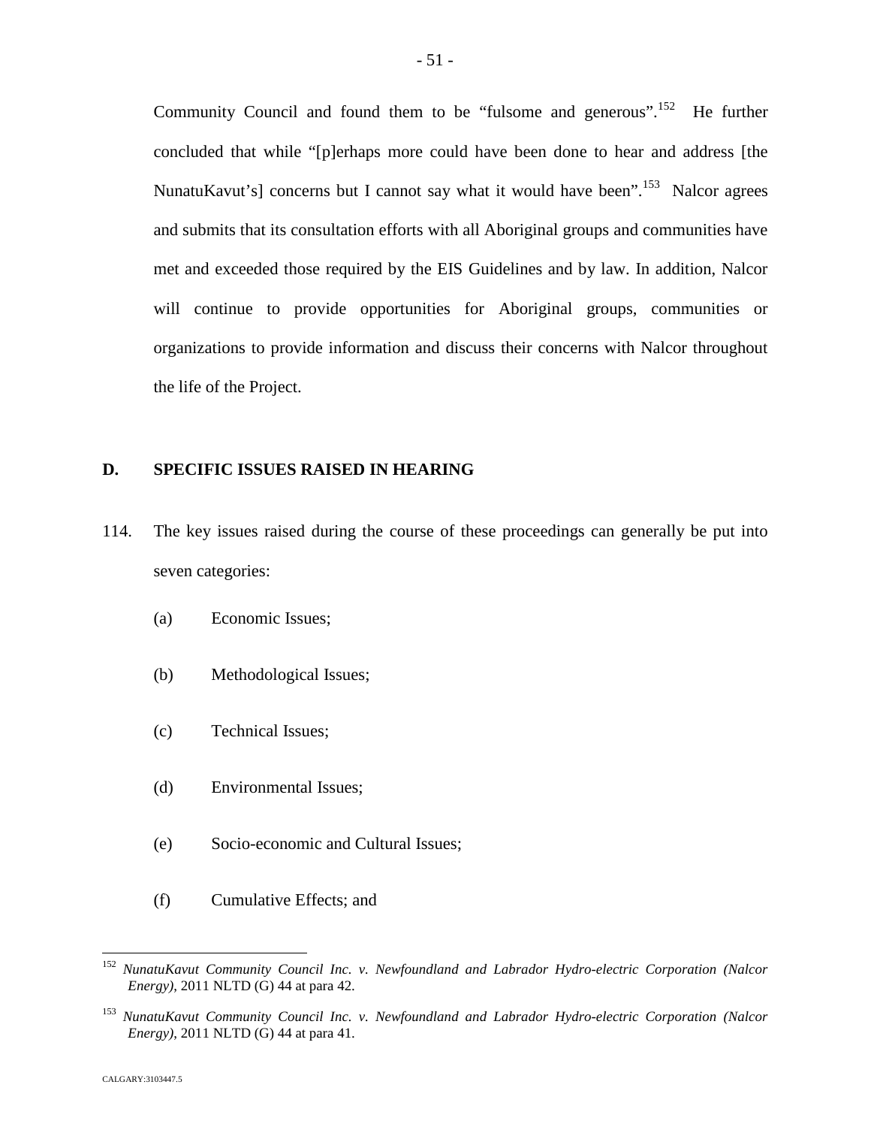Community Council and found them to be "fulsome and generous".<sup>[152](#page-51-0)</sup> He further concluded that while "[p]erhaps more could have been done to hear and address [the NunatuKavut's] concerns but I cannot say what it would have been".<sup>[153](#page-51-1)</sup> Nalcor agrees and submits that its consultation efforts with all Aboriginal groups and communities have met and exceeded those required by the EIS Guidelines and by law. In addition, Nalcor will continue to provide opportunities for Aboriginal groups, communities or organizations to provide information and discuss their concerns with Nalcor throughout the life of the Project.

# **D. SPECIFIC ISSUES RAISED IN HEARING**

- 114. The key issues raised during the course of these proceedings can generally be put into seven categories:
	- (a) Economic Issues;
	- (b) Methodological Issues;
	- (c) Technical Issues;
	- (d) Environmental Issues;
	- (e) Socio-economic and Cultural Issues;
	- (f) Cumulative Effects; and

<span id="page-51-0"></span><sup>152</sup> *NunatuKavut Community Council Inc. v. Newfoundland and Labrador Hydro-electric Corporation (Nalcor Energy)*, 2011 NLTD (G) 44 at para 42.

<span id="page-51-1"></span><sup>153</sup> *NunatuKavut Community Council Inc. v. Newfoundland and Labrador Hydro-electric Corporation (Nalcor Energy)*, 2011 NLTD (G) 44 at para 41.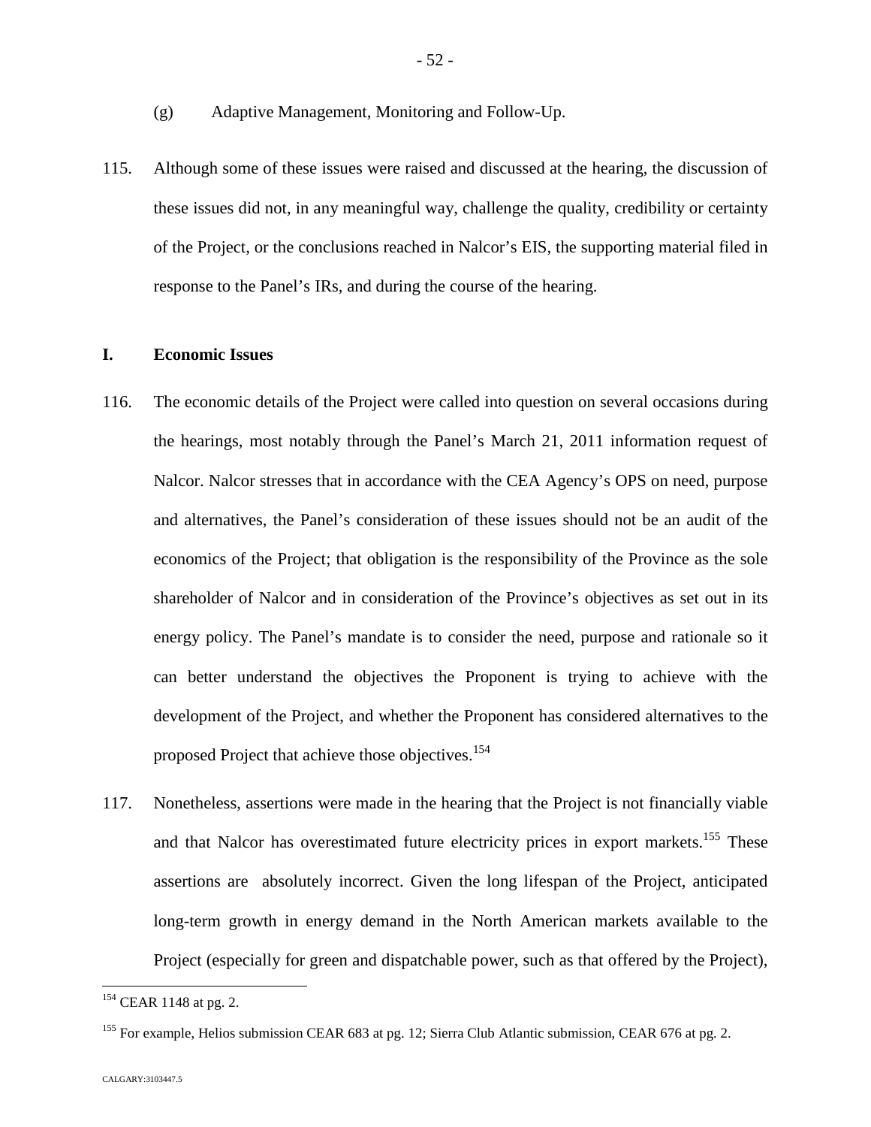- (g) Adaptive Management, Monitoring and Follow-Up.
- 115. Although some of these issues were raised and discussed at the hearing, the discussion of these issues did not, in any meaningful way, challenge the quality, credibility or certainty of the Project, or the conclusions reached in Nalcor's EIS, the supporting material filed in response to the Panel's IRs, and during the course of the hearing.

### **I. Economic Issues**

- 116. The economic details of the Project were called into question on several occasions during the hearings, most notably through the Panel's March 21, 2011 information request of Nalcor. Nalcor stresses that in accordance with the CEA Agency's OPS on need, purpose and alternatives, the Panel's consideration of these issues should not be an audit of the economics of the Project; that obligation is the responsibility of the Province as the sole shareholder of Nalcor and in consideration of the Province's objectives as set out in its energy policy. The Panel's mandate is to consider the need, purpose and rationale so it can better understand the objectives the Proponent is trying to achieve with the development of the Project, and whether the Proponent has considered alternatives to the proposed Project that achieve those objectives.<sup>15[4](#page-52-0)</sup>
- 117. Nonetheless, assertions were made in the hearing that the Project is not financially viable and that Nalcor has overestimated future electricity prices in export markets.<sup>[155](#page-52-1)</sup> These assertions are absolutely incorrect. Given the long lifespan of the Project, anticipated long-term growth in energy demand in the North American markets available to the Project (especially for green and dispatchable power, such as that offered by the Project),

<span id="page-52-0"></span><sup>&</sup>lt;sup>154</sup> CEAR 1148 at pg. 2.

<span id="page-52-1"></span><sup>&</sup>lt;sup>155</sup> For example, Helios submission CEAR 683 at pg. 12; Sierra Club Atlantic submission, CEAR 676 at pg. 2.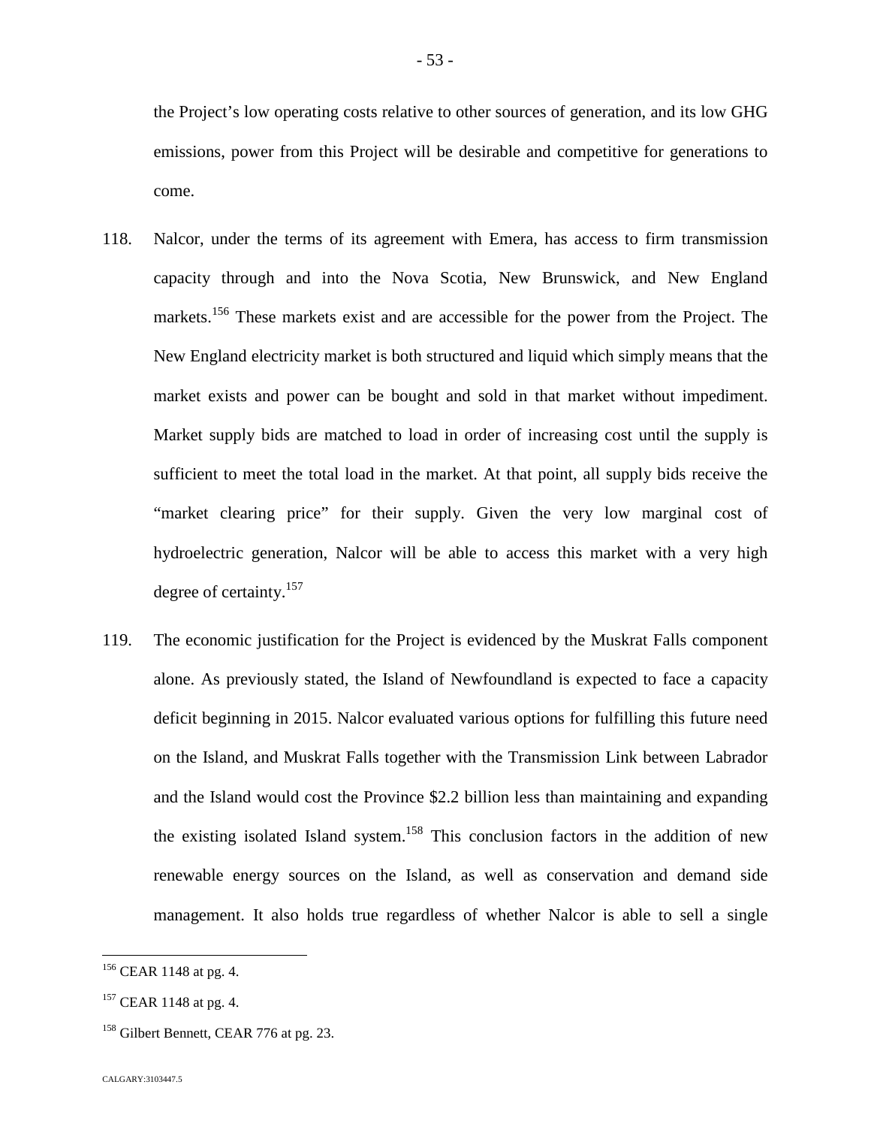the Project's low operating costs relative to other sources of generation, and its low GHG emissions, power from this Project will be desirable and competitive for generations to come.

- 118. Nalcor, under the terms of its agreement with Emera, has access to firm transmission capacity through and into the Nova Scotia, New Brunswick, and New England markets.<sup>[156](#page-53-0)</sup> These markets exist and are accessible for the power from the Project. The New England electricity market is both structured and liquid which simply means that the market exists and power can be bought and sold in that market without impediment. Market supply bids are matched to load in order of increasing cost until the supply is sufficient to meet the total load in the market. At that point, all supply bids receive the "market clearing price" for their supply. Given the very low marginal cost of hydroelectric generation, Nalcor will be able to access this market with a very high degree of certainty.<sup>[157](#page-53-1)</sup>
- 119. The economic justification for the Project is evidenced by the Muskrat Falls component alone. As previously stated, the Island of Newfoundland is expected to face a capacity deficit beginning in 2015. Nalcor evaluated various options for fulfilling this future need on the Island, and Muskrat Falls together with the Transmission Link between Labrador and the Island would cost the Province \$2.2 billion less than maintaining and expanding the existing isolated Island system.<sup>[158](#page-53-2)</sup> This conclusion factors in the addition of new renewable energy sources on the Island, as well as conservation and demand side management. It also holds true regardless of whether Nalcor is able to sell a single

<span id="page-53-0"></span><sup>&</sup>lt;sup>156</sup> CEAR 1148 at pg. 4.

<span id="page-53-1"></span> $157$  CEAR 1148 at pg. 4.

<span id="page-53-2"></span><sup>&</sup>lt;sup>158</sup> Gilbert Bennett, CEAR 776 at pg. 23.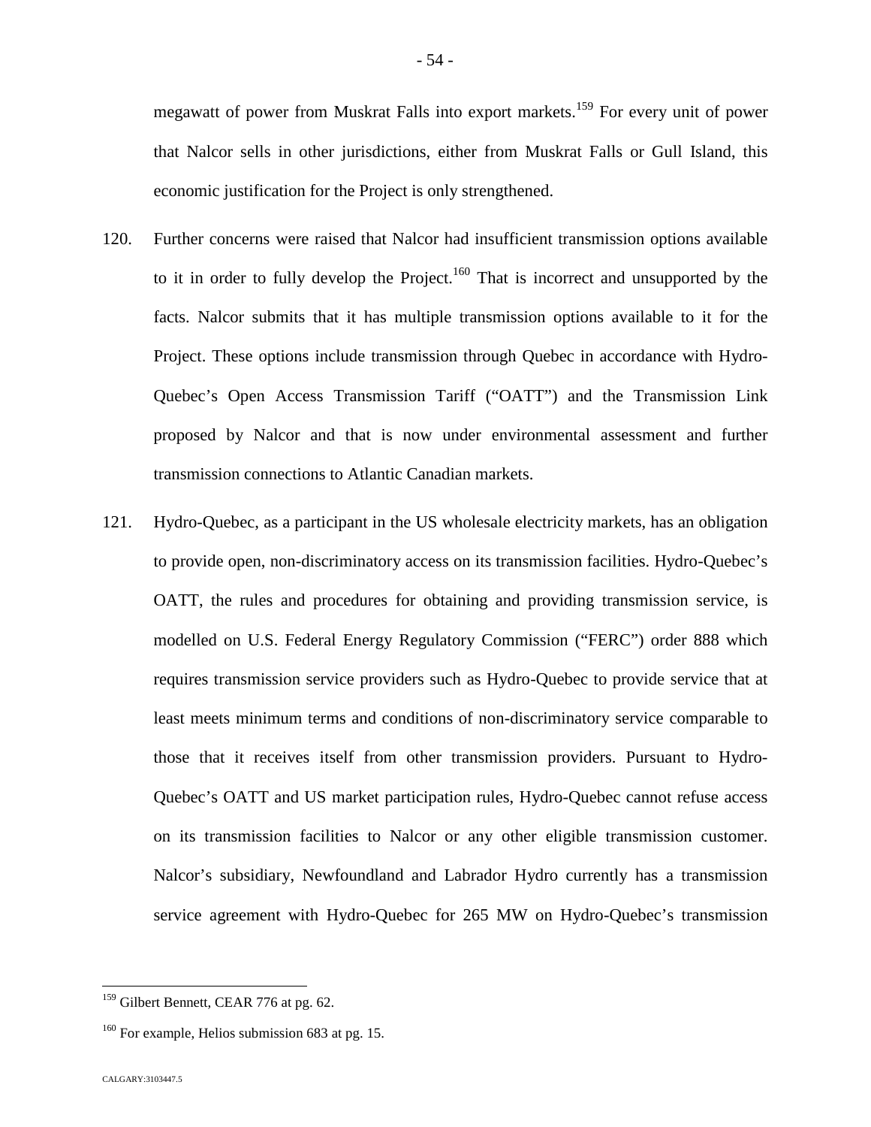megawatt of power from Muskrat Falls into export markets.[159](#page-54-0) For every unit of power that Nalcor sells in other jurisdictions, either from Muskrat Falls or Gull Island, this economic justification for the Project is only strengthened.

- 120. Further concerns were raised that Nalcor had insufficient transmission options available to it in order to fully develop the Project.<sup>[160](#page-54-1)</sup> That is incorrect and unsupported by the facts. Nalcor submits that it has multiple transmission options available to it for the Project. These options include transmission through Quebec in accordance with Hydro-Quebec's Open Access Transmission Tariff ("OATT") and the Transmission Link proposed by Nalcor and that is now under environmental assessment and further transmission connections to Atlantic Canadian markets.
- 121. Hydro-Quebec, as a participant in the US wholesale electricity markets, has an obligation to provide open, non-discriminatory access on its transmission facilities. Hydro-Quebec's OATT, the rules and procedures for obtaining and providing transmission service, is modelled on U.S. Federal Energy Regulatory Commission ("FERC") order 888 which requires transmission service providers such as Hydro-Quebec to provide service that at least meets minimum terms and conditions of non-discriminatory service comparable to those that it receives itself from other transmission providers. Pursuant to Hydro-Quebec's OATT and US market participation rules, Hydro-Quebec cannot refuse access on its transmission facilities to Nalcor or any other eligible transmission customer. Nalcor's subsidiary, Newfoundland and Labrador Hydro currently has a transmission service agreement with Hydro-Quebec for 265 MW on Hydro-Quebec's transmission

<span id="page-54-0"></span><sup>&</sup>lt;sup>159</sup> Gilbert Bennett, CEAR 776 at pg. 62.

<span id="page-54-1"></span> $160$  For example, Helios submission 683 at pg. 15.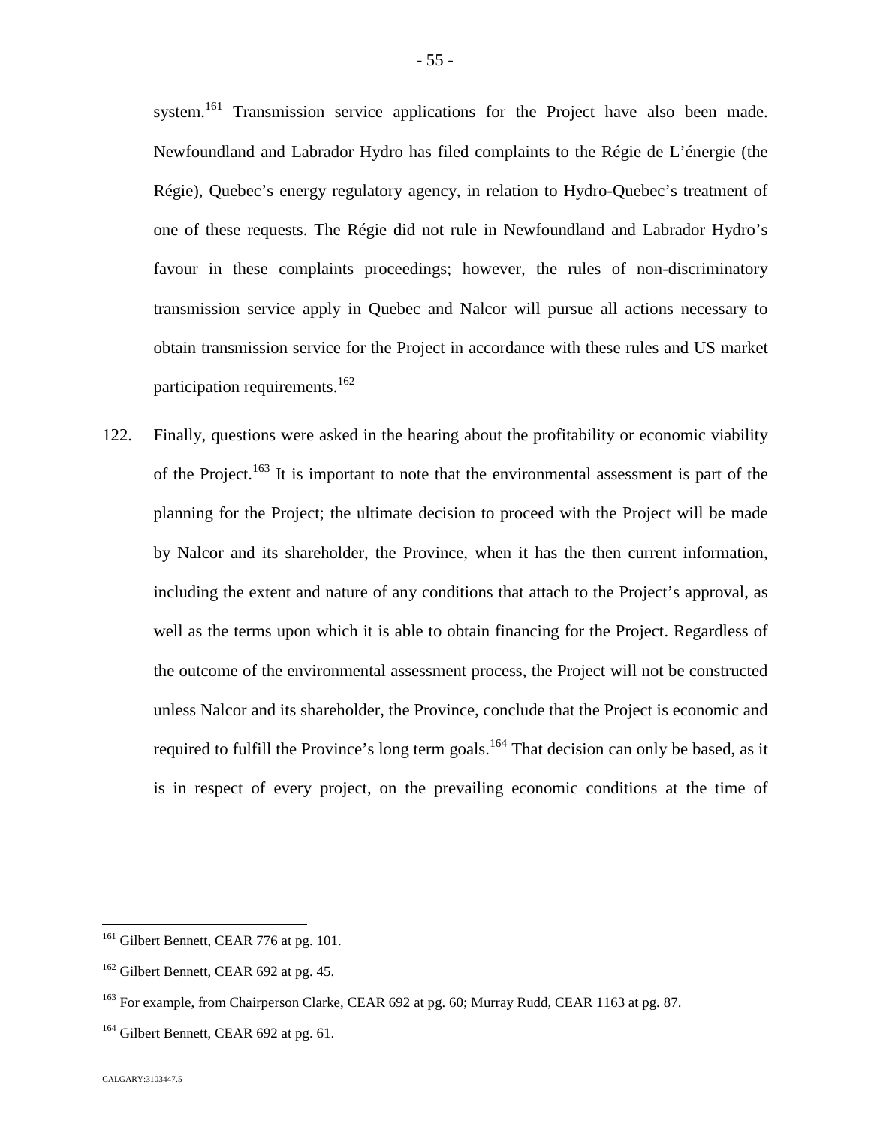system.<sup>[161](#page-55-0)</sup> Transmission service applications for the Project have also been made. Newfoundland and Labrador Hydro has filed complaints to the Régie de L'énergie (the Régie), Quebec's energy regulatory agency, in relation to Hydro-Quebec's treatment of one of these requests. The Régie did not rule in Newfoundland and Labrador Hydro's favour in these complaints proceedings; however, the rules of non-discriminatory transmission service apply in Quebec and Nalcor will pursue all actions necessary to obtain transmission service for the Project in accordance with these rules and US market participation requirements.<sup>1[62](#page-55-1)</sup>

122. Finally, questions were asked in the hearing about the profitability or economic viability of the Project.<sup>[163](#page-55-2)</sup> It is important to note that the environmental assessment is part of the planning for the Project; the ultimate decision to proceed with the Project will be made by Nalcor and its shareholder, the Province, when it has the then current information, including the extent and nature of any conditions that attach to the Project's approval, as well as the terms upon which it is able to obtain financing for the Project. Regardless of the outcome of the environmental assessment process, the Project will not be constructed unless Nalcor and its shareholder, the Province, conclude that the Project is economic and required to fulfill the Province's long term goals.<sup>[164](#page-55-3)</sup> That decision can only be based, as it is in respect of every project, on the prevailing economic conditions at the time of

<span id="page-55-0"></span><sup>&</sup>lt;sup>161</sup> Gilbert Bennett, CEAR 776 at pg. 101.

<span id="page-55-1"></span><sup>&</sup>lt;sup>162</sup> Gilbert Bennett, CEAR 692 at pg. 45.

<span id="page-55-2"></span><sup>&</sup>lt;sup>163</sup> For example, from Chairperson Clarke, CEAR 692 at pg. 60; Murray Rudd, CEAR 1163 at pg. 87.

<span id="page-55-3"></span><sup>&</sup>lt;sup>164</sup> Gilbert Bennett, CEAR 692 at pg. 61.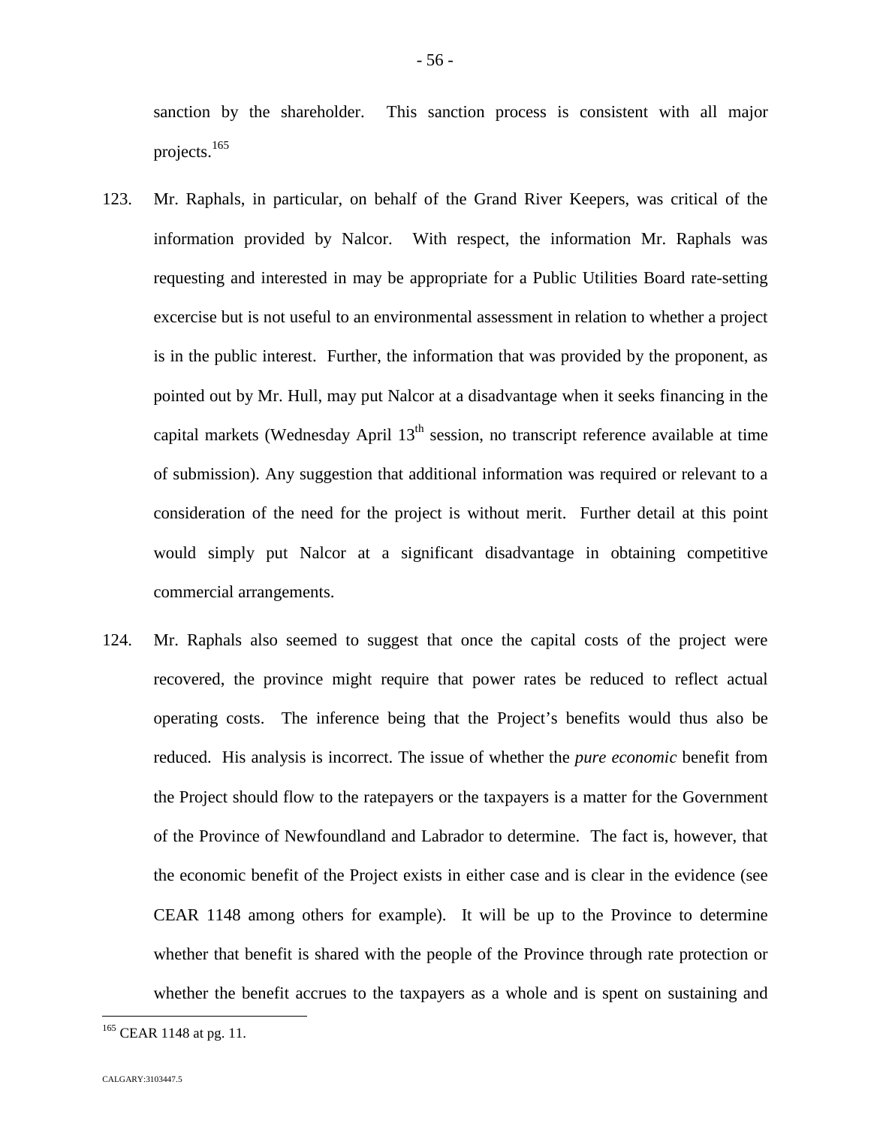sanction by the shareholder. This sanction process is consistent with all major projects.[165](#page-56-0)

- 123. Mr. Raphals, in particular, on behalf of the Grand River Keepers, was critical of the information provided by Nalcor. With respect, the information Mr. Raphals was requesting and interested in may be appropriate for a Public Utilities Board rate-setting excercise but is not useful to an environmental assessment in relation to whether a project is in the public interest. Further, the information that was provided by the proponent, as pointed out by Mr. Hull, may put Nalcor at a disadvantage when it seeks financing in the capital markets (Wednesday April  $13<sup>th</sup>$  session, no transcript reference available at time of submission). Any suggestion that additional information was required or relevant to a consideration of the need for the project is without merit. Further detail at this point would simply put Nalcor at a significant disadvantage in obtaining competitive commercial arrangements.
- 124. Mr. Raphals also seemed to suggest that once the capital costs of the project were recovered, the province might require that power rates be reduced to reflect actual operating costs. The inference being that the Project's benefits would thus also be reduced. His analysis is incorrect. The issue of whether the *pure economic* benefit from the Project should flow to the ratepayers or the taxpayers is a matter for the Government of the Province of Newfoundland and Labrador to determine. The fact is, however, that the economic benefit of the Project exists in either case and is clear in the evidence (see CEAR 1148 among others for example). It will be up to the Province to determine whether that benefit is shared with the people of the Province through rate protection or whether the benefit accrues to the taxpayers as a whole and is spent on sustaining and

<span id="page-56-0"></span><sup>&</sup>lt;sup>165</sup> CEAR 1148 at pg. 11.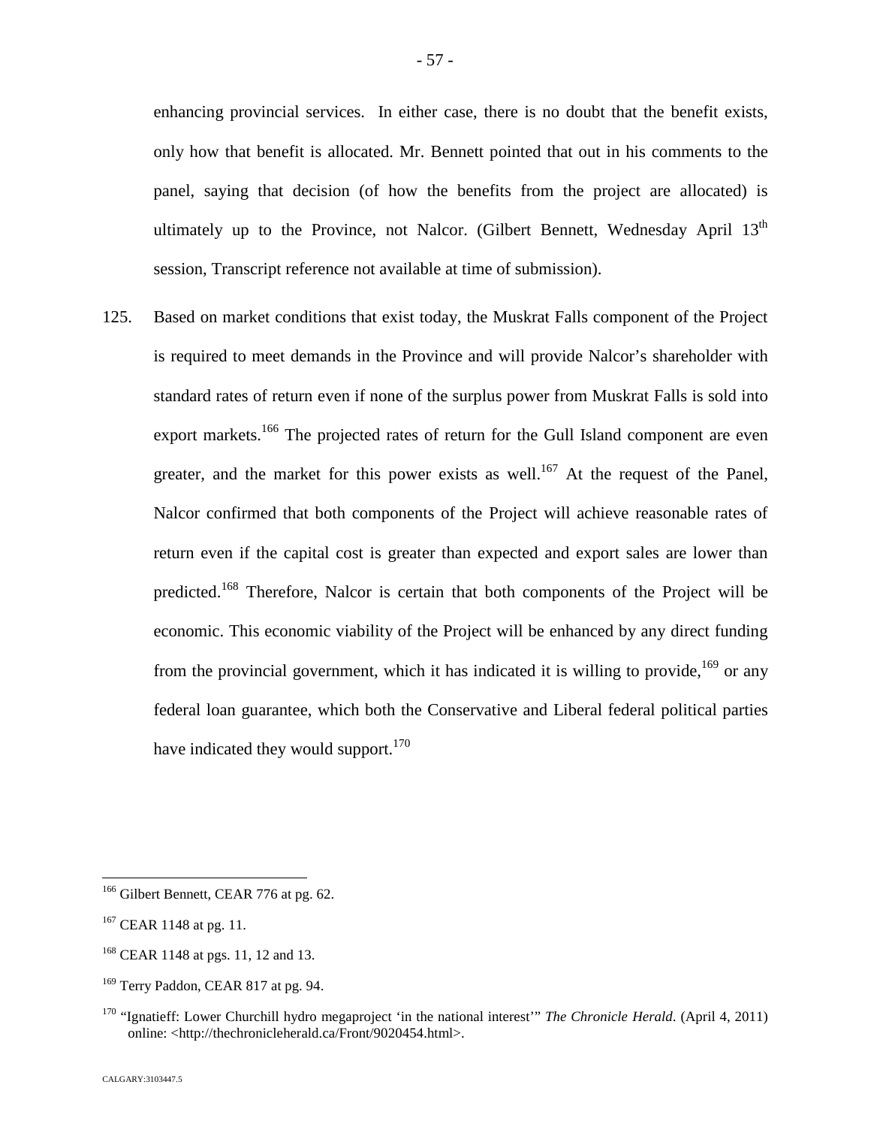enhancing provincial services. In either case, there is no doubt that the benefit exists, only how that benefit is allocated. Mr. Bennett pointed that out in his comments to the panel, saying that decision (of how the benefits from the project are allocated) is ultimately up to the Province, not Nalcor. (Gilbert Bennett, Wednesday April  $13<sup>th</sup>$ session, Transcript reference not available at time of submission).

125. Based on market conditions that exist today, the Muskrat Falls component of the Project is required to meet demands in the Province and will provide Nalcor's shareholder with standard rates of return even if none of the surplus power from Muskrat Falls is sold into export markets.<sup>[166](#page-57-0)</sup> The projected rates of return for the Gull Island component are even greater, and the market for this power exists as well.<sup>[167](#page-57-1)</sup> At the request of the Panel, Nalcor confirmed that both components of the Project will achieve reasonable rates of return even if the capital cost is greater than expected and export sales are lower than predicted.[168](#page-57-2) Therefore, Nalcor is certain that both components of the Project will be economic. This economic viability of the Project will be enhanced by any direct funding from the provincial government, which it has indicated it is willing to provide,<sup>[169](#page-57-3)</sup> or any federal loan guarantee, which both the Conservative and Liberal federal political parties have indicated they would support. $170$  $170$ 

<span id="page-57-0"></span><sup>&</sup>lt;sup>166</sup> Gilbert Bennett, CEAR 776 at pg. 62.

<span id="page-57-1"></span> $167$  CEAR 1148 at pg. 11.

<span id="page-57-2"></span><sup>&</sup>lt;sup>168</sup> CEAR 1148 at pgs. 11, 12 and 13.

<span id="page-57-3"></span><sup>&</sup>lt;sup>169</sup> Terry Paddon, CEAR 817 at pg. 94.

<span id="page-57-4"></span><sup>&</sup>lt;sup>170</sup> "Ignatieff: Lower Churchill hydro megaproject 'in the national interest'" *The Chronicle Herald*. (April 4, 2011) online: <http://thechronicleherald.ca/Front/9020454.html>.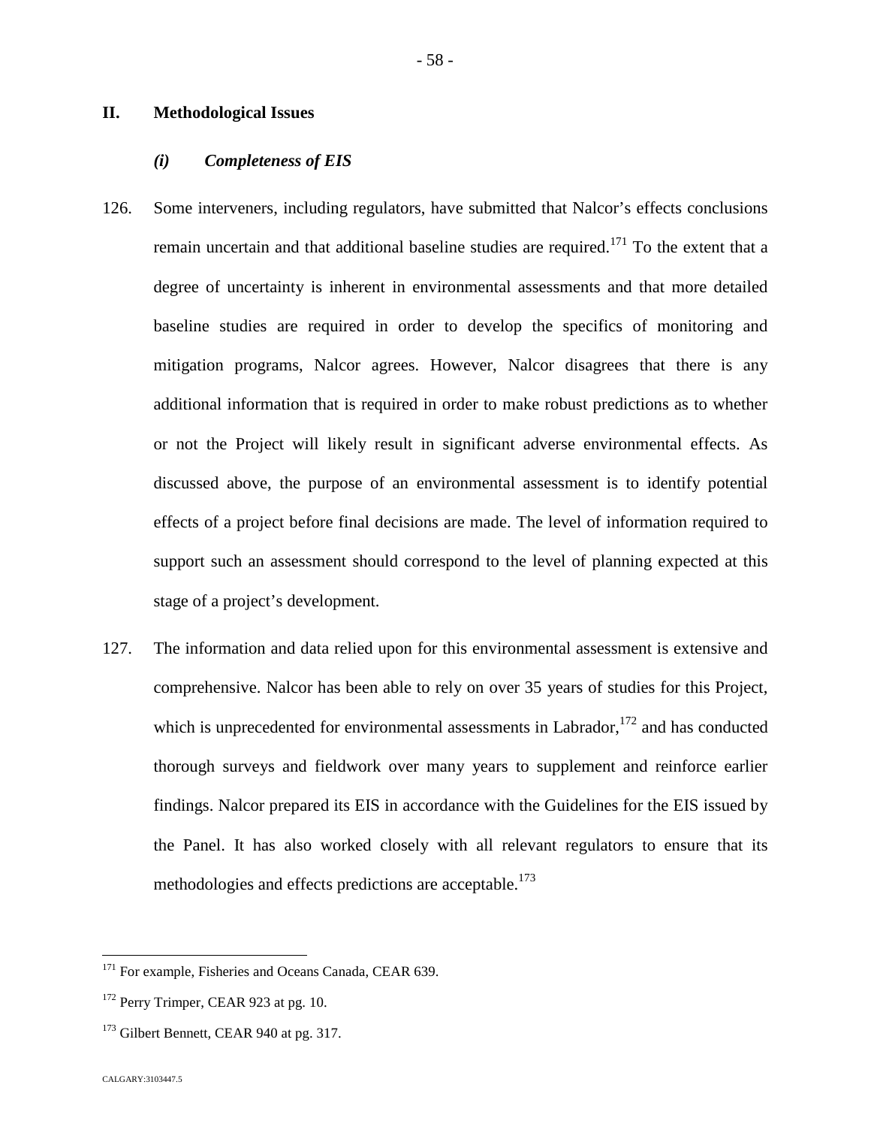#### **II. Methodological Issues**

#### *(i) Completeness of EIS*

- 126. Some interveners, including regulators, have submitted that Nalcor's effects conclusions remain uncertain and that additional baseline studies are required.<sup>[171](#page-58-0)</sup> To the extent that a degree of uncertainty is inherent in environmental assessments and that more detailed baseline studies are required in order to develop the specifics of monitoring and mitigation programs, Nalcor agrees. However, Nalcor disagrees that there is any additional information that is required in order to make robust predictions as to whether or not the Project will likely result in significant adverse environmental effects. As discussed above, the purpose of an environmental assessment is to identify potential effects of a project before final decisions are made. The level of information required to support such an assessment should correspond to the level of planning expected at this stage of a project's development.
- 127. The information and data relied upon for this environmental assessment is extensive and comprehensive. Nalcor has been able to rely on over 35 years of studies for this Project, which is unprecedented for environmental assessments in Labrador,  $172$  and has conducted thorough surveys and fieldwork over many years to supplement and reinforce earlier findings. Nalcor prepared its EIS in accordance with the Guidelines for the EIS issued by the Panel. It has also worked closely with all relevant regulators to ensure that its methodologies and effects predictions are acceptable.<sup>17[3](#page-58-2)</sup>

<span id="page-58-0"></span><sup>&</sup>lt;sup>171</sup> For example, Fisheries and Oceans Canada, CEAR 639.

<span id="page-58-1"></span><sup>&</sup>lt;sup>172</sup> Perry Trimper, CEAR 923 at pg. 10.

<span id="page-58-2"></span><sup>&</sup>lt;sup>173</sup> Gilbert Bennett, CEAR 940 at pg. 317.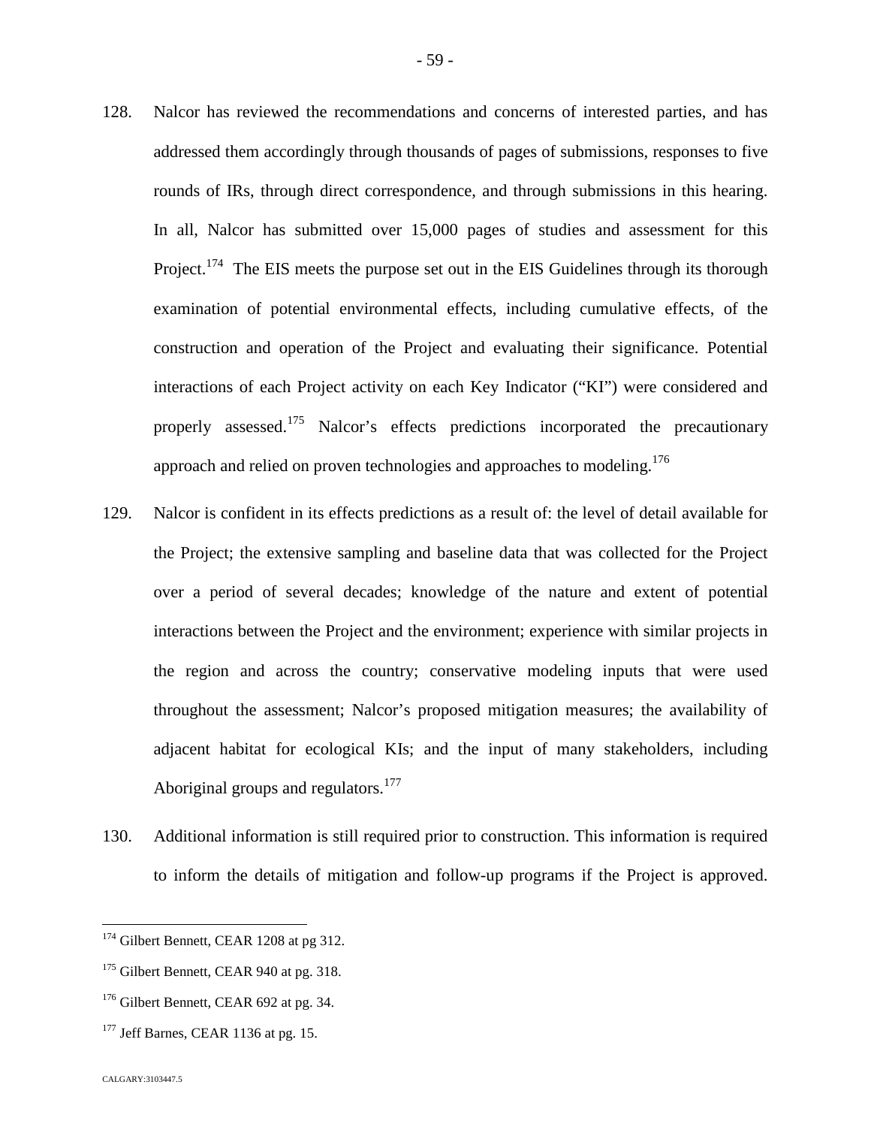- 128. Nalcor has reviewed the recommendations and concerns of interested parties, and has addressed them accordingly through thousands of pages of submissions, responses to five rounds of IRs, through direct correspondence, and through submissions in this hearing. In all, Nalcor has submitted over 15,000 pages of studies and assessment for this Project.<sup>[174](#page-59-0)</sup> The EIS meets the purpose set out in the EIS Guidelines through its thorough examination of potential environmental effects, including cumulative effects, of the construction and operation of the Project and evaluating their significance. Potential interactions of each Project activity on each Key Indicator ("KI") were considered and properly assessed.<sup>[175](#page-59-1)</sup> Nalcor's effects predictions incorporated the precautionary approach and relied on proven technologies and approaches to modeling.<sup>176</sup>
- 129. Nalcor is confident in its effects predictions as a result of: the level of detail available for the Project; the extensive sampling and baseline data that was collected for the Project over a period of several decades; knowledge of the nature and extent of potential interactions between the Project and the environment; experience with similar projects in the region and across the country; conservative modeling inputs that were used throughout the assessment; Nalcor's proposed mitigation measures; the availability of adjacent habitat for ecological KIs; and the input of many stakeholders, including Aboriginal groups and regulators.<sup>1[77](#page-59-2)</sup>
- 130. Additional information is still required prior to construction. This information is required to inform the details of mitigation and follow-up programs if the Project is approved.

<span id="page-59-0"></span><sup>&</sup>lt;sup>174</sup> Gilbert Bennett, CEAR 1208 at pg 312.

<span id="page-59-1"></span><sup>&</sup>lt;sup>175</sup> Gilbert Bennett, CEAR 940 at pg. 318.

<sup>&</sup>lt;sup>176</sup> Gilbert Bennett, CEAR 692 at pg. 34.

<span id="page-59-2"></span> $177$  Jeff Barnes, CEAR 1136 at pg. 15.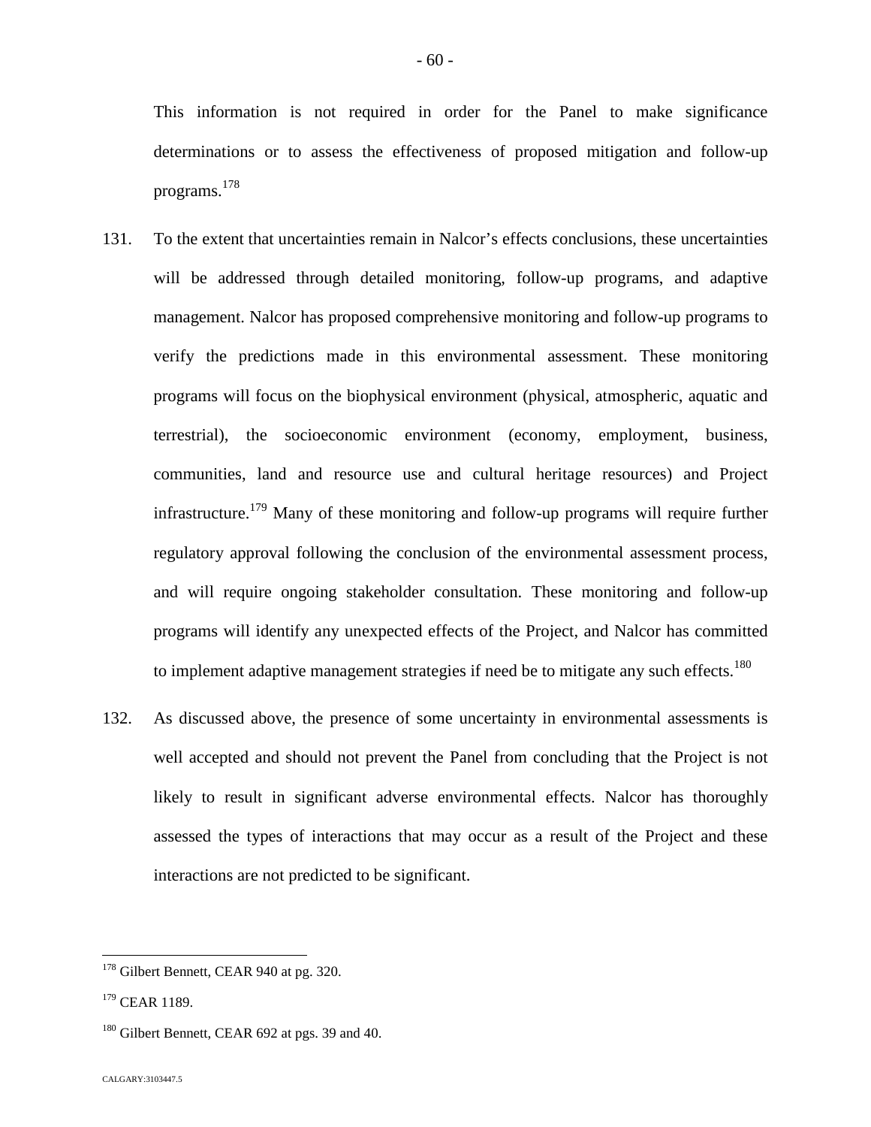This information is not required in order for the Panel to make significance determinations or to assess the effectiveness of proposed mitigation and follow-up programs.[178](#page-60-0)

- 131. To the extent that uncertainties remain in Nalcor's effects conclusions, these uncertainties will be addressed through detailed monitoring, follow-up programs, and adaptive management. Nalcor has proposed comprehensive monitoring and follow-up programs to verify the predictions made in this environmental assessment. These monitoring programs will focus on the biophysical environment (physical, atmospheric, aquatic and terrestrial), the socioeconomic environment (economy, employment, business, communities, land and resource use and cultural heritage resources) and Project infrastructure.<sup>[179](#page-60-1)</sup> Many of these monitoring and follow-up programs will require further regulatory approval following the conclusion of the environmental assessment process, and will require ongoing stakeholder consultation. These monitoring and follow-up programs will identify any unexpected effects of the Project, and Nalcor has committed to implement adaptive management strategies if need be to mitigate any such effects.<sup>18[0](#page-60-2)</sup>
- 132. As discussed above, the presence of some uncertainty in environmental assessments is well accepted and should not prevent the Panel from concluding that the Project is not likely to result in significant adverse environmental effects. Nalcor has thoroughly assessed the types of interactions that may occur as a result of the Project and these interactions are not predicted to be significant.

<span id="page-60-0"></span><sup>&</sup>lt;sup>178</sup> Gilbert Bennett, CEAR 940 at pg. 320.

<span id="page-60-1"></span><sup>&</sup>lt;sup>179</sup> CEAR 1189.

<span id="page-60-2"></span> $180$  Gilbert Bennett, CEAR 692 at pgs. 39 and 40.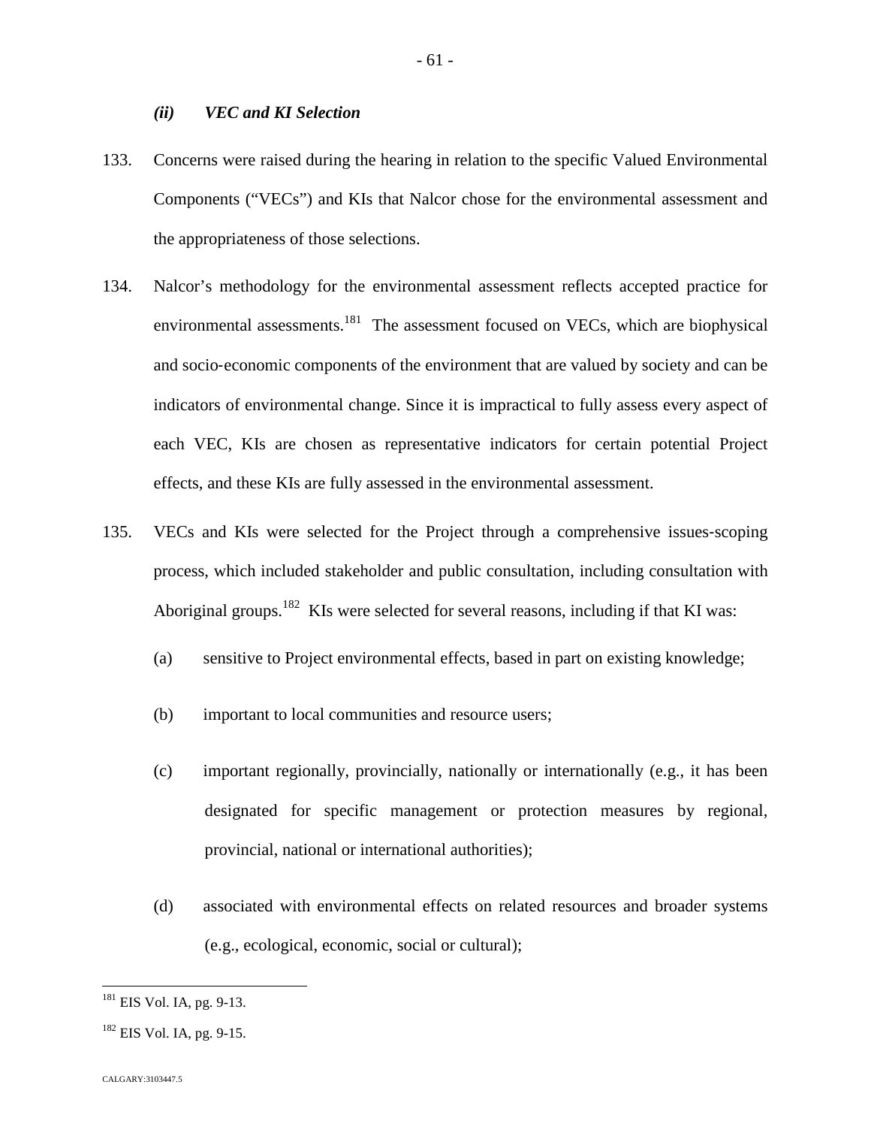#### *(ii) VEC and KI Selection*

- 133. Concerns were raised during the hearing in relation to the specific Valued Environmental Components ("VECs") and KIs that Nalcor chose for the environmental assessment and the appropriateness of those selections.
- 134. Nalcor's methodology for the environmental assessment reflects accepted practice for environmental assessments.<sup>[181](#page-61-0)</sup> The assessment focused on VECs, which are biophysical and socio‐economic components of the environment that are valued by society and can be indicators of environmental change. Since it is impractical to fully assess every aspect of each VEC, KIs are chosen as representative indicators for certain potential Project effects, and these KIs are fully assessed in the environmental assessment.
- 135. VECs and KIs were selected for the Project through a comprehensive issues‐scoping process, which included stakeholder and public consultation, including consultation with Aboriginal groups.<sup>[182](#page-61-1)</sup> KIs were selected for several reasons, including if that KI was:
	- (a) sensitive to Project environmental effects, based in part on existing knowledge;
	- (b) important to local communities and resource users;
	- (c) important regionally, provincially, nationally or internationally (e.g., it has been designated for specific management or protection measures by regional, provincial, national or international authorities);
	- (d) associated with environmental effects on related resources and broader systems (e.g., ecological, economic, social or cultural);

<span id="page-61-0"></span> $181$  EIS Vol. IA, pg. 9-13.

<span id="page-61-1"></span> $182$  EIS Vol. IA, pg. 9-15.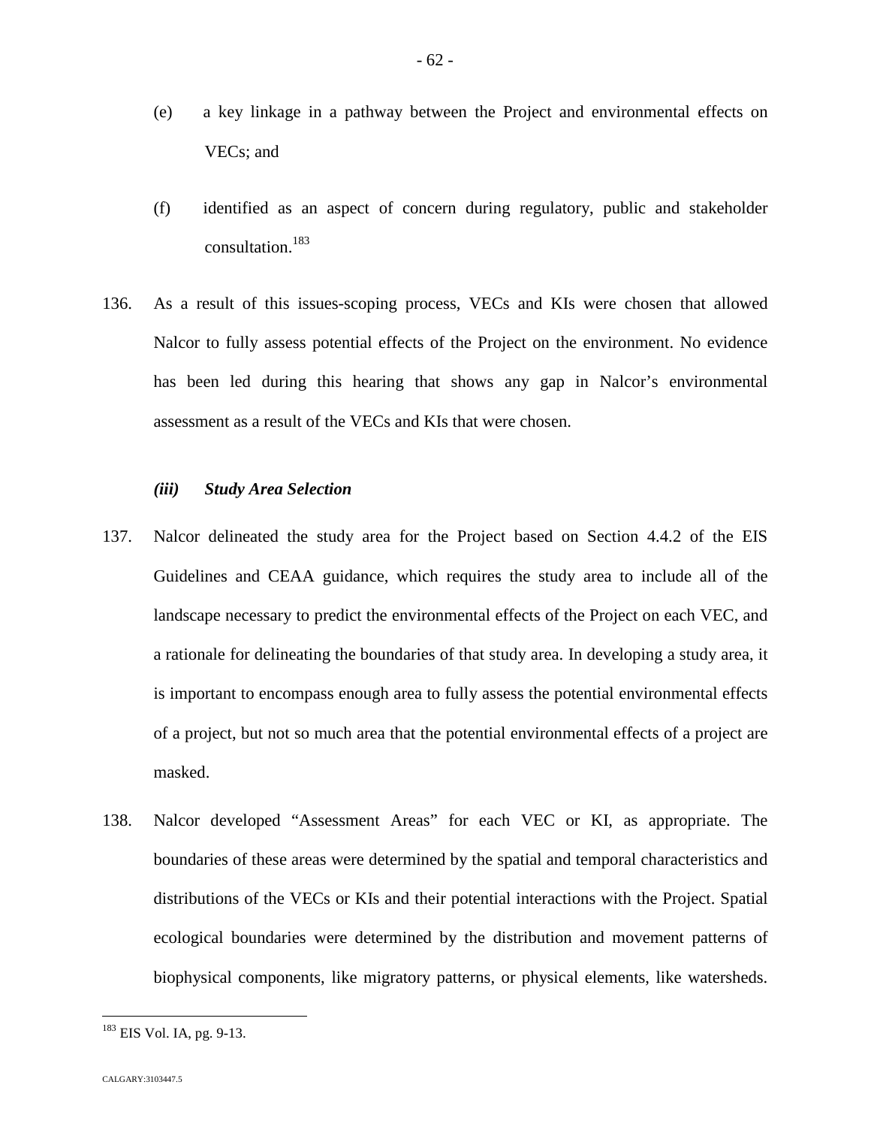- (e) a key linkage in a pathway between the Project and environmental effects on VECs; and
- (f) identified as an aspect of concern during regulatory, public and stakeholder consultation.[183](#page-62-0)
- 136. As a result of this issues-scoping process, VECs and KIs were chosen that allowed Nalcor to fully assess potential effects of the Project on the environment. No evidence has been led during this hearing that shows any gap in Nalcor's environmental assessment as a result of the VECs and KIs that were chosen.

### *(iii) Study Area Selection*

- 137. Nalcor delineated the study area for the Project based on Section 4.4.2 of the EIS Guidelines and CEAA guidance, which requires the study area to include all of the landscape necessary to predict the environmental effects of the Project on each VEC, and a rationale for delineating the boundaries of that study area. In developing a study area, it is important to encompass enough area to fully assess the potential environmental effects of a project, but not so much area that the potential environmental effects of a project are masked.
- 138. Nalcor developed "Assessment Areas" for each VEC or KI, as appropriate. The boundaries of these areas were determined by the spatial and temporal characteristics and distributions of the VECs or KIs and their potential interactions with the Project. Spatial ecological boundaries were determined by the distribution and movement patterns of biophysical components, like migratory patterns, or physical elements, like watersheds.

<span id="page-62-0"></span><sup>&</sup>lt;sup>183</sup> EIS Vol. IA, pg. 9-13.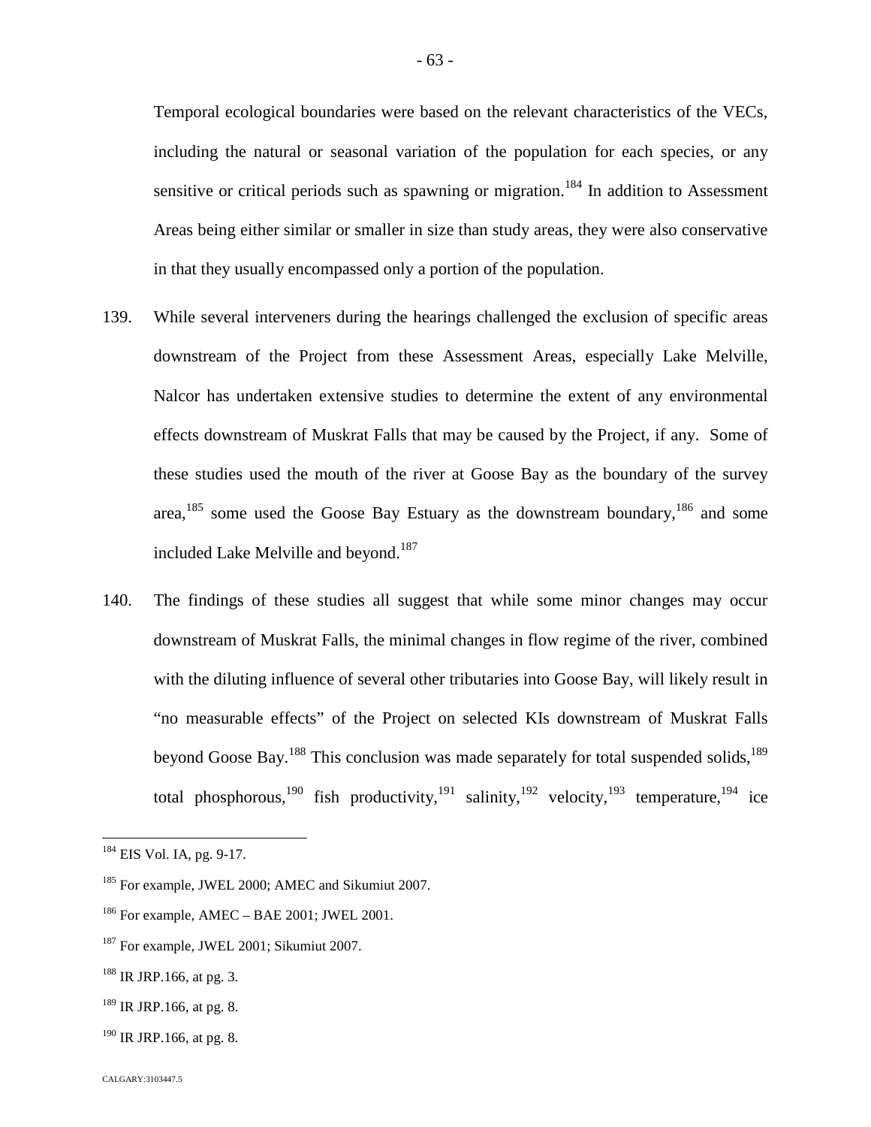Temporal ecological boundaries were based on the relevant characteristics of the VECs, including the natural or seasonal variation of the population for each species, or any sensitive or critical periods such as spawning or migration.<sup>[184](#page-63-0)</sup> In addition to Assessment Areas being either similar or smaller in size than study areas, they were also conservative in that they usually encompassed only a portion of the population.

- 139. While several interveners during the hearings challenged the exclusion of specific areas downstream of the Project from these Assessment Areas, especially Lake Melville, Nalcor has undertaken extensive studies to determine the extent of any environmental effects downstream of Muskrat Falls that may be caused by the Project, if any. Some of these studies used the mouth of the river at Goose Bay as the boundary of the survey area, $185$  some used the Goose Bay Estuary as the downstream boundary,  $186$  and some included Lake Melville and beyond.<sup>1[87](#page-63-3)</sup>
- <span id="page-63-8"></span><span id="page-63-7"></span>140. The findings of these studies all suggest that while some minor changes may occur downstream of Muskrat Falls, the minimal changes in flow regime of the river, combined with the diluting influence of several other tributaries into Goose Bay, will likely result in "no measurable effects" of the Project on selected KIs downstream of Muskrat Falls beyondGoose Bay.<sup>188</sup> This conclusion was made separately for total suspended solids.<sup>[189](#page-63-5)</sup> total phosphorous,<sup>[190](#page-63-6)</sup> fish productivity,<sup>[191](#page-63-7)</sup> salinity,<sup>[192](#page-63-8)</sup> velocity,<sup>[193](#page-63-9)</sup> temperature,<sup>[194](#page-63-10)</sup> ice

- <span id="page-63-5"></span> $189$  IR JRP.166, at pg. 8.
- <span id="page-63-6"></span> $190$  IR JRP.166, at pg. 8.

<span id="page-63-10"></span><span id="page-63-9"></span><span id="page-63-0"></span><sup>184</sup> EIS Vol. IA, pg. 9-17.

<span id="page-63-1"></span><sup>&</sup>lt;sup>185</sup> For example, JWEL 2000; AMEC and Sikumiut 2007.

<span id="page-63-2"></span> $186$  For example, AMEC – BAE 2001; JWEL 2001.

<span id="page-63-3"></span><sup>&</sup>lt;sup>187</sup> For example, JWEL 2001; Sikumiut 2007.

<span id="page-63-4"></span> $188$  IR JRP.166, at pg. 3.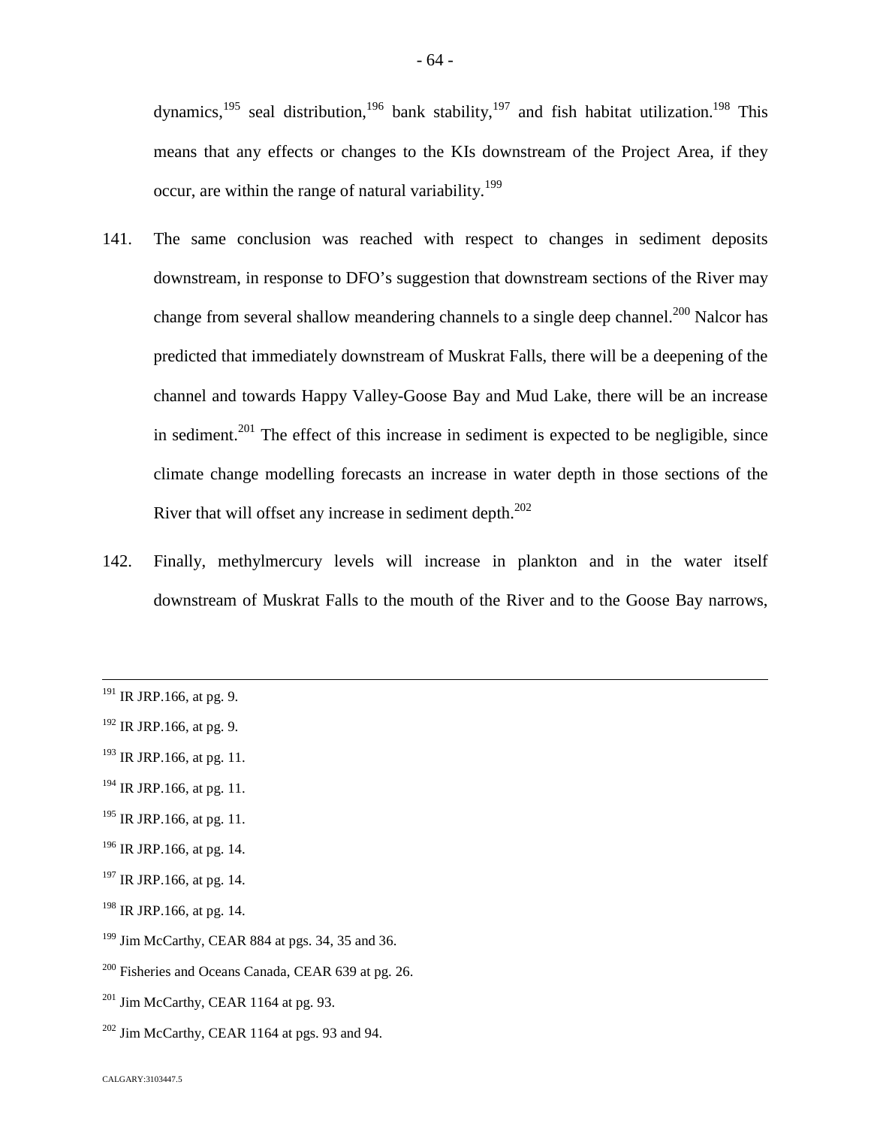dynamics,<sup>[195](#page-64-0)</sup> seal distribution,<sup>[196](#page-64-1)</sup> bank stability,<sup>[197](#page-64-2)</sup> and fish habitat utilization.<sup>[198](#page-64-3)</sup> This means that any effects or changes to the KIs downstream of the Project Area, if they occur, are within the range of natural variability.<sup>1[9](#page-64-4)9</sup>

- 141. The same conclusion was reached with respect to changes in sediment deposits downstream, in response to DFO's suggestion that downstream sections of the River may change from several shallow meandering channels to a single deep channel.<sup>[200](#page-64-5)</sup> Nalcor has predicted that immediately downstream of Muskrat Falls, there will be a deepening of the channel and towards Happy Valley-Goose Bay and Mud Lake, there will be an increase in sediment.<sup>[201](#page-64-6)</sup> The effect of this increase in sediment is expected to be negligible, since climate change modelling forecasts an increase in water depth in those sections of the River that will offset any increase in sediment depth. $^{202}$  $^{202}$  $^{202}$
- 142. Finally, methylmercury levels will increase in plankton and in the water itself downstream of Muskrat Falls to the mouth of the River and to the Goose Bay narrows,

- $193$  IR JRP.166, at pg. 11.
- $194$  IR JRP.166, at pg. 11.
- <span id="page-64-0"></span> $195$  IR JRP.166, at pg. 11.
- <span id="page-64-1"></span> $196$  IR JRP.166, at pg. 14.
- <span id="page-64-2"></span> $197$  IR JRP.166, at pg. 14.
- <span id="page-64-3"></span><sup>198</sup> IR JRP.166, at pg. 14.
- <span id="page-64-4"></span> $199$  Jim McCarthy, CEAR 884 at pgs. 34, 35 and 36.
- <span id="page-64-5"></span><sup>200</sup> Fisheries and Oceans Canada, CEAR 639 at pg. 26.
- <span id="page-64-6"></span> $201$  Jim McCarthy, CEAR 1164 at pg. 93.
- <span id="page-64-7"></span> $202$  Jim McCarthy, CEAR 1164 at pgs. 93 and 94.

 $191$  IR JRP.166, at pg. 9.

 $192$  IR JRP.166, at pg. 9.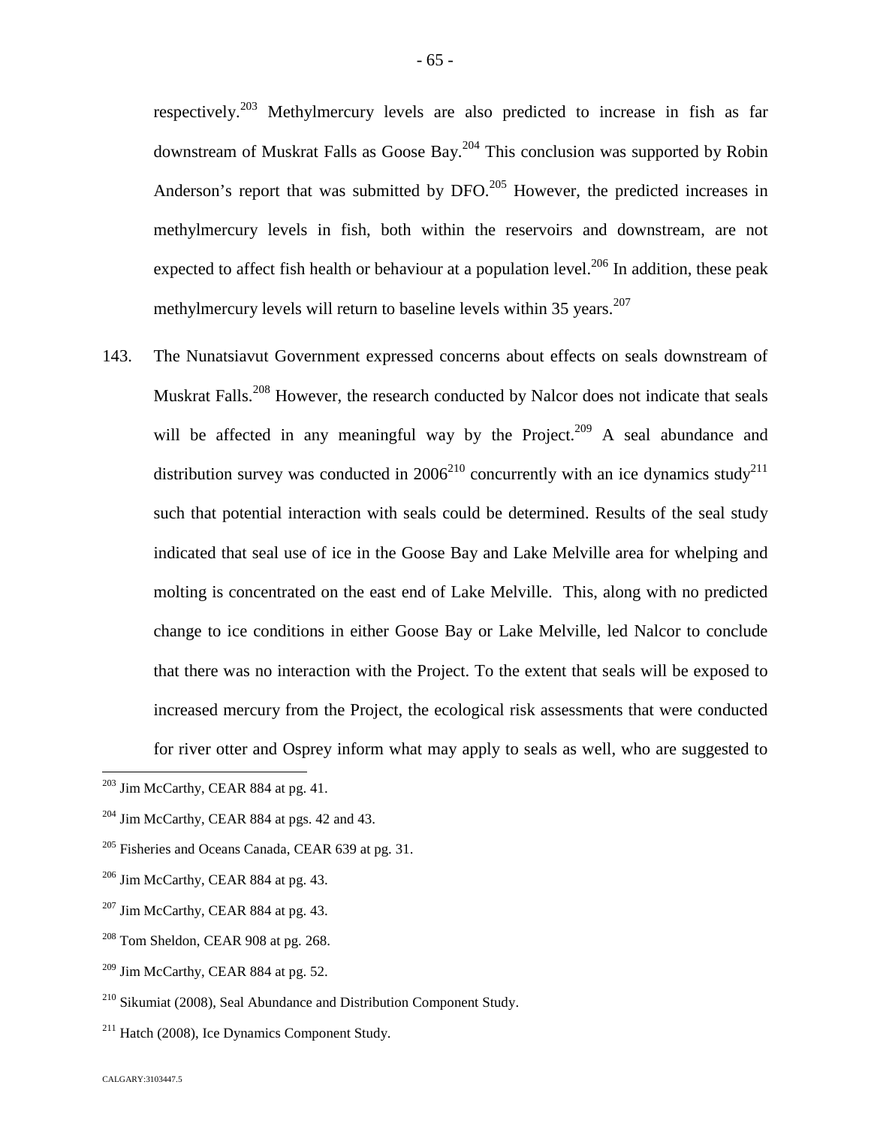respectively.[203](#page-65-0) Methylmercury levels are also predicted to increase in fish as far downstream of Muskrat Falls as GooseBay[.](#page-65-1)<sup>204</sup> This conclusion was supported by Robin Anderson's report that was submitted by DFO.<sup>[205](#page-65-2)</sup> However, the predicted increases in methylmercury levels in fish, both within the reservoirs and downstream, are not expected to affect fish health or behaviour at a population level.<sup>[206](#page-65-3)</sup> In addition, these peak methylmercury levels will return to baseline levels within 35 years.<sup>207</sup>

143. The Nunatsiavut Government expressed concerns about effects on seals downstream of Muskrat Falls.<sup>[208](#page-65-4)</sup> However, the research conducted by Nalcor does not indicate that seals will be affected in any meaningful way by the Project.<sup>[209](#page-65-5)</sup> A seal abundance and distributionsurvey was conducted in  $2006^{210}$  $2006^{210}$  $2006^{210}$  concurrently with an ice dynamics study<sup>[211](#page-65-7)</sup> such that potential interaction with seals could be determined. Results of the seal study indicated that seal use of ice in the Goose Bay and Lake Melville area for whelping and molting is concentrated on the east end of Lake Melville. This, along with no predicted change to ice conditions in either Goose Bay or Lake Melville, led Nalcor to conclude that there was no interaction with the Project. To the extent that seals will be exposed to increased mercury from the Project, the ecological risk assessments that were conducted for river otter and Osprey inform what may apply to seals as well, who are suggested to

- <span id="page-65-3"></span> $206$  Jim McCarthy, CEAR 884 at pg. 43.
- $207$  Jim McCarthy, CEAR 884 at pg. 43.
- <span id="page-65-4"></span> $208$  Tom Sheldon, CEAR 908 at pg. 268.
- <span id="page-65-5"></span> $209$  Jim McCarthy, CEAR 884 at pg. 52.

<span id="page-65-7"></span> $211$  Hatch (2008), Ice Dynamics Component Study.

<span id="page-65-0"></span><sup>&</sup>lt;sup>203</sup> Jim McCarthy, CEAR 884 at pg. 41.

<span id="page-65-1"></span> $204$  Jim McCarthy, CEAR 884 at pgs. 42 and 43.

<span id="page-65-2"></span> $205$  Fisheries and Oceans Canada, CEAR 639 at pg. 31.

<span id="page-65-6"></span><sup>210</sup> Sikumiat (2008), Seal Abundance and Distribution Component Study.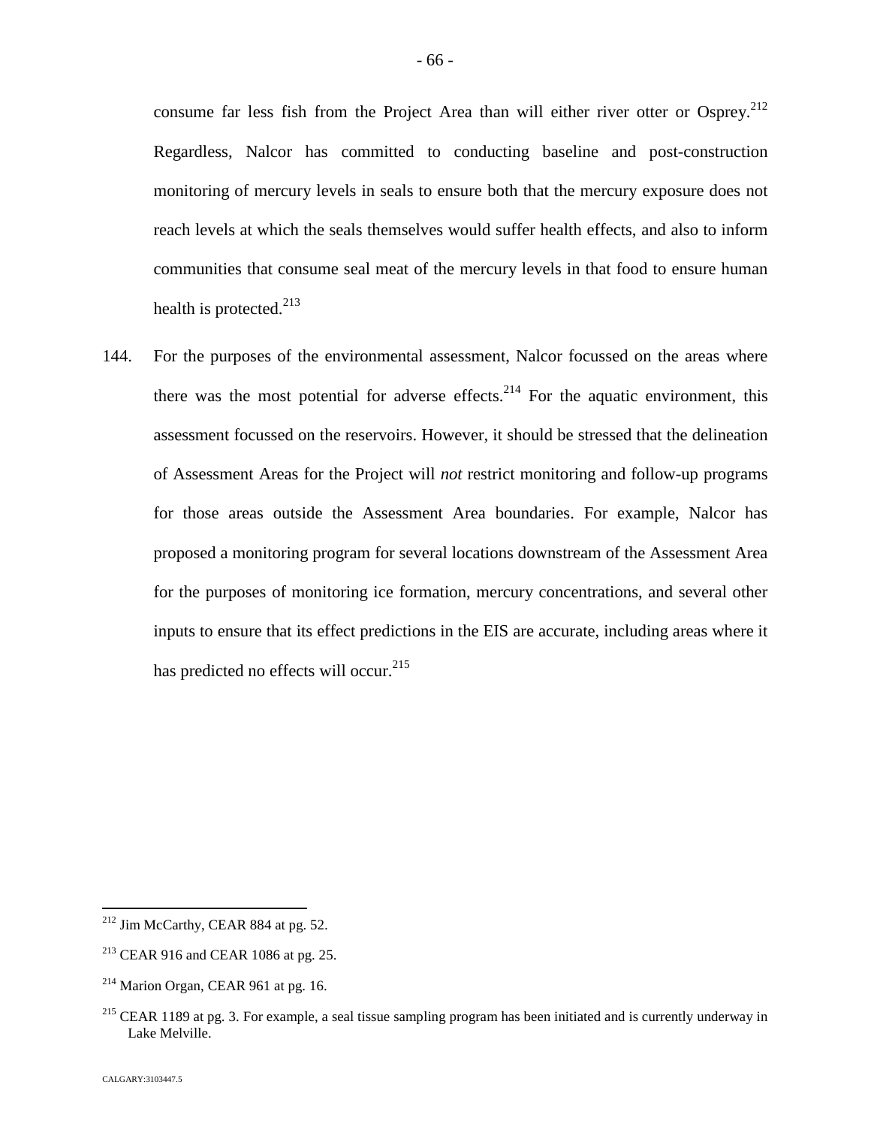consume far less fish from the Project Area than will either river otter or Osprey.<sup>[212](#page-66-0)</sup> Regardless, Nalcor has committed to conducting baseline and post-construction monitoring of mercury levels in seals to ensure both that the mercury exposure does not reach levels at which the seals themselves would suffer health effects, and also to inform communities that consume seal meat of the mercury levels in that food to ensure human health is protected. $213$  $213$ 

144. For the purposes of the environmental assessment, Nalcor focussed on the areas where there was the most potential for adverse effects.<sup>[214](#page-66-2)</sup> For the aquatic environment, this assessment focussed on the reservoirs. However, it should be stressed that the delineation of Assessment Areas for the Project will *not* restrict monitoring and follow-up programs for those areas outside the Assessment Area boundaries. For example, Nalcor has proposed a monitoring program for several locations downstream of the Assessment Area for the purposes of monitoring ice formation, mercury concentrations, and several other inputs to ensure that its effect predictions in the EIS are accurate, including areas where it has predicted no effects will occur.<sup>2[15](#page-66-3)</sup>

<span id="page-66-0"></span><sup>&</sup>lt;sup>212</sup> Jim McCarthy, CEAR 884 at pg. 52.

<span id="page-66-1"></span> $213$  CEAR 916 and CEAR 1086 at pg. 25.

<span id="page-66-2"></span> $^{214}$  Marion Organ, CEAR 961 at pg. 16.

<span id="page-66-3"></span><sup>&</sup>lt;sup>215</sup> CEAR 1189 at pg. 3. For example, a seal tissue sampling program has been initiated and is currently underway in Lake Melville.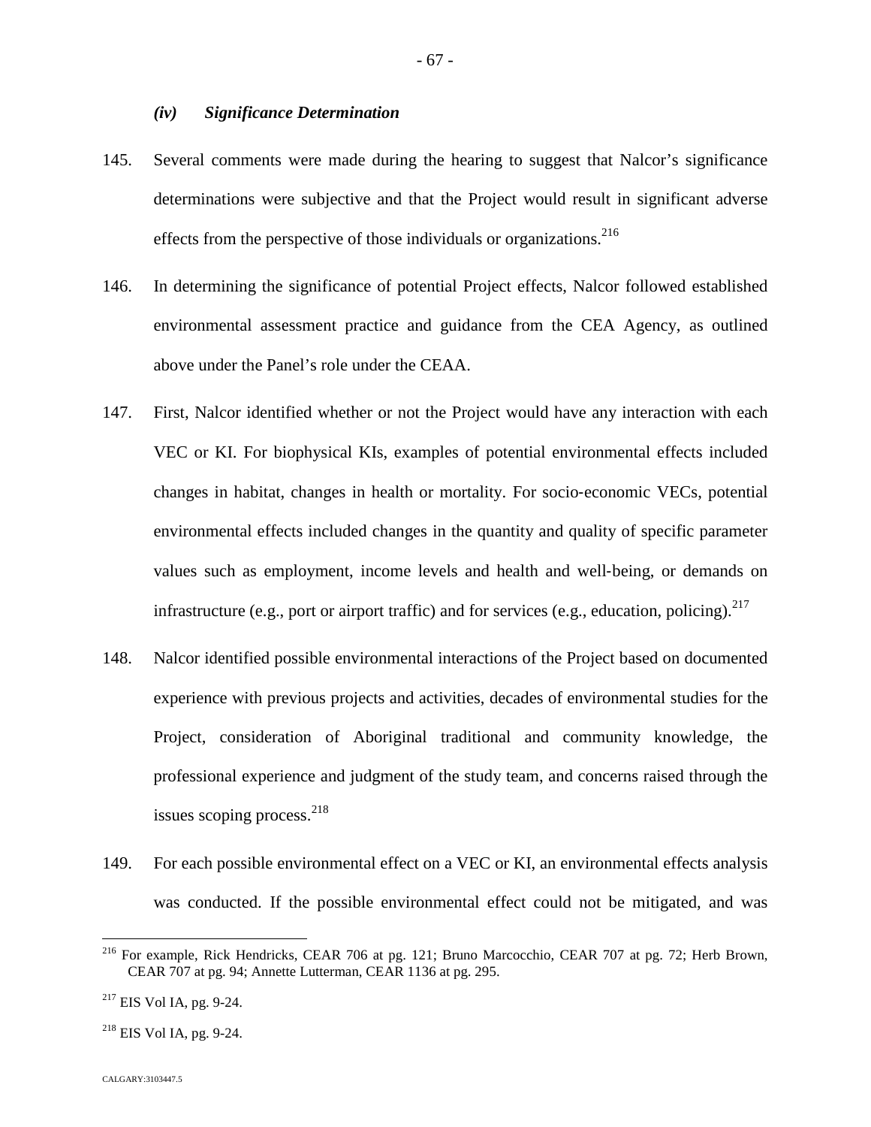### *(iv) Significance Determination*

- 145. Several comments were made during the hearing to suggest that Nalcor's significance determinations were subjective and that the Project would result in significant adverse effects from the perspective of those individuals or organizations.<sup>216</sup>
- 146. In determining the significance of potential Project effects, Nalcor followed established environmental assessment practice and guidance from the CEA Agency, as outlined above under the Panel's role under the CEAA.
- 147. First, Nalcor identified whether or not the Project would have any interaction with each VEC or KI. For biophysical KIs, examples of potential environmental effects included changes in habitat, changes in health or mortality. For socio‐economic VECs, potential environmental effects included changes in the quantity and quality of specific parameter values such as employment, income levels and health and well‐being, or demands on infrastructure (e.g., port or airport traffic) and for services (e.g., education, policing).  $2^{17}$
- 148. Nalcor identified possible environmental interactions of the Project based on documented experience with previous projects and activities, decades of environmental studies for the Project, consideration of Aboriginal traditional and community knowledge, the professional experience and judgment of the study team, and concerns raised through the issues scoping process. $^{218}$  $^{218}$  $^{218}$
- 149. For each possible environmental effect on a VEC or KI, an environmental effects analysis was conducted. If the possible environmental effect could not be mitigated, and was

<sup>216</sup> For example, Rick Hendricks, CEAR 706 at pg. 121; Bruno Marcocchio, CEAR 707 at pg. 72; Herb Brown, CEAR 707 at pg. 94; Annette Lutterman, CEAR 1136 at pg. 295.

 $217$  EIS Vol IA, pg. 9-24.

<span id="page-67-0"></span> $^{218}$  EIS Vol IA, pg. 9-24.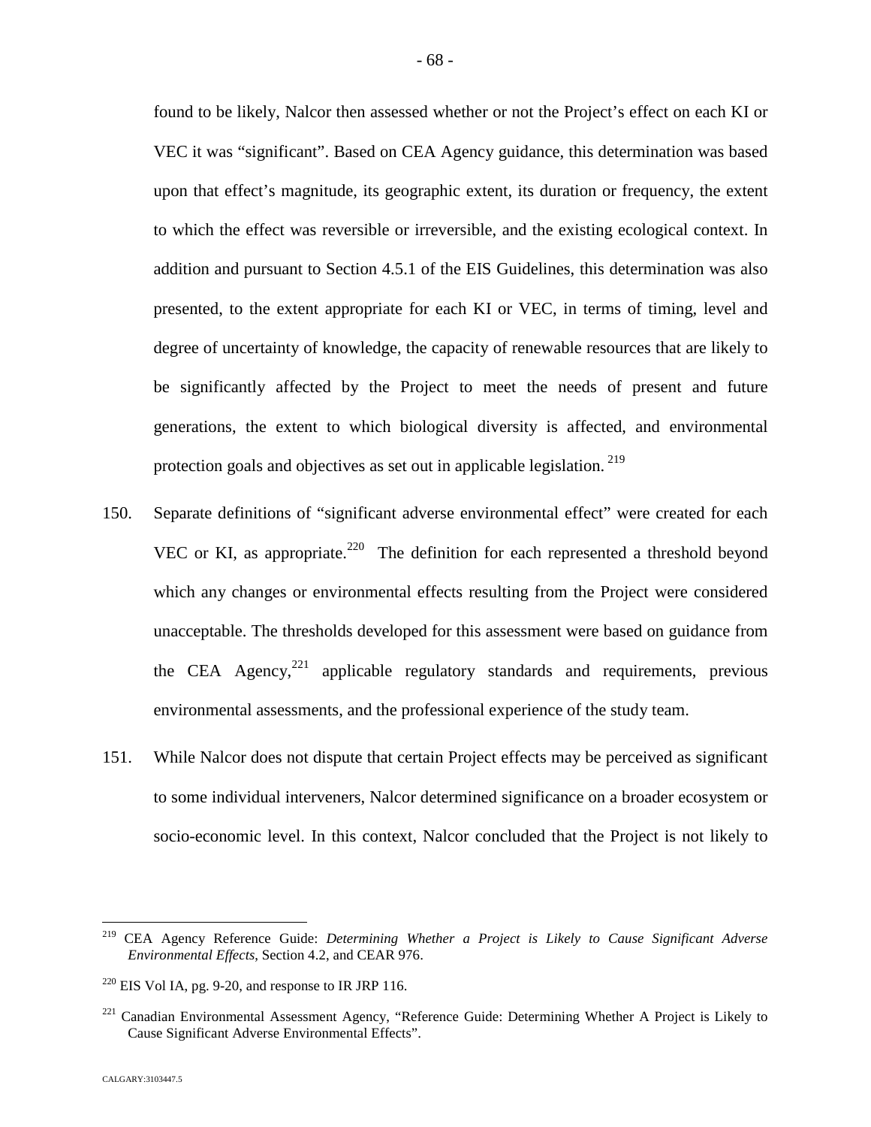found to be likely, Nalcor then assessed whether or not the Project's effect on each KI or VEC it was "significant". Based on CEA Agency guidance, this determination was based upon that effect's magnitude, its geographic extent, its duration or frequency, the extent to which the effect was reversible or irreversible, and the existing ecological context. In addition and pursuant to Section 4.5.1 of the EIS Guidelines, this determination was also presented, to the extent appropriate for each KI or VEC, in terms of timing, level and degree of uncertainty of knowledge, the capacity of renewable resources that are likely to be significantly affected by the Project to meet the needs of present and future generations, the extent to which biological diversity is affected, and environmental protection goals and objectives as set out in applicable legislation.<sup>219</sup>

- 150. Separate definitions of "significant adverse environmental effect" were created for each VEC or KI, as appropriate.<sup>[220](#page-68-0)</sup> The definition for each represented a threshold beyond which any changes or environmental effects resulting from the Project were considered unacceptable. The thresholds developed for this assessment were based on guidance from the CEA Agency, $^{221}$  $^{221}$  $^{221}$  applicable regulatory standards and requirements, previous environmental assessments, and the professional experience of the study team.
- 151. While Nalcor does not dispute that certain Project effects may be perceived as significant to some individual interveners, Nalcor determined significance on a broader ecosystem or socio-economic level. In this context, Nalcor concluded that the Project is not likely to

<sup>219</sup> CEA Agency Reference Guide: *Determining Whether a Project is Likely to Cause Significant Adverse Environmental Effects*, Section 4.2, and CEAR 976.

<span id="page-68-0"></span> $^{220}$  EIS Vol IA, pg. 9-20, and response to IR JRP 116.

<span id="page-68-1"></span><sup>&</sup>lt;sup>221</sup> Canadian Environmental Assessment Agency, "Reference Guide: Determining Whether A Project is Likely to Cause Significant Adverse Environmental Effects".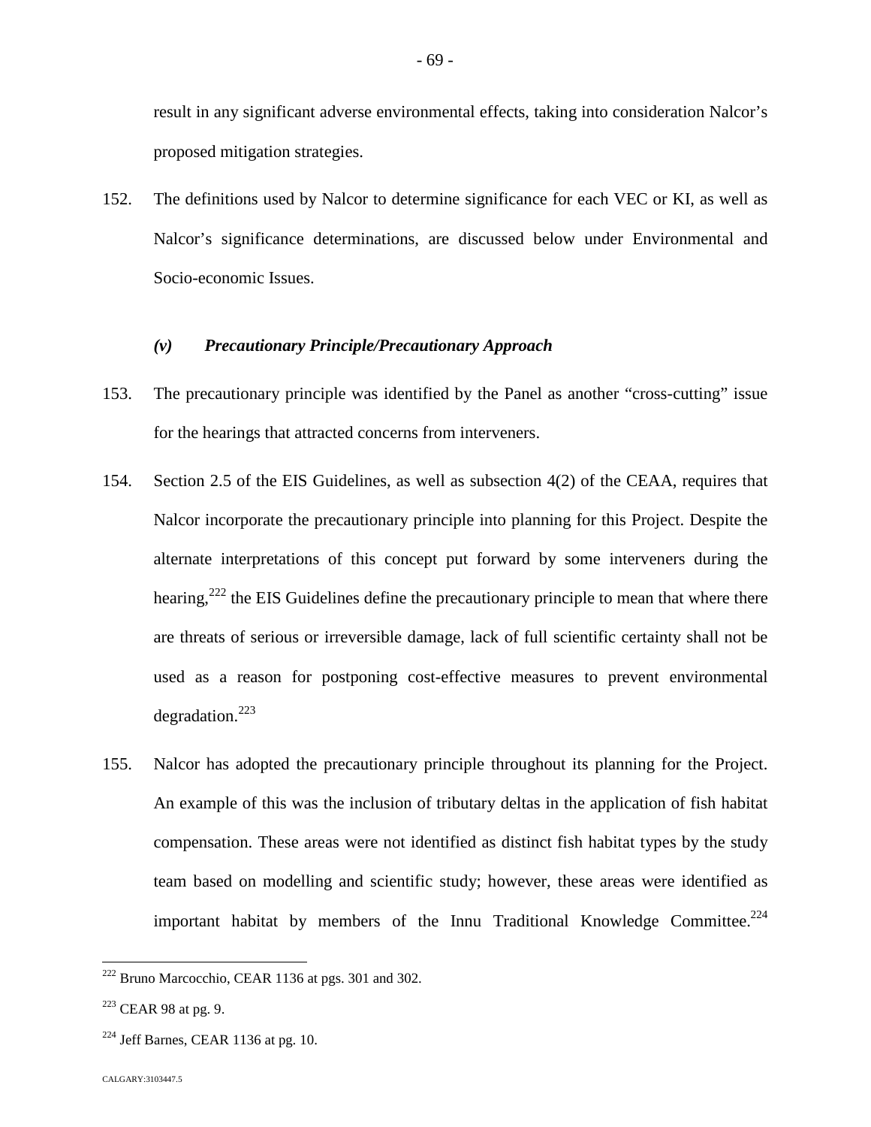result in any significant adverse environmental effects, taking into consideration Nalcor's proposed mitigation strategies.

152. The definitions used by Nalcor to determine significance for each VEC or KI, as well as Nalcor's significance determinations, are discussed below under Environmental and Socio-economic Issues.

#### *(v) Precautionary Principle/Precautionary Approach*

- 153. The precautionary principle was identified by the Panel as another "cross-cutting" issue for the hearings that attracted concerns from interveners.
- 154. Section 2.5 of the EIS Guidelines, as well as subsection 4(2) of the CEAA, requires that Nalcor incorporate the precautionary principle into planning for this Project. Despite the alternate interpretations of this concept put forward by some interveners during the hearing,  $222$  the EIS Guidelines define the precautionary principle to mean that where there are threats of serious or irreversible damage, lack of full scientific certainty shall not be used as a reason for postponing cost-effective measures to prevent environmental degradation. $^{223}$  $^{223}$  $^{223}$
- 155. Nalcor has adopted the precautionary principle throughout its planning for the Project. An example of this was the inclusion of tributary deltas in the application of fish habitat compensation. These areas were not identified as distinct fish habitat types by the study team based on modelling and scientific study; however, these areas were identified as important habitat by members of the Innu Traditional Knowledge Committee.<sup>[224](#page-69-2)</sup>

<span id="page-69-0"></span> $222$  Bruno Marcocchio, CEAR 1136 at pgs. 301 and 302.

<span id="page-69-1"></span> $223$  CEAR 98 at pg. 9.

<span id="page-69-2"></span> $224$  Jeff Barnes, CEAR 1136 at pg. 10.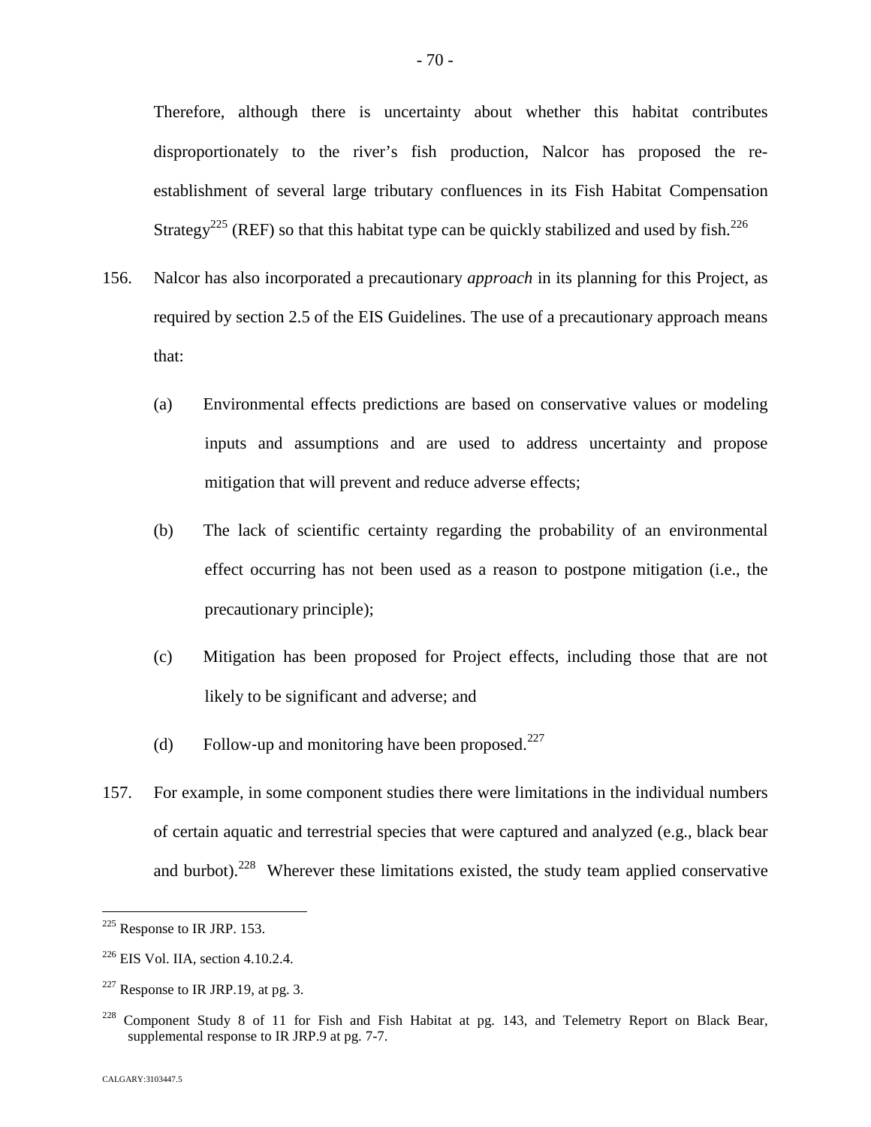Therefore, although there is uncertainty about whether this habitat contributes disproportionately to the river's fish production, Nalcor has proposed the reestablishment of several large tributary confluences in its Fish Habitat Compensation Strategy<sup>[225](#page-70-0)</sup> (REF) so that this habitat type can be quickly stabilized and used by fish.<sup>226</sup>

- 156. Nalcor has also incorporated a precautionary *approach* in its planning for this Project, as required by section 2.5 of the EIS Guidelines. The use of a precautionary approach means that:
	- (a) Environmental effects predictions are based on conservative values or modeling inputs and assumptions and are used to address uncertainty and propose mitigation that will prevent and reduce adverse effects;
	- (b) The lack of scientific certainty regarding the probability of an environmental effect occurring has not been used as a reason to postpone mitigation (i.e., the precautionary principle);
	- (c) Mitigation has been proposed for Project effects, including those that are not likely to be significant and adverse; and
	- (d) Follow-up and monitoring have been proposed. $^{227}$  $^{227}$  $^{227}$
- 157. For example, in some component studies there were limitations in the individual numbers of certain aquatic and terrestrial species that were captured and analyzed (e.g., black bear and burbot).<sup>[228](#page-70-2)</sup> Wherever these limitations existed, the study team applied conservative

<span id="page-70-0"></span><sup>225</sup> Response to IR JRP. 153.

 $226$  EIS Vol. IIA, section 4.10.2.4.

<span id="page-70-1"></span> $227$  Response to IR JRP.19, at pg. 3.

<span id="page-70-2"></span> $228$  Component Study 8 of 11 for Fish and Fish Habitat at pg. 143, and Telemetry Report on Black Bear, supplemental response to IR JRP.9 at pg. 7-7.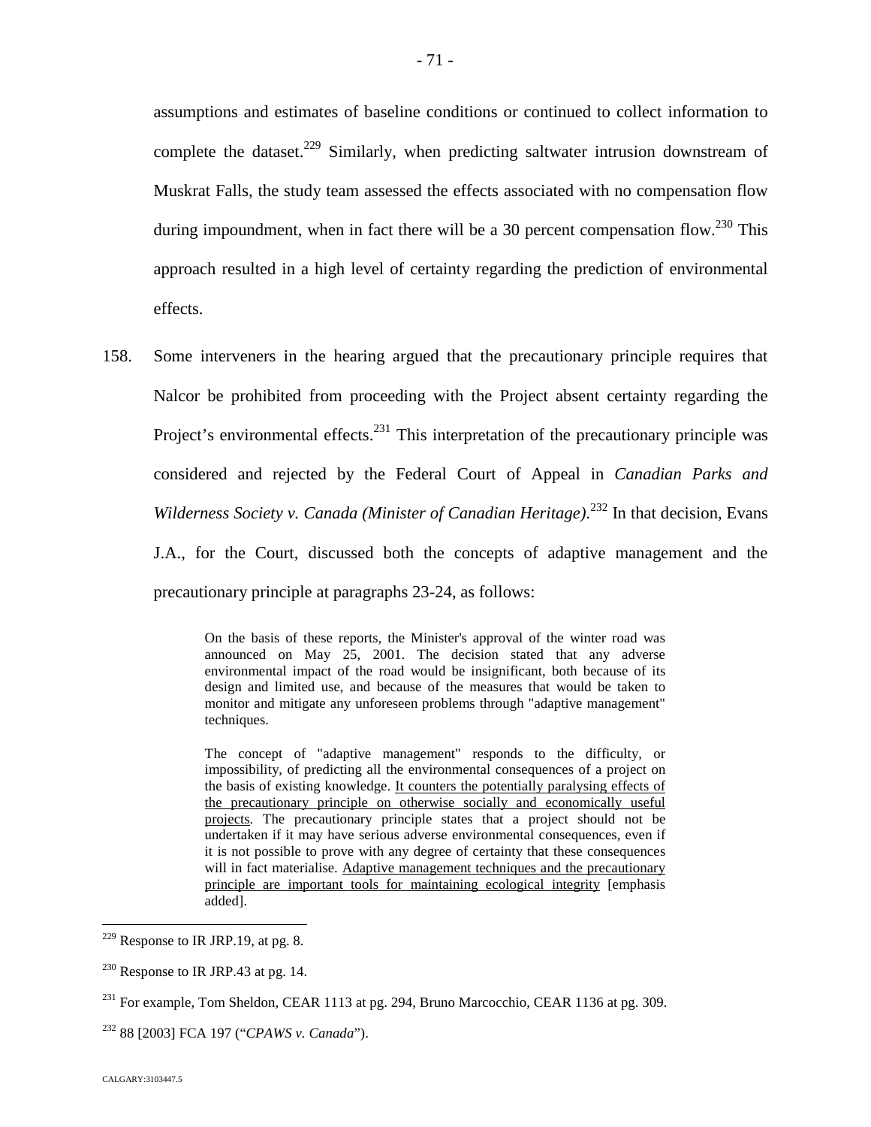assumptions and estimates of baseline conditions or continued to collect information to complete the dataset.<sup>[229](#page-71-0)</sup> Similarly, when predicting saltwater intrusion downstream of Muskrat Falls, the study team assessed the effects associated with no compensation flow during impoundment, when in fact there will be a 30 percent compensation flow.<sup>[230](#page-71-1)</sup> This approach resulted in a high level of certainty regarding the prediction of environmental effects.

158. Some interveners in the hearing argued that the precautionary principle requires that Nalcor be prohibited from proceeding with the Project absent certainty regarding the Project's environmental effects.<sup>[231](#page-71-2)</sup> This interpretation of the precautionary principle was considered and rejected by the Federal Court of Appeal in *Canadian Parks and* Wilderness Society v. Canada (Minister of Canadian Heritage).<sup>[232](#page-71-3)</sup> In that decision, Evans J.A., for the Court, discussed both the concepts of adaptive management and the precautionary principle at paragraphs 23-24, as follows:

> On the basis of these reports, the Minister's approval of the winter road was announced on May 25, 2001. The decision stated that any adverse environmental impact of the road would be insignificant, both because of its design and limited use, and because of the measures that would be taken to monitor and mitigate any unforeseen problems through "adaptive management" techniques.

> The concept of "adaptive management" responds to the difficulty, or impossibility, of predicting all the environmental consequences of a project on the basis of existing knowledge. It counters the potentially paralysing effects of the precautionary principle on otherwise socially and economically useful projects. The precautionary principle states that a project should not be undertaken if it may have serious adverse environmental consequences, even if it is not possible to prove with any degree of certainty that these consequences will in fact materialise. Adaptive management techniques and the precautionary principle are important tools for maintaining ecological integrity [emphasis added].

<span id="page-71-0"></span> $229$  Response to IR JRP.19, at pg. 8.

<span id="page-71-1"></span> $230$  Response to IR JRP.43 at pg. 14.

<span id="page-71-2"></span> $^{231}$  For example, Tom Sheldon, CEAR 1113 at pg. 294, Bruno Marcocchio, CEAR 1136 at pg. 309.

<span id="page-71-3"></span><sup>232</sup> 88 [2003] FCA 197 ("*CPAWS v. Canada*").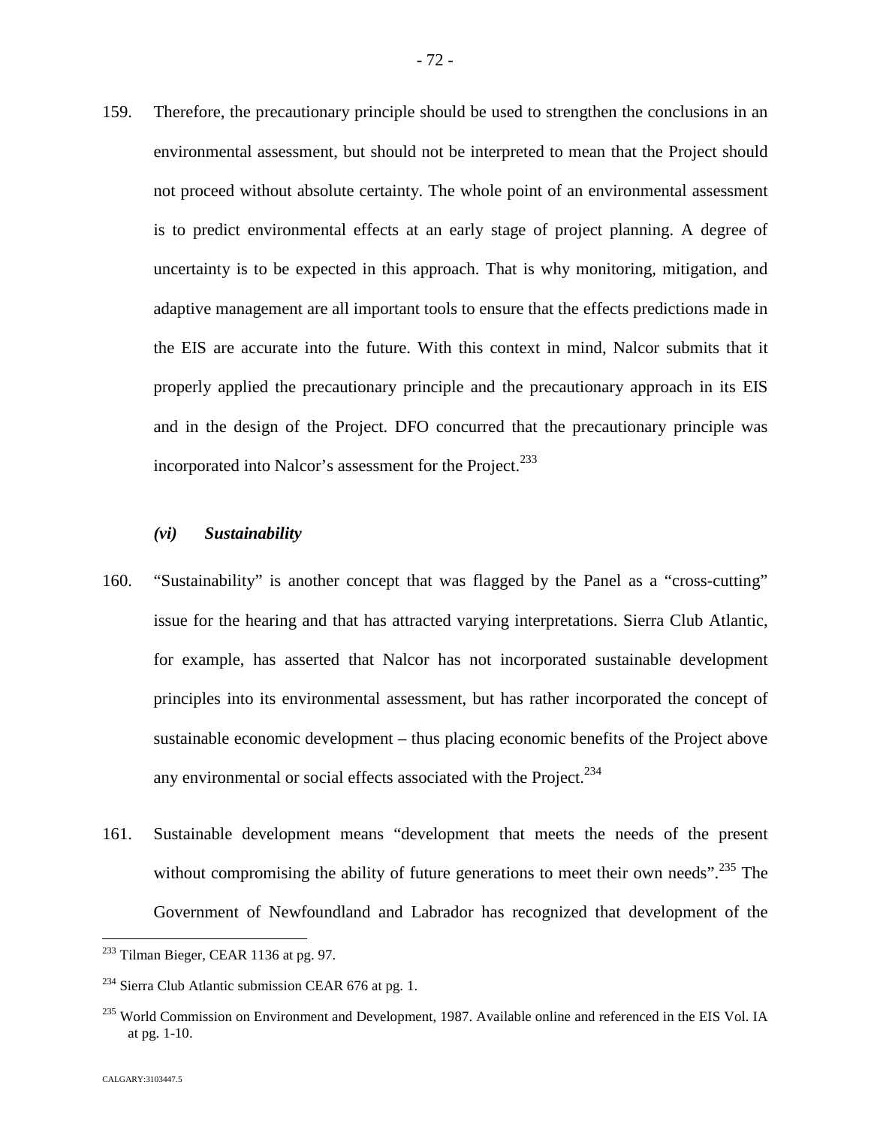159. Therefore, the precautionary principle should be used to strengthen the conclusions in an environmental assessment, but should not be interpreted to mean that the Project should not proceed without absolute certainty. The whole point of an environmental assessment is to predict environmental effects at an early stage of project planning. A degree of uncertainty is to be expected in this approach. That is why monitoring, mitigation, and adaptive management are all important tools to ensure that the effects predictions made in the EIS are accurate into the future. With this context in mind, Nalcor submits that it properly applied the precautionary principle and the precautionary approach in its EIS and in the design of the Project. DFO concurred that the precautionary principle was incorporated into Nalcor's assessment for the Project.<sup>2[3](#page-72-0)3</sup>

### *(vi) Sustainability*

- 160. "Sustainability" is another concept that was flagged by the Panel as a "cross-cutting" issue for the hearing and that has attracted varying interpretations. Sierra Club Atlantic, for example, has asserted that Nalcor has not incorporated sustainable development principles into its environmental assessment, but has rather incorporated the concept of sustainable economic development – thus placing economic benefits of the Project above any environmental or social effects associated with the Project.<sup>234</sup>
- 161. Sustainable development means "development that meets the needs of the present without compromising the ability of future generations to meet their own needs".<sup>[235](#page-72-1)</sup> The Government of Newfoundland and Labrador has recognized that development of the

<span id="page-72-0"></span><sup>&</sup>lt;sup>233</sup> Tilman Bieger, CEAR 1136 at pg. 97.

 $^{234}$  Sierra Club Atlantic submission CEAR 676 at pg. 1.

<span id="page-72-1"></span><sup>&</sup>lt;sup>235</sup> World Commission on Environment and Development, 1987. Available online and referenced in the EIS Vol. IA at pg. 1-10.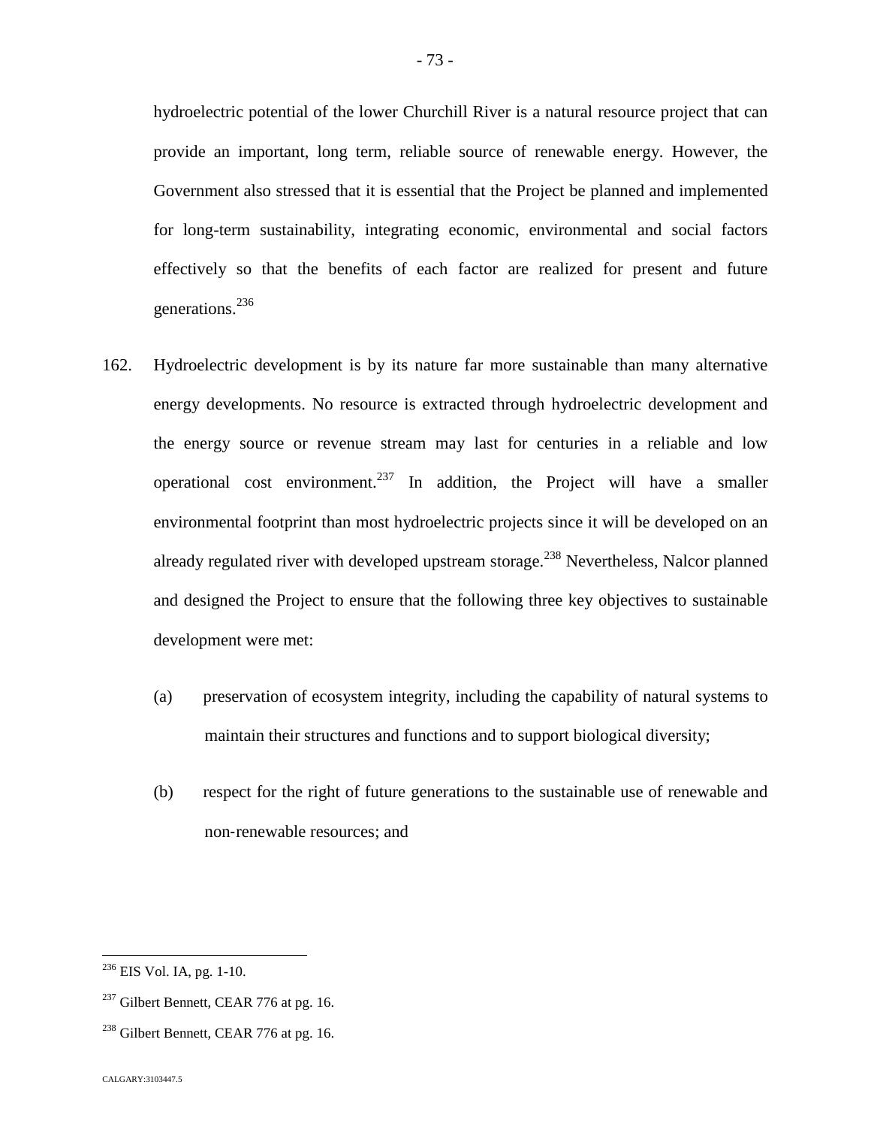hydroelectric potential of the lower Churchill River is a natural resource project that can provide an important, long term, reliable source of renewable energy. However, the Government also stressed that it is essential that the Project be planned and implemented for long-term sustainability, integrating economic, environmental and social factors effectively so that the benefits of each factor are realized for present and future generations.[236](#page-73-0)

- 162. Hydroelectric development is by its nature far more sustainable than many alternative energy developments. No resource is extracted through hydroelectric development and the energy source or revenue stream may last for centuries in a reliable and low operational cost environment.<sup>[237](#page-73-1)</sup> In addition, the Project will have a smaller environmental footprint than most hydroelectric projects since it will be developed on an already regulated river with developed upstream storage.<sup>[238](#page-73-2)</sup> Nevertheless, Nalcor planned and designed the Project to ensure that the following three key objectives to sustainable development were met:
	- (a) preservation of ecosystem integrity, including the capability of natural systems to maintain their structures and functions and to support biological diversity;
	- (b) respect for the right of future generations to the sustainable use of renewable and non‐renewable resources; and

<span id="page-73-0"></span><sup>236</sup> EIS Vol. IA, pg. 1-10.

<span id="page-73-1"></span> $237$  Gilbert Bennett, CEAR 776 at pg. 16.

<span id="page-73-2"></span><sup>&</sup>lt;sup>238</sup> Gilbert Bennett, CEAR 776 at pg. 16.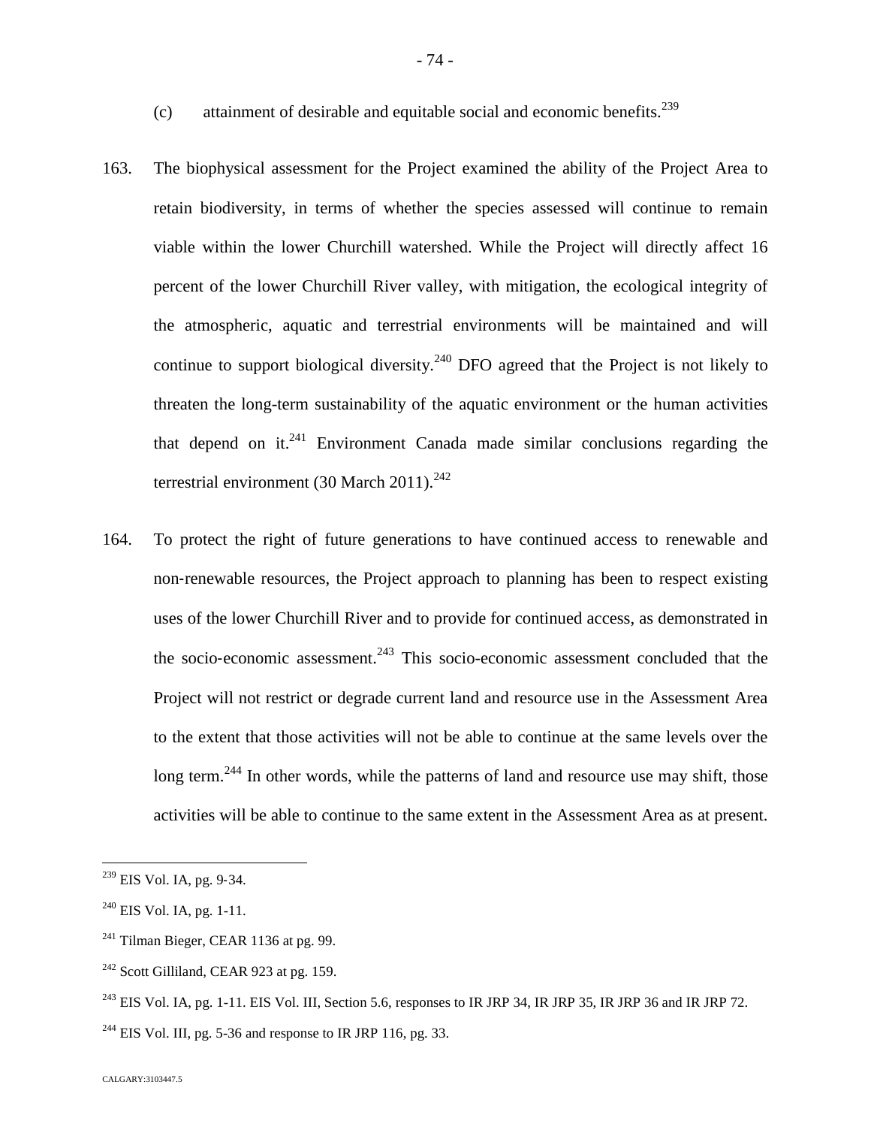- (c) attainment of desirable and equitable social and economic benefits.<sup>239</sup>
- 163. The biophysical assessment for the Project examined the ability of the Project Area to retain biodiversity, in terms of whether the species assessed will continue to remain viable within the lower Churchill watershed. While the Project will directly affect 16 percent of the lower Churchill River valley, with mitigation, the ecological integrity of the atmospheric, aquatic and terrestrial environments will be maintained and will continue to support biological diversity.<sup>240</sup> [D](#page-74-0)FO agreed that the Project is not likely to threaten the long-term sustainability of the aquatic environment or the human activities thatdepend on it[.](#page-74-1) $241$  Environment Canada made similar conclusions regarding the terrestrial environment (30 March 2011).<sup>2[42](#page-74-2)</sup>
- 164. To protect the right of future generations to have continued access to renewable and non‐renewable resources, the Project approach to planning has been to respect existing uses of the lower Churchill River and to provide for continued access, as demonstrated in the socio-economic assessment.<sup>[243](#page-74-3)</sup> This socio-economic assessment concluded that the Project will not restrict or degrade current land and resource use in the Assessment Area to the extent that those activities will not be able to continue at the same levels over the long term.<sup>[244](#page-74-4)</sup> In other words, while the patterns of land and resource use may shift, those activities will be able to continue to the same extent in the Assessment Area as at present.

<sup>239</sup> EIS Vol. IA, pg. 9‐34.

<span id="page-74-0"></span> $240$  EIS Vol. IA, pg. 1-11.

<span id="page-74-1"></span> $241$  Tilman Bieger, CEAR 1136 at pg. 99.

<span id="page-74-2"></span> $242$  Scott Gilliland, CEAR 923 at pg. 159.

<span id="page-74-3"></span> $^{243}$  EIS Vol. IA, pg. 1-11. EIS Vol. III, Section 5.6, responses to IR JRP 34, IR JRP 35, IR JRP 36 and IR JRP 72.

<span id="page-74-4"></span><sup>&</sup>lt;sup>244</sup> EIS Vol. III, pg. 5-36 and response to IR JRP 116, pg. 33.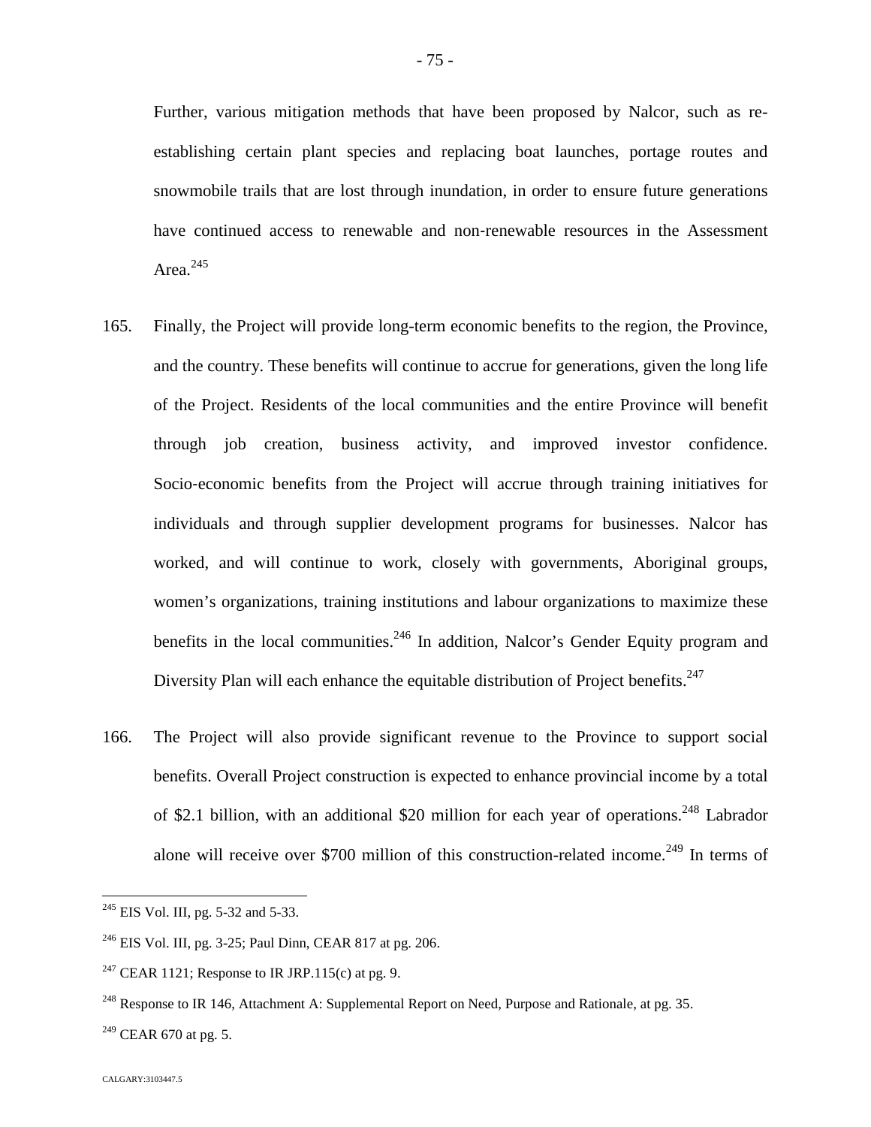Further, various mitigation methods that have been proposed by Nalcor, such as reestablishing certain plant species and replacing boat launches, portage routes and snowmobile trails that are lost through inundation, in order to ensure future generations have continued access to renewable and non-renewable resources in the Assessment Area. $^{245}$  $^{245}$  $^{245}$ 

- 165. Finally, the Project will provide long-term economic benefits to the region, the Province, and the country. These benefits will continue to accrue for generations, given the long life of the Project. Residents of the local communities and the entire Province will benefit through job creation, business activity, and improved investor confidence. Socio-economic benefits from the Project will accrue through training initiatives for individuals and through supplier development programs for businesses. Nalcor has worked, and will continue to work, closely with governments, Aboriginal groups, women's organizations, training institutions and labour organizations to maximize these benefits in the local communities.<sup>[246](#page-75-1)</sup> In addition, Nalcor's Gender Equity program and Diversity Plan will each enhance the equitable distribution of Project benefits.<sup>247</sup>
- 166. The Project will also provide significant revenue to the Province to support social benefits. Overall Project construction is expected to enhance provincial income by a total of \$2.1 billion, with an additional \$20 million for each year of operations.<sup>[248](#page-75-2)</sup> Labrador alone will receive over \$700 million of this construction-related income.<sup>[249](#page-75-3)</sup> In terms of

<span id="page-75-0"></span><sup>&</sup>lt;sup>245</sup> EIS Vol. III, pg. 5-32 and 5-33.

<span id="page-75-1"></span><sup>246</sup> EIS Vol. III, pg. 3-25; Paul Dinn, CEAR 817 at pg. 206.

<sup>&</sup>lt;sup>247</sup> CEAR 1121; Response to IR JRP.115(c) at pg. 9.

<span id="page-75-2"></span><sup>&</sup>lt;sup>248</sup> Response to IR 146, Attachment A: Supplemental Report on Need, Purpose and Rationale, at pg. 35.

<span id="page-75-3"></span> $^{249}$  CEAR 670 at pg. 5.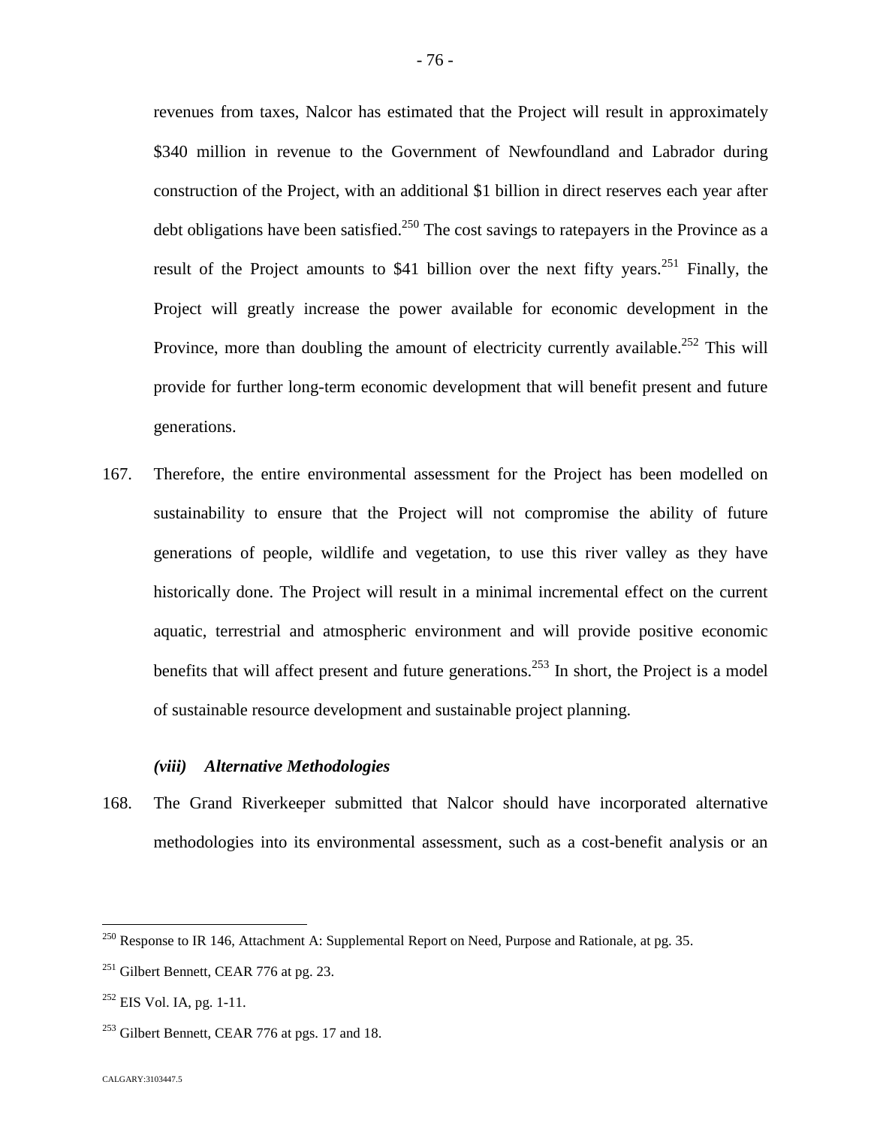revenues from taxes, Nalcor has estimated that the Project will result in approximately \$340 million in revenue to the Government of Newfoundland and Labrador during construction of the Project, with an additional \$1 billion in direct reserves each year after debt obligations have been satisfied.<sup>[250](#page-76-0)</sup> The cost savings to ratepayers in the Province as a result of the Project amounts to \$41 billion over the next fifty years.<sup>[251](#page-76-1)</sup> Finally, the Project will greatly increase the power available for economic development in the Province, more than doubling the amount of electricity currently available.<sup>[252](#page-76-2)</sup> This will provide for further long-term economic development that will benefit present and future generations.

167. Therefore, the entire environmental assessment for the Project has been modelled on sustainability to ensure that the Project will not compromise the ability of future generations of people, wildlife and vegetation, to use this river valley as they have historically done. The Project will result in a minimal incremental effect on the current aquatic, terrestrial and atmospheric environment and will provide positive economic benefits that will affect present and future generations.<sup>[253](#page-76-3)</sup> In short, the Project is a model of sustainable resource development and sustainable project planning.

## *(viii) Alternative Methodologies*

168. The Grand Riverkeeper submitted that Nalcor should have incorporated alternative methodologies into its environmental assessment, such as a cost-benefit analysis or an

<span id="page-76-0"></span><sup>&</sup>lt;sup>250</sup> Response to IR 146, Attachment A: Supplemental Report on Need, Purpose and Rationale, at pg. 35.

<span id="page-76-1"></span> $251$  Gilbert Bennett, CEAR 776 at pg. 23.

<span id="page-76-2"></span><sup>&</sup>lt;sup>252</sup> EIS Vol. IA, pg. 1-11.

<span id="page-76-3"></span> $253$  Gilbert Bennett, CEAR 776 at pgs. 17 and 18.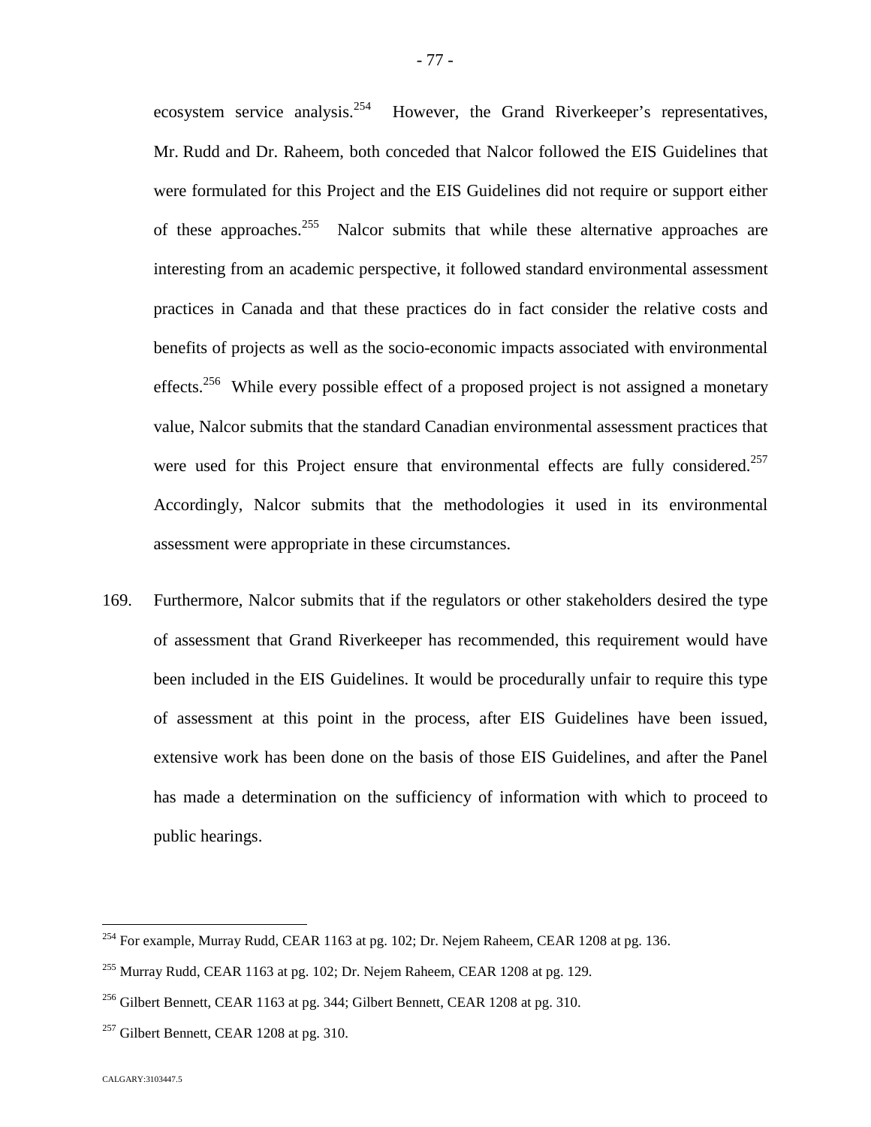ecosystem service analysis.<sup>[254](#page-77-0)</sup> However, the Grand Riverkeeper's representatives, Mr. Rudd and Dr. Raheem, both conceded that Nalcor followed the EIS Guidelines that were formulated for this Project and the EIS Guidelines did not require or support either of these approaches.<sup>[255](#page-77-1)</sup> Nalcor submits that while these alternative approaches are interesting from an academic perspective, it followed standard environmental assessment practices in Canada and that these practices do in fact consider the relative costs and benefits of projects as well as the socio-economic impacts associated with environmental effects.<sup>[256](#page-77-2)</sup> While every possible effect of a proposed project is not assigned a monetary value, Nalcor submits that the standard Canadian environmental assessment practices that were used for this Project ensure that environmental effects are fully considered.<sup>[257](#page-77-3)</sup> Accordingly, Nalcor submits that the methodologies it used in its environmental assessment were appropriate in these circumstances.

169. Furthermore, Nalcor submits that if the regulators or other stakeholders desired the type of assessment that Grand Riverkeeper has recommended, this requirement would have been included in the EIS Guidelines. It would be procedurally unfair to require this type of assessment at this point in the process, after EIS Guidelines have been issued, extensive work has been done on the basis of those EIS Guidelines, and after the Panel has made a determination on the sufficiency of information with which to proceed to public hearings.

<span id="page-77-0"></span><sup>&</sup>lt;sup>254</sup> For example, Murray Rudd, CEAR 1163 at pg. 102; Dr. Nejem Raheem, CEAR 1208 at pg. 136.

<span id="page-77-1"></span> $^{255}$  Murray Rudd, CEAR 1163 at pg. 102; Dr. Nejem Raheem, CEAR 1208 at pg. 129.

<span id="page-77-2"></span> $^{256}$  Gilbert Bennett, CEAR 1163 at pg. 344; Gilbert Bennett, CEAR 1208 at pg. 310.

<span id="page-77-3"></span> $257$  Gilbert Bennett, CEAR 1208 at pg. 310.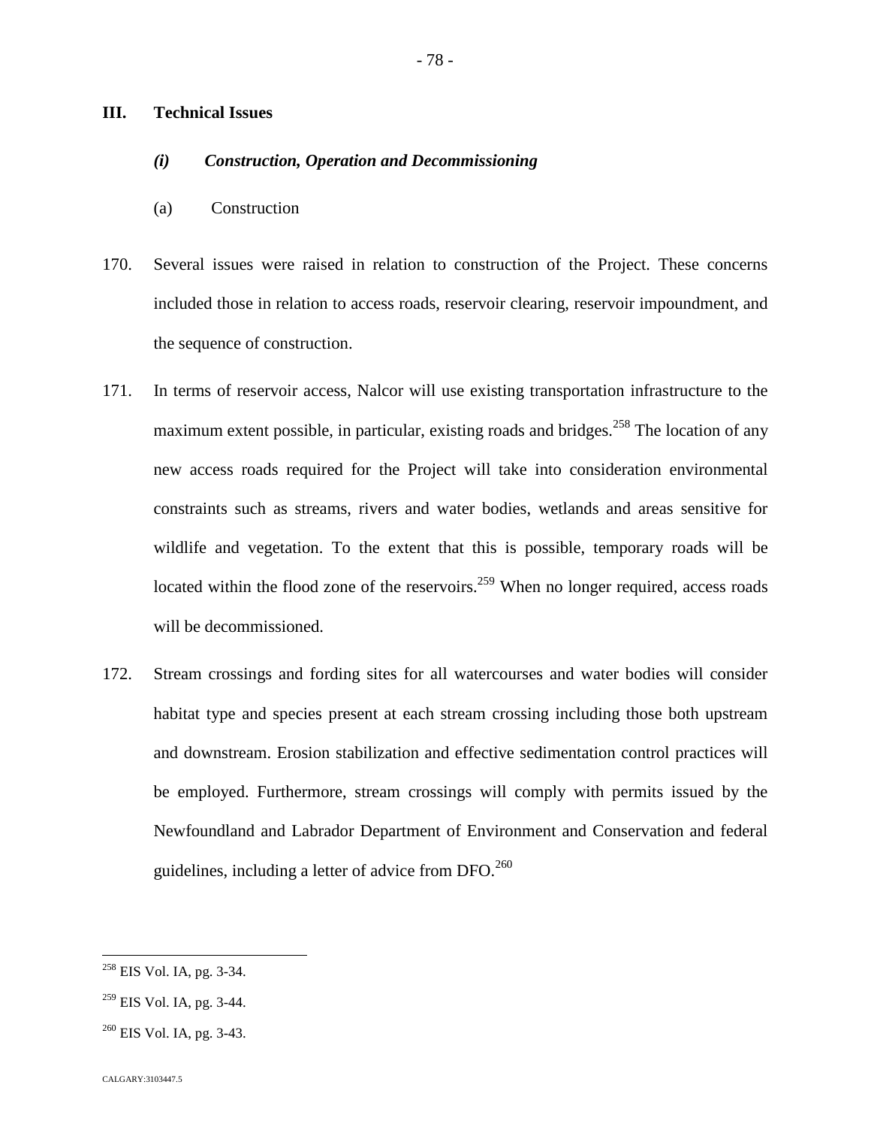### **III. Technical Issues**

# *(i) Construction, Operation and Decommissioning*

- (a) Construction
- 170. Several issues were raised in relation to construction of the Project. These concerns included those in relation to access roads, reservoir clearing, reservoir impoundment, and the sequence of construction.
- 171. In terms of reservoir access, Nalcor will use existing transportation infrastructure to the maximum extent possible, in particular, existing roads and bridges.<sup>[258](#page-78-0)</sup> The location of any new access roads required for the Project will take into consideration environmental constraints such as streams, rivers and water bodies, wetlands and areas sensitive for wildlife and vegetation. To the extent that this is possible, temporary roads will be located within the flood zone of the reservoirs.<sup>[259](#page-78-1)</sup> When no longer required, access roads will be decommissioned.
- 172. Stream crossings and fording sites for all watercourses and water bodies will consider habitat type and species present at each stream crossing including those both upstream and downstream. Erosion stabilization and effective sedimentation control practices will be employed. Furthermore, stream crossings will comply with permits issued by the Newfoundland and Labrador Department of Environment and Conservation and federal guidelines, including a letter of advice from  $DFO<sup>260</sup>$  $DFO<sup>260</sup>$  $DFO<sup>260</sup>$

<span id="page-78-0"></span><sup>258</sup> EIS Vol. IA, pg. 3-34.

<span id="page-78-1"></span> $259$  EIS Vol. IA, pg. 3-44.

<span id="page-78-2"></span><sup>260</sup> EIS Vol. IA, pg. 3-43.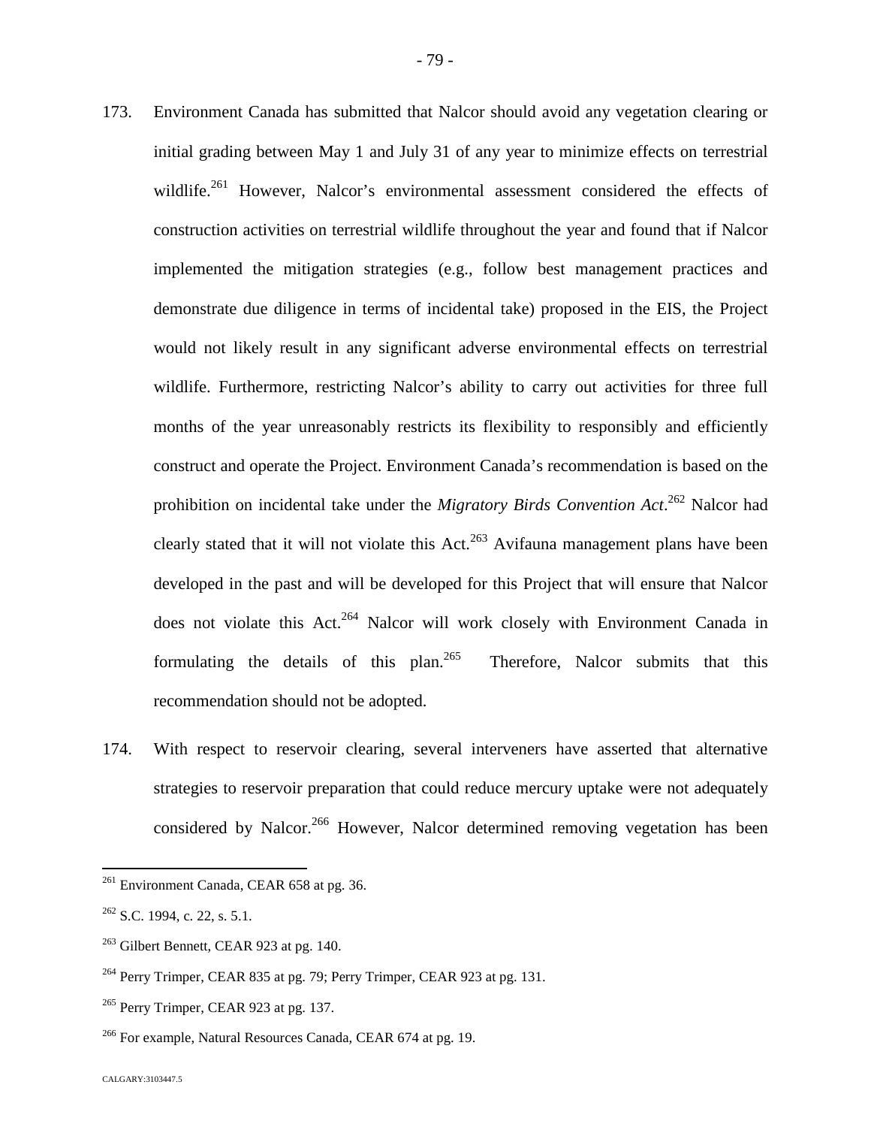- 173. Environment Canada has submitted that Nalcor should avoid any vegetation clearing or initial grading between May 1 and July 31 of any year to minimize effects on terrestrial wildlife.<sup>[261](#page-79-0)</sup> However, Nalcor's environmental assessment considered the effects of construction activities on terrestrial wildlife throughout the year and found that if Nalcor implemented the mitigation strategies (e.g., follow best management practices and demonstrate due diligence in terms of incidental take) proposed in the EIS, the Project would not likely result in any significant adverse environmental effects on terrestrial wildlife. Furthermore, restricting Nalcor's ability to carry out activities for three full months of the year unreasonably restricts its flexibility to responsibly and efficiently construct and operate the Project. Environment Canada's recommendation is based on the prohibition on incidental take under the *Migratory Birds Convention Act*. [262](#page-79-1) Nalcor had clearlystated that it will not violate this  $Act.<sup>263</sup> Avifauna management plans have been$  $Act.<sup>263</sup> Avifauna management plans have been$  $Act.<sup>263</sup> Avifauna management plans have been$ developed in the past and will be developed for this Project that will ensure that Nalcor does not violate this Act.<sup>[264](#page-79-3)</sup> Nalcor will work closely with Environment Canada in formulating the details of this plan.<sup>[265](#page-79-4)</sup> Therefore, Nalcor submits that this recommendation should not be adopted.
- 174. With respect to reservoir clearing, several interveners have asserted that alternative strategies to reservoir preparation that could reduce mercury uptake were not adequately considered by Nalcor.<sup>[266](#page-79-5)</sup> However, Nalcor determined removing vegetation has been

<span id="page-79-0"></span> $^{261}$  Environment Canada, CEAR 658 at pg. 36.

<span id="page-79-1"></span> $262$  S.C. 1994, c. 22, s. 5.1.

<span id="page-79-2"></span> $263$  Gilbert Bennett, CEAR 923 at pg. 140.

<span id="page-79-3"></span> $^{264}$  Perry Trimper, CEAR 835 at pg. 79; Perry Trimper, CEAR 923 at pg. 131.

<span id="page-79-4"></span> $^{265}$  Perry Trimper, CEAR 923 at pg. 137.

<span id="page-79-5"></span><sup>&</sup>lt;sup>266</sup> For example, Natural Resources Canada, CEAR 674 at pg. 19.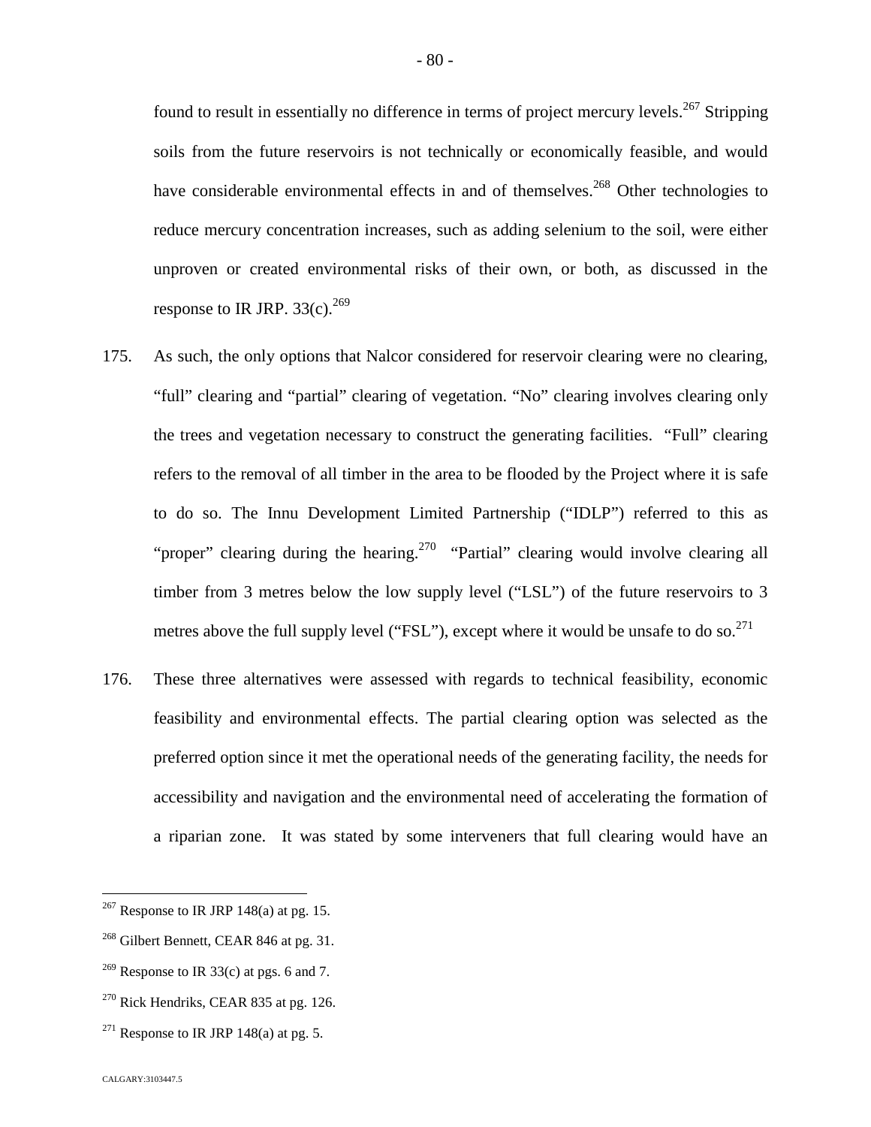found to result in essentially no difference in terms of project mercury levels.<sup>[267](#page-80-0)</sup> Stripping soils from the future reservoirs is not technically or economically feasible, and would have considerable environmental effects in and of themselves.<sup>[268](#page-80-1)</sup> Other technologies to reduce mercury concentration increases, such as adding selenium to the soil, were either unproven or created environmental risks of their own, or both, as discussed in the response to IR JRP.  $33(c)$ .<sup>[269](#page-80-2)</sup>

- 175. As such, the only options that Nalcor considered for reservoir clearing were no clearing, "full" clearing and "partial" clearing of vegetation. "No" clearing involves clearing only the trees and vegetation necessary to construct the generating facilities. "Full" clearing refers to the removal of all timber in the area to be flooded by the Project where it is safe to do so. The Innu Development Limited Partnership ("IDLP") referred to this as "proper" clearing during the hearing.<sup>[270](#page-80-3)</sup> "Partial" clearing would involve clearing all timber from 3 metres below the low supply level ("LSL") of the future reservoirs to 3 metresabove the full supply level ("FSL"), except where it would be unsafe to do so.<sup>271</sup>
- 176. These three alternatives were assessed with regards to technical feasibility, economic feasibility and environmental effects. The partial clearing option was selected as the preferred option since it met the operational needs of the generating facility, the needs for accessibility and navigation and the environmental need of accelerating the formation of a riparian zone. It was stated by some interveners that full clearing would have an

<span id="page-80-0"></span> $267$  Response to IR JRP 148(a) at pg. 15.

<span id="page-80-1"></span><sup>&</sup>lt;sup>268</sup> Gilbert Bennett, CEAR 846 at pg. 31.

<span id="page-80-2"></span><sup>&</sup>lt;sup>269</sup> Response to IR 33(c) at pgs. 6 and 7.

<span id="page-80-3"></span> $270$  Rick Hendriks, CEAR 835 at pg. 126.

<span id="page-80-4"></span><sup>&</sup>lt;sup>271</sup> Response to IR JRP 148(a) at pg. 5.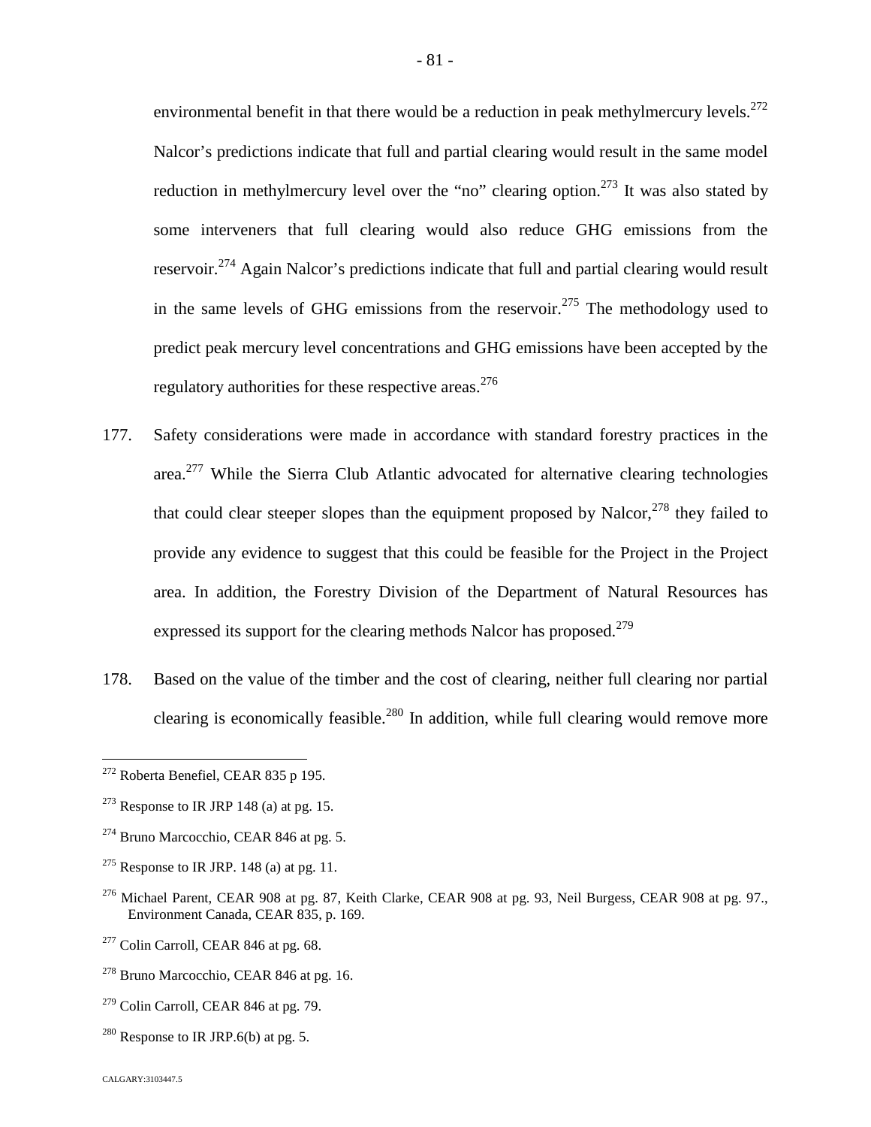environmental benefit in that there would be a reduction in peak methylmercury levels. $^{272}$  $^{272}$  $^{272}$ Nalcor's predictions indicate that full and partial clearing would result in the same model reduction in methylmercury level over the "no" clearing option.<sup>[273](#page-81-1)</sup> It was also stated by some interveners that full clearing would also reduce GHG emissions from the reservoir.<sup>[274](#page-81-2)</sup> Again Nalcor's predictions indicate that full and partial clearing would result in the same levels of GHG emissions from the reservoir.<sup>[275](#page-81-3)</sup> The methodology used to predict peak mercury level concentrations and GHG emissions have been accepted by the regulatory authorities for these respective areas.  $276$  $276$ 

- 177. Safety considerations were made in accordance with standard forestry practices in the area.<sup>[277](#page-81-5)</sup> While the Sierra Club Atlantic advocated for alternative clearing technologies that could clear steeper slopes than the equipment proposed by Nalcor, $^{278}$  $^{278}$  $^{278}$  they failed to provide any evidence to suggest that this could be feasible for the Project in the Project area. In addition, the Forestry Division of the Department of Natural Resources has expressed its support for the clearing methods Nalcor has proposed.<sup>279</sup>
- 178. Based on the value of the timber and the cost of clearing, neither full clearing nor partial clearing is economically feasible.<sup>[280](#page-81-7)</sup> In addition, while full clearing would remove more

 $279$  Colin Carroll, CEAR 846 at pg. 79.

<span id="page-81-0"></span><sup>272</sup> Roberta Benefiel, CEAR 835 p 195.

<span id="page-81-1"></span> $273$  Response to IR JRP 148 (a) at pg. 15.

<span id="page-81-2"></span> $274$  Bruno Marcocchio, CEAR 846 at pg. 5.

<span id="page-81-3"></span><sup>&</sup>lt;sup>275</sup> Response to IR JRP. 148 (a) at pg. 11.

<span id="page-81-4"></span><sup>&</sup>lt;sup>276</sup> Michael Parent, CEAR 908 at pg. 87, Keith Clarke, CEAR 908 at pg. 93, Neil Burgess, CEAR 908 at pg. 97., Environment Canada, CEAR 835, p. 169.

<span id="page-81-5"></span> $277$  Colin Carroll, CEAR 846 at pg. 68.

<span id="page-81-6"></span><sup>278</sup> Bruno Marcocchio, CEAR 846 at pg. 16.

<span id="page-81-7"></span><sup>&</sup>lt;sup>280</sup> Response to IR JRP.6(b) at pg. 5.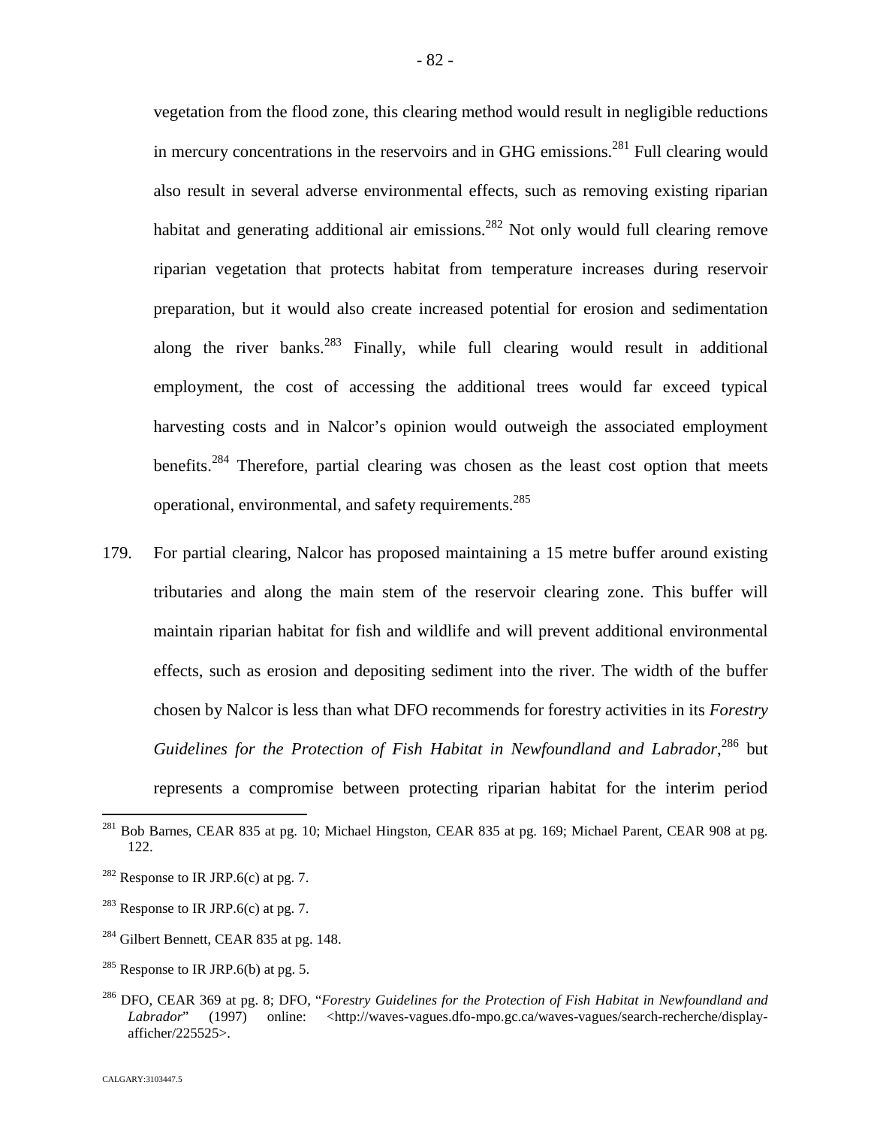vegetation from the flood zone, this clearing method would result in negligible reductions in mercury concentrations in the reservoirs and in GHG emissions.<sup>[281](#page-82-0)</sup> Full clearing would also result in several adverse environmental effects, such as removing existing riparian habitat and generating additional air emissions.<sup>[282](#page-82-1)</sup> Not only would full clearing remove riparian vegetation that protects habitat from temperature increases during reservoir preparation, but it would also create increased potential for erosion and sedimentation along the river banks.<sup>[283](#page-82-2)</sup> Finally, while full clearing would result in additional employment, the cost of accessing the additional trees would far exceed typical harvesting costs and in Nalcor's opinion would outweigh the associated employment benefits.<sup>[284](#page-82-3)</sup> Therefore, partial clearing was chosen as the least cost option that meets operational, environmental, and safety requirements.<sup>28[5](#page-82-4)</sup>

179. For partial clearing, Nalcor has proposed maintaining a 15 metre buffer around existing tributaries and along the main stem of the reservoir clearing zone. This buffer will maintain riparian habitat for fish and wildlife and will prevent additional environmental effects, such as erosion and depositing sediment into the river. The width of the buffer chosen by Nalcor is less than what DFO recommends for forestry activities in its *Forestry* Guidelines for the Protection of Fish Habitat in Newfoundland and Labrador,<sup>[286](#page-82-5)</sup> but represents a compromise between protecting riparian habitat for the interim period

- <span id="page-82-3"></span> $^{284}$  Gilbert Bennett, CEAR 835 at pg. 148.
- <span id="page-82-4"></span><sup>285</sup> Response to IR JRP.6(b) at pg. 5.

CALGARY:3103447.5

<span id="page-82-0"></span><sup>&</sup>lt;sup>281</sup> Bob Barnes, CEAR 835 at pg. 10; Michael Hingston, CEAR 835 at pg. 169; Michael Parent, CEAR 908 at pg. 122.

<span id="page-82-1"></span><sup>&</sup>lt;sup>282</sup> Response to IR JRP.6(c) at pg. 7.

<span id="page-82-2"></span><sup>&</sup>lt;sup>283</sup> Response to IR JRP.6(c) at pg. 7.

<span id="page-82-5"></span><sup>286</sup> DFO, CEAR 369 at pg. 8; DFO, "*Forestry Guidelines for the Protection of Fish Habitat in Newfoundland and* Labrador" (1997) online: <http://waves-vagues.dfo-mpo.gc.ca/waves-vagues/search-recherche/displayafficher/225525>.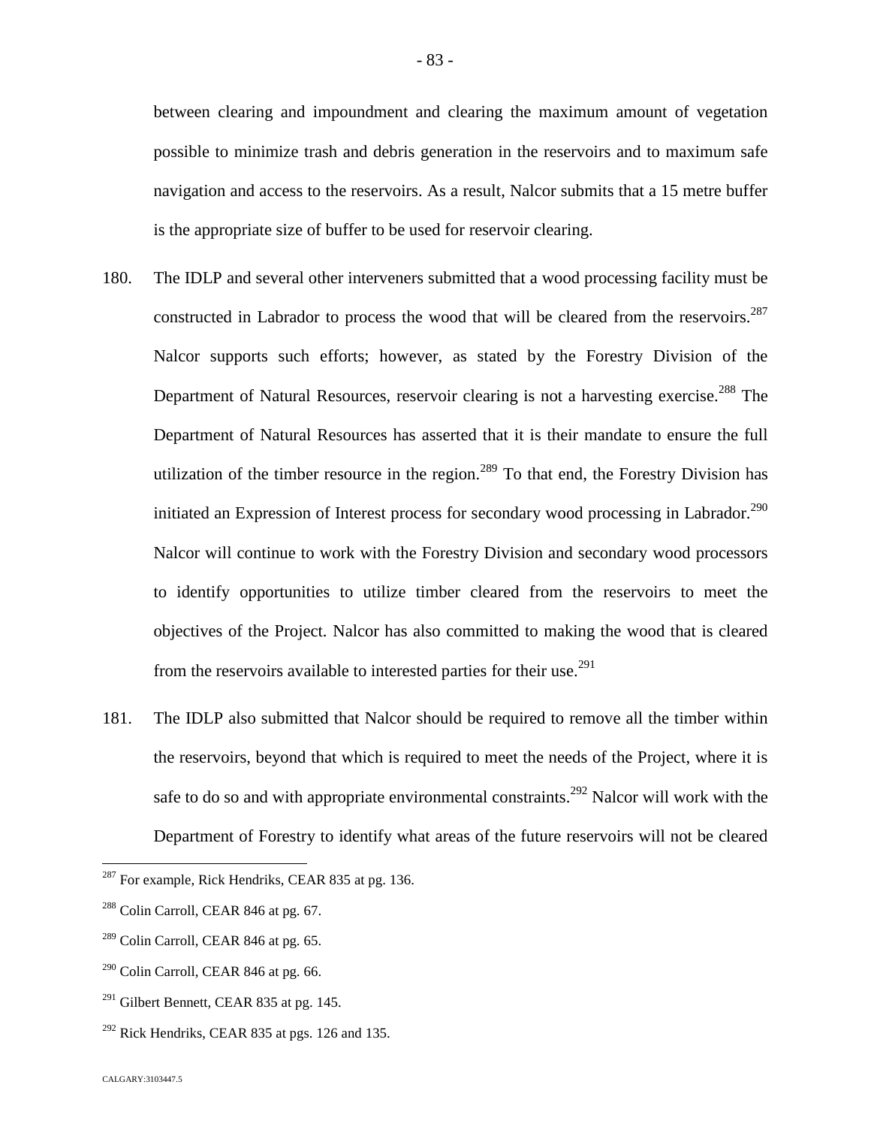between clearing and impoundment and clearing the maximum amount of vegetation possible to minimize trash and debris generation in the reservoirs and to maximum safe navigation and access to the reservoirs. As a result, Nalcor submits that a 15 metre buffer is the appropriate size of buffer to be used for reservoir clearing.

- 180. The IDLP and several other interveners submitted that a wood processing facility must be constructed in Labrador to process the wood that will be cleared from the reservoirs.<sup>[287](#page-83-0)</sup> Nalcor supports such efforts; however, as stated by the Forestry Division of the Department of Natural Resources, reservoir clearing is not a harvesting exercise.<sup>[288](#page-83-1)</sup> The Department of Natural Resources has asserted that it is their mandate to ensure the full utilization of the timber resource in the region.<sup>[289](#page-83-2)</sup> To that end, the Forestry Division has initiated an Expression of Interest process for secondary wood processing in Labrador.<sup>[290](#page-83-3)</sup> Nalcor will continue to work with the Forestry Division and secondary wood processors to identify opportunities to utilize timber cleared from the reservoirs to meet the objectives of the Project. Nalcor has also committed to making the wood that is cleared from the reservoirs available to interested parties for their use.<sup>291</sup>
- 181. The IDLP also submitted that Nalcor should be required to remove all the timber within the reservoirs, beyond that which is required to meet the needs of the Project, where it is safe to do so and with appropriate environmental constraints.<sup>[292](#page-83-4)</sup> Nalcor will work with the Department of Forestry to identify what areas of the future reservoirs will not be cleared

<span id="page-83-0"></span> $287$  For example, Rick Hendriks, CEAR 835 at pg. 136.

<span id="page-83-1"></span> $288$  Colin Carroll, CEAR 846 at pg. 67.

<span id="page-83-2"></span> $^{289}$  Colin Carroll, CEAR 846 at pg. 65.

<span id="page-83-3"></span> $290$  Colin Carroll, CEAR 846 at pg. 66.

 $291$  Gilbert Bennett, CEAR 835 at pg. 145.

<span id="page-83-4"></span> $292$  Rick Hendriks, CEAR 835 at pgs. 126 and 135.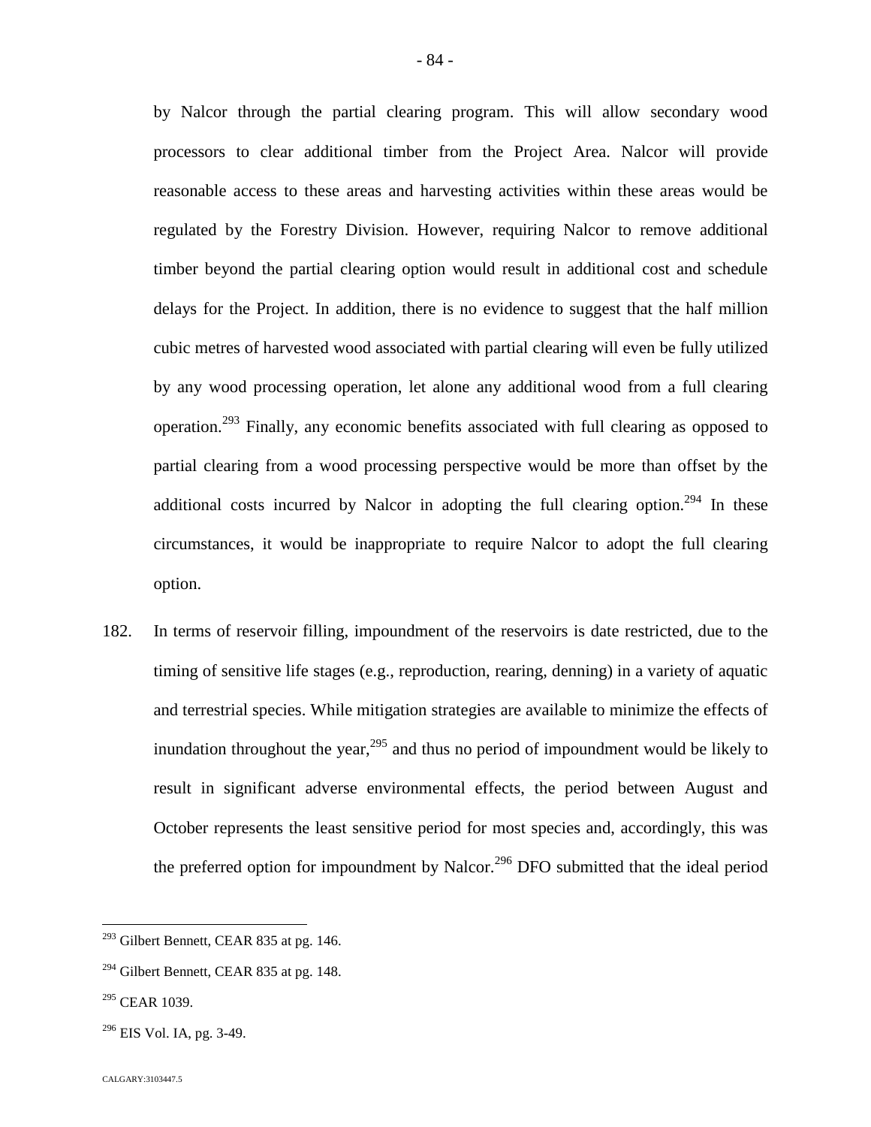by Nalcor through the partial clearing program. This will allow secondary wood processors to clear additional timber from the Project Area. Nalcor will provide reasonable access to these areas and harvesting activities within these areas would be regulated by the Forestry Division. However, requiring Nalcor to remove additional timber beyond the partial clearing option would result in additional cost and schedule delays for the Project. In addition, there is no evidence to suggest that the half million cubic metres of harvested wood associated with partial clearing will even be fully utilized by any wood processing operation, let alone any additional wood from a full clearing operation.[293](#page-84-0) Finally, any economic benefits associated with full clearing as opposed to partial clearing from a wood processing perspective would be more than offset by the additional costs incurred by Nalcor in adopting the full clearing option.<sup>[294](#page-84-1)</sup> In these circumstances, it would be inappropriate to require Nalcor to adopt the full clearing option.

182. In terms of reservoir filling, impoundment of the reservoirs is date restricted, due to the timing of sensitive life stages (e.g., reproduction, rearing, denning) in a variety of aquatic and terrestrial species. While mitigation strategies are available to minimize the effects of inundationthroughout the year,  $295$  and thus no period of impoundment would be likely to result in significant adverse environmental effects, the period between August and October represents the least sensitive period for most species and, accordingly, this was the preferred option for impoundment by Nalcor.<sup>[296](#page-84-3)</sup> DFO submitted that the ideal period

<span id="page-84-0"></span><sup>&</sup>lt;sup>293</sup> Gilbert Bennett, CEAR 835 at pg. 146.

<span id="page-84-1"></span> $294$  Gilbert Bennett, CEAR 835 at pg. 148.

<span id="page-84-2"></span><sup>295</sup> CEAR 1039.

<span id="page-84-3"></span> $296$  EIS Vol. IA, pg. 3-49.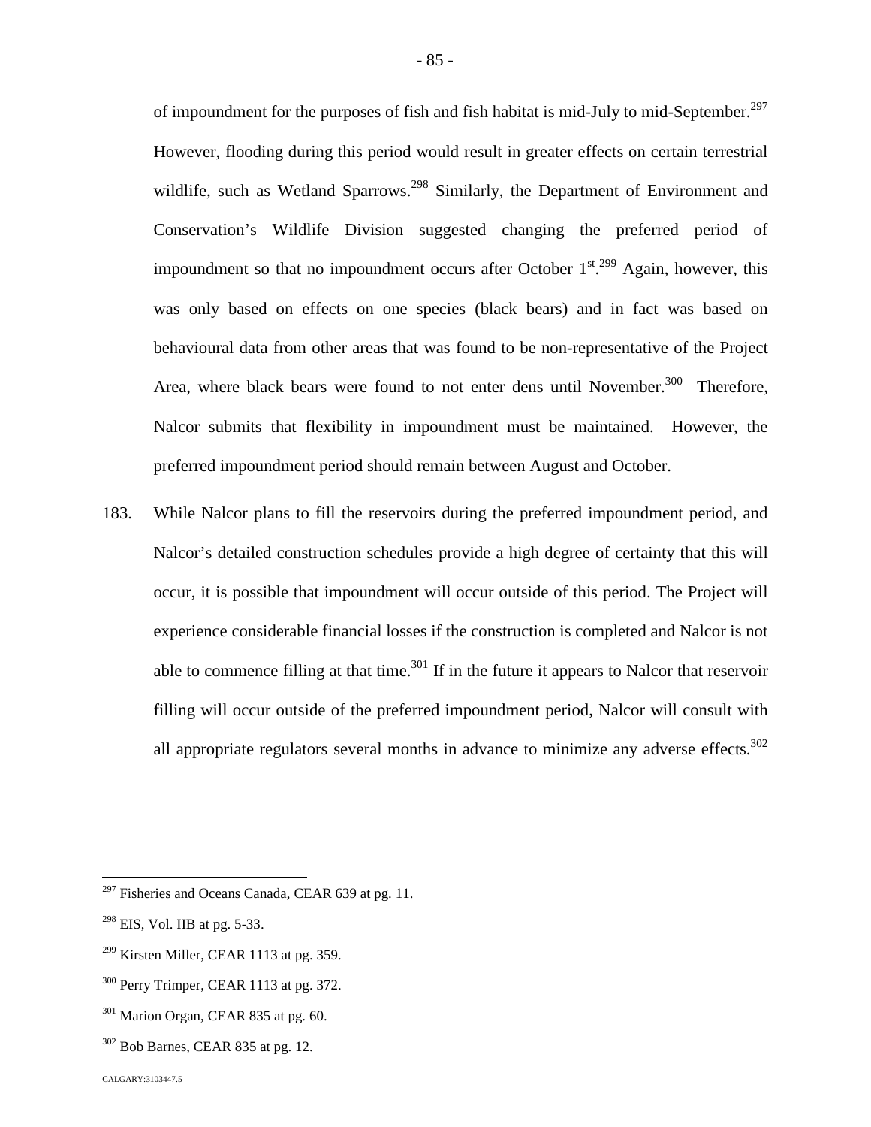of impoundment for the purposes of fish and fish habitat is mid-July to mid-September.<sup>[297](#page-85-0)</sup> However, flooding during this period would result in greater effects on certain terrestrial wildlife, such as Wetland Sparrows.<sup>[298](#page-85-1)</sup> Similarly, the Department of Environment and Conservation's Wildlife Division suggested changing the preferred period of impoundment so that no impoundment occurs after October  $1^{st}$ <sup>[299](#page-85-2)</sup> Again, however, this was only based on effects on one species (black bears) and in fact was based on behavioural data from other areas that was found to be non-representative of the Project Area, where black bears were found to not enter dens until November.<sup>[300](#page-85-3)</sup> Therefore, Nalcor submits that flexibility in impoundment must be maintained. However, the preferred impoundment period should remain between August and October.

183. While Nalcor plans to fill the reservoirs during the preferred impoundment period, and Nalcor's detailed construction schedules provide a high degree of certainty that this will occur, it is possible that impoundment will occur outside of this period. The Project will experience considerable financial losses if the construction is completed and Nalcor is not able to commence filling at that time.<sup>[301](#page-85-4)</sup> If in the future it appears to Nalcor that reservoir filling will occur outside of the preferred impoundment period, Nalcor will consult with all appropriate regulators several months in advance to minimize any adverse effects.<sup>[302](#page-85-5)</sup>

<span id="page-85-0"></span> $297$  Fisheries and Oceans Canada, CEAR 639 at pg. 11.

<span id="page-85-1"></span> $298$  EIS, Vol. IIB at pg. 5-33.

<span id="page-85-2"></span> $299$  Kirsten Miller, CEAR 1113 at pg. 359.

<span id="page-85-3"></span><sup>&</sup>lt;sup>300</sup> Perry Trimper, CEAR 1113 at pg. 372.

<span id="page-85-4"></span> $301$  Marion Organ, CEAR 835 at pg. 60.

<span id="page-85-5"></span> $302$  Bob Barnes, CEAR 835 at pg. 12.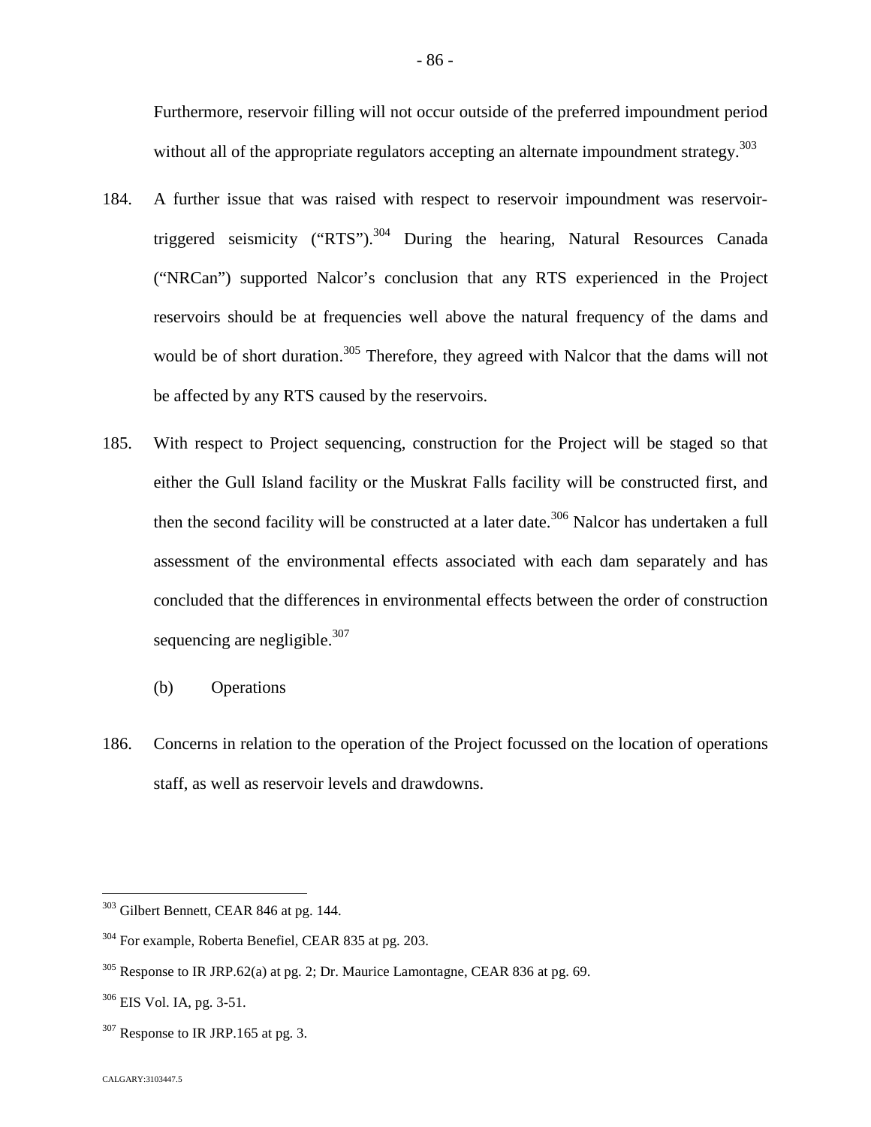Furthermore, reservoir filling will not occur outside of the preferred impoundment period without all of the appropriate regulators accepting an alternate impoundment strategy.  $303$  $303$ 

- 184. A further issue that was raised with respect to reservoir impoundment was reservoir-triggered seismicity ("RTS").<sup>[304](#page-86-1)</sup> During the hearing, Natural Resources Canada ("NRCan") supported Nalcor's conclusion that any RTS experienced in the Project reservoirs should be at frequencies well above the natural frequency of the dams and would be of short duration.<sup>[305](#page-86-2)</sup> Therefore, they agreed with Nalcor that the dams will not be affected by any RTS caused by the reservoirs.
- 185. With respect to Project sequencing, construction for the Project will be staged so that either the Gull Island facility or the Muskrat Falls facility will be constructed first, and thenthe second facility will be constructed at a later date[.](#page-86-3)<sup>306</sup> Nalcor has undertaken a full assessment of the environmental effects associated with each dam separately and has concluded that the differences in environmental effects between the order of construction sequencing are negligible. $307$  $307$ 
	- (b) Operations
- 186. Concerns in relation to the operation of the Project focussed on the location of operations staff, as well as reservoir levels and drawdowns.

<span id="page-86-0"></span><sup>303</sup> Gilbert Bennett, CEAR 846 at pg. 144.

<span id="page-86-1"></span><sup>304</sup> For example, Roberta Benefiel, CEAR 835 at pg. 203.

<span id="page-86-2"></span> $305$  Response to IR JRP.62(a) at pg. 2; Dr. Maurice Lamontagne, CEAR 836 at pg. 69.

<span id="page-86-3"></span><sup>306</sup> EIS Vol. IA, pg. 3-51.

<span id="page-86-4"></span> $307$  Response to IR JRP.165 at pg. 3.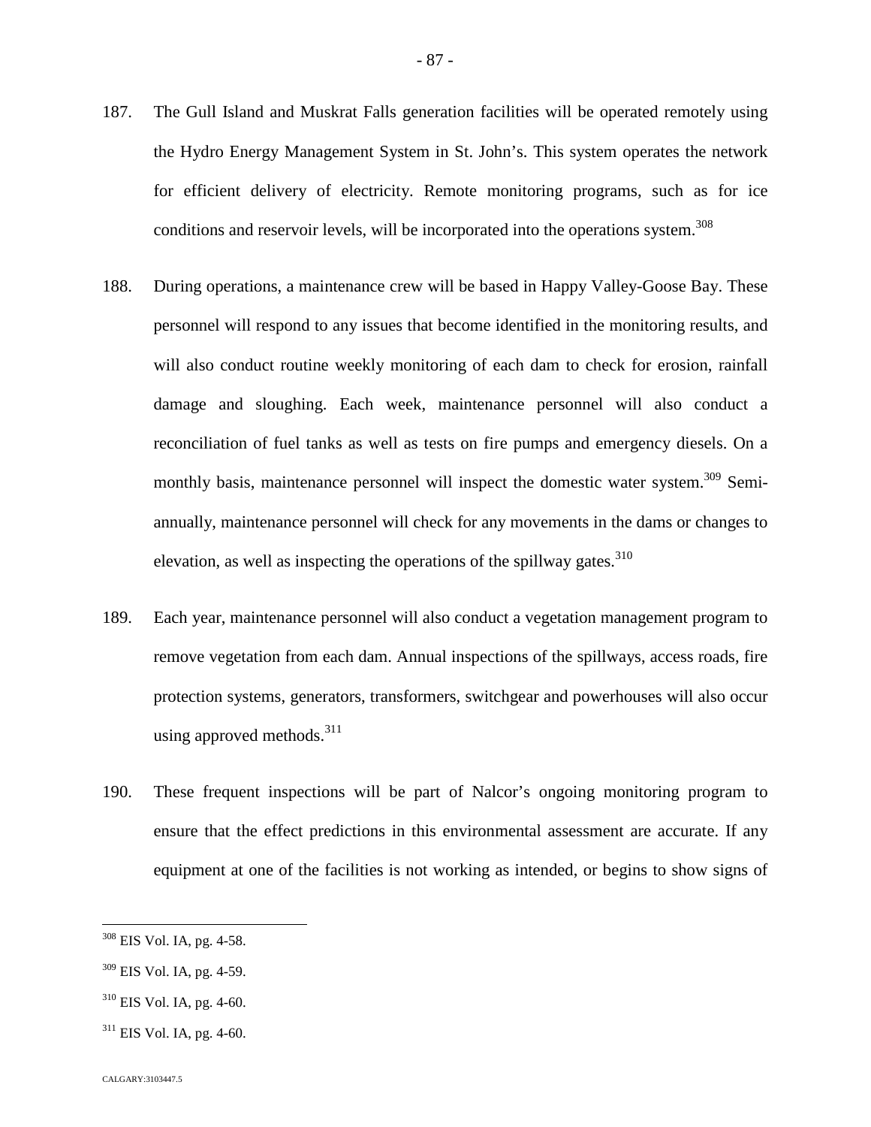- 187. The Gull Island and Muskrat Falls generation facilities will be operated remotely using the Hydro Energy Management System in St. John's. This system operates the network for efficient delivery of electricity. Remote monitoring programs, such as for ice conditions and reservoir levels, will be incorporated into the operations system.<sup>308</sup>
- 188. During operations, a maintenance crew will be based in Happy Valley-Goose Bay. These personnel will respond to any issues that become identified in the monitoring results, and will also conduct routine weekly monitoring of each dam to check for erosion, rainfall damage and sloughing. Each week, maintenance personnel will also conduct a reconciliation of fuel tanks as well as tests on fire pumps and emergency diesels. On a monthly basis, maintenance personnel will inspect the domestic water system.<sup>[309](#page-87-0)</sup> Semiannually, maintenance personnel will check for any movements in the dams or changes to elevation, as well as inspecting the operations of the spillway gates. $310$
- 189. Each year, maintenance personnel will also conduct a vegetation management program to remove vegetation from each dam. Annual inspections of the spillways, access roads, fire protection systems, generators, transformers, switchgear and powerhouses will also occur using approved methods.  $311$  $311$
- 190. These frequent inspections will be part of Nalcor's ongoing monitoring program to ensure that the effect predictions in this environmental assessment are accurate. If any equipment at one of the facilities is not working as intended, or begins to show signs of

<sup>308</sup> EIS Vol. IA, pg. 4-58.

<span id="page-87-0"></span> $309$  EIS Vol. IA, pg. 4-59.

 $310$  EIS Vol. IA, pg. 4-60.

<span id="page-87-1"></span> $311$  EIS Vol. IA, pg. 4-60.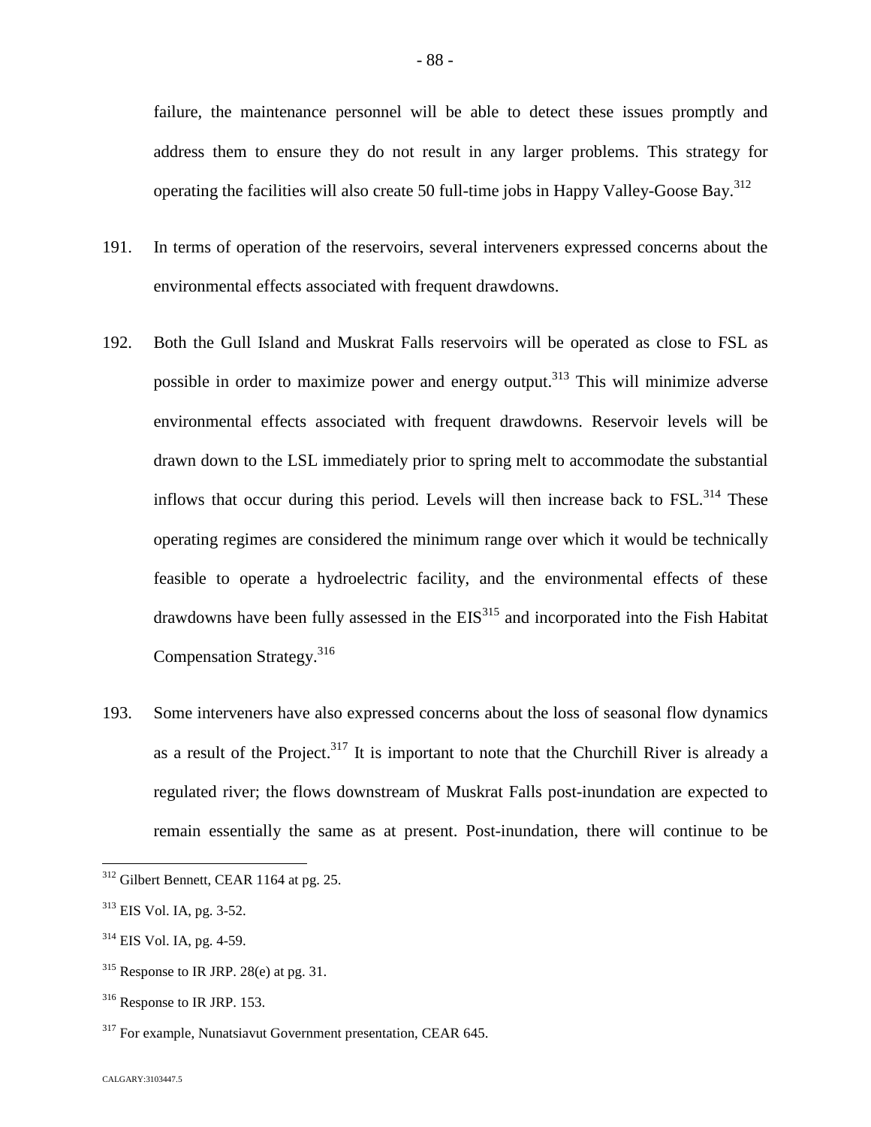failure, the maintenance personnel will be able to detect these issues promptly and address them to ensure they do not result in any larger problems. This strategy for operating the facilities will also create 50 full-time jobs in Happy Valley-Goose Bay.<sup>31[2](#page-88-0)</sup>

- 191. In terms of operation of the reservoirs, several interveners expressed concerns about the environmental effects associated with frequent drawdowns.
- 192. Both the Gull Island and Muskrat Falls reservoirs will be operated as close to FSL as possible in order to maximize power and energy output.<sup>[313](#page-88-1)</sup> This will minimize adverse environmental effects associated with frequent drawdowns. Reservoir levels will be drawn down to the LSL immediately prior to spring melt to accommodate the substantial inflowsthat occur during this period[.](#page-88-2) Levels will then increase back to  $FSL<sup>314</sup>$  These operating regimes are considered the minimum range over which it would be technically feasible to operate a hydroelectric facility, and the environmental effects of these drawdownshave been fully assessed in the  $EIS<sup>315</sup>$  $EIS<sup>315</sup>$  $EIS<sup>315</sup>$  and incorporated into the Fish Habitat Compensation Strategy.[316](#page-88-4)
- 193. Some interveners have also expressed concerns about the loss of seasonal flow dynamics as a result of the Project.<sup>[317](#page-88-5)</sup> It is important to note that the Churchill River is already a regulated river; the flows downstream of Muskrat Falls post-inundation are expected to remain essentially the same as at present. Post-inundation, there will continue to be

<span id="page-88-0"></span><sup>312</sup> Gilbert Bennett, CEAR 1164 at pg. 25.

<span id="page-88-1"></span> $313$  EIS Vol. IA, pg. 3-52.

<span id="page-88-2"></span><sup>314</sup> EIS Vol. IA, pg. 4-59.

<span id="page-88-3"></span> $315$  Response to IR JRP. 28(e) at pg. 31.

<span id="page-88-4"></span><sup>316</sup> Response to IR JRP. 153.

<span id="page-88-5"></span><sup>&</sup>lt;sup>317</sup> For example, Nunatsiavut Government presentation, CEAR 645.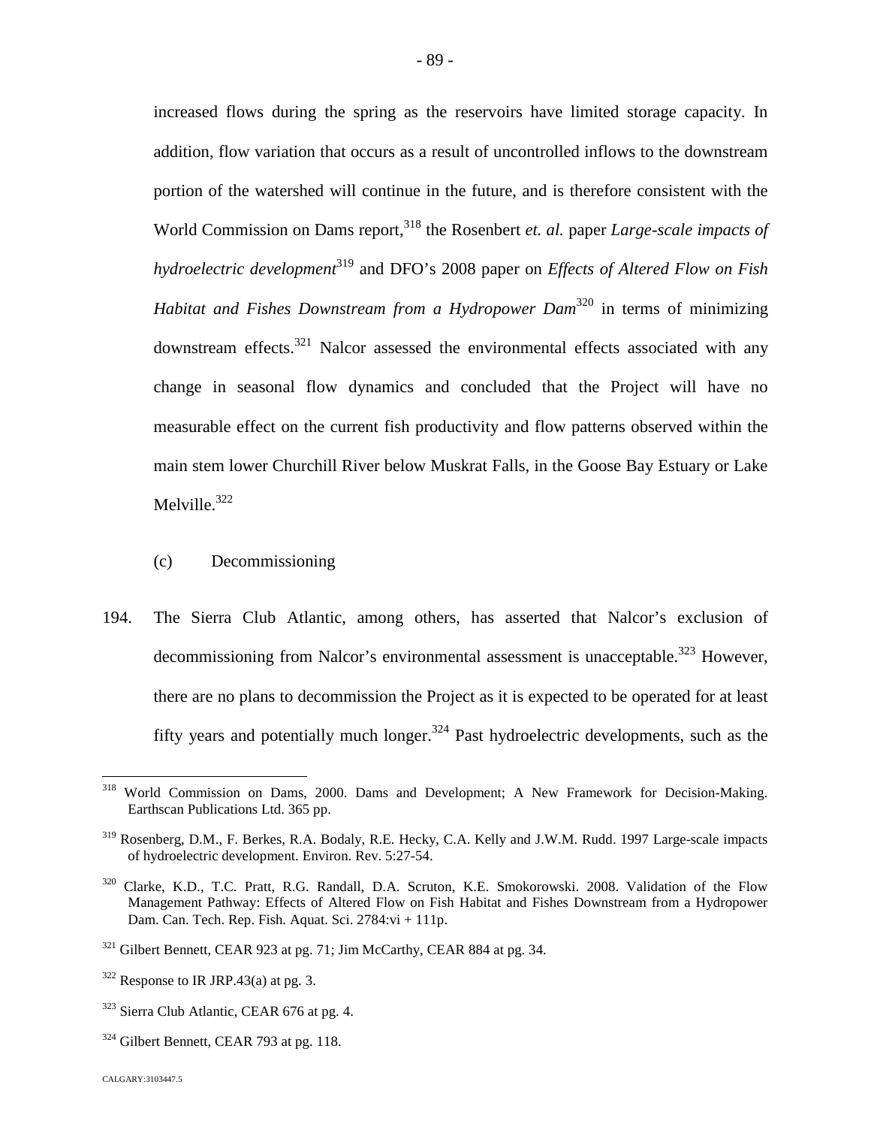increased flows during the spring as the reservoirs have limited storage capacity. In addition, flow variation that occurs as a result of uncontrolled inflows to the downstream portion of the watershed will continue in the future, and is therefore consistent with the World Commission on Dams report,<sup>[318](#page-89-0)</sup> the Rosenbert *et. al.* paper *Large-scale impacts of hydroelectric development*[319](#page-89-1) and DFO's 2008 paper on *Effects of Altered Flow on Fish Habitat and Fishes Downstream from a Hydropower Dam*[320](#page-89-2) in terms of minimizing downstream effects.[321](#page-89-3) Nalcor assessed the environmental effects associated with any change in seasonal flow dynamics and concluded that the Project will have no measurable effect on the current fish productivity and flow patterns observed within the main stem lower Churchill River below Muskrat Falls, in the Goose Bay Estuary or Lake Melville. $322$ 

- (c) Decommissioning
- 194. The Sierra Club Atlantic, among others, has asserted that Nalcor's exclusion of decommissioning from Nalcor's environmental assessment is unacceptable.<sup>[323](#page-89-5)</sup> However, there are no plans to decommission the Project as it is expected to be operated for at least fifty years and potentially much longer.<sup>[324](#page-89-6)</sup> Past hydroelectric developments, such as the

<span id="page-89-0"></span><sup>&</sup>lt;sup>318</sup> World Commission on Dams, 2000. Dams and Development; A New Framework for Decision-Making. Earthscan Publications Ltd. 365 pp.

<span id="page-89-1"></span><sup>319</sup> Rosenberg, D.M., F. Berkes, R.A. Bodaly, R.E. Hecky, C.A. Kelly and J.W.M. Rudd. 1997 Large-scale impacts of hydroelectric development. Environ. Rev. 5:27-54.

<span id="page-89-2"></span><sup>&</sup>lt;sup>320</sup> Clarke, K.D., T.C. Pratt, R.G. Randall, D.A. Scruton, K.E. Smokorowski. 2008. Validation of the Flow Management Pathway: Effects of Altered Flow on Fish Habitat and Fishes Downstream from a Hydropower Dam. Can. Tech. Rep. Fish. Aquat. Sci. 2784:vi + 111p.

<span id="page-89-3"></span><sup>&</sup>lt;sup>321</sup> Gilbert Bennett, CEAR 923 at pg. 71; Jim McCarthy, CEAR 884 at pg. 34.

<span id="page-89-4"></span> $322$  Response to IR JRP.43(a) at pg. 3.

<span id="page-89-5"></span><sup>323</sup> Sierra Club Atlantic, CEAR 676 at pg. 4.

<span id="page-89-6"></span><sup>&</sup>lt;sup>324</sup> Gilbert Bennett, CEAR 793 at pg. 118.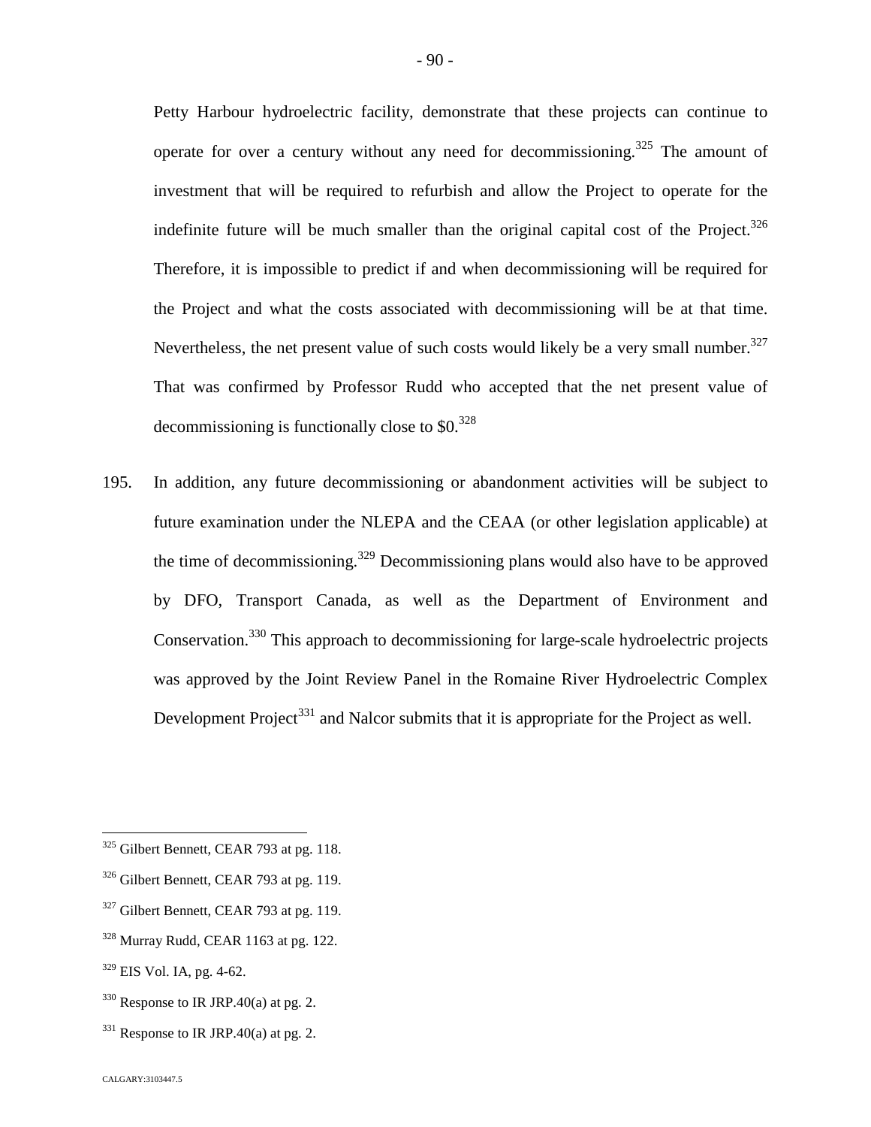Petty Harbour hydroelectric facility, demonstrate that these projects can continue to operate for over a century without any need for decommissioning.<sup>[325](#page-90-0)</sup> The amount of investment that will be required to refurbish and allow the Project to operate for the indefinite future will be much smaller than the original capital cost of the Project.<sup>[326](#page-90-1)</sup> Therefore, it is impossible to predict if and when decommissioning will be required for the Project and what the costs associated with decommissioning will be at that time. Nevertheless, the net present value of such costs would likely be a very small number. $327$ That was confirmed by Professor Rudd who accepted that the net present value of decommissioningis functionally close to  $$0.328$$ 

195. In addition, any future decommissioning or abandonment activities will be subject to future examination under the NLEPA and the CEAA (or other legislation applicable) at the time of decommissioning.<sup>[329](#page-90-4)</sup> Decommissioning plans would also have to be approved by DFO, Transport Canada, as well as the Department of Environment and Conservation.[330](#page-90-5) This approach to decommissioning for large-scale hydroelectric projects was approved by the Joint Review Panel in the Romaine River Hydroelectric Complex Development Project<sup>[331](#page-90-6)</sup> and Nalcor submits that it is appropriate for the Project as well.

<span id="page-90-3"></span> $328$  Murray Rudd, CEAR 1163 at pg. 122.

- <span id="page-90-5"></span> $330$  Response to IR JRP.40(a) at pg. 2.
- <span id="page-90-6"></span> $331$  Response to IR JRP.40(a) at pg. 2.

<span id="page-90-0"></span> $325$  Gilbert Bennett, CEAR 793 at pg. 118.

<span id="page-90-1"></span><sup>&</sup>lt;sup>326</sup> Gilbert Bennett, CEAR 793 at pg. 119.

<span id="page-90-2"></span> $327$  Gilbert Bennett, CEAR 793 at pg. 119.

<span id="page-90-4"></span> $329$  EIS Vol. IA, pg. 4-62.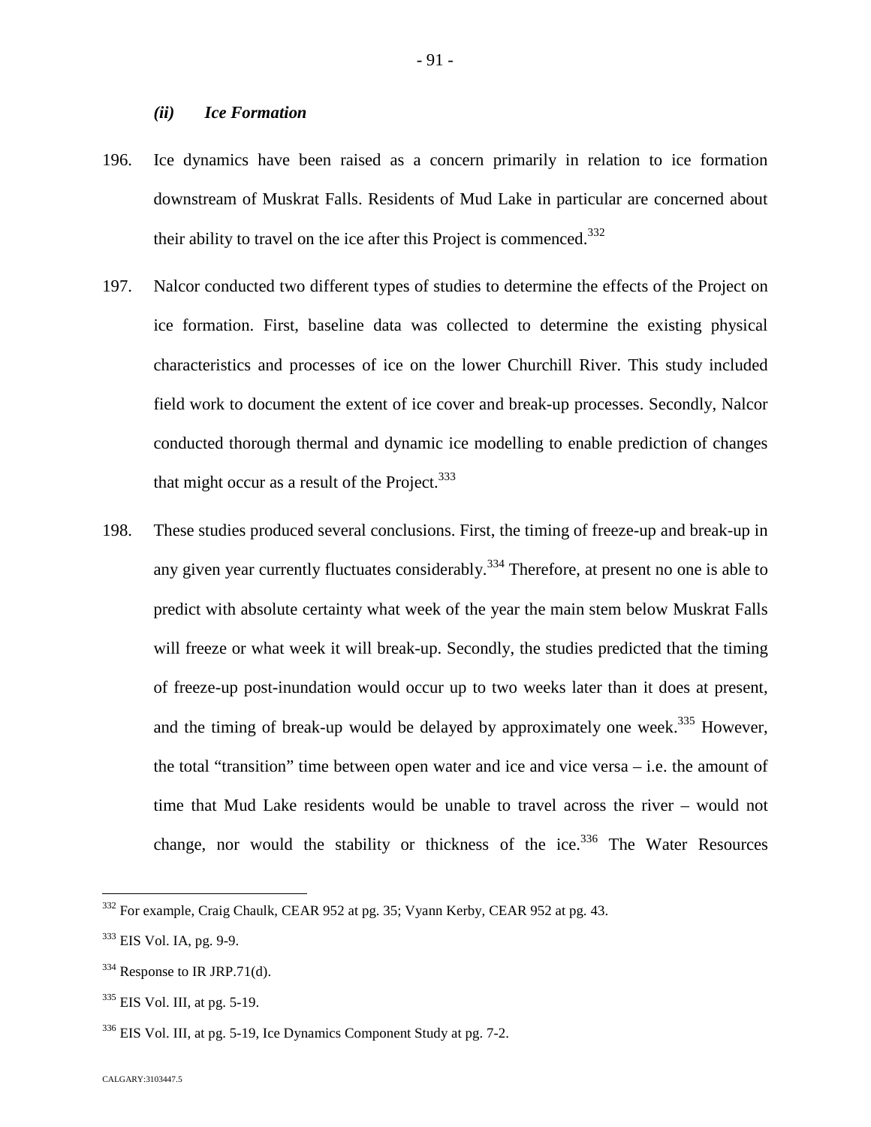### *(ii) Ice Formation*

- 196. Ice dynamics have been raised as a concern primarily in relation to ice formation downstream of Muskrat Falls. Residents of Mud Lake in particular are concerned about their ability to travel on the ice after this Project is commenced.<sup>33[2](#page-91-0)</sup>
- 197. Nalcor conducted two different types of studies to determine the effects of the Project on ice formation. First, baseline data was collected to determine the existing physical characteristics and processes of ice on the lower Churchill River. This study included field work to document the extent of ice cover and break-up processes. Secondly, Nalcor conducted thorough thermal and dynamic ice modelling to enable prediction of changes that might occur as a result of the Project. $333$  $333$
- 198. These studies produced several conclusions. First, the timing of freeze-up and break-up in any given year currently fluctuates considerably.<sup>[334](#page-91-2)</sup> Therefore, at present no one is able to predict with absolute certainty what week of the year the main stem below Muskrat Falls will freeze or what week it will break-up. Secondly, the studies predicted that the timing of freeze-up post-inundation would occur up to two weeks later than it does at present, and the timing of break-up would be delayed by approximately one week.<sup>[335](#page-91-3)</sup> However, the total "transition" time between open water and ice and vice versa – i.e. the amount of time that Mud Lake residents would be unable to travel across the river – would not change, nor would the stability or thickness of the ice.<sup>[336](#page-91-4)</sup> The Water Resources

<span id="page-91-0"></span><sup>332</sup> For example, Craig Chaulk, CEAR 952 at pg. 35; Vyann Kerby, CEAR 952 at pg. 43.

<span id="page-91-1"></span><sup>&</sup>lt;sup>333</sup> EIS Vol. IA, pg. 9-9.

<span id="page-91-2"></span> $334$  Response to IR JRP.71(d).

<span id="page-91-3"></span><sup>335</sup> EIS Vol. III, at pg. 5-19.

<span id="page-91-4"></span><sup>336</sup> EIS Vol. III, at pg. 5-19, Ice Dynamics Component Study at pg. 7-2.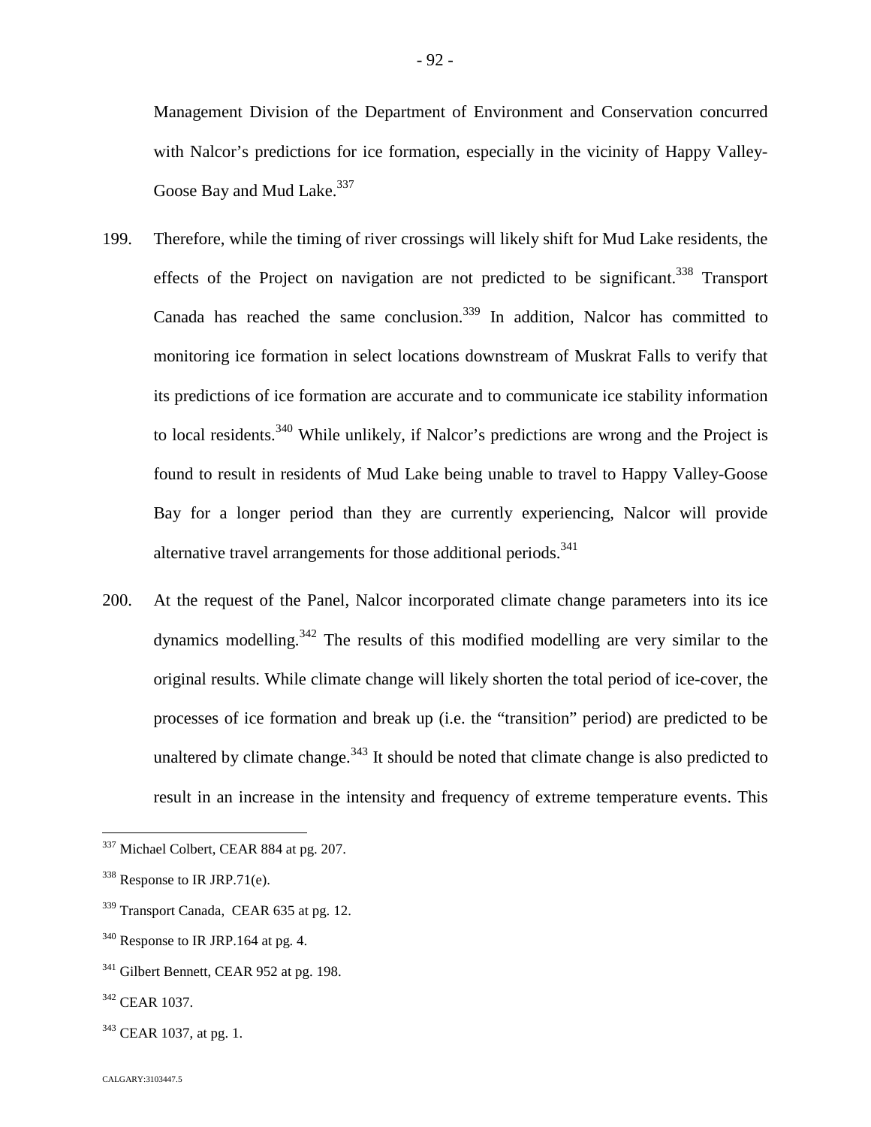Management Division of the Department of Environment and Conservation concurred with Nalcor's predictions for ice formation, especially in the vicinity of Happy Valley-Goose Bay and Mud Lake.<sup>[337](#page-92-0)</sup>

- 199. Therefore, while the timing of river crossings will likely shift for Mud Lake residents, the effects of the Project on navigation are not predicted to be significant.<sup>[338](#page-92-1)</sup> Transport Canada has reached the same conclusion.<sup>[339](#page-92-2)</sup> In addition, Nalcor has committed to monitoring ice formation in select locations downstream of Muskrat Falls to verify that its predictions of ice formation are accurate and to communicate ice stability information to local residents.<sup>[340](#page-92-3)</sup> While unlikely, if Nalcor's predictions are wrong and the Project is found to result in residents of Mud Lake being unable to travel to Happy Valley-Goose Bay for a longer period than they are currently experiencing, Nalcor will provide alternative travel arrangements for those additional periods.<sup>341</sup>
- 200. At the request of the Panel, Nalcor incorporated climate change parameters into its ice dynamics modelling.[342](#page-92-4) The results of this modified modelling are very similar to the original results. While climate change will likely shorten the total period of ice-cover, the processes of ice formation and break up (i.e. the "transition" period) are predicted to be unaltered by climate change.<sup>[343](#page-92-5)</sup> It should be noted that climate change is also predicted to result in an increase in the intensity and frequency of extreme temperature events. This

<span id="page-92-5"></span> $343$  CEAR 1037, at pg. 1.

<span id="page-92-0"></span><sup>&</sup>lt;sup>337</sup> Michael Colbert, CEAR 884 at pg. 207.

<span id="page-92-1"></span> $338$  Response to IR JRP.71(e).

<span id="page-92-2"></span><sup>&</sup>lt;sup>339</sup> Transport Canada, CEAR 635 at pg. 12.

<span id="page-92-3"></span> $340$  Response to IR JRP.164 at pg. 4.

<sup>&</sup>lt;sup>341</sup> Gilbert Bennett, CEAR 952 at pg. 198.

<span id="page-92-4"></span><sup>342</sup> CEAR 1037.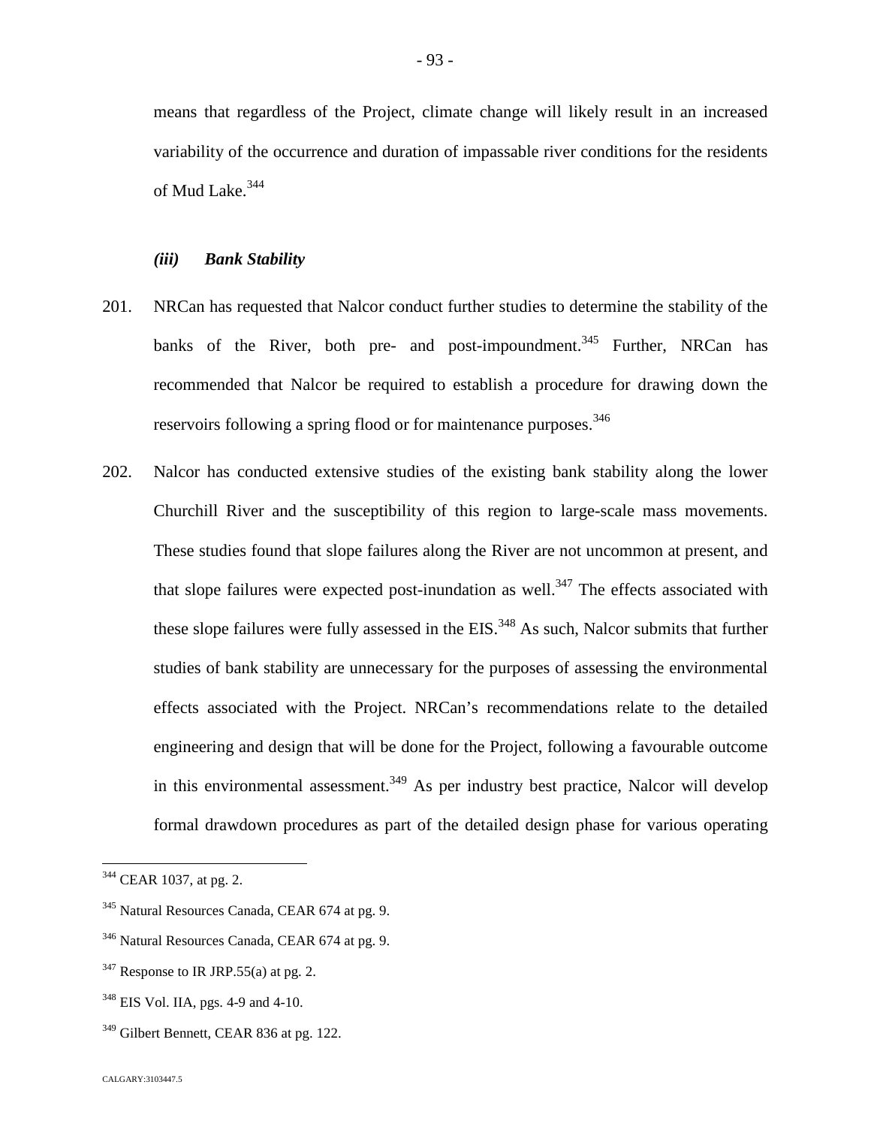means that regardless of the Project, climate change will likely result in an increased variability of the occurrence and duration of impassable river conditions for the residents of Mud Lake.<sup>[344](#page-93-0)</sup>

#### *(iii) Bank Stability*

- 201. NRCan has requested that Nalcor conduct further studies to determine the stability of the banks of the River, both pre- and post-impoundment.<sup>[345](#page-93-1)</sup> Further, NRCan has recommended that Nalcor be required to establish a procedure for drawing down the reservoirs following a spring flood or for maintenance purposes.<sup>34[6](#page-93-2)</sup>
- 202. Nalcor has conducted extensive studies of the existing bank stability along the lower Churchill River and the susceptibility of this region to large-scale mass movements. These studies found that slope failures along the River are not uncommon at present, and thatslope failures were expected post-inundation as well[.](#page-93-3)<sup>347</sup> The effects associated with theseslope failures were fully assessed in the EIS[.](#page-93-4)<sup>348</sup> As such, Nalcor submits that further studies of bank stability are unnecessary for the purposes of assessing the environmental effects associated with the Project. NRCan's recommendations relate to the detailed engineering and design that will be done for the Project, following a favourable outcome in this environmental assessment.<sup>[349](#page-93-5)</sup> As per industry best practice, Nalcor will develop formal drawdown procedures as part of the detailed design phase for various operating

<span id="page-93-0"></span><sup>&</sup>lt;sup>344</sup> CEAR 1037, at pg. 2.

<span id="page-93-1"></span><sup>345</sup> Natural Resources Canada, CEAR 674 at pg. 9.

<span id="page-93-2"></span><sup>346</sup> Natural Resources Canada, CEAR 674 at pg. 9.

<span id="page-93-3"></span> $347$  Response to IR JRP.55(a) at pg. 2.

<span id="page-93-4"></span><sup>&</sup>lt;sup>348</sup> EIS Vol. IIA, pgs. 4-9 and 4-10.

<span id="page-93-5"></span><sup>&</sup>lt;sup>349</sup> Gilbert Bennett, CEAR 836 at pg. 122.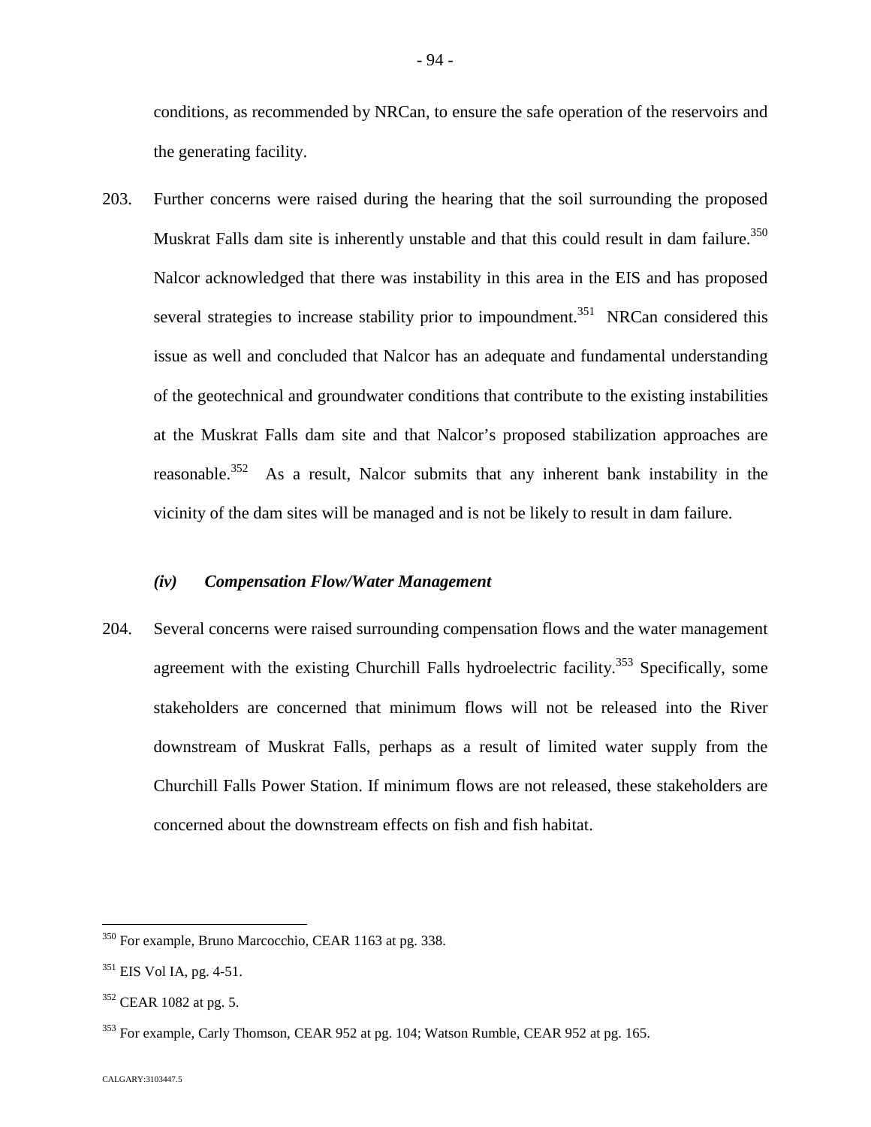conditions, as recommended by NRCan, to ensure the safe operation of the reservoirs and the generating facility.

203. Further concerns were raised during the hearing that the soil surrounding the proposed Muskrat Falls dam site is inherently unstable and that this could result in dam failure.<sup>[350](#page-94-0)</sup> Nalcor acknowledged that there was instability in this area in the EIS and has proposed several strategies to increase stability prior to impoundment.<sup>[351](#page-94-1)</sup> NRCan considered this issue as well and concluded that Nalcor has an adequate and fundamental understanding of the geotechnical and groundwater conditions that contribute to the existing instabilities at the Muskrat Falls dam site and that Nalcor's proposed stabilization approaches are reasonable.<sup>[352](#page-94-2)</sup> As a result, Nalcor submits that any inherent bank instability in the vicinity of the dam sites will be managed and is not be likely to result in dam failure.

### *(iv) Compensation Flow/Water Management*

204. Several concerns were raised surrounding compensation flows and the water management agreement with the existing Churchill Falls hydroelectric facility.<sup>[353](#page-94-3)</sup> Specifically, some stakeholders are concerned that minimum flows will not be released into the River downstream of Muskrat Falls, perhaps as a result of limited water supply from the Churchill Falls Power Station. If minimum flows are not released, these stakeholders are concerned about the downstream effects on fish and fish habitat.

<span id="page-94-0"></span><sup>350</sup> For example, Bruno Marcocchio, CEAR 1163 at pg. 338.

<span id="page-94-1"></span> $351$  EIS Vol IA, pg. 4-51.

<span id="page-94-2"></span> $352$  CEAR 1082 at pg. 5.

<span id="page-94-3"></span><sup>&</sup>lt;sup>353</sup> For example, Carly Thomson, CEAR 952 at pg. 104; Watson Rumble, CEAR 952 at pg. 165.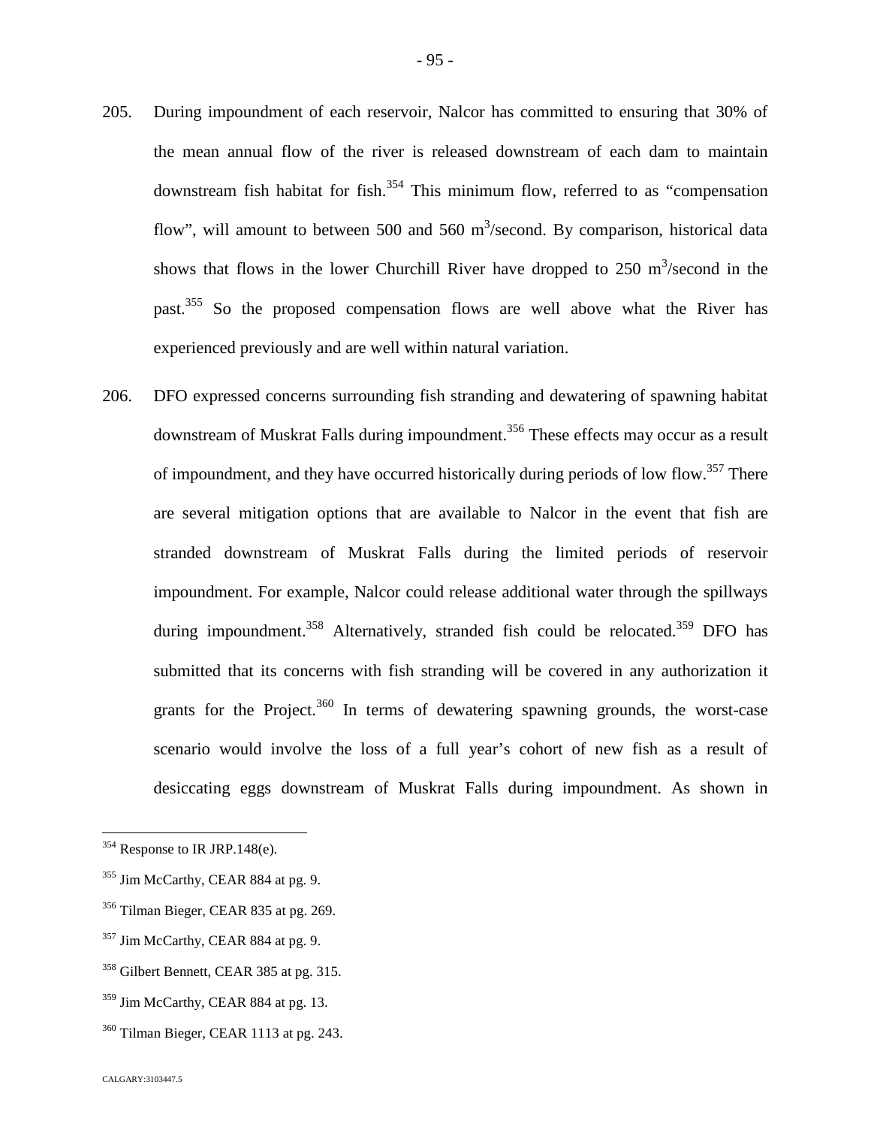- 205. During impoundment of each reservoir, Nalcor has committed to ensuring that 30% of the mean annual flow of the river is released downstream of each dam to maintain downstream fish habitat for fish.<sup>[354](#page-95-0)</sup> This minimum flow, referred to as "compensation" flow", will amount to between 500 and 560  $m^3$ /second. By comparison, historical data shows that flows in the lower Churchill River have dropped to  $250 \text{ m}^3/\text{second}$  in the past.[355](#page-95-1) So the proposed compensation flows are well above what the River has experienced previously and are well within natural variation.
- 206. DFO expressed concerns surrounding fish stranding and dewatering of spawning habitat downstream of Muskrat Falls during impoundment.<sup>[356](#page-95-2)</sup> These effects may occur as a result of impoundment, and they have occurred historically during periods of low flow.<sup>[357](#page-95-3)</sup> There are several mitigation options that are available to Nalcor in the event that fish are stranded downstream of Muskrat Falls during the limited periods of reservoir impoundment. For example, Nalcor could release additional water through the spillways during impoundment.<sup>[358](#page-95-4)</sup> Alternatively, stranded fish could be relocated.<sup>[359](#page-95-5)</sup> DFO has submitted that its concerns with fish stranding will be covered in any authorization it grants for the Project. $360$  In terms of dewatering spawning grounds, the worst-case scenario would involve the loss of a full year's cohort of new fish as a result of desiccating eggs downstream of Muskrat Falls during impoundment. As shown in

<span id="page-95-0"></span> $354$  Response to IR JRP.148(e).

<span id="page-95-1"></span><sup>&</sup>lt;sup>355</sup> Jim McCarthy, CEAR 884 at pg. 9.

<span id="page-95-2"></span><sup>356</sup> Tilman Bieger, CEAR 835 at pg. 269.

<span id="page-95-3"></span><sup>&</sup>lt;sup>357</sup> Jim McCarthy, CEAR 884 at pg. 9.

<span id="page-95-4"></span><sup>358</sup> Gilbert Bennett, CEAR 385 at pg. 315.

<span id="page-95-5"></span><sup>&</sup>lt;sup>359</sup> Jim McCarthy, CEAR 884 at pg. 13.

<span id="page-95-6"></span><sup>&</sup>lt;sup>360</sup> Tilman Bieger, CEAR 1113 at pg. 243.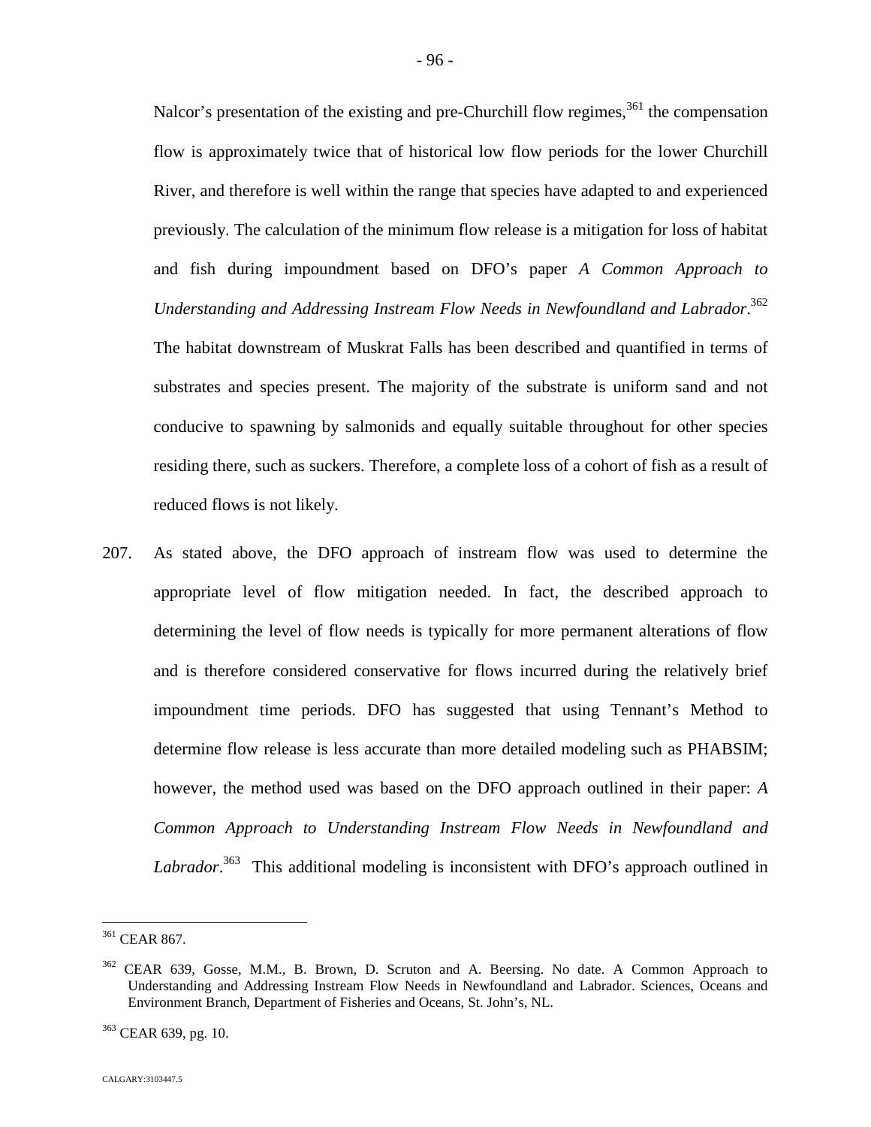Nalcor's presentation of the existing and pre-Churchill flow regimes,  $361$  the compensation flow is approximately twice that of historical low flow periods for the lower Churchill River, and therefore is well within the range that species have adapted to and experienced previously. The calculation of the minimum flow release is a mitigation for loss of habitat and fish during impoundment based on DFO's paper *A Common Approach to Understanding and Addressing Instream Flow Needs in Newfoundland and Labrador*. [362](#page-96-1) The habitat downstream of Muskrat Falls has been described and quantified in terms of substrates and species present. The majority of the substrate is uniform sand and not conducive to spawning by salmonids and equally suitable throughout for other species residing there, such as suckers. Therefore, a complete loss of a cohort of fish as a result of reduced flows is not likely.

207. As stated above, the DFO approach of instream flow was used to determine the appropriate level of flow mitigation needed. In fact, the described approach to determining the level of flow needs is typically for more permanent alterations of flow and is therefore considered conservative for flows incurred during the relatively brief impoundment time periods. DFO has suggested that using Tennant's Method to determine flow release is less accurate than more detailed modeling such as PHABSIM; however, the method used was based on the DFO approach outlined in their paper: *A Common Approach to Understanding Instream Flow Needs in Newfoundland and* Labrador.<sup>[363](#page-96-2)</sup> This additional modeling is inconsistent with DFO's approach outlined in

<span id="page-96-0"></span><sup>361</sup> CEAR 867.

<span id="page-96-1"></span> $362$  CEAR 639, Gosse, M.M., B. Brown, D. Scruton and A. Beersing. No date. A Common Approach to Understanding and Addressing Instream Flow Needs in Newfoundland and Labrador. Sciences, Oceans and Environment Branch, Department of Fisheries and Oceans, St. John's, NL.

<span id="page-96-2"></span><sup>363</sup> CEAR 639, pg. 10.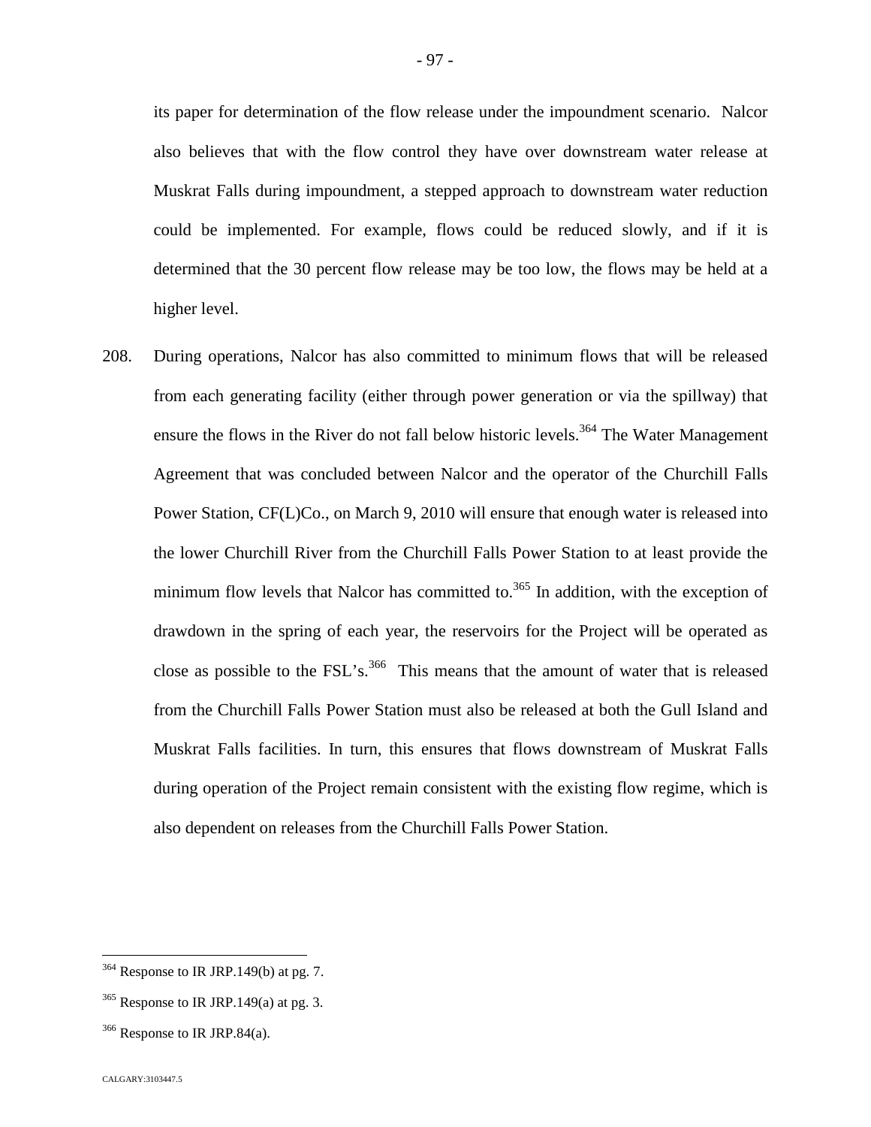its paper for determination of the flow release under the impoundment scenario. Nalcor also believes that with the flow control they have over downstream water release at Muskrat Falls during impoundment, a stepped approach to downstream water reduction could be implemented. For example, flows could be reduced slowly, and if it is determined that the 30 percent flow release may be too low, the flows may be held at a higher level.

208. During operations, Nalcor has also committed to minimum flows that will be released from each generating facility (either through power generation or via the spillway) that ensure the flows in the River do not fall below historic levels.<sup>[364](#page-97-0)</sup> The Water Management Agreement that was concluded between Nalcor and the operator of the Churchill Falls Power Station, CF(L)Co., on March 9, 2010 will ensure that enough water is released into the lower Churchill River from the Churchill Falls Power Station to at least provide the minimumflow levels that Nalcor has committed to[.](#page-97-1) $365$  In addition, with the exception of drawdown in the spring of each year, the reservoirs for the Project will be operated as close as possible to the  $\text{FSL}$ 's.<sup>[366](#page-97-2)</sup> This means that the amount of water that is released from the Churchill Falls Power Station must also be released at both the Gull Island and Muskrat Falls facilities. In turn, this ensures that flows downstream of Muskrat Falls during operation of the Project remain consistent with the existing flow regime, which is also dependent on releases from the Churchill Falls Power Station.

<span id="page-97-0"></span><sup>&</sup>lt;sup>364</sup> Response to IR JRP.149(b) at pg. 7.

<span id="page-97-1"></span> $365$  Response to IR JRP.149(a) at pg. 3.

<span id="page-97-2"></span> $366$  Response to IR JRP.84(a).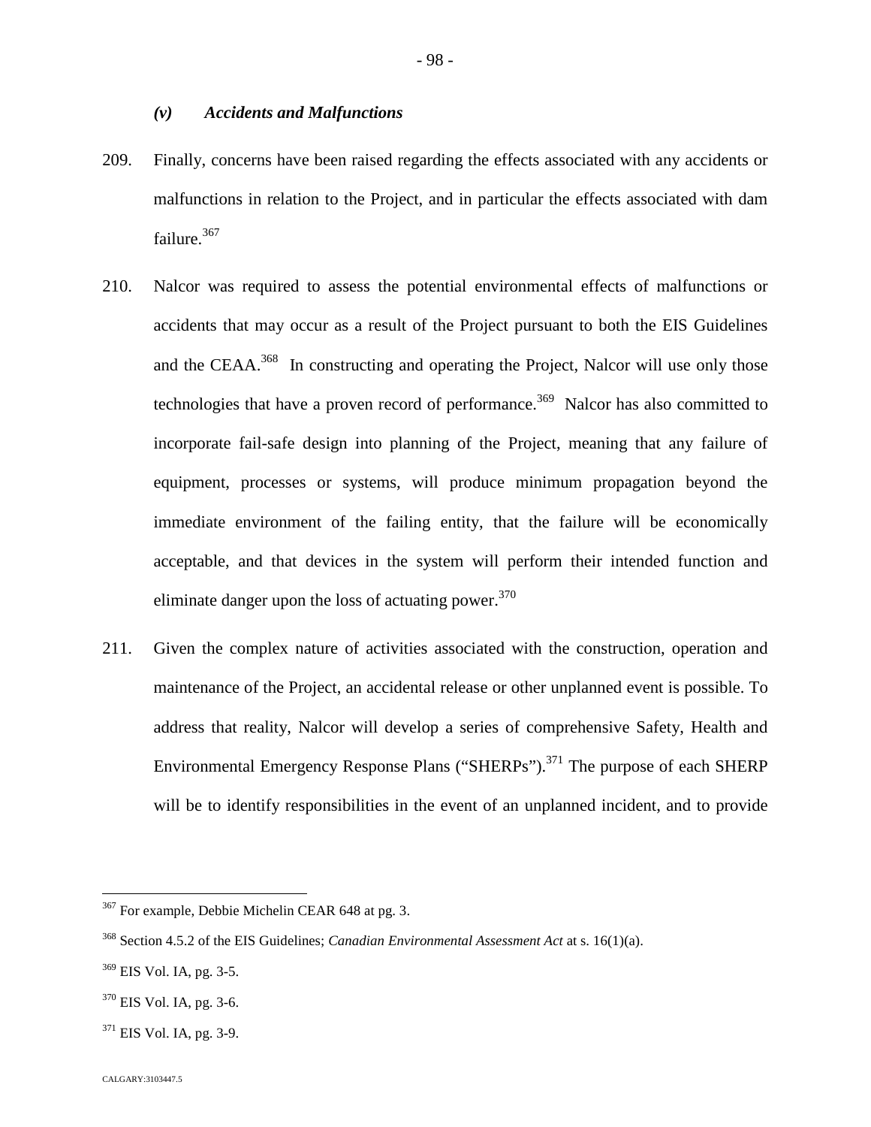## *(v) Accidents and Malfunctions*

- 209. Finally, concerns have been raised regarding the effects associated with any accidents or malfunctions in relation to the Project, and in particular the effects associated with dam failure.<sup>[367](#page-98-0)</sup>
- 210. Nalcor was required to assess the potential environmental effects of malfunctions or accidents that may occur as a result of the Project pursuant to both the EIS Guidelines and the CEAA.<sup>[368](#page-98-1)</sup> In constructing and operating the Project, Nalcor will use only those technologies that have a proven record of performance.<sup>[369](#page-98-2)</sup> Nalcor has also committed to incorporate fail-safe design into planning of the Project, meaning that any failure of equipment, processes or systems, will produce minimum propagation beyond the immediate environment of the failing entity, that the failure will be economically acceptable, and that devices in the system will perform their intended function and eliminate danger upon the loss of actuating power.<sup>37[0](#page-98-3)</sup>
- 211. Given the complex nature of activities associated with the construction, operation and maintenance of the Project, an accidental release or other unplanned event is possible. To address that reality, Nalcor will develop a series of comprehensive Safety, Health and Environmental Emergency Response Plans ("SHERPs").<sup>[371](#page-98-4)</sup> The purpose of each SHERP will be to identify responsibilities in the event of an unplanned incident, and to provide

<span id="page-98-0"></span><sup>367</sup> For example, Debbie Michelin CEAR 648 at pg. 3.

<span id="page-98-1"></span><sup>368</sup> Section 4.5.2 of the EIS Guidelines; *Canadian Environmental Assessment Act* at s. 16(1)(a).

<span id="page-98-2"></span><sup>369</sup> EIS Vol. IA, pg. 3-5.

<span id="page-98-3"></span><sup>370</sup> EIS Vol. IA, pg. 3-6.

<span id="page-98-4"></span> $371$  EIS Vol. IA, pg. 3-9.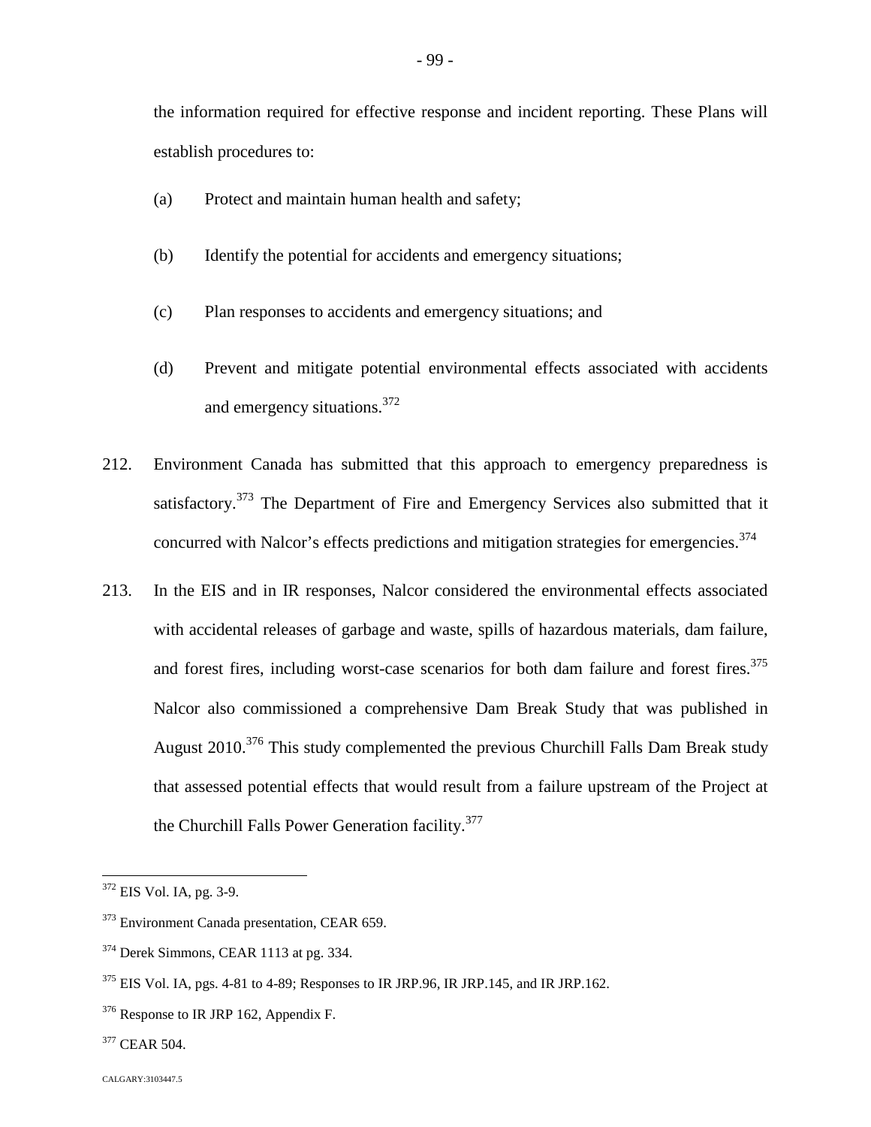- (a) Protect and maintain human health and safety;
- (b) Identify the potential for accidents and emergency situations;
- (c) Plan responses to accidents and emergency situations; and
- (d) Prevent and mitigate potential environmental effects associated with accidents and emergency situations.3[72](#page-99-0)
- 212. Environment Canada has submitted that this approach to emergency preparedness is satisfactory.<sup>[373](#page-99-1)</sup> The Department of Fire and Emergency Services also submitted that it concurred with Nalcor's effects predictions and mitigation strategies for emergencies.<sup>3[74](#page-99-2)</sup>
- 213. In the EIS and in IR responses, Nalcor considered the environmental effects associated with accidental releases of garbage and waste, spills of hazardous materials, dam failure, andforest fires, including worst-case scenarios for both dam failure and forest fires[.](#page-99-3)<sup>375</sup> Nalcor also commissioned a comprehensive Dam Break Study that was published in August 2010.<sup>[376](#page-99-4)</sup> This study complemented the previous Churchill Falls Dam Break study that assessed potential effects that would result from a failure upstream of the Project at the Churchill Falls Power Generation facility.<sup>3[77](#page-99-5)</sup>

<span id="page-99-0"></span><sup>372</sup> EIS Vol. IA, pg. 3-9.

<span id="page-99-1"></span><sup>&</sup>lt;sup>373</sup> Environment Canada presentation, CEAR 659.

<span id="page-99-2"></span><sup>374</sup> Derek Simmons, CEAR 1113 at pg. 334.

<span id="page-99-3"></span> $375$  EIS Vol. IA, pgs. 4-81 to 4-89; Responses to IR JRP.96, IR JRP.145, and IR JRP.162.

<span id="page-99-4"></span><sup>&</sup>lt;sup>376</sup> Response to IR JRP 162, Appendix F.

<span id="page-99-5"></span><sup>&</sup>lt;sup>377</sup> CEAR 504.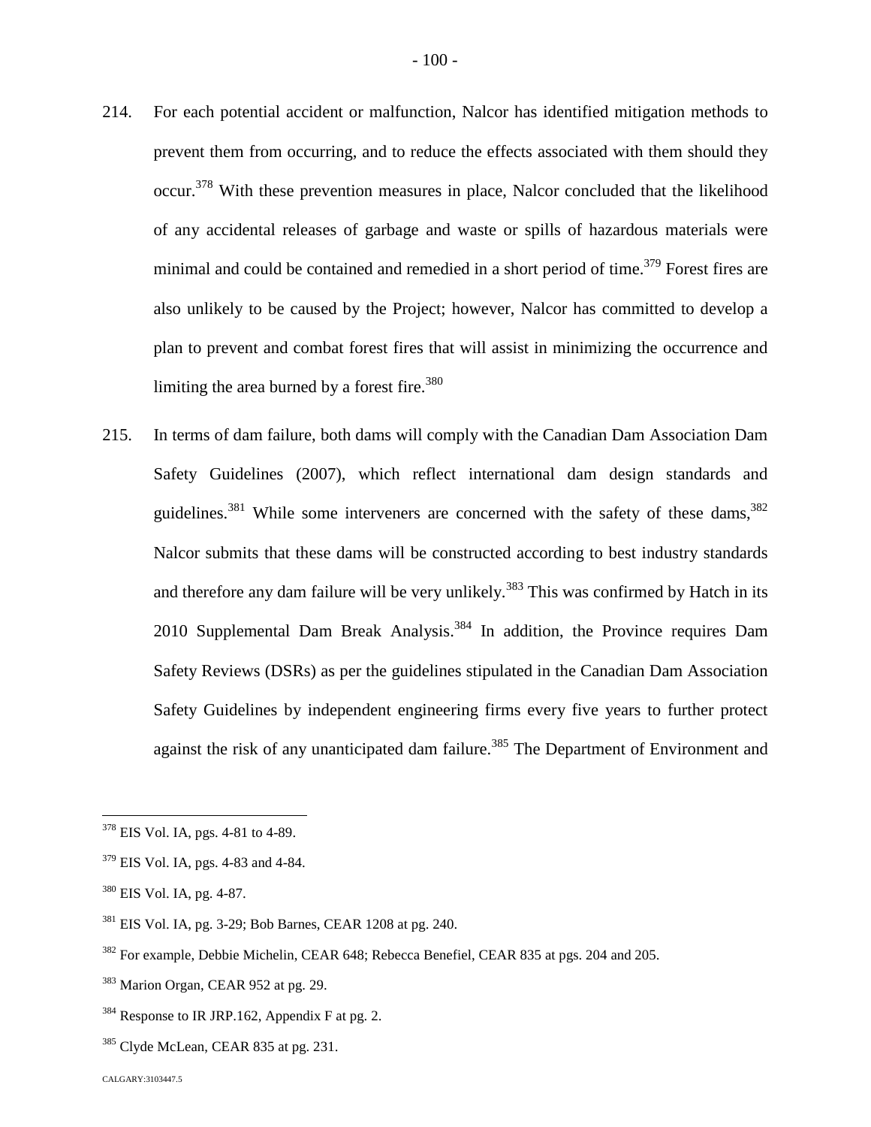- 214. For each potential accident or malfunction, Nalcor has identified mitigation methods to prevent them from occurring, and to reduce the effects associated with them should they occur.<sup>[378](#page-100-0)</sup> With these prevention measures in place, Nalcor concluded that the likelihood of any accidental releases of garbage and waste or spills of hazardous materials were minimal and could be contained and remedied in a short period of time.<sup>[379](#page-100-1)</sup> Forest fires are also unlikely to be caused by the Project; however, Nalcor has committed to develop a plan to prevent and combat forest fires that will assist in minimizing the occurrence and limitingthe area burned by a forest fire.<sup>380</sup>
- 215. In terms of dam failure, both dams will comply with the Canadian Dam Association Dam Safety Guidelines (2007), which reflect international dam design standards and guidelines.<sup>[381](#page-100-3)</sup> While some interveners are concerned with the safety of these dams,  $382$ Nalcor submits that these dams will be constructed according to best industry standards and therefore any dam failure will be very unlikely.<sup>[383](#page-100-5)</sup> This was confirmed by Hatch in its 2010 Supplemental Dam Break Analysis.<sup>[384](#page-100-6)</sup> In addition, the Province requires Dam Safety Reviews (DSRs) as per the guidelines stipulated in the Canadian Dam Association Safety Guidelines by independent engineering firms every five years to further protect against the risk of any unanticipated dam failure.<sup>[385](#page-100-7)</sup> The Department of Environment and

<span id="page-100-0"></span><sup>378</sup> EIS Vol. IA, pgs. 4-81 to 4-89.

<span id="page-100-1"></span><sup>379</sup> EIS Vol. IA, pgs. 4-83 and 4-84.

<span id="page-100-2"></span><sup>380</sup> EIS Vol. IA, pg. 4-87.

<span id="page-100-3"></span><sup>381</sup> EIS Vol. IA, pg. 3-29; Bob Barnes, CEAR 1208 at pg. 240.

<span id="page-100-4"></span><sup>382</sup> For example, Debbie Michelin, CEAR 648; Rebecca Benefiel, CEAR 835 at pgs. 204 and 205.

<span id="page-100-5"></span><sup>&</sup>lt;sup>383</sup> Marion Organ, CEAR 952 at pg. 29.

<span id="page-100-6"></span> $384$  Response to IR JRP.162, Appendix F at pg. 2.

<span id="page-100-7"></span><sup>&</sup>lt;sup>385</sup> Clyde McLean, CEAR 835 at pg. 231.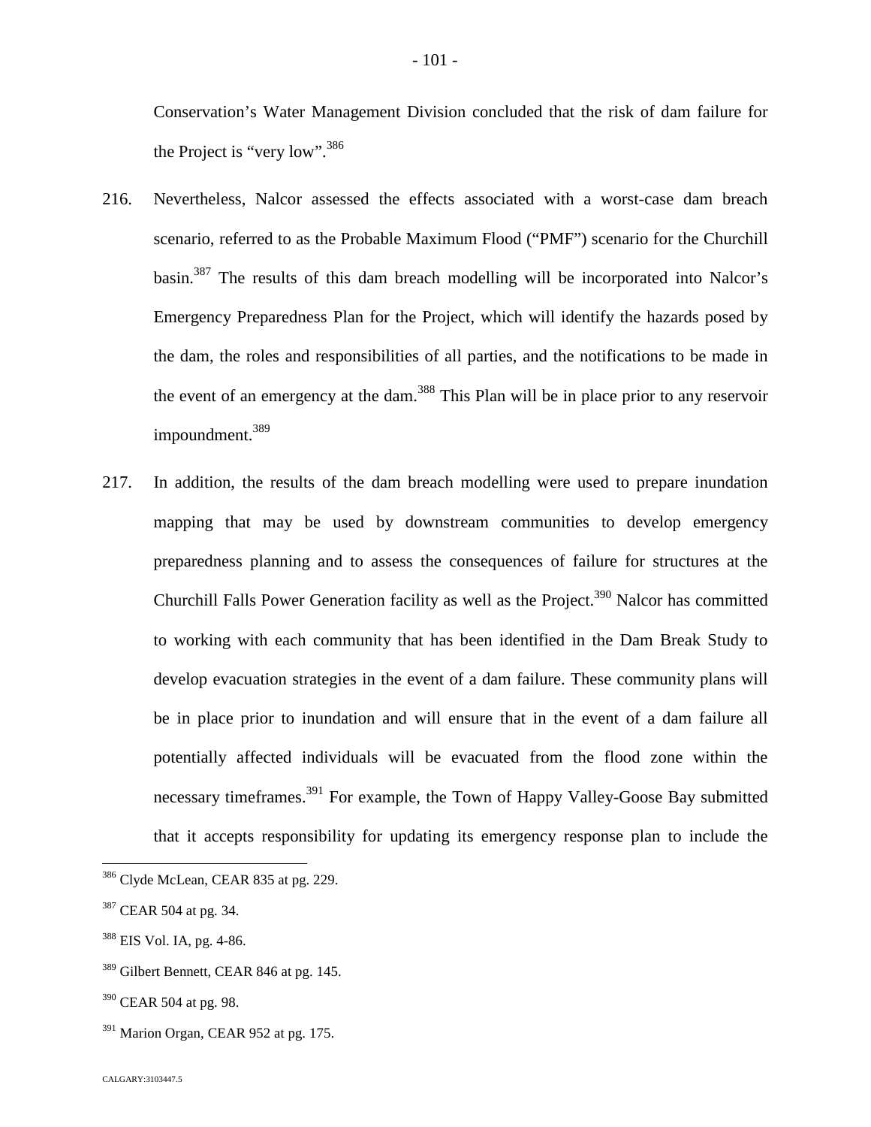Conservation's Water Management Division concluded that the risk of dam failure for the Project is "very low".<sup>3[86](#page-101-0)</sup>

- 216. Nevertheless, Nalcor assessed the effects associated with a worst-case dam breach scenario, referred to as the Probable Maximum Flood ("PMF") scenario for the Churchill basin.[387](#page-101-1) The results of this dam breach modelling will be incorporated into Nalcor's Emergency Preparedness Plan for the Project, which will identify the hazards posed by the dam, the roles and responsibilities of all parties, and the notifications to be made in theevent of an emergency at the dam[.](#page-101-2)<sup>388</sup> This Plan will be in place prior to any reservoir impoundment.<sup>[389](#page-101-3)</sup>
- 217. In addition, the results of the dam breach modelling were used to prepare inundation mapping that may be used by downstream communities to develop emergency preparedness planning and to assess the consequences of failure for structures at the Churchill Falls Power Generation facility as well as the Project.<sup>[390](#page-101-4)</sup> Nalcor has committed to working with each community that has been identified in the Dam Break Study to develop evacuation strategies in the event of a dam failure. These community plans will be in place prior to inundation and will ensure that in the event of a dam failure all potentially affected individuals will be evacuated from the flood zone within the necessary timeframes.<sup>[391](#page-101-5)</sup> For example, the Town of Happy Valley-Goose Bay submitted that it accepts responsibility for updating its emergency response plan to include the

<span id="page-101-5"></span> $391$  Marion Organ, CEAR 952 at pg. 175.

<span id="page-101-0"></span><sup>&</sup>lt;sup>386</sup> Clyde McLean, CEAR 835 at pg. 229.

<span id="page-101-1"></span><sup>&</sup>lt;sup>387</sup> CEAR 504 at pg. 34.

<span id="page-101-2"></span><sup>388</sup> EIS Vol. IA, pg. 4-86.

<span id="page-101-3"></span><sup>&</sup>lt;sup>389</sup> Gilbert Bennett, CEAR 846 at pg. 145.

<span id="page-101-4"></span> $390$  CEAR 504 at pg. 98.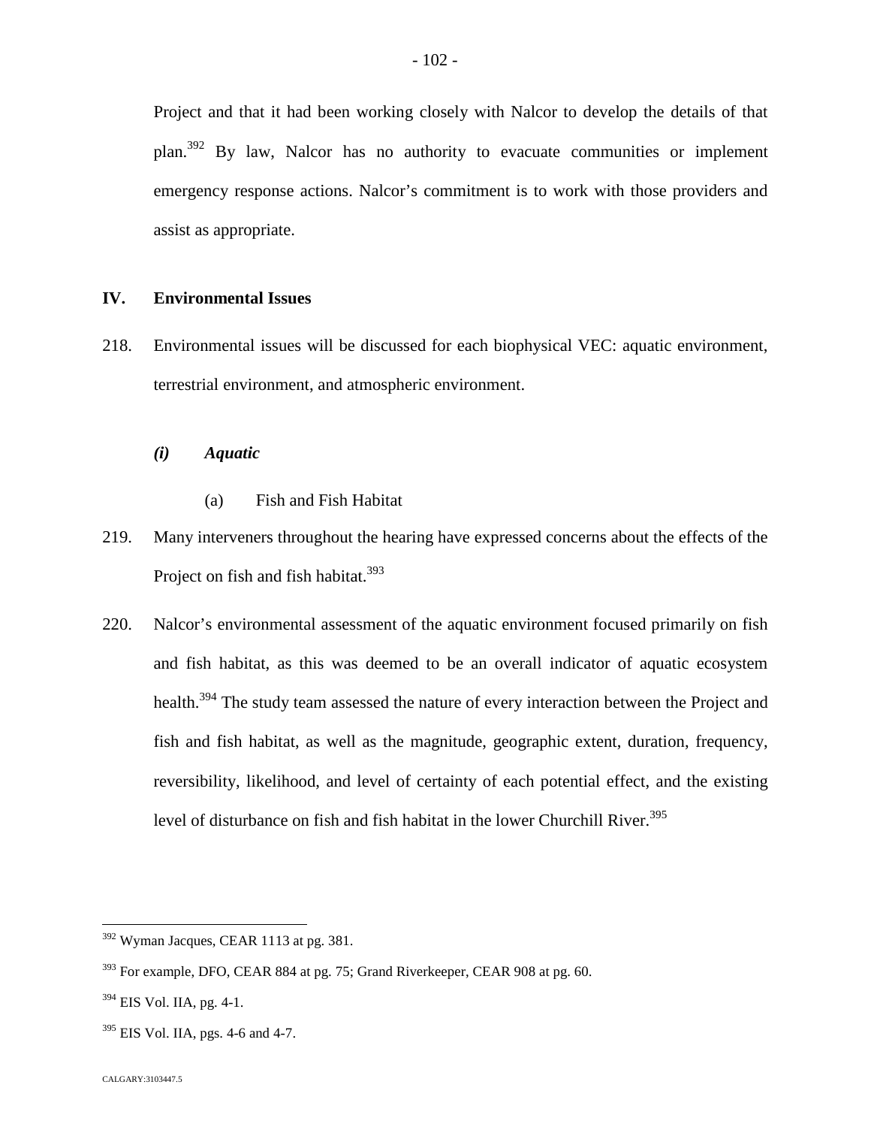Project and that it had been working closely with Nalcor to develop the details of that plan.[392](#page-102-0) By law, Nalcor has no authority to evacuate communities or implement emergency response actions. Nalcor's commitment is to work with those providers and assist as appropriate.

# **IV. Environmental Issues**

- 218. Environmental issues will be discussed for each biophysical VEC: aquatic environment, terrestrial environment, and atmospheric environment.
	- *(i) Aquatic*
		- (a) Fish and Fish Habitat
- 219. Many interveners throughout the hearing have expressed concerns about the effects of the Project on fish and fish habitat.<sup>3[93](#page-102-1)</sup>
- 220. Nalcor's environmental assessment of the aquatic environment focused primarily on fish and fish habitat, as this was deemed to be an overall indicator of aquatic ecosystem health.<sup>[394](#page-102-2)</sup> The study team assessed the nature of every interaction between the Project and fish and fish habitat, as well as the magnitude, geographic extent, duration, frequency, reversibility, likelihood, and level of certainty of each potential effect, and the existing level of disturbance on fish and fish habitat in the lower Churchill River.<sup>395</sup>

<span id="page-102-0"></span><sup>392</sup> Wyman Jacques, CEAR 1113 at pg. 381.

<span id="page-102-1"></span> $393$  For example, DFO, CEAR 884 at pg. 75; Grand Riverkeeper, CEAR 908 at pg. 60.

<span id="page-102-2"></span><sup>394</sup> EIS Vol. IIA, pg. 4-1.

 $395$  EIS Vol. IIA, pgs. 4-6 and 4-7.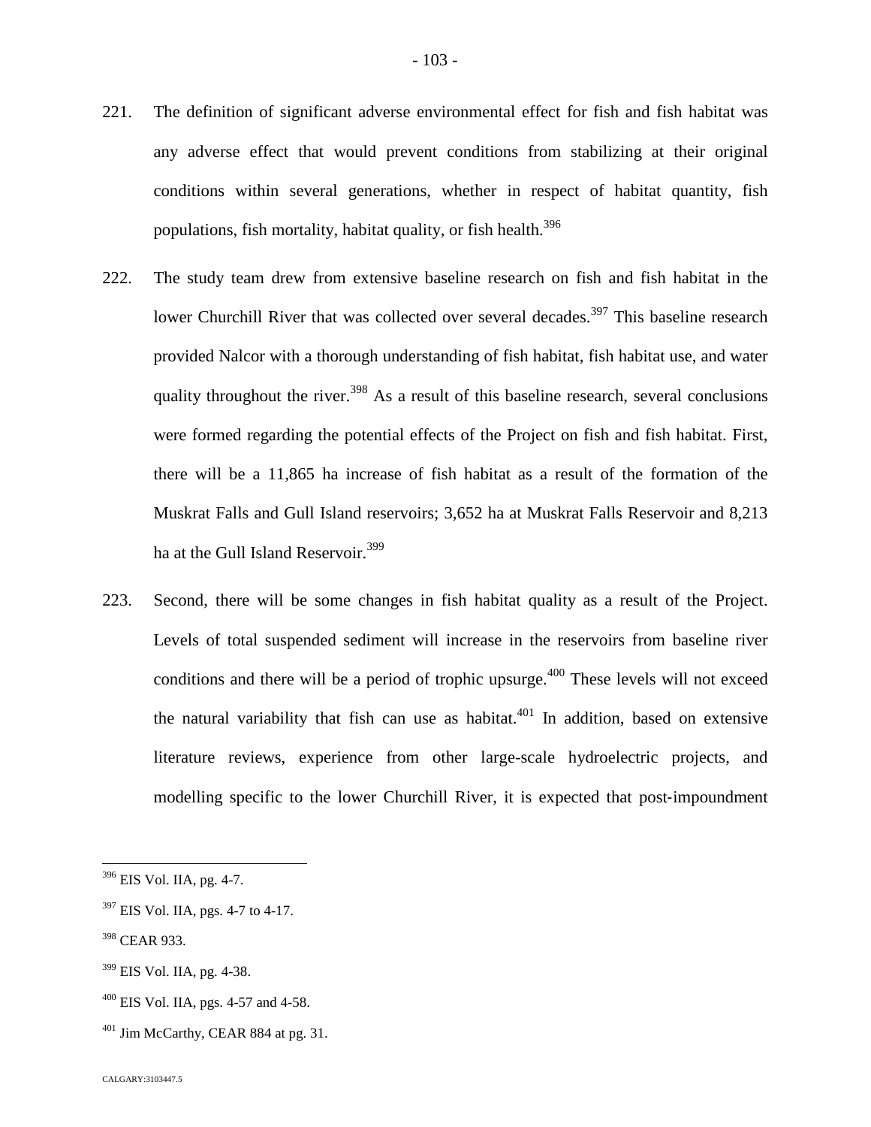- 221. The definition of significant adverse environmental effect for fish and fish habitat was any adverse effect that would prevent conditions from stabilizing at their original conditions within several generations, whether in respect of habitat quantity, fish populations, fish mortality, habitat quality, or fish health. $396$  $396$
- 222. The study team drew from extensive baseline research on fish and fish habitat in the lower Churchill River that was collected over several decades.<sup>[397](#page-103-1)</sup> This baseline research provided Nalcor with a thorough understanding of fish habitat, fish habitat use, and water quality throughout the river.<sup>[398](#page-103-2)</sup> As a result of this baseline research, several conclusions were formed regarding the potential effects of the Project on fish and fish habitat. First, there will be a 11,865 ha increase of fish habitat as a result of the formation of the Muskrat Falls and Gull Island reservoirs; 3,652 ha at Muskrat Falls Reservoir and 8,213 ha at the Gull Island Reservoir.<sup>3[99](#page-103-3)</sup>
- 223. Second, there will be some changes in fish habitat quality as a result of the Project. Levels of total suspended sediment will increase in the reservoirs from baseline river conditions and there will be a period of trophic upsurge.<sup> $400$ </sup> These levels will not exceed the natural variability that fish can use as habitat.<sup>[401](#page-103-5)</sup> In addition, based on extensive literature reviews, experience from other large-scale hydroelectric projects, and modelling specific to the lower Churchill River, it is expected that post-impoundment

<span id="page-103-3"></span><sup>399</sup> EIS Vol. IIA, pg. 4-38.

<span id="page-103-0"></span><sup>396</sup> EIS Vol. IIA, pg. 4-7.

<span id="page-103-1"></span> $397$  EIS Vol. IIA, pgs. 4-7 to 4-17.

<span id="page-103-2"></span><sup>398</sup> CEAR 933.

<span id="page-103-4"></span> $400$  EIS Vol. IIA, pgs. 4-57 and 4-58.

<span id="page-103-5"></span> $401$  Jim McCarthy, CEAR 884 at pg. 31.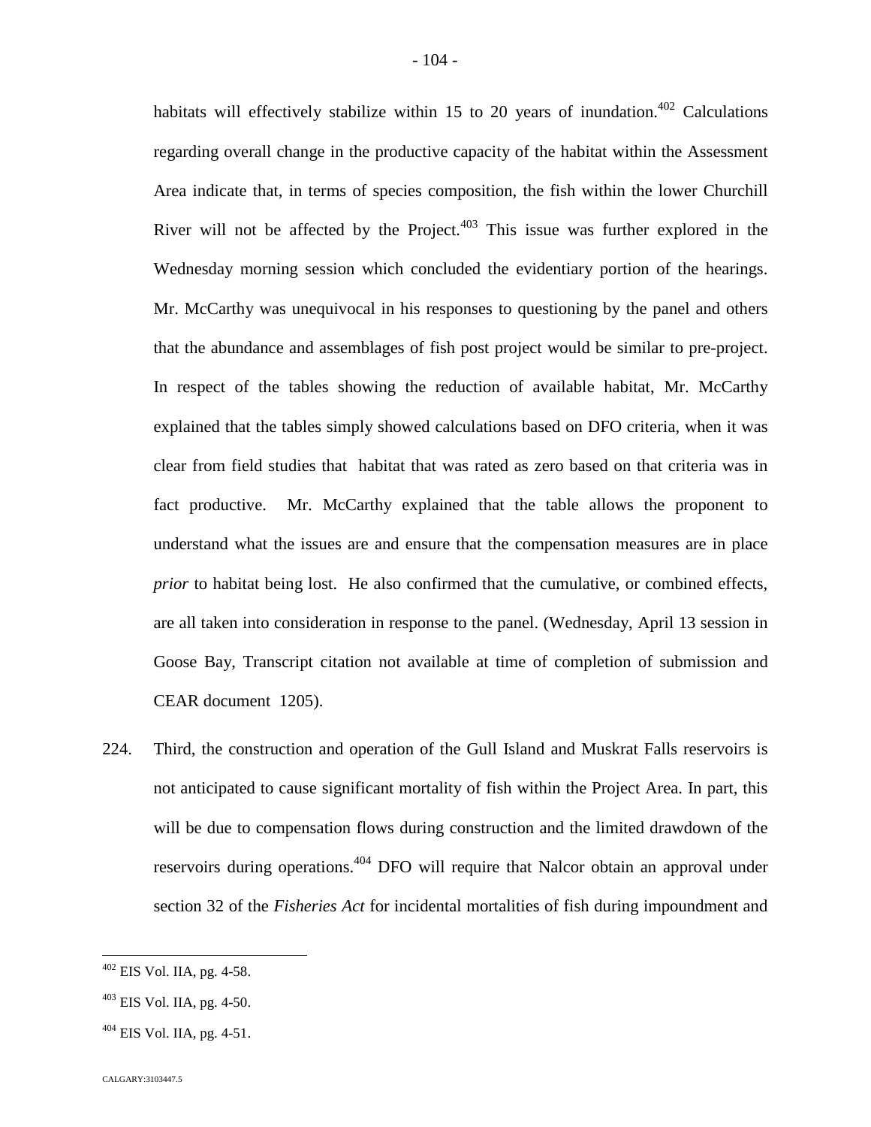habitats will effectively stabilize within 15 to 20 years of inundation.<sup>[402](#page-104-0)</sup> Calculations regarding overall change in the productive capacity of the habitat within the Assessment Area indicate that, in terms of species composition, the fish within the lower Churchill River will not be affected by the Project. $403$  This issue was further explored in the Wednesday morning session which concluded the evidentiary portion of the hearings. Mr. McCarthy was unequivocal in his responses to questioning by the panel and others that the abundance and assemblages of fish post project would be similar to pre-project. In respect of the tables showing the reduction of available habitat, Mr. McCarthy explained that the tables simply showed calculations based on DFO criteria, when it was clear from field studies that habitat that was rated as zero based on that criteria was in fact productive. Mr. McCarthy explained that the table allows the proponent to understand what the issues are and ensure that the compensation measures are in place *prior* to habitat being lost. He also confirmed that the cumulative, or combined effects, are all taken into consideration in response to the panel. (Wednesday, April 13 session in Goose Bay, Transcript citation not available at time of completion of submission and CEAR document 1205).

224. Third, the construction and operation of the Gull Island and Muskrat Falls reservoirs is not anticipated to cause significant mortality of fish within the Project Area. In part, this will be due to compensation flows during construction and the limited drawdown of the reservoirs during operations.4[04](#page-104-2) DFO will require that Nalcor obtain an approval under section 32 of the *Fisheries Act* for incidental mortalities of fish during impoundment and

<span id="page-104-0"></span> $402$  EIS Vol. IIA, pg. 4-58.

<span id="page-104-1"></span> $403$  EIS Vol. IIA, pg. 4-50.

<span id="page-104-2"></span> $404$  EIS Vol. IIA, pg. 4-51.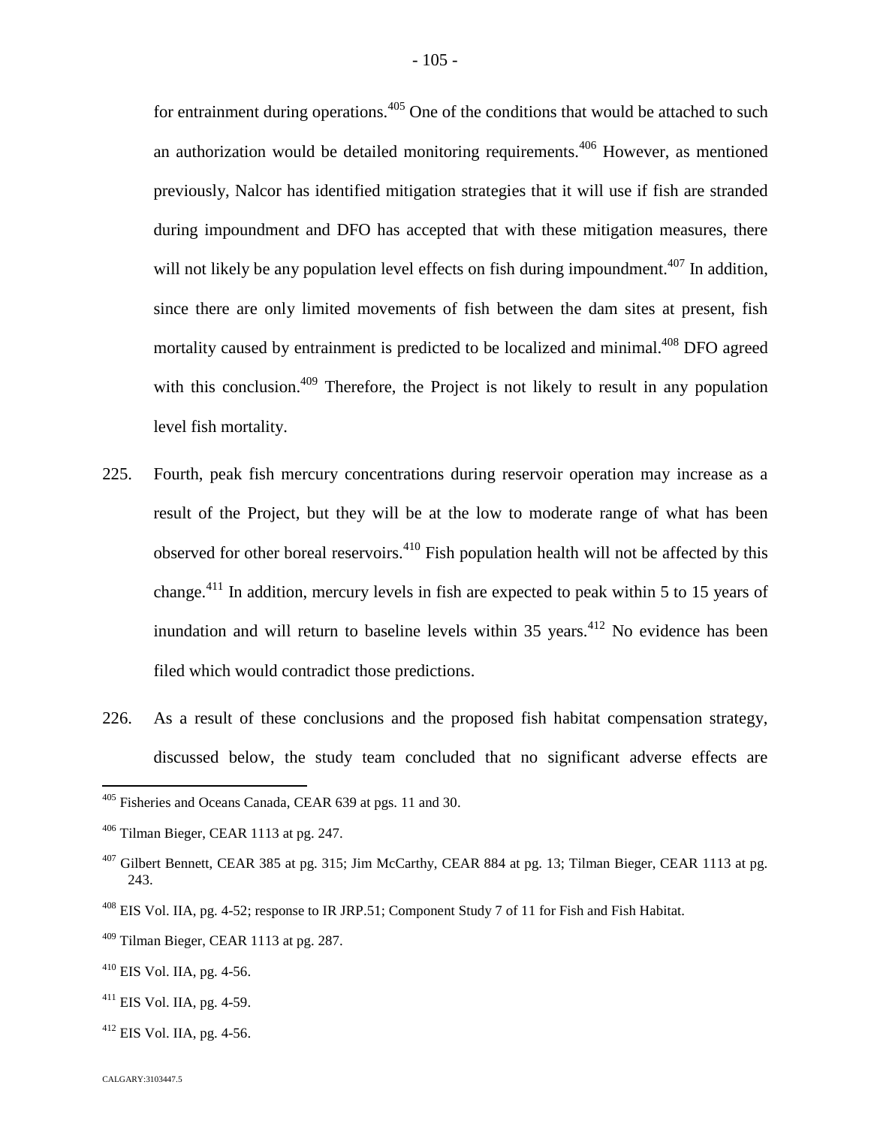for entrainment during operations.<sup> $405$ </sup> One of the conditions that would be attached to such an authorization would be detailed monitoring requirements.<sup>[406](#page-105-1)</sup> However, as mentioned previously, Nalcor has identified mitigation strategies that it will use if fish are stranded during impoundment and DFO has accepted that with these mitigation measures, there will not likely be any population level effects on fish during impoundment.<sup> $407$ </sup> In addition, since there are only limited movements of fish between the dam sites at present, fish mortality caused by entrainment is predicted to be localized and minimal.<sup>[408](#page-105-3)</sup> DFO agreed with this conclusion.<sup>[409](#page-105-4)</sup> Therefore, the Project is not likely to result in any population level fish mortality.

- 225. Fourth, peak fish mercury concentrations during reservoir operation may increase as a result of the Project, but they will be at the low to moderate range of what has been observed for other boreal reservoirs.<sup>[410](#page-105-5)</sup> Fish population health will not be affected by this change.[411](#page-105-6) In addition, mercury levels in fish are expected to peak within 5 to 15 years of inundation and will return to baseline levels within  $35$  years.<sup>[412](#page-105-7)</sup> No evidence has been filed which would contradict those predictions.
- 226. As a result of these conclusions and the proposed fish habitat compensation strategy, discussed below, the study team concluded that no significant adverse effects are

<span id="page-105-7"></span> $412$  EIS Vol. IIA, pg. 4-56.

<span id="page-105-0"></span><sup>405</sup> Fisheries and Oceans Canada, CEAR 639 at pgs. 11 and 30.

<span id="page-105-1"></span><sup>406</sup> Tilman Bieger, CEAR 1113 at pg. 247.

<span id="page-105-2"></span> $407$  Gilbert Bennett, CEAR 385 at pg. 315; Jim McCarthy, CEAR 884 at pg. 13; Tilman Bieger, CEAR 1113 at pg. 243.

<span id="page-105-3"></span><sup>408</sup> EIS Vol. IIA, pg. 4-52; response to IR JRP.51; Component Study 7 of 11 for Fish and Fish Habitat.

<span id="page-105-4"></span> $409$  Tilman Bieger, CEAR 1113 at pg. 287.

<span id="page-105-5"></span><sup>410</sup> EIS Vol. IIA, pg. 4-56.

<span id="page-105-6"></span> $411$  EIS Vol. IIA, pg. 4-59.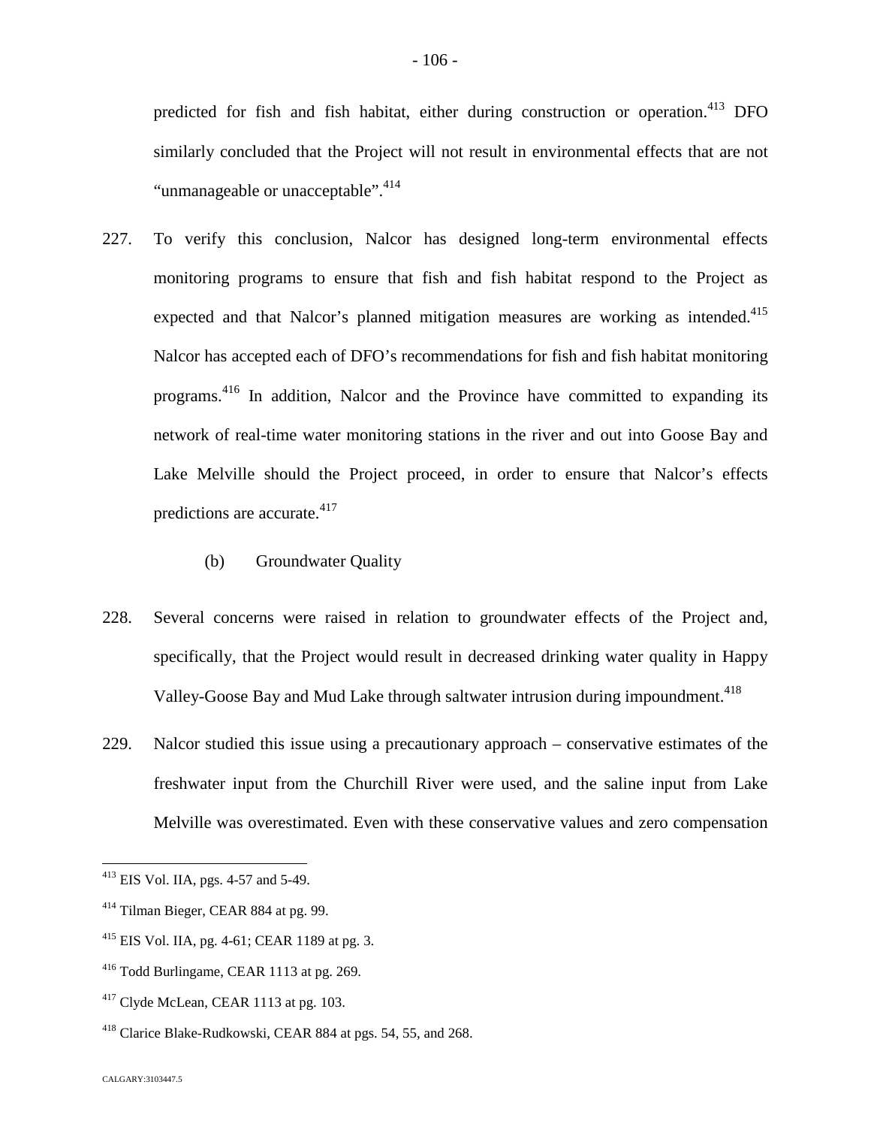predicted for fish and fish habitat, either during construction or operation.<sup>[413](#page-106-0)</sup> DFO similarly concluded that the Project will not result in environmental effects that are not "unmanageable or unacceptable". <sup>4[14](#page-106-1)</sup>

- 227. To verify this conclusion, Nalcor has designed long-term environmental effects monitoring programs to ensure that fish and fish habitat respond to the Project as expected and that Nalcor's planned mitigation measures are working as intended.<sup>[415](#page-106-2)</sup> Nalcor has accepted each of DFO's recommendations for fish and fish habitat monitoring programs.<sup>[416](#page-106-3)</sup> In addition, Nalcor and the Province have committed to expanding its network of real-time water monitoring stations in the river and out into Goose Bay and Lake Melville should the Project proceed, in order to ensure that Nalcor's effects predictions are accurate. $417$  $417$ 
	- (b) Groundwater Quality
- 228. Several concerns were raised in relation to groundwater effects of the Project and, specifically, that the Project would result in decreased drinking water quality in Happy Valley-Goose Bay and Mud Lake through saltwater intrusion during impoundment.<sup>418</sup>
- 229. Nalcor studied this issue using a precautionary approach conservative estimates of the freshwater input from the Churchill River were used, and the saline input from Lake Melville was overestimated. Even with these conservative values and zero compensation

<span id="page-106-0"></span><sup>413</sup> EIS Vol. IIA, pgs. 4-57 and 5-49.

<span id="page-106-1"></span><sup>414</sup> Tilman Bieger, CEAR 884 at pg. 99.

<span id="page-106-2"></span> $^{415}$  EIS Vol. IIA, pg. 4-61; CEAR 1189 at pg. 3.

<span id="page-106-3"></span><sup>416</sup> Todd Burlingame, CEAR 1113 at pg. 269.

<span id="page-106-4"></span> $417$  Clyde McLean, CEAR 1113 at pg. 103.

<sup>418</sup> Clarice Blake-Rudkowski, CEAR 884 at pgs. 54, 55, and 268.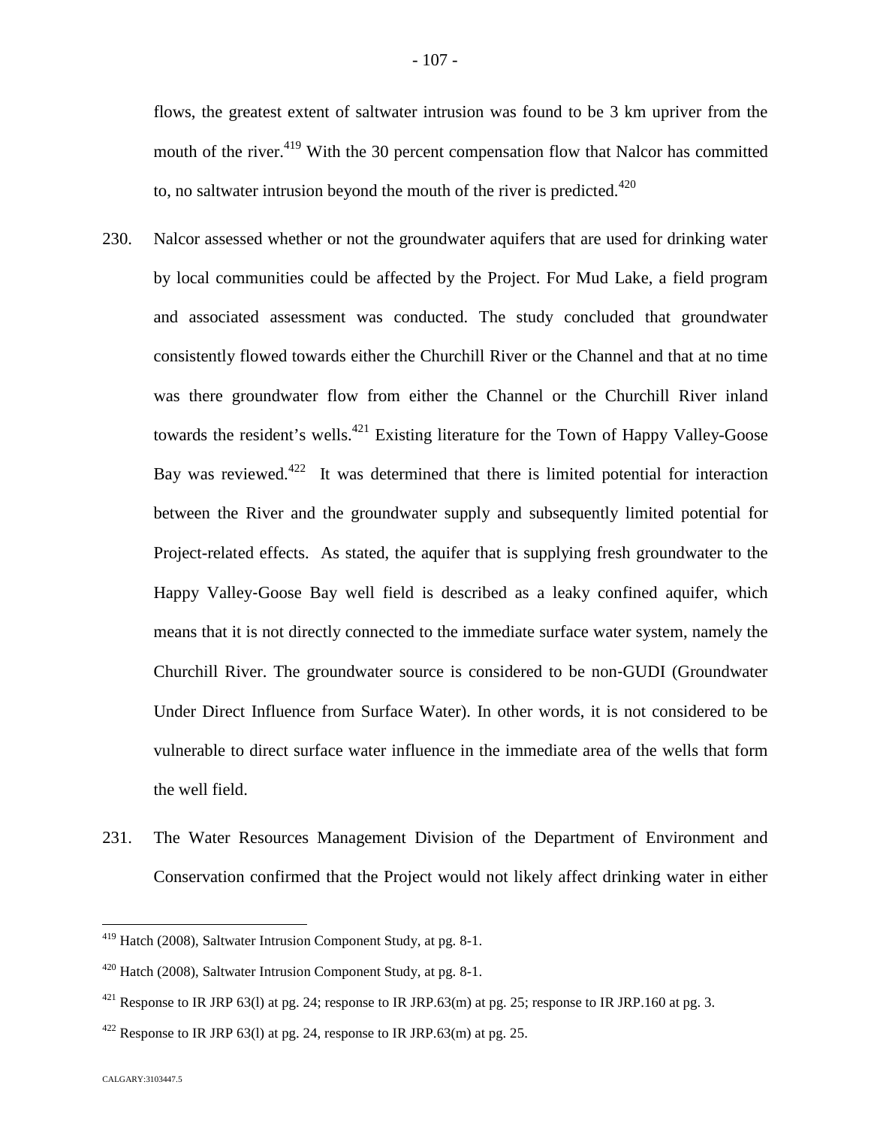flows, the greatest extent of saltwater intrusion was found to be 3 km upriver from the mouth of the river.<sup>[419](#page-107-0)</sup> With the 30 percent compensation flow that Nalcor has committed to, no saltwater intrusion beyond the mouth of the river is predicted.<sup>420</sup>

- 230. Nalcor assessed whether or not the groundwater aquifers that are used for drinking water by local communities could be affected by the Project. For Mud Lake, a field program and associated assessment was conducted. The study concluded that groundwater consistently flowed towards either the Churchill River or the Channel and that at no time was there groundwater flow from either the Channel or the Churchill River inland towards the resident's wells.<sup>[421](#page-107-1)</sup> Existing literature for the Town of Happy Valley-Goose Bay was reviewed. $422$  It was determined that there is limited potential for interaction between the River and the groundwater supply and subsequently limited potential for Project-related effects. As stated, the aquifer that is supplying fresh groundwater to the Happy Valley‐Goose Bay well field is described as a leaky confined aquifer, which means that it is not directly connected to the immediate surface water system, namely the Churchill River. The groundwater source is considered to be non‐GUDI (Groundwater Under Direct Influence from Surface Water). In other words, it is not considered to be vulnerable to direct surface water influence in the immediate area of the wells that form the well field.
- 231. The Water Resources Management Division of the Department of Environment and Conservation confirmed that the Project would not likely affect drinking water in either

<span id="page-107-0"></span><sup>419</sup> Hatch (2008), Saltwater Intrusion Component Study, at pg. 8-1.

<sup>420</sup> Hatch (2008), Saltwater Intrusion Component Study, at pg. 8-1.

<span id="page-107-1"></span><sup>&</sup>lt;sup>421</sup> Response to IR JRP 63(1) at pg. 24; response to IR JRP.63(m) at pg. 25; response to IR JRP.160 at pg. 3.

<span id="page-107-2"></span> $422$  Response to IR JRP 63(1) at pg. 24, response to IR JRP.63(m) at pg. 25.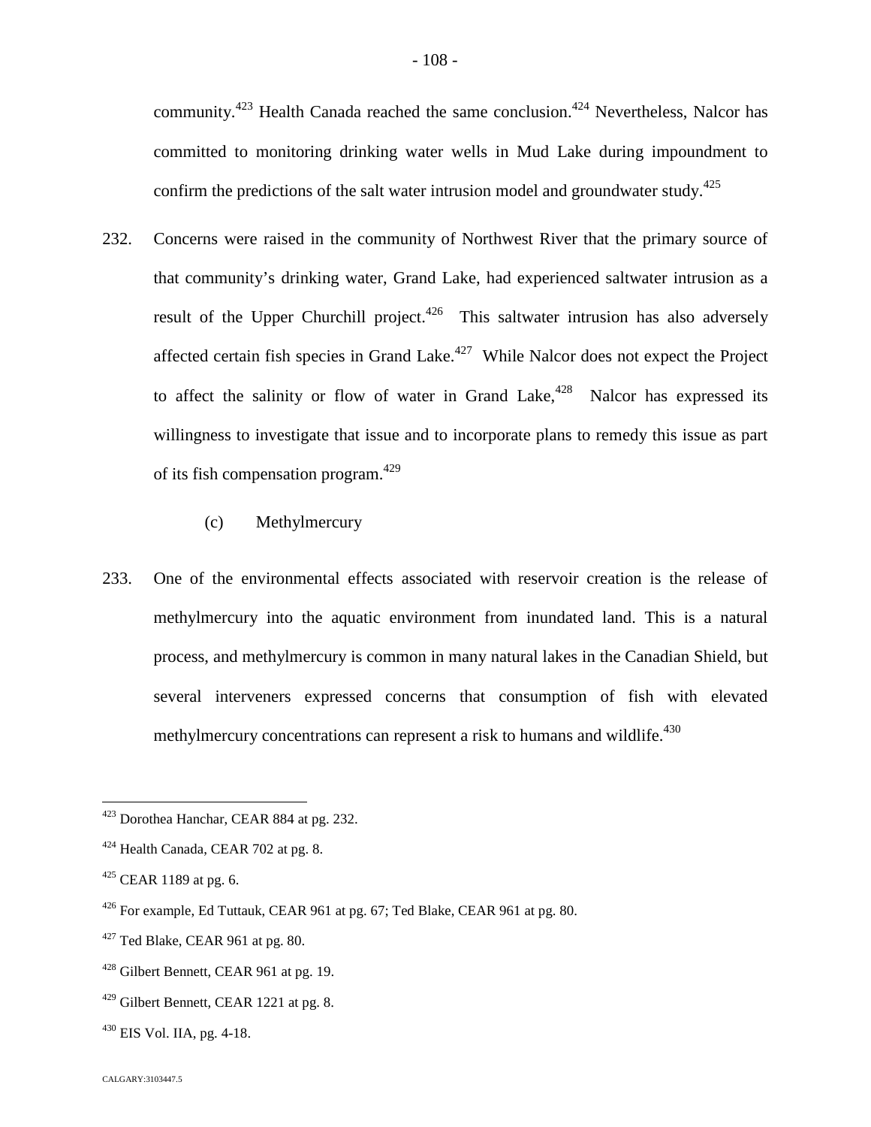community.<sup>[423](#page-108-0)</sup> Health Canada reached the same conclusion.<sup>[424](#page-108-1)</sup> Nevertheless, Nalcor has committed to monitoring drinking water wells in Mud Lake during impoundment to confirm the predictions of the salt water intrusion model and groundwater study.<sup>425</sup>

- 232. Concerns were raised in the community of Northwest River that the primary source of that community's drinking water, Grand Lake, had experienced saltwater intrusion as a result of the Upper Churchill project.<sup>[426](#page-108-2)</sup> This saltwater intrusion has also adversely affected certain fish species in Grand Lake. $427$  While Nalcor does not expect the Project to affect the salinity or flow of water in Grand Lake, $428$  Nalcor has expressed its willingness to investigate that issue and to incorporate plans to remedy this issue as part of its fish compensation program.4[29](#page-108-5)
	- (c) Methylmercury
- 233. One of the environmental effects associated with reservoir creation is the release of methylmercury into the aquatic environment from inundated land. This is a natural process, and methylmercury is common in many natural lakes in the Canadian Shield, but several interveners expressed concerns that consumption of fish with elevated methylmercury concentrations can represent a risk to humans and wildlife.<sup>430</sup>

<span id="page-108-0"></span><sup>423</sup> Dorothea Hanchar, CEAR 884 at pg. 232.

<span id="page-108-1"></span> $424$  Health Canada, CEAR 702 at pg. 8.

 $425$  CEAR 1189 at pg. 6.

<span id="page-108-2"></span> $426$  For example, Ed Tuttauk, CEAR 961 at pg. 67; Ted Blake, CEAR 961 at pg. 80.

<span id="page-108-3"></span> $427$  Ted Blake, CEAR 961 at pg. 80.

<span id="page-108-4"></span><sup>428</sup> Gilbert Bennett, CEAR 961 at pg. 19.

<span id="page-108-5"></span><sup>&</sup>lt;sup>429</sup> Gilbert Bennett, CEAR 1221 at pg. 8.

 $^{430}$  EIS Vol. IIA, pg. 4-18.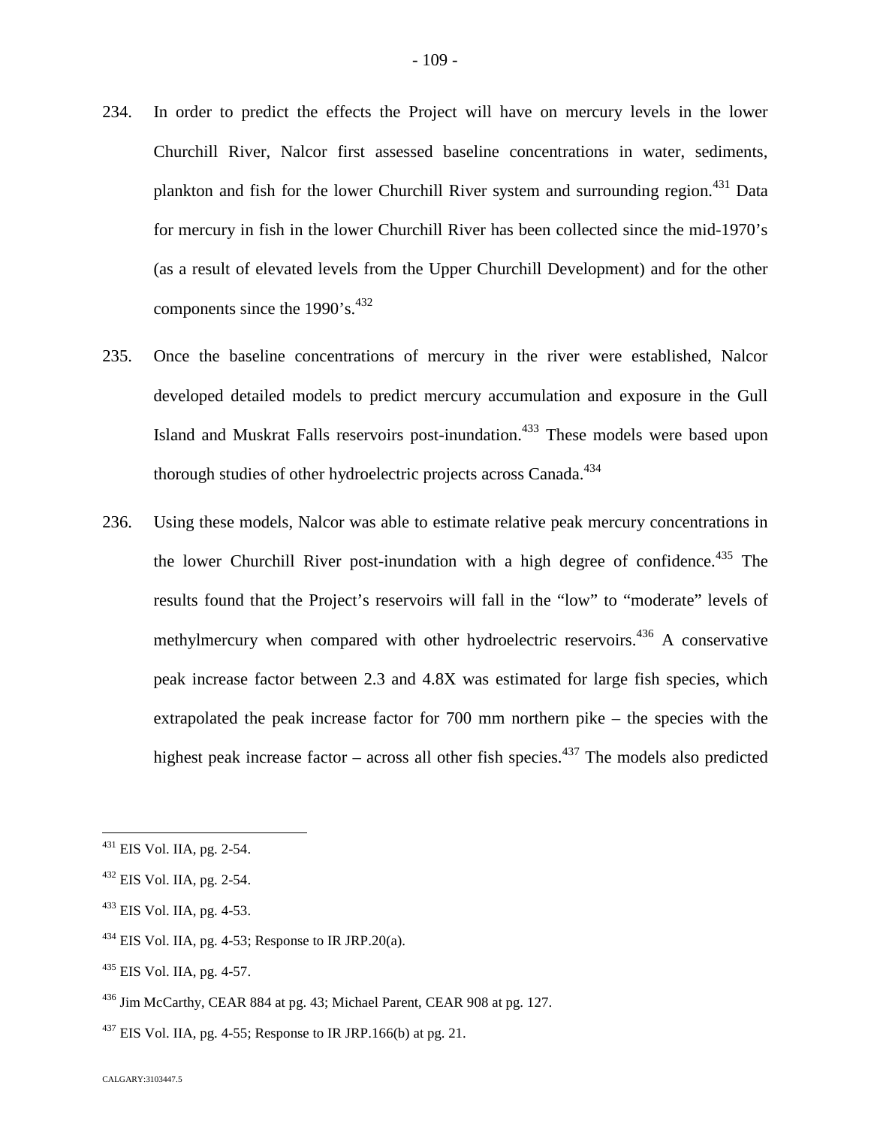- 234. In order to predict the effects the Project will have on mercury levels in the lower Churchill River, Nalcor first assessed baseline concentrations in water, sediments, plankton and fish for the lower Churchill River system and surrounding region.<sup>[431](#page-109-0)</sup> Data for mercury in fish in the lower Churchill River has been collected since the mid-1970's (as a result of elevated levels from the Upper Churchill Development) and for the other components since the  $1990$ 's.<sup>4[32](#page-109-1)</sup>
- 235. Once the baseline concentrations of mercury in the river were established, Nalcor developed detailed models to predict mercury accumulation and exposure in the Gull Island and Muskrat Falls reservoirs post-inundation.<sup>[433](#page-109-2)</sup> These models were based upon thorough studies of other hydroelectric projects across Canada.<sup>434</sup>
- 236. Using these models, Nalcor was able to estimate relative peak mercury concentrations in the lower Churchill River post-inundation with a high degree of confidence.<sup>[435](#page-109-3)</sup> The results found that the Project's reservoirs will fall in the "low" to "moderate" levels of methylmercury when compared with other hydroelectric reservoirs.<sup>[436](#page-109-4)</sup> A conservative peak increase factor between 2.3 and 4.8X was estimated for large fish species, which extrapolated the peak increase factor for 700 mm northern pike – the species with the highest peak increase factor – across all other fish species.<sup>[437](#page-109-5)</sup> The models also predicted

- $434$  EIS Vol. IIA, pg. 4-53; Response to IR JRP.20(a).
- <span id="page-109-3"></span> $435$  EIS Vol. IIA, pg. 4-57.

<span id="page-109-0"></span><sup>431</sup> EIS Vol. IIA, pg. 2-54.

<span id="page-109-1"></span><sup>432</sup> EIS Vol. IIA, pg. 2-54.

<span id="page-109-2"></span> $433$  EIS Vol. IIA, pg. 4-53.

<span id="page-109-4"></span><sup>436</sup> Jim McCarthy, CEAR 884 at pg. 43; Michael Parent, CEAR 908 at pg. 127.

<span id="page-109-5"></span> $^{437}$  EIS Vol. IIA, pg. 4-55; Response to IR JRP.166(b) at pg. 21.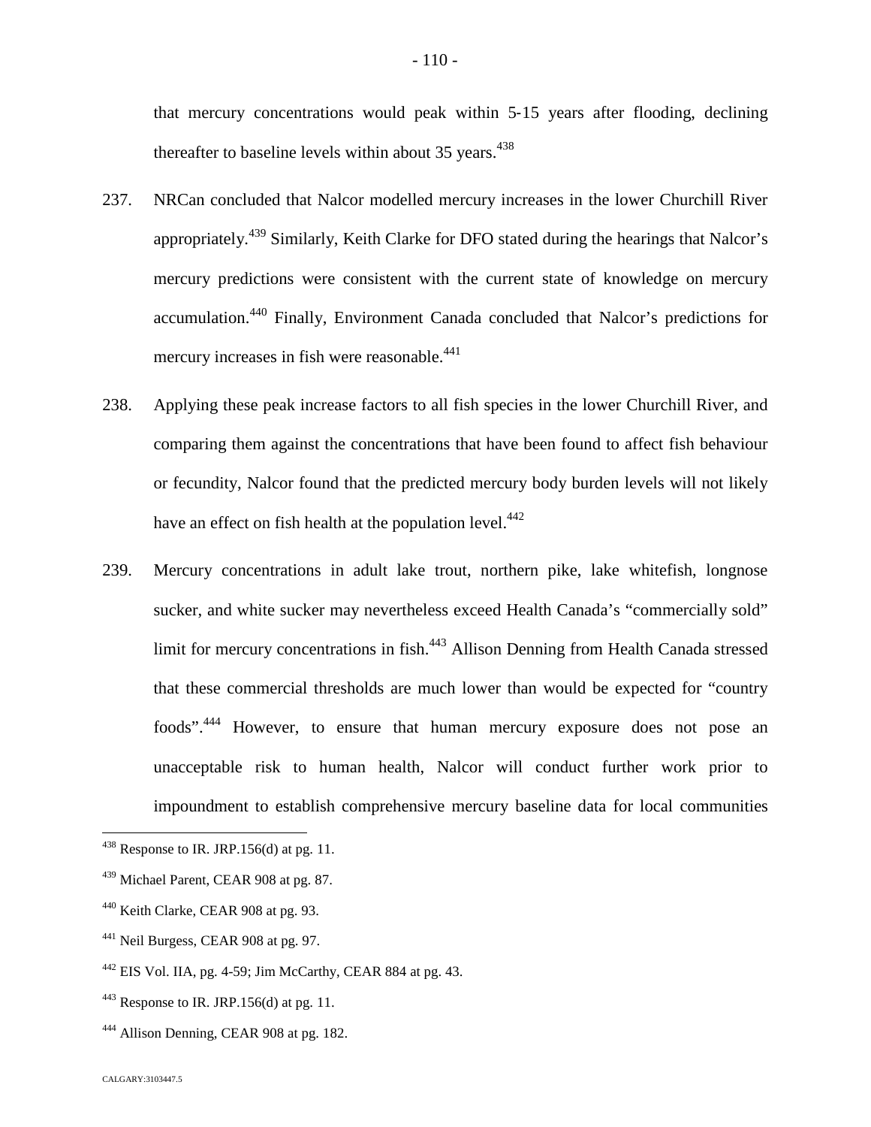that mercury concentrations would peak within 5‐15 years after flooding, declining thereafter to baseline levels within about  $35$  years.<sup>43[8](#page-110-0)</sup>

- 237. NRCan concluded that Nalcor modelled mercury increases in the lower Churchill River appropriately.<sup>[439](#page-110-1)</sup> Similarly, Keith Clarke for DFO stated during the hearings that Nalcor's mercury predictions were consistent with the current state of knowledge on mercury accumulation.[440](#page-110-2) Finally, Environment Canada concluded that Nalcor's predictions for mercury increases in fish were reasonable.<sup>44[1](#page-110-3)</sup>
- 238. Applying these peak increase factors to all fish species in the lower Churchill River, and comparing them against the concentrations that have been found to affect fish behaviour or fecundity, Nalcor found that the predicted mercury body burden levels will not likely have an effect on fish health at the population level.<sup>44[2](#page-110-4)</sup>
- 239. Mercury concentrations in adult lake trout, northern pike, lake whitefish, longnose sucker, and white sucker may nevertheless exceed Health Canada's "commercially sold" limit for mercury concentrations in fish.<sup>[443](#page-110-5)</sup> Allison Denning from Health Canada stressed that these commercial thresholds are much lower than would be expected for "country foods".[444](#page-110-6) However, to ensure that human mercury exposure does not pose an unacceptable risk to human health, Nalcor will conduct further work prior to impoundment to establish comprehensive mercury baseline data for local communities

<span id="page-110-0"></span> $438$  Response to IR. JRP.156(d) at pg. 11.

<span id="page-110-1"></span><sup>439</sup> Michael Parent, CEAR 908 at pg. 87.

<span id="page-110-2"></span><sup>&</sup>lt;sup>440</sup> Keith Clarke, CEAR 908 at pg. 93.

<span id="page-110-3"></span><sup>&</sup>lt;sup>441</sup> Neil Burgess, CEAR 908 at pg. 97.

<span id="page-110-4"></span> $442$  EIS Vol. IIA, pg. 4-59; Jim McCarthy, CEAR 884 at pg. 43.

<span id="page-110-5"></span> $443$  Response to IR. JRP.156(d) at pg. 11.

<span id="page-110-6"></span><sup>444</sup> Allison Denning, CEAR 908 at pg. 182.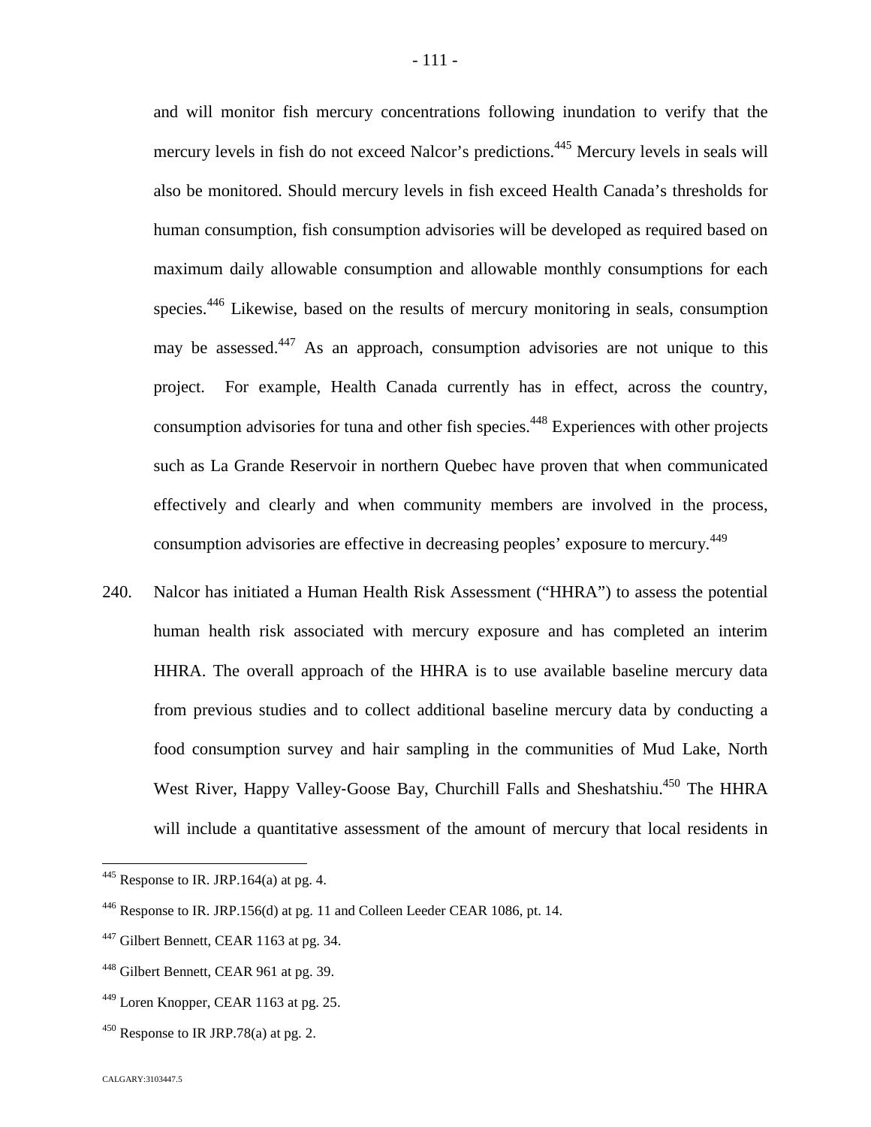and will monitor fish mercury concentrations following inundation to verify that the mercury levels in fish do not exceed Nalcor's predictions.<sup>[445](#page-111-0)</sup> Mercury levels in seals will also be monitored. Should mercury levels in fish exceed Health Canada's thresholds for human consumption, fish consumption advisories will be developed as required based on maximum daily allowable consumption and allowable monthly consumptions for each species.<sup>[446](#page-111-1)</sup> Likewise, based on the results of mercury monitoring in seals, consumption may be assessed.<sup>[447](#page-111-2)</sup> As an approach, consumption advisories are not unique to this project. For example, Health Canada currently has in effect, across the country, consumption advisories for tuna and other fish species.<sup>[448](#page-111-3)</sup> Experiences with other projects such as La Grande Reservoir in northern Quebec have proven that when communicated effectively and clearly and when community members are involved in the process, consumption advisories are effective in decreasing peoples' exposure to mercury.<sup>449</sup>

240. Nalcor has initiated a Human Health Risk Assessment ("HHRA") to assess the potential human health risk associated with mercury exposure and has completed an interim HHRA. The overall approach of the HHRA is to use available baseline mercury data from previous studies and to collect additional baseline mercury data by conducting a food consumption survey and hair sampling in the communities of Mud Lake, North West River, Happy Valley-Goose Bay, Churchill Falls and Sheshatshiu.<sup>[450](#page-111-4)</sup> The HHRA will include a quantitative assessment of the amount of mercury that local residents in

<span id="page-111-0"></span> $445$  Response to IR. JRP.164(a) at pg. 4.

<span id="page-111-1"></span><sup>446</sup> Response to IR. JRP.156(d) at pg. 11 and Colleen Leeder CEAR 1086, pt. 14.

<span id="page-111-2"></span><sup>&</sup>lt;sup>447</sup> Gilbert Bennett, CEAR 1163 at pg. 34.

<span id="page-111-3"></span><sup>448</sup> Gilbert Bennett, CEAR 961 at pg. 39.

<sup>449</sup> Loren Knopper, CEAR 1163 at pg. 25.

<span id="page-111-4"></span> $450$  Response to IR JRP.78(a) at pg. 2.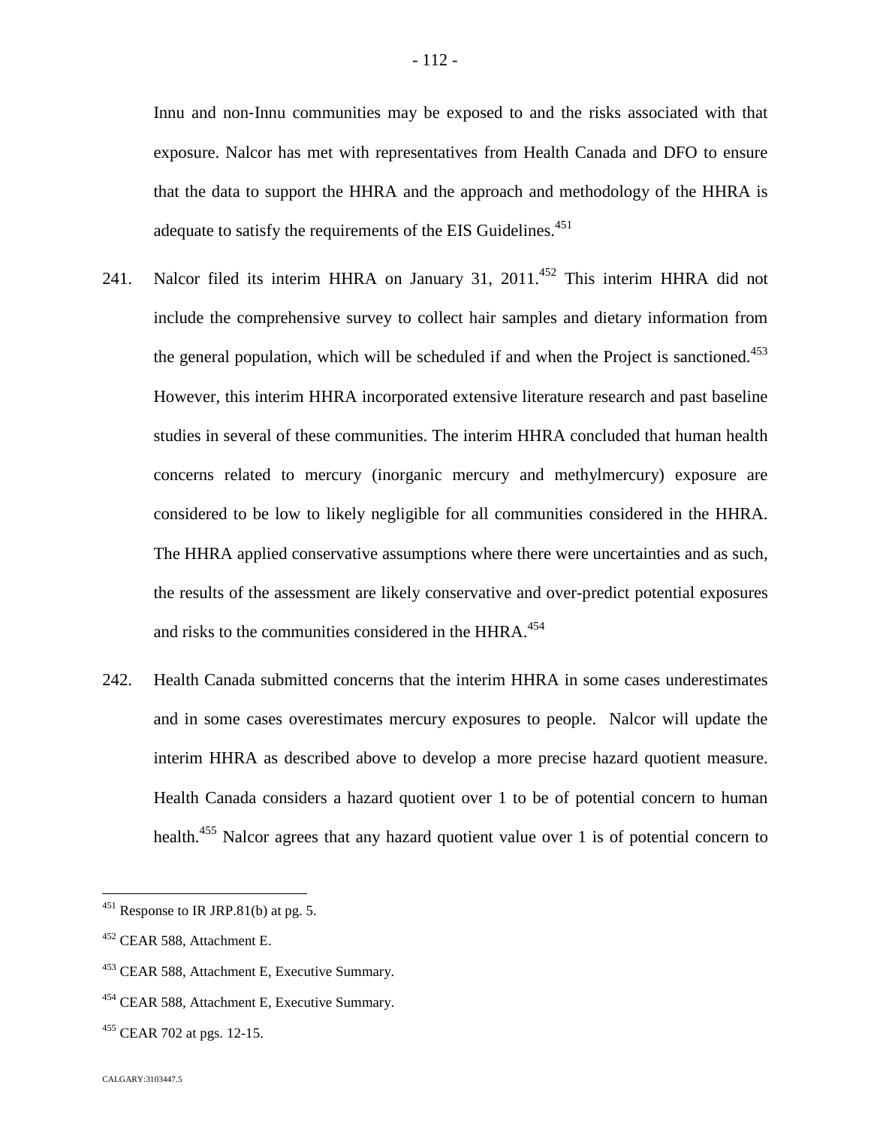Innu and non‐Innu communities may be exposed to and the risks associated with that exposure. Nalcor has met with representatives from Health Canada and DFO to ensure that the data to support the HHRA and the approach and methodology of the HHRA is adequate to satisfy the requirements of the EIS Guidelines. $451$  $451$ 

- 241. Nalcor filed its interim HHRA on January 31, 2011.<sup>[452](#page-112-1)</sup> This interim HHRA did not include the comprehensive survey to collect hair samples and dietary information from the general population, which will be scheduled if and when the Project is sanctioned.<sup>[453](#page-112-2)</sup> However, this interim HHRA incorporated extensive literature research and past baseline studies in several of these communities. The interim HHRA concluded that human health concerns related to mercury (inorganic mercury and methylmercury) exposure are considered to be low to likely negligible for all communities considered in the HHRA. The HHRA applied conservative assumptions where there were uncertainties and as such, the results of the assessment are likely conservative and over-predict potential exposures and risks to the communities considered in the HHRA. $^{454}$  $^{454}$  $^{454}$
- 242. Health Canada submitted concerns that the interim HHRA in some cases underestimates and in some cases overestimates mercury exposures to people. Nalcor will update the interim HHRA as described above to develop a more precise hazard quotient measure. Health Canada considers a hazard quotient over 1 to be of potential concern to human health.<sup>[455](#page-112-4)</sup> Nalcor agrees that any hazard quotient value over 1 is of potential concern to

<span id="page-112-0"></span><sup>&</sup>lt;sup>451</sup> Response to IR JRP.81(b) at pg. 5.

<span id="page-112-1"></span><sup>452</sup> CEAR 588, Attachment E.

<span id="page-112-2"></span><sup>453</sup> CEAR 588, Attachment E, Executive Summary.

<span id="page-112-3"></span><sup>&</sup>lt;sup>454</sup> CEAR 588, Attachment E, Executive Summary.

<span id="page-112-4"></span><sup>455</sup> CEAR 702 at pgs. 12-15.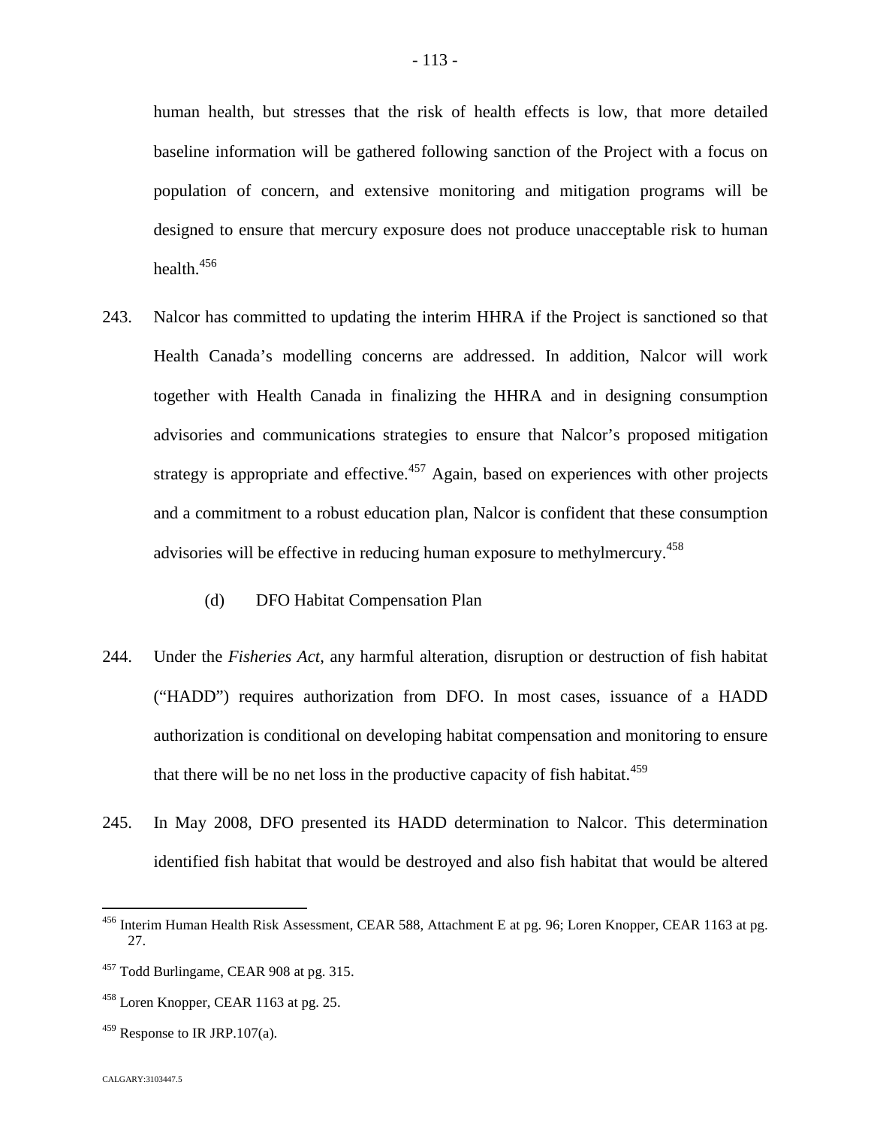human health, but stresses that the risk of health effects is low, that more detailed baseline information will be gathered following sanction of the Project with a focus on population of concern, and extensive monitoring and mitigation programs will be designed to ensure that mercury exposure does not produce unacceptable risk to human health.<sup>[456](#page-113-0)</sup>

- 243. Nalcor has committed to updating the interim HHRA if the Project is sanctioned so that Health Canada's modelling concerns are addressed. In addition, Nalcor will work together with Health Canada in finalizing the HHRA and in designing consumption advisories and communications strategies to ensure that Nalcor's proposed mitigation strategy is appropriate and effective.<sup>[457](#page-113-1)</sup> Again, based on experiences with other projects and a commitment to a robust education plan, Nalcor is confident that these consumption advisories will be effective in reducing human exposure to methylmercury.<sup>458</sup>
	- (d) DFO Habitat Compensation Plan
- 244. Under the *Fisheries Act*, any harmful alteration, disruption or destruction of fish habitat ("HADD") requires authorization from DFO. In most cases, issuance of a HADD authorization is conditional on developing habitat compensation and monitoring to ensure that there will be no net loss in the productive capacity of fish habitat. $459$
- 245. In May 2008, DFO presented its HADD determination to Nalcor. This determination identified fish habitat that would be destroyed and also fish habitat that would be altered

 $459$  Response to IR JRP.107(a).

<span id="page-113-0"></span><sup>456</sup> Interim Human Health Risk Assessment, CEAR 588, Attachment E at pg. 96; Loren Knopper, CEAR 1163 at pg. 27.

<span id="page-113-1"></span><sup>&</sup>lt;sup>457</sup> Todd Burlingame, CEAR 908 at pg. 315.

 $458$  Loren Knopper, CEAR 1163 at pg. 25.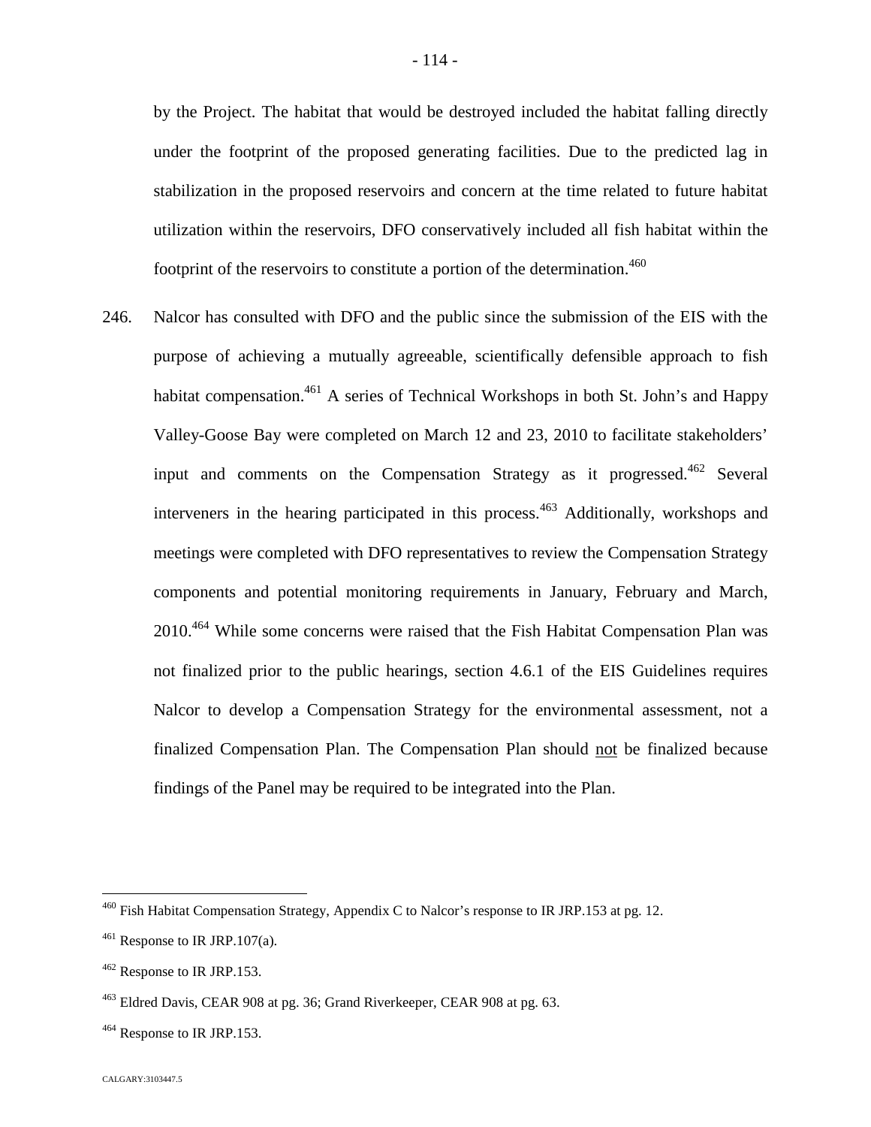by the Project. The habitat that would be destroyed included the habitat falling directly under the footprint of the proposed generating facilities. Due to the predicted lag in stabilization in the proposed reservoirs and concern at the time related to future habitat utilization within the reservoirs, DFO conservatively included all fish habitat within the footprint of the reservoirs to constitute a portion of the determination.<sup>460</sup>

246. Nalcor has consulted with DFO and the public since the submission of the EIS with the purpose of achieving a mutually agreeable, scientifically defensible approach to fish habitat compensation.<sup>[461](#page-114-0)</sup> A series of Technical Workshops in both St. John's and Happy Valley-Goose Bay were completed on March 12 and 23, 2010 to facilitate stakeholders' input and comments on the Compensation Strategy as it progressed.<sup>[462](#page-114-1)</sup> Several interveners in the hearing participated in this process.<sup>[463](#page-114-2)</sup> Additionally, workshops and meetings were completed with DFO representatives to review the Compensation Strategy components and potential monitoring requirements in January, February and March, 2010.[464](#page-114-3) While some concerns were raised that the Fish Habitat Compensation Plan was not finalized prior to the public hearings, section 4.6.1 of the EIS Guidelines requires Nalcor to develop a Compensation Strategy for the environmental assessment, not a finalized Compensation Plan. The Compensation Plan should not be finalized because findings of the Panel may be required to be integrated into the Plan.

 $460$  Fish Habitat Compensation Strategy, Appendix C to Nalcor's response to IR JRP.153 at pg. 12.

<span id="page-114-0"></span> $461$  Response to IR JRP.107(a).

<span id="page-114-1"></span><sup>&</sup>lt;sup>462</sup> Response to IR JRP.153.

<span id="page-114-2"></span><sup>463</sup> Eldred Davis, CEAR 908 at pg. 36; Grand Riverkeeper, CEAR 908 at pg. 63.

<span id="page-114-3"></span><sup>&</sup>lt;sup>464</sup> Response to IR JRP.153.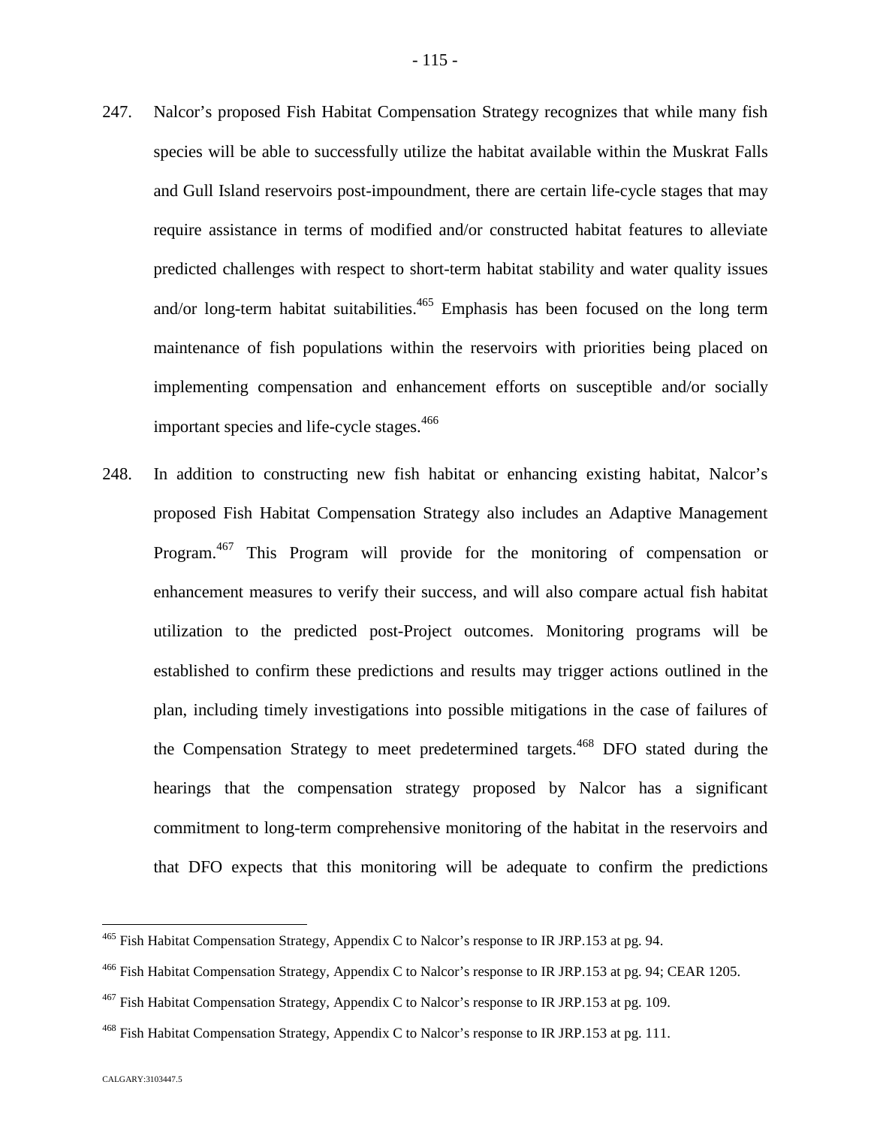- 247. Nalcor's proposed Fish Habitat Compensation Strategy recognizes that while many fish species will be able to successfully utilize the habitat available within the Muskrat Falls and Gull Island reservoirs post-impoundment, there are certain life-cycle stages that may require assistance in terms of modified and/or constructed habitat features to alleviate predicted challenges with respect to short-term habitat stability and water quality issues and/or long-term habitat suitabilities.<sup>4[65](#page-115-0)</sup> Emphasis has been focused on the long term
	- maintenance of fish populations within the reservoirs with priorities being placed on implementing compensation and enhancement efforts on susceptible and/or socially important species and life-cycle stages.<sup>4[66](#page-115-1)</sup>
- 248. In addition to constructing new fish habitat or enhancing existing habitat, Nalcor's proposed Fish Habitat Compensation Strategy also includes an Adaptive Management Program.[467](#page-115-2) This Program will provide for the monitoring of compensation or enhancement measures to verify their success, and will also compare actual fish habitat utilization to the predicted post-Project outcomes. Monitoring programs will be established to confirm these predictions and results may trigger actions outlined in the plan, including timely investigations into possible mitigations in the case of failures of the Compensation Strategy to meet predetermined targets.<sup>[468](#page-115-3)</sup> DFO stated during the hearings that the compensation strategy proposed by Nalcor has a significant commitment to long-term comprehensive monitoring of the habitat in the reservoirs and that DFO expects that this monitoring will be adequate to confirm the predictions

<span id="page-115-0"></span><sup>465</sup> Fish Habitat Compensation Strategy, Appendix C to Nalcor's response to IR JRP.153 at pg. 94.

<span id="page-115-1"></span><sup>466</sup> Fish Habitat Compensation Strategy, Appendix C to Nalcor's response to IR JRP.153 at pg. 94; CEAR 1205.

<span id="page-115-2"></span><sup>&</sup>lt;sup>467</sup> Fish Habitat Compensation Strategy, Appendix C to Nalcor's response to IR JRP.153 at pg. 109.

<span id="page-115-3"></span><sup>468</sup> Fish Habitat Compensation Strategy, Appendix C to Nalcor's response to IR JRP.153 at pg. 111.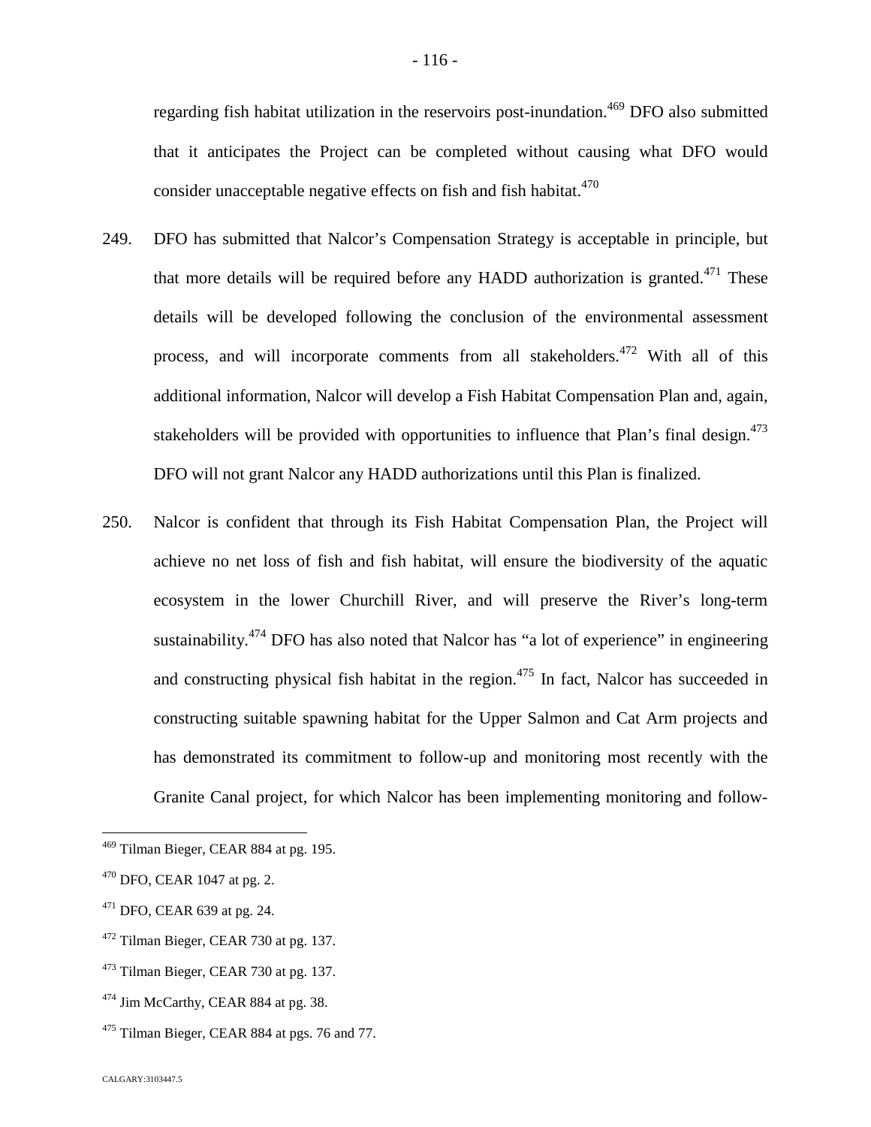regarding fish habitat utilization in the reservoirs post-inundation.<sup>[469](#page-116-0)</sup> DFO also submitted that it anticipates the Project can be completed without causing what DFO would consider unacceptable negative effects on fish and fish habitat.<sup>470</sup>

- 249. DFO has submitted that Nalcor's Compensation Strategy is acceptable in principle, but that more details will be required before any HADD authorization is granted.<sup> $471$ </sup> These details will be developed following the conclusion of the environmental assessment process, and will incorporate comments from all stakeholders.<sup>[472](#page-116-2)</sup> With all of this additional information, Nalcor will develop a Fish Habitat Compensation Plan and, again, stakeholders will be provided with opportunities to influence that Plan's final design. $473$ DFO will not grant Nalcor any HADD authorizations until this Plan is finalized.
- 250. Nalcor is confident that through its Fish Habitat Compensation Plan, the Project will achieve no net loss of fish and fish habitat, will ensure the biodiversity of the aquatic ecosystem in the lower Churchill River, and will preserve the River's long-term sustainability. $474$  DFO has also noted that Nalcor has "a lot of experience" in engineering and constructing physical fish habitat in the region.<sup>[475](#page-116-5)</sup> In fact, Nalcor has succeeded in constructing suitable spawning habitat for the Upper Salmon and Cat Arm projects and has demonstrated its commitment to follow-up and monitoring most recently with the Granite Canal project, for which Nalcor has been implementing monitoring and follow-

<span id="page-116-0"></span><sup>469</sup> Tilman Bieger, CEAR 884 at pg. 195.

 $470$  DFO, CEAR 1047 at pg. 2.

<span id="page-116-1"></span> $471$  DFO, CEAR 639 at pg. 24.

<span id="page-116-2"></span><sup>472</sup> Tilman Bieger, CEAR 730 at pg. 137.

<span id="page-116-3"></span><sup>473</sup> Tilman Bieger, CEAR 730 at pg. 137.

<span id="page-116-4"></span><sup>&</sup>lt;sup>474</sup> Jim McCarthy, CEAR 884 at pg. 38.

<span id="page-116-5"></span> $475$  Tilman Bieger, CEAR 884 at pgs. 76 and 77.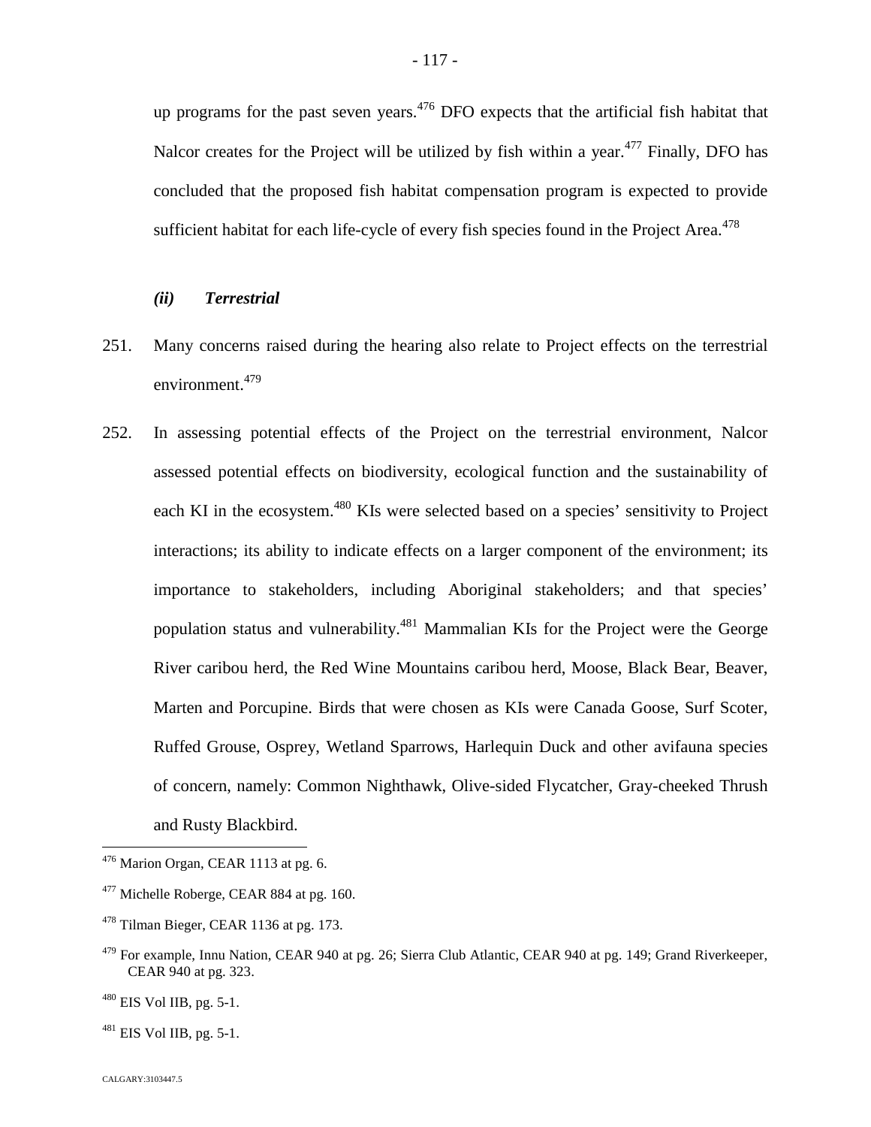up programs for the past seven years.<sup>[476](#page-117-0)</sup> DFO expects that the artificial fish habitat that Nalcor creates for the Project will be utilized by fish within a year.<sup> $477$ </sup> Finally, DFO has concluded that the proposed fish habitat compensation program is expected to provide sufficient habitat for each life-cycle of every fish species found in the Project Area.<sup>478</sup>

# *(ii) Terrestrial*

- 251. Many concerns raised during the hearing also relate to Project effects on the terrestrial environment.<sup>[479](#page-117-2)</sup>
- 252. In assessing potential effects of the Project on the terrestrial environment, Nalcor assessed potential effects on biodiversity, ecological function and the sustainability of each KI in the ecosystem.<sup>[480](#page-117-3)</sup> KIs were selected based on a species' sensitivity to Project interactions; its ability to indicate effects on a larger component of the environment; its importance to stakeholders, including Aboriginal stakeholders; and that species' population status and vulnerability.<sup>4[81](#page-117-4)</sup> Mammalian KIs for the Project were the George River caribou herd, the Red Wine Mountains caribou herd, Moose, Black Bear, Beaver, Marten and Porcupine. Birds that were chosen as KIs were Canada Goose, Surf Scoter, Ruffed Grouse, Osprey, Wetland Sparrows, Harlequin Duck and other avifauna species of concern, namely: Common Nighthawk, Olive-sided Flycatcher, Gray-cheeked Thrush and Rusty Blackbird.

<span id="page-117-0"></span> $476$  Marion Organ, CEAR 1113 at pg. 6.

<span id="page-117-1"></span><sup>&</sup>lt;sup>477</sup> Michelle Roberge, CEAR 884 at pg. 160.

<sup>478</sup> Tilman Bieger, CEAR 1136 at pg. 173.

<span id="page-117-2"></span><sup>&</sup>lt;sup>479</sup> For example, Innu Nation, CEAR 940 at pg. 26; Sierra Club Atlantic, CEAR 940 at pg. 149; Grand Riverkeeper, CEAR 940 at pg. 323.

<span id="page-117-3"></span> $480$  EIS Vol IIB, pg. 5-1.

<span id="page-117-4"></span> $^{481}$  EIS Vol IIB, pg. 5-1.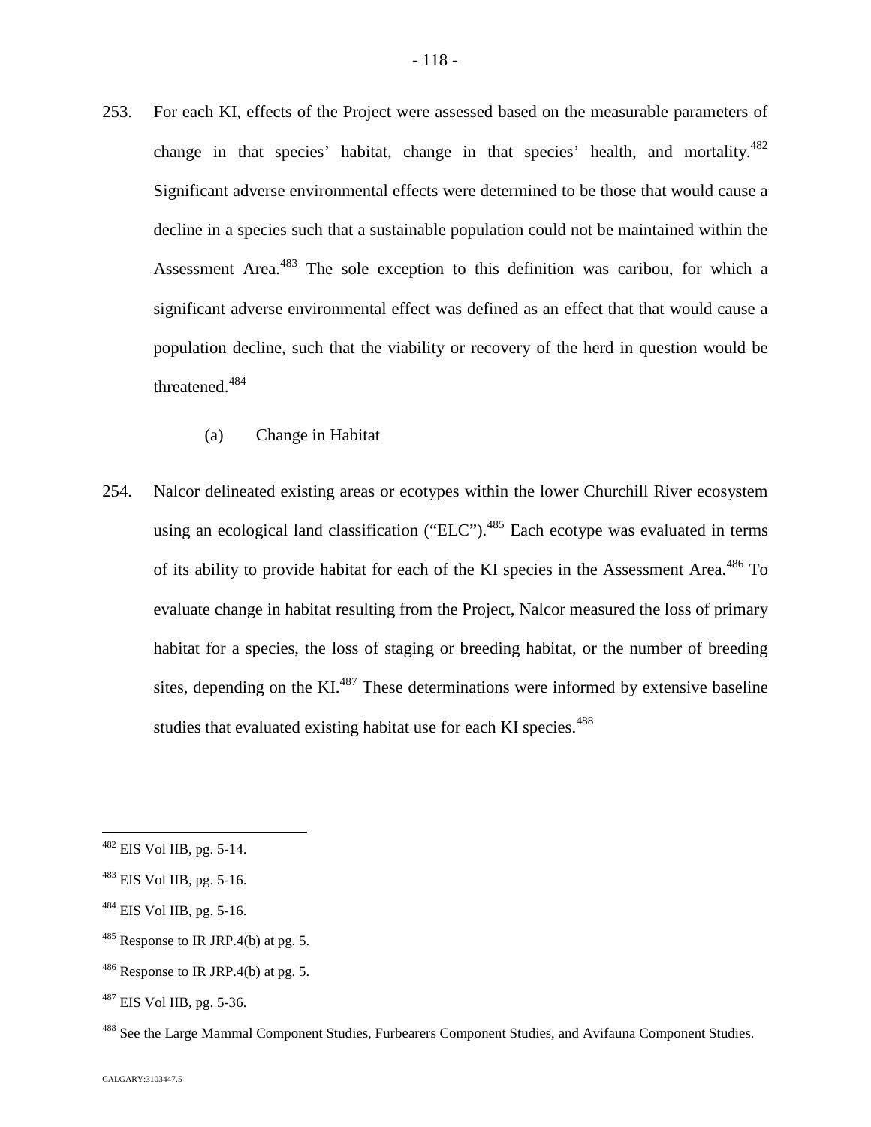- 253. For each KI, effects of the Project were assessed based on the measurable parameters of change in that species' habitat, change in that species' health, and mortality. $482$ Significant adverse environmental effects were determined to be those that would cause a decline in a species such that a sustainable population could not be maintained within the Assessment Area.<sup>[483](#page-118-1)</sup> The sole exception to this definition was caribou, for which a significant adverse environmental effect was defined as an effect that that would cause a population decline, such that the viability or recovery of the herd in question would be threatened.<sup>[484](#page-118-2)</sup>
	- (a) Change in Habitat
- 254. Nalcor delineated existing areas or ecotypes within the lower Churchill River ecosystem using an ecological land classification ("ELC"). $485$  Each ecotype was evaluated in terms of its ability to provide habitat for each of the KI species in the Assessment Area.<sup>[486](#page-118-4)</sup> To evaluate change in habitat resulting from the Project, Nalcor measured the loss of primary habitat for a species, the loss of staging or breeding habitat, or the number of breeding sites,depending on the  $KL^{487}$  These determinations were informed by extensive baseline studies that evaluated existing habitat use for each KI species.<sup>4[8](#page-118-6)8</sup>

<span id="page-118-3"></span> $485$  Response to IR JRP.4(b) at pg. 5.

<span id="page-118-0"></span><sup>482</sup> EIS Vol IIB, pg. 5-14.

<span id="page-118-1"></span><sup>483</sup> EIS Vol IIB, pg. 5-16.

<span id="page-118-2"></span> $484$  EIS Vol IIB, pg. 5-16.

<span id="page-118-4"></span> $486$  Response to IR JRP.4(b) at pg. 5.

<span id="page-118-5"></span> $487$  EIS Vol IIB, pg. 5-36.

<span id="page-118-6"></span><sup>&</sup>lt;sup>488</sup> See the Large Mammal Component Studies, Furbearers Component Studies, and Avifauna Component Studies.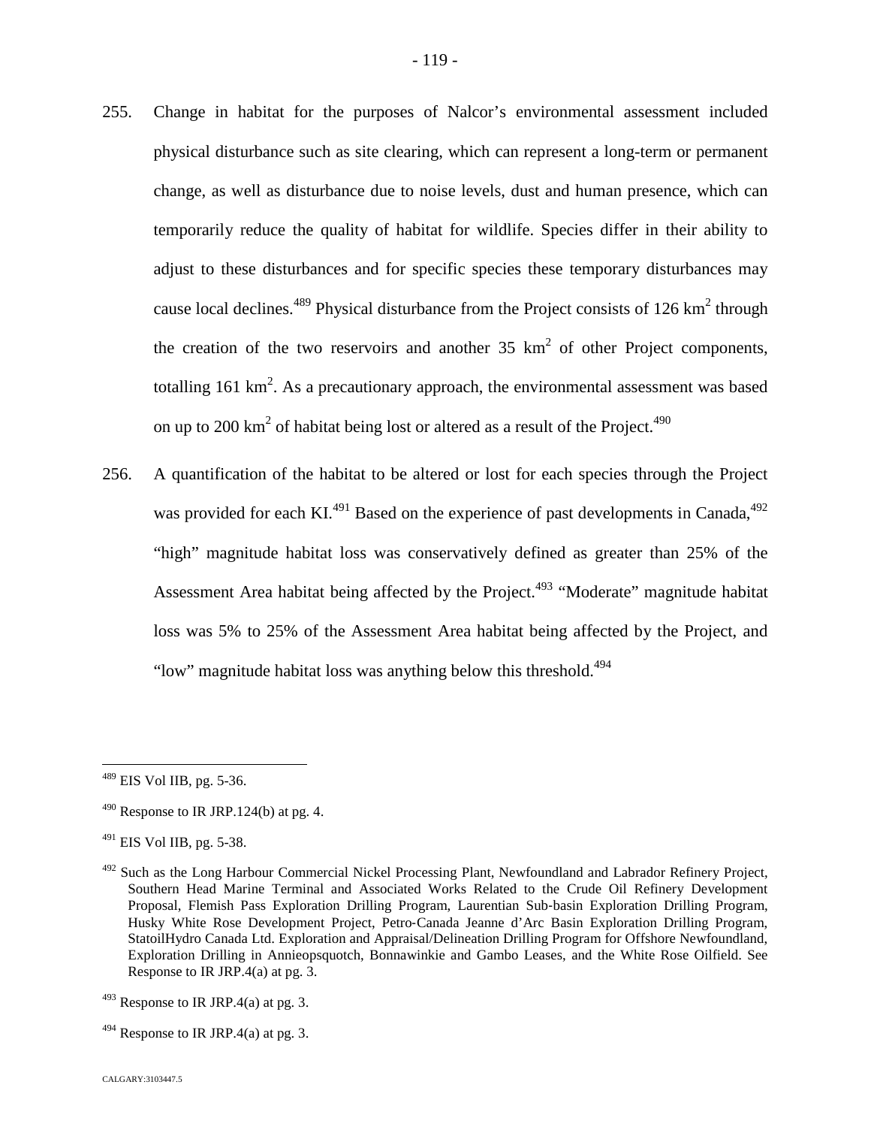- 255. Change in habitat for the purposes of Nalcor's environmental assessment included physical disturbance such as site clearing, which can represent a long-term or permanent change, as well as disturbance due to noise levels, dust and human presence, which can temporarily reduce the quality of habitat for wildlife. Species differ in their ability to adjust to these disturbances and for specific species these temporary disturbances may cause local declines.<sup>[489](#page-119-0)</sup> Physical disturbance from the Project consists of 126 km<sup>2</sup> through the creation of the two reservoirs and another  $35 \text{ km}^2$  of other Project components, totalling 161 km<sup>2</sup>. As a precautionary approach, the environmental assessment was based on up to 200 km<sup>2</sup> of habitat being lost or altered as a result of the Project.<sup>490</sup>
- 256. A quantification of the habitat to be altered or lost for each species through the Project was provided for each KI.<sup>[491](#page-119-1)</sup> Based on the experience of past developments in Canada,  $492$ "high" magnitude habitat loss was conservatively defined as greater than 25% of the Assessment Area habitat being affected by the Project.<sup>[493](#page-119-3)</sup> "Moderate" magnitude habitat loss was 5% to 25% of the Assessment Area habitat being affected by the Project, and "low" magnitude habitat loss was anything below this threshold.<sup>[4](#page-119-4)94</sup>

<span id="page-119-0"></span> $489$  EIS Vol IIB, pg. 5-36.

 $490$  Response to IR JRP.124(b) at pg. 4.

<span id="page-119-1"></span> $^{491}$  EIS Vol IIB, pg. 5-38.

<span id="page-119-2"></span><sup>&</sup>lt;sup>492</sup> Such as the Long Harbour Commercial Nickel Processing Plant, Newfoundland and Labrador Refinery Project, Southern Head Marine Terminal and Associated Works Related to the Crude Oil Refinery Development Proposal, Flemish Pass Exploration Drilling Program, Laurentian Sub‐basin Exploration Drilling Program, Husky White Rose Development Project, Petro‐Canada Jeanne d'Arc Basin Exploration Drilling Program, StatoilHydro Canada Ltd. Exploration and Appraisal/Delineation Drilling Program for Offshore Newfoundland, Exploration Drilling in Annieopsquotch, Bonnawinkie and Gambo Leases, and the White Rose Oilfield. See Response to IR JRP.4(a) at pg. 3.

<span id="page-119-3"></span> $493$  Response to IR JRP.4(a) at pg. 3.

<span id="page-119-4"></span> $494$  Response to IR JRP.4(a) at pg. 3.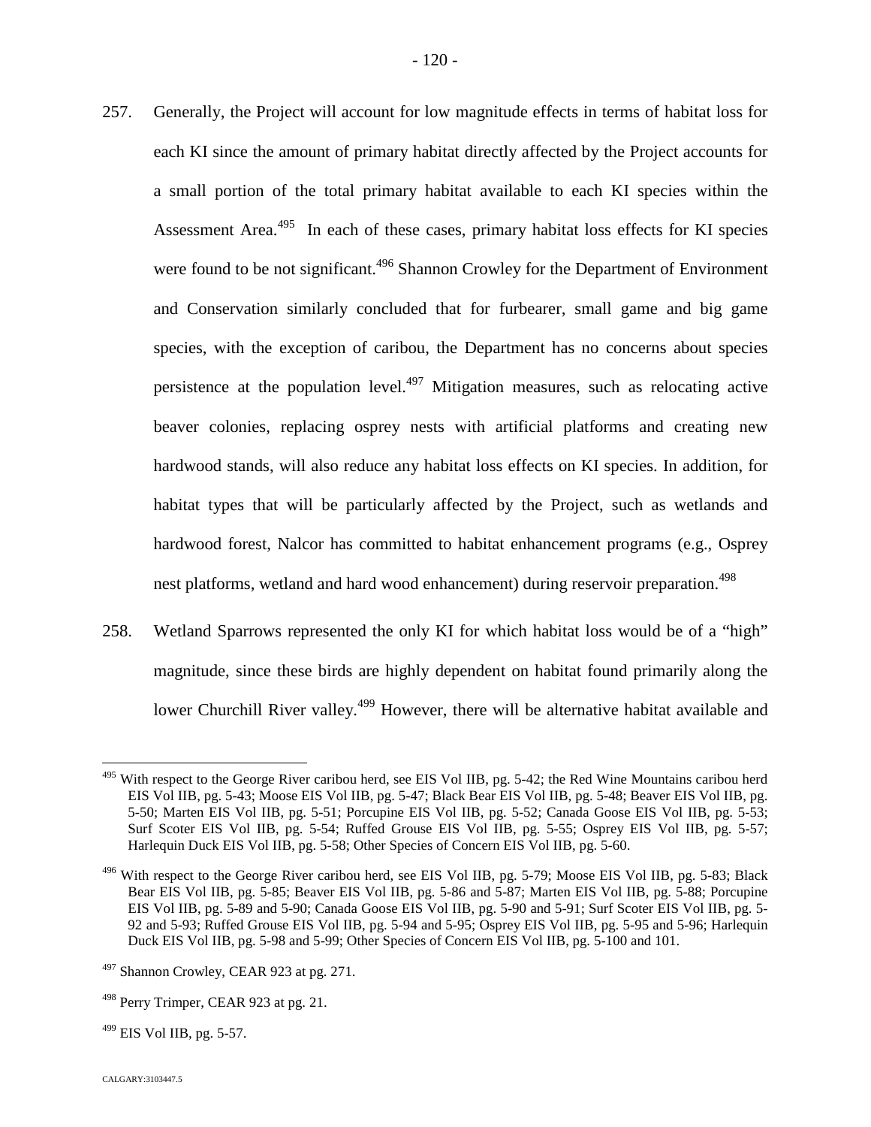257. Generally, the Project will account for low magnitude effects in terms of habitat loss for each KI since the amount of primary habitat directly affected by the Project accounts for a small portion of the total primary habitat available to each KI species within the Assessment Area.<sup>[495](#page-120-0)</sup> In each of these cases, primary habitat loss effects for KI species were found to be not significant.<sup>[496](#page-120-1)</sup> Shannon Crowley for the Department of Environment and Conservation similarly concluded that for furbearer, small game and big game species, with the exception of caribou, the Department has no concerns about species persistence at the population level.<sup>[497](#page-120-2)</sup> Mitigation measures, such as relocating active beaver colonies, replacing osprey nests with artificial platforms and creating new hardwood stands, will also reduce any habitat loss effects on KI species. In addition, for

habitat types that will be particularly affected by the Project, such as wetlands and hardwood forest, Nalcor has committed to habitat enhancement programs (e.g., Osprey nest platforms, wetland and hard wood enhancement) during reservoir preparation.<sup>498</sup>

258. Wetland Sparrows represented the only KI for which habitat loss would be of a "high" magnitude, since these birds are highly dependent on habitat found primarily along the lower Churchill River valley.<sup>[499](#page-120-3)</sup> However, there will be alternative habitat available and

<span id="page-120-0"></span><sup>&</sup>lt;sup>495</sup> With respect to the George River caribou herd, see EIS Vol IIB, pg. 5-42; the Red Wine Mountains caribou herd EIS Vol IIB, pg. 5-43; Moose EIS Vol IIB, pg. 5-47; Black Bear EIS Vol IIB, pg. 5-48; Beaver EIS Vol IIB, pg. 5-50; Marten EIS Vol IIB, pg. 5-51; Porcupine EIS Vol IIB, pg. 5-52; Canada Goose EIS Vol IIB, pg. 5-53; Surf Scoter EIS Vol IIB, pg. 5-54; Ruffed Grouse EIS Vol IIB, pg. 5-55; Osprey EIS Vol IIB, pg. 5-57; Harlequin Duck EIS Vol IIB, pg. 5-58; Other Species of Concern EIS Vol IIB, pg. 5-60.

<span id="page-120-1"></span> $496$  With respect to the George River caribou herd, see EIS Vol IIB, pg. 5-79; Moose EIS Vol IIB, pg. 5-83; Black Bear EIS Vol IIB, pg. 5-85; Beaver EIS Vol IIB, pg. 5-86 and 5-87; Marten EIS Vol IIB, pg. 5-88; Porcupine EIS Vol IIB, pg. 5-89 and 5-90; Canada Goose EIS Vol IIB, pg. 5-90 and 5-91; Surf Scoter EIS Vol IIB, pg. 5- 92 and 5-93; Ruffed Grouse EIS Vol IIB, pg. 5-94 and 5-95; Osprey EIS Vol IIB, pg. 5-95 and 5-96; Harlequin Duck EIS Vol IIB, pg. 5-98 and 5-99; Other Species of Concern EIS Vol IIB, pg. 5-100 and 101.

<span id="page-120-2"></span> $497$  Shannon Crowley, CEAR 923 at pg. 271.

<sup>&</sup>lt;sup>498</sup> Perry Trimper, CEAR 923 at pg. 21.

<span id="page-120-3"></span> $^{499}$  EIS Vol IIB, pg. 5-57.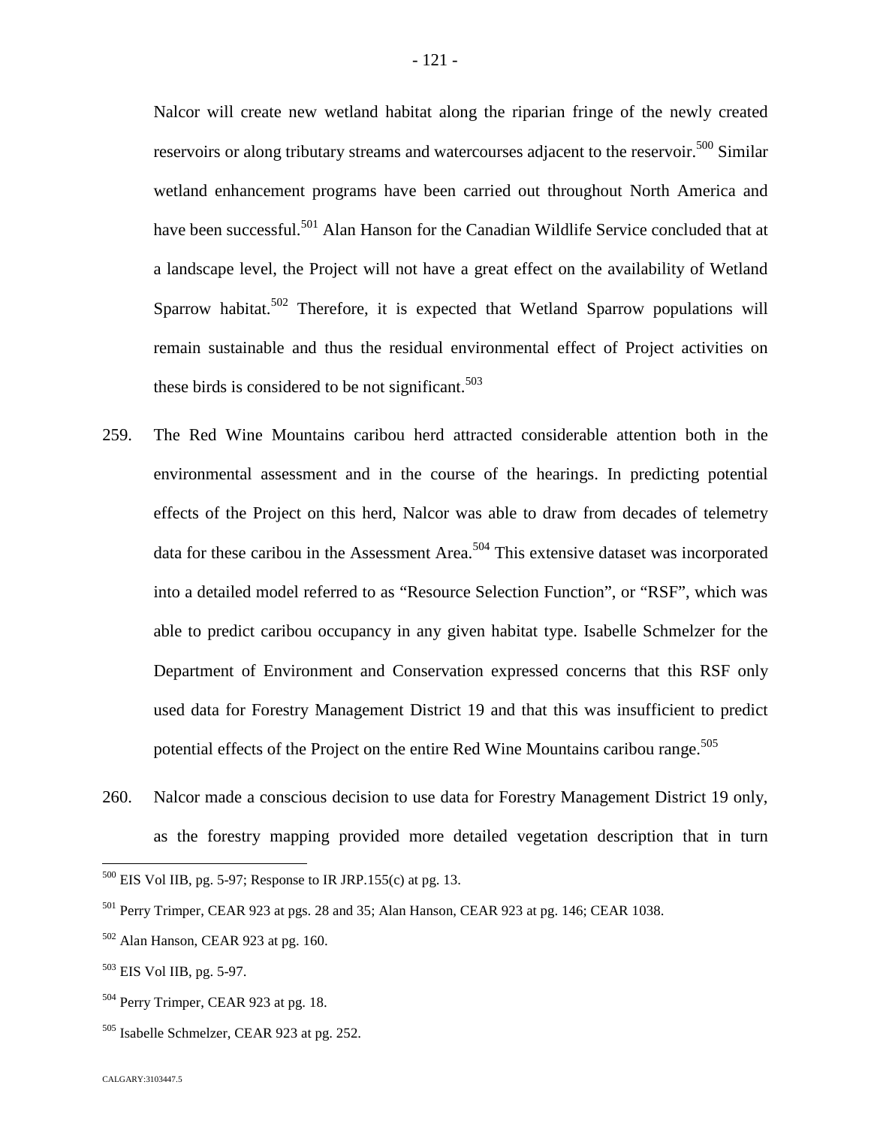Nalcor will create new wetland habitat along the riparian fringe of the newly created reservoirs or along tributary streams and watercourses adjacent to the reservoir.<sup>[500](#page-121-0)</sup> Similar wetland enhancement programs have been carried out throughout North America and have been successful.<sup>[501](#page-121-1)</sup> Alan Hanson for the Canadian Wildlife Service concluded that at a landscape level, the Project will not have a great effect on the availability of Wetland Sparrow habitat.<sup>[502](#page-121-2)</sup> Therefore, it is expected that Wetland Sparrow populations will remain sustainable and thus the residual environmental effect of Project activities on these birds is considered to be not significant.<sup>50[3](#page-121-3)</sup>

- 259. The Red Wine Mountains caribou herd attracted considerable attention both in the environmental assessment and in the course of the hearings. In predicting potential effects of the Project on this herd, Nalcor was able to draw from decades of telemetry data for these caribou in the Assessment Area.<sup>[504](#page-121-4)</sup> This extensive dataset was incorporated into a detailed model referred to as "Resource Selection Function", or "RSF", which was able to predict caribou occupancy in any given habitat type. Isabelle Schmelzer for the Department of Environment and Conservation expressed concerns that this RSF only used data for Forestry Management District 19 and that this was insufficient to predict potential effects of the Project on the entire Red Wine Mountains caribou range.<sup>505</sup>
- 260. Nalcor made a conscious decision to use data for Forestry Management District 19 only, as the forestry mapping provided more detailed vegetation description that in turn

<span id="page-121-0"></span> $500$  EIS Vol IIB, pg. 5-97; Response to IR JRP.155(c) at pg. 13.

<span id="page-121-1"></span><sup>501</sup> Perry Trimper, CEAR 923 at pgs. 28 and 35; Alan Hanson, CEAR 923 at pg. 146; CEAR 1038.

<span id="page-121-2"></span> $502$  Alan Hanson, CEAR 923 at pg. 160.

<span id="page-121-3"></span><sup>503</sup> EIS Vol IIB, pg. 5-97.

<span id="page-121-4"></span><sup>&</sup>lt;sup>504</sup> Perry Trimper, CEAR 923 at pg. 18.

<sup>505</sup> Isabelle Schmelzer, CEAR 923 at pg. 252.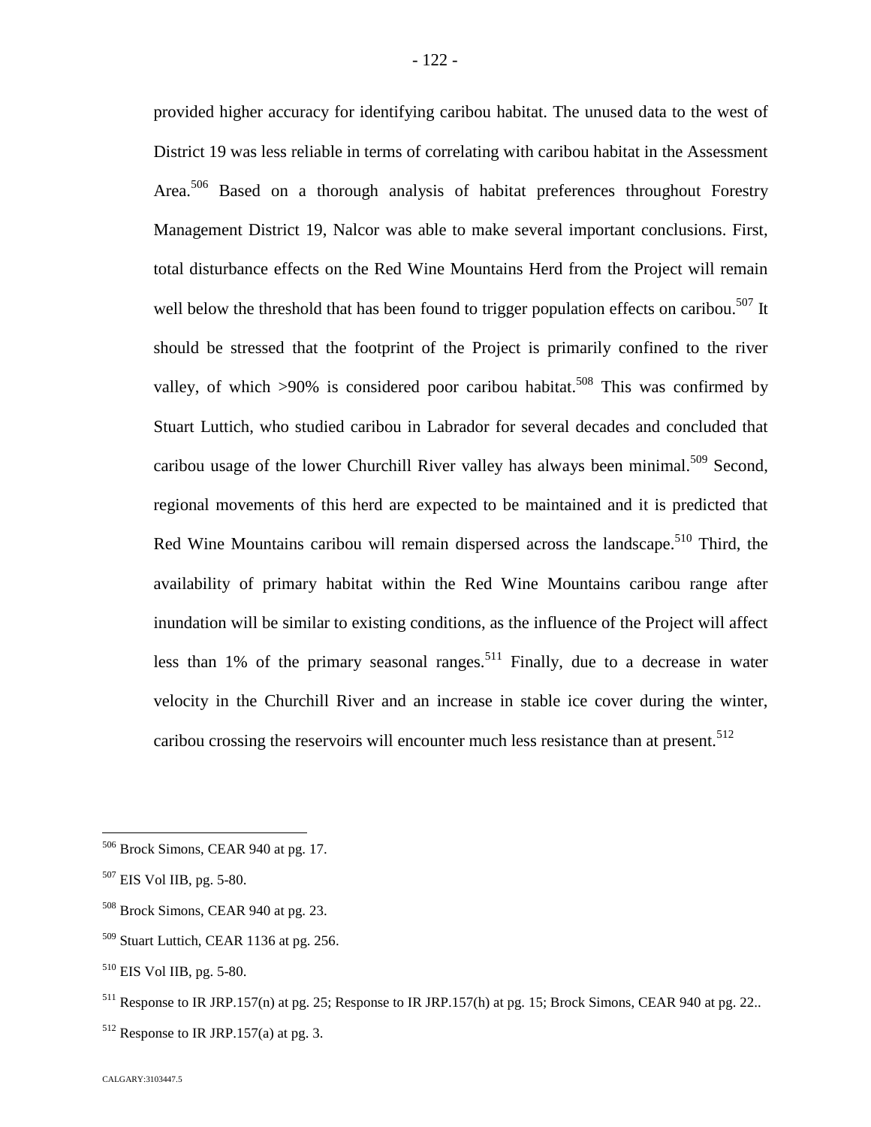provided higher accuracy for identifying caribou habitat. The unused data to the west of District 19 was less reliable in terms of correlating with caribou habitat in the Assessment Area.<sup>[506](#page-122-0)</sup> Based on a thorough analysis of habitat preferences throughout Forestry Management District 19, Nalcor was able to make several important conclusions. First, total disturbance effects on the Red Wine Mountains Herd from the Project will remain well below the threshold that has been found to trigger population effects on caribou.<sup>[507](#page-122-1)</sup> It should be stressed that the footprint of the Project is primarily confined to the river valley, of which  $>90\%$  is considered poor caribou habitat.<sup>[508](#page-122-2)</sup> This was confirmed by Stuart Luttich, who studied caribou in Labrador for several decades and concluded that caribou usage of the lower Churchill River valley has always been minimal.<sup>[509](#page-122-3)</sup> Second, regional movements of this herd are expected to be maintained and it is predicted that Red Wine Mountains caribou will remain dispersed across the landscape.<sup>[510](#page-122-4)</sup> Third, the availability of primary habitat within the Red Wine Mountains caribou range after inundation will be similar to existing conditions, as the influence of the Project will affect less than 1% of the primary seasonal ranges.<sup>[511](#page-122-5)</sup> Finally, due to a decrease in water velocity in the Churchill River and an increase in stable ice cover during the winter, caribou crossing the reservoirs will encounter much less resistance than at present.<sup>512</sup>

<span id="page-122-0"></span><sup>506</sup> Brock Simons, CEAR 940 at pg. 17.

<span id="page-122-1"></span><sup>507</sup> EIS Vol IIB, pg. 5-80.

<span id="page-122-2"></span><sup>508</sup> Brock Simons, CEAR 940 at pg. 23.

<span id="page-122-3"></span> $509$  Stuart Luttich, CEAR 1136 at pg. 256.

<span id="page-122-4"></span><sup>510</sup> EIS Vol IIB, pg. 5-80.

<span id="page-122-5"></span><sup>&</sup>lt;sup>511</sup> Response to IR JRP.157(n) at pg. 25; Response to IR JRP.157(h) at pg. 15; Brock Simons, CEAR 940 at pg. 22..

 $512$  Response to IR JRP.157(a) at pg. 3.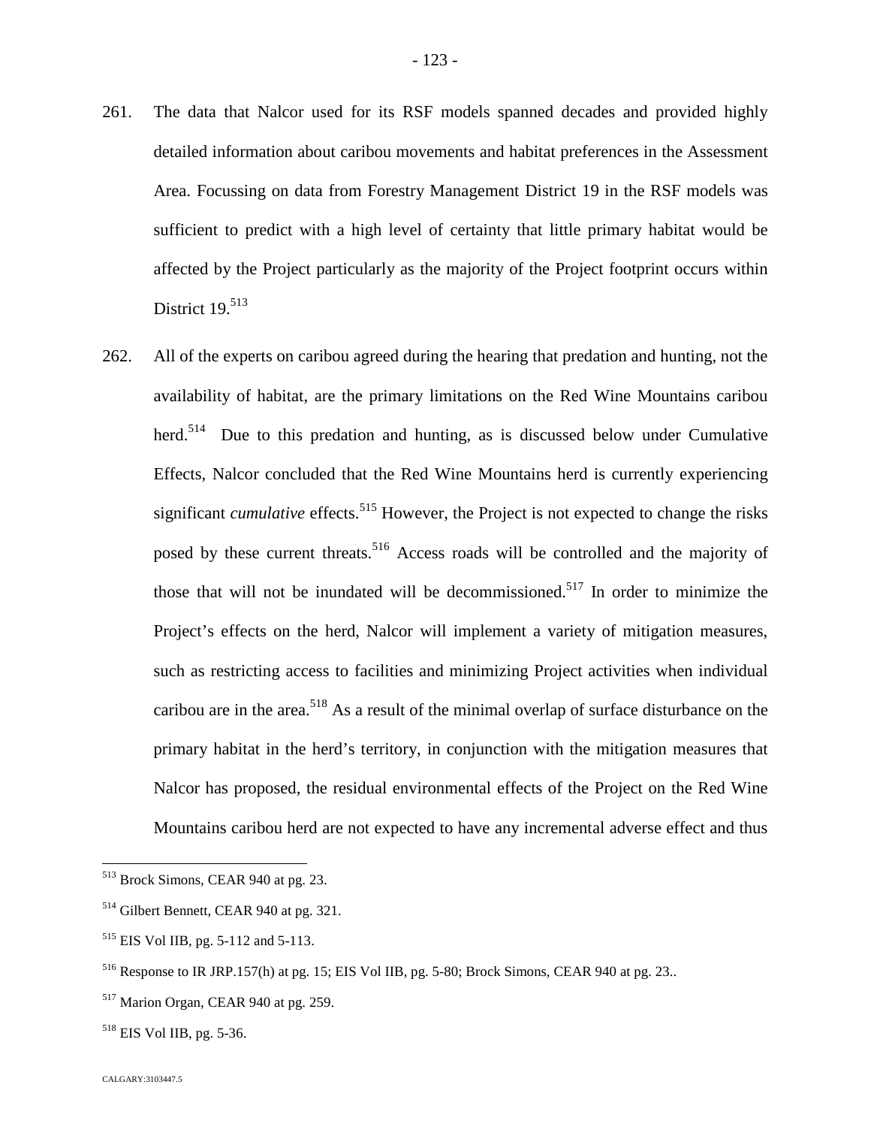- 261. The data that Nalcor used for its RSF models spanned decades and provided highly detailed information about caribou movements and habitat preferences in the Assessment Area. Focussing on data from Forestry Management District 19 in the RSF models was sufficient to predict with a high level of certainty that little primary habitat would be affected by the Project particularly as the majority of the Project footprint occurs within District  $19.513$  $19.513$
- 262. All of the experts on caribou agreed during the hearing that predation and hunting, not the availability of habitat, are the primary limitations on the Red Wine Mountains caribou herd.<sup>[514](#page-123-1)</sup> Due to this predation and hunting, as is discussed below under Cumulative Effects, Nalcor concluded that the Red Wine Mountains herd is currently experiencing significant *cumulative* effects.<sup>[515](#page-123-2)</sup> However, the Project is not expected to change the risks posed by these current threats.<sup>[516](#page-123-3)</sup> Access roads will be controlled and the majority of those that will not be inundated will be decommissioned.<sup>[517](#page-123-4)</sup> In order to minimize the Project's effects on the herd, Nalcor will implement a variety of mitigation measures, such as restricting access to facilities and minimizing Project activities when individual caribou are in the area.<sup>[518](#page-123-5)</sup> As a result of the minimal overlap of surface disturbance on the primary habitat in the herd's territory, in conjunction with the mitigation measures that Nalcor has proposed, the residual environmental effects of the Project on the Red Wine Mountains caribou herd are not expected to have any incremental adverse effect and thus

<span id="page-123-0"></span><sup>513</sup> Brock Simons, CEAR 940 at pg. 23.

<span id="page-123-1"></span><sup>514</sup> Gilbert Bennett, CEAR 940 at pg. 321.

<span id="page-123-2"></span><sup>515</sup> EIS Vol IIB, pg. 5-112 and 5-113.

<span id="page-123-3"></span><sup>516</sup> Response to IR JRP.157(h) at pg. 15; EIS Vol IIB, pg. 5-80; Brock Simons, CEAR 940 at pg. 23..

<span id="page-123-4"></span><sup>517</sup> Marion Organ, CEAR 940 at pg. 259.

<span id="page-123-5"></span><sup>518</sup> EIS Vol IIB, pg. 5-36.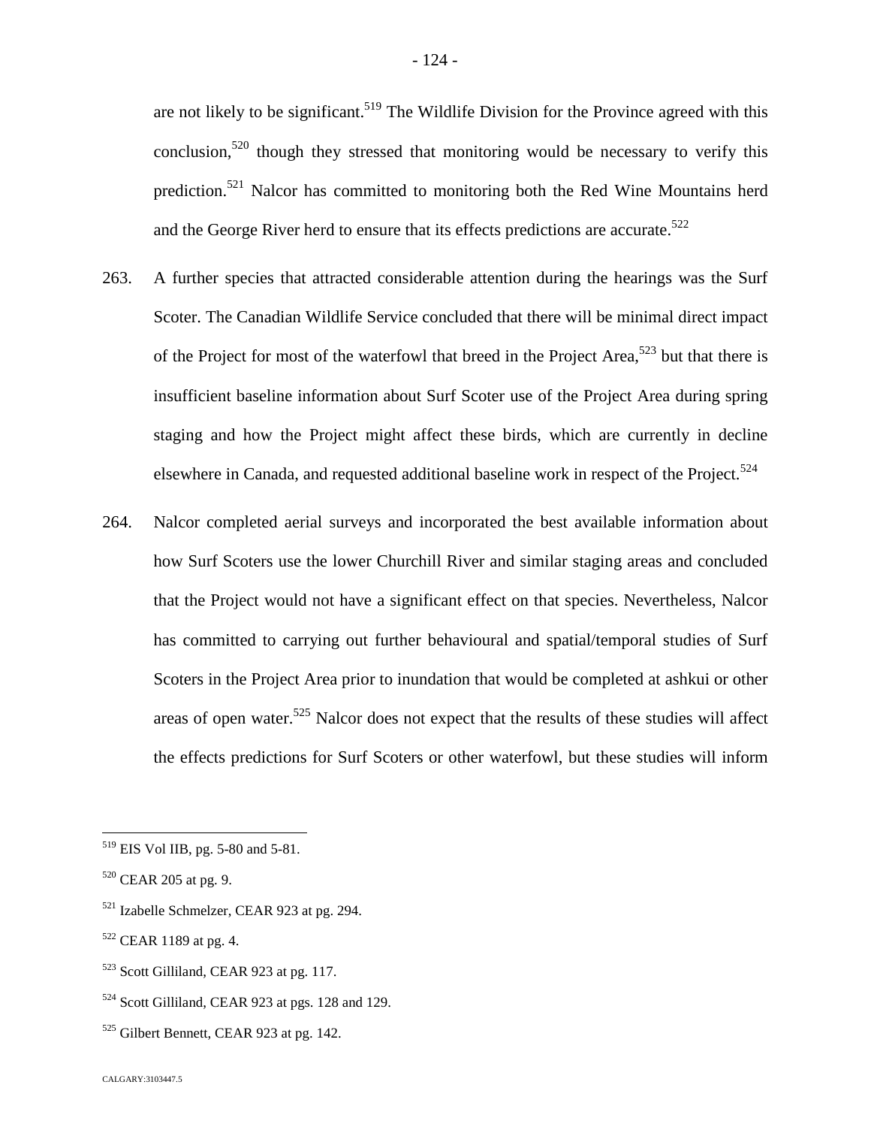are not likely to be significant.<sup>[519](#page-124-0)</sup> The Wildlife Division for the Province agreed with this conclusion,<sup>[520](#page-124-1)</sup> though they stressed that monitoring would be necessary to verify this prediction.[521](#page-124-2) Nalcor has committed to monitoring both the Red Wine Mountains herd and the George River herd to ensure that its effects predictions are accurate.<sup>522</sup>

- 263. A further species that attracted considerable attention during the hearings was the Surf Scoter. The Canadian Wildlife Service concluded that there will be minimal direct impact ofthe Project for most of the waterfowl that breed in the Project Area[,](#page-124-3)<sup>523</sup> but that there is insufficient baseline information about Surf Scoter use of the Project Area during spring staging and how the Project might affect these birds, which are currently in decline elsewhere in Canada, and requested additional baseline work in respect of the Project.<sup>5[24](#page-124-4)</sup>
- 264. Nalcor completed aerial surveys and incorporated the best available information about how Surf Scoters use the lower Churchill River and similar staging areas and concluded that the Project would not have a significant effect on that species. Nevertheless, Nalcor has committed to carrying out further behavioural and spatial/temporal studies of Surf Scoters in the Project Area prior to inundation that would be completed at ashkui or other areas of open water.<sup>[525](#page-124-5)</sup> Nalcor does not expect that the results of these studies will affect the effects predictions for Surf Scoters or other waterfowl, but these studies will inform

<span id="page-124-3"></span><sup>523</sup> Scott Gilliland, CEAR 923 at pg. 117.

<span id="page-124-0"></span><sup>519</sup> EIS Vol IIB, pg. 5-80 and 5-81.

<span id="page-124-1"></span> $520$  CEAR 205 at pg. 9.

<span id="page-124-2"></span><sup>521</sup> Izabelle Schmelzer, CEAR 923 at pg. 294.

 $522$  CEAR 1189 at pg. 4.

<span id="page-124-4"></span><sup>524</sup> Scott Gilliland, CEAR 923 at pgs. 128 and 129.

<span id="page-124-5"></span> $525$  Gilbert Bennett, CEAR 923 at pg. 142.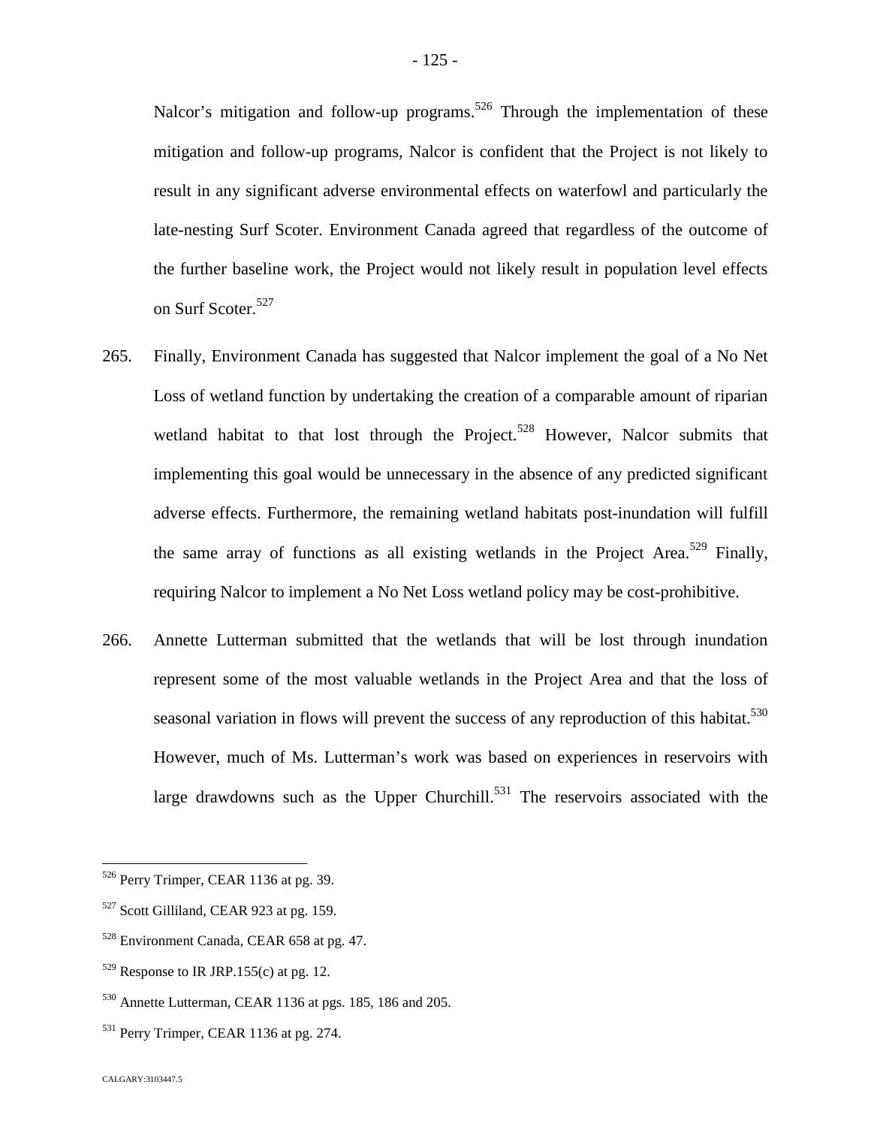Nalcor's mitigation and follow-up programs.<sup>[526](#page-125-0)</sup> Through the implementation of these mitigation and follow-up programs, Nalcor is confident that the Project is not likely to result in any significant adverse environmental effects on waterfowl and particularly the late-nesting Surf Scoter. Environment Canada agreed that regardless of the outcome of the further baseline work, the Project would not likely result in population level effects on Surf Scoter.<sup>[527](#page-125-1)</sup>

- 265. Finally, Environment Canada has suggested that Nalcor implement the goal of a No Net Loss of wetland function by undertaking the creation of a comparable amount of riparian wetland habitat to that lost through the Project.<sup>[528](#page-125-2)</sup> However, Nalcor submits that implementing this goal would be unnecessary in the absence of any predicted significant adverse effects. Furthermore, the remaining wetland habitats post-inundation will fulfill the same array of functions as all existing wetlands in the Project Area.<sup>[529](#page-125-3)</sup> Finally, requiring Nalcor to implement a No Net Loss wetland policy may be cost-prohibitive.
- 266. Annette Lutterman submitted that the wetlands that will be lost through inundation represent some of the most valuable wetlands in the Project Area and that the loss of seasonal variation in flows will prevent the success of any reproduction of this habitat.<sup>[530](#page-125-4)</sup> However, much of Ms. Lutterman's work was based on experiences in reservoirs with large drawdowns such as the Upper Churchill. $531$  The reservoirs associated with the

<span id="page-125-0"></span><sup>526</sup> Perry Trimper, CEAR 1136 at pg. 39.

<span id="page-125-1"></span><sup>&</sup>lt;sup>527</sup> Scott Gilliland, CEAR 923 at pg. 159.

<span id="page-125-2"></span><sup>528</sup> Environment Canada, CEAR 658 at pg. 47.

<span id="page-125-3"></span> $529$  Response to IR JRP.155(c) at pg. 12.

<span id="page-125-4"></span><sup>530</sup> Annette Lutterman, CEAR 1136 at pgs. 185, 186 and 205.

<span id="page-125-5"></span><sup>&</sup>lt;sup>531</sup> Perry Trimper, CEAR 1136 at pg. 274.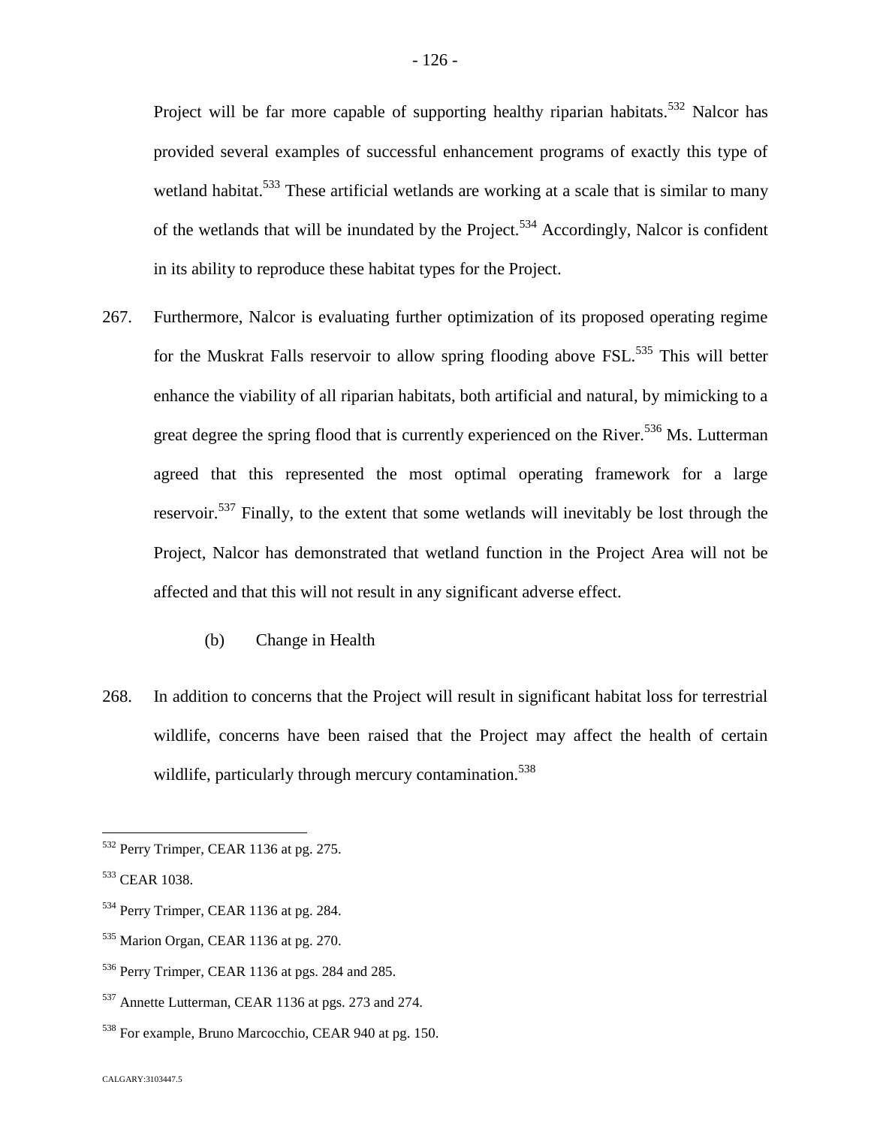Project will be far more capable of supporting healthy riparian habitats.<sup>[532](#page-126-0)</sup> Nalcor has provided several examples of successful enhancement programs of exactly this type of wetland habitat.<sup>[533](#page-126-1)</sup> These artificial wetlands are working at a scale that is similar to many of the wetlands that will be inundated by the Project.<sup>[534](#page-126-2)</sup> Accordingly, Nalcor is confident in its ability to reproduce these habitat types for the Project.

- 267. Furthermore, Nalcor is evaluating further optimization of its proposed operating regime for the Muskrat Falls reservoir to allow spring flooding above FSL.<sup>[535](#page-126-3)</sup> This will better enhance the viability of all riparian habitats, both artificial and natural, by mimicking to a great degree the spring flood that is currently experienced on the River.<sup>[536](#page-126-4)</sup> Ms. Lutterman agreed that this represented the most optimal operating framework for a large reservoir.<sup>[537](#page-126-5)</sup> Finally, to the extent that some wetlands will inevitably be lost through the Project, Nalcor has demonstrated that wetland function in the Project Area will not be affected and that this will not result in any significant adverse effect.
	- (b) Change in Health
- 268. In addition to concerns that the Project will result in significant habitat loss for terrestrial wildlife, concerns have been raised that the Project may affect the health of certain wildlife, particularly through mercury contamination.<sup>53[8](#page-126-6)</sup>

<span id="page-126-0"></span><sup>532</sup> Perry Trimper, CEAR 1136 at pg. 275.

<span id="page-126-1"></span><sup>533</sup> CEAR 1038.

<span id="page-126-2"></span><sup>534</sup> Perry Trimper, CEAR 1136 at pg. 284.

<span id="page-126-3"></span><sup>535</sup> Marion Organ, CEAR 1136 at pg. 270.

<span id="page-126-4"></span><sup>536</sup> Perry Trimper, CEAR 1136 at pgs. 284 and 285.

<span id="page-126-5"></span><sup>537</sup> Annette Lutterman, CEAR 1136 at pgs. 273 and 274.

<span id="page-126-6"></span><sup>538</sup> For example, Bruno Marcocchio, CEAR 940 at pg. 150.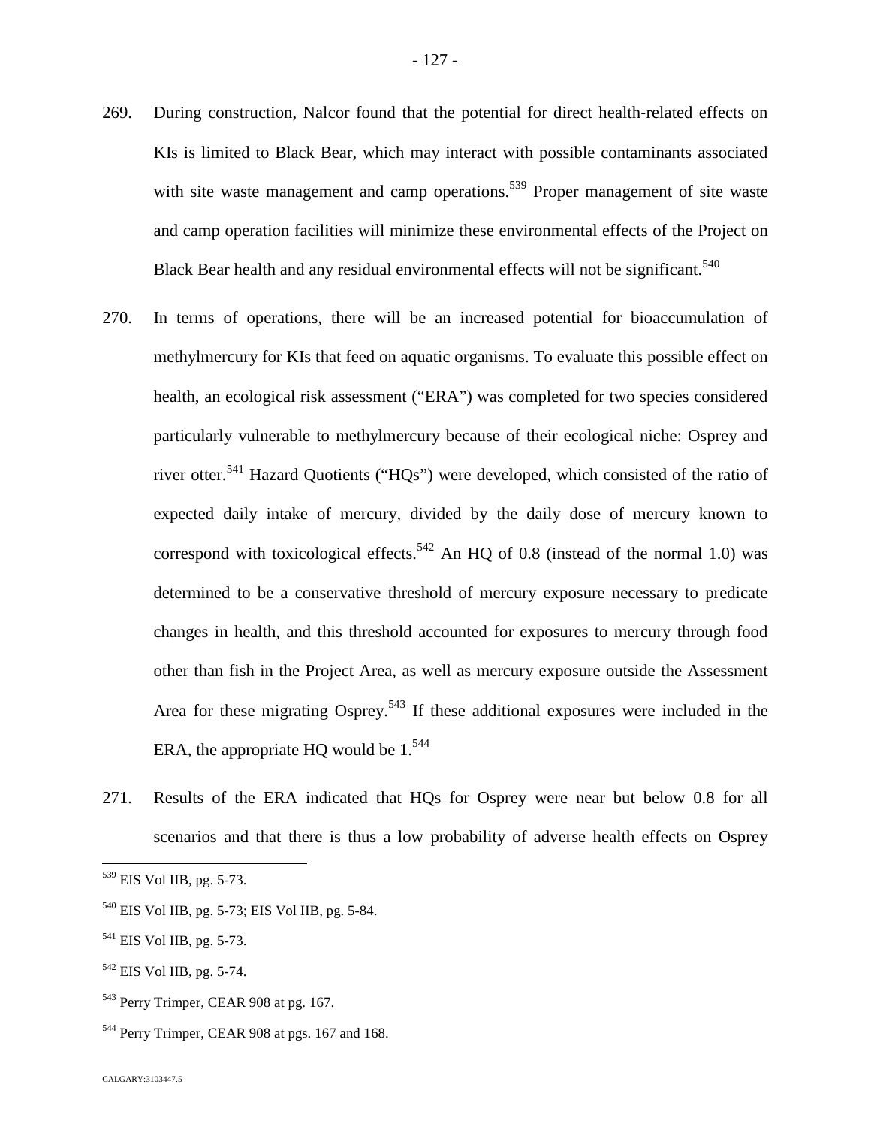- 269. During construction, Nalcor found that the potential for direct health-related effects on KIs is limited to Black Bear, which may interact with possible contaminants associated with site waste management and camp operations.<sup>[539](#page-127-0)</sup> Proper management of site waste and camp operation facilities will minimize these environmental effects of the Project on Black Bear health and any residual environmental effects will not be significant.<sup>540</sup>
- 270. In terms of operations, there will be an increased potential for bioaccumulation of methylmercury for KIs that feed on aquatic organisms. To evaluate this possible effect on health, an ecological risk assessment ("ERA") was completed for two species considered particularly vulnerable to methylmercury because of their ecological niche: Osprey and river otter.[541](#page-127-1) Hazard Quotients ("HQs") were developed, which consisted of the ratio of expected daily intake of mercury, divided by the daily dose of mercury known to correspond with toxicological effects.<sup>542</sup> [A](#page-127-2)n HQ of 0.8 (instead of the normal 1.0) was determined to be a conservative threshold of mercury exposure necessary to predicate changes in health, and this threshold accounted for exposures to mercury through food other than fish in the Project Area, as well as mercury exposure outside the Assessment Area for these migrating Osprey.<sup>[543](#page-127-3)</sup> If these additional exposures were included in the ERA,the appropriate HQ would be  $1^{544}$
- 271. Results of the ERA indicated that HQs for Osprey were near but below 0.8 for all scenarios and that there is thus a low probability of adverse health effects on Osprey

- <sup>540</sup> EIS Vol IIB, pg. 5-73; EIS Vol IIB, pg. 5-84.
- <span id="page-127-1"></span><sup>541</sup> EIS Vol IIB, pg. 5-73.
- <span id="page-127-2"></span><sup>542</sup> EIS Vol IIB, pg. 5-74.
- <span id="page-127-3"></span><sup>543</sup> Perry Trimper, CEAR 908 at pg. 167.
- <span id="page-127-4"></span><sup>544</sup> Perry Trimper, CEAR 908 at pgs. 167 and 168.

<span id="page-127-0"></span><sup>539</sup> EIS Vol IIB, pg. 5-73.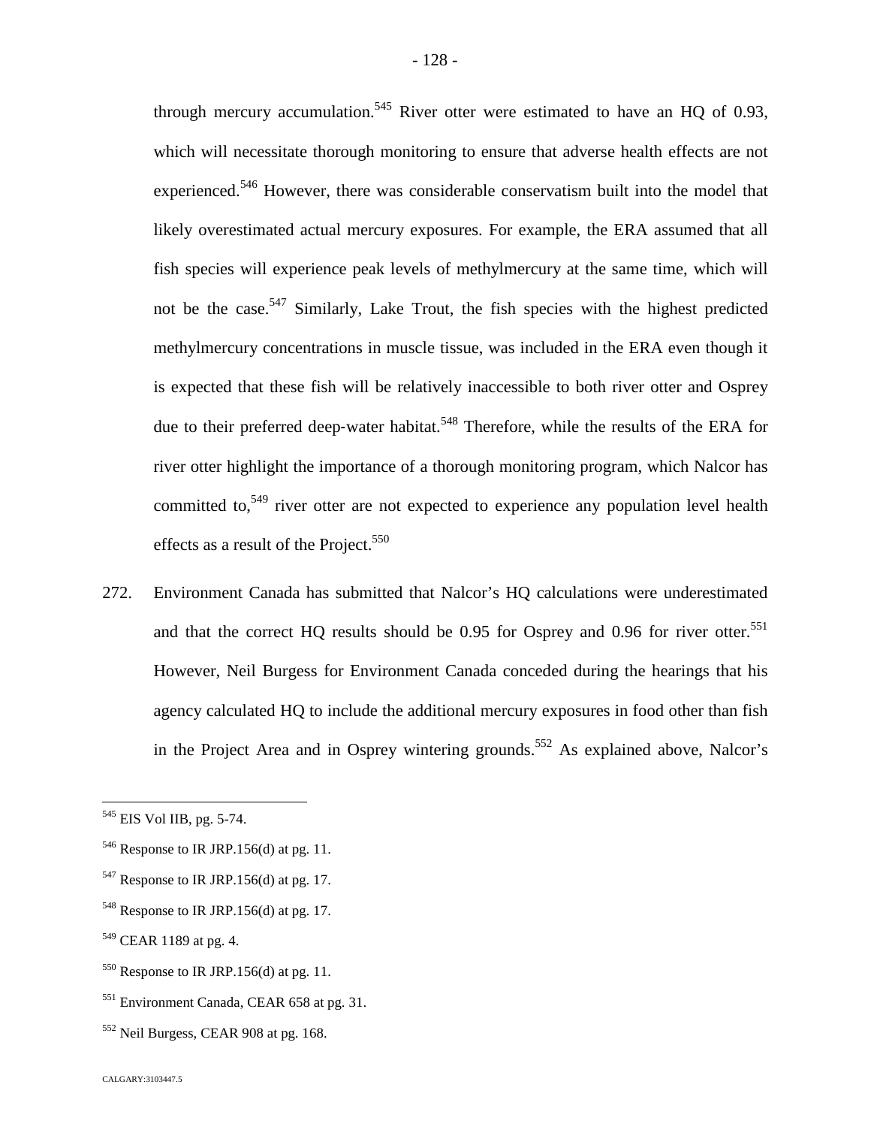through mercury accumulation.<sup>5[45](#page-128-0)</sup> River otter were estimated to have an HQ of 0.93, which will necessitate thorough monitoring to ensure that adverse health effects are not experienced.<sup>[546](#page-128-1)</sup> However, there was considerable conservatism built into the model that likely overestimated actual mercury exposures. For example, the ERA assumed that all fish species will experience peak levels of methylmercury at the same time, which will notbe the case[.](#page-128-2)<sup>547</sup> Similarly, Lake Trout, the fish species with the highest predicted methylmercury concentrations in muscle tissue, was included in the ERA even though it is expected that these fish will be relatively inaccessible to both river otter and Osprey due to their preferred deep-water habitat.<sup>[548](#page-128-3)</sup> Therefore, while the results of the ERA for river otter highlight the importance of a thorough monitoring program, which Nalcor has committed to,<sup>[549](#page-128-4)</sup> river otter are not expected to experience any population level health effects as a result of the Project.<sup>5[50](#page-128-5)</sup>

272. Environment Canada has submitted that Nalcor's HQ calculations were underestimated andthat the correct HQ results should be 0[.](#page-128-6)95 for Osprey and 0.96 for river otter.<sup>551</sup> However, Neil Burgess for Environment Canada conceded during the hearings that his agency calculated HQ to include the additional mercury exposures in food other than fish in the Project Area and in Osprey wintering grounds.<sup>[552](#page-128-7)</sup> As explained above, Nalcor's

<span id="page-128-0"></span><sup>545</sup> EIS Vol IIB, pg. 5-74.

<span id="page-128-1"></span> $546$  Response to IR JRP.156(d) at pg. 11.

<span id="page-128-2"></span> $547$  Response to IR JRP.156(d) at pg. 17.

<span id="page-128-3"></span> $548$  Response to IR JRP.156(d) at pg. 17.

<span id="page-128-4"></span><sup>&</sup>lt;sup>549</sup> CEAR 1189 at pg. 4.

<span id="page-128-5"></span> $550$  Response to IR JRP.156(d) at pg. 11.

<span id="page-128-6"></span><sup>551</sup> Environment Canada, CEAR 658 at pg. 31.

<span id="page-128-7"></span><sup>552</sup> Neil Burgess, CEAR 908 at pg. 168.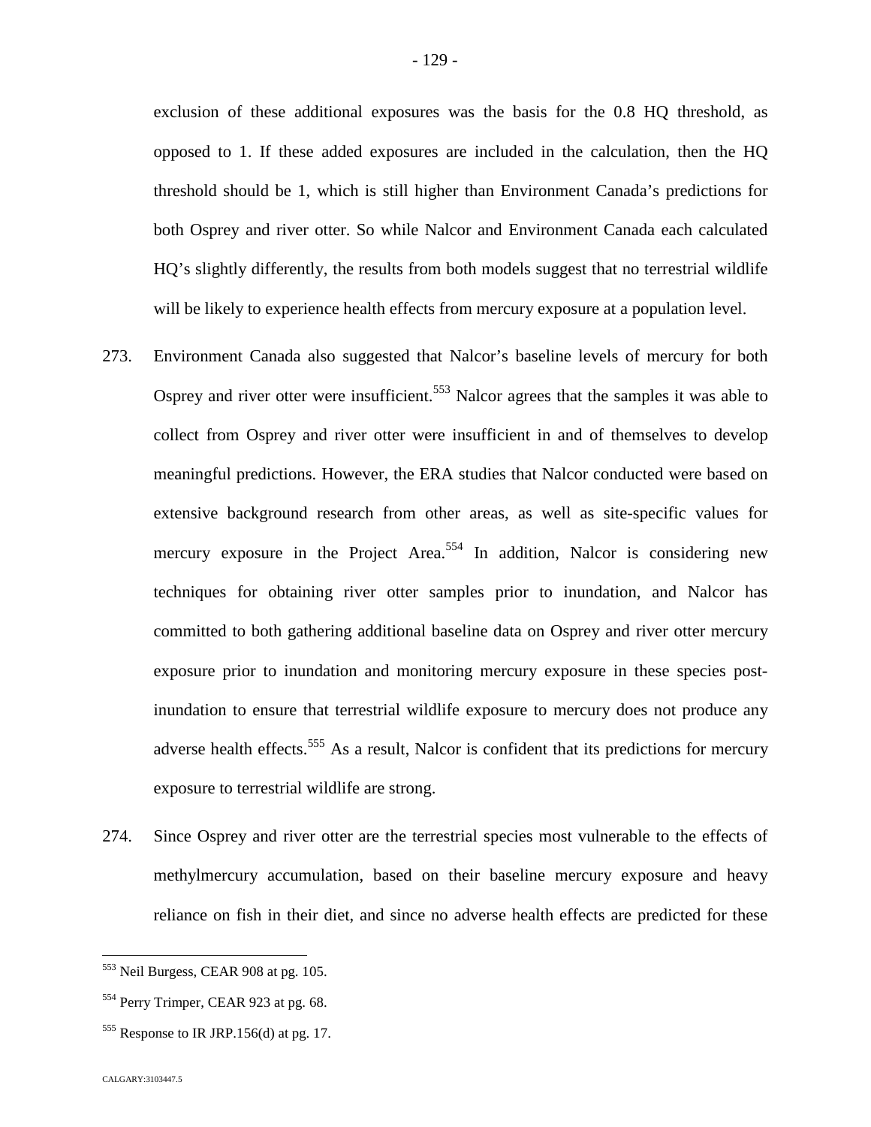exclusion of these additional exposures was the basis for the 0.8 HQ threshold, as opposed to 1. If these added exposures are included in the calculation, then the HQ threshold should be 1, which is still higher than Environment Canada's predictions for both Osprey and river otter. So while Nalcor and Environment Canada each calculated HQ's slightly differently, the results from both models suggest that no terrestrial wildlife will be likely to experience health effects from mercury exposure at a population level.

- 273. Environment Canada also suggested that Nalcor's baseline levels of mercury for both Osprey and river otter were insufficient.<sup>[553](#page-129-0)</sup> Nalcor agrees that the samples it was able to collect from Osprey and river otter were insufficient in and of themselves to develop meaningful predictions. However, the ERA studies that Nalcor conducted were based on extensive background research from other areas, as well as site-specific values for mercury exposure in the Project Area.<sup>[554](#page-129-1)</sup> In addition, Nalcor is considering new techniques for obtaining river otter samples prior to inundation, and Nalcor has committed to both gathering additional baseline data on Osprey and river otter mercury exposure prior to inundation and monitoring mercury exposure in these species postinundation to ensure that terrestrial wildlife exposure to mercury does not produce any adverse health effects.<sup>[555](#page-129-2)</sup> As a result, Nalcor is confident that its predictions for mercury exposure to terrestrial wildlife are strong.
- 274. Since Osprey and river otter are the terrestrial species most vulnerable to the effects of methylmercury accumulation, based on their baseline mercury exposure and heavy reliance on fish in their diet, and since no adverse health effects are predicted for these

<span id="page-129-0"></span><sup>553</sup> Neil Burgess, CEAR 908 at pg. 105.

<span id="page-129-1"></span><sup>554</sup> Perry Trimper, CEAR 923 at pg. 68.

<span id="page-129-2"></span> $555$  Response to IR JRP.156(d) at pg. 17.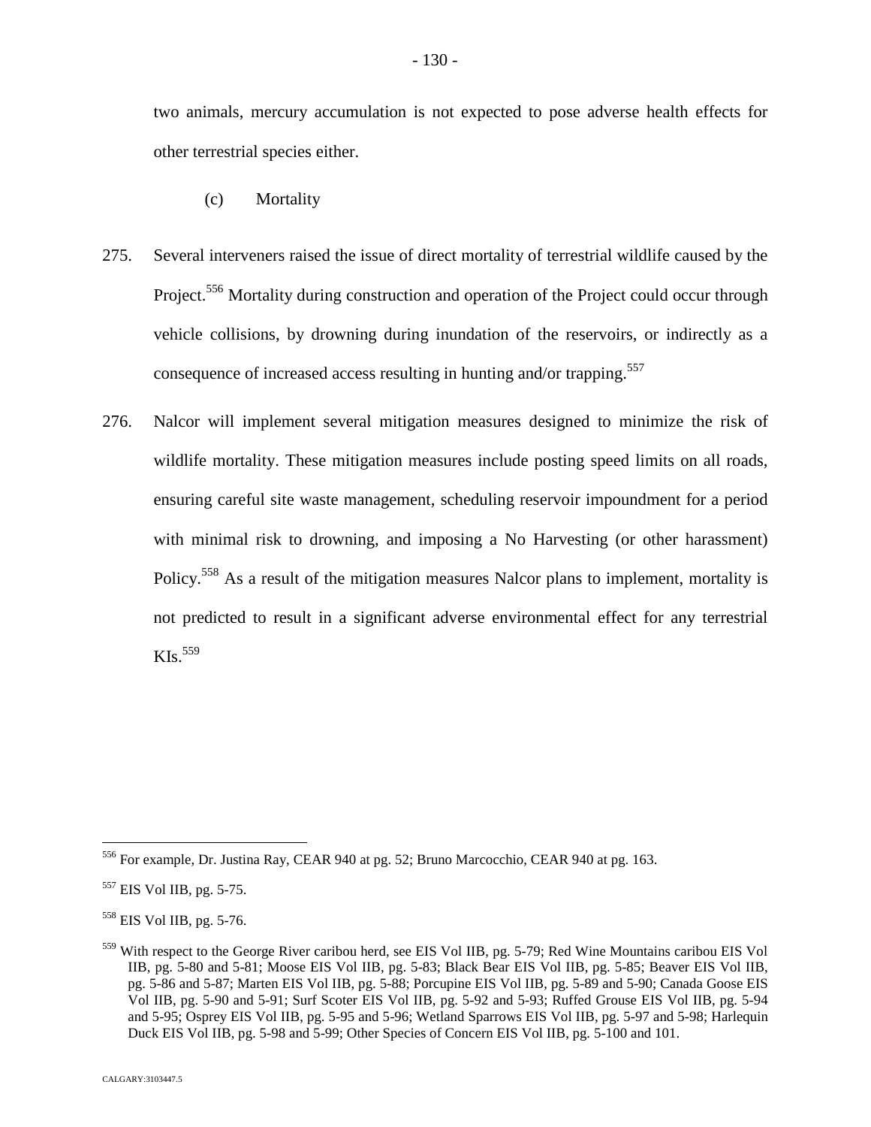two animals, mercury accumulation is not expected to pose adverse health effects for other terrestrial species either.

- (c) Mortality
- 275. Several interveners raised the issue of direct mortality of terrestrial wildlife caused by the Project.<sup>[556](#page-130-0)</sup> Mortality during construction and operation of the Project could occur through vehicle collisions, by drowning during inundation of the reservoirs, or indirectly as a consequence of increased access resulting in hunting and/or trapping.<sup>557</sup>
- 276. Nalcor will implement several mitigation measures designed to minimize the risk of wildlife mortality. These mitigation measures include posting speed limits on all roads, ensuring careful site waste management, scheduling reservoir impoundment for a period with minimal risk to drowning, and imposing a No Harvesting (or other harassment) Policy.[558](#page-130-1) As a result of the mitigation measures Nalcor plans to implement, mortality is not predicted to result in a significant adverse environmental effect for any terrestrial  $KIs.<sup>559</sup>$  $KIs.<sup>559</sup>$  $KIs.<sup>559</sup>$

<span id="page-130-0"></span><sup>556</sup> For example, Dr. Justina Ray, CEAR 940 at pg. 52; Bruno Marcocchio, CEAR 940 at pg. 163.

<sup>557</sup> EIS Vol IIB, pg. 5-75.

<span id="page-130-1"></span><sup>558</sup> EIS Vol IIB, pg. 5-76.

<span id="page-130-2"></span><sup>559</sup> With respect to the George River caribou herd, see EIS Vol IIB, pg. 5-79; Red Wine Mountains caribou EIS Vol IIB, pg. 5-80 and 5-81; Moose EIS Vol IIB, pg. 5-83; Black Bear EIS Vol IIB, pg. 5-85; Beaver EIS Vol IIB, pg. 5-86 and 5-87; Marten EIS Vol IIB, pg. 5-88; Porcupine EIS Vol IIB, pg. 5-89 and 5-90; Canada Goose EIS Vol IIB, pg. 5-90 and 5-91; Surf Scoter EIS Vol IIB, pg. 5-92 and 5-93; Ruffed Grouse EIS Vol IIB, pg. 5-94 and 5-95; Osprey EIS Vol IIB, pg. 5-95 and 5-96; Wetland Sparrows EIS Vol IIB, pg. 5-97 and 5-98; Harlequin Duck EIS Vol IIB, pg. 5-98 and 5-99; Other Species of Concern EIS Vol IIB, pg. 5-100 and 101.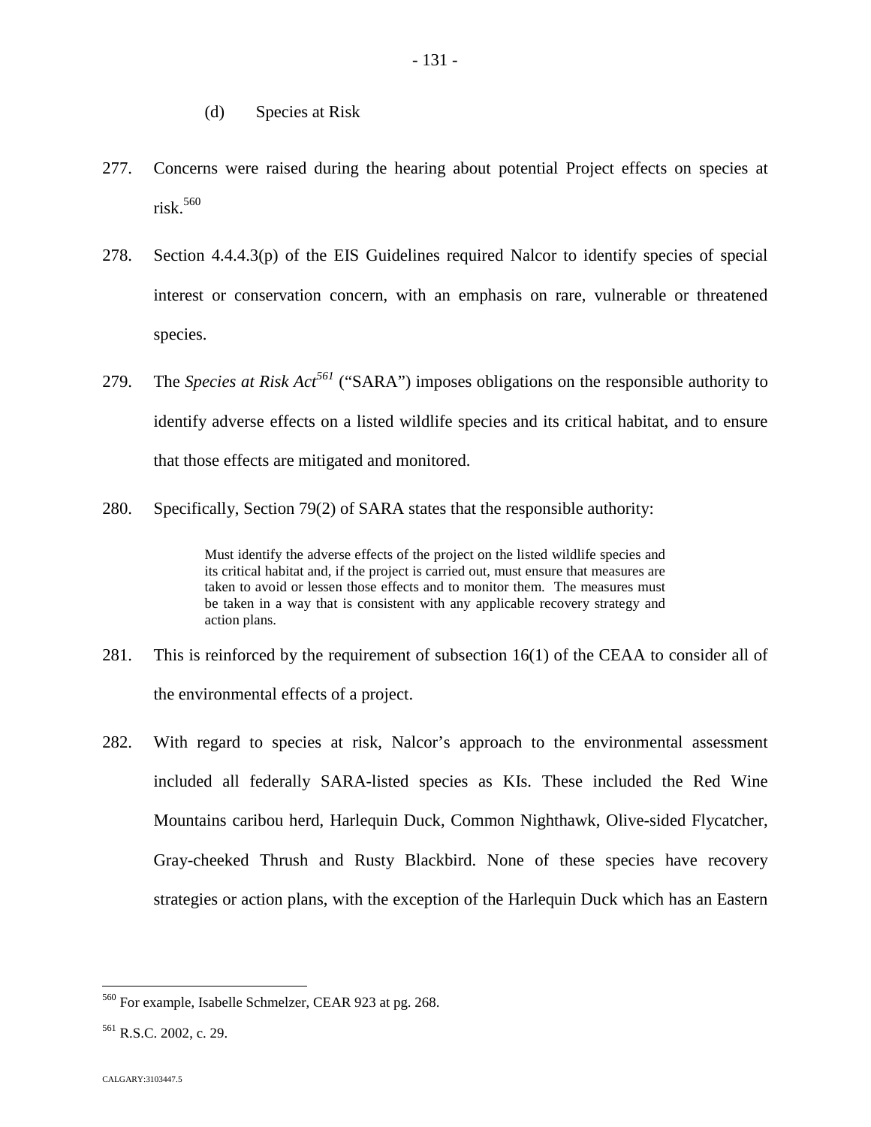- (d) Species at Risk
- 277. Concerns were raised during the hearing about potential Project effects on species at  $risk.<sup>560</sup>$  $risk.<sup>560</sup>$  $risk.<sup>560</sup>$
- 278. Section 4.4.4.3(p) of the EIS Guidelines required Nalcor to identify species of special interest or conservation concern, with an emphasis on rare, vulnerable or threatened species.
- 279. The *Species at RiskAc[t](#page-131-1)<sup>561</sup>* ("SARA") imposes obligations on the responsible authority to identify adverse effects on a listed wildlife species and its critical habitat, and to ensure that those effects are mitigated and monitored.
- 280. Specifically, Section 79(2) of SARA states that the responsible authority:

Must identify the adverse effects of the project on the listed wildlife species and its critical habitat and, if the project is carried out, must ensure that measures are taken to avoid or lessen those effects and to monitor them. The measures must be taken in a way that is consistent with any applicable recovery strategy and action plans.

- 281. This is reinforced by the requirement of subsection 16(1) of the CEAA to consider all of the environmental effects of a project.
- 282. With regard to species at risk, Nalcor's approach to the environmental assessment included all federally SARA-listed species as KIs. These included the Red Wine Mountains caribou herd, Harlequin Duck, Common Nighthawk, Olive-sided Flycatcher, Gray-cheeked Thrush and Rusty Blackbird. None of these species have recovery strategies or action plans, with the exception of the Harlequin Duck which has an Eastern

<span id="page-131-0"></span><sup>560</sup> For example, Isabelle Schmelzer, CEAR 923 at pg. 268.

<span id="page-131-1"></span><sup>561</sup> R.S.C. 2002, c. 29.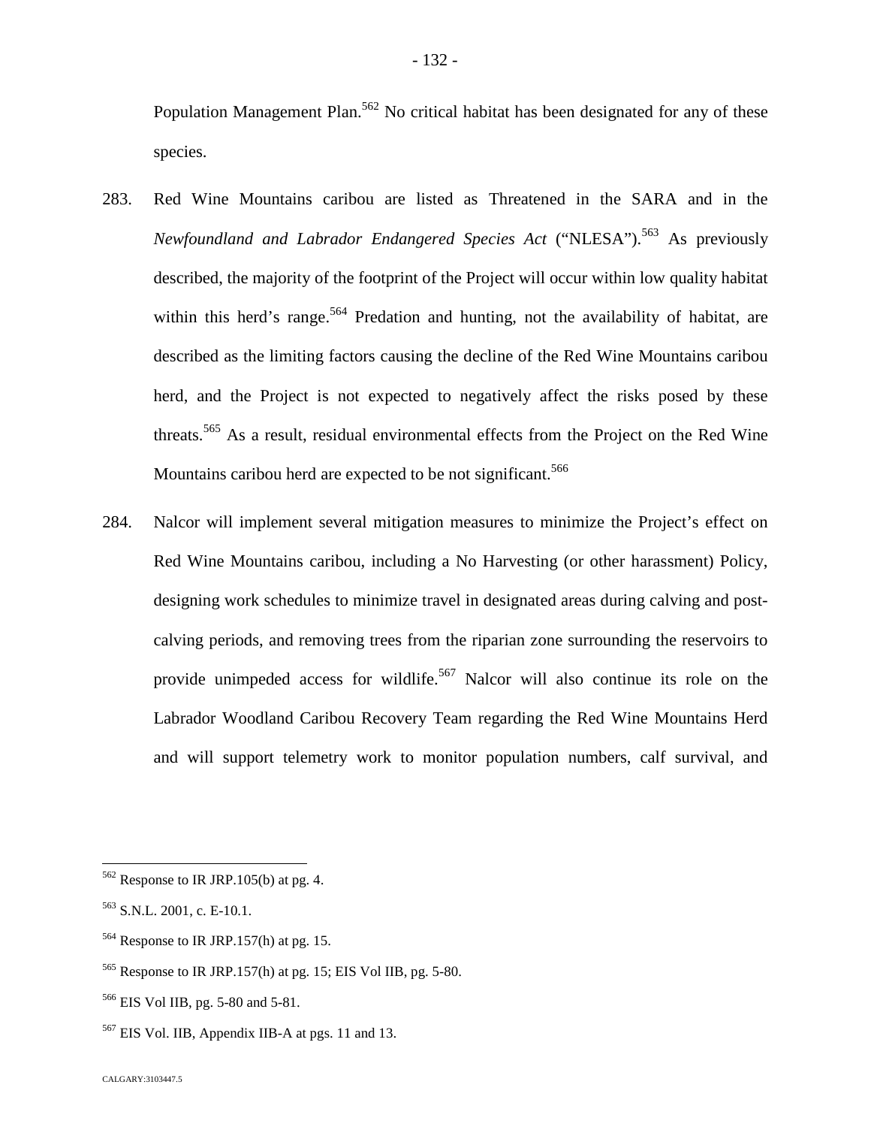Population Management Plan.<sup>[562](#page-132-0)</sup> No critical habitat has been designated for any of these species.

- 283. Red Wine Mountains caribou are listed as Threatened in the SARA and in the *Newfoundland and Labrador Endangered Species Act* ("NLESA").<sup>[563](#page-132-1)</sup> As previously described, the majority of the footprint of the Project will occur within low quality habitat within this herd's range.<sup>[564](#page-132-2)</sup> Predation and hunting, not the availability of habitat, are described as the limiting factors causing the decline of the Red Wine Mountains caribou herd, and the Project is not expected to negatively affect the risks posed by these threats.<sup>[565](#page-132-3)</sup> As a result, residual environmental effects from the Project on the Red Wine Mountains caribou herd are expected to be not significant.<sup>566</sup>
- 284. Nalcor will implement several mitigation measures to minimize the Project's effect on Red Wine Mountains caribou, including a No Harvesting (or other harassment) Policy, designing work schedules to minimize travel in designated areas during calving and postcalving periods, and removing trees from the riparian zone surrounding the reservoirs to provide unimpeded access for wildlife.<sup>[567](#page-132-4)</sup> Nalcor will also continue its role on the Labrador Woodland Caribou Recovery Team regarding the Red Wine Mountains Herd and will support telemetry work to monitor population numbers, calf survival, and

<span id="page-132-0"></span> $562$  Response to IR JRP.105(b) at pg. 4.

<span id="page-132-1"></span><sup>563</sup> S.N.L. 2001, c. E-10.1.

<span id="page-132-2"></span><sup>564</sup> Response to IR JRP.157(h) at pg. 15.

<span id="page-132-3"></span><sup>565</sup> Response to IR JRP.157(h) at pg. 15; EIS Vol IIB, pg. 5-80.

<sup>566</sup> EIS Vol IIB, pg. 5-80 and 5-81.

<span id="page-132-4"></span><sup>567</sup> EIS Vol. IIB, Appendix IIB-A at pgs. 11 and 13.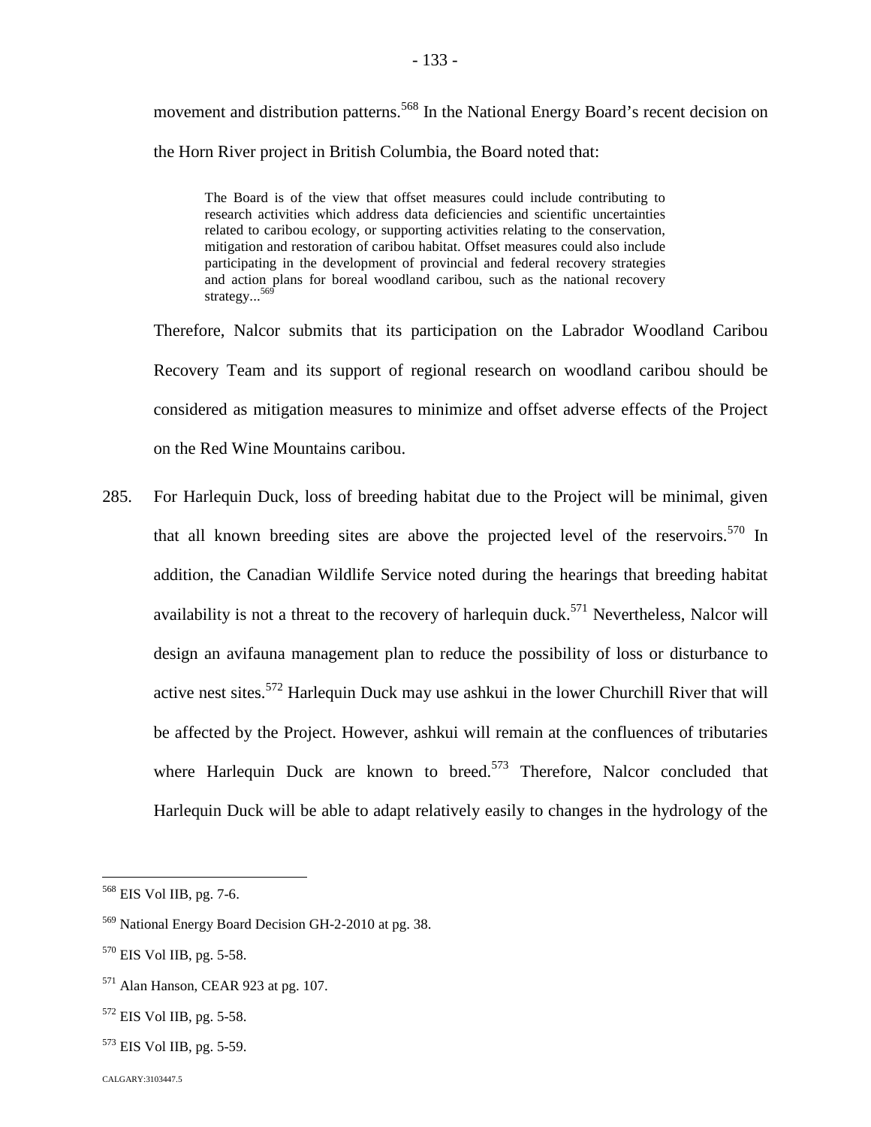movement and distribution patterns.<sup>[568](#page-133-0)</sup> In the National Energy Board's recent decision on the Horn River project in British Columbia, the Board noted that:

The Board is of the view that offset measures could include contributing to research activities which address data deficiencies and scientific uncertainties related to caribou ecology, or supporting activities relating to the conservation, mitigation and restoration of caribou habitat. Offset measures could also include participating in the development of provincial and federal recovery strategies and action plans for boreal woodland caribou, such as the national recovery strategy...<sup>[569](#page-133-1)</sup>

Therefore, Nalcor submits that its participation on the Labrador Woodland Caribou Recovery Team and its support of regional research on woodland caribou should be considered as mitigation measures to minimize and offset adverse effects of the Project on the Red Wine Mountains caribou.

285. For Harlequin Duck, loss of breeding habitat due to the Project will be minimal, given that all known breeding sites are above the projected level of the reservoirs.<sup>[570](#page-133-2)</sup> In addition, the Canadian Wildlife Service noted during the hearings that breeding habitat availabilityis not a threat to the recovery of harlequin duc[k.](#page-133-3)<sup>571</sup> Nevertheless, Nalcor will design an avifauna management plan to reduce the possibility of loss or disturbance to active nest sites.[572](#page-133-4) Harlequin Duck may use ashkui in the lower Churchill River that will be affected by the Project. However, ashkui will remain at the confluences of tributaries where Harlequin Duck are known to breed.<sup>[573](#page-133-5)</sup> Therefore, Nalcor concluded that Harlequin Duck will be able to adapt relatively easily to changes in the hydrology of the

- <span id="page-133-4"></span> $572$  EIS Vol IIB, pg. 5-58.
- <span id="page-133-5"></span><sup>573</sup> EIS Vol IIB, pg. 5-59.

<span id="page-133-0"></span><sup>568</sup> EIS Vol IIB, pg. 7-6.

<span id="page-133-1"></span><sup>569</sup> National Energy Board Decision GH-2-2010 at pg. 38.

<span id="page-133-2"></span><sup>570</sup> EIS Vol IIB, pg. 5-58.

<span id="page-133-3"></span><sup>571</sup> Alan Hanson, CEAR 923 at pg. 107.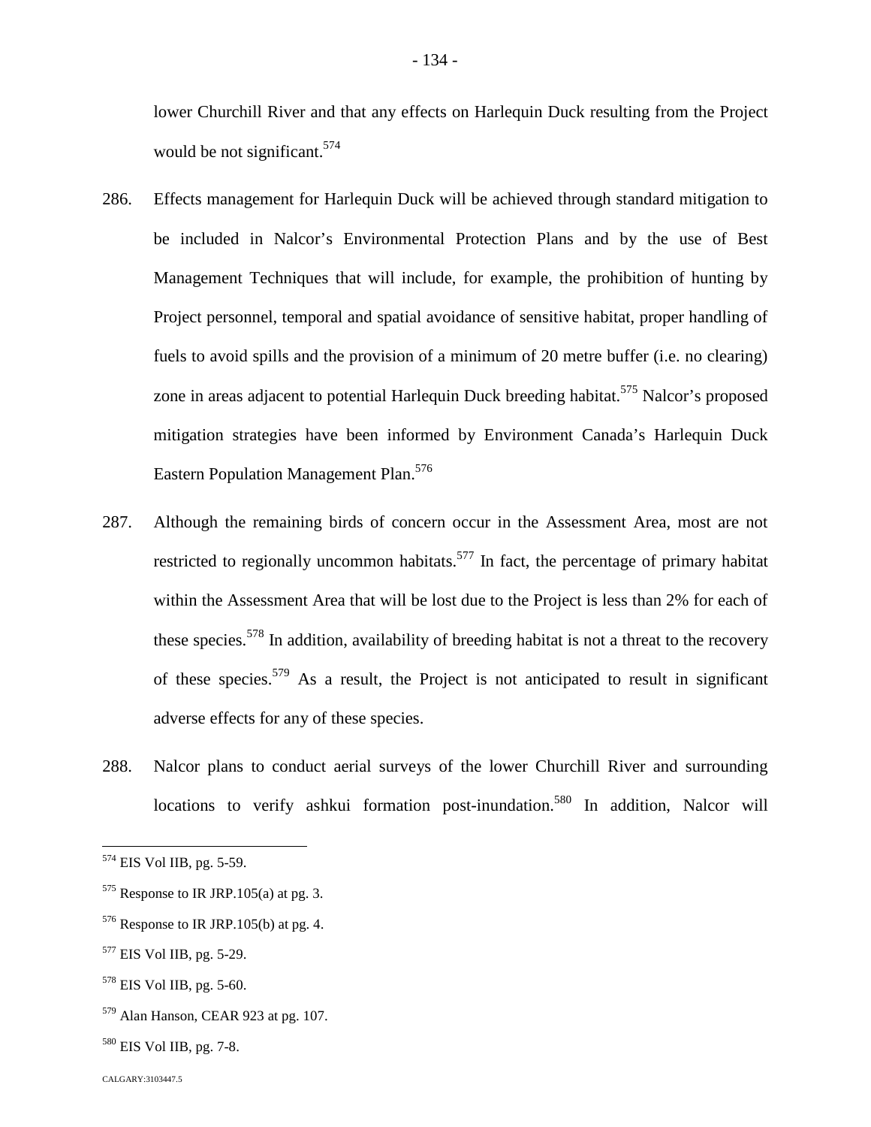lower Churchill River and that any effects on Harlequin Duck resulting from the Project would be not significant.  $574$  $574$ 

- 286. Effects management for Harlequin Duck will be achieved through standard mitigation to be included in Nalcor's Environmental Protection Plans and by the use of Best Management Techniques that will include, for example, the prohibition of hunting by Project personnel, temporal and spatial avoidance of sensitive habitat, proper handling of fuels to avoid spills and the provision of a minimum of 20 metre buffer (i.e. no clearing) zone in areas adjacent to potential Harlequin Duck breeding habitat.<sup>[575](#page-134-1)</sup> Nalcor's proposed mitigation strategies have been informed by Environment Canada's Harlequin Duck Eastern Population Management Plan.<sup>5[76](#page-134-2)</sup>
- 287. Although the remaining birds of concern occur in the Assessment Area, most are not restricted to regionally uncommon habitats.<sup>[577](#page-134-3)</sup> In fact, the percentage of primary habitat within the Assessment Area that will be lost due to the Project is less than 2% for each of these species.<sup>[578](#page-134-4)</sup> In addition, availability of breeding habitat is not a threat to the recovery of these species.[579](#page-134-5) As a result, the Project is not anticipated to result in significant adverse effects for any of these species.
- 288. Nalcor plans to conduct aerial surveys of the lower Churchill River and surrounding locations to verify ashkui formation post-inundation.<sup>5[80](#page-134-6)</sup> In addition, Nalcor will

<span id="page-134-0"></span><sup>574</sup> EIS Vol IIB, pg. 5-59.

<span id="page-134-1"></span> $575$  Response to IR JRP.105(a) at pg. 3.

<span id="page-134-2"></span> $576$  Response to IR JRP.105(b) at pg. 4.

<span id="page-134-3"></span><sup>577</sup> EIS Vol IIB, pg. 5-29.

<span id="page-134-4"></span><sup>578</sup> EIS Vol IIB, pg. 5-60.

<span id="page-134-5"></span><sup>579</sup> Alan Hanson, CEAR 923 at pg. 107.

<span id="page-134-6"></span><sup>580</sup> EIS Vol IIB, pg. 7-8.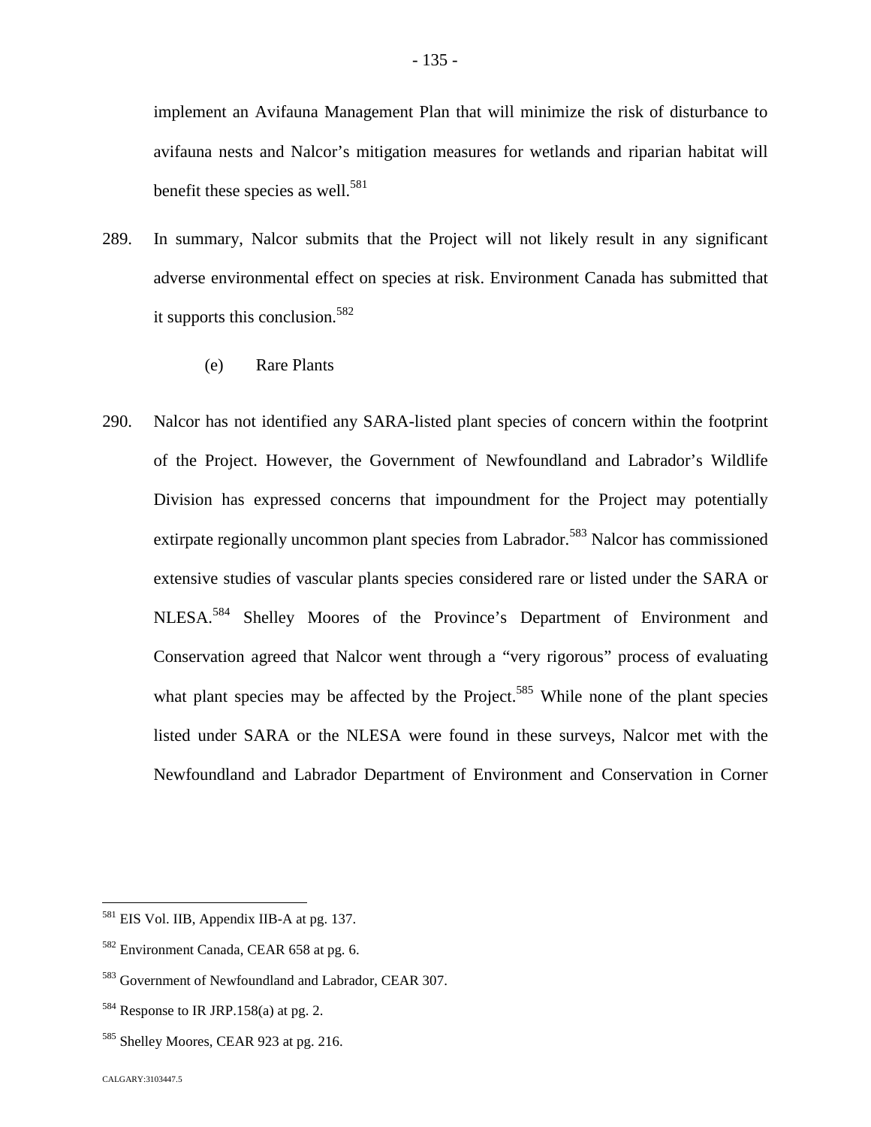implement an Avifauna Management Plan that will minimize the risk of disturbance to avifauna nests and Nalcor's mitigation measures for wetlands and riparian habitat will benefit these species as well.<sup>5[81](#page-135-0)</sup>

- 289. In summary, Nalcor submits that the Project will not likely result in any significant adverse environmental effect on species at risk. Environment Canada has submitted that it supports this conclusion.<sup>5[82](#page-135-1)</sup>
	- (e) Rare Plants
- 290. Nalcor has not identified any SARA-listed plant species of concern within the footprint of the Project. However, the Government of Newfoundland and Labrador's Wildlife Division has expressed concerns that impoundment for the Project may potentially extirpate regionally uncommon plant species from Labrador.<sup>[583](#page-135-2)</sup> Nalcor has commissioned extensive studies of vascular plants species considered rare or listed under the SARA or NLESA.[584](#page-135-3) Shelley Moores of the Province's Department of Environment and Conservation agreed that Nalcor went through a "very rigorous" process of evaluating what plant species may be affected by the Project.<sup>[585](#page-135-4)</sup> While none of the plant species listed under SARA or the NLESA were found in these surveys, Nalcor met with the Newfoundland and Labrador Department of Environment and Conservation in Corner

<span id="page-135-0"></span><sup>&</sup>lt;sup>581</sup> EIS Vol. IIB, Appendix IIB-A at pg. 137.

<span id="page-135-1"></span><sup>582</sup> Environment Canada, CEAR 658 at pg. 6.

<span id="page-135-2"></span><sup>583</sup> Government of Newfoundland and Labrador, CEAR 307.

<span id="page-135-3"></span> $584$  Response to IR JRP.158(a) at pg. 2.

<span id="page-135-4"></span><sup>&</sup>lt;sup>585</sup> Shelley Moores, CEAR 923 at pg. 216.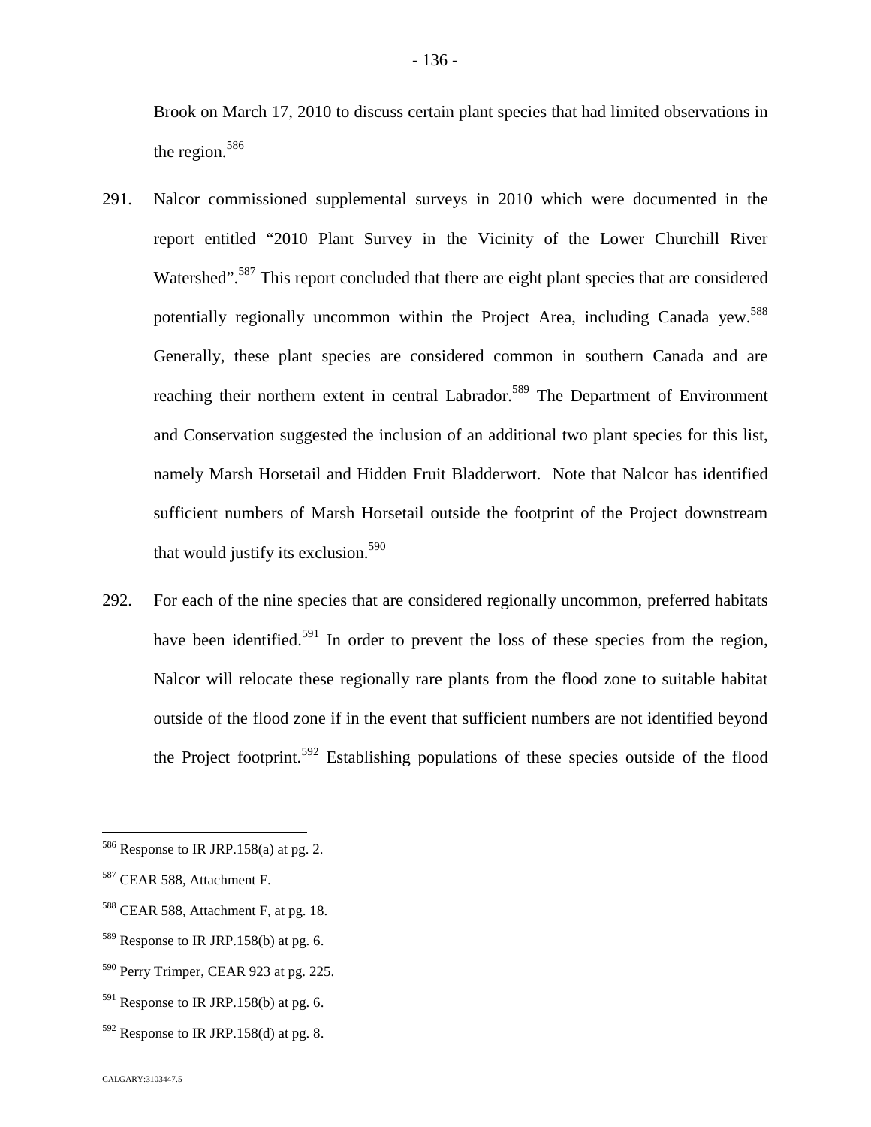Brook on March 17, 2010 to discuss certain plant species that had limited observations in the region. $586$ 

- 291. Nalcor commissioned supplemental surveys in 2010 which were documented in the report entitled "2010 Plant Survey in the Vicinity of the Lower Churchill River Watershed".<sup>[587](#page-136-1)</sup> This report concluded that there are eight plant species that are considered potentiallyregionally uncommon within the Project Area, including Canada yew[.](#page-136-2)<sup>588</sup> Generally, these plant species are considered common in southern Canada and are reaching their northern extent in central Labrador.<sup>[589](#page-136-3)</sup> The Department of Environment and Conservation suggested the inclusion of an additional two plant species for this list, namely Marsh Horsetail and Hidden Fruit Bladderwort. Note that Nalcor has identified sufficient numbers of Marsh Horsetail outside the footprint of the Project downstream that would justify its exclusion.<sup>5[90](#page-136-4)</sup>
- 292. For each of the nine species that are considered regionally uncommon, preferred habitats have been identified.<sup>[591](#page-136-5)</sup> In order to prevent the loss of these species from the region, Nalcor will relocate these regionally rare plants from the flood zone to suitable habitat outside of the flood zone if in the event that sufficient numbers are not identified beyond the Project footprint.<sup>[592](#page-136-6)</sup> Establishing populations of these species outside of the flood

<span id="page-136-0"></span> $586$  Response to IR JRP.158(a) at pg. 2.

<span id="page-136-1"></span><sup>587</sup> CEAR 588, Attachment F.

<span id="page-136-2"></span><sup>&</sup>lt;sup>588</sup> CEAR 588, Attachment F, at pg. 18.

<span id="page-136-3"></span> $589$  Response to IR JRP.158(b) at pg. 6.

<span id="page-136-4"></span><sup>590</sup> Perry Trimper, CEAR 923 at pg. 225.

<span id="page-136-5"></span> $591$  Response to IR JRP.158(b) at pg. 6.

<span id="page-136-6"></span> $592$  Response to IR JRP.158(d) at pg. 8.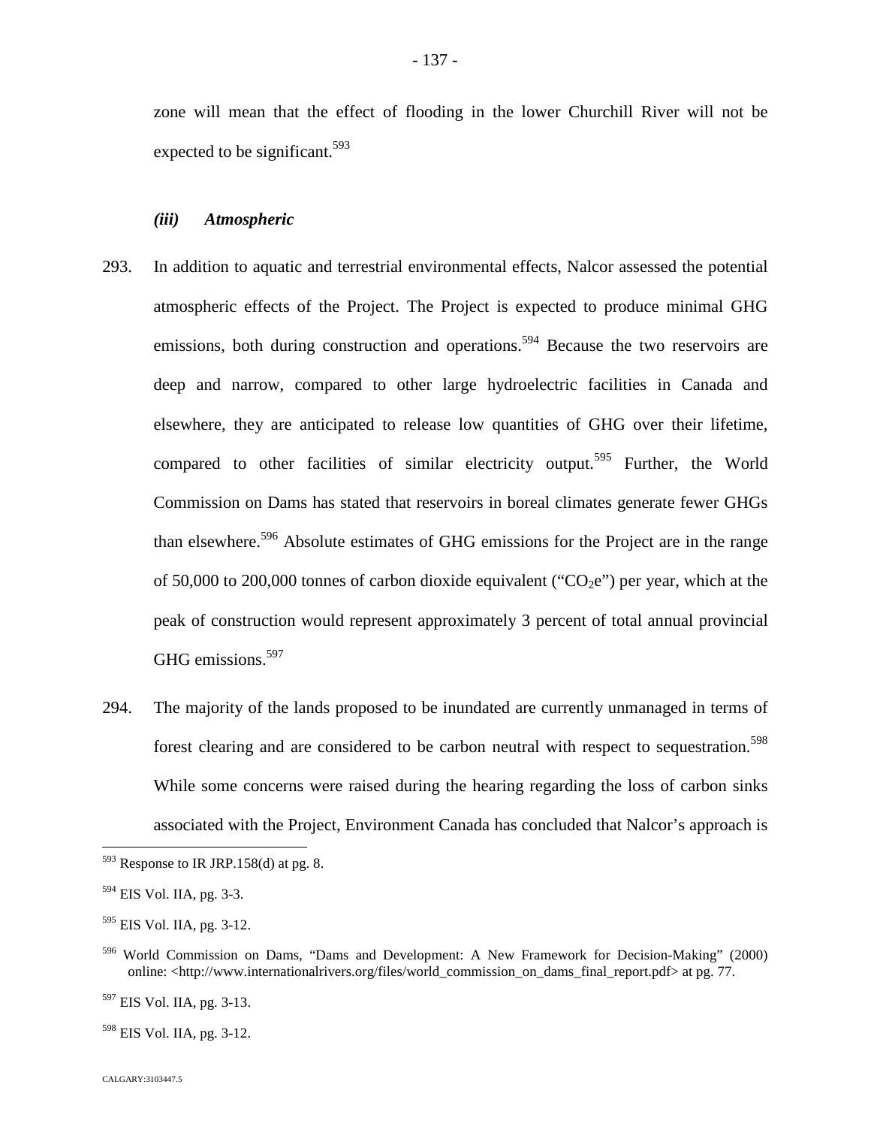zone will mean that the effect of flooding in the lower Churchill River will not be expected to be significant.<sup>5[93](#page-137-0)</sup>

#### *(iii) Atmospheric*

- 293. In addition to aquatic and terrestrial environmental effects, Nalcor assessed the potential atmospheric effects of the Project. The Project is expected to produce minimal GHG emissions, both during construction and operations.<sup>[594](#page-137-1)</sup> Because the two reservoirs are deep and narrow, compared to other large hydroelectric facilities in Canada and elsewhere, they are anticipated to release low quantities of GHG over their lifetime, compared to other facilities of similar electricity output.<sup>[595](#page-137-2)</sup> Further, the World Commission on Dams has stated that reservoirs in boreal climates generate fewer GHGs than elsewhere.<sup>[596](#page-137-3)</sup> Absolute estimates of GHG emissions for the Project are in the range of 50,000 to 200,000 tonnes of carbon dioxide equivalent (" $CO<sub>2</sub>e$ ") per year, which at the peak of construction would represent approximately 3 percent of total annual provincial GHG emissions.<sup>[597](#page-137-4)</sup>
- 294. The majority of the lands proposed to be inundated are currently unmanaged in terms of forest clearing and are considered to be carbon neutral with respect to sequestration.<sup>[598](#page-137-5)</sup> While some concerns were raised during the hearing regarding the loss of carbon sinks associated with the Project, Environment Canada has concluded that Nalcor's approach is

<span id="page-137-0"></span> $593$  Response to IR JRP.158(d) at pg. 8.

<span id="page-137-1"></span><sup>594</sup> EIS Vol. IIA, pg. 3-3.

<span id="page-137-2"></span><sup>595</sup> EIS Vol. IIA, pg. 3-12.

<span id="page-137-3"></span><sup>596</sup> World Commission on Dams, "Dams and Development: A New Framework for Decision-Making" (2000) online: <http://www.internationalrivers.org/files/world\_commission\_on\_dams\_final\_report.pdf> at pg. 77.

<span id="page-137-4"></span><sup>597</sup> EIS Vol. IIA, pg. 3-13.

<span id="page-137-5"></span><sup>598</sup> EIS Vol. IIA, pg. 3-12.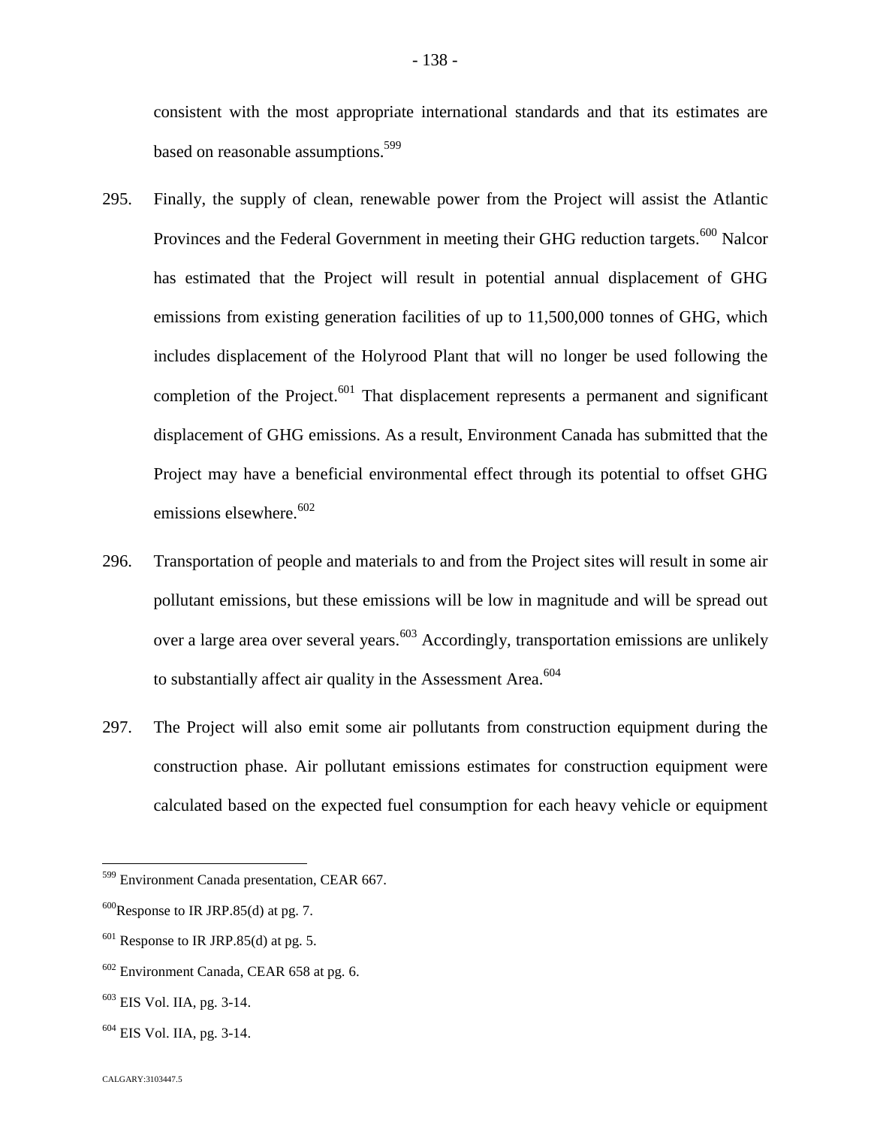consistent with the most appropriate international standards and that its estimates are based on reasonable assumptions.<sup>5[99](#page-138-0)</sup>

- 295. Finally, the supply of clean, renewable power from the Project will assist the Atlantic Provinces and the Federal Government in meeting their GHG reduction targets.<sup>[600](#page-138-1)</sup> Nalcor has estimated that the Project will result in potential annual displacement of GHG emissions from existing generation facilities of up to 11,500,000 tonnes of GHG, which includes displacement of the Holyrood Plant that will no longer be used following the completion of the Project. $601$  That displacement represents a permanent and significant displacement of GHG emissions. As a result, Environment Canada has submitted that the Project may have a beneficial environmental effect through its potential to offset GHG emissions elsewhere. $602$
- 296. Transportation of people and materials to and from the Project sites will result in some air pollutant emissions, but these emissions will be low in magnitude and will be spread out over a large area over several years.<sup>[603](#page-138-4)</sup> Accordingly, transportation emissions are unlikely to substantially affect air quality in the Assessment Area. $604$  $604$
- 297. The Project will also emit some air pollutants from construction equipment during the construction phase. Air pollutant emissions estimates for construction equipment were calculated based on the expected fuel consumption for each heavy vehicle or equipment

<span id="page-138-0"></span><sup>599</sup> Environment Canada presentation, CEAR 667.

<span id="page-138-1"></span> $600$ Response to IR JRP.85(d) at pg. 7.

<span id="page-138-2"></span> $601$  Response to IR JRP.85(d) at pg. 5.

<span id="page-138-3"></span> $602$  Environment Canada, CEAR 658 at pg. 6.

<span id="page-138-4"></span><sup>603</sup> EIS Vol. IIA, pg. 3-14.

<span id="page-138-5"></span> $604$  EIS Vol. IIA, pg. 3-14.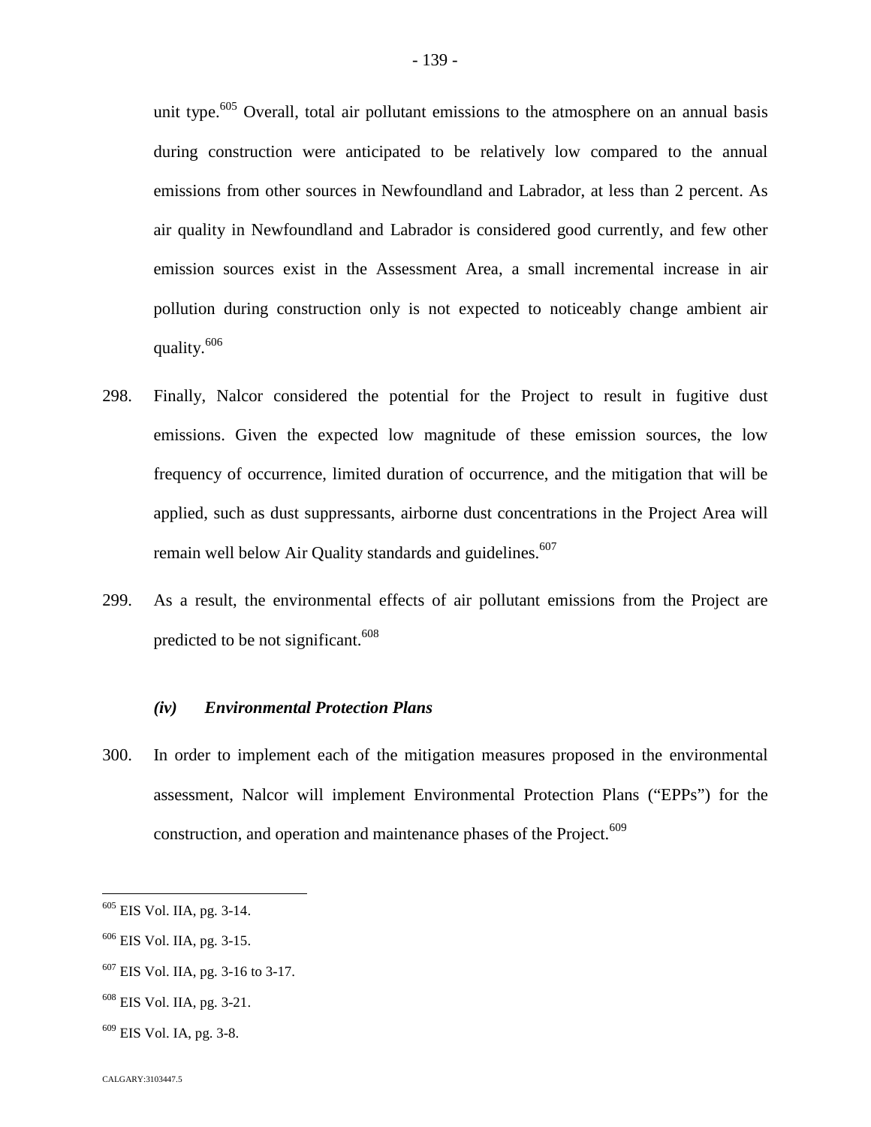unit type.<sup>[605](#page-139-0)</sup> Overall, total air pollutant emissions to the atmosphere on an annual basis during construction were anticipated to be relatively low compared to the annual emissions from other sources in Newfoundland and Labrador, at less than 2 percent. As air quality in Newfoundland and Labrador is considered good currently, and few other emission sources exist in the Assessment Area, a small incremental increase in air pollution during construction only is not expected to noticeably change ambient air quality.[606](#page-139-1)

- 298. Finally, Nalcor considered the potential for the Project to result in fugitive dust emissions. Given the expected low magnitude of these emission sources, the low frequency of occurrence, limited duration of occurrence, and the mitigation that will be applied, such as dust suppressants, airborne dust concentrations in the Project Area will remain well below Air Quality standards and guidelines.<sup>60[7](#page-139-2)</sup>
- 299. As a result, the environmental effects of air pollutant emissions from the Project are predicted to be not significant.<sup>6[08](#page-139-3)</sup>

### *(iv) Environmental Protection Plans*

300. In order to implement each of the mitigation measures proposed in the environmental assessment, Nalcor will implement Environmental Protection Plans ("EPPs") for the construction, and operation and maintenance phases of the Project.<sup>609</sup>

<span id="page-139-0"></span><sup>605</sup> EIS Vol. IIA, pg. 3-14.

<span id="page-139-1"></span><sup>606</sup> EIS Vol. IIA, pg. 3-15.

<span id="page-139-2"></span><sup>607</sup> EIS Vol. IIA, pg. 3-16 to 3-17.

<span id="page-139-3"></span><sup>608</sup> EIS Vol. IIA, pg. 3-21.

 $609$  EIS Vol. IA, pg. 3-8.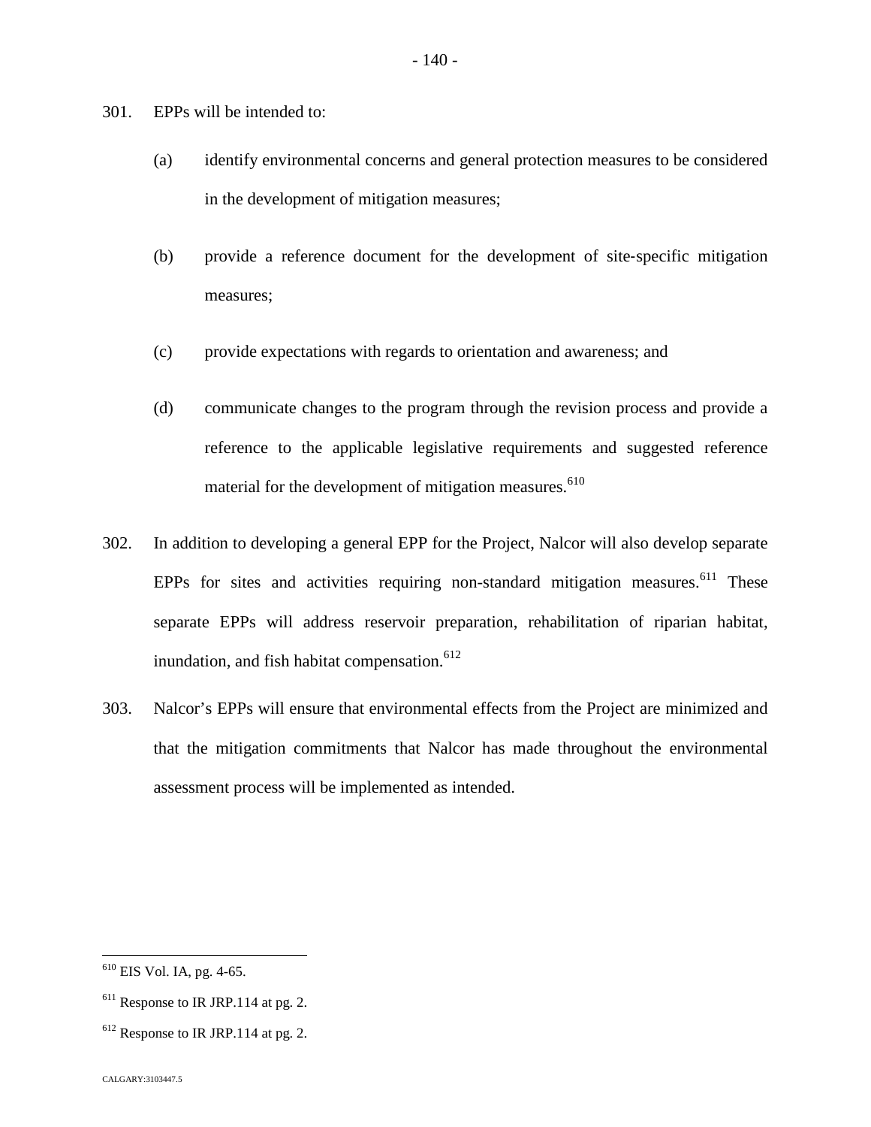301. EPPs will be intended to:

- (a) identify environmental concerns and general protection measures to be considered in the development of mitigation measures;
- (b) provide a reference document for the development of site‐specific mitigation measures;
- (c) provide expectations with regards to orientation and awareness; and
- (d) communicate changes to the program through the revision process and provide a reference to the applicable legislative requirements and suggested reference material for the development of mitigation measures.<sup>61[0](#page-140-0)</sup>
- 302. In addition to developing a general EPP for the Project, Nalcor will also develop separate EPPs for sites and activities requiring non-standard mitigation measures.<sup>[611](#page-140-1)</sup> These separate EPPs will address reservoir preparation, rehabilitation of riparian habitat, inundation, and fish habitat compensation.<sup>61[2](#page-140-2)</sup>
- 303. Nalcor's EPPs will ensure that environmental effects from the Project are minimized and that the mitigation commitments that Nalcor has made throughout the environmental assessment process will be implemented as intended.

<span id="page-140-0"></span><sup>610</sup> EIS Vol. IA, pg. 4-65.

<span id="page-140-1"></span><sup>&</sup>lt;sup>611</sup> Response to IR JRP.114 at pg. 2.

<span id="page-140-2"></span> $612$  Response to IR JRP.114 at pg. 2.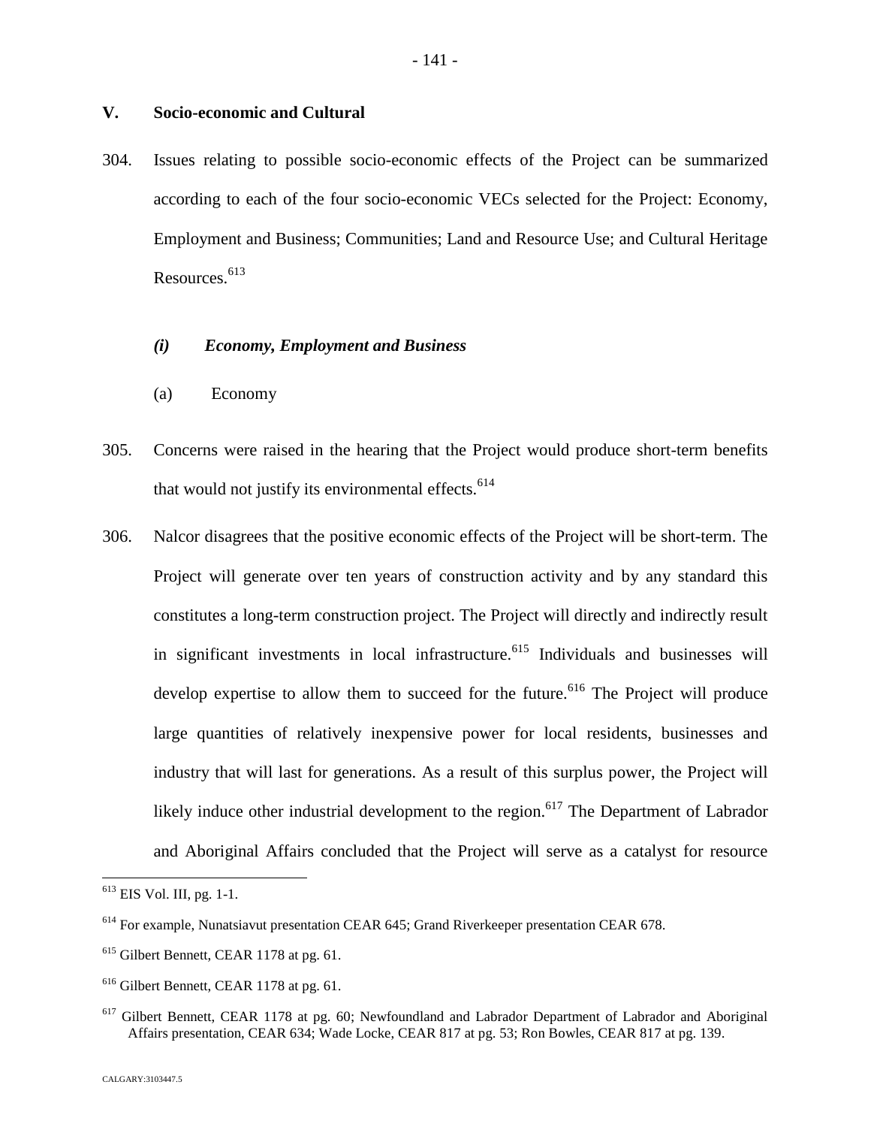# **V. Socio-economic and Cultural**

304. Issues relating to possible socio-economic effects of the Project can be summarized according to each of the four socio-economic VECs selected for the Project: Economy, Employment and Business; Communities; Land and Resource Use; and Cultural Heritage Resources.<sup>[613](#page-141-0)</sup>

### *(i) Economy, Employment and Business*

- (a) Economy
- 305. Concerns were raised in the hearing that the Project would produce short-term benefits that would not justify its environmental effects. $614$  $614$
- 306. Nalcor disagrees that the positive economic effects of the Project will be short-term. The Project will generate over ten years of construction activity and by any standard this constitutes a long-term construction project. The Project will directly and indirectly result in significant investments in local infrastructure.<sup>[615](#page-141-2)</sup> Individuals and businesses will develop expertise to allow them to succeed for the future.<sup>[616](#page-141-3)</sup> The Project will produce large quantities of relatively inexpensive power for local residents, businesses and industry that will last for generations. As a result of this surplus power, the Project will likely induce other industrial development to the region.<sup>[617](#page-141-4)</sup> The Department of Labrador and Aboriginal Affairs concluded that the Project will serve as a catalyst for resource

<span id="page-141-0"></span><sup>613</sup> EIS Vol. III, pg. 1-1.

<span id="page-141-1"></span><sup>614</sup> For example, Nunatsiavut presentation CEAR 645; Grand Riverkeeper presentation CEAR 678.

<span id="page-141-2"></span><sup>&</sup>lt;sup>615</sup> Gilbert Bennett, CEAR 1178 at pg. 61.

<span id="page-141-3"></span><sup>&</sup>lt;sup>616</sup> Gilbert Bennett, CEAR 1178 at pg. 61.

<span id="page-141-4"></span><sup>&</sup>lt;sup>617</sup> Gilbert Bennett, CEAR 1178 at pg. 60; Newfoundland and Labrador Department of Labrador and Aboriginal Affairs presentation, CEAR 634; Wade Locke, CEAR 817 at pg. 53; Ron Bowles, CEAR 817 at pg. 139.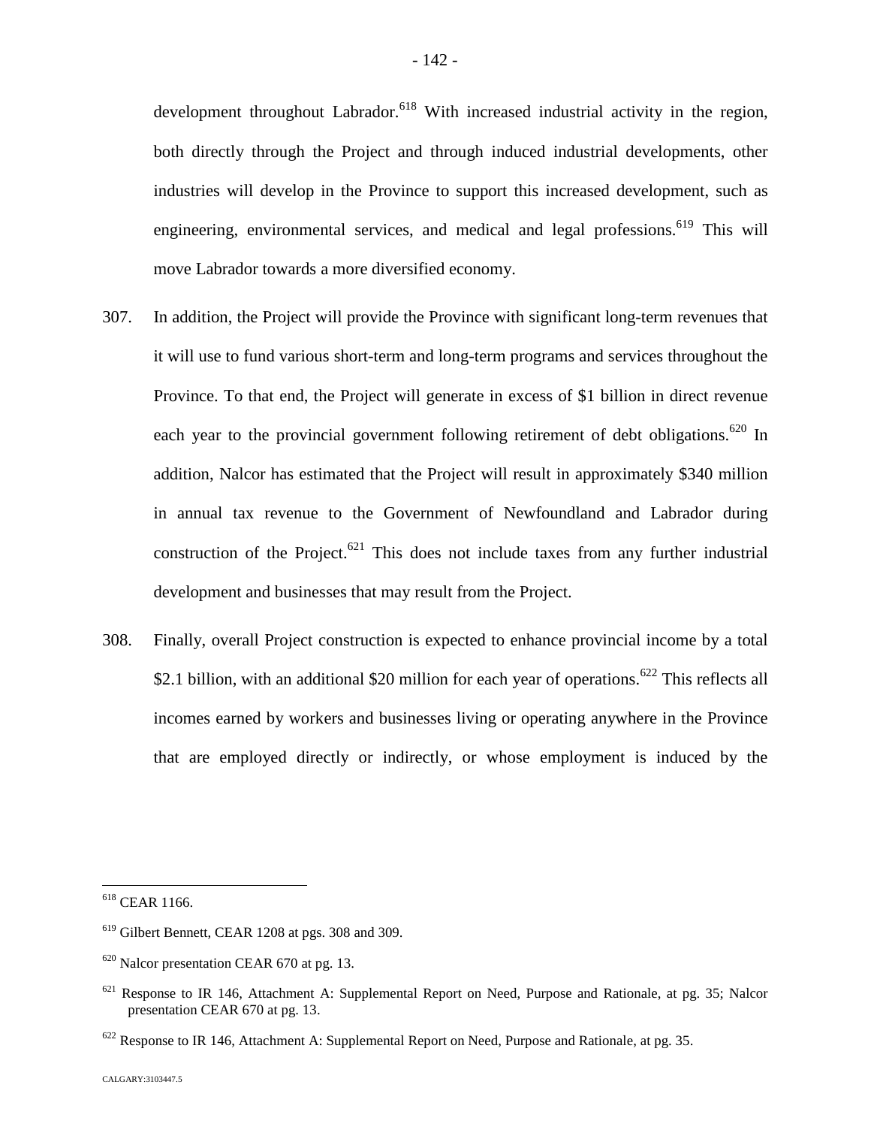development throughout Labrador.<sup>[618](#page-142-0)</sup> With increased industrial activity in the region. both directly through the Project and through induced industrial developments, other industries will develop in the Province to support this increased development, such as engineering, environmental services, and medical and legal professions.<sup>[619](#page-142-1)</sup> This will move Labrador towards a more diversified economy.

- 307. In addition, the Project will provide the Province with significant long-term revenues that it will use to fund various short-term and long-term programs and services throughout the Province. To that end, the Project will generate in excess of \$1 billion in direct revenue each year to the provincial government following retirement of debt obligations.<sup>[620](#page-142-2)</sup> In addition, Nalcor has estimated that the Project will result in approximately \$340 million in annual tax revenue to the Government of Newfoundland and Labrador during construction of the Project.<sup>[621](#page-142-3)</sup> This does not include taxes from any further industrial development and businesses that may result from the Project.
- 308. Finally, overall Project construction is expected to enhance provincial income by a total \$2.1 billion, with an additional \$20 million for each year of operations.<sup>[622](#page-142-4)</sup> This reflects all incomes earned by workers and businesses living or operating anywhere in the Province that are employed directly or indirectly, or whose employment is induced by the

<span id="page-142-0"></span><sup>618</sup> CEAR 1166.

<span id="page-142-1"></span><sup>619</sup> Gilbert Bennett, CEAR 1208 at pgs. 308 and 309.

<span id="page-142-2"></span> $620$  Nalcor presentation CEAR 670 at pg. 13.

<span id="page-142-3"></span><sup>&</sup>lt;sup>621</sup> Response to IR 146, Attachment A: Supplemental Report on Need, Purpose and Rationale, at pg. 35; Nalcor presentation CEAR 670 at pg. 13.

<span id="page-142-4"></span><sup>&</sup>lt;sup>622</sup> Response to IR 146, Attachment A: Supplemental Report on Need, Purpose and Rationale, at pg. 35.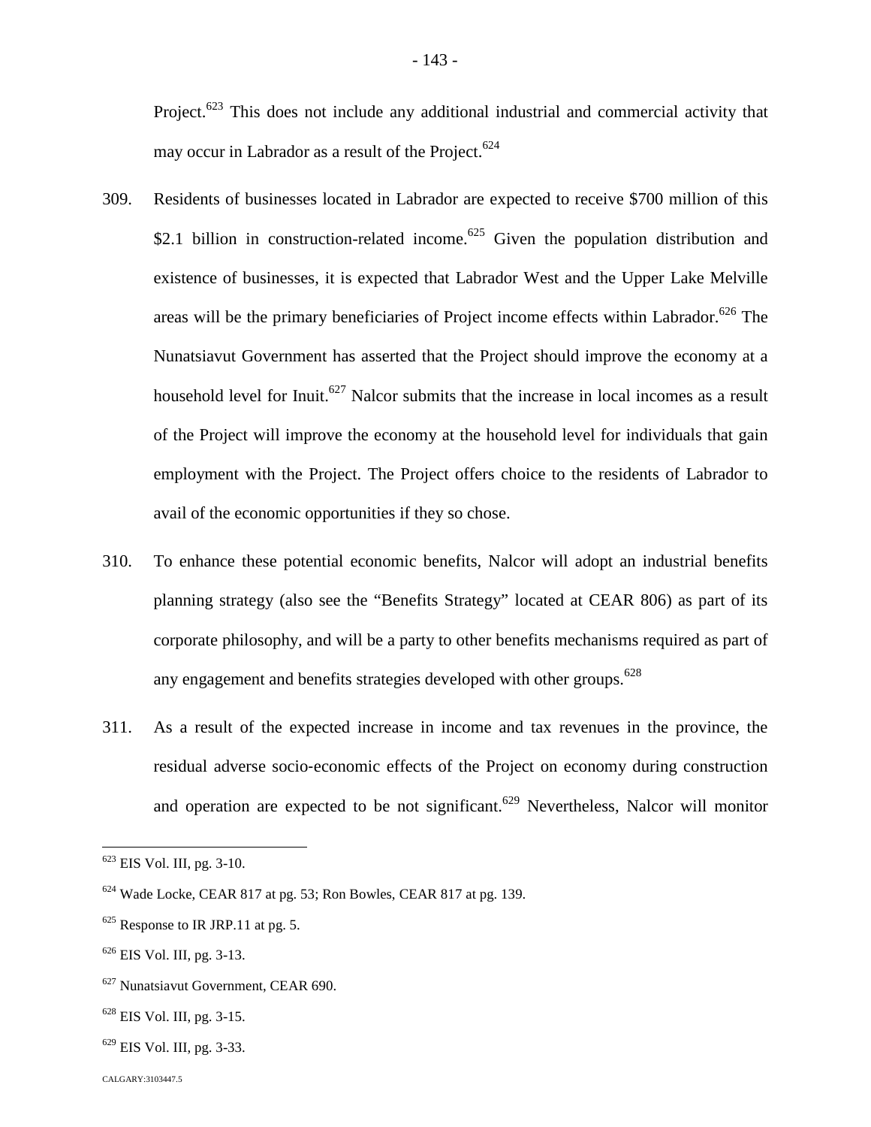Project.<sup>[623](#page-143-0)</sup> This does not include any additional industrial and commercial activity that may occur in Labrador as a result of the Project.<sup>6[24](#page-143-1)</sup>

- 309. Residents of businesses located in Labrador are expected to receive \$700 million of this \$2.1 billion in construction-related income.<sup>[625](#page-143-2)</sup> Given the population distribution and existence of businesses, it is expected that Labrador West and the Upper Lake Melville areas will be the primary beneficiaries of Project income effects within Labrador.<sup>[626](#page-143-3)</sup> The Nunatsiavut Government has asserted that the Project should improve the economy at a household level for Inuit.<sup>[627](#page-143-4)</sup> Nalcor submits that the increase in local incomes as a result of the Project will improve the economy at the household level for individuals that gain employment with the Project. The Project offers choice to the residents of Labrador to avail of the economic opportunities if they so chose.
- 310. To enhance these potential economic benefits, Nalcor will adopt an industrial benefits planning strategy (also see the "Benefits Strategy" located at CEAR 806) as part of its corporate philosophy, and will be a party to other benefits mechanisms required as part of any engagement and benefits strategies developed with other groups.<sup>62[8](#page-143-5)</sup>
- 311. As a result of the expected increase in income and tax revenues in the province, the residual adverse socio‐economic effects of the Project on economy during construction and operation are expected to be not significant.<sup>[629](#page-143-6)</sup> Nevertheless, Nalcor will monitor

<span id="page-143-5"></span><sup>628</sup> EIS Vol. III, pg. 3-15.

<span id="page-143-0"></span> $623$  EIS Vol. III, pg. 3-10.

<span id="page-143-1"></span><sup>624</sup> Wade Locke, CEAR 817 at pg. 53; Ron Bowles, CEAR 817 at pg. 139.

<span id="page-143-2"></span> $625$  Response to IR JRP.11 at pg. 5.

<span id="page-143-3"></span><sup>626</sup> EIS Vol. III, pg. 3-13.

<span id="page-143-4"></span><sup>&</sup>lt;sup>627</sup> Nunatsiavut Government, CEAR 690.

<span id="page-143-6"></span> $629$  EIS Vol. III, pg. 3-33.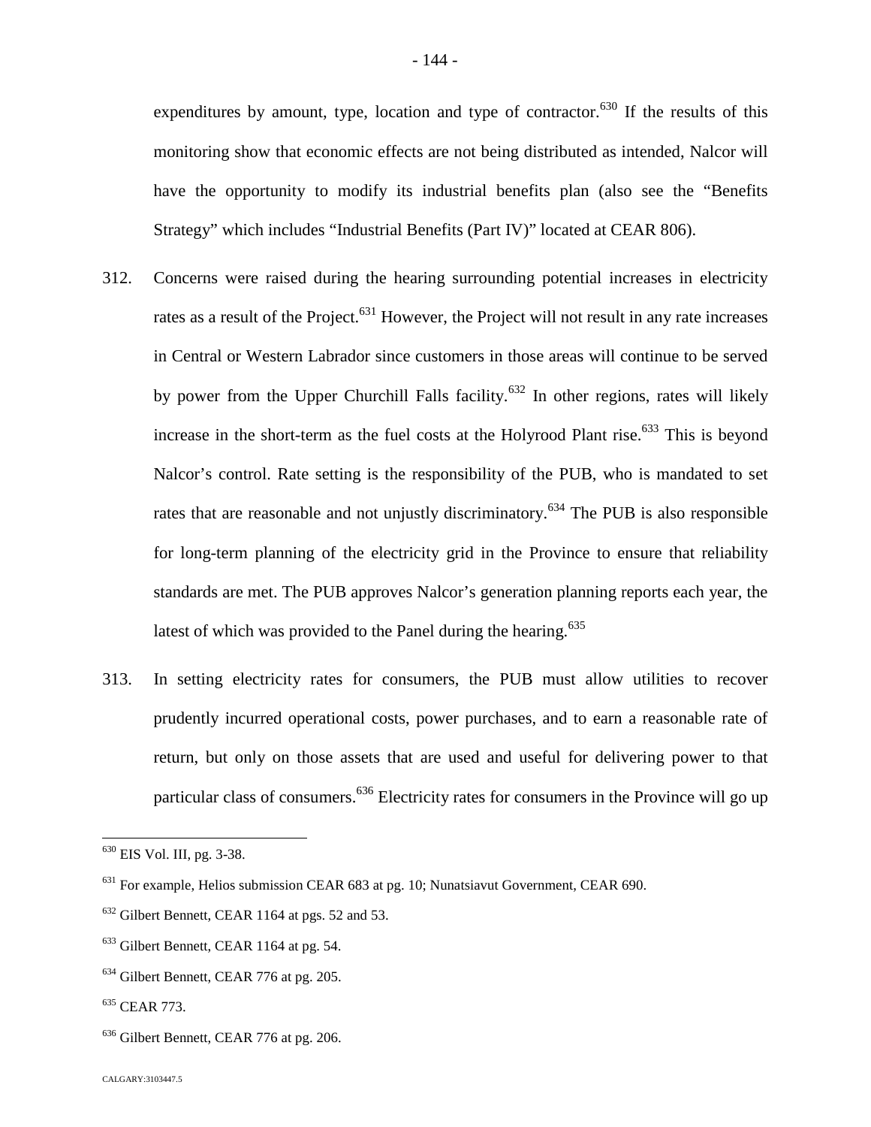expenditures by amount, type, location and type of contractor.<sup>[630](#page-144-0)</sup> If the results of this monitoring show that economic effects are not being distributed as intended, Nalcor will have the opportunity to modify its industrial benefits plan (also see the "Benefits Strategy" which includes "Industrial Benefits (Part IV)" located at CEAR 806).

- 312. Concerns were raised during the hearing surrounding potential increases in electricity rates as a result of the Project.<sup>[631](#page-144-1)</sup> However, the Project will not result in any rate increases in Central or Western Labrador since customers in those areas will continue to be served by power from the Upper Churchill Falls facility.<sup>[632](#page-144-2)</sup> In other regions, rates will likely increasein the short-term as the fuel costs at the Holyrood Plant rise[.](#page-144-3) $633$  This is beyond Nalcor's control. Rate setting is the responsibility of the PUB, who is mandated to set rates that are reasonable and not unjustly discriminatory.<sup>[634](#page-144-4)</sup> The PUB is also responsible for long-term planning of the electricity grid in the Province to ensure that reliability standards are met. The PUB approves Nalcor's generation planning reports each year, the latest of which was provided to the Panel during the hearing. $635$  $635$
- 313. In setting electricity rates for consumers, the PUB must allow utilities to recover prudently incurred operational costs, power purchases, and to earn a reasonable rate of return, but only on those assets that are used and useful for delivering power to that particular class of consumers.<sup>[636](#page-144-6)</sup> Electricity rates for consumers in the Province will go up

<span id="page-144-0"></span><sup>630</sup> EIS Vol. III, pg. 3-38.

<span id="page-144-1"></span><sup>631</sup> For example, Helios submission CEAR 683 at pg. 10; Nunatsiavut Government, CEAR 690.

<span id="page-144-2"></span><sup>&</sup>lt;sup>632</sup> Gilbert Bennett, CEAR 1164 at pgs. 52 and 53.

<span id="page-144-3"></span><sup>&</sup>lt;sup>633</sup> Gilbert Bennett, CEAR 1164 at pg. 54.

<span id="page-144-4"></span><sup>634</sup> Gilbert Bennett, CEAR 776 at pg. 205.

<span id="page-144-5"></span><sup>635</sup> CEAR 773.

<span id="page-144-6"></span><sup>&</sup>lt;sup>636</sup> Gilbert Bennett, CEAR 776 at pg. 206.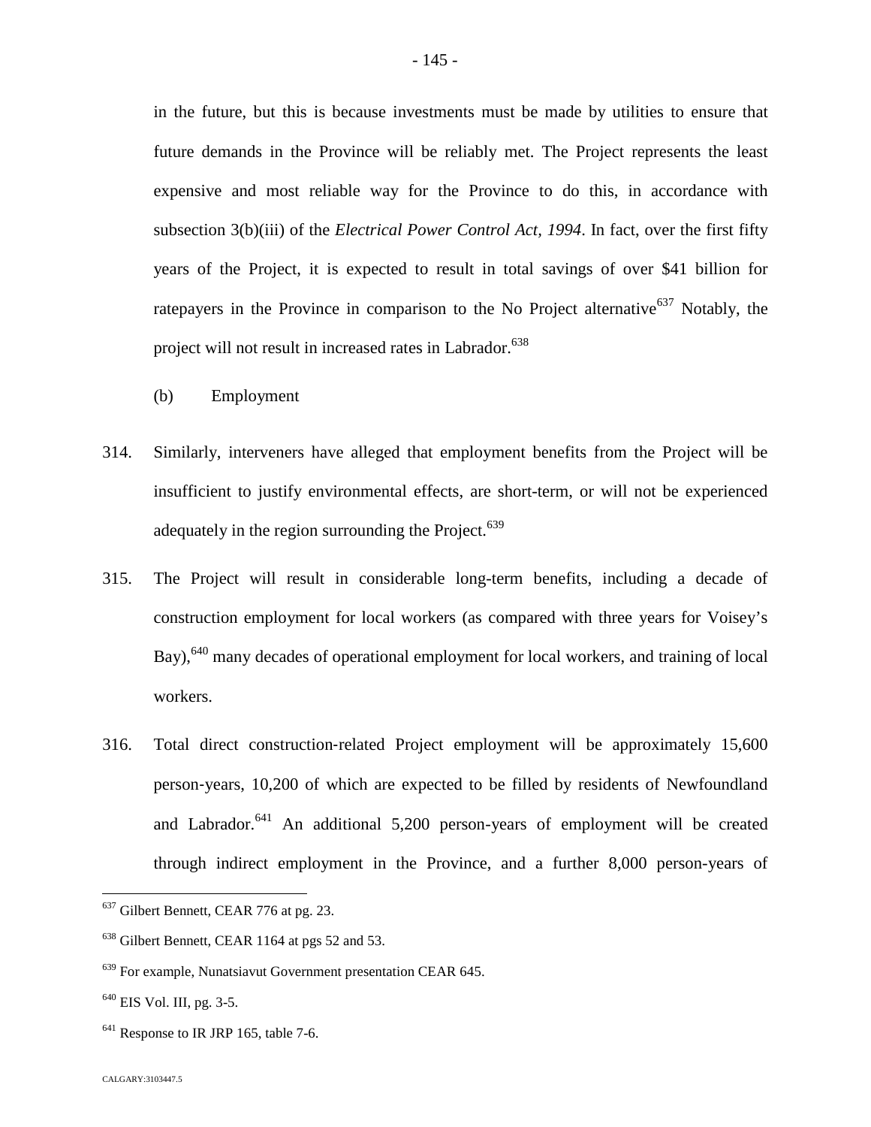in the future, but this is because investments must be made by utilities to ensure that future demands in the Province will be reliably met. The Project represents the least expensive and most reliable way for the Province to do this, in accordance with subsection 3(b)(iii) of the *Electrical Power Control Act, 1994*. In fact, over the first fifty years of the Project, it is expected to result in total savings of over \$41 billion for ratepayers in the Province in comparison to the No Project alternative<sup>[637](#page-145-0)</sup> Notably, the project will not result in increased rates in Labrador.<sup>63[8](#page-145-1)</sup>

- (b) Employment
- 314. Similarly, interveners have alleged that employment benefits from the Project will be insufficient to justify environmental effects, are short-term, or will not be experienced adequately in the region surrounding the Project.<sup>63[9](#page-145-2)</sup>
- 315. The Project will result in considerable long-term benefits, including a decade of construction employment for local workers (as compared with three years for Voisey's Bay), <sup>[640](#page-145-3)</sup> many decades of operational employment for local workers, and training of local workers.
- 316. Total direct construction‐related Project employment will be approximately 15,600 person‐years, 10,200 of which are expected to be filled by residents of Newfoundland and Labrador. $641$  An additional 5,200 person-years of employment will be created through indirect employment in the Province, and a further 8,000 person-years of

<span id="page-145-4"></span> $641$  Response to IR JRP 165, table 7-6.

<span id="page-145-0"></span><sup>&</sup>lt;sup>637</sup> Gilbert Bennett, CEAR 776 at pg. 23.

<span id="page-145-1"></span><sup>&</sup>lt;sup>638</sup> Gilbert Bennett, CEAR 1164 at pgs 52 and 53.

<span id="page-145-2"></span><sup>639</sup> For example, Nunatsiavut Government presentation CEAR 645.

<span id="page-145-3"></span><sup>&</sup>lt;sup>640</sup> EIS Vol. III, pg. 3-5.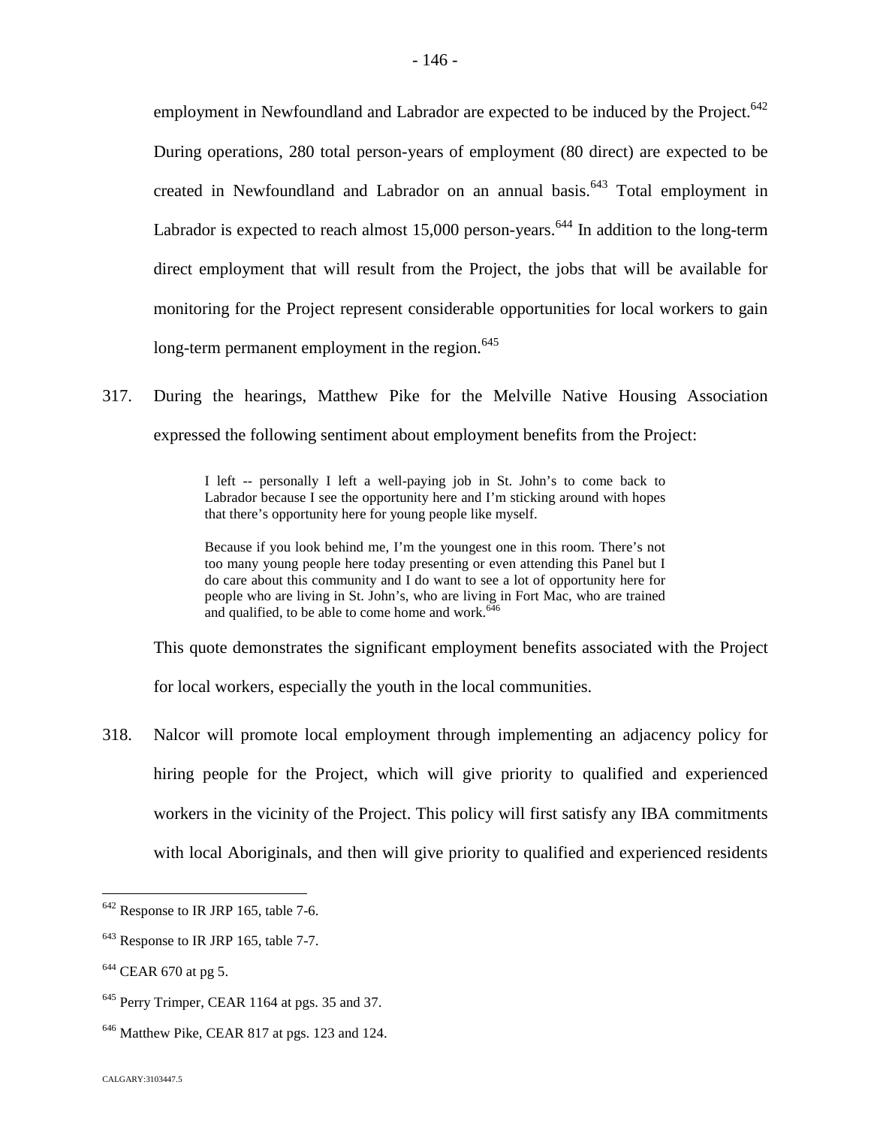employment in Newfoundland and Labrador are expected to be induced by the Project.<sup>[642](#page-146-0)</sup> During operations, 280 total person-years of employment (80 direct) are expected to be created in Newfoundland and Labrador on an annual basis.<sup> $643$ </sup> Total employment in Labrador is expected to reach almost  $15,000$  person-years.<sup>[644](#page-146-2)</sup> In addition to the long-term direct employment that will result from the Project, the jobs that will be available for monitoring for the Project represent considerable opportunities for local workers to gain long-term permanent employment in the region. $645$  $645$ 

317. During the hearings, Matthew Pike for the Melville Native Housing Association expressed the following sentiment about employment benefits from the Project:

> I left -- personally I left a well-paying job in St. John's to come back to Labrador because I see the opportunity here and I'm sticking around with hopes that there's opportunity here for young people like myself.

> Because if you look behind me, I'm the youngest one in this room. There's not too many young people here today presenting or even attending this Panel but I do care about this community and I do want to see a lot of opportunity here for people who are living in St. John's, who are living in Fort Mac, who are trained and qualified, to be able to come home and work. $64$

This quote demonstrates the significant employment benefits associated with the Project

for local workers, especially the youth in the local communities.

318. Nalcor will promote local employment through implementing an adjacency policy for hiring people for the Project, which will give priority to qualified and experienced workers in the vicinity of the Project. This policy will first satisfy any IBA commitments with local Aboriginals, and then will give priority to qualified and experienced residents

<span id="page-146-0"></span><sup>642</sup> Response to IR JRP 165, table 7-6.

<span id="page-146-1"></span><sup>&</sup>lt;sup>643</sup> Response to IR JRP 165, table 7-7.

<span id="page-146-2"></span><sup>&</sup>lt;sup>644</sup> CEAR 670 at pg 5.

<span id="page-146-3"></span><sup>645</sup> Perry Trimper, CEAR 1164 at pgs. 35 and 37.

<span id="page-146-4"></span><sup>&</sup>lt;sup>646</sup> Matthew Pike, CEAR 817 at pgs. 123 and 124.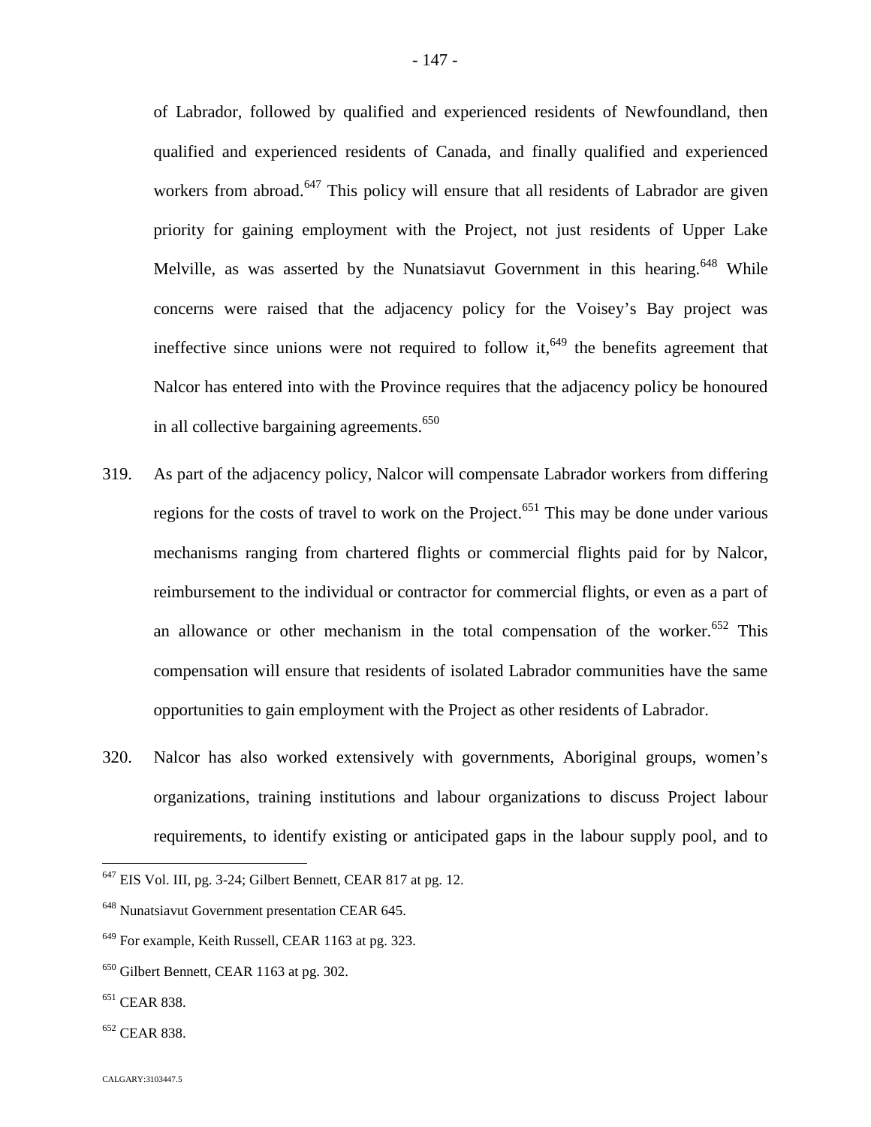of Labrador, followed by qualified and experienced residents of Newfoundland, then qualified and experienced residents of Canada, and finally qualified and experienced workers from abroad.<sup>[647](#page-147-0)</sup> This policy will ensure that all residents of Labrador are given priority for gaining employment with the Project, not just residents of Upper Lake Melville, as was asserted by the Nunatsiavut Government in this hearing.<sup>[648](#page-147-1)</sup> While concerns were raised that the adjacency policy for the Voisey's Bay project was ineffective since unions were not required to follow it,<sup> $649$ </sup> the benefits agreement that Nalcor has entered into with the Province requires that the adjacency policy be honoured in all collective bargaining agreements.<sup>6[50](#page-147-3)</sup>

- 319. As part of the adjacency policy, Nalcor will compensate Labrador workers from differing regions for the costs of travel to work on the Project.<sup>[651](#page-147-4)</sup> This may be done under various mechanisms ranging from chartered flights or commercial flights paid for by Nalcor, reimbursement to the individual or contractor for commercial flights, or even as a part of an allowance or other mechanism in the total compensation of the worker.<sup>[652](#page-147-5)</sup> This compensation will ensure that residents of isolated Labrador communities have the same opportunities to gain employment with the Project as other residents of Labrador.
- 320. Nalcor has also worked extensively with governments, Aboriginal groups, women's organizations, training institutions and labour organizations to discuss Project labour requirements, to identify existing or anticipated gaps in the labour supply pool, and to

- <span id="page-147-4"></span><sup>651</sup> CEAR 838.
- <span id="page-147-5"></span><sup>652</sup> CEAR 838.

<span id="page-147-0"></span> $647$  EIS Vol. III, pg. 3-24; Gilbert Bennett, CEAR 817 at pg. 12.

<span id="page-147-1"></span><sup>648</sup> Nunatsiavut Government presentation CEAR 645.

<span id="page-147-2"></span><sup>649</sup> For example, Keith Russell, CEAR 1163 at pg. 323.

<span id="page-147-3"></span><sup>650</sup> Gilbert Bennett, CEAR 1163 at pg. 302.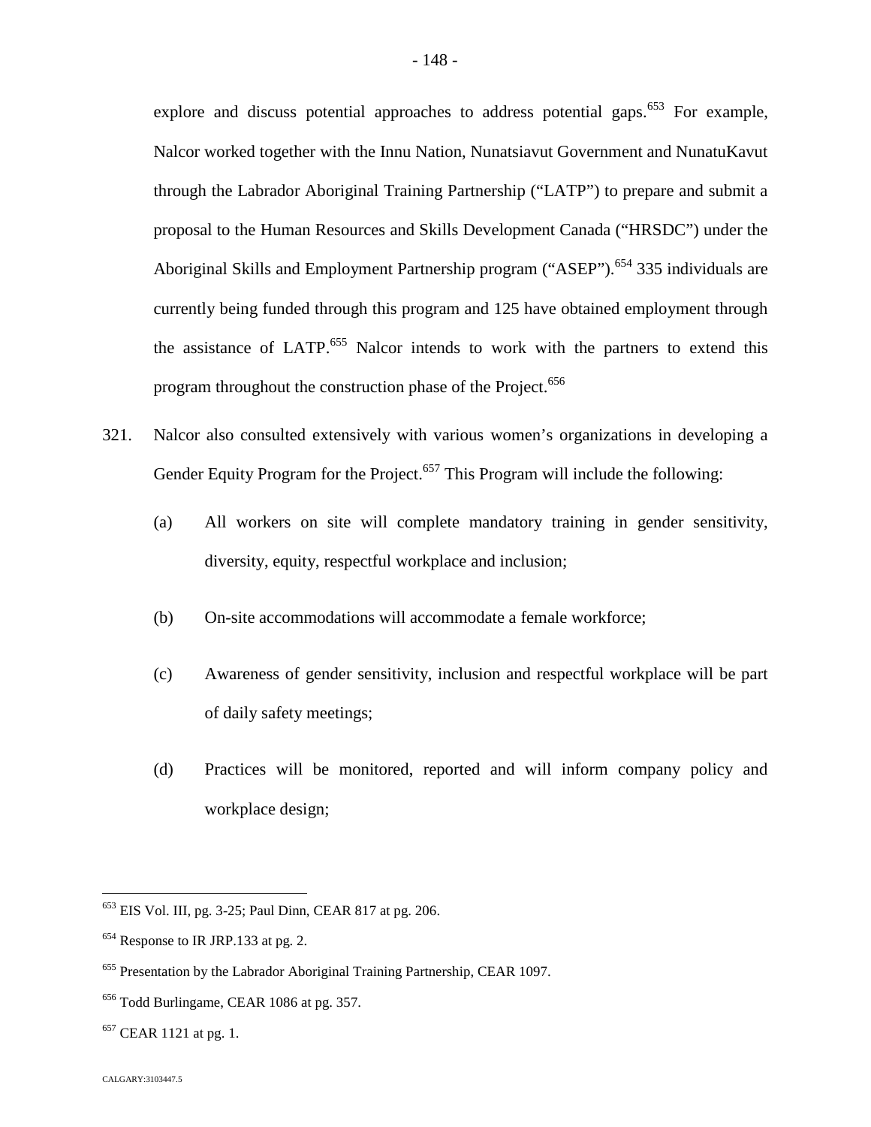explore and discuss potential approaches to address potential gaps.<sup> $653$ </sup> For example, Nalcor worked together with the Innu Nation, Nunatsiavut Government and NunatuKavut through the Labrador Aboriginal Training Partnership ("LATP") to prepare and submit a proposal to the Human Resources and Skills Development Canada ("HRSDC") under the Aboriginal Skills and Employment Partnership program ("ASEP").<sup>[654](#page-148-1)</sup> 335 individuals are currently being funded through this program and 125 have obtained employment through the assistance of LATP.<sup>[655](#page-148-2)</sup> Nalcor intends to work with the partners to extend this program throughout the construction phase of the Project.<sup>[6](#page-148-3)56</sup>

- 321. Nalcor also consulted extensively with various women's organizations in developing a Gender Equity Program for the Project.<sup>6[57](#page-148-4)</sup> This Program will include the following:
	- (a) All workers on site will complete mandatory training in gender sensitivity, diversity, equity, respectful workplace and inclusion;
	- (b) On-site accommodations will accommodate a female workforce;
	- (c) Awareness of gender sensitivity, inclusion and respectful workplace will be part of daily safety meetings;
	- (d) Practices will be monitored, reported and will inform company policy and workplace design;

<span id="page-148-0"></span><sup>653</sup> EIS Vol. III, pg. 3-25; Paul Dinn, CEAR 817 at pg. 206.

<span id="page-148-1"></span><sup>&</sup>lt;sup>654</sup> Response to IR JRP.133 at pg. 2.

<span id="page-148-2"></span><sup>&</sup>lt;sup>655</sup> Presentation by the Labrador Aboriginal Training Partnership, CEAR 1097.

<span id="page-148-3"></span><sup>656</sup> Todd Burlingame, CEAR 1086 at pg. 357.

<span id="page-148-4"></span> $657$  CEAR 1121 at pg. 1.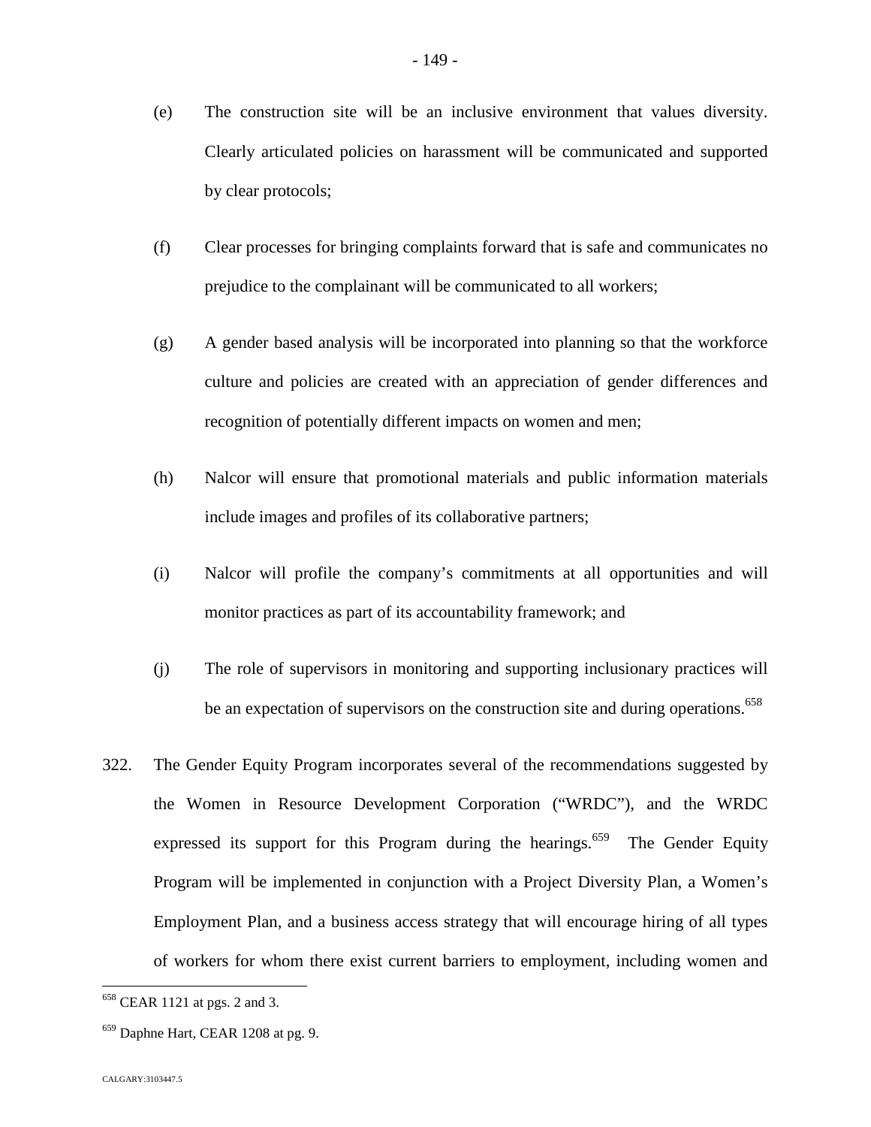- (e) The construction site will be an inclusive environment that values diversity. Clearly articulated policies on harassment will be communicated and supported by clear protocols;
- (f) Clear processes for bringing complaints forward that is safe and communicates no prejudice to the complainant will be communicated to all workers;
- (g) A gender based analysis will be incorporated into planning so that the workforce culture and policies are created with an appreciation of gender differences and recognition of potentially different impacts on women and men;
- (h) Nalcor will ensure that promotional materials and public information materials include images and profiles of its collaborative partners;
- (i) Nalcor will profile the company's commitments at all opportunities and will monitor practices as part of its accountability framework; and
- (j) The role of supervisors in monitoring and supporting inclusionary practices will be an expectation of supervisors on the construction site and during operations.<sup>[658](#page-149-0)</sup>
- 322. The Gender Equity Program incorporates several of the recommendations suggested by the Women in Resource Development Corporation ("WRDC"), and the WRDC expressed its support for this Program during the hearings.<sup>[659](#page-149-1)</sup> The Gender Equity Program will be implemented in conjunction with a Project Diversity Plan, a Women's Employment Plan, and a business access strategy that will encourage hiring of all types of workers for whom there exist current barriers to employment, including women and

<span id="page-149-0"></span><sup>658</sup> CEAR 1121 at pgs. 2 and 3.

<span id="page-149-1"></span><sup>&</sup>lt;sup>659</sup> Daphne Hart, CEAR 1208 at pg. 9.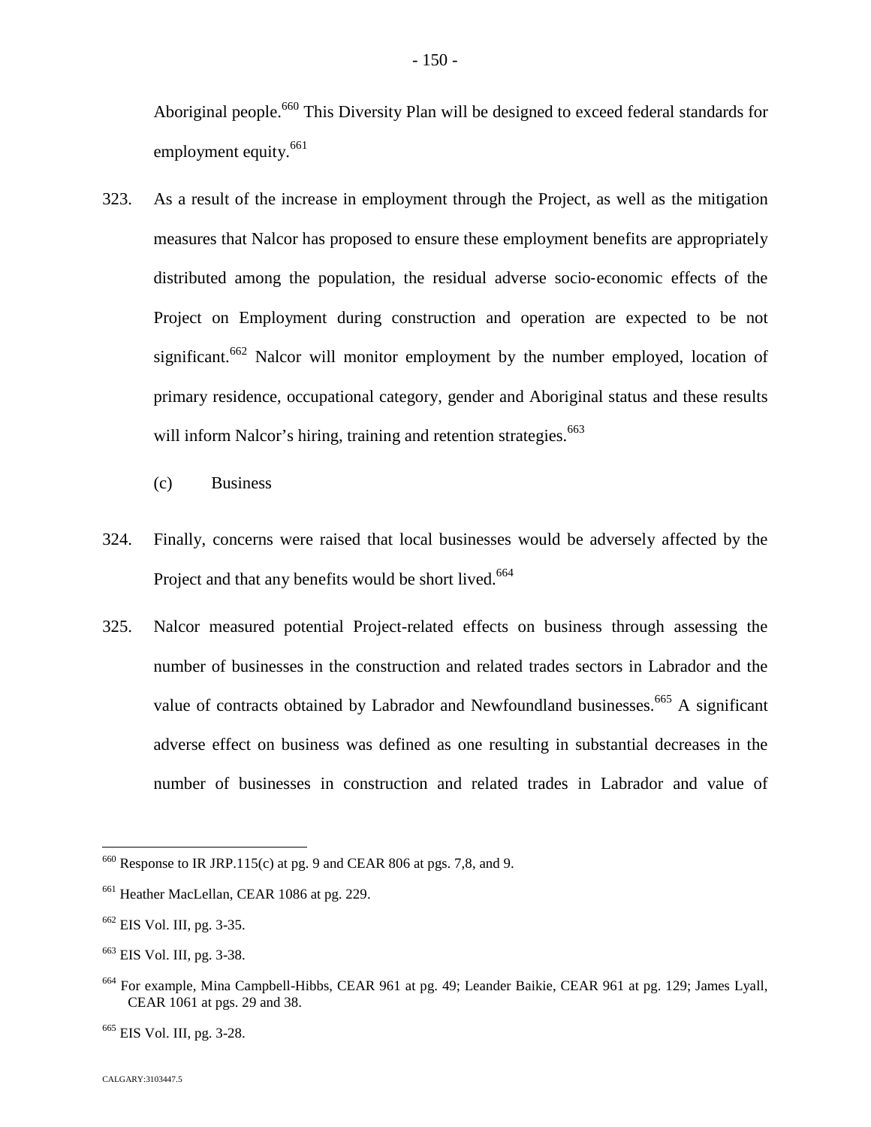Aboriginal people.<sup>[660](#page-150-0)</sup> This Diversity Plan will be designed to exceed federal standards for employment equity.<sup>[661](#page-150-1)</sup>

- 323. As a result of the increase in employment through the Project, as well as the mitigation measures that Nalcor has proposed to ensure these employment benefits are appropriately distributed among the population, the residual adverse socio‐economic effects of the Project on Employment during construction and operation are expected to be not significant.<sup>[662](#page-150-2)</sup> Nalcor will monitor employment by the number employed, location of primary residence, occupational category, gender and Aboriginal status and these results will inform Nalcor's hiring, training and retention strategies.<sup>66[3](#page-150-3)</sup>
	- (c) Business
- 324. Finally, concerns were raised that local businesses would be adversely affected by the Project and that any benefits would be short lived.<sup>66[4](#page-150-4)</sup>
- 325. Nalcor measured potential Project-related effects on business through assessing the number of businesses in the construction and related trades sectors in Labrador and the value of contracts obtained by Labrador and Newfoundland businesses.<sup>[665](#page-150-5)</sup> A significant adverse effect on business was defined as one resulting in substantial decreases in the number of businesses in construction and related trades in Labrador and value of

<span id="page-150-0"></span> $660$  Response to IR JRP.115(c) at pg. 9 and CEAR 806 at pgs. 7,8, and 9.

<span id="page-150-1"></span><sup>&</sup>lt;sup>661</sup> Heather MacLellan, CEAR 1086 at pg. 229.

<span id="page-150-2"></span><sup>662</sup> EIS Vol. III, pg. 3-35.

<span id="page-150-3"></span><sup>663</sup> EIS Vol. III, pg. 3-38.

<span id="page-150-4"></span><sup>664</sup> For example, Mina Campbell-Hibbs, CEAR 961 at pg. 49; Leander Baikie, CEAR 961 at pg. 129; James Lyall, CEAR 1061 at pgs. 29 and 38.

<span id="page-150-5"></span><sup>665</sup> EIS Vol. III, pg. 3-28.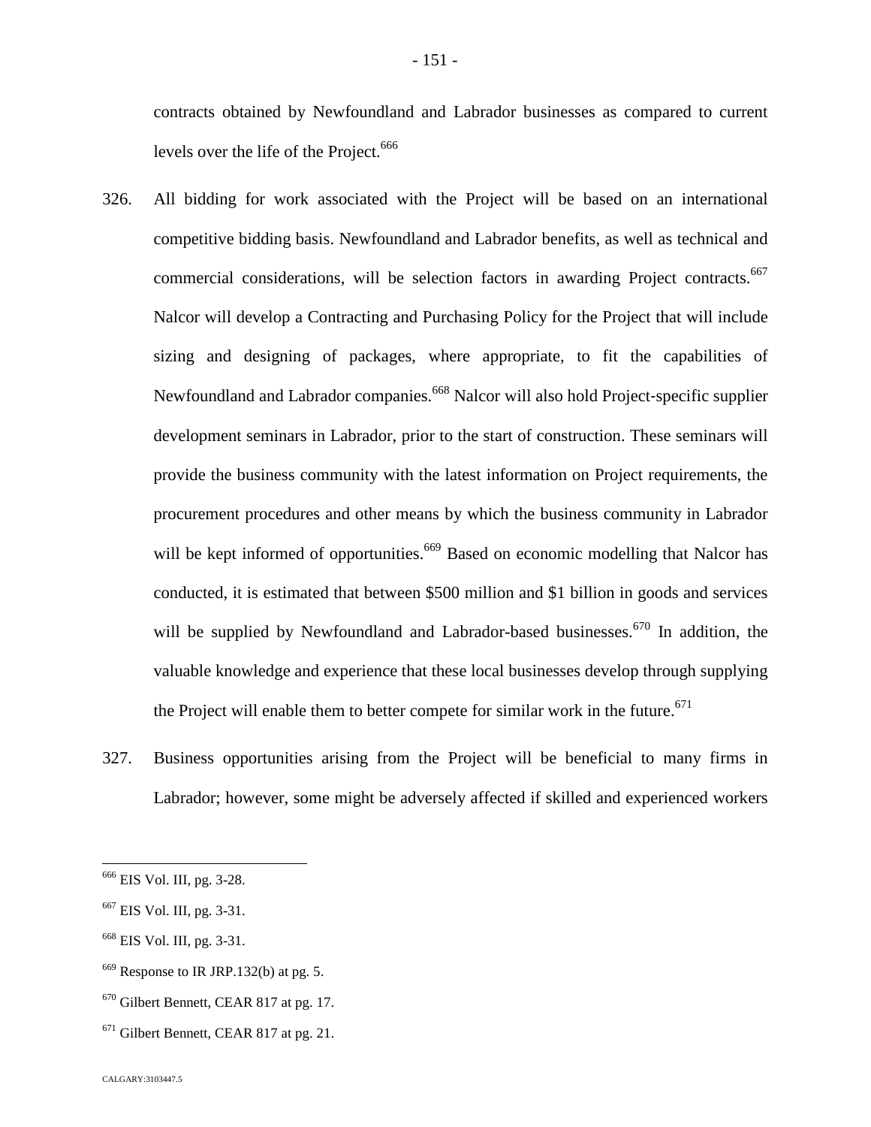contracts obtained by Newfoundland and Labrador businesses as compared to current levels over the life of the Project.<sup>[66](#page-151-0)6</sup>

- 326. All bidding for work associated with the Project will be based on an international competitive bidding basis. Newfoundland and Labrador benefits, as well as technical and commercial considerations, will be selection factors in awarding Project contracts.<sup>[667](#page-151-1)</sup> Nalcor will develop a Contracting and Purchasing Policy for the Project that will include sizing and designing of packages, where appropriate, to fit the capabilities of Newfoundland and Labrador companies.<sup>[668](#page-151-2)</sup> Nalcor will also hold Project-specific supplier development seminars in Labrador, prior to the start of construction. These seminars will provide the business community with the latest information on Project requirements, the procurement procedures and other means by which the business community in Labrador will be kept informed of opportunities.<sup>[669](#page-151-3)</sup> Based on economic modelling that Nalcor has conducted, it is estimated that between \$500 million and \$1 billion in goods and services will be supplied by Newfoundland and Labrador-based businesses.<sup> $670$ </sup> In addition, the valuable knowledge and experience that these local businesses develop through supplying the Project will enable them to better compete for similar work in the future.<sup>671</sup>
- 327. Business opportunities arising from the Project will be beneficial to many firms in Labrador; however, some might be adversely affected if skilled and experienced workers

<span id="page-151-0"></span><sup>666</sup> EIS Vol. III, pg. 3-28.

<span id="page-151-1"></span><sup>667</sup> EIS Vol. III, pg. 3-31.

<span id="page-151-2"></span><sup>668</sup> EIS Vol. III, pg. 3-31.

<span id="page-151-3"></span> $669$  Response to IR JRP.132(b) at pg. 5.

<span id="page-151-4"></span><sup>670</sup> Gilbert Bennett, CEAR 817 at pg. 17.

 $671$  Gilbert Bennett, CEAR 817 at pg. 21.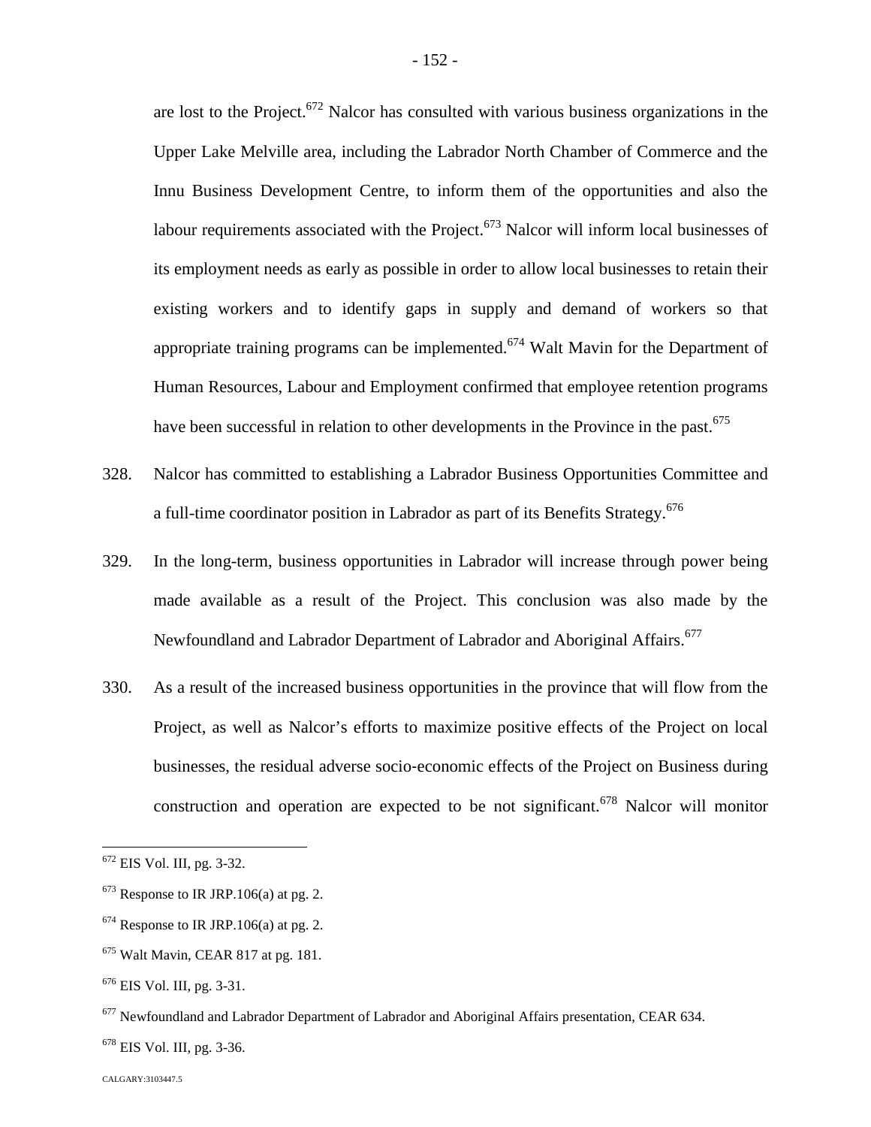are lost to the Project.<sup>[672](#page-152-0)</sup> Nalcor has consulted with various business organizations in the Upper Lake Melville area, including the Labrador North Chamber of Commerce and the Innu Business Development Centre, to inform them of the opportunities and also the labour requirements associated with the Project.<sup> $673$ </sup> Nalcor will inform local businesses of its employment needs as early as possible in order to allow local businesses to retain their existing workers and to identify gaps in supply and demand of workers so that appropriate training programs can be implemented.<sup>[674](#page-152-2)</sup> Walt Mavin for the Department of Human Resources, Labour and Employment confirmed that employee retention programs have been successful in relation to other developments in the Province in the past.<sup>675</sup>

- 328. Nalcor has committed to establishing a Labrador Business Opportunities Committee and a full-time coordinator position in Labrador as part of its Benefits Strategy.<sup>676</sup>
- 329. In the long-term, business opportunities in Labrador will increase through power being made available as a result of the Project. This conclusion was also made by the Newfoundland and Labrador Department of Labrador and Aboriginal Affairs.<sup>677</sup>
- 330. As a result of the increased business opportunities in the province that will flow from the Project, as well as Nalcor's efforts to maximize positive effects of the Project on local businesses, the residual adverse socio‐economic effects of the Project on Business during construction and operation are expected to be not significant.<sup>[678](#page-152-3)</sup> Nalcor will monitor

<span id="page-152-0"></span><sup>672</sup> EIS Vol. III, pg. 3-32.

<span id="page-152-1"></span> $673$  Response to IR JRP.106(a) at pg. 2.

<span id="page-152-2"></span> $674$  Response to IR JRP.106(a) at pg. 2.

<sup>675</sup> Walt Mavin, CEAR 817 at pg. 181.

 $676$  EIS Vol. III, pg. 3-31.

<sup>&</sup>lt;sup>677</sup> Newfoundland and Labrador Department of Labrador and Aboriginal Affairs presentation, CEAR 634.

<span id="page-152-3"></span><sup>678</sup> EIS Vol. III, pg. 3-36.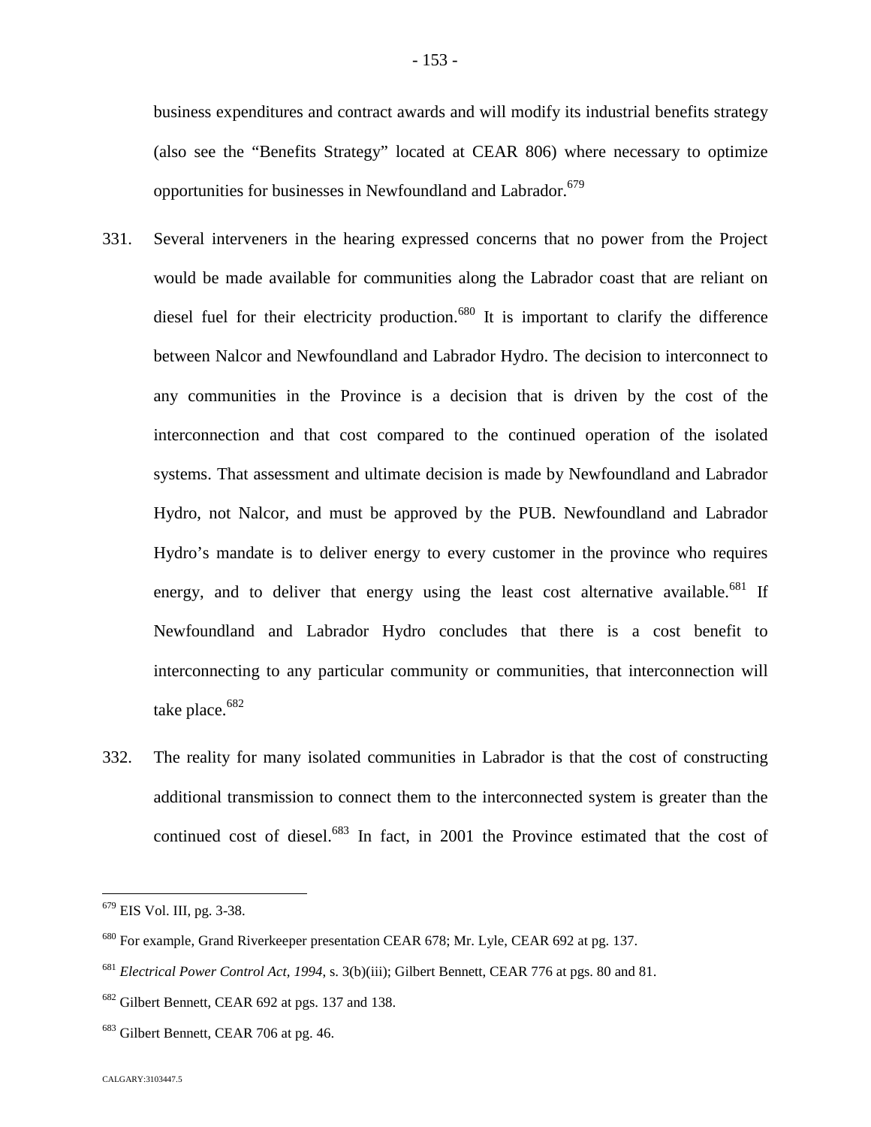business expenditures and contract awards and will modify its industrial benefits strategy (also see the "Benefits Strategy" located at CEAR 806) where necessary to optimize opportunities for businesses in Newfoundland and Labrador.<sup>679</sup>

- 331. Several interveners in the hearing expressed concerns that no power from the Project would be made available for communities along the Labrador coast that are reliant on diesel fuel for their electricity production.<sup>[680](#page-153-0)</sup> It is important to clarify the difference between Nalcor and Newfoundland and Labrador Hydro. The decision to interconnect to any communities in the Province is a decision that is driven by the cost of the interconnection and that cost compared to the continued operation of the isolated systems. That assessment and ultimate decision is made by Newfoundland and Labrador Hydro, not Nalcor, and must be approved by the PUB. Newfoundland and Labrador Hydro's mandate is to deliver energy to every customer in the province who requires energy, and to deliver that energy using the least cost alternative available.<sup>[681](#page-153-1)</sup> If Newfoundland and Labrador Hydro concludes that there is a cost benefit to interconnecting to any particular community or communities, that interconnection will take place.<sup>[682](#page-153-2)</sup>
- 332. The reality for many isolated communities in Labrador is that the cost of constructing additional transmission to connect them to the interconnected system is greater than the continued cost of diesel.<sup>[683](#page-153-3)</sup> In fact, in 2001 the Province estimated that the cost of

<sup>679</sup> EIS Vol. III, pg. 3-38.

<span id="page-153-0"></span><sup>&</sup>lt;sup>680</sup> For example, Grand Riverkeeper presentation CEAR 678; Mr. Lyle, CEAR 692 at pg. 137.

<span id="page-153-1"></span><sup>681</sup> *Electrical Power Control Act, 1994*, s. 3(b)(iii); Gilbert Bennett, CEAR 776 at pgs. 80 and 81.

<span id="page-153-2"></span><sup>682</sup> Gilbert Bennett, CEAR 692 at pgs. 137 and 138.

<span id="page-153-3"></span><sup>&</sup>lt;sup>683</sup> Gilbert Bennett, CEAR 706 at pg. 46.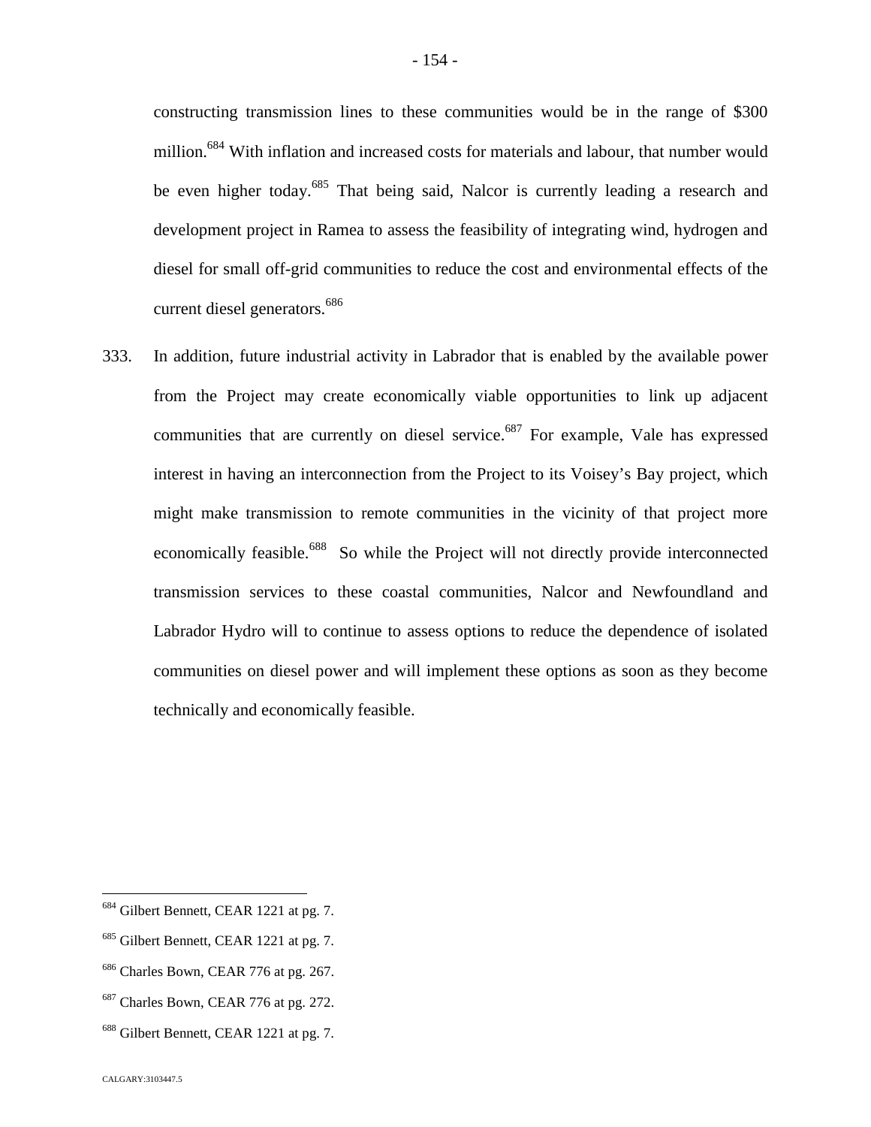constructing transmission lines to these communities would be in the range of \$300 million.<sup>[684](#page-154-0)</sup> With inflation and increased costs for materials and labour, that number would be even higher today.<sup>[685](#page-154-1)</sup> That being said, Nalcor is currently leading a research and development project in Ramea to assess the feasibility of integrating wind, hydrogen and diesel for small off-grid communities to reduce the cost and environmental effects of the current diesel generators.<sup>6[86](#page-154-2)</sup>

333. In addition, future industrial activity in Labrador that is enabled by the available power from the Project may create economically viable opportunities to link up adjacent communities that are currently on diesel service.<sup>[687](#page-154-3)</sup> For example, Vale has expressed interest in having an interconnection from the Project to its Voisey's Bay project, which might make transmission to remote communities in the vicinity of that project more economically feasible.<sup>[688](#page-154-4)</sup> So while the Project will not directly provide interconnected transmission services to these coastal communities, Nalcor and Newfoundland and Labrador Hydro will to continue to assess options to reduce the dependence of isolated communities on diesel power and will implement these options as soon as they become technically and economically feasible.

<span id="page-154-0"></span><sup>&</sup>lt;sup>684</sup> Gilbert Bennett, CEAR 1221 at pg. 7.

<span id="page-154-1"></span><sup>&</sup>lt;sup>685</sup> Gilbert Bennett, CEAR 1221 at pg. 7.

<span id="page-154-2"></span><sup>&</sup>lt;sup>686</sup> Charles Bown, CEAR 776 at pg. 267.

<span id="page-154-3"></span><sup>&</sup>lt;sup>687</sup> Charles Bown, CEAR 776 at pg. 272.

<span id="page-154-4"></span><sup>&</sup>lt;sup>688</sup> Gilbert Bennett, CEAR 1221 at pg. 7.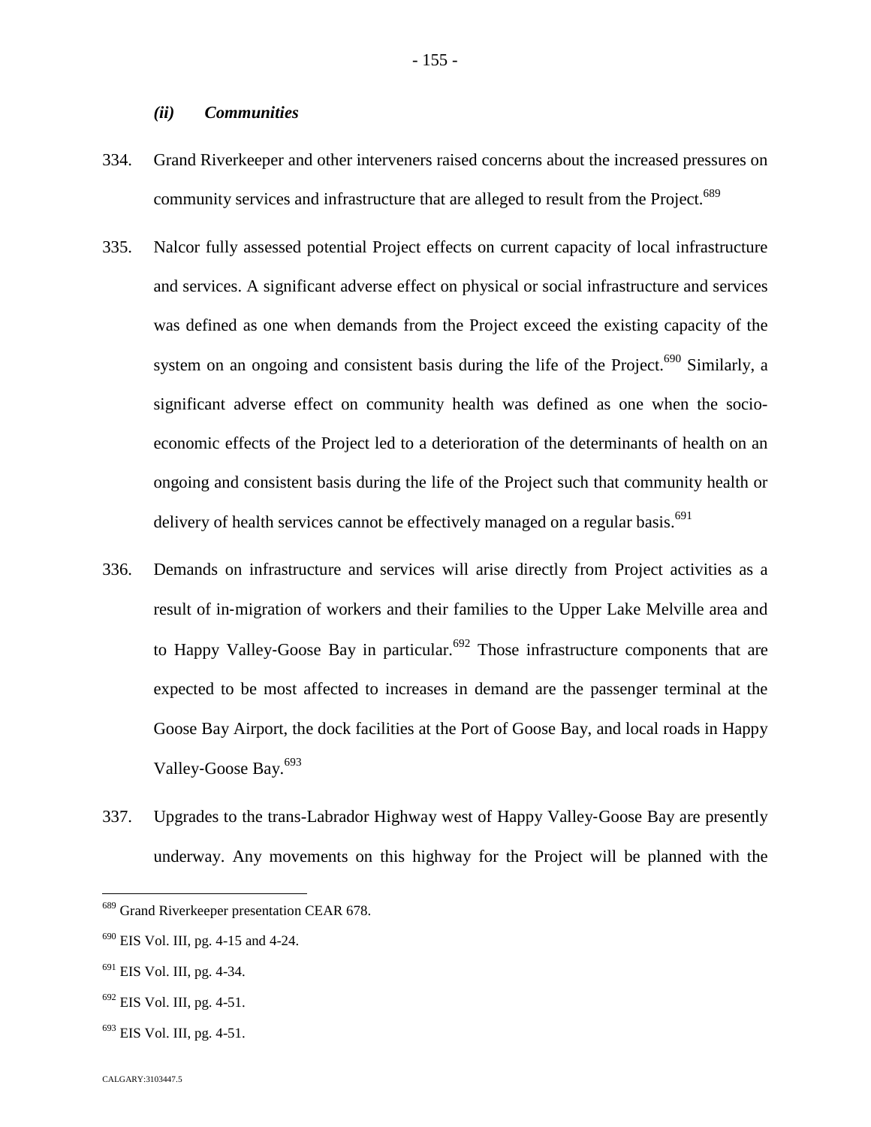## *(ii) Communities*

- 334. Grand Riverkeeper and other interveners raised concerns about the increased pressures on community services and infrastructure that are alleged to result from the Project.<sup>689</sup>
- 335. Nalcor fully assessed potential Project effects on current capacity of local infrastructure and services. A significant adverse effect on physical or social infrastructure and services was defined as one when demands from the Project exceed the existing capacity of the system on an ongoing and consistent basis during the life of the Project.<sup>[690](#page-155-0)</sup> Similarly, a significant adverse effect on community health was defined as one when the socioeconomic effects of the Project led to a deterioration of the determinants of health on an ongoing and consistent basis during the life of the Project such that community health or delivery of health services cannot be effectively managed on a regular basis.<sup>691</sup>
- 336. Demands on infrastructure and services will arise directly from Project activities as a result of in‐migration of workers and their families to the Upper Lake Melville area and to Happy Valley-Goose Bay in particular.<sup>[692](#page-155-1)</sup> Those infrastructure components that are expected to be most affected to increases in demand are the passenger terminal at the Goose Bay Airport, the dock facilities at the Port of Goose Bay, and local roads in Happy Valley-Goose Bay.<sup>[693](#page-155-2)</sup>
- 337. Upgrades to the trans-Labrador Highway west of Happy Valley‐Goose Bay are presently underway. Any movements on this highway for the Project will be planned with the

- $691$  EIS Vol. III, pg. 4-34.
- <span id="page-155-1"></span><sup>692</sup> EIS Vol. III, pg. 4-51.
- <span id="page-155-2"></span> $693$  EIS Vol. III, pg. 4-51.

<sup>&</sup>lt;sup>689</sup> Grand Riverkeeper presentation CEAR 678.

<span id="page-155-0"></span> $690$  EIS Vol. III, pg. 4-15 and 4-24.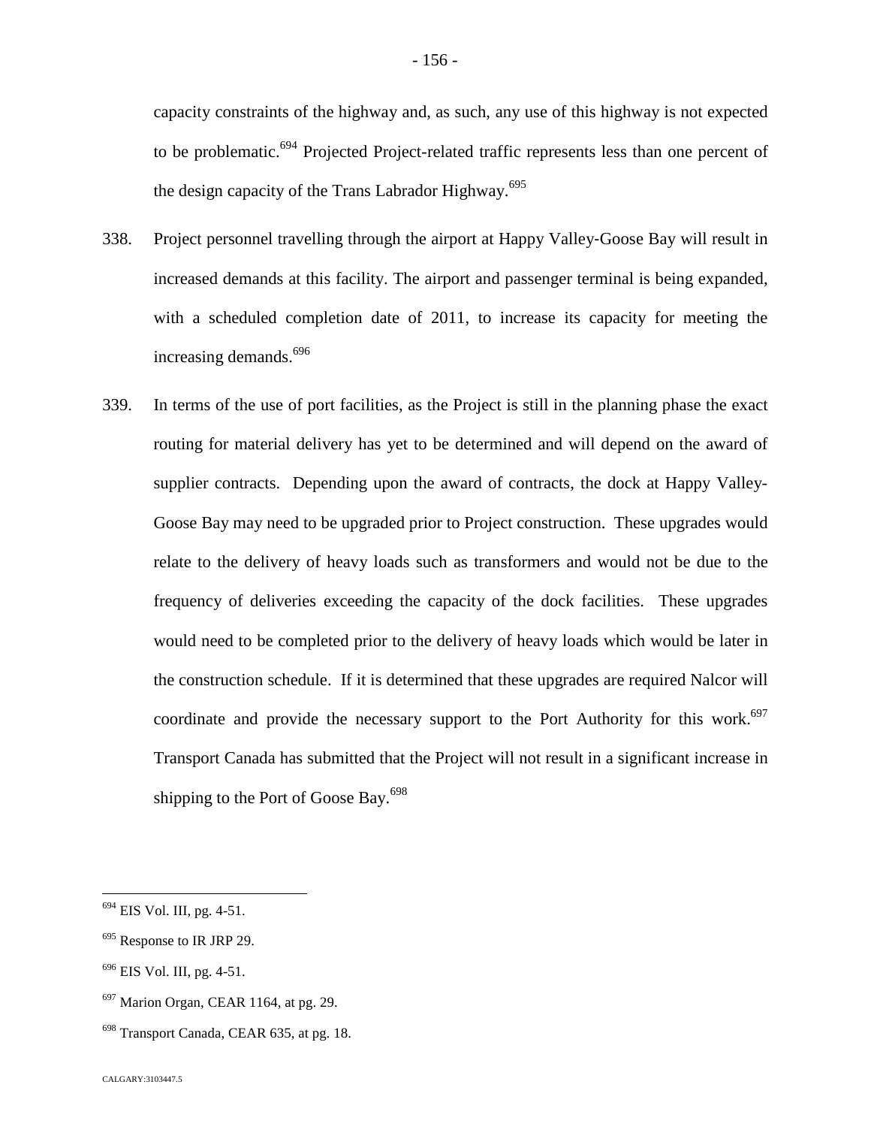capacity constraints of the highway and, as such, any use of this highway is not expected to be problematic.<sup>[694](#page-156-0)</sup> Projected Project-related traffic represents less than one percent of the design capacity of the Trans Labrador Highway.<sup>6[95](#page-156-1)</sup>

- 338. Project personnel travelling through the airport at Happy Valley‐Goose Bay will result in increased demands at this facility. The airport and passenger terminal is being expanded, with a scheduled completion date of 2011, to increase its capacity for meeting the increasing demands.<sup>6[96](#page-156-2)</sup>
- 339. In terms of the use of port facilities, as the Project is still in the planning phase the exact routing for material delivery has yet to be determined and will depend on the award of supplier contracts. Depending upon the award of contracts, the dock at Happy Valley-Goose Bay may need to be upgraded prior to Project construction. These upgrades would relate to the delivery of heavy loads such as transformers and would not be due to the frequency of deliveries exceeding the capacity of the dock facilities. These upgrades would need to be completed prior to the delivery of heavy loads which would be later in the construction schedule. If it is determined that these upgrades are required Nalcor will coordinate and provide the necessary support to the Port Authority for this work.<sup>[697](#page-156-3)</sup> Transport Canada has submitted that the Project will not result in a significant increase in shipping to the Port of Goose Bay.<sup>6[98](#page-156-4)</sup>

<span id="page-156-0"></span><sup>694</sup> EIS Vol. III, pg. 4-51.

<span id="page-156-1"></span><sup>&</sup>lt;sup>695</sup> Response to IR JRP 29.

<span id="page-156-2"></span> $696$  EIS Vol. III, pg. 4-51.

<span id="page-156-3"></span> $697$  Marion Organ, CEAR 1164, at pg. 29.

<span id="page-156-4"></span><sup>698</sup> Transport Canada, CEAR 635, at pg. 18.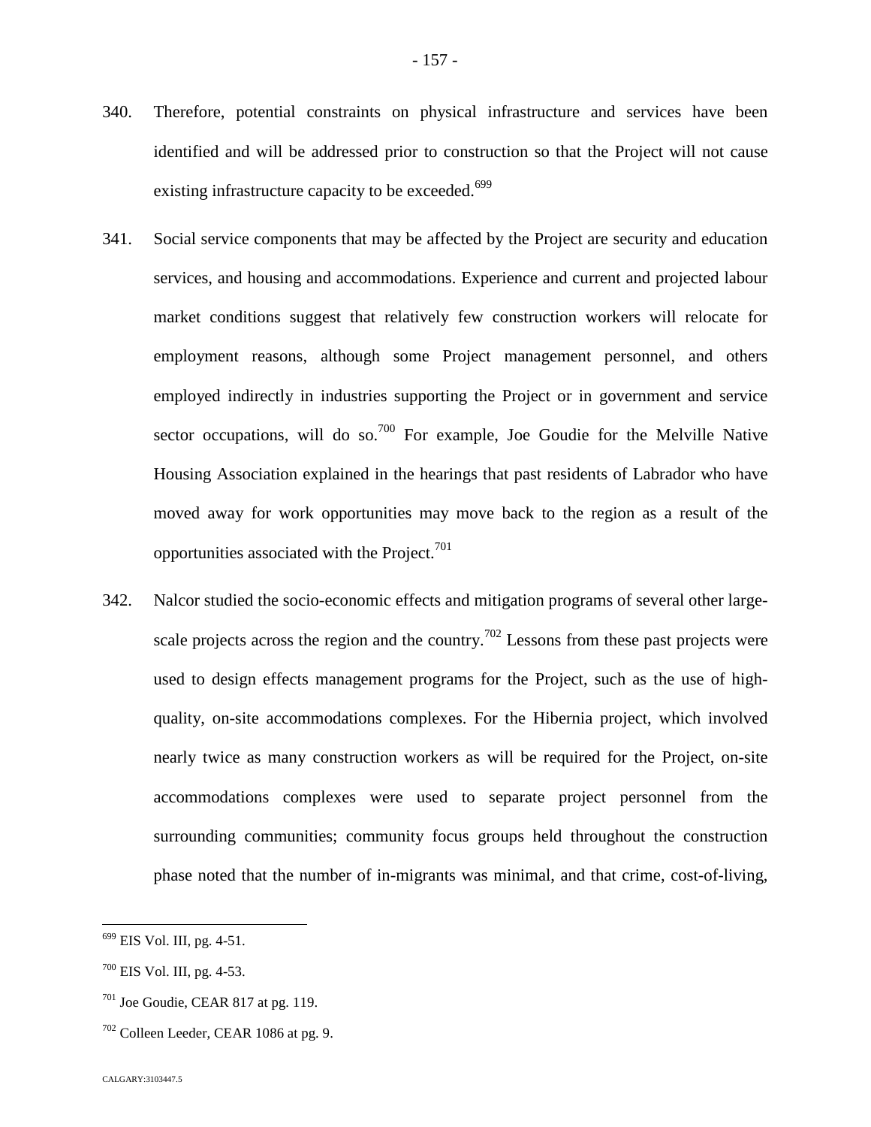- 340. Therefore, potential constraints on physical infrastructure and services have been identified and will be addressed prior to construction so that the Project will not cause existing infrastructure capacity to be exceeded.<sup>6[9](#page-157-0)9</sup>
- 341. Social service components that may be affected by the Project are security and education services, and housing and accommodations. Experience and current and projected labour market conditions suggest that relatively few construction workers will relocate for employment reasons, although some Project management personnel, and others employed indirectly in industries supporting the Project or in government and service sector occupations, will do so.<sup>[700](#page-157-1)</sup> For example, Joe Goudie for the Melville Native Housing Association explained in the hearings that past residents of Labrador who have moved away for work opportunities may move back to the region as a result of the opportunities associated with the Project.<sup>70[1](#page-157-2)</sup>
- 342. Nalcor studied the socio-economic effects and mitigation programs of several other large-scale projects across the region and the country.<sup>[702](#page-157-3)</sup> Lessons from these past projects were used to design effects management programs for the Project, such as the use of highquality, on-site accommodations complexes. For the Hibernia project, which involved nearly twice as many construction workers as will be required for the Project, on-site accommodations complexes were used to separate project personnel from the surrounding communities; community focus groups held throughout the construction phase noted that the number of in-migrants was minimal, and that crime, cost-of-living,

<span id="page-157-0"></span><sup>699</sup> EIS Vol. III, pg. 4-51.

<span id="page-157-1"></span> $700$  EIS Vol. III, pg. 4-53.

<span id="page-157-2"></span> $701$  Joe Goudie, CEAR 817 at pg. 119.

<span id="page-157-3"></span> $702$  Colleen Leeder, CEAR 1086 at pg. 9.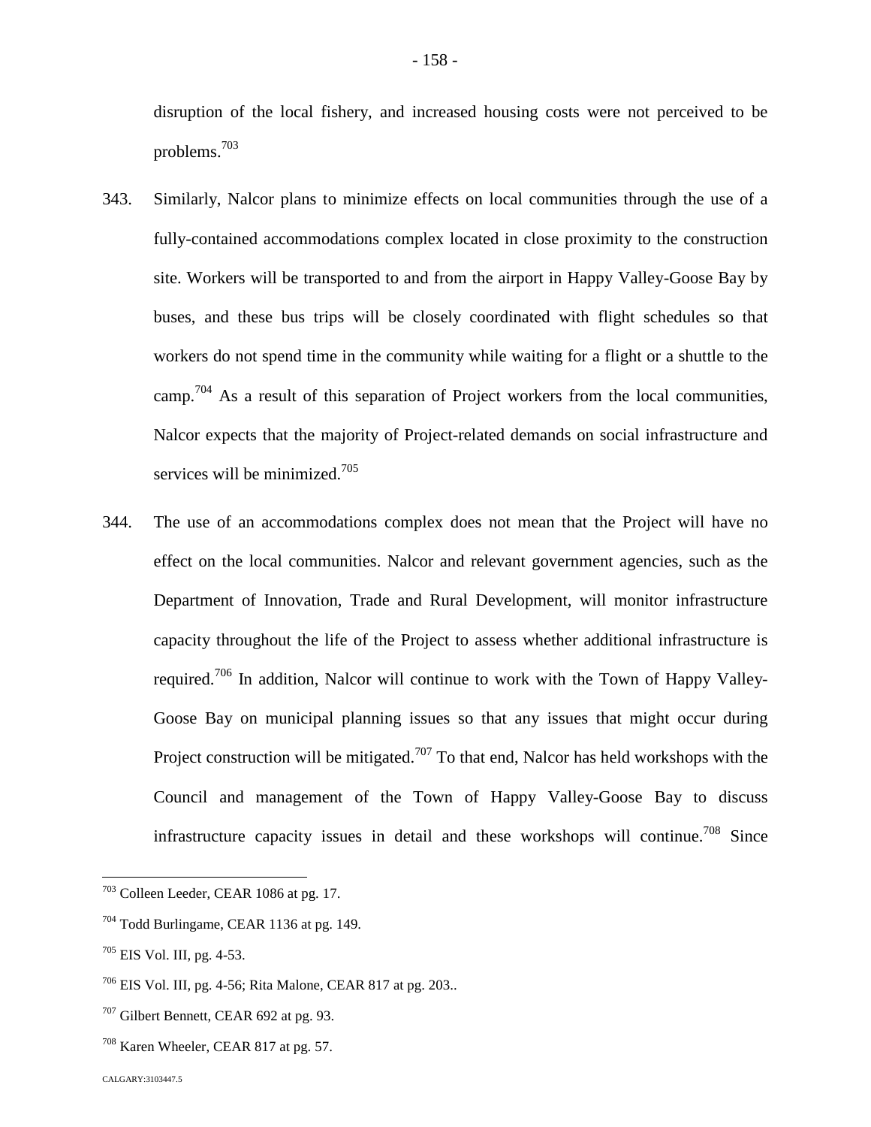disruption of the local fishery, and increased housing costs were not perceived to be problems.[703](#page-158-0)

- 343. Similarly, Nalcor plans to minimize effects on local communities through the use of a fully-contained accommodations complex located in close proximity to the construction site. Workers will be transported to and from the airport in Happy Valley-Goose Bay by buses, and these bus trips will be closely coordinated with flight schedules so that workers do not spend time in the community while waiting for a flight or a shuttle to the camp.<sup>[704](#page-158-1)</sup> As a result of this separation of Project workers from the local communities, Nalcor expects that the majority of Project-related demands on social infrastructure and services will be minimized.<sup>[705](#page-158-2)</sup>
- 344. The use of an accommodations complex does not mean that the Project will have no effect on the local communities. Nalcor and relevant government agencies, such as the Department of Innovation, Trade and Rural Development, will monitor infrastructure capacity throughout the life of the Project to assess whether additional infrastructure is required.[706](#page-158-3) In addition, Nalcor will continue to work with the Town of Happy Valley-Goose Bay on municipal planning issues so that any issues that might occur during Project construction will be mitigated.<sup>[707](#page-158-4)</sup> To that end, Nalcor has held workshops with the Council and management of the Town of Happy Valley-Goose Bay to discuss infrastructure capacity issues in detail and these workshops will continue.<sup>[708](#page-158-5)</sup> Since

<span id="page-158-0"></span><sup>703</sup> Colleen Leeder, CEAR 1086 at pg. 17.

<span id="page-158-1"></span> $704$  Todd Burlingame, CEAR 1136 at pg. 149.

<span id="page-158-2"></span> $705$  EIS Vol. III, pg. 4-53.

<span id="page-158-3"></span> $706$  EIS Vol. III, pg. 4-56; Rita Malone, CEAR 817 at pg. 203..

<span id="page-158-4"></span> $707$  Gilbert Bennett, CEAR 692 at pg. 93.

<span id="page-158-5"></span><sup>708</sup> Karen Wheeler, CEAR 817 at pg. 57.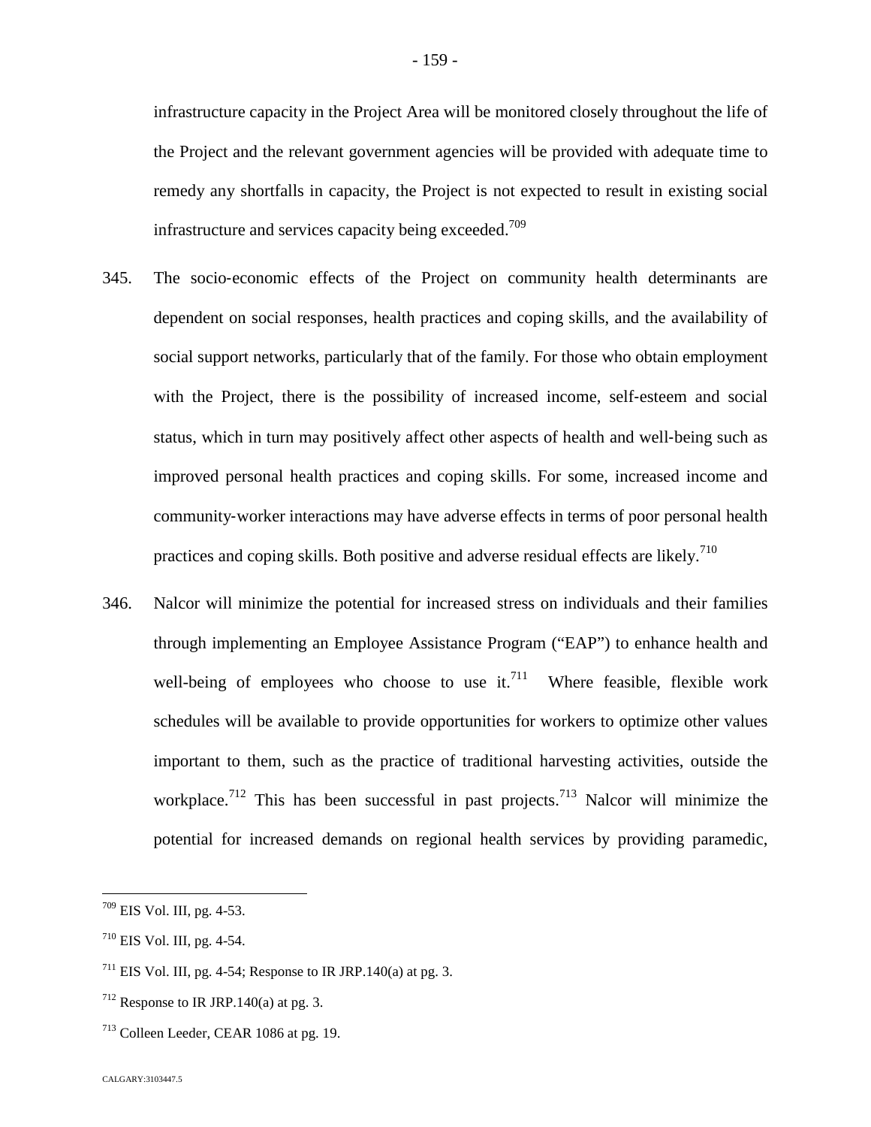infrastructure capacity in the Project Area will be monitored closely throughout the life of the Project and the relevant government agencies will be provided with adequate time to remedy any shortfalls in capacity, the Project is not expected to result in existing social infrastructure and services capacity being exceeded.<sup>70[9](#page-159-0)</sup>

- 345. The socio‐economic effects of the Project on community health determinants are dependent on social responses, health practices and coping skills, and the availability of social support networks, particularly that of the family. For those who obtain employment with the Project, there is the possibility of increased income, self-esteem and social status, which in turn may positively affect other aspects of health and well‐being such as improved personal health practices and coping skills. For some, increased income and community-worker interactions may have adverse effects in terms of poor personal health practices and coping skills. Both positive and adverse residual effects are likely.<sup>710</sup>
- 346. Nalcor will minimize the potential for increased stress on individuals and their families through implementing an Employee Assistance Program ("EAP") to enhance health and well-beingof employees who choose to use it[.](#page-159-1)<sup>711</sup> Where feasible, flexible work schedules will be available to provide opportunities for workers to optimize other values important to them, such as the practice of traditional harvesting activities, outside the workplace.<sup>[712](#page-159-2)</sup> This has been successful in past projects.<sup>[713](#page-159-3)</sup> Nalcor will minimize the potential for increased demands on regional health services by providing paramedic,

<span id="page-159-0"></span><sup>709</sup> EIS Vol. III, pg. 4-53.

 $710$  EIS Vol. III, pg. 4-54.

<span id="page-159-1"></span><sup>&</sup>lt;sup>711</sup> EIS Vol. III, pg. 4-54; Response to IR JRP.140(a) at pg. 3.

<span id="page-159-2"></span> $712$  Response to IR JRP.140(a) at pg. 3.

<span id="page-159-3"></span><sup>713</sup> Colleen Leeder, CEAR 1086 at pg. 19.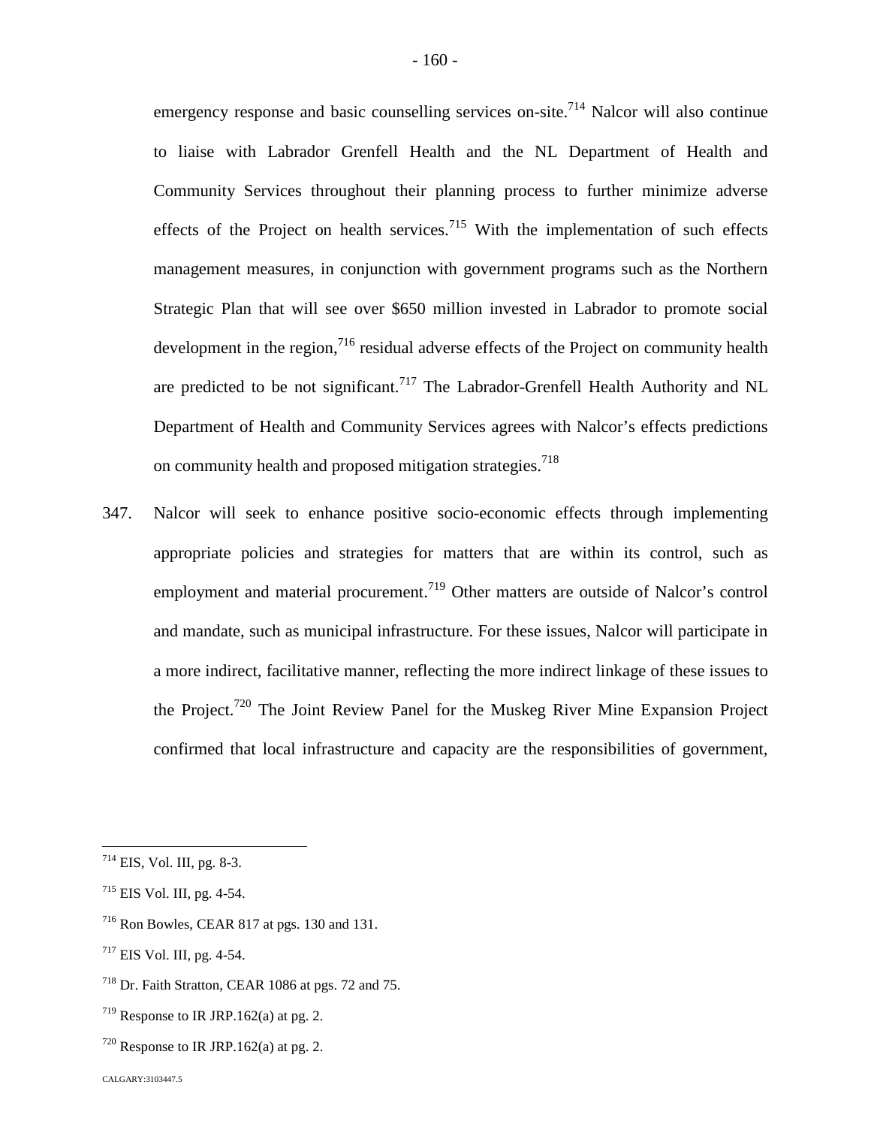emergency response and basic counselling services on-site.<sup>[714](#page-160-0)</sup> Nalcor will also continue to liaise with Labrador Grenfell Health and the NL Department of Health and Community Services throughout their planning process to further minimize adverse effects of the Project on health services.<sup>[715](#page-160-1)</sup> With the implementation of such effects management measures, in conjunction with government programs such as the Northern Strategic Plan that will see over \$650 million invested in Labrador to promote social development in the region, $716$  residual adverse effects of the Project on community health are predicted to be not significant.<sup>[717](#page-160-3)</sup> The Labrador-Grenfell Health Authority and NL Department of Health and Community Services agrees with Nalcor's effects predictions on community health and proposed mitigation strategies.<sup>71[8](#page-160-4)</sup>

347. Nalcor will seek to enhance positive socio-economic effects through implementing appropriate policies and strategies for matters that are within its control, such as employment and material procurement.<sup>[719](#page-160-5)</sup> Other matters are outside of Nalcor's control and mandate, such as municipal infrastructure. For these issues, Nalcor will participate in a more indirect, facilitative manner, reflecting the more indirect linkage of these issues to the Project.[720](#page-160-6) The Joint Review Panel for the Muskeg River Mine Expansion Project confirmed that local infrastructure and capacity are the responsibilities of government,

<span id="page-160-0"></span> $714$  EIS, Vol. III, pg. 8-3.

<span id="page-160-1"></span> $715$  EIS Vol. III, pg. 4-54.

<span id="page-160-2"></span><sup>716</sup> Ron Bowles, CEAR 817 at pgs. 130 and 131.

<span id="page-160-3"></span><sup>717</sup> EIS Vol. III, pg. 4-54.

<span id="page-160-4"></span><sup>718</sup> Dr. Faith Stratton, CEAR 1086 at pgs. 72 and 75.

<span id="page-160-5"></span> $719$  Response to IR JRP.162(a) at pg. 2.

<span id="page-160-6"></span> $720$  Response to IR JRP.162(a) at pg. 2.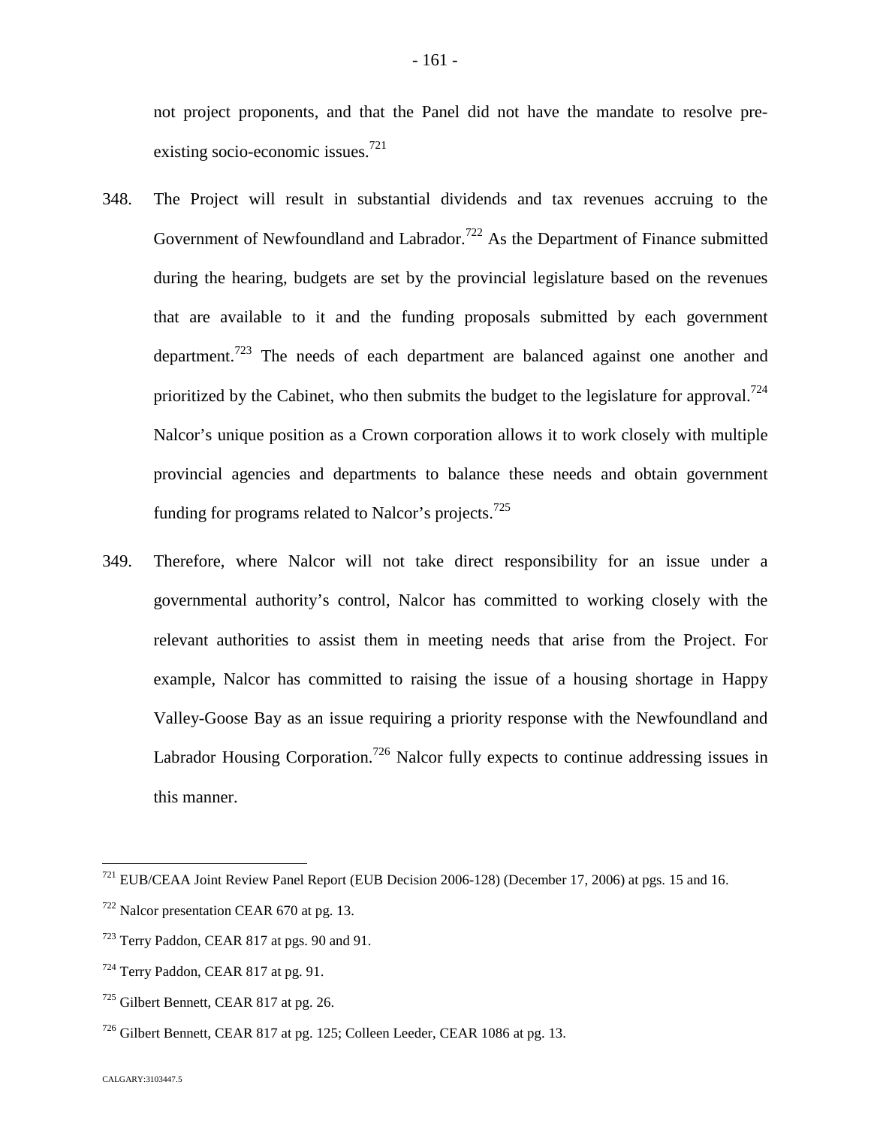not project proponents, and that the Panel did not have the mandate to resolve pre-existing socio-economic issues.<sup>7[21](#page-161-0)</sup>

- 348. The Project will result in substantial dividends and tax revenues accruing to the Government of Newfoundland and Labrador.<sup>[722](#page-161-1)</sup> As the Department of Finance submitted during the hearing, budgets are set by the provincial legislature based on the revenues that are available to it and the funding proposals submitted by each government department.[723](#page-161-2) The needs of each department are balanced against one another and prioritized by the Cabinet, who then submits the budget to the legislature for approval.<sup>[724](#page-161-3)</sup> Nalcor's unique position as a Crown corporation allows it to work closely with multiple provincial agencies and departments to balance these needs and obtain government funding for programs related to Nalcor's projects.<sup>72[5](#page-161-4)</sup>
- 349. Therefore, where Nalcor will not take direct responsibility for an issue under a governmental authority's control, Nalcor has committed to working closely with the relevant authorities to assist them in meeting needs that arise from the Project. For example, Nalcor has committed to raising the issue of a housing shortage in Happy Valley-Goose Bay as an issue requiring a priority response with the Newfoundland and Labrador Housing Corporation.<sup>[726](#page-161-5)</sup> Nalcor fully expects to continue addressing issues in this manner.

<span id="page-161-0"></span><sup>721</sup> EUB/CEAA Joint Review Panel Report (EUB Decision 2006-128) (December 17, 2006) at pgs. 15 and 16.

<span id="page-161-1"></span> $722$  Nalcor presentation CEAR 670 at pg. 13.

<span id="page-161-2"></span><sup>723</sup> Terry Paddon, CEAR 817 at pgs. 90 and 91.

<span id="page-161-3"></span><sup>724</sup> Terry Paddon, CEAR 817 at pg. 91.

<span id="page-161-4"></span><sup>725</sup> Gilbert Bennett, CEAR 817 at pg. 26.

<span id="page-161-5"></span><sup>726</sup> Gilbert Bennett, CEAR 817 at pg. 125; Colleen Leeder, CEAR 1086 at pg. 13.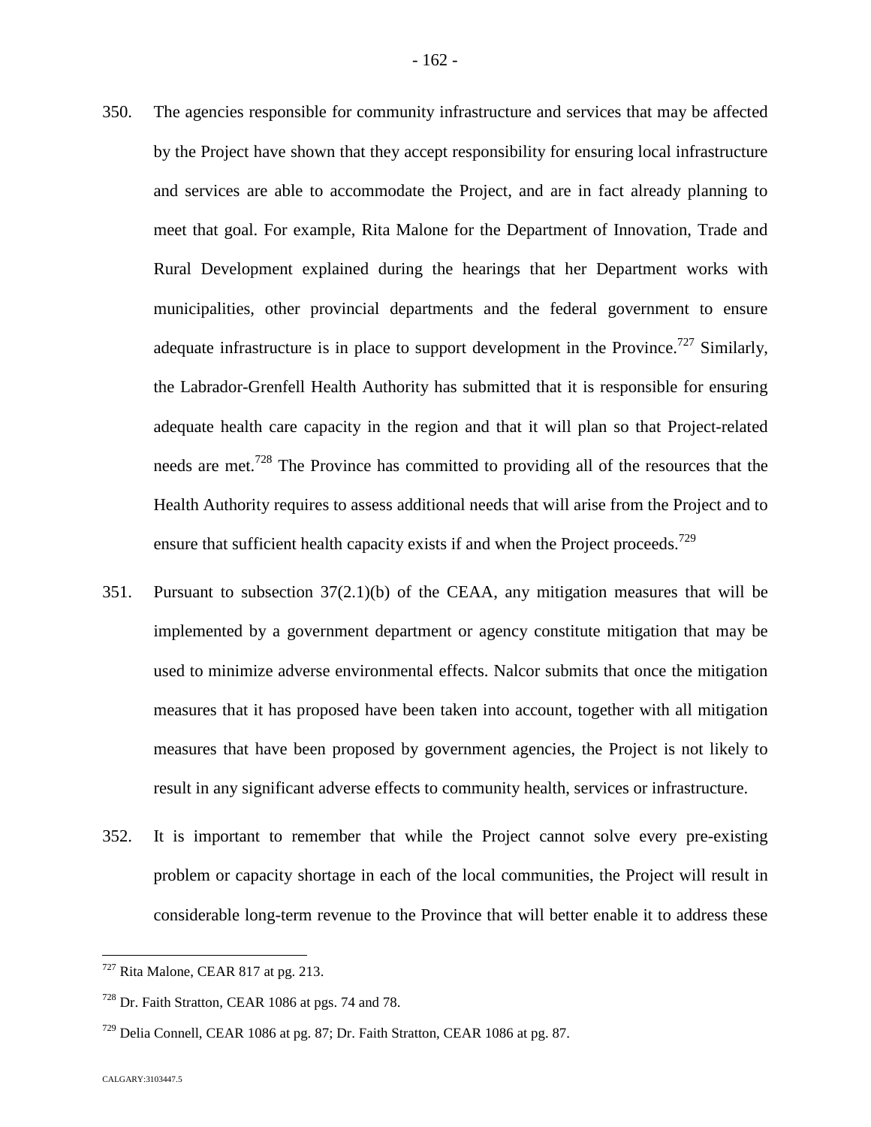- 350. The agencies responsible for community infrastructure and services that may be affected by the Project have shown that they accept responsibility for ensuring local infrastructure and services are able to accommodate the Project, and are in fact already planning to meet that goal. For example, Rita Malone for the Department of Innovation, Trade and Rural Development explained during the hearings that her Department works with municipalities, other provincial departments and the federal government to ensure adequate infrastructure is in place to support development in the Province.<sup>[727](#page-162-0)</sup> Similarly, the Labrador-Grenfell Health Authority has submitted that it is responsible for ensuring adequate health care capacity in the region and that it will plan so that Project-related needs are met.<sup>[728](#page-162-1)</sup> The Province has committed to providing all of the resources that the Health Authority requires to assess additional needs that will arise from the Project and to ensure that sufficient health capacity exists if and when the Project proceeds.<sup>729</sup>
- 351. Pursuant to subsection 37(2.1)(b) of the CEAA, any mitigation measures that will be implemented by a government department or agency constitute mitigation that may be used to minimize adverse environmental effects. Nalcor submits that once the mitigation measures that it has proposed have been taken into account, together with all mitigation measures that have been proposed by government agencies, the Project is not likely to result in any significant adverse effects to community health, services or infrastructure.
- 352. It is important to remember that while the Project cannot solve every pre-existing problem or capacity shortage in each of the local communities, the Project will result in considerable long-term revenue to the Province that will better enable it to address these

<span id="page-162-0"></span><sup>727</sup> Rita Malone, CEAR 817 at pg. 213.

<span id="page-162-1"></span><sup>&</sup>lt;sup>728</sup> Dr. Faith Stratton, CEAR 1086 at pgs. 74 and 78.

 $729$  Delia Connell, CEAR 1086 at pg. 87; Dr. Faith Stratton, CEAR 1086 at pg. 87.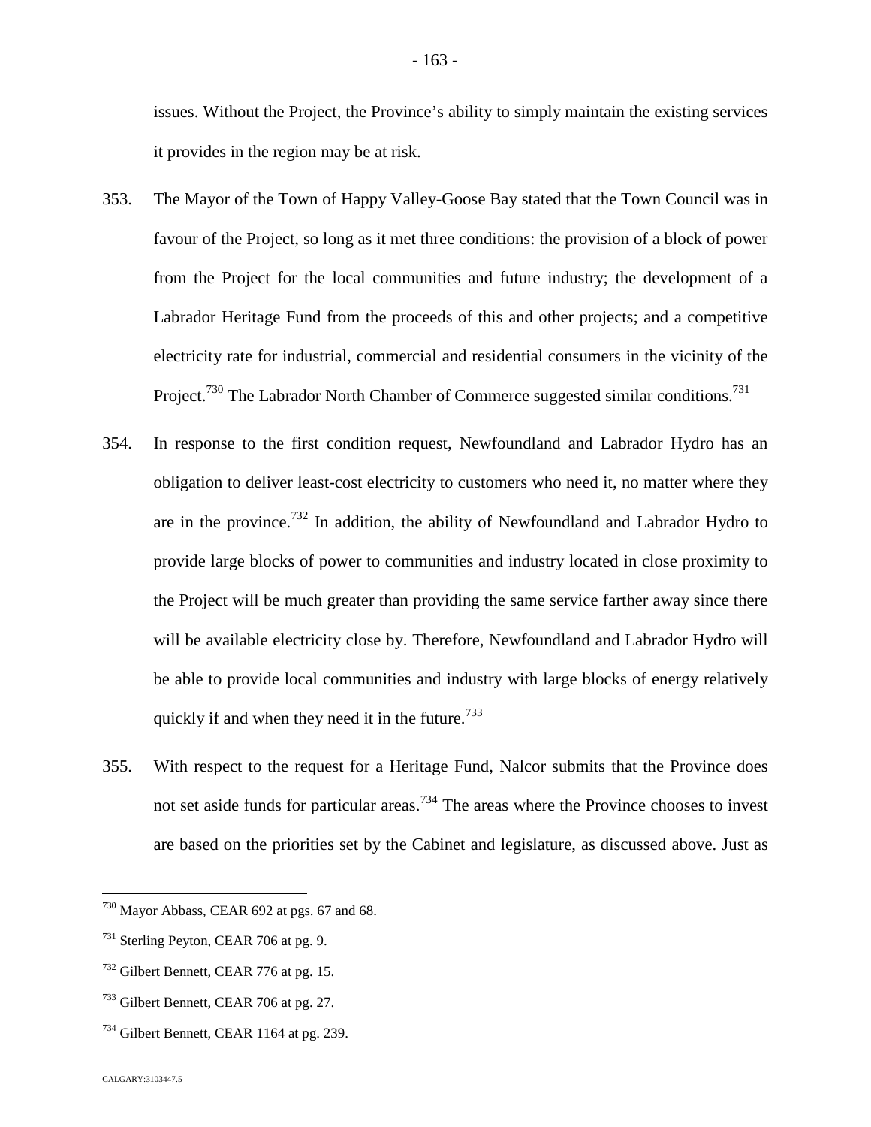issues. Without the Project, the Province's ability to simply maintain the existing services it provides in the region may be at risk.

- 353. The Mayor of the Town of Happy Valley-Goose Bay stated that the Town Council was in favour of the Project, so long as it met three conditions: the provision of a block of power from the Project for the local communities and future industry; the development of a Labrador Heritage Fund from the proceeds of this and other projects; and a competitive electricity rate for industrial, commercial and residential consumers in the vicinity of the Project.<sup>[730](#page-163-0)</sup> The Labrador North Chamber of Commerce suggested similar conditions.<sup>73[1](#page-163-1)</sup>
- 354. In response to the first condition request, Newfoundland and Labrador Hydro has an obligation to deliver least-cost electricity to customers who need it, no matter where they are in the province.<sup>[732](#page-163-2)</sup> In addition, the ability of Newfoundland and Labrador Hydro to provide large blocks of power to communities and industry located in close proximity to the Project will be much greater than providing the same service farther away since there will be available electricity close by. Therefore, Newfoundland and Labrador Hydro will be able to provide local communities and industry with large blocks of energy relatively quickly if and when they need it in the future.<sup>7[3](#page-163-3)3</sup>
- 355. With respect to the request for a Heritage Fund, Nalcor submits that the Province does not set aside funds for particular areas.<sup>[734](#page-163-4)</sup> The areas where the Province chooses to invest are based on the priorities set by the Cabinet and legislature, as discussed above. Just as

<span id="page-163-0"></span><sup>730</sup> Mayor Abbass, CEAR 692 at pgs. 67 and 68.

<span id="page-163-1"></span><sup>&</sup>lt;sup>731</sup> Sterling Peyton, CEAR 706 at pg. 9.

<span id="page-163-2"></span><sup>732</sup> Gilbert Bennett, CEAR 776 at pg. 15.

<span id="page-163-3"></span><sup>733</sup> Gilbert Bennett, CEAR 706 at pg. 27.

<span id="page-163-4"></span><sup>&</sup>lt;sup>734</sup> Gilbert Bennett, CEAR 1164 at pg. 239.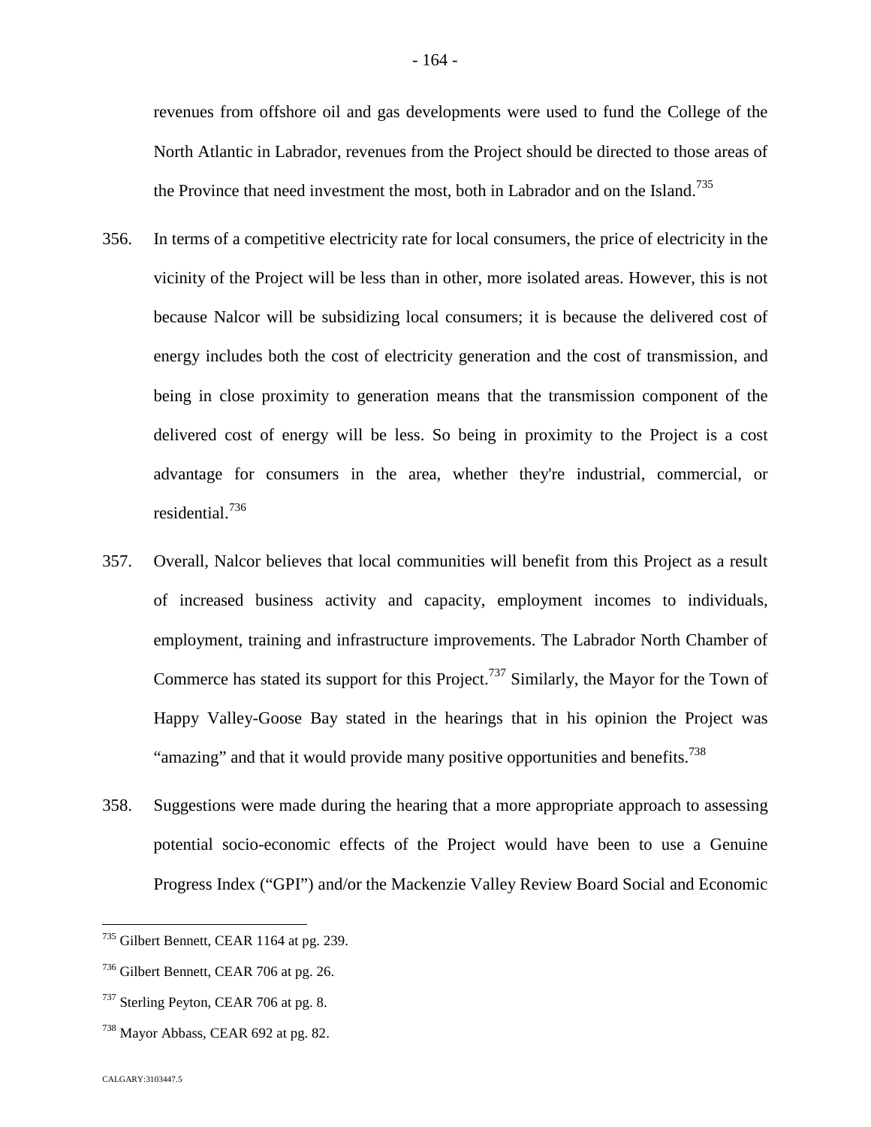revenues from offshore oil and gas developments were used to fund the College of the North Atlantic in Labrador, revenues from the Project should be directed to those areas of the Province that need investment the most, both in Labrador and on the Island.<sup>735</sup>

- 356. In terms of a competitive electricity rate for local consumers, the price of electricity in the vicinity of the Project will be less than in other, more isolated areas. However, this is not because Nalcor will be subsidizing local consumers; it is because the delivered cost of energy includes both the cost of electricity generation and the cost of transmission, and being in close proximity to generation means that the transmission component of the delivered cost of energy will be less. So being in proximity to the Project is a cost advantage for consumers in the area, whether they're industrial, commercial, or residential.[736](#page-164-0)
- 357. Overall, Nalcor believes that local communities will benefit from this Project as a result of increased business activity and capacity, employment incomes to individuals, employment, training and infrastructure improvements. The Labrador North Chamber of Commerce has stated its support for this Project.<sup>[737](#page-164-1)</sup> Similarly, the Mayor for the Town of Happy Valley-Goose Bay stated in the hearings that in his opinion the Project was "amazing" and that it would provide many positive opportunities and benefits.<sup>738</sup>
- 358. Suggestions were made during the hearing that a more appropriate approach to assessing potential socio-economic effects of the Project would have been to use a Genuine Progress Index ("GPI") and/or the Mackenzie Valley Review Board Social and Economic

<sup>735</sup> Gilbert Bennett, CEAR 1164 at pg. 239.

<span id="page-164-0"></span><sup>736</sup> Gilbert Bennett, CEAR 706 at pg. 26.

<span id="page-164-1"></span><sup>&</sup>lt;sup>737</sup> Sterling Peyton, CEAR 706 at pg. 8.

<sup>738</sup> Mayor Abbass, CEAR 692 at pg. 82.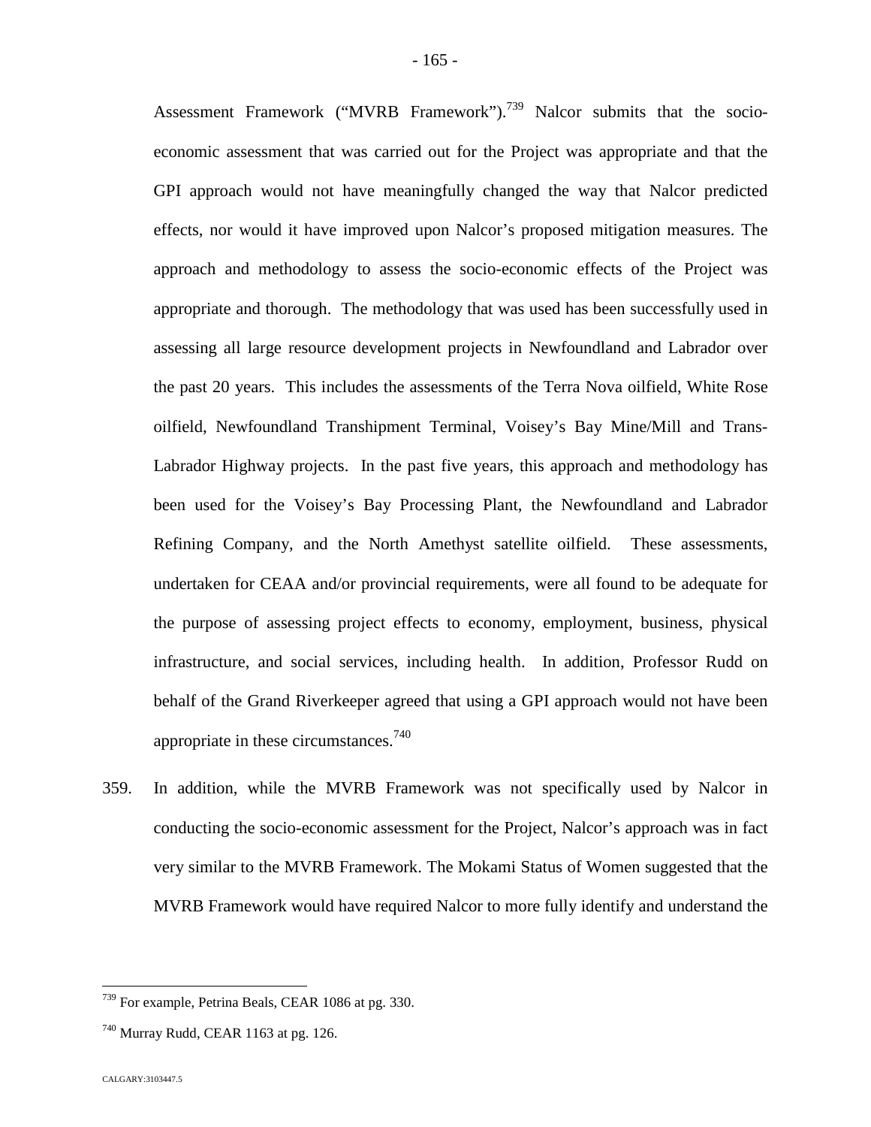Assessment Framework ("MVRB Framework").<sup>[739](#page-165-0)</sup> Nalcor submits that the socioeconomic assessment that was carried out for the Project was appropriate and that the GPI approach would not have meaningfully changed the way that Nalcor predicted effects, nor would it have improved upon Nalcor's proposed mitigation measures. The approach and methodology to assess the socio-economic effects of the Project was appropriate and thorough. The methodology that was used has been successfully used in assessing all large resource development projects in Newfoundland and Labrador over the past 20 years. This includes the assessments of the Terra Nova oilfield, White Rose oilfield, Newfoundland Transhipment Terminal, Voisey's Bay Mine/Mill and Trans-Labrador Highway projects. In the past five years, this approach and methodology has been used for the Voisey's Bay Processing Plant, the Newfoundland and Labrador Refining Company, and the North Amethyst satellite oilfield. These assessments, undertaken for CEAA and/or provincial requirements, were all found to be adequate for the purpose of assessing project effects to economy, employment, business, physical infrastructure, and social services, including health. In addition, Professor Rudd on behalf of the Grand Riverkeeper agreed that using a GPI approach would not have been appropriate in these circumstances.<sup>7[40](#page-165-1)</sup>

359. In addition, while the MVRB Framework was not specifically used by Nalcor in conducting the socio-economic assessment for the Project, Nalcor's approach was in fact very similar to the MVRB Framework. The Mokami Status of Women suggested that the MVRB Framework would have required Nalcor to more fully identify and understand the

<span id="page-165-0"></span><sup>739</sup> For example, Petrina Beals, CEAR 1086 at pg. 330.

<span id="page-165-1"></span> $740$  Murray Rudd, CEAR 1163 at pg. 126.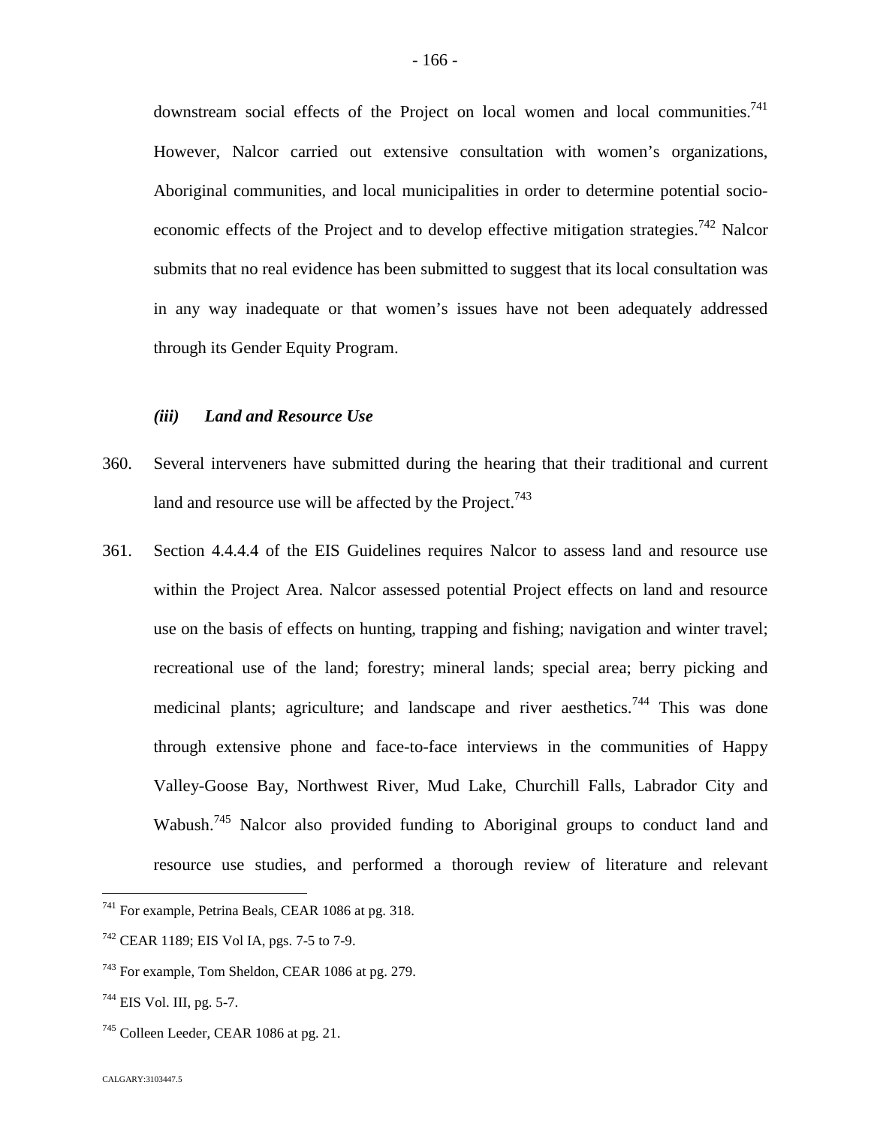downstream social effects of the Project on local women and local communities.<sup>[741](#page-166-0)</sup> However, Nalcor carried out extensive consultation with women's organizations, Aboriginal communities, and local municipalities in order to determine potential socio-economic effects of the Project and to develop effective mitigation strategies.<sup>[742](#page-166-1)</sup> Nalcor submits that no real evidence has been submitted to suggest that its local consultation was in any way inadequate or that women's issues have not been adequately addressed through its Gender Equity Program.

## *(iii) Land and Resource Use*

- 360. Several interveners have submitted during the hearing that their traditional and current land and resource use will be affected by the Project.<sup>74[3](#page-166-2)</sup>
- 361. Section 4.4.4.4 of the EIS Guidelines requires Nalcor to assess land and resource use within the Project Area. Nalcor assessed potential Project effects on land and resource use on the basis of effects on hunting, trapping and fishing; navigation and winter travel; recreational use of the land; forestry; mineral lands; special area; berry picking and medicinal plants; agriculture; and landscape and river aesthetics.<sup>[744](#page-166-3)</sup> This was done through extensive phone and face-to-face interviews in the communities of Happy Valley-Goose Bay, Northwest River, Mud Lake, Churchill Falls, Labrador City and Wabush.<sup>[745](#page-166-4)</sup> Nalcor also provided funding to Aboriginal groups to conduct land and resource use studies, and performed a thorough review of literature and relevant

<span id="page-166-0"></span><sup>741</sup> For example, Petrina Beals, CEAR 1086 at pg. 318.

<span id="page-166-1"></span> $742$  CEAR 1189; EIS Vol IA, pgs. 7-5 to 7-9.

<span id="page-166-2"></span><sup>743</sup> For example, Tom Sheldon, CEAR 1086 at pg. 279.

<span id="page-166-3"></span><sup>744</sup> EIS Vol. III, pg. 5-7.

<span id="page-166-4"></span><sup>&</sup>lt;sup>745</sup> Colleen Leeder, CEAR 1086 at pg. 21.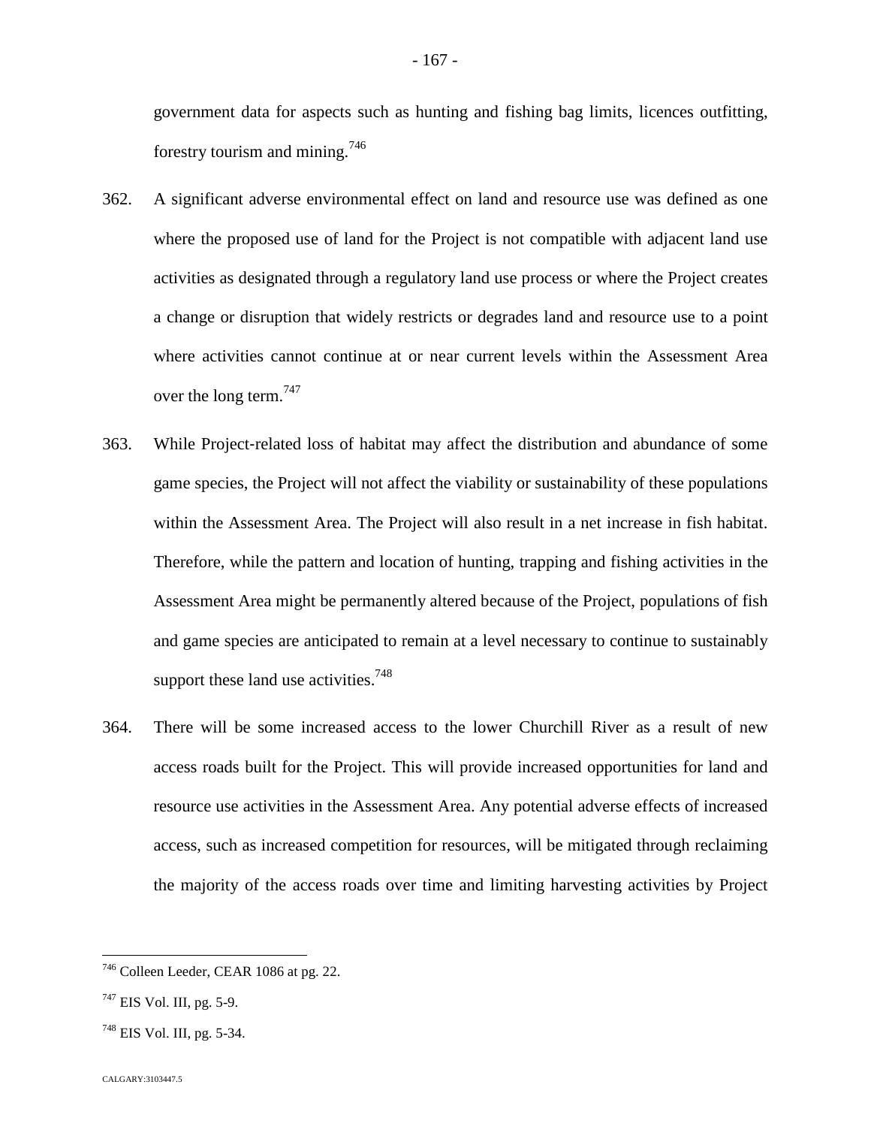forestry tourism and mining.7[46](#page-167-0)

- 362. A significant adverse environmental effect on land and resource use was defined as one where the proposed use of land for the Project is not compatible with adjacent land use activities as designated through a regulatory land use process or where the Project creates a change or disruption that widely restricts or degrades land and resource use to a point where activities cannot continue at or near current levels within the Assessment Area over the long term.  $747$
- 363. While Project-related loss of habitat may affect the distribution and abundance of some game species, the Project will not affect the viability or sustainability of these populations within the Assessment Area. The Project will also result in a net increase in fish habitat. Therefore, while the pattern and location of hunting, trapping and fishing activities in the Assessment Area might be permanently altered because of the Project, populations of fish and game species are anticipated to remain at a level necessary to continue to sustainably support these land use activities.<sup>7[48](#page-167-2)</sup>
- 364. There will be some increased access to the lower Churchill River as a result of new access roads built for the Project. This will provide increased opportunities for land and resource use activities in the Assessment Area. Any potential adverse effects of increased access, such as increased competition for resources, will be mitigated through reclaiming the majority of the access roads over time and limiting harvesting activities by Project

<span id="page-167-0"></span><sup>746</sup> Colleen Leeder, CEAR 1086 at pg. 22.

<span id="page-167-1"></span> $747$  EIS Vol. III, pg. 5-9.

<span id="page-167-2"></span> $748$  EIS Vol. III, pg. 5-34.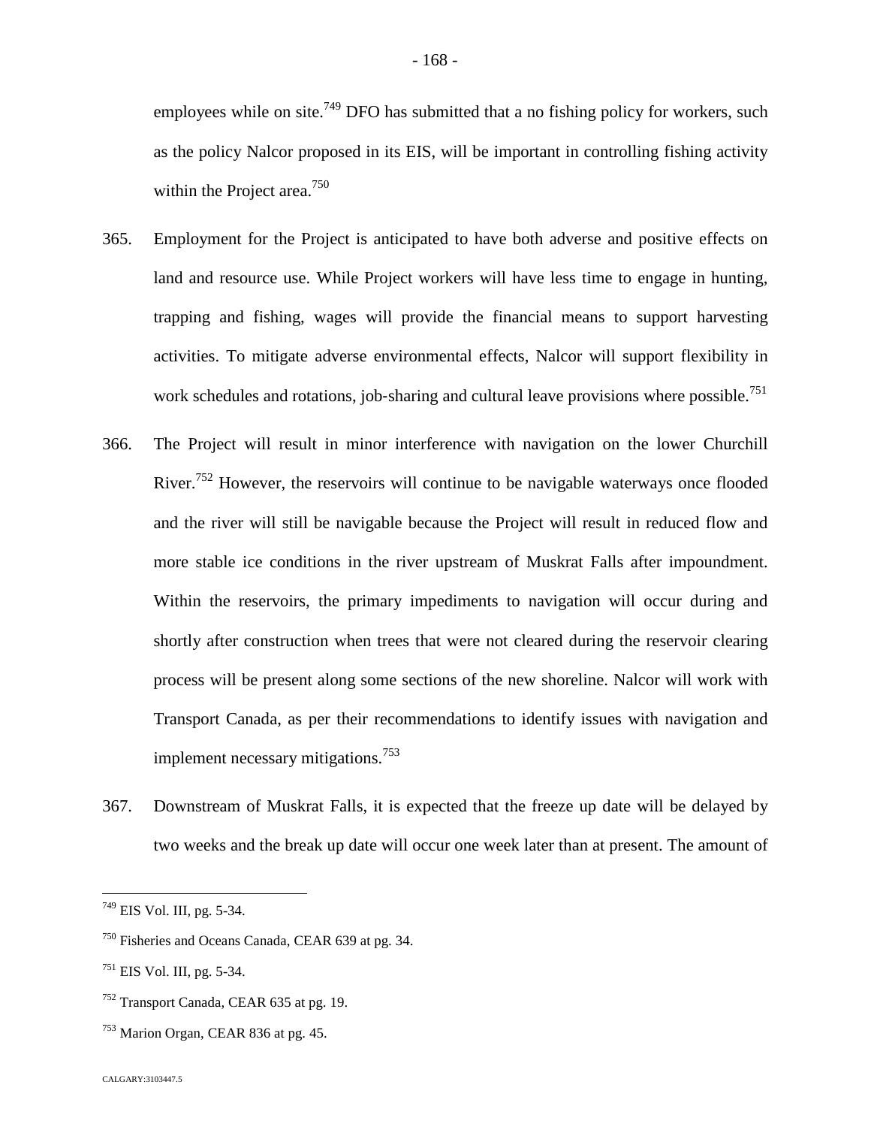employees while on site.<sup>[749](#page-168-0)</sup> DFO has submitted that a no fishing policy for workers, such as the policy Nalcor proposed in its EIS, will be important in controlling fishing activity within the Project area.<sup>[750](#page-168-1)</sup>

- 365. Employment for the Project is anticipated to have both adverse and positive effects on land and resource use. While Project workers will have less time to engage in hunting, trapping and fishing, wages will provide the financial means to support harvesting activities. To mitigate adverse environmental effects, Nalcor will support flexibility in work schedules and rotations, job-sharing and cultural leave provisions where possible.<sup>[751](#page-168-2)</sup>
- 366. The Project will result in minor interference with navigation on the lower Churchill River.<sup>[752](#page-168-3)</sup> However, the reservoirs will continue to be navigable waterways once flooded and the river will still be navigable because the Project will result in reduced flow and more stable ice conditions in the river upstream of Muskrat Falls after impoundment. Within the reservoirs, the primary impediments to navigation will occur during and shortly after construction when trees that were not cleared during the reservoir clearing process will be present along some sections of the new shoreline. Nalcor will work with Transport Canada, as per their recommendations to identify issues with navigation and implement necessary mitigations.<sup>7[53](#page-168-4)</sup>
- 367. Downstream of Muskrat Falls, it is expected that the freeze up date will be delayed by two weeks and the break up date will occur one week later than at present. The amount of

<span id="page-168-0"></span><sup>749</sup> EIS Vol. III, pg. 5-34.

<span id="page-168-1"></span><sup>750</sup> Fisheries and Oceans Canada, CEAR 639 at pg. 34.

<span id="page-168-2"></span> $751$  EIS Vol. III, pg. 5-34.

<span id="page-168-3"></span><sup>752</sup> Transport Canada, CEAR 635 at pg. 19.

<span id="page-168-4"></span><sup>753</sup> Marion Organ, CEAR 836 at pg. 45.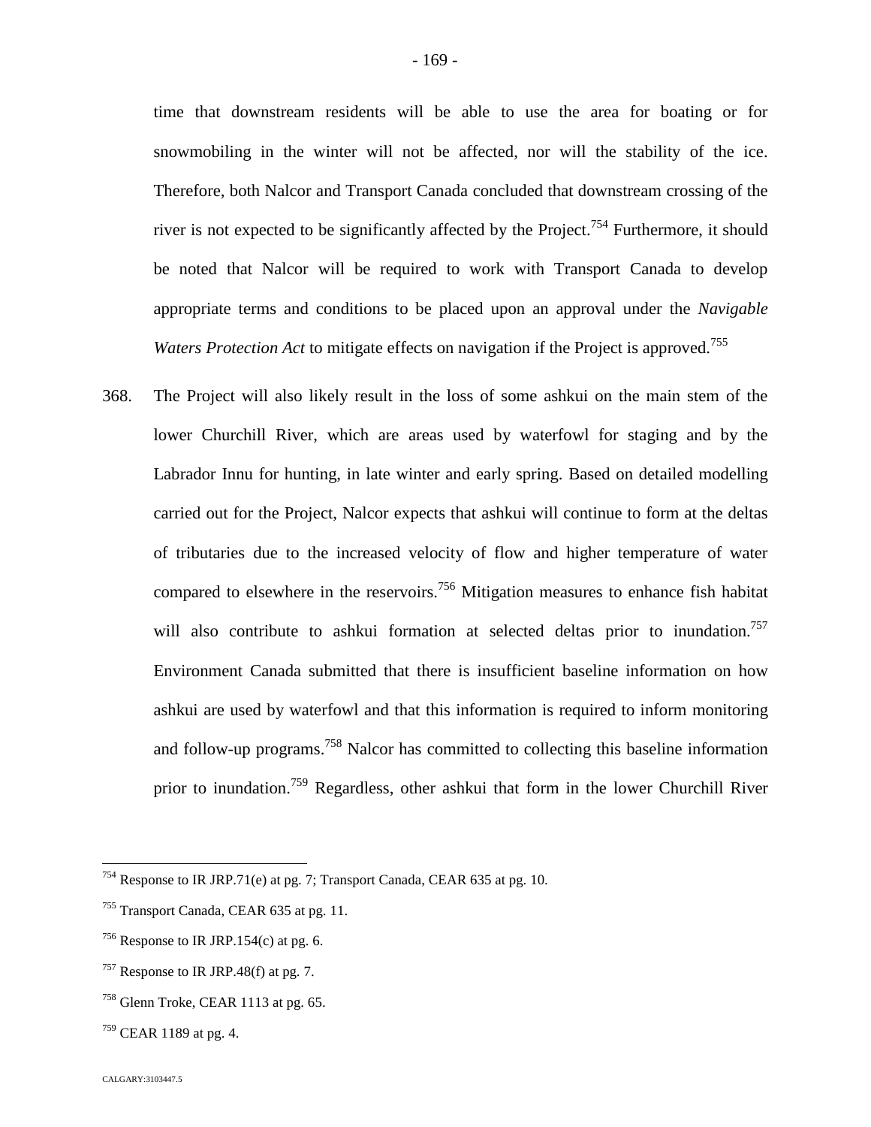time that downstream residents will be able to use the area for boating or for snowmobiling in the winter will not be affected, nor will the stability of the ice. Therefore, both Nalcor and Transport Canada concluded that downstream crossing of the river is not expected to be significantly affected by the Project.<sup>[754](#page-169-0)</sup> Furthermore, it should be noted that Nalcor will be required to work with Transport Canada to develop appropriate terms and conditions to be placed upon an approval under the *Navigable Waters Protection Act* to mitigate effects on navigation if the Project is approved.<sup>755</sup>

368. The Project will also likely result in the loss of some ashkui on the main stem of the lower Churchill River, which are areas used by waterfowl for staging and by the Labrador Innu for hunting, in late winter and early spring. Based on detailed modelling carried out for the Project, Nalcor expects that ashkui will continue to form at the deltas of tributaries due to the increased velocity of flow and higher temperature of water compared to elsewhere in the reservoirs.<sup>[756](#page-169-1)</sup> Mitigation measures to enhance fish habitat will also contribute to ashkui formation at selected deltas prior to inundation.<sup>[757](#page-169-2)</sup> Environment Canada submitted that there is insufficient baseline information on how ashkui are used by waterfowl and that this information is required to inform monitoring and follow-up programs.<sup>[758](#page-169-3)</sup> Nalcor has committed to collecting this baseline information prior to inundation.<sup>[759](#page-169-4)</sup> Regardless, other ashkui that form in the lower Churchill River

<span id="page-169-0"></span><sup>754</sup> Response to IR JRP.71(e) at pg. 7; Transport Canada, CEAR 635 at pg. 10.

<sup>755</sup> Transport Canada, CEAR 635 at pg. 11.

<span id="page-169-1"></span> $756$  Response to IR JRP.154(c) at pg. 6.

<span id="page-169-2"></span> $757$  Response to IR JRP.48(f) at pg. 7.

<span id="page-169-3"></span><sup>&</sup>lt;sup>758</sup> Glenn Troke, CEAR 1113 at pg. 65.

<span id="page-169-4"></span> $^{759}$  CEAR 1189 at pg. 4.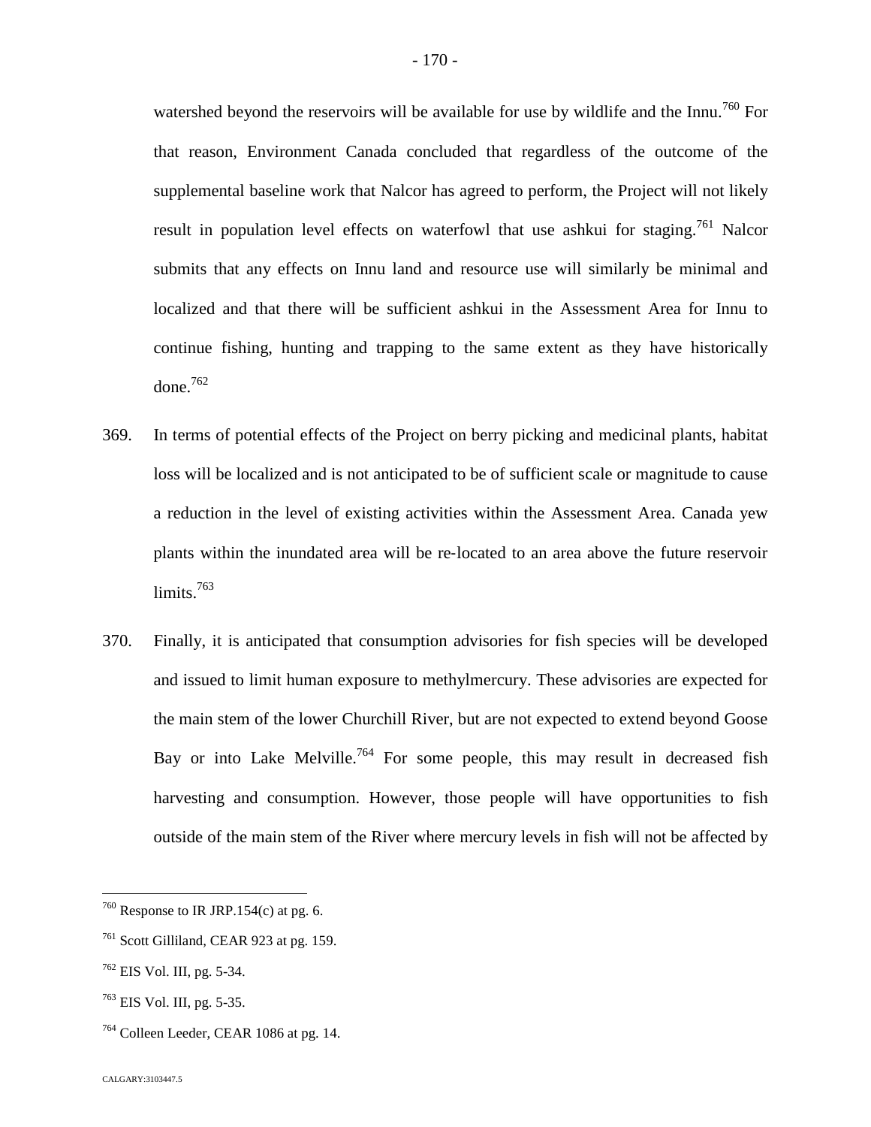watershed beyond the reservoirs will be available for use by wildlife and the Innu.<sup>[760](#page-170-0)</sup> For that reason, Environment Canada concluded that regardless of the outcome of the supplemental baseline work that Nalcor has agreed to perform, the Project will not likely result in population level effects on waterfowl that use ashkui for staging.<sup>[761](#page-170-1)</sup> Nalcor submits that any effects on Innu land and resource use will similarly be minimal and localized and that there will be sufficient ashkui in the Assessment Area for Innu to continue fishing, hunting and trapping to the same extent as they have historically done. $762$ 

- 369. In terms of potential effects of the Project on berry picking and medicinal plants, habitat loss will be localized and is not anticipated to be of sufficient scale or magnitude to cause a reduction in the level of existing activities within the Assessment Area. Canada yew plants within the inundated area will be re‐located to an area above the future reservoir limits.<sup>[763](#page-170-3)</sup>
- 370. Finally, it is anticipated that consumption advisories for fish species will be developed and issued to limit human exposure to methylmercury. These advisories are expected for the main stem of the lower Churchill River, but are not expected to extend beyond Goose Bay or into Lake Melville.<sup>[764](#page-170-4)</sup> For some people, this may result in decreased fish harvesting and consumption. However, those people will have opportunities to fish outside of the main stem of the River where mercury levels in fish will not be affected by

<span id="page-170-0"></span> $760$  Response to IR JRP.154(c) at pg. 6.

<span id="page-170-1"></span><sup>761</sup> Scott Gilliland, CEAR 923 at pg. 159.

<span id="page-170-2"></span> $762$  EIS Vol. III, pg. 5-34.

<span id="page-170-3"></span><sup>763</sup> EIS Vol. III, pg. 5-35.

<span id="page-170-4"></span><sup>&</sup>lt;sup>764</sup> Colleen Leeder, CEAR 1086 at pg. 14.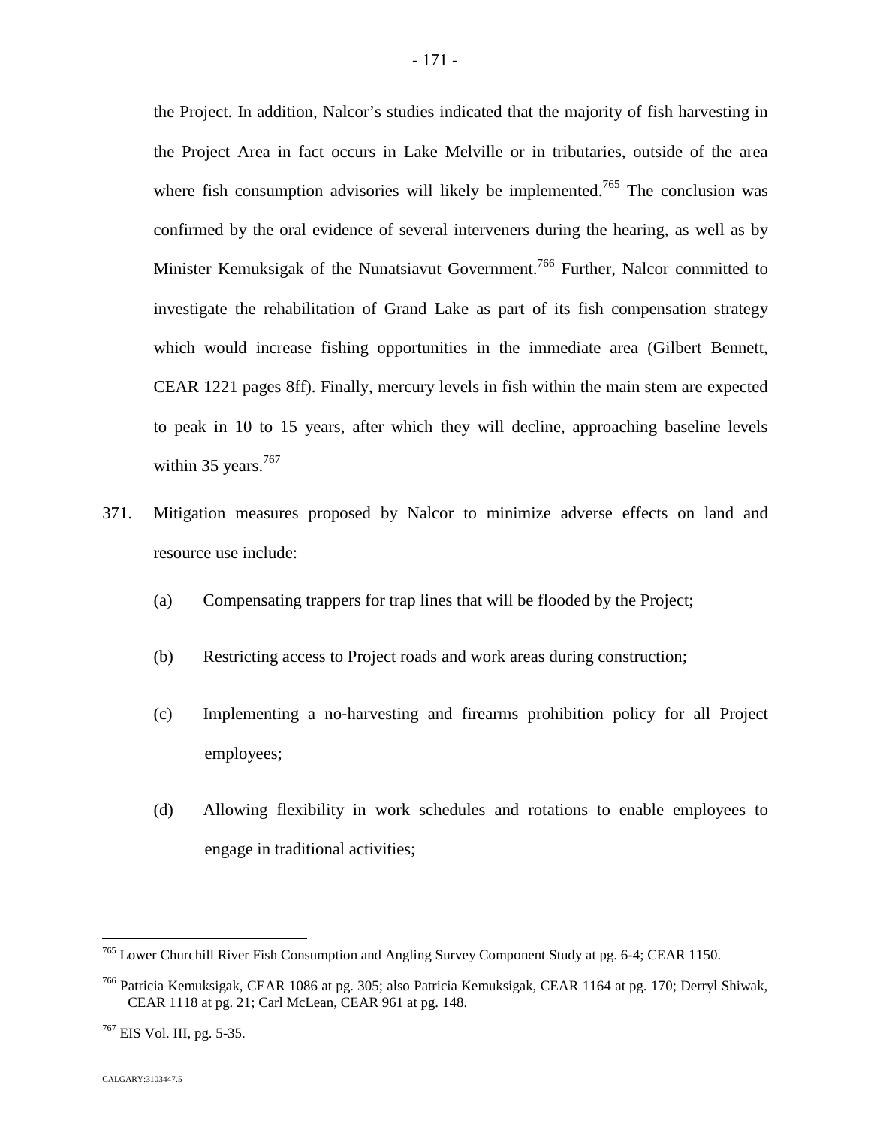the Project. In addition, Nalcor's studies indicated that the majority of fish harvesting in the Project Area in fact occurs in Lake Melville or in tributaries, outside of the area where fish consumption advisories will likely be implemented.<sup>[765](#page-171-0)</sup> The conclusion was confirmed by the oral evidence of several interveners during the hearing, as well as by Minister Kemuksigak of the Nunatsiavut Government.<sup>[766](#page-171-1)</sup> Further, Nalcor committed to investigate the rehabilitation of Grand Lake as part of its fish compensation strategy which would increase fishing opportunities in the immediate area (Gilbert Bennett, CEAR 1221 pages 8ff). Finally, mercury levels in fish within the main stem are expected to peak in 10 to 15 years, after which they will decline, approaching baseline levels within 35 years. $767$ 

- 371. Mitigation measures proposed by Nalcor to minimize adverse effects on land and resource use include:
	- (a) Compensating trappers for trap lines that will be flooded by the Project;
	- (b) Restricting access to Project roads and work areas during construction;
	- (c) Implementing a no‐harvesting and firearms prohibition policy for all Project employees;
	- (d) Allowing flexibility in work schedules and rotations to enable employees to engage in traditional activities;

<span id="page-171-0"></span><sup>765</sup> Lower Churchill River Fish Consumption and Angling Survey Component Study at pg. 6-4; CEAR 1150.

<span id="page-171-1"></span><sup>766</sup> Patricia Kemuksigak, CEAR 1086 at pg. 305; also Patricia Kemuksigak, CEAR 1164 at pg. 170; Derryl Shiwak, CEAR 1118 at pg. 21; Carl McLean, CEAR 961 at pg. 148.

<span id="page-171-2"></span><sup>767</sup> EIS Vol. III, pg. 5-35.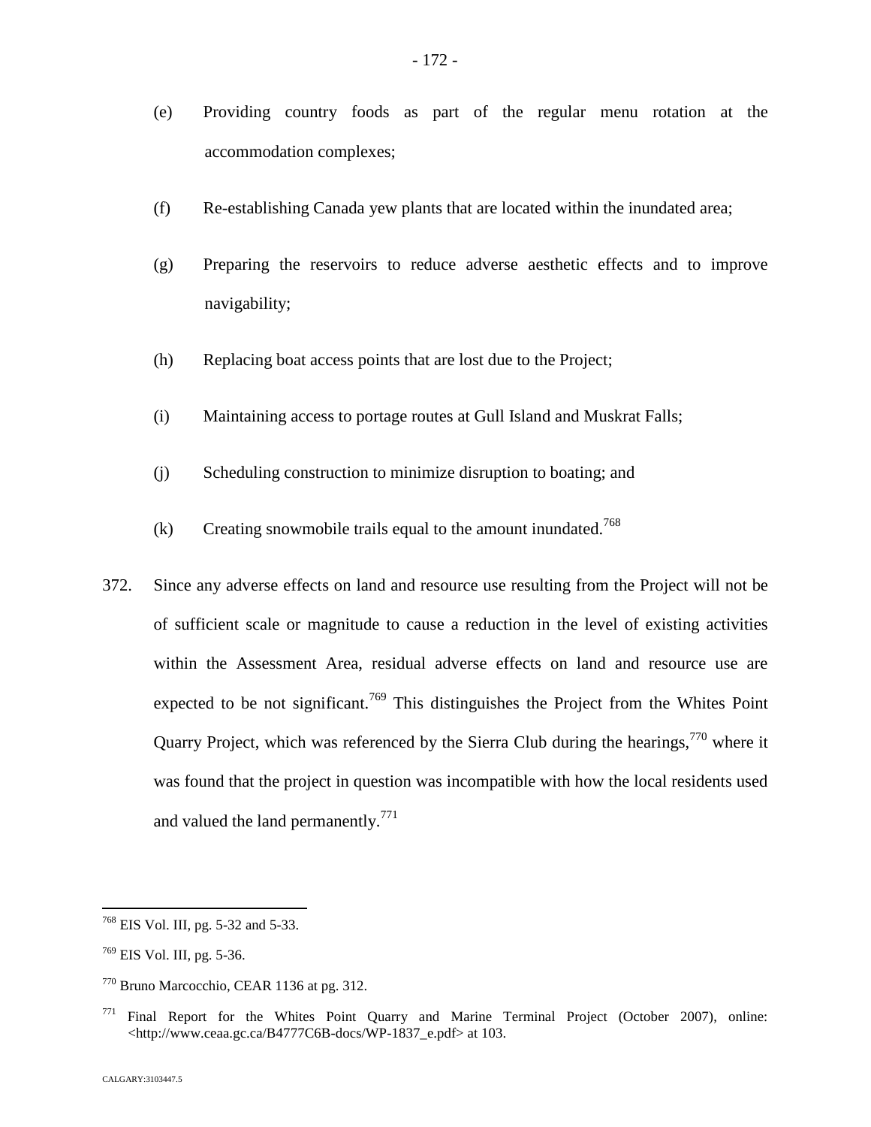- (e) Providing country foods as part of the regular menu rotation at the accommodation complexes;
- (f) Re-establishing Canada yew plants that are located within the inundated area;
- (g) Preparing the reservoirs to reduce adverse aesthetic effects and to improve navigability;
- (h) Replacing boat access points that are lost due to the Project;
- (i) Maintaining access to portage routes at Gull Island and Muskrat Falls;
- (j) Scheduling construction to minimize disruption to boating; and
- (k) Creating snowmobile trails equal to the amount inundated.<sup>76[8](#page-172-0)</sup>
- 372. Since any adverse effects on land and resource use resulting from the Project will not be of sufficient scale or magnitude to cause a reduction in the level of existing activities within the Assessment Area, residual adverse effects on land and resource use are expected to be not significant.<sup>[769](#page-172-1)</sup> This distinguishes the Project from the Whites Point Quarry Project, which was referenced by the Sierra Club during the hearings,  $770$  where it was found that the project in question was incompatible with how the local residents used and valued the land permanently.<sup>7[71](#page-172-3)</sup>

<span id="page-172-0"></span><sup>768</sup> EIS Vol. III, pg. 5-32 and 5-33.

<span id="page-172-1"></span><sup>769</sup> EIS Vol. III, pg. 5-36.

<span id="page-172-2"></span><sup>770</sup> Bruno Marcocchio, CEAR 1136 at pg. 312.

<span id="page-172-3"></span> $771$  Final Report for the Whites Point Quarry and Marine Terminal Project (October 2007), online: <http://www.ceaa.gc.ca/B4777C6B-docs/WP-1837\_e.pdf> at 103.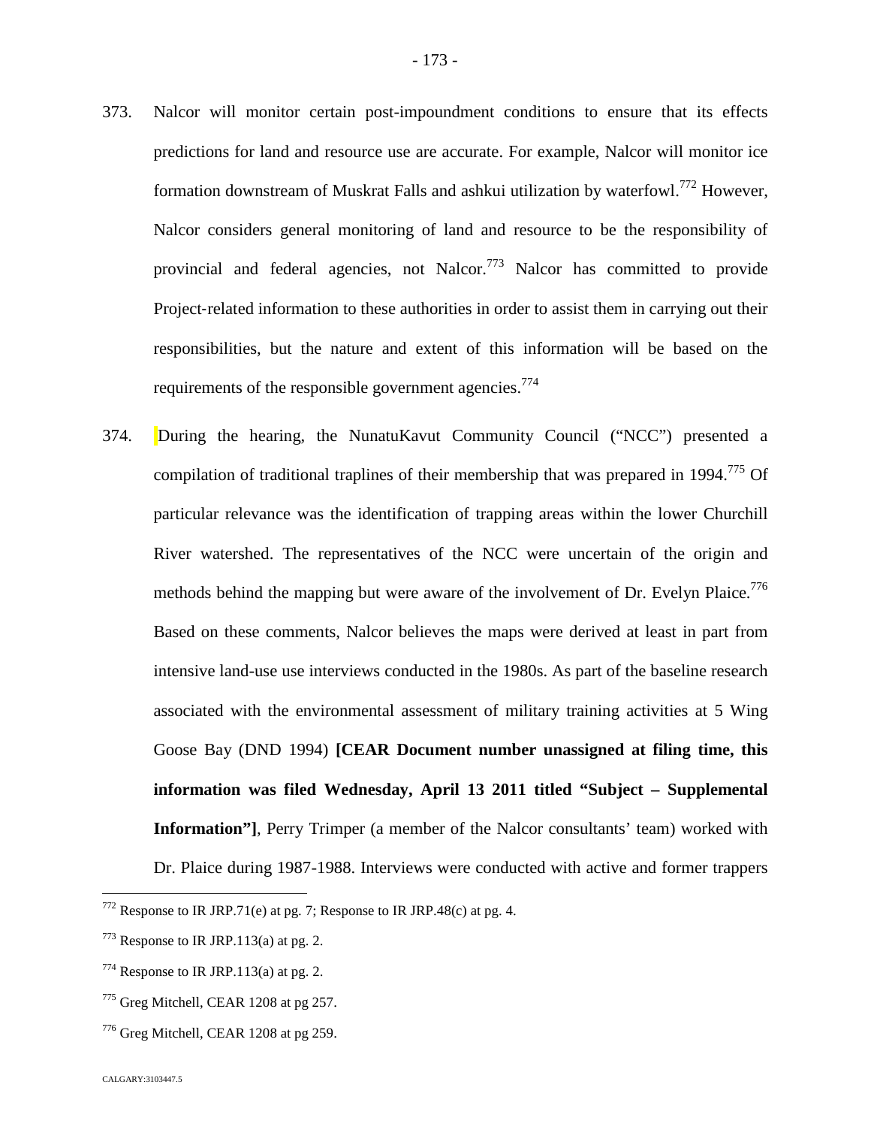- 373. Nalcor will monitor certain post-impoundment conditions to ensure that its effects predictions for land and resource use are accurate. For example, Nalcor will monitor ice formation downstream of Muskrat Falls and ashkui utilization by waterfowl.<sup>[772](#page-173-0)</sup> However, Nalcor considers general monitoring of land and resource to be the responsibility of provincial and federal agencies, not Nalcor.<sup>[773](#page-173-1)</sup> Nalcor has committed to provide Project-related information to these authorities in order to assist them in carrying out their responsibilities, but the nature and extent of this information will be based on the requirements of the responsible government agencies.<sup>77[4](#page-173-2)</sup>
- 374. During the hearing, the NunatuKavut Community Council ("NCC") presented a compilation of traditional traplines of their membership that was prepared in 1994.<sup>[775](#page-173-3)</sup> Of particular relevance was the identification of trapping areas within the lower Churchill River watershed. The representatives of the NCC were uncertain of the origin and methods behind the mapping but were aware of the involvement of Dr. Evelyn Plaice.<sup>[776](#page-173-4)</sup> Based on these comments, Nalcor believes the maps were derived at least in part from intensive land-use use interviews conducted in the 1980s. As part of the baseline research associated with the environmental assessment of military training activities at 5 Wing Goose Bay (DND 1994) **[CEAR Document number unassigned at filing time, this information was filed Wednesday, April 13 2011 titled "Subject – Supplemental Information"]**, Perry Trimper (a member of the Nalcor consultants' team) worked with Dr. Plaice during 1987-1988. Interviews were conducted with active and former trappers

<span id="page-173-0"></span> $772$  Response to IR JRP.71(e) at pg. 7; Response to IR JRP.48(c) at pg. 4.

<span id="page-173-1"></span> $773$  Response to IR JRP.113(a) at pg. 2.

<span id="page-173-2"></span> $774$  Response to IR JRP.113(a) at pg. 2.

<span id="page-173-3"></span><sup>&</sup>lt;sup>775</sup> Greg Mitchell, CEAR 1208 at pg 257.

<span id="page-173-4"></span><sup>776</sup> Greg Mitchell, CEAR 1208 at pg 259.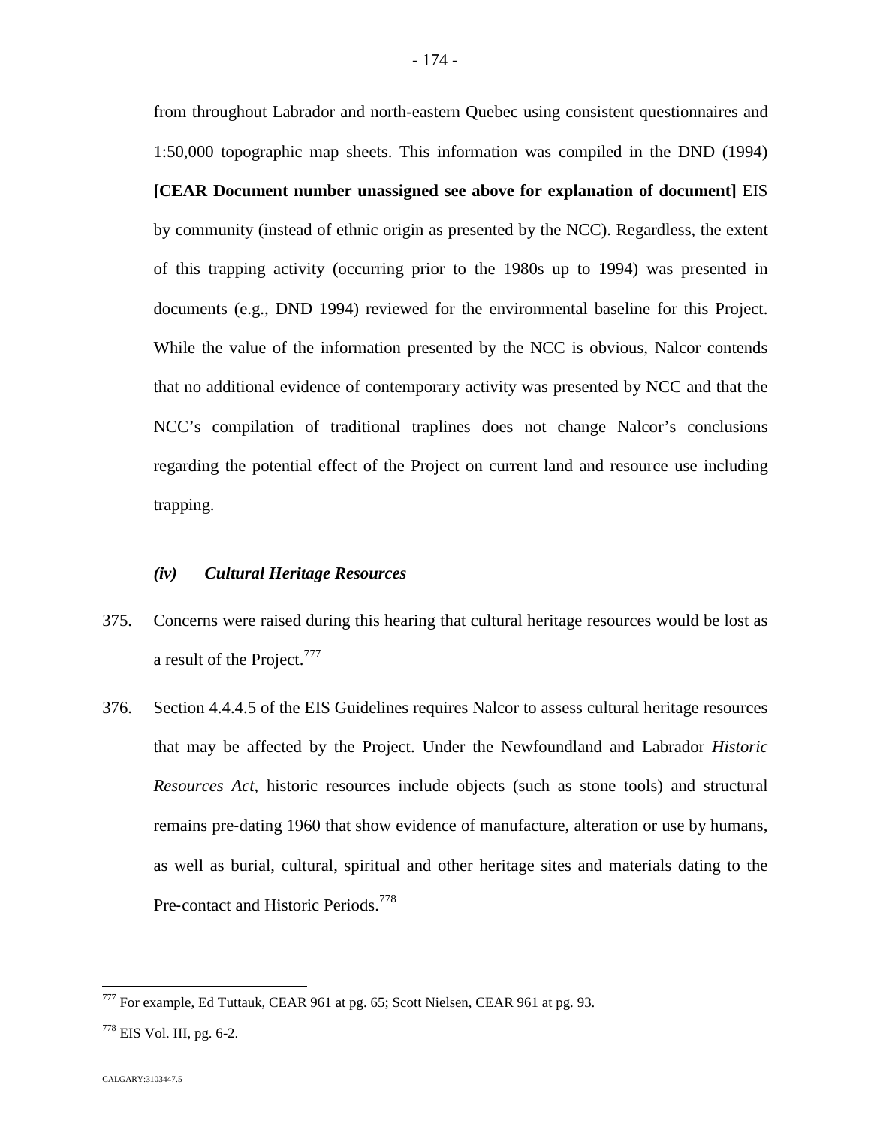from throughout Labrador and north-eastern Quebec using consistent questionnaires and 1:50,000 topographic map sheets. This information was compiled in the DND (1994) **[CEAR Document number unassigned see above for explanation of document]** EIS by community (instead of ethnic origin as presented by the NCC). Regardless, the extent of this trapping activity (occurring prior to the 1980s up to 1994) was presented in documents (e.g., DND 1994) reviewed for the environmental baseline for this Project. While the value of the information presented by the NCC is obvious, Nalcor contends that no additional evidence of contemporary activity was presented by NCC and that the NCC's compilation of traditional traplines does not change Nalcor's conclusions regarding the potential effect of the Project on current land and resource use including trapping.

## *(iv) Cultural Heritage Resources*

- 375. Concerns were raised during this hearing that cultural heritage resources would be lost as a result of the Project.<sup>[777](#page-174-0)</sup>
- 376. Section 4.4.4.5 of the EIS Guidelines requires Nalcor to assess cultural heritage resources that may be affected by the Project. Under the Newfoundland and Labrador *Historic Resources Act*, historic resources include objects (such as stone tools) and structural remains pre‐dating 1960 that show evidence of manufacture, alteration or use by humans, as well as burial, cultural, spiritual and other heritage sites and materials dating to the Pre-contact and Historic Periods.<sup>7[78](#page-174-1)</sup>

<span id="page-174-0"></span><sup>777</sup> For example, Ed Tuttauk, CEAR 961 at pg. 65; Scott Nielsen, CEAR 961 at pg. 93.

<span id="page-174-1"></span> $778$  EIS Vol. III, pg. 6-2.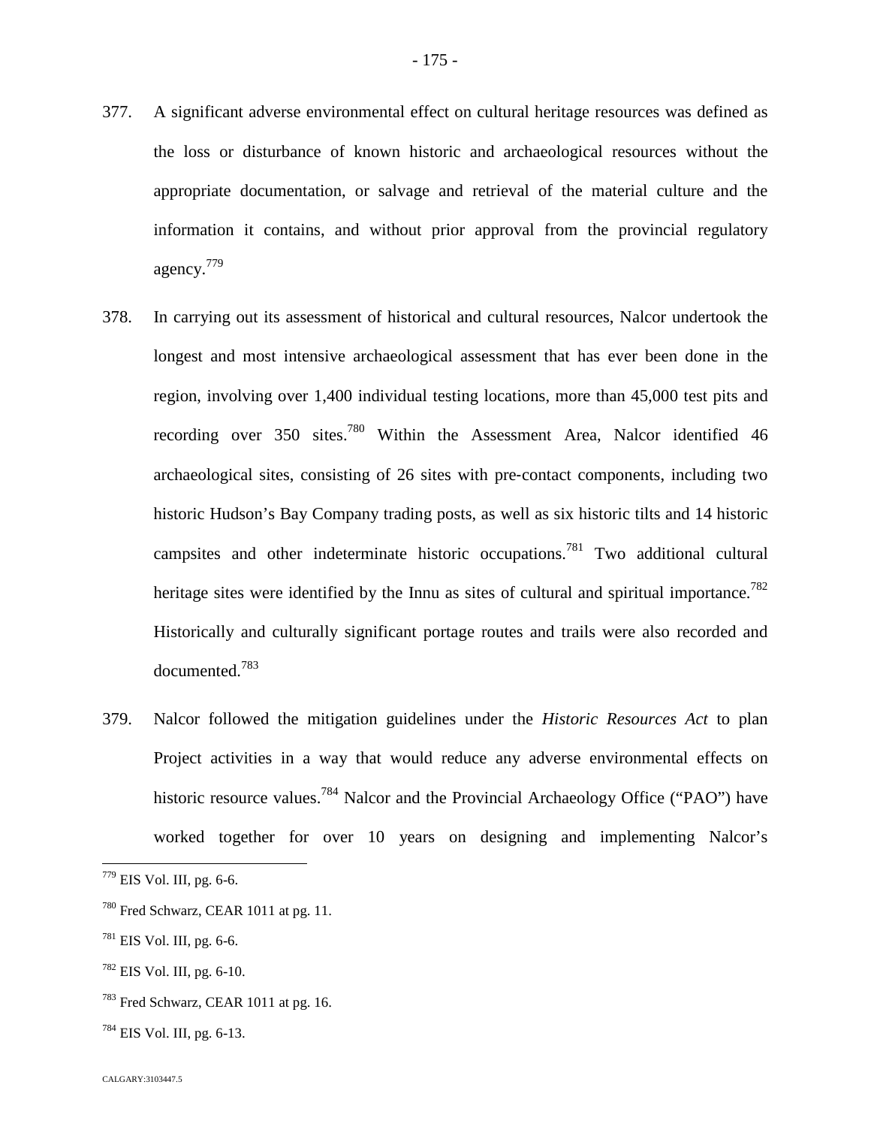information it contains, and without prior approval from the provincial regulatory agency.[779](#page-175-0)

- 378. In carrying out its assessment of historical and cultural resources, Nalcor undertook the longest and most intensive archaeological assessment that has ever been done in the region, involving over 1,400 individual testing locations, more than 45,000 test pits and recording over 350 sites.<sup>[780](#page-175-1)</sup> Within the Assessment Area, Nalcor identified 46 archaeological sites, consisting of 26 sites with pre‐contact components, including two historic Hudson's Bay Company trading posts, as well as six historic tilts and 14 historic campsites and other indeterminate historic occupations.[781](#page-175-2) Two additional cultural heritage sites were identified by the Innu as sites of cultural and spiritual importance.<sup>[782](#page-175-3)</sup> Historically and culturally significant portage routes and trails were also recorded and documented.[783](#page-175-4)
- 379. Nalcor followed the mitigation guidelines under the *Historic Resources Act* to plan Project activities in a way that would reduce any adverse environmental effects on historic resource values.<sup>[784](#page-175-5)</sup> Nalcor and the Provincial Archaeology Office ("PAO") have worked together for over 10 years on designing and implementing Nalcor's

- <span id="page-175-3"></span><sup>782</sup> EIS Vol. III, pg. 6-10.
- <span id="page-175-4"></span><sup>783</sup> Fred Schwarz, CEAR 1011 at pg. 16.
- <span id="page-175-5"></span> $784$  EIS Vol. III, pg. 6-13.

<span id="page-175-0"></span><sup>779</sup> EIS Vol. III, pg. 6-6.

<span id="page-175-1"></span><sup>&</sup>lt;sup>780</sup> Fred Schwarz, CEAR 1011 at pg. 11.

<span id="page-175-2"></span> $781$  EIS Vol. III, pg. 6-6.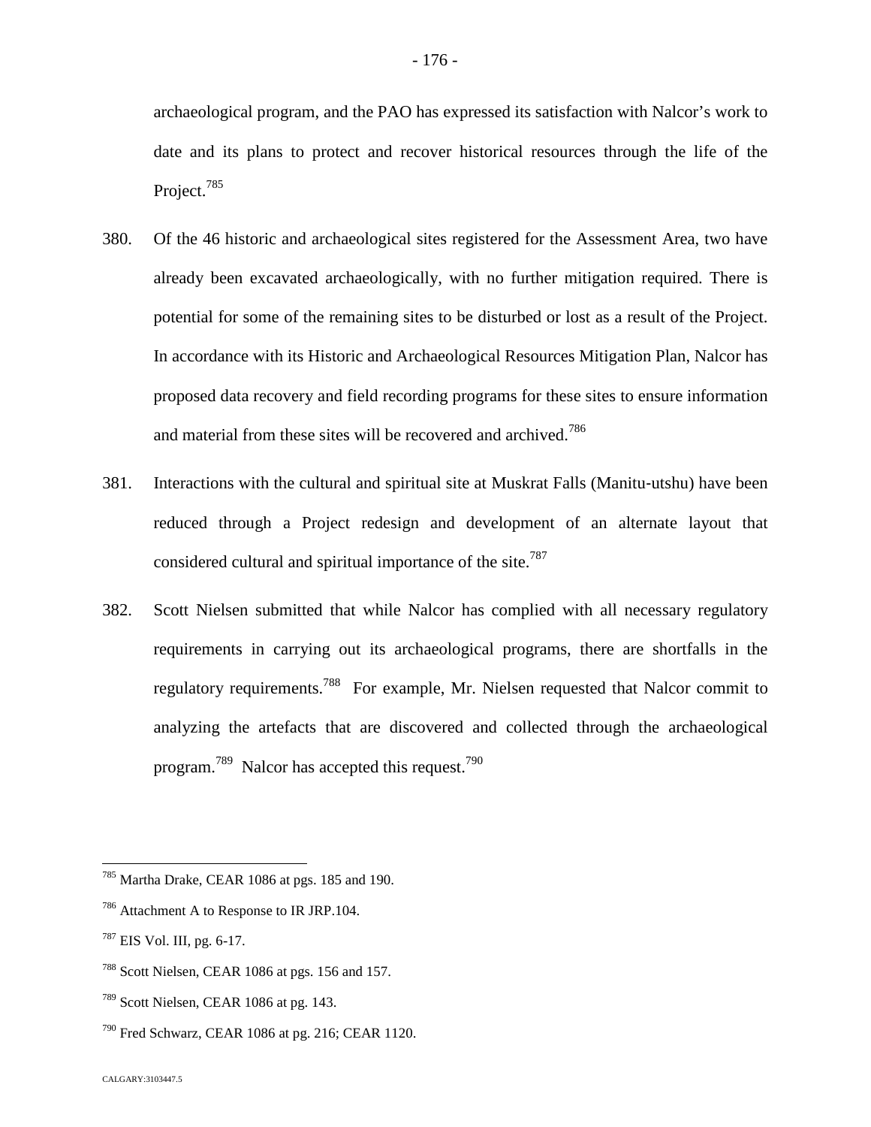archaeological program, and the PAO has expressed its satisfaction with Nalcor's work to date and its plans to protect and recover historical resources through the life of the Project.<sup>[785](#page-176-0)</sup>

- 380. Of the 46 historic and archaeological sites registered for the Assessment Area, two have already been excavated archaeologically, with no further mitigation required. There is potential for some of the remaining sites to be disturbed or lost as a result of the Project. In accordance with its Historic and Archaeological Resources Mitigation Plan, Nalcor has proposed data recovery and field recording programs for these sites to ensure information and material from these sites will be recovered and archived.78[6](#page-176-1)
- 381. Interactions with the cultural and spiritual site at Muskrat Falls (Manitu‐utshu) have been reduced through a Project redesign and development of an alternate layout that considered cultural and spiritual importance of the site.<sup>787</sup>
- 382. Scott Nielsen submitted that while Nalcor has complied with all necessary regulatory requirements in carrying out its archaeological programs, there are shortfalls in the regulatory requirements.7[88](#page-176-2) For example, Mr. Nielsen requested that Nalcor commit to analyzing the artefacts that are discovered and collected through the archaeological program.[789](#page-176-3) Nalcor has accepted this request.7[90](#page-176-4)

<span id="page-176-0"></span><sup>785</sup> Martha Drake, CEAR 1086 at pgs. 185 and 190.

<span id="page-176-1"></span><sup>&</sup>lt;sup>786</sup> Attachment A to Response to IR JRP.104.

 $787$  EIS Vol. III, pg. 6-17.

<span id="page-176-2"></span><sup>788</sup> Scott Nielsen, CEAR 1086 at pgs. 156 and 157.

<span id="page-176-3"></span><sup>789</sup> Scott Nielsen, CEAR 1086 at pg. 143.

<span id="page-176-4"></span><sup>790</sup> Fred Schwarz, CEAR 1086 at pg. 216; CEAR 1120.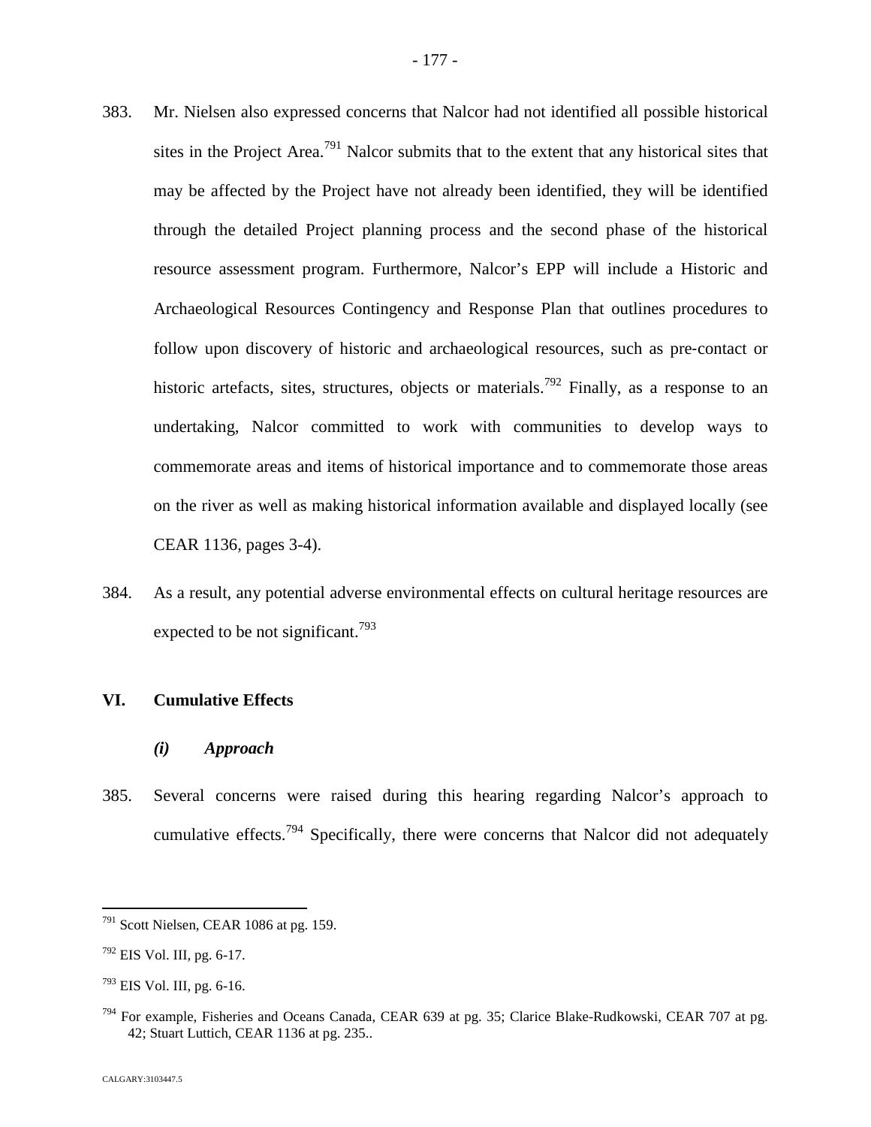383. Mr. Nielsen also expressed concerns that Nalcor had not identified all possible historical sites in the Project Area.<sup>[791](#page-177-0)</sup> Nalcor submits that to the extent that any historical sites that may be affected by the Project have not already been identified, they will be identified through the detailed Project planning process and the second phase of the historical resource assessment program. Furthermore, Nalcor's EPP will include a Historic and Archaeological Resources Contingency and Response Plan that outlines procedures to follow upon discovery of historic and archaeological resources, such as pre‐contact or historic artefacts, sites, structures, objects or materials.<sup>[792](#page-177-1)</sup> Finally, as a response to an undertaking, Nalcor committed to work with communities to develop ways to commemorate areas and items of historical importance and to commemorate those areas

CEAR 1136, pages 3-4).

384. As a result, any potential adverse environmental effects on cultural heritage resources are expected to be not significant.<sup>7[93](#page-177-2)</sup>

on the river as well as making historical information available and displayed locally (see

## **VI. Cumulative Effects**

- *(i) Approach*
- 385. Several concerns were raised during this hearing regarding Nalcor's approach to cumulative effects.<sup>[794](#page-177-3)</sup> Specifically, there were concerns that Nalcor did not adequately

<span id="page-177-0"></span><sup>791</sup> Scott Nielsen, CEAR 1086 at pg. 159.

<span id="page-177-1"></span> $792$  EIS Vol. III, pg. 6-17.

<span id="page-177-2"></span> $793$  EIS Vol. III, pg. 6-16.

<span id="page-177-3"></span> $794$  For example, Fisheries and Oceans Canada, CEAR 639 at pg. 35; Clarice Blake-Rudkowski, CEAR 707 at pg. 42; Stuart Luttich, CEAR 1136 at pg. 235..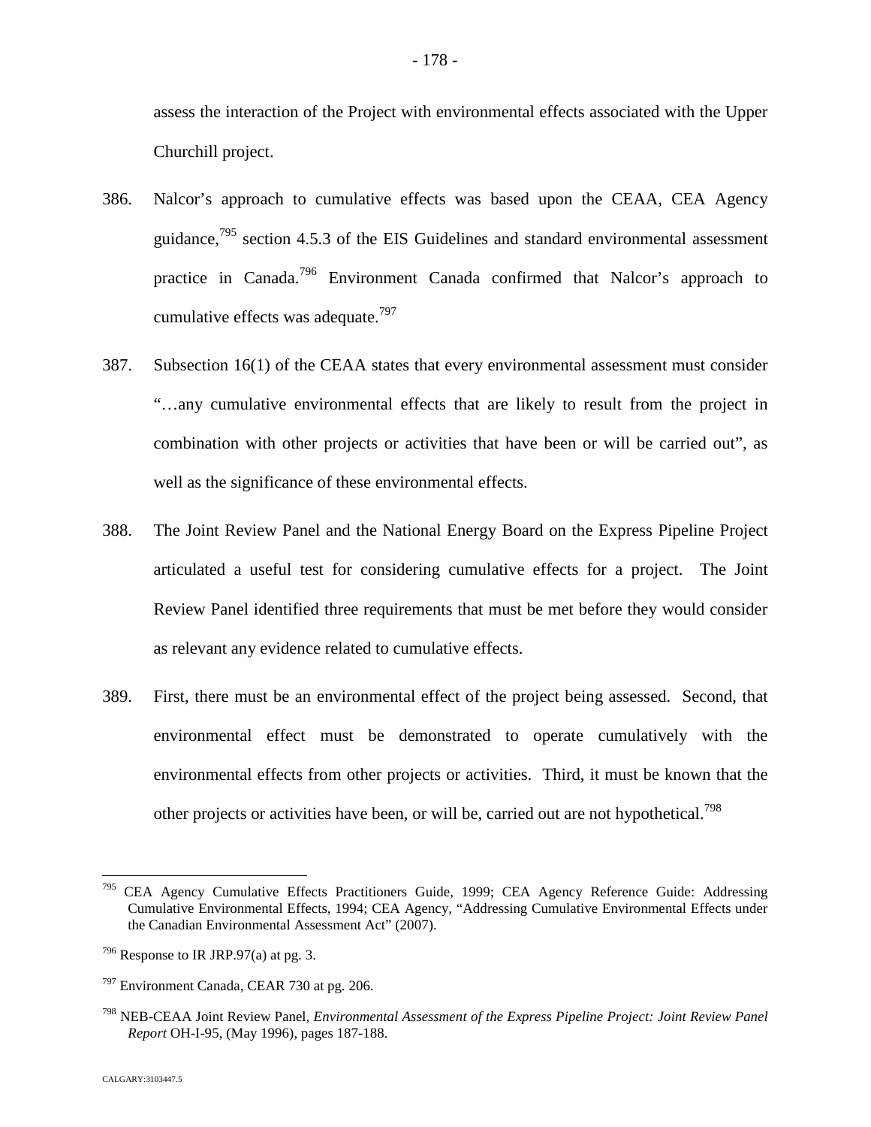assess the interaction of the Project with environmental effects associated with the Upper Churchill project.

- 386. Nalcor's approach to cumulative effects was based upon the CEAA, CEA Agency guidance,[795](#page-178-0) section 4.5.3 of the EIS Guidelines and standard environmental assessment practice in Canada.[796](#page-178-1) Environment Canada confirmed that Nalcor's approach to cumulative effects was adequate.<sup>7[97](#page-178-2)</sup>
- 387. Subsection 16(1) of the CEAA states that every environmental assessment must consider "…any cumulative environmental effects that are likely to result from the project in combination with other projects or activities that have been or will be carried out", as well as the significance of these environmental effects.
- 388. The Joint Review Panel and the National Energy Board on the Express Pipeline Project articulated a useful test for considering cumulative effects for a project. The Joint Review Panel identified three requirements that must be met before they would consider as relevant any evidence related to cumulative effects.
- 389. First, there must be an environmental effect of the project being assessed. Second, that environmental effect must be demonstrated to operate cumulatively with the environmental effects from other projects or activities. Third, it must be known that the other projects or activities have been, or will be, carried out are not hypothetical.<sup>798</sup>

<span id="page-178-0"></span><sup>795</sup> CEA Agency Cumulative Effects Practitioners Guide, 1999; CEA Agency Reference Guide: Addressing Cumulative Environmental Effects, 1994; CEA Agency, "Addressing Cumulative Environmental Effects under the Canadian Environmental Assessment Act" (2007).

<span id="page-178-1"></span> $796$  Response to IR JRP.97(a) at pg. 3.

<span id="page-178-2"></span> $797$  Environment Canada, CEAR 730 at pg. 206.

<sup>798</sup> NEB-CEAA Joint Review Panel*, Environmental Assessment of the Express Pipeline Project: Joint Review Panel Report* OH-I-95, (May 1996), pages 187-188.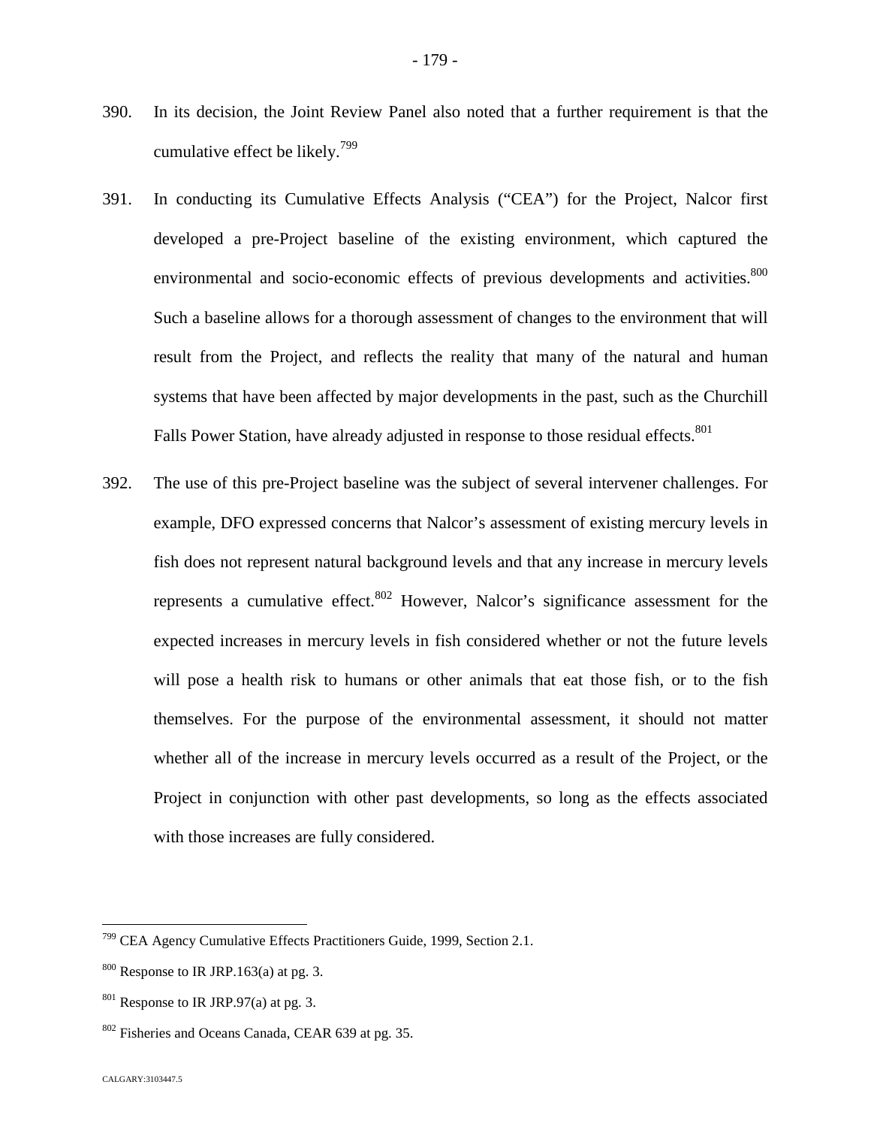- 390. In its decision, the Joint Review Panel also noted that a further requirement is that the cumulative effect be likely.7[99](#page-179-0)
- 391. In conducting its Cumulative Effects Analysis ("CEA") for the Project, Nalcor first developed a pre-Project baseline of the existing environment, which captured the environmental and socio-economic effects of previous developments and activities.<sup>[800](#page-179-1)</sup> Such a baseline allows for a thorough assessment of changes to the environment that will result from the Project, and reflects the reality that many of the natural and human systems that have been affected by major developments in the past, such as the Churchill Falls Power Station, have already adjusted in response to those residual effects.<sup>801</sup>
- 392. The use of this pre-Project baseline was the subject of several intervener challenges. For example, DFO expressed concerns that Nalcor's assessment of existing mercury levels in fish does not represent natural background levels and that any increase in mercury levels represents a cumulative effect.  $802$  However, Nalcor's significance assessment for the expected increases in mercury levels in fish considered whether or not the future levels will pose a health risk to humans or other animals that eat those fish, or to the fish themselves. For the purpose of the environmental assessment, it should not matter whether all of the increase in mercury levels occurred as a result of the Project, or the Project in conjunction with other past developments, so long as the effects associated with those increases are fully considered.

<span id="page-179-0"></span><sup>799</sup> CEA Agency Cumulative Effects Practitioners Guide, 1999, Section 2.1.

<span id="page-179-1"></span> $800$  Response to IR JRP.163(a) at pg. 3.

 $801$  Response to IR JRP.97(a) at pg. 3.

<span id="page-179-2"></span><sup>802</sup> Fisheries and Oceans Canada, CEAR 639 at pg. 35.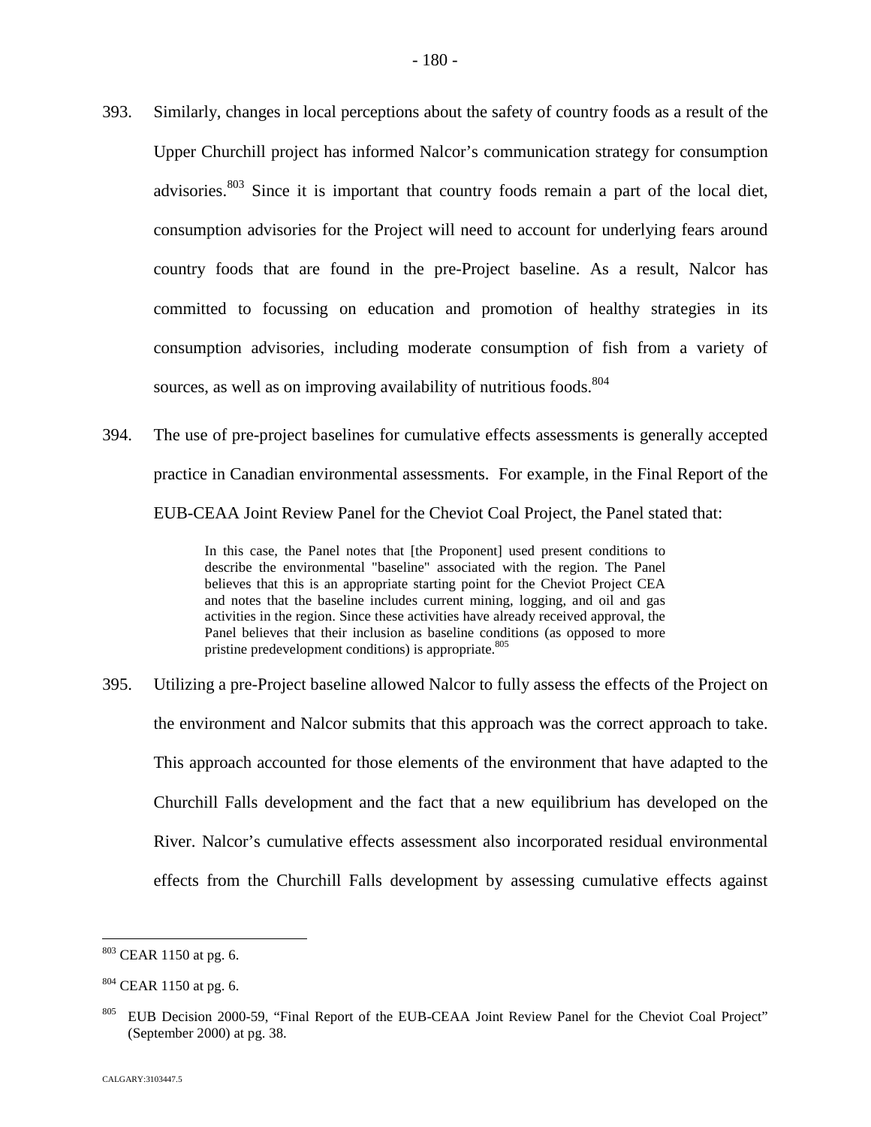- 393. Similarly, changes in local perceptions about the safety of country foods as a result of the Upper Churchill project has informed Nalcor's communication strategy for consumption advisories. $803$  Since it is important that country foods remain a part of the local diet, consumption advisories for the Project will need to account for underlying fears around country foods that are found in the pre-Project baseline. As a result, Nalcor has committed to focussing on education and promotion of healthy strategies in its consumption advisories, including moderate consumption of fish from a variety of sources, as well as on improving availability of nutritious foods.<sup>80[4](#page-180-1)</sup>
- 394. The use of pre-project baselines for cumulative effects assessments is generally accepted practice in Canadian environmental assessments. For example, in the Final Report of the EUB-CEAA Joint Review Panel for the Cheviot Coal Project, the Panel stated that:

In this case, the Panel notes that [the Proponent] used present conditions to describe the environmental "baseline" associated with the region. The Panel believes that this is an appropriate starting point for the Cheviot Project CEA and notes that the baseline includes current mining, logging, and oil and gas activities in the region. Since these activities have already received approval, the Panel believes that their inclusion as baseline conditions (as opposed to more pristine predevelopment conditions) is appropriate.<sup>[805](#page-180-2)</sup>

395. Utilizing a pre-Project baseline allowed Nalcor to fully assess the effects of the Project on the environment and Nalcor submits that this approach was the correct approach to take. This approach accounted for those elements of the environment that have adapted to the Churchill Falls development and the fact that a new equilibrium has developed on the River. Nalcor's cumulative effects assessment also incorporated residual environmental effects from the Churchill Falls development by assessing cumulative effects against

<span id="page-180-0"></span><sup>803</sup> CEAR 1150 at pg. 6.

<span id="page-180-1"></span> $804$  CEAR 1150 at pg. 6.

<span id="page-180-2"></span><sup>&</sup>lt;sup>805</sup> EUB Decision 2000-59, "Final Report of the EUB-CEAA Joint Review Panel for the Cheviot Coal Project" (September 2000) at pg. 38.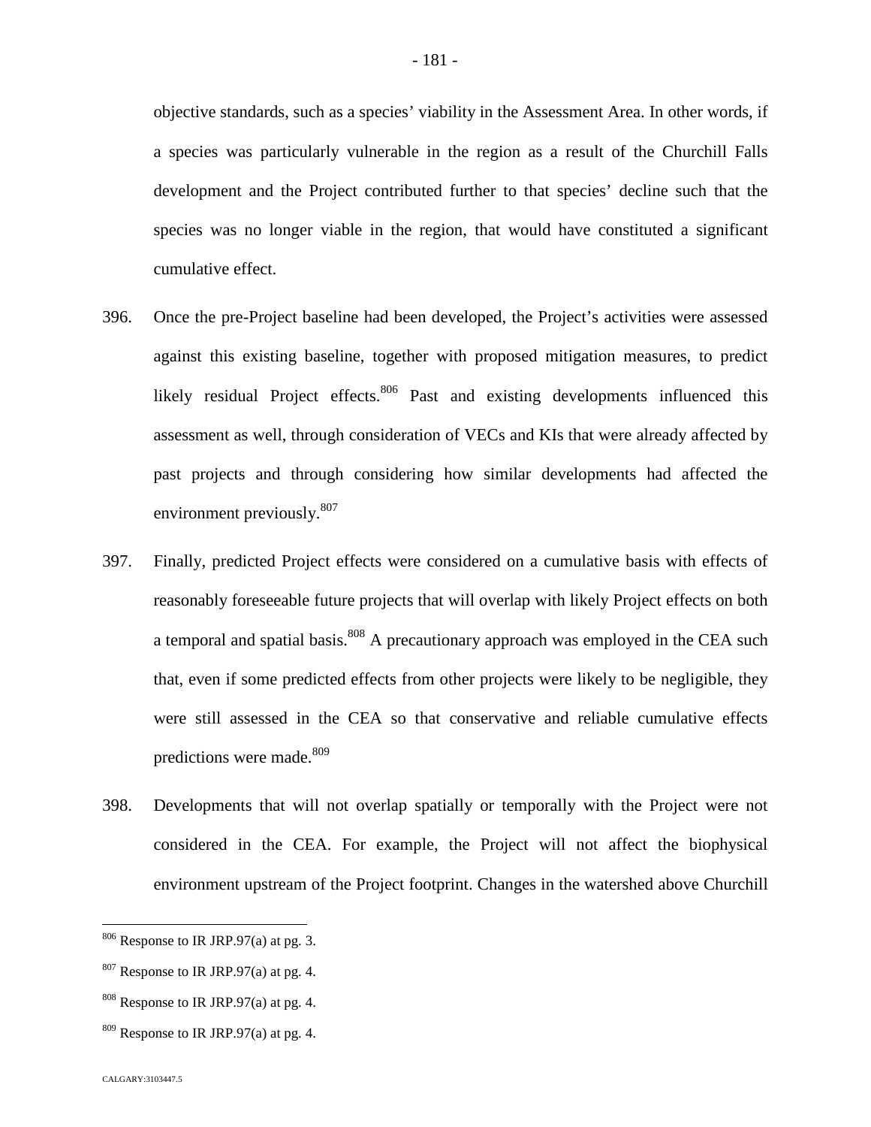objective standards, such as a species' viability in the Assessment Area. In other words, if a species was particularly vulnerable in the region as a result of the Churchill Falls development and the Project contributed further to that species' decline such that the species was no longer viable in the region, that would have constituted a significant cumulative effect.

- 396. Once the pre-Project baseline had been developed, the Project's activities were assessed against this existing baseline, together with proposed mitigation measures, to predict likely residual Project effects. $806$  Past and existing developments influenced this assessment as well, through consideration of VECs and KIs that were already affected by past projects and through considering how similar developments had affected the environment previously.<sup>8[07](#page-181-1)</sup>
- 397. Finally, predicted Project effects were considered on a cumulative basis with effects of reasonably foreseeable future projects that will overlap with likely Project effects on both a temporal and spatial basis.<sup>[808](#page-181-2)</sup> A precautionary approach was employed in the CEA such that, even if some predicted effects from other projects were likely to be negligible, they were still assessed in the CEA so that conservative and reliable cumulative effects predictions were made.<sup>8[09](#page-181-3)</sup>
- 398. Developments that will not overlap spatially or temporally with the Project were not considered in the CEA. For example, the Project will not affect the biophysical environment upstream of the Project footprint. Changes in the watershed above Churchill

<span id="page-181-0"></span><sup>806</sup> Response to IR JRP.97(a) at pg. 3.

<span id="page-181-1"></span> $807$  Response to IR JRP.97(a) at pg. 4.

<span id="page-181-2"></span> $808$  Response to IR JRP.97(a) at pg. 4.

<span id="page-181-3"></span> $809$  Response to IR JRP.97(a) at pg. 4.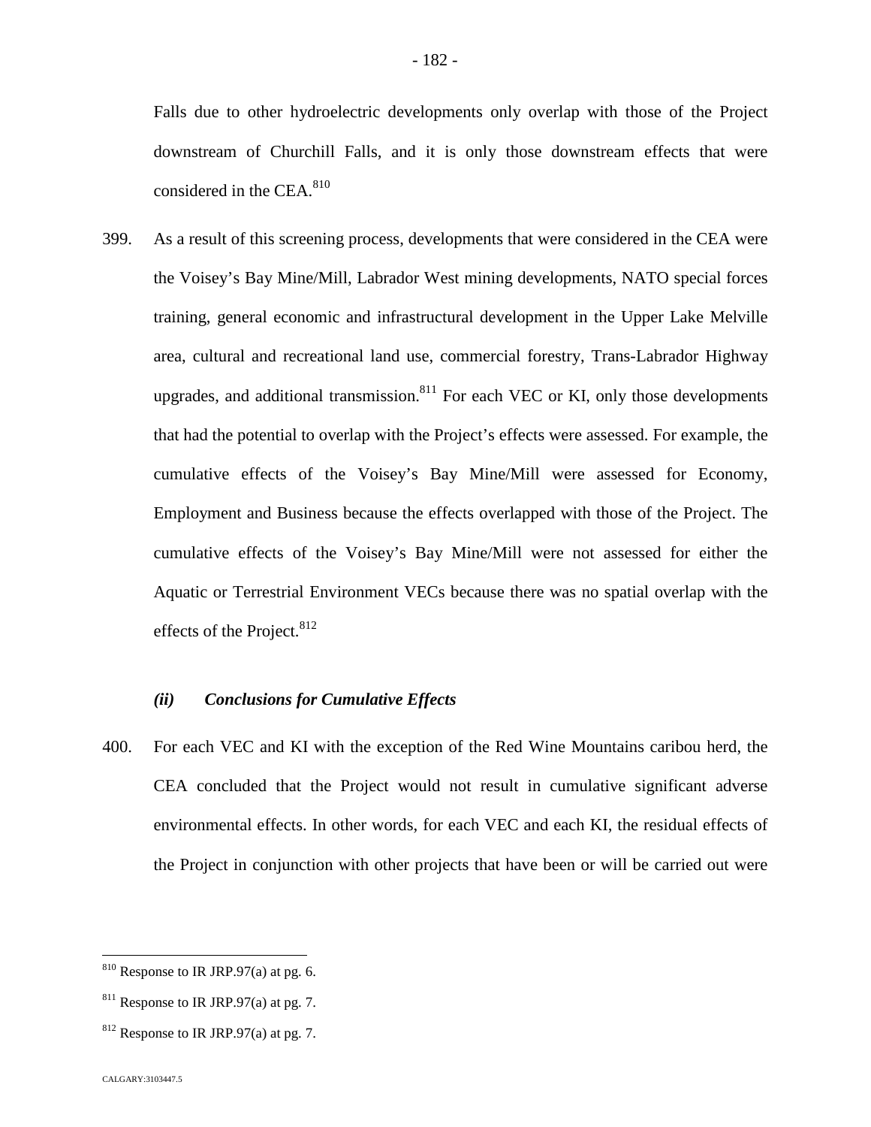Falls due to other hydroelectric developments only overlap with those of the Project downstream of Churchill Falls, and it is only those downstream effects that were considered in the CEA. $810$ 

399. As a result of this screening process, developments that were considered in the CEA were the Voisey's Bay Mine/Mill, Labrador West mining developments, NATO special forces training, general economic and infrastructural development in the Upper Lake Melville area, cultural and recreational land use, commercial forestry, Trans-Labrador Highway upgrades, and additional transmission.<sup>[811](#page-182-1)</sup> For each VEC or KI, only those developments that had the potential to overlap with the Project's effects were assessed. For example, the cumulative effects of the Voisey's Bay Mine/Mill were assessed for Economy, Employment and Business because the effects overlapped with those of the Project. The cumulative effects of the Voisey's Bay Mine/Mill were not assessed for either the Aquatic or Terrestrial Environment VECs because there was no spatial overlap with the effects of the Project.  $812$  $812$ 

## *(ii) Conclusions for Cumulative Effects*

400. For each VEC and KI with the exception of the Red Wine Mountains caribou herd, the CEA concluded that the Project would not result in cumulative significant adverse environmental effects. In other words, for each VEC and each KI, the residual effects of the Project in conjunction with other projects that have been or will be carried out were

<span id="page-182-0"></span> $810$  Response to IR JRP.97(a) at pg. 6.

<span id="page-182-1"></span> $811$  Response to IR JRP.97(a) at pg. 7.

<span id="page-182-2"></span> $812$  Response to IR JRP.97(a) at pg. 7.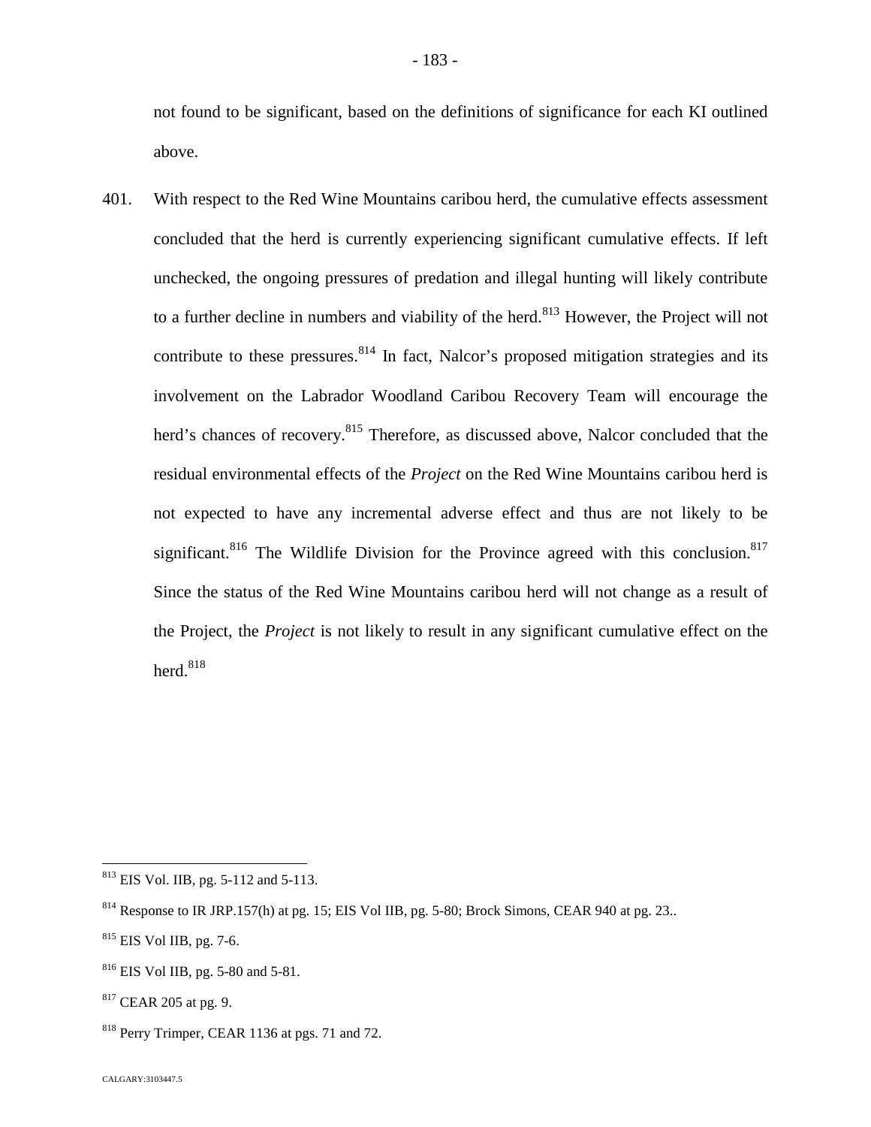not found to be significant, based on the definitions of significance for each KI outlined above.

401. With respect to the Red Wine Mountains caribou herd, the cumulative effects assessment concluded that the herd is currently experiencing significant cumulative effects. If left unchecked, the ongoing pressures of predation and illegal hunting will likely contribute toa further decline in numbers and viability of the herd[.](#page-183-0)<sup>813</sup> However, the Project will not contribute to these pressures.  $814$  In fact, Nalcor's proposed mitigation strategies and its involvement on the Labrador Woodland Caribou Recovery Team will encourage the herd's chances of recovery.<sup>[815](#page-183-2)</sup> Therefore, as discussed above, Nalcor concluded that the residual environmental effects of the *Project* on the Red Wine Mountains caribou herd is not expected to have any incremental adverse effect and thus are not likely to be significant.<sup>[816](#page-183-3)</sup> The Wildlife Division for the Province agreed with this conclusion.<sup>[817](#page-183-4)</sup> Since the status of the Red Wine Mountains caribou herd will not change as a result of the Project, the *Project* is not likely to result in any significant cumulative effect on the herd.<sup>[818](#page-183-5)</sup>

<span id="page-183-0"></span><sup>813</sup> EIS Vol. IIB, pg. 5-112 and 5-113.

<span id="page-183-1"></span><sup>&</sup>lt;sup>814</sup> Response to IR JRP.157(h) at pg. 15; EIS Vol IIB, pg. 5-80; Brock Simons, CEAR 940 at pg. 23..

<span id="page-183-2"></span><sup>815</sup> EIS Vol IIB, pg. 7-6.

<span id="page-183-3"></span><sup>816</sup> EIS Vol IIB, pg. 5-80 and 5-81.

<span id="page-183-4"></span><sup>817</sup> CEAR 205 at pg. 9.

<span id="page-183-5"></span><sup>818</sup> Perry Trimper, CEAR 1136 at pgs. 71 and 72.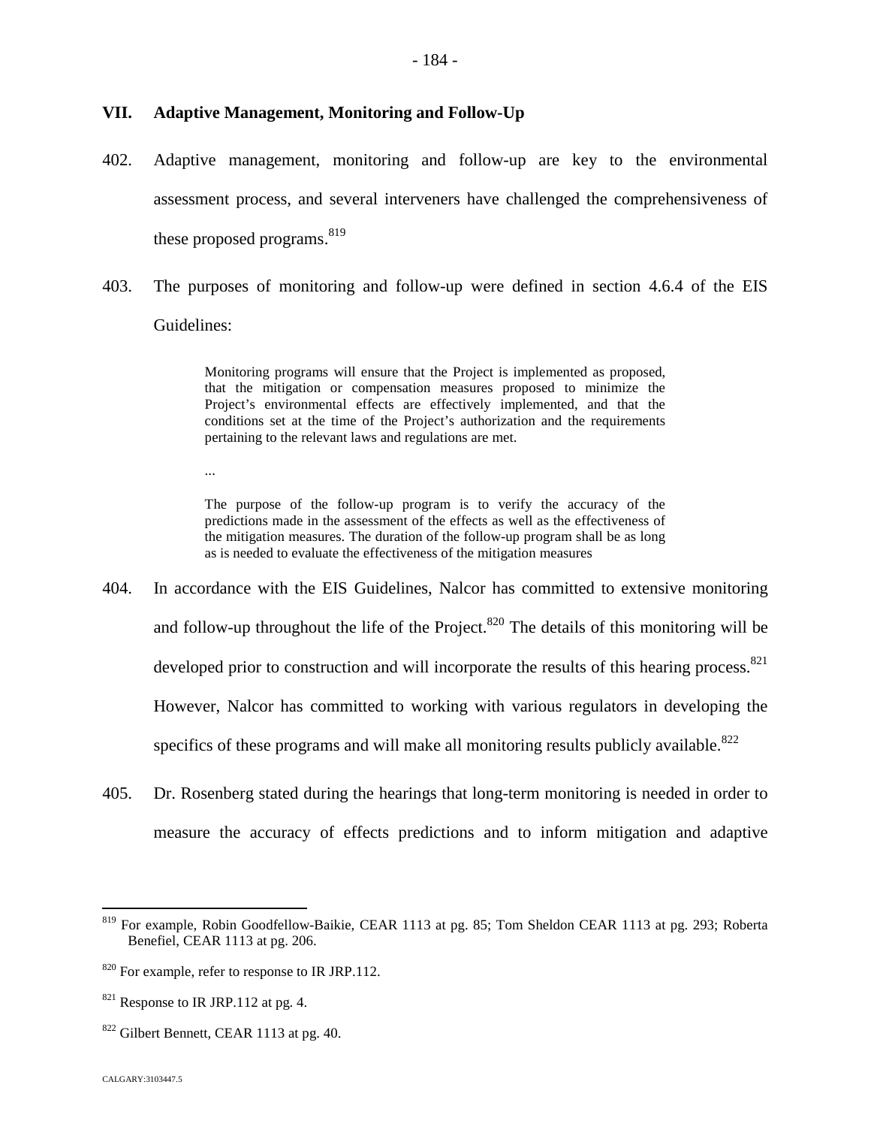## **VII. Adaptive Management, Monitoring and Follow-Up**

- 402. Adaptive management, monitoring and follow-up are key to the environmental assessment process, and several interveners have challenged the comprehensiveness of these proposed programs.  $819$  $819$
- 403. The purposes of monitoring and follow-up were defined in section 4.6.4 of the EIS Guidelines:

Monitoring programs will ensure that the Project is implemented as proposed, that the mitigation or compensation measures proposed to minimize the Project's environmental effects are effectively implemented, and that the conditions set at the time of the Project's authorization and the requirements pertaining to the relevant laws and regulations are met.

...

The purpose of the follow-up program is to verify the accuracy of the predictions made in the assessment of the effects as well as the effectiveness of the mitigation measures. The duration of the follow-up program shall be as long as is needed to evaluate the effectiveness of the mitigation measures

- 404. In accordance with the EIS Guidelines, Nalcor has committed to extensive monitoring and follow-up throughout the life of the Project.<sup>[820](#page-184-1)</sup> The details of this monitoring will be developed prior to construction and will incorporate the results of this hearing process.<sup>[821](#page-184-2)</sup> However, Nalcor has committed to working with various regulators in developing the specifics of these programs and will make all monitoring results publicly available. $822$
- 405. Dr. Rosenberg stated during the hearings that long-term monitoring is needed in order to measure the accuracy of effects predictions and to inform mitigation and adaptive

<span id="page-184-0"></span><sup>819</sup> For example, Robin Goodfellow-Baikie, CEAR 1113 at pg. 85; Tom Sheldon CEAR 1113 at pg. 293; Roberta Benefiel, CEAR 1113 at pg. 206.

<span id="page-184-1"></span><sup>&</sup>lt;sup>820</sup> For example, refer to response to IR JRP.112.

<span id="page-184-2"></span><sup>&</sup>lt;sup>821</sup> Response to IR JRP.112 at pg. 4.

 $822$  Gilbert Bennett, CEAR 1113 at pg. 40.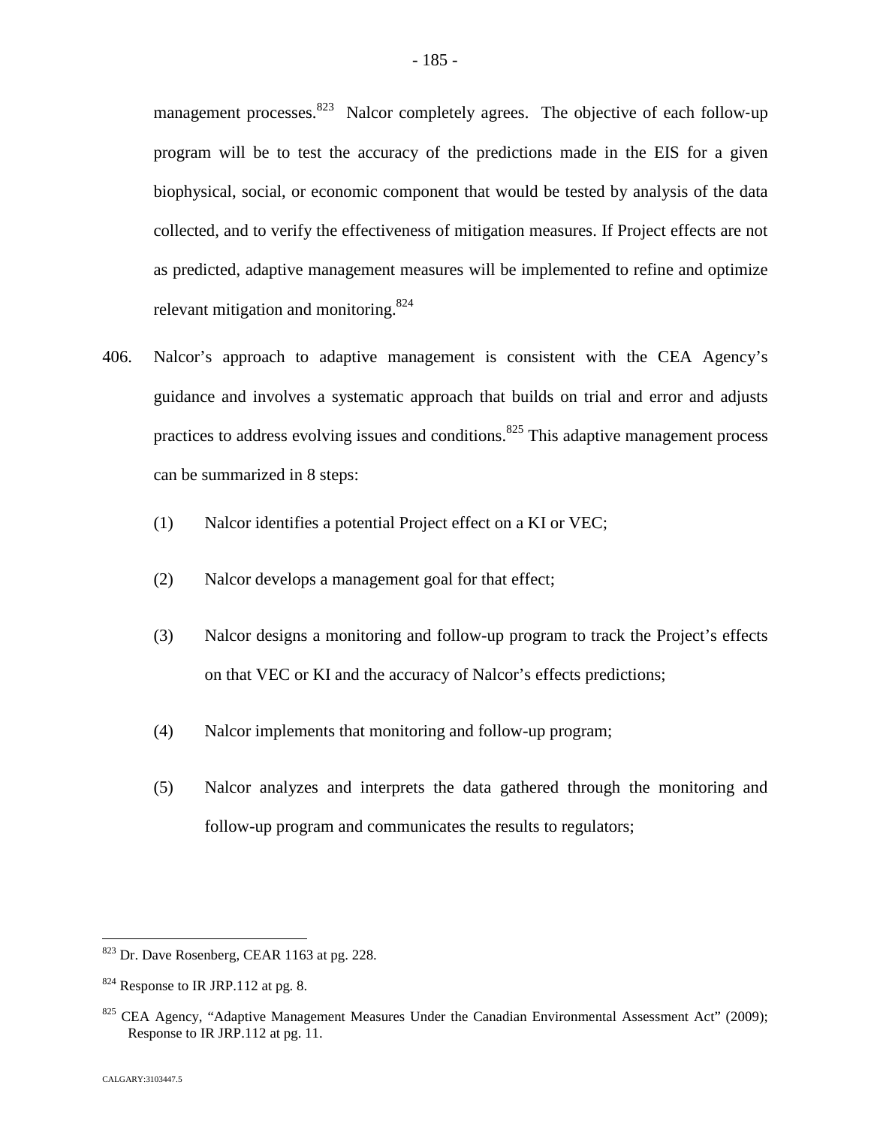management processes. $823$  Nalcor completely agrees. The objective of each follow-up program will be to test the accuracy of the predictions made in the EIS for a given biophysical, social, or economic component that would be tested by analysis of the data collected, and to verify the effectiveness of mitigation measures. If Project effects are not as predicted, adaptive management measures will be implemented to refine and optimize relevant mitigation and monitoring.  $824$  $824$ 

- 406. Nalcor's approach to adaptive management is consistent with the CEA Agency's guidance and involves a systematic approach that builds on trial and error and adjusts practices to address evolving issues and conditions.<sup>[825](#page-185-2)</sup> This adaptive management process can be summarized in 8 steps:
	- (1) Nalcor identifies a potential Project effect on a KI or VEC;
	- (2) Nalcor develops a management goal for that effect;
	- (3) Nalcor designs a monitoring and follow-up program to track the Project's effects on that VEC or KI and the accuracy of Nalcor's effects predictions;
	- (4) Nalcor implements that monitoring and follow-up program;
	- (5) Nalcor analyzes and interprets the data gathered through the monitoring and follow-up program and communicates the results to regulators;

<span id="page-185-0"></span><sup>823</sup> Dr. Dave Rosenberg, CEAR 1163 at pg. 228.

<span id="page-185-1"></span> $824$  Response to IR JRP.112 at pg. 8.

<span id="page-185-2"></span> $825$  CEA Agency, "Adaptive Management Measures Under the Canadian Environmental Assessment Act" (2009); Response to IR JRP.112 at pg. 11.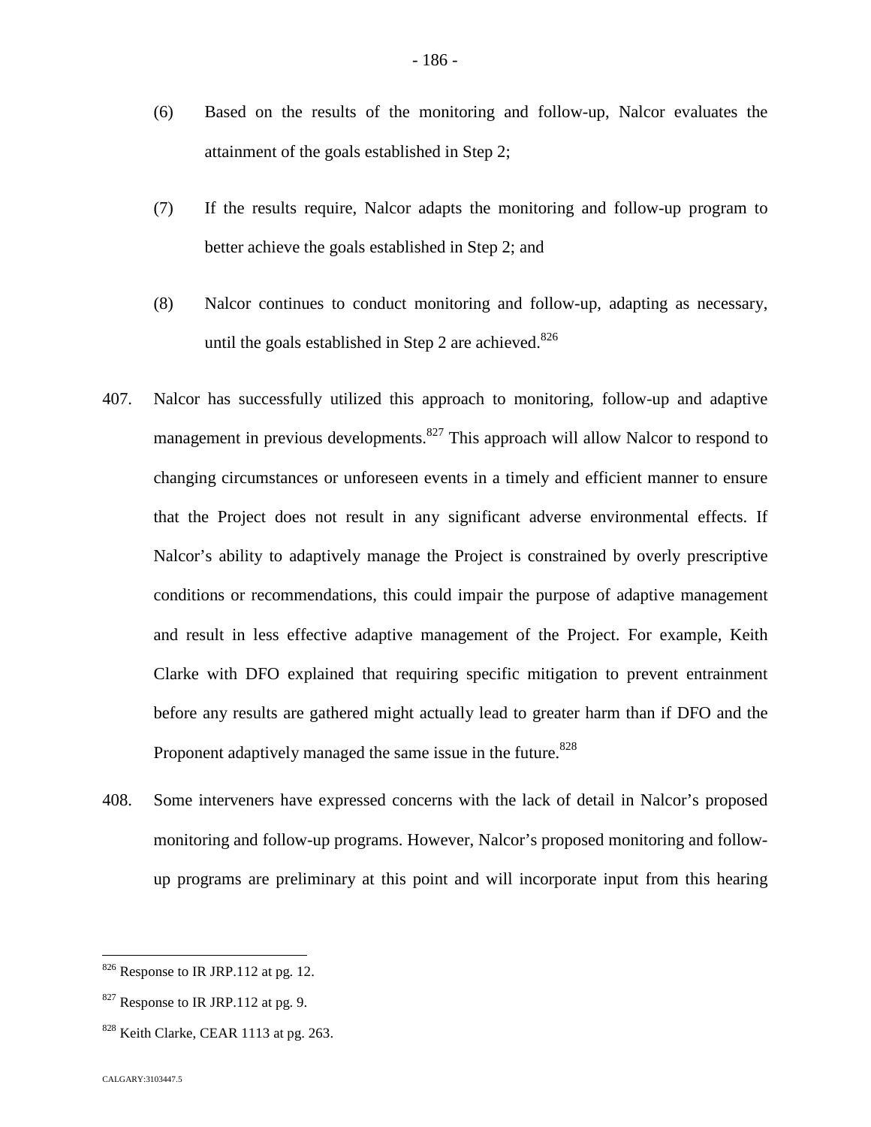- (6) Based on the results of the monitoring and follow-up, Nalcor evaluates the attainment of the goals established in Step 2;
- (7) If the results require, Nalcor adapts the monitoring and follow-up program to better achieve the goals established in Step 2; and
- (8) Nalcor continues to conduct monitoring and follow-up, adapting as necessary, until the goals established in Step 2 are achieved.<sup>82[6](#page-186-0)</sup>
- 407. Nalcor has successfully utilized this approach to monitoring, follow-up and adaptive management in previous developments.<sup>[827](#page-186-1)</sup> This approach will allow Nalcor to respond to changing circumstances or unforeseen events in a timely and efficient manner to ensure that the Project does not result in any significant adverse environmental effects. If Nalcor's ability to adaptively manage the Project is constrained by overly prescriptive conditions or recommendations, this could impair the purpose of adaptive management and result in less effective adaptive management of the Project. For example, Keith Clarke with DFO explained that requiring specific mitigation to prevent entrainment before any results are gathered might actually lead to greater harm than if DFO and the Proponent adaptively managed the same issue in the future.<sup>[8](#page-186-2)28</sup>
- 408. Some interveners have expressed concerns with the lack of detail in Nalcor's proposed monitoring and follow-up programs. However, Nalcor's proposed monitoring and followup programs are preliminary at this point and will incorporate input from this hearing

<span id="page-186-0"></span> $826$  Response to IR JRP.112 at pg. 12.

<span id="page-186-1"></span> $827$  Response to IR JRP.112 at pg. 9.

<span id="page-186-2"></span> $828$  Keith Clarke, CEAR 1113 at pg. 263.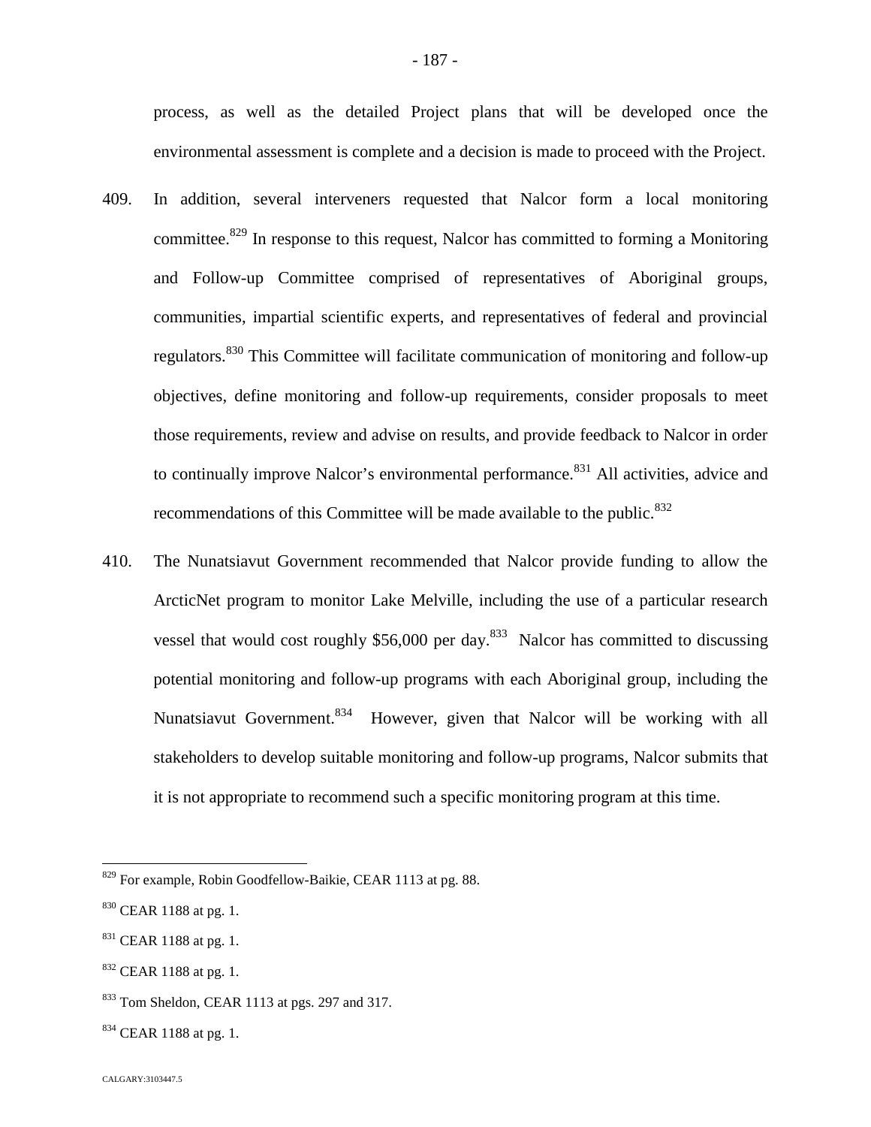process, as well as the detailed Project plans that will be developed once the environmental assessment is complete and a decision is made to proceed with the Project.

- 409. In addition, several interveners requested that Nalcor form a local monitoring committee.<sup>[829](#page-187-0)</sup> In response to this request, Nalcor has committed to forming a Monitoring and Follow-up Committee comprised of representatives of Aboriginal groups, communities, impartial scientific experts, and representatives of federal and provincial regulators.[830](#page-187-1) This Committee will facilitate communication of monitoring and follow-up objectives, define monitoring and follow-up requirements, consider proposals to meet those requirements, review and advise on results, and provide feedback to Nalcor in order to continually improve Nalcor's environmental performance.<sup>[831](#page-187-2)</sup> All activities, advice and recommendations of this Committee will be made available to the public.<sup>83[2](#page-187-3)</sup>
- 410. The Nunatsiavut Government recommended that Nalcor provide funding to allow the ArcticNet program to monitor Lake Melville, including the use of a particular research vesselthat would cost roughly  $$56,000$  per day[.](#page-187-4)<sup>833</sup> Nalcor has committed to discussing potential monitoring and follow-up programs with each Aboriginal group, including the Nunatsiavut Government.<sup>[834](#page-187-5)</sup> However, given that Nalcor will be working with all stakeholders to develop suitable monitoring and follow-up programs, Nalcor submits that it is not appropriate to recommend such a specific monitoring program at this time.

<span id="page-187-0"></span><sup>829</sup> For example, Robin Goodfellow-Baikie, CEAR 1113 at pg. 88.

<span id="page-187-1"></span> $830$  CEAR 1188 at pg. 1.

<span id="page-187-2"></span> $831$  CEAR 1188 at pg. 1.

<span id="page-187-3"></span><sup>832</sup> CEAR 1188 at pg. 1.

<span id="page-187-4"></span><sup>833</sup> Tom Sheldon, CEAR 1113 at pgs. 297 and 317.

<span id="page-187-5"></span> $834$  CEAR 1188 at pg. 1.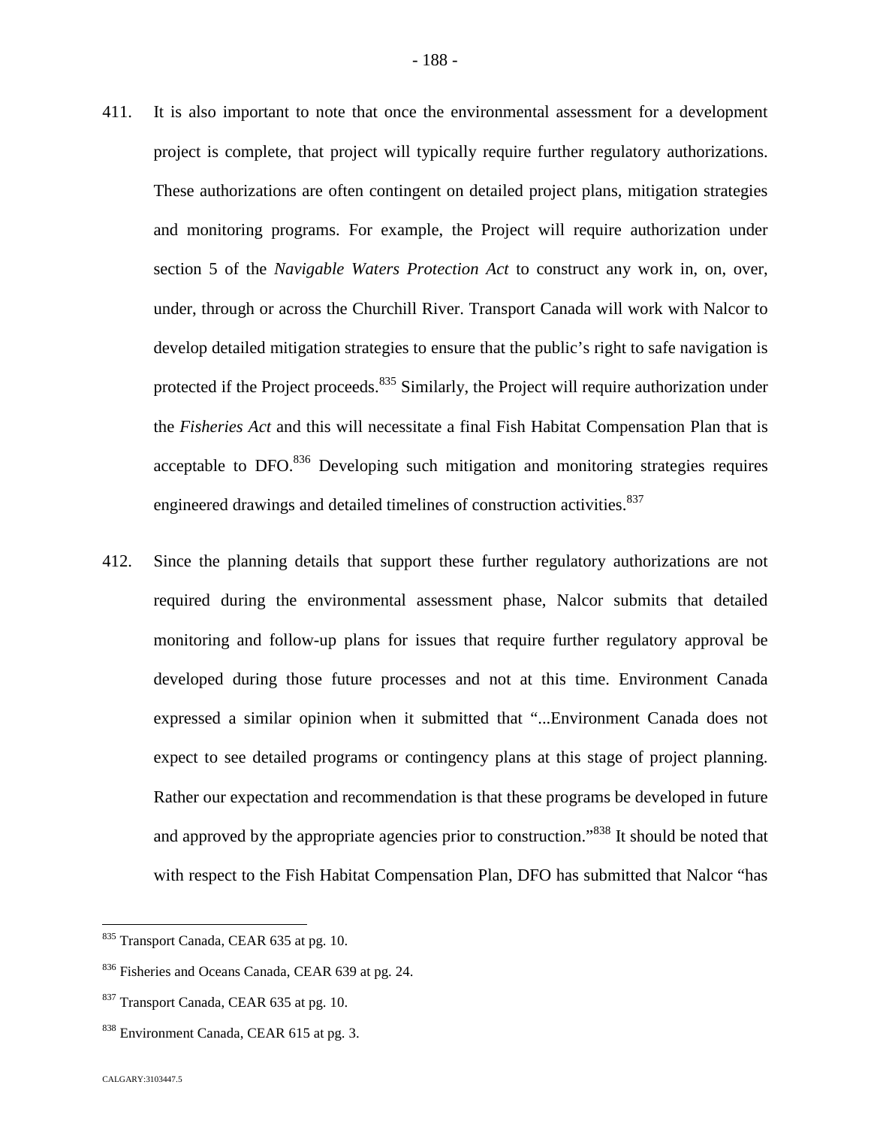- 411. It is also important to note that once the environmental assessment for a development project is complete, that project will typically require further regulatory authorizations. These authorizations are often contingent on detailed project plans, mitigation strategies and monitoring programs. For example, the Project will require authorization under section 5 of the *Navigable Waters Protection Act* to construct any work in, on, over, under, through or across the Churchill River. Transport Canada will work with Nalcor to develop detailed mitigation strategies to ensure that the public's right to safe navigation is protected if the Project proceeds.<sup>[835](#page-188-0)</sup> Similarly, the Project will require authorization under the *Fisheries Act* and this will necessitate a final Fish Habitat Compensation Plan that is acceptable to  $DFO$ <sup>[836](#page-188-1)</sup> Developing such mitigation and monitoring strategies requires engineered drawings and detailed timelines of construction activities.<sup>837</sup>
- 412. Since the planning details that support these further regulatory authorizations are not required during the environmental assessment phase, Nalcor submits that detailed monitoring and follow-up plans for issues that require further regulatory approval be developed during those future processes and not at this time. Environment Canada expressed a similar opinion when it submitted that "...Environment Canada does not expect to see detailed programs or contingency plans at this stage of project planning. Rather our expectation and recommendation is that these programs be developed in future and approved by the appropriate agencies prior to construction.<sup>[838](#page-188-2)</sup> It should be noted that with respect to the Fish Habitat Compensation Plan, DFO has submitted that Nalcor "has

<span id="page-188-0"></span><sup>835</sup> Transport Canada, CEAR 635 at pg. 10.

<span id="page-188-1"></span><sup>836</sup> Fisheries and Oceans Canada, CEAR 639 at pg. 24.

<sup>837</sup> Transport Canada, CEAR 635 at pg. 10.

<span id="page-188-2"></span><sup>838</sup> Environment Canada, CEAR 615 at pg. 3.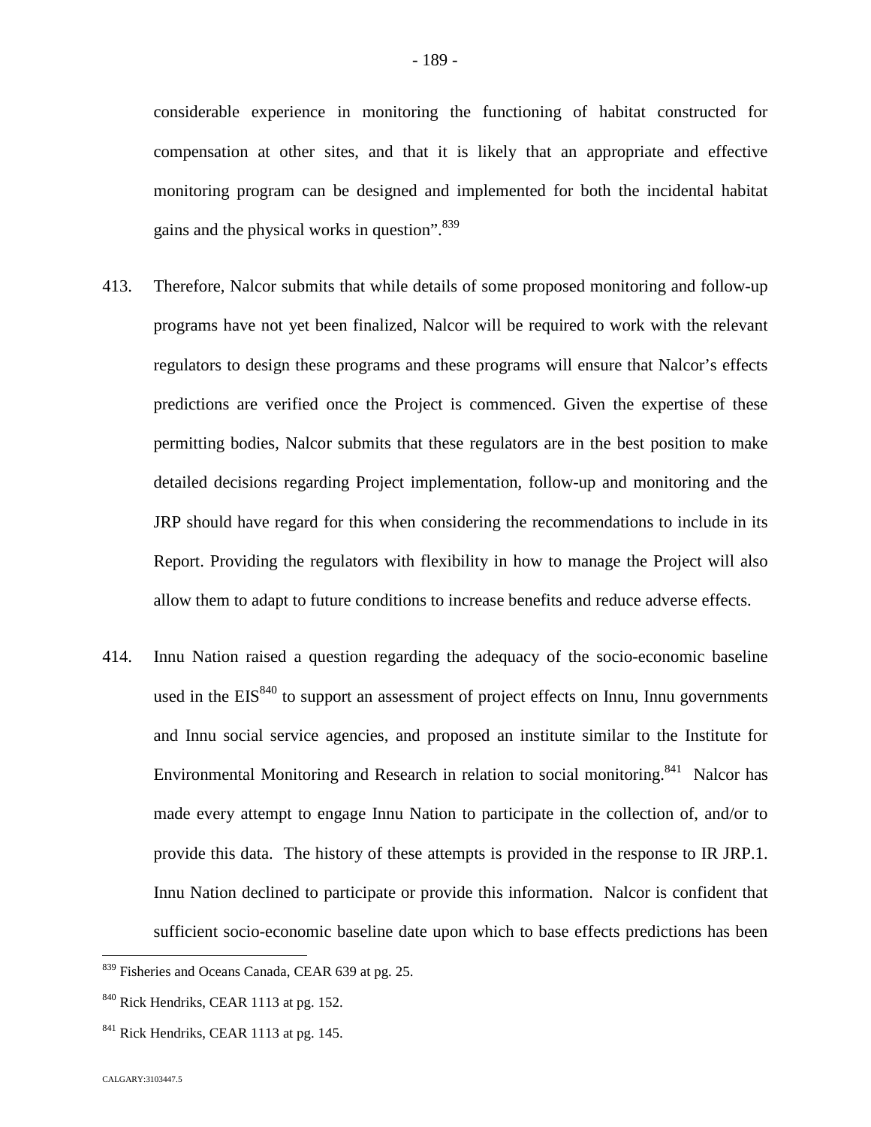considerable experience in monitoring the functioning of habitat constructed for compensation at other sites, and that it is likely that an appropriate and effective monitoring program can be designed and implemented for both the incidental habitat

- 413. Therefore, Nalcor submits that while details of some proposed monitoring and follow-up programs have not yet been finalized, Nalcor will be required to work with the relevant regulators to design these programs and these programs will ensure that Nalcor's effects predictions are verified once the Project is commenced. Given the expertise of these permitting bodies, Nalcor submits that these regulators are in the best position to make detailed decisions regarding Project implementation, follow-up and monitoring and the JRP should have regard for this when considering the recommendations to include in its Report. Providing the regulators with flexibility in how to manage the Project will also allow them to adapt to future conditions to increase benefits and reduce adverse effects.
- 414. Innu Nation raised a question regarding the adequacy of the socio-economic baseline usedin the EI[S](#page-189-1)<sup>840</sup> to support an assessment of project effects on Innu, Innu governments and Innu social service agencies, and proposed an institute similar to the Institute for Environmental Monitoring and Research in relation to social monitoring.<sup>[841](#page-189-2)</sup> Nalcor has made every attempt to engage Innu Nation to participate in the collection of, and/or to provide this data. The history of these attempts is provided in the response to IR JRP.1. Innu Nation declined to participate or provide this information. Nalcor is confident that sufficient socio-economic baseline date upon which to base effects predictions has been

gains and the physical works in question".<sup>8[39](#page-189-0)</sup>

<span id="page-189-0"></span><sup>839</sup> Fisheries and Oceans Canada, CEAR 639 at pg. 25.

<span id="page-189-1"></span><sup>&</sup>lt;sup>840</sup> Rick Hendriks, CEAR 1113 at pg. 152.

<span id="page-189-2"></span> $841$  Rick Hendriks, CEAR 1113 at pg. 145.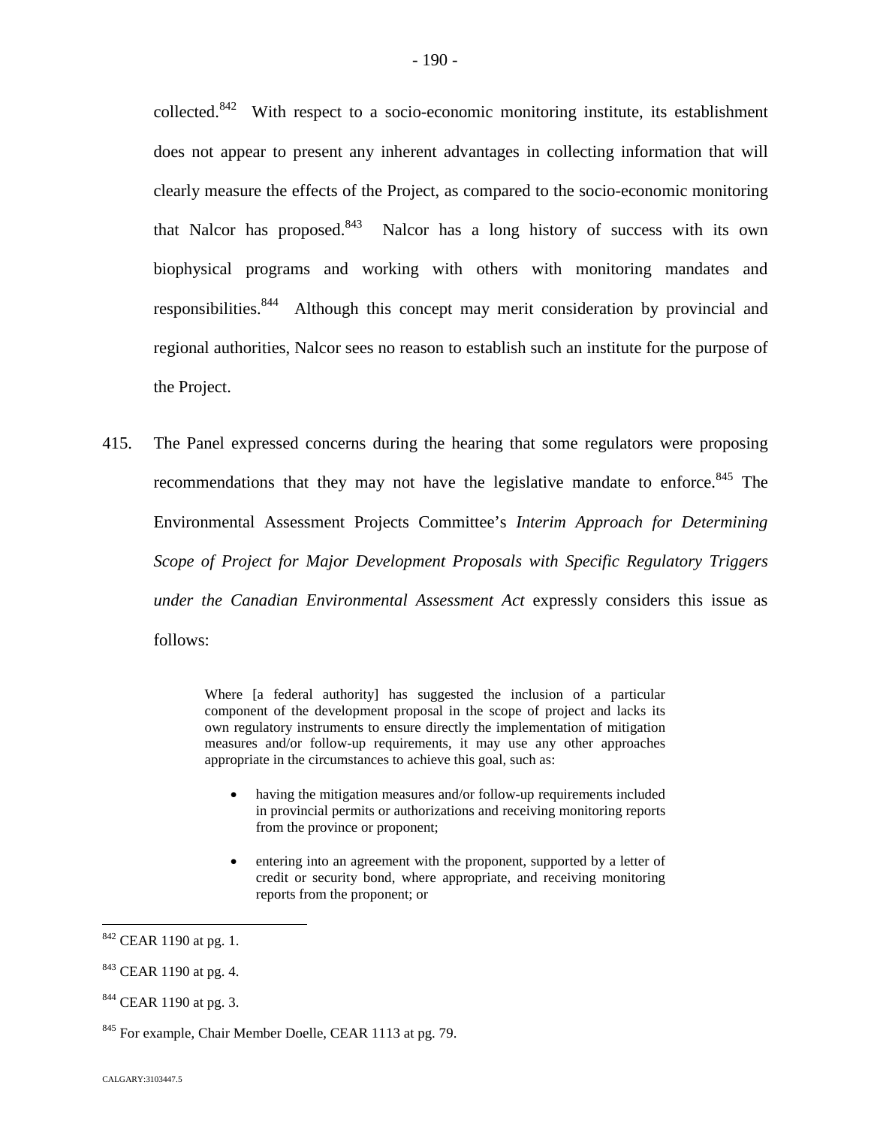collected.[842](#page-190-0) With respect to a socio-economic monitoring institute, its establishment does not appear to present any inherent advantages in collecting information that will clearly measure the effects of the Project, as compared to the socio-economic monitoring that Nalcor has proposed. $843$  Nalcor has a long history of success with its own biophysical programs and working with others with monitoring mandates and responsibilities.<sup>8[44](#page-190-2)</sup> Although this concept may merit consideration by provincial and regional authorities, Nalcor sees no reason to establish such an institute for the purpose of the Project.

415. The Panel expressed concerns during the hearing that some regulators were proposing recommendations that they may not have the legislative mandate to enforce.<sup>[845](#page-190-3)</sup> The Environmental Assessment Projects Committee's *Interim Approach for Determining Scope of Project for Major Development Proposals with Specific Regulatory Triggers under the Canadian Environmental Assessment Act* expressly considers this issue as follows:

> Where [a federal authority] has suggested the inclusion of a particular component of the development proposal in the scope of project and lacks its own regulatory instruments to ensure directly the implementation of mitigation measures and/or follow-up requirements, it may use any other approaches appropriate in the circumstances to achieve this goal, such as:

- having the mitigation measures and/or follow-up requirements included in provincial permits or authorizations and receiving monitoring reports from the province or proponent;
- entering into an agreement with the proponent, supported by a letter of credit or security bond, where appropriate, and receiving monitoring reports from the proponent; or

<span id="page-190-0"></span><sup>842</sup> CEAR 1190 at pg. 1.

<span id="page-190-1"></span><sup>&</sup>lt;sup>843</sup> CEAR 1190 at pg. 4.

<span id="page-190-2"></span><sup>844</sup> CEAR 1190 at pg. 3.

<span id="page-190-3"></span><sup>845</sup> For example, Chair Member Doelle, CEAR 1113 at pg. 79.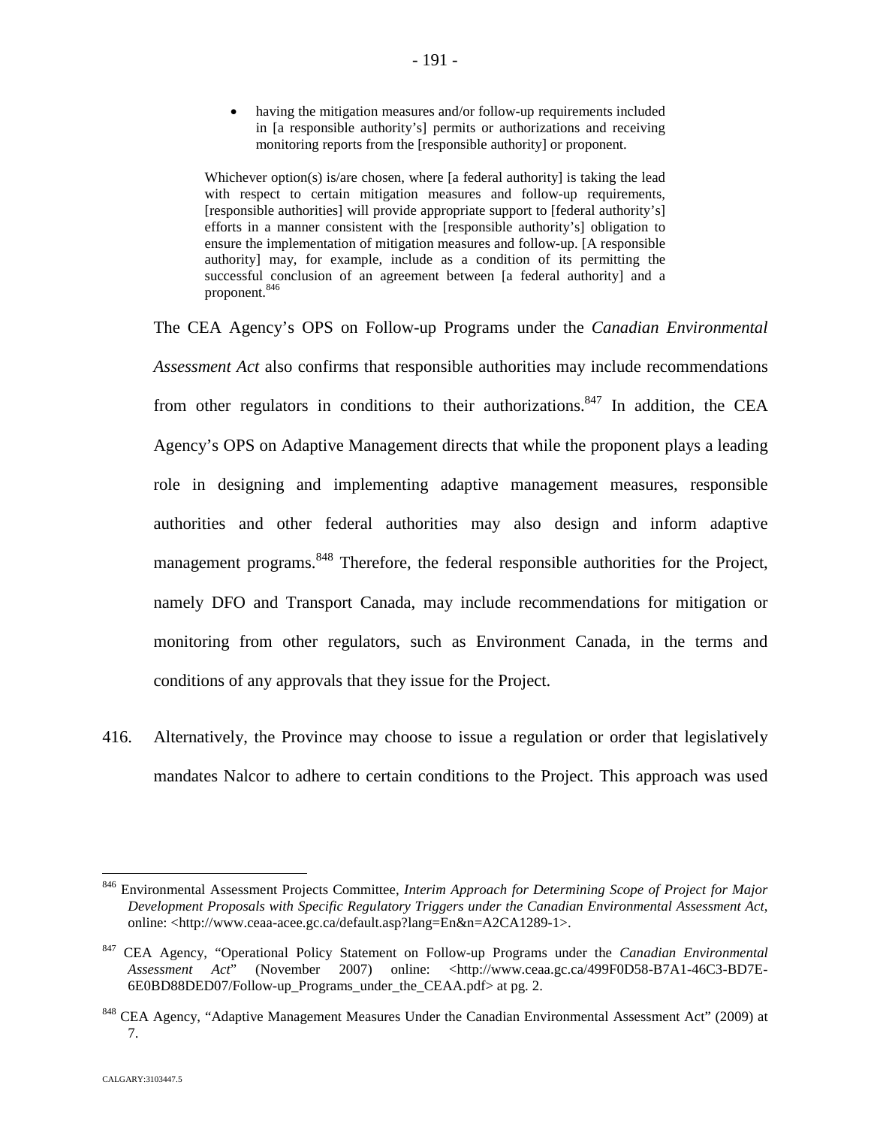having the mitigation measures and/or follow-up requirements included in [a responsible authority's] permits or authorizations and receiving monitoring reports from the [responsible authority] or proponent.

Whichever option(s) is/are chosen, where [a federal authority] is taking the lead with respect to certain mitigation measures and follow-up requirements, [responsible authorities] will provide appropriate support to [federal authority's] efforts in a manner consistent with the [responsible authority's] obligation to ensure the implementation of mitigation measures and follow-up. [A responsible authority] may, for example, include as a condition of its permitting the successful conclusion of an agreement between [a federal authority] and a proponent.[846](#page-191-0)

The CEA Agency's OPS on Follow-up Programs under the *Canadian Environmental Assessment Act* also confirms that responsible authorities may include recommendations from other regulators in conditions to their authorizations.<sup>[847](#page-191-1)</sup> In addition, the CEA Agency's OPS on Adaptive Management directs that while the proponent plays a leading role in designing and implementing adaptive management measures, responsible authorities and other federal authorities may also design and inform adaptive management programs.<sup>[848](#page-191-2)</sup> Therefore, the federal responsible authorities for the Project, namely DFO and Transport Canada, may include recommendations for mitigation or monitoring from other regulators, such as Environment Canada, in the terms and conditions of any approvals that they issue for the Project.

416. Alternatively, the Province may choose to issue a regulation or order that legislatively mandates Nalcor to adhere to certain conditions to the Project. This approach was used

<span id="page-191-0"></span><sup>846</sup> Environmental Assessment Projects Committee, *Interim Approach for Determining Scope of Project for Major Development Proposals with Specific Regulatory Triggers under the Canadian Environmental Assessment Act*, online: <http://www.ceaa-acee.gc.ca/default.asp?lang=En&n=A2CA1289-1>.

<span id="page-191-1"></span><sup>847</sup> CEA Agency, "Operational Policy Statement on Follow-up Programs under the *Canadian Environmental Assessment Act*" (November 2007) online: <http://www.ceaa.gc.ca/499F0D58-B7A1-46C3-BD7E-6E0BD88DED07/Follow-up\_Programs\_under\_the\_CEAA.pdf> at pg. 2.

<span id="page-191-2"></span><sup>&</sup>lt;sup>848</sup> CEA Agency, "Adaptive Management Measures Under the Canadian Environmental Assessment Act" (2009) at 7.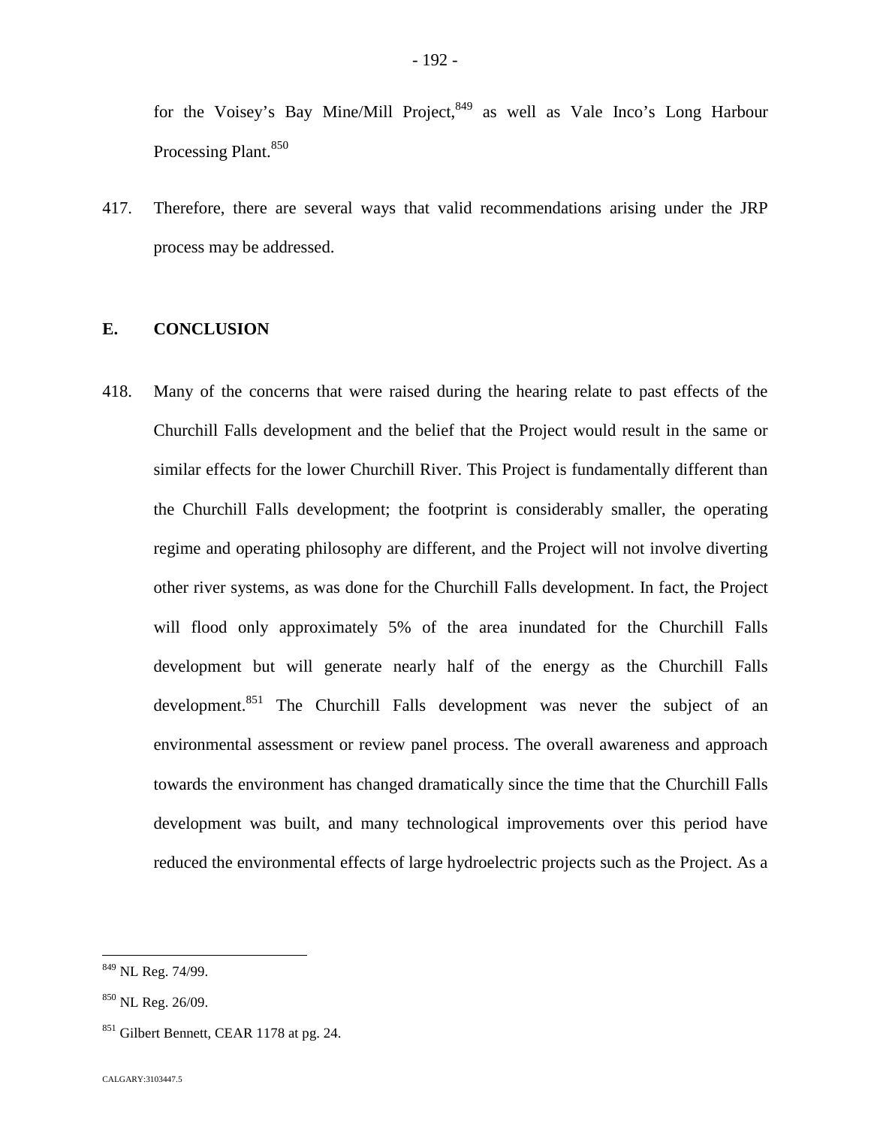for the Voisey's Bay Mine/Mill Project, $849$  as well as Vale Inco's Long Harbour Processing Plant.<sup>[850](#page-192-1)</sup>

417. Therefore, there are several ways that valid recommendations arising under the JRP process may be addressed.

## **E. CONCLUSION**

418. Many of the concerns that were raised during the hearing relate to past effects of the Churchill Falls development and the belief that the Project would result in the same or similar effects for the lower Churchill River. This Project is fundamentally different than the Churchill Falls development; the footprint is considerably smaller, the operating regime and operating philosophy are different, and the Project will not involve diverting other river systems, as was done for the Churchill Falls development. In fact, the Project will flood only approximately 5% of the area inundated for the Churchill Falls development but will generate nearly half of the energy as the Churchill Falls development.<sup>[851](#page-192-2)</sup> The Churchill Falls development was never the subject of an environmental assessment or review panel process. The overall awareness and approach towards the environment has changed dramatically since the time that the Churchill Falls development was built, and many technological improvements over this period have reduced the environmental effects of large hydroelectric projects such as the Project. As a

<span id="page-192-0"></span><sup>849</sup> NL Reg. 74/99.

<span id="page-192-1"></span> $850$  NL Reg. 26/09.

<span id="page-192-2"></span><sup>&</sup>lt;sup>851</sup> Gilbert Bennett, CEAR 1178 at pg. 24.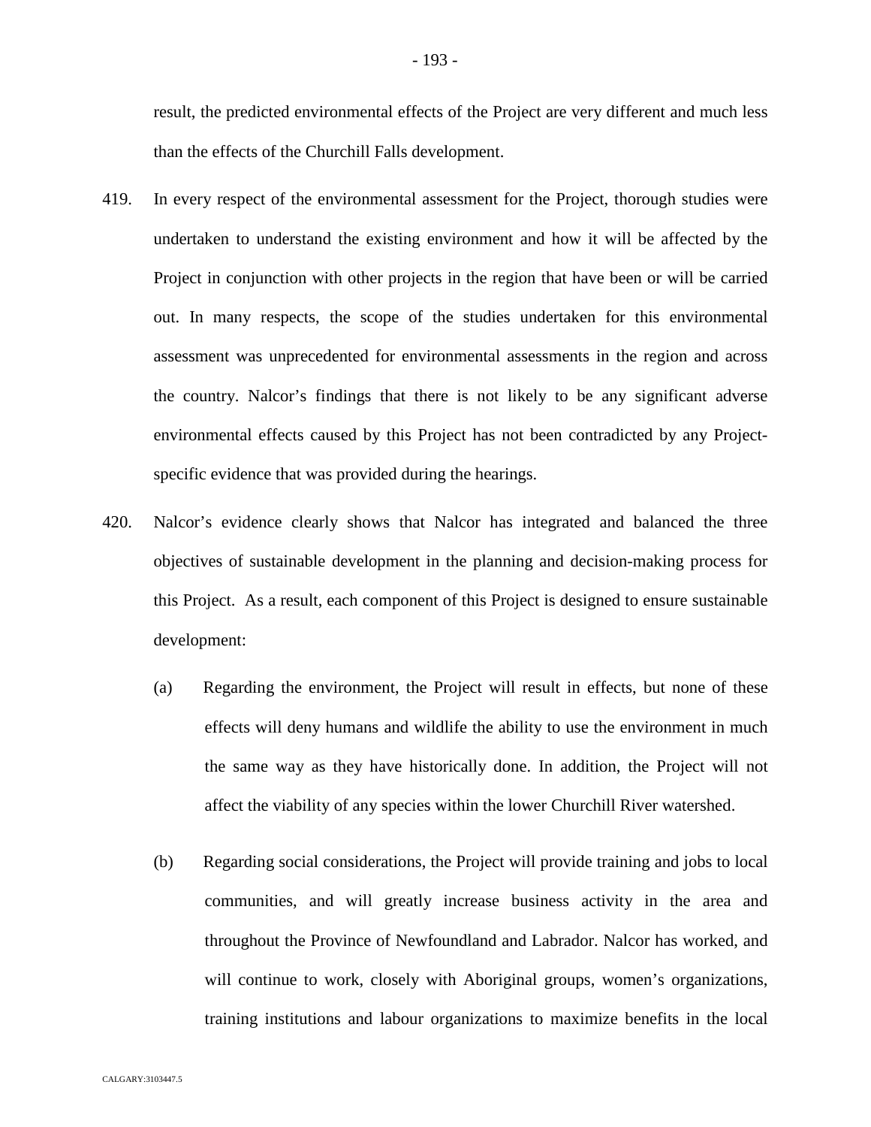result, the predicted environmental effects of the Project are very different and much less than the effects of the Churchill Falls development.

- 419. In every respect of the environmental assessment for the Project, thorough studies were undertaken to understand the existing environment and how it will be affected by the Project in conjunction with other projects in the region that have been or will be carried out. In many respects, the scope of the studies undertaken for this environmental assessment was unprecedented for environmental assessments in the region and across the country. Nalcor's findings that there is not likely to be any significant adverse environmental effects caused by this Project has not been contradicted by any Projectspecific evidence that was provided during the hearings.
- 420. Nalcor's evidence clearly shows that Nalcor has integrated and balanced the three objectives of sustainable development in the planning and decision-making process for this Project. As a result, each component of this Project is designed to ensure sustainable development:
	- (a) Regarding the environment, the Project will result in effects, but none of these effects will deny humans and wildlife the ability to use the environment in much the same way as they have historically done. In addition, the Project will not affect the viability of any species within the lower Churchill River watershed.
	- (b) Regarding social considerations, the Project will provide training and jobs to local communities, and will greatly increase business activity in the area and throughout the Province of Newfoundland and Labrador. Nalcor has worked, and will continue to work, closely with Aboriginal groups, women's organizations, training institutions and labour organizations to maximize benefits in the local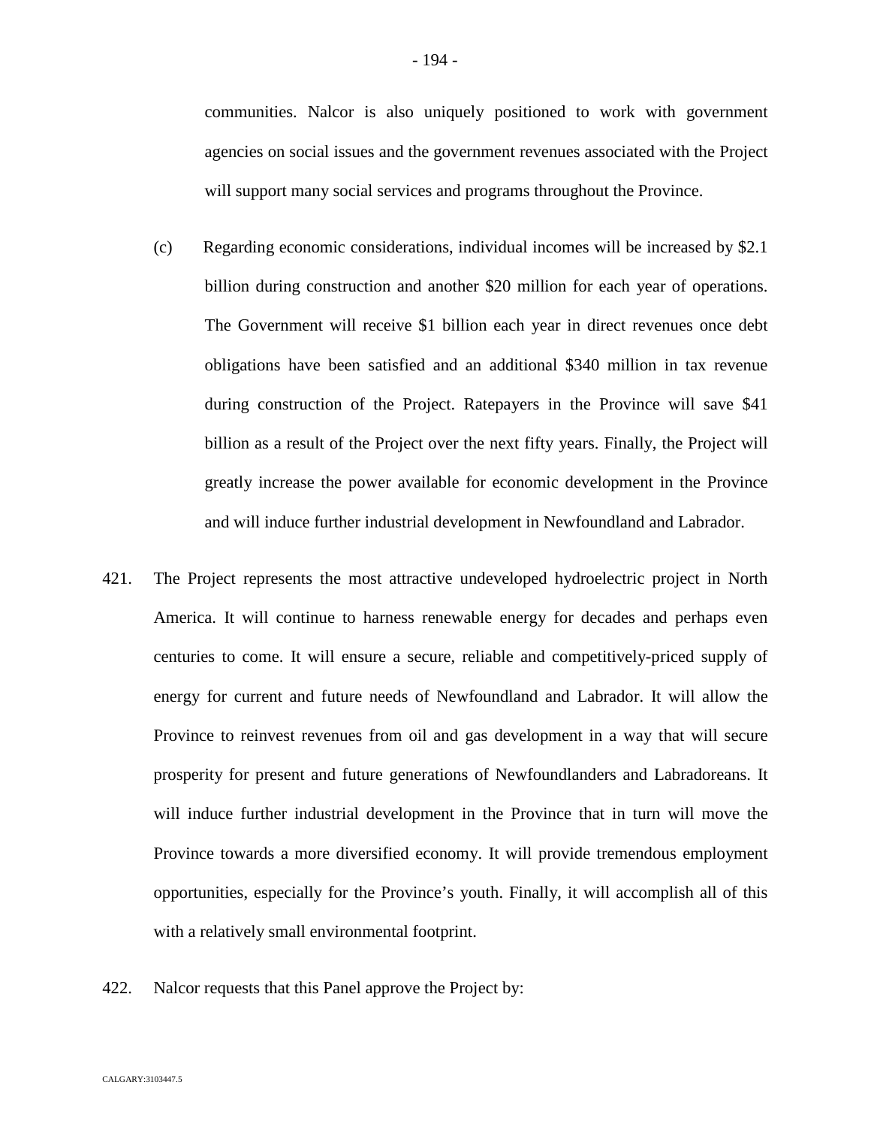communities. Nalcor is also uniquely positioned to work with government agencies on social issues and the government revenues associated with the Project will support many social services and programs throughout the Province.

- (c) Regarding economic considerations, individual incomes will be increased by \$2.1 billion during construction and another \$20 million for each year of operations. The Government will receive \$1 billion each year in direct revenues once debt obligations have been satisfied and an additional \$340 million in tax revenue during construction of the Project. Ratepayers in the Province will save \$41 billion as a result of the Project over the next fifty years. Finally, the Project will greatly increase the power available for economic development in the Province and will induce further industrial development in Newfoundland and Labrador.
- 421. The Project represents the most attractive undeveloped hydroelectric project in North America. It will continue to harness renewable energy for decades and perhaps even centuries to come. It will ensure a secure, reliable and competitively-priced supply of energy for current and future needs of Newfoundland and Labrador. It will allow the Province to reinvest revenues from oil and gas development in a way that will secure prosperity for present and future generations of Newfoundlanders and Labradoreans. It will induce further industrial development in the Province that in turn will move the Province towards a more diversified economy. It will provide tremendous employment opportunities, especially for the Province's youth. Finally, it will accomplish all of this with a relatively small environmental footprint.
- 422. Nalcor requests that this Panel approve the Project by: